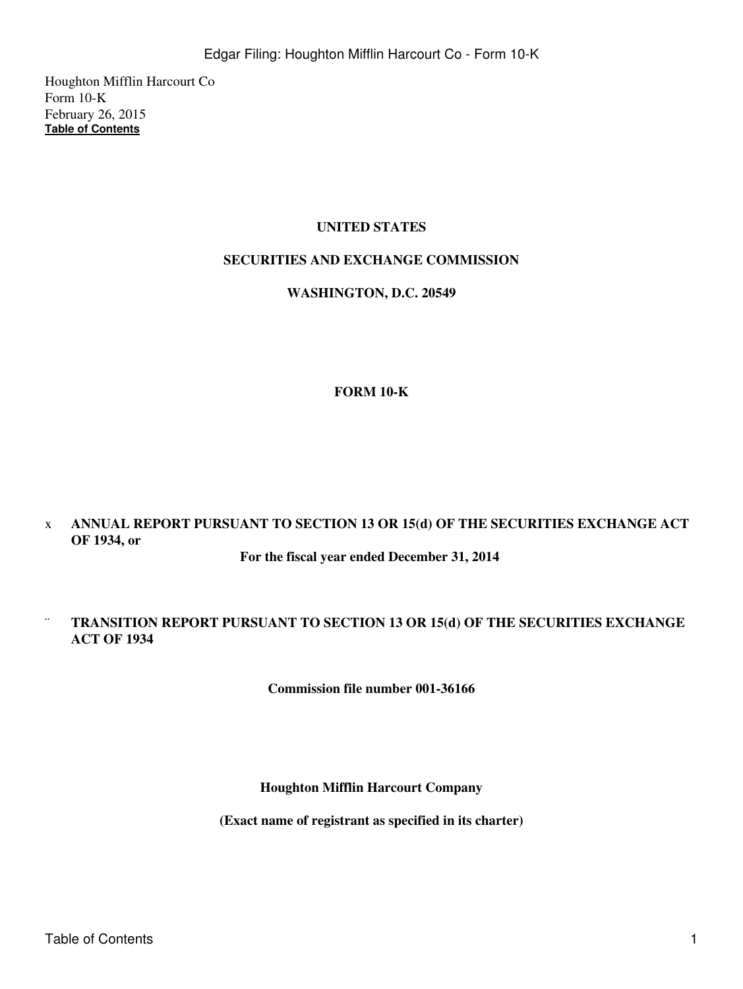Houghton Mifflin Harcourt Co Form 10-K February 26, 2015 **[Table of Contents](#page-3-0)**

# **UNITED STATES**

### **SECURITIES AND EXCHANGE COMMISSION**

### **WASHINGTON, D.C. 20549**

## **FORM 10-K**

# x **ANNUAL REPORT PURSUANT TO SECTION 13 OR 15(d) OF THE SECURITIES EXCHANGE ACT OF 1934, or**

## **For the fiscal year ended December 31, 2014**

¨ **TRANSITION REPORT PURSUANT TO SECTION 13 OR 15(d) OF THE SECURITIES EXCHANGE ACT OF 1934**

**Commission file number 001-36166**

**Houghton Mifflin Harcourt Company**

**(Exact name of registrant as specified in its charter)**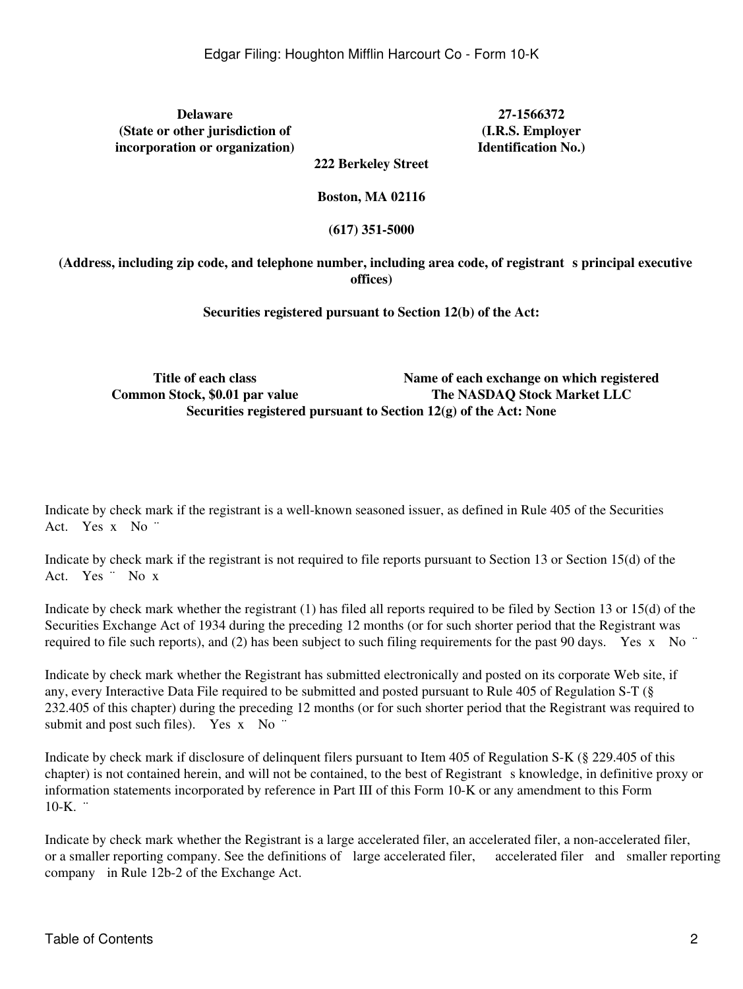**Delaware 27-1566372 (State or other jurisdiction of incorporation or organization)**

**(I.R.S. Employer Identification No.)**

# **222 Berkeley Street**

**Boston, MA 02116**

**(617) 351-5000**

(Address, including zip code, and telephone number, including area code, of registrant s principal executive **offices)**

**Securities registered pursuant to Section 12(b) of the Act:**

**Title of each class Name of each exchange on which registered Common Stock, \$0.01 par value The NASDAQ Stock Market LLC Securities registered pursuant to Section 12(g) of the Act: None**

Indicate by check mark if the registrant is a well-known seasoned issuer, as defined in Rule 405 of the Securities Act. Yes x No "

Indicate by check mark if the registrant is not required to file reports pursuant to Section 13 or Section 15(d) of the Act. Yes ¨ No x

Indicate by check mark whether the registrant (1) has filed all reports required to be filed by Section 13 or 15(d) of the Securities Exchange Act of 1934 during the preceding 12 months (or for such shorter period that the Registrant was required to file such reports), and (2) has been subject to such filing requirements for the past 90 days. Yes x No  $\degree$ 

Indicate by check mark whether the Registrant has submitted electronically and posted on its corporate Web site, if any, every Interactive Data File required to be submitted and posted pursuant to Rule 405 of Regulation S-T (§ 232.405 of this chapter) during the preceding 12 months (or for such shorter period that the Registrant was required to submit and post such files). Yes x No "

Indicate by check mark if disclosure of delinquent filers pursuant to Item 405 of Regulation S-K (§ 229.405 of this chapter) is not contained herein, and will not be contained, to the best of Registrants knowledge, in definitive proxy or information statements incorporated by reference in Part III of this Form 10-K or any amendment to this Form  $10-K$ .  $\degree$ 

Indicate by check mark whether the Registrant is a large accelerated filer, an accelerated filer, a non-accelerated filer, or a smaller reporting company. See the definitions of large accelerated filer, accelerated filer and smaller reporting company in Rule 12b-2 of the Exchange Act.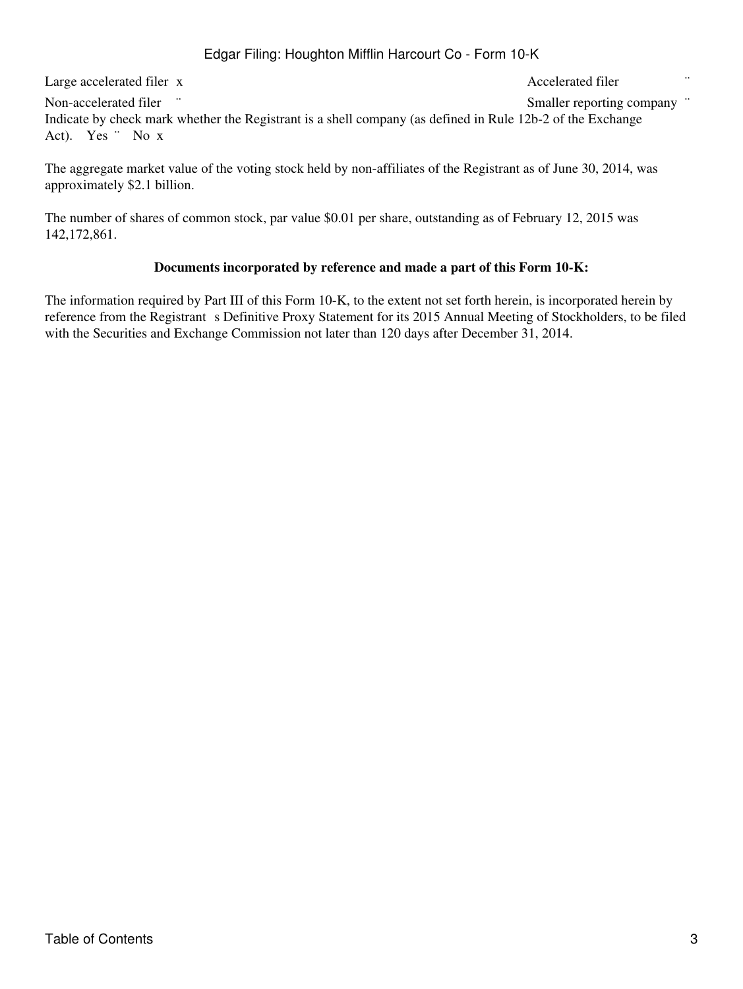Large accelerated filer x Accelerated filer Non-accelerated filer ¨ Smaller reporting company ¨ Indicate by check mark whether the Registrant is a shell company (as defined in Rule 12b-2 of the Exchange Act). Yes ¨ No x

The aggregate market value of the voting stock held by non-affiliates of the Registrant as of June 30, 2014, was approximately \$2.1 billion.

The number of shares of common stock, par value \$0.01 per share, outstanding as of February 12, 2015 was 142,172,861.

#### **Documents incorporated by reference and made a part of this Form 10-K:**

The information required by Part III of this Form 10-K, to the extent not set forth herein, is incorporated herein by reference from the Registrant s Definitive Proxy Statement for its 2015 Annual Meeting of Stockholders, to be filed with the Securities and Exchange Commission not later than 120 days after December 31, 2014.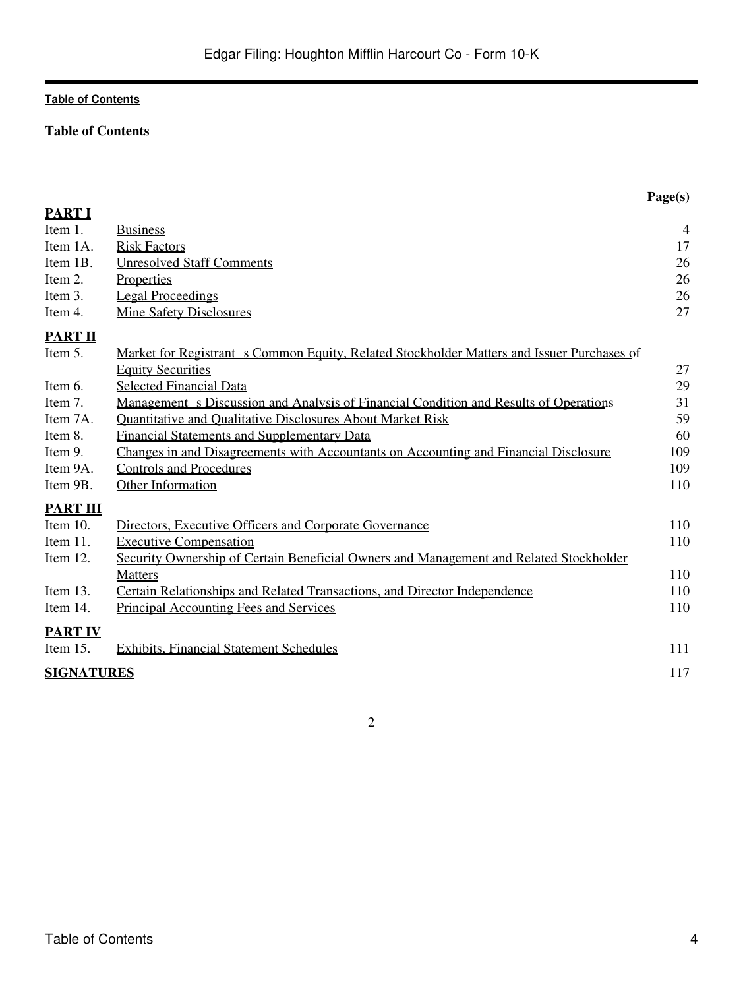# <span id="page-3-0"></span>**Table of Contents**

|                   |                                                                                            | Page(s)        |
|-------------------|--------------------------------------------------------------------------------------------|----------------|
| <b>PART I</b>     |                                                                                            |                |
| Item 1.           | <b>Business</b>                                                                            | $\overline{4}$ |
| Item 1A.          | <b>Risk Factors</b>                                                                        | 17             |
| Item 1B.          | <b>Unresolved Staff Comments</b>                                                           | 26             |
| Item 2.           | Properties                                                                                 | 26             |
| Item 3.           | <b>Legal Proceedings</b>                                                                   | 26             |
| Item 4.           | <b>Mine Safety Disclosures</b>                                                             | 27             |
| <b>PART II</b>    |                                                                                            |                |
| Item 5.           | Market for Registrant s Common Equity, Related Stockholder Matters and Issuer Purchases of |                |
|                   | <b>Equity Securities</b>                                                                   | 27             |
| Item 6.           | <b>Selected Financial Data</b>                                                             | 29             |
| Item 7.           | Management s Discussion and Analysis of Financial Condition and Results of Operations      | 31             |
| Item 7A.          | Quantitative and Qualitative Disclosures About Market Risk                                 | 59             |
| Item 8.           | <b>Financial Statements and Supplementary Data</b>                                         | 60             |
| Item 9.           | Changes in and Disagreements with Accountants on Accounting and Financial Disclosure       | 109            |
| Item 9A.          | <b>Controls and Procedures</b>                                                             | 109            |
| Item 9B.          | <b>Other Information</b>                                                                   | 110            |
| <b>PART III</b>   |                                                                                            |                |
| Item 10.          | Directors, Executive Officers and Corporate Governance                                     | 110            |
| Item 11.          | <b>Executive Compensation</b>                                                              | 110            |
| Item 12.          | Security Ownership of Certain Beneficial Owners and Management and Related Stockholder     |                |
|                   | <b>Matters</b>                                                                             | 110            |
| Item $13$ .       | Certain Relationships and Related Transactions, and Director Independence                  | 110            |
| Item 14.          | <b>Principal Accounting Fees and Services</b>                                              | 110            |
| <b>PART IV</b>    |                                                                                            |                |
| Item 15.          | <b>Exhibits, Financial Statement Schedules</b>                                             | 111            |
| <b>SIGNATURES</b> |                                                                                            | 117            |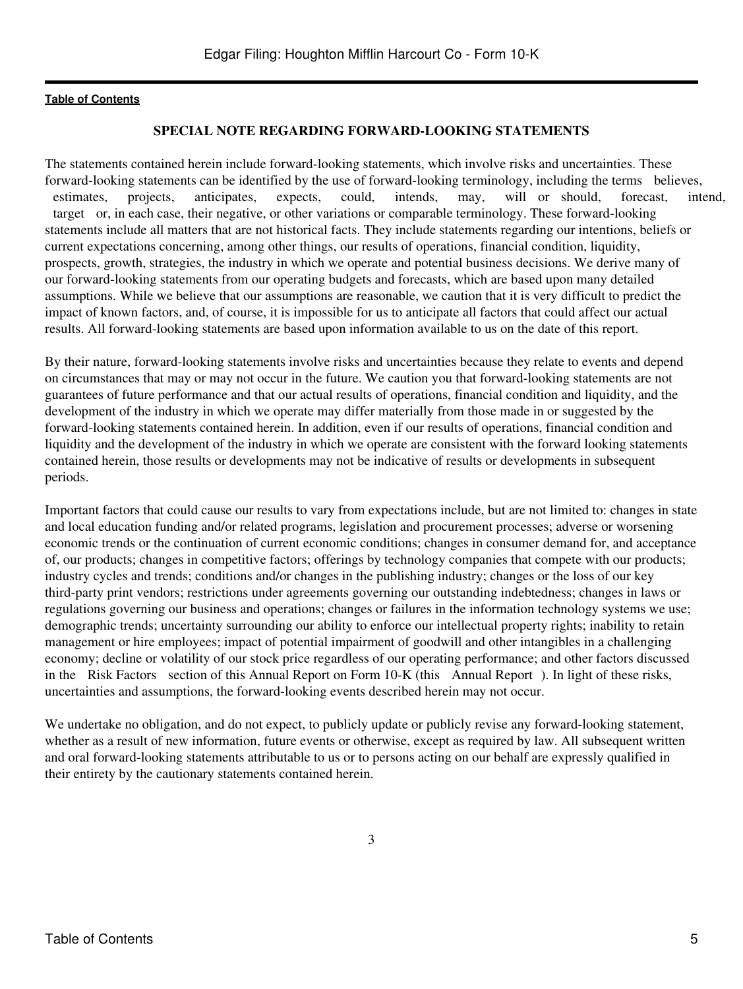#### **SPECIAL NOTE REGARDING FORWARD-LOOKING STATEMENTS**

The statements contained herein include forward-looking statements, which involve risks and uncertainties. These forward-looking statements can be identified by the use of forward-looking terminology, including the terms believes, estimates, projects, anticipates, expects, could, intends, may, will or should, forecast, intend, target or, in each case, their negative, or other variations or comparable terminology. These forward-looking statements include all matters that are not historical facts. They include statements regarding our intentions, beliefs or current expectations concerning, among other things, our results of operations, financial condition, liquidity, prospects, growth, strategies, the industry in which we operate and potential business decisions. We derive many of our forward-looking statements from our operating budgets and forecasts, which are based upon many detailed assumptions. While we believe that our assumptions are reasonable, we caution that it is very difficult to predict the impact of known factors, and, of course, it is impossible for us to anticipate all factors that could affect our actual results. All forward-looking statements are based upon information available to us on the date of this report.

By their nature, forward-looking statements involve risks and uncertainties because they relate to events and depend on circumstances that may or may not occur in the future. We caution you that forward-looking statements are not guarantees of future performance and that our actual results of operations, financial condition and liquidity, and the development of the industry in which we operate may differ materially from those made in or suggested by the forward-looking statements contained herein. In addition, even if our results of operations, financial condition and liquidity and the development of the industry in which we operate are consistent with the forward looking statements contained herein, those results or developments may not be indicative of results or developments in subsequent periods.

Important factors that could cause our results to vary from expectations include, but are not limited to: changes in state and local education funding and/or related programs, legislation and procurement processes; adverse or worsening economic trends or the continuation of current economic conditions; changes in consumer demand for, and acceptance of, our products; changes in competitive factors; offerings by technology companies that compete with our products; industry cycles and trends; conditions and/or changes in the publishing industry; changes or the loss of our key third-party print vendors; restrictions under agreements governing our outstanding indebtedness; changes in laws or regulations governing our business and operations; changes or failures in the information technology systems we use; demographic trends; uncertainty surrounding our ability to enforce our intellectual property rights; inability to retain management or hire employees; impact of potential impairment of goodwill and other intangibles in a challenging economy; decline or volatility of our stock price regardless of our operating performance; and other factors discussed in the Risk Factors section of this Annual Report on Form 10-K (this Annual Report). In light of these risks, uncertainties and assumptions, the forward-looking events described herein may not occur.

We undertake no obligation, and do not expect, to publicly update or publicly revise any forward-looking statement, whether as a result of new information, future events or otherwise, except as required by law. All subsequent written and oral forward-looking statements attributable to us or to persons acting on our behalf are expressly qualified in their entirety by the cautionary statements contained herein.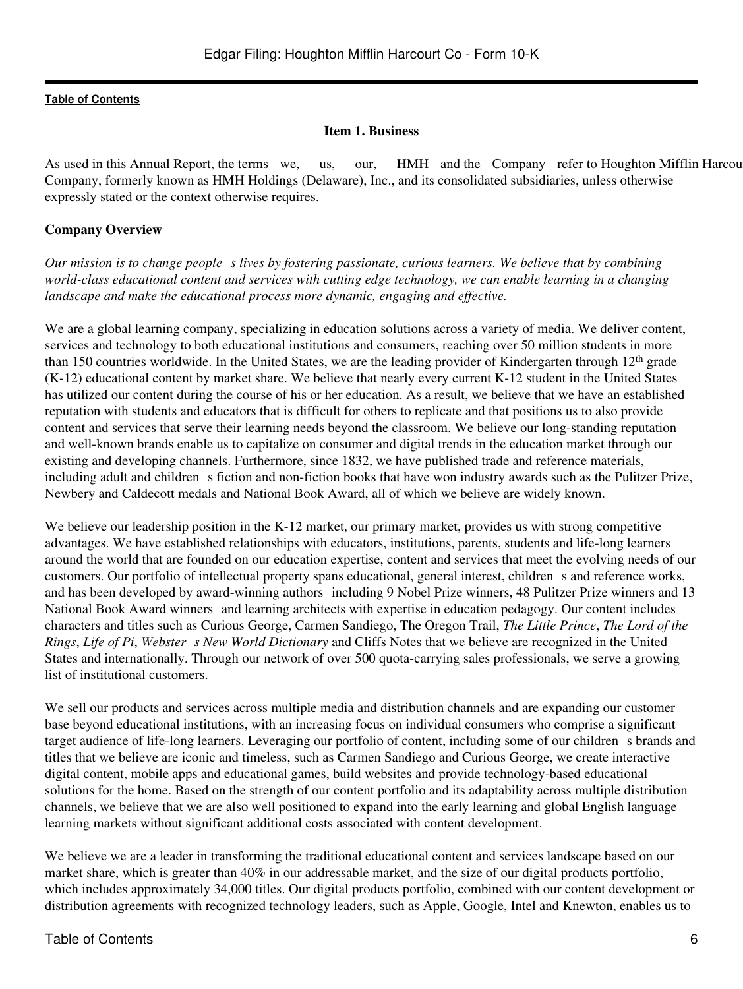### **Item 1. Business**

<span id="page-5-0"></span>As used in this Annual Report, the terms we, us, our, HMH and the Company refer to Houghton Mifflin Harcourt Company, formerly known as HMH Holdings (Delaware), Inc., and its consolidated subsidiaries, unless otherwise expressly stated or the context otherwise requires.

## **Company Overview**

*Our mission is to change people s lives by fostering passionate, curious learners. We believe that by combining world-class educational content and services with cutting edge technology, we can enable learning in a changing landscape and make the educational process more dynamic, engaging and effective.*

We are a global learning company, specializing in education solutions across a variety of media. We deliver content, services and technology to both educational institutions and consumers, reaching over 50 million students in more than 150 countries worldwide. In the United States, we are the leading provider of Kindergarten through 12th grade (K-12) educational content by market share. We believe that nearly every current K-12 student in the United States has utilized our content during the course of his or her education. As a result, we believe that we have an established reputation with students and educators that is difficult for others to replicate and that positions us to also provide content and services that serve their learning needs beyond the classroom. We believe our long-standing reputation and well-known brands enable us to capitalize on consumer and digital trends in the education market through our existing and developing channels. Furthermore, since 1832, we have published trade and reference materials, including adult and children s fiction and non-fiction books that have won industry awards such as the Pulitzer Prize, Newbery and Caldecott medals and National Book Award, all of which we believe are widely known.

We believe our leadership position in the K-12 market, our primary market, provides us with strong competitive advantages. We have established relationships with educators, institutions, parents, students and life-long learners around the world that are founded on our education expertise, content and services that meet the evolving needs of our customers. Our portfolio of intellectual property spans educational, general interest, children s and reference works, and has been developed by award-winning authors including 9 Nobel Prize winners, 48 Pulitzer Prize winners and 13 National Book Award winners and learning architects with expertise in education pedagogy. Our content includes characters and titles such as Curious George, Carmen Sandiego, The Oregon Trail, *The Little Prince*, *The Lord of the Rings, Life of Pi, Webster s New World Dictionary* and Cliffs Notes that we believe are recognized in the United States and internationally. Through our network of over 500 quota-carrying sales professionals, we serve a growing list of institutional customers.

We sell our products and services across multiple media and distribution channels and are expanding our customer base beyond educational institutions, with an increasing focus on individual consumers who comprise a significant target audience of life-long learners. Leveraging our portfolio of content, including some of our children s brands and titles that we believe are iconic and timeless, such as Carmen Sandiego and Curious George, we create interactive digital content, mobile apps and educational games, build websites and provide technology-based educational solutions for the home. Based on the strength of our content portfolio and its adaptability across multiple distribution channels, we believe that we are also well positioned to expand into the early learning and global English language learning markets without significant additional costs associated with content development.

We believe we are a leader in transforming the traditional educational content and services landscape based on our market share, which is greater than 40% in our addressable market, and the size of our digital products portfolio, which includes approximately 34,000 titles. Our digital products portfolio, combined with our content development or distribution agreements with recognized technology leaders, such as Apple, Google, Intel and Knewton, enables us to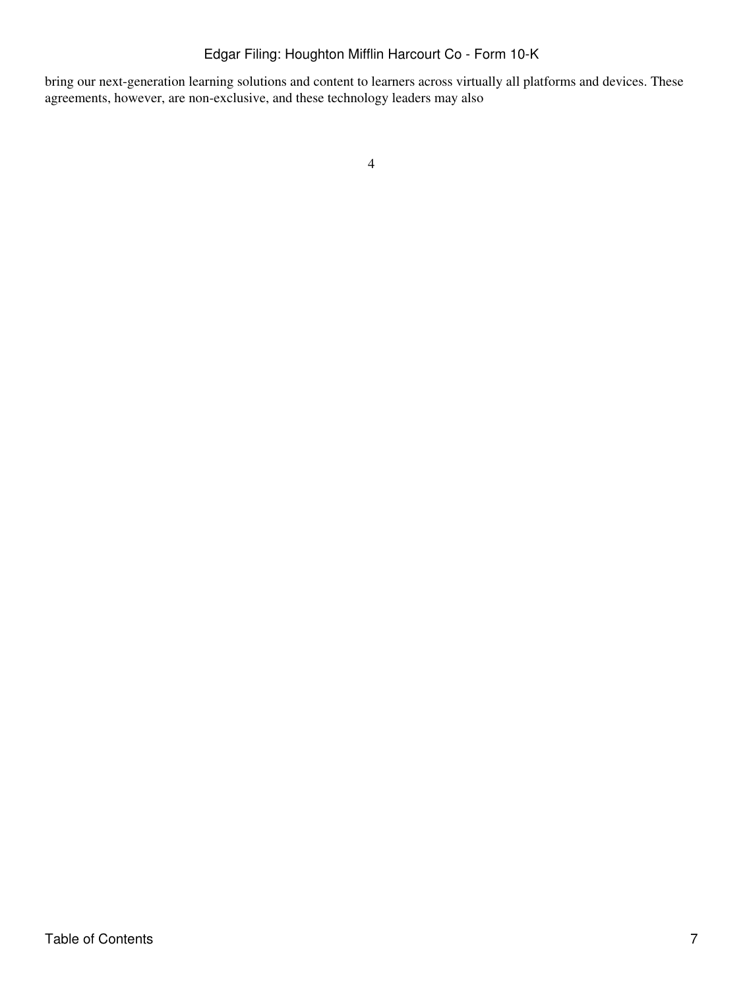bring our next-generation learning solutions and content to learners across virtually all platforms and devices. These agreements, however, are non-exclusive, and these technology leaders may also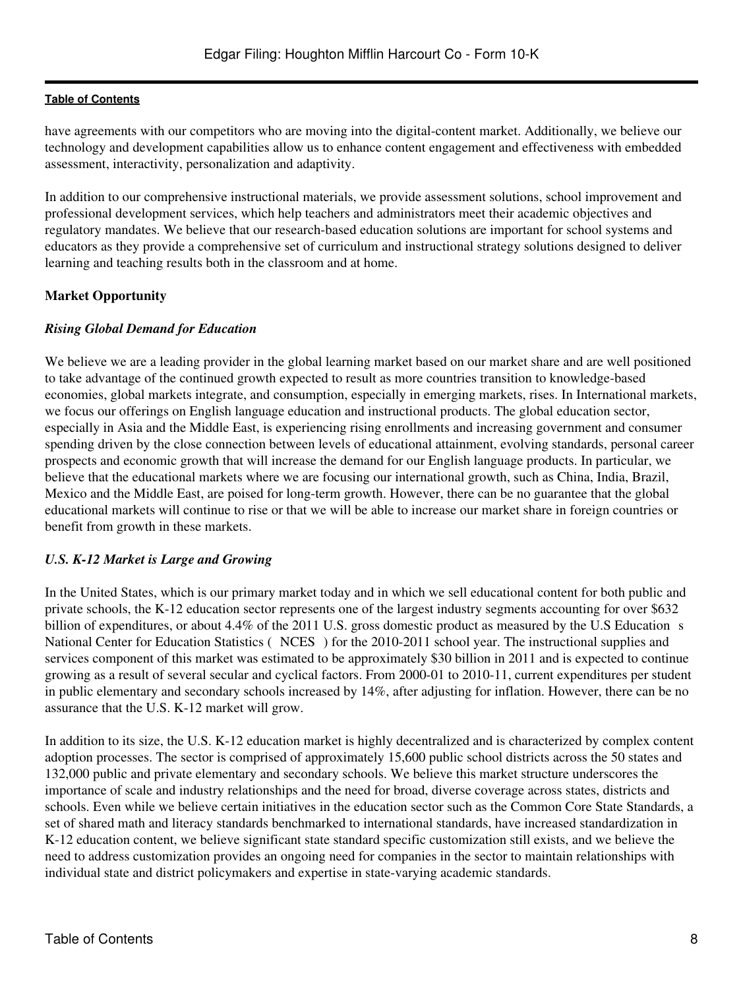have agreements with our competitors who are moving into the digital-content market. Additionally, we believe our technology and development capabilities allow us to enhance content engagement and effectiveness with embedded assessment, interactivity, personalization and adaptivity.

In addition to our comprehensive instructional materials, we provide assessment solutions, school improvement and professional development services, which help teachers and administrators meet their academic objectives and regulatory mandates. We believe that our research-based education solutions are important for school systems and educators as they provide a comprehensive set of curriculum and instructional strategy solutions designed to deliver learning and teaching results both in the classroom and at home.

## **Market Opportunity**

## *Rising Global Demand for Education*

We believe we are a leading provider in the global learning market based on our market share and are well positioned to take advantage of the continued growth expected to result as more countries transition to knowledge-based economies, global markets integrate, and consumption, especially in emerging markets, rises. In International markets, we focus our offerings on English language education and instructional products. The global education sector, especially in Asia and the Middle East, is experiencing rising enrollments and increasing government and consumer spending driven by the close connection between levels of educational attainment, evolving standards, personal career prospects and economic growth that will increase the demand for our English language products. In particular, we believe that the educational markets where we are focusing our international growth, such as China, India, Brazil, Mexico and the Middle East, are poised for long-term growth. However, there can be no guarantee that the global educational markets will continue to rise or that we will be able to increase our market share in foreign countries or benefit from growth in these markets.

## *U.S. K-12 Market is Large and Growing*

In the United States, which is our primary market today and in which we sell educational content for both public and private schools, the K-12 education sector represents one of the largest industry segments accounting for over \$632 billion of expenditures, or about 4.4% of the 2011 U.S. gross domestic product as measured by the U.S Education s National Center for Education Statistics (NCES) for the 2010-2011 school year. The instructional supplies and services component of this market was estimated to be approximately \$30 billion in 2011 and is expected to continue growing as a result of several secular and cyclical factors. From 2000-01 to 2010-11, current expenditures per student in public elementary and secondary schools increased by 14%, after adjusting for inflation. However, there can be no assurance that the U.S. K-12 market will grow.

In addition to its size, the U.S. K-12 education market is highly decentralized and is characterized by complex content adoption processes. The sector is comprised of approximately 15,600 public school districts across the 50 states and 132,000 public and private elementary and secondary schools. We believe this market structure underscores the importance of scale and industry relationships and the need for broad, diverse coverage across states, districts and schools. Even while we believe certain initiatives in the education sector such as the Common Core State Standards, a set of shared math and literacy standards benchmarked to international standards, have increased standardization in K-12 education content, we believe significant state standard specific customization still exists, and we believe the need to address customization provides an ongoing need for companies in the sector to maintain relationships with individual state and district policymakers and expertise in state-varying academic standards.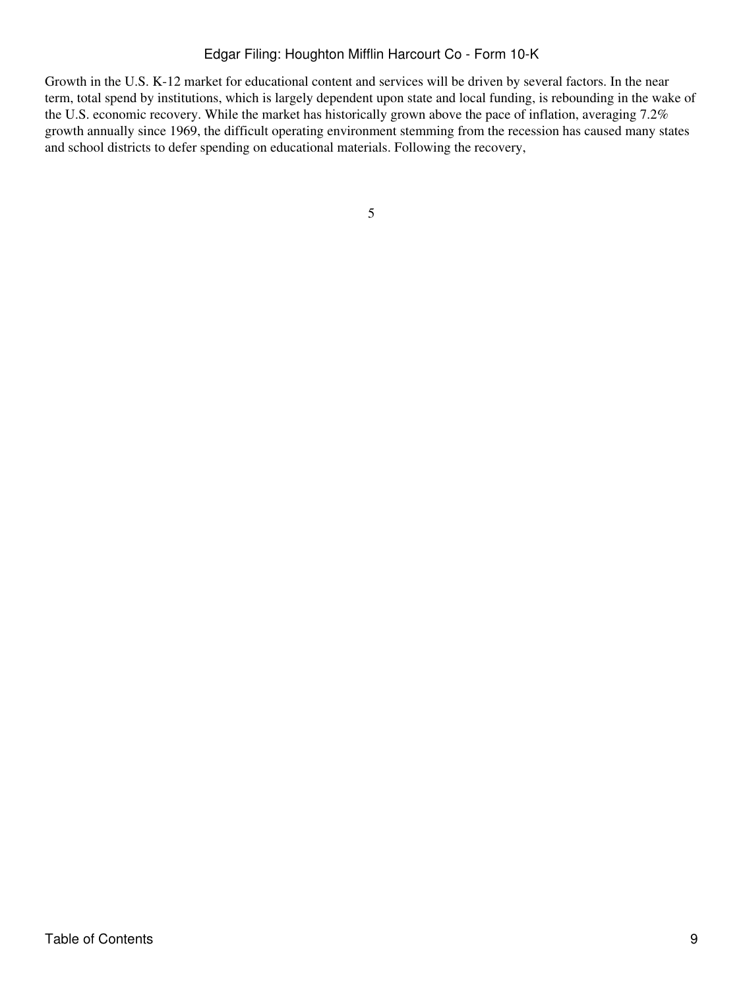Growth in the U.S. K-12 market for educational content and services will be driven by several factors. In the near term, total spend by institutions, which is largely dependent upon state and local funding, is rebounding in the wake of the U.S. economic recovery. While the market has historically grown above the pace of inflation, averaging 7.2% growth annually since 1969, the difficult operating environment stemming from the recession has caused many states and school districts to defer spending on educational materials. Following the recovery,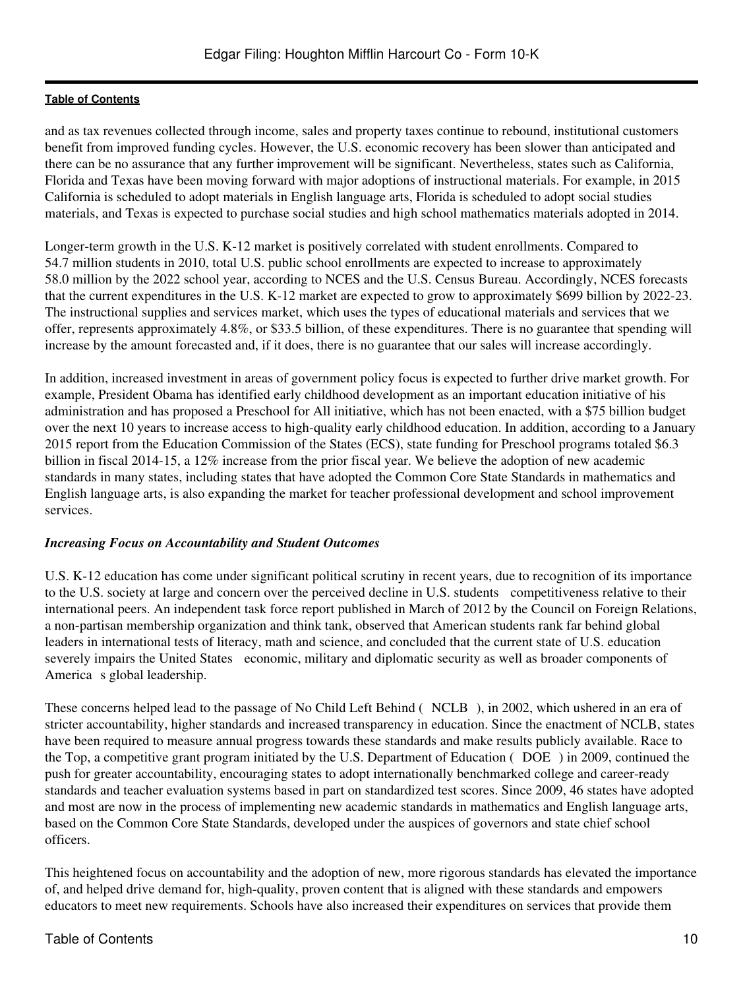and as tax revenues collected through income, sales and property taxes continue to rebound, institutional customers benefit from improved funding cycles. However, the U.S. economic recovery has been slower than anticipated and there can be no assurance that any further improvement will be significant. Nevertheless, states such as California, Florida and Texas have been moving forward with major adoptions of instructional materials. For example, in 2015 California is scheduled to adopt materials in English language arts, Florida is scheduled to adopt social studies materials, and Texas is expected to purchase social studies and high school mathematics materials adopted in 2014.

Longer-term growth in the U.S. K-12 market is positively correlated with student enrollments. Compared to 54.7 million students in 2010, total U.S. public school enrollments are expected to increase to approximately 58.0 million by the 2022 school year, according to NCES and the U.S. Census Bureau. Accordingly, NCES forecasts that the current expenditures in the U.S. K-12 market are expected to grow to approximately \$699 billion by 2022-23. The instructional supplies and services market, which uses the types of educational materials and services that we offer, represents approximately 4.8%, or \$33.5 billion, of these expenditures. There is no guarantee that spending will increase by the amount forecasted and, if it does, there is no guarantee that our sales will increase accordingly.

In addition, increased investment in areas of government policy focus is expected to further drive market growth. For example, President Obama has identified early childhood development as an important education initiative of his administration and has proposed a Preschool for All initiative, which has not been enacted, with a \$75 billion budget over the next 10 years to increase access to high-quality early childhood education. In addition, according to a January 2015 report from the Education Commission of the States (ECS), state funding for Preschool programs totaled \$6.3 billion in fiscal 2014-15, a 12% increase from the prior fiscal year. We believe the adoption of new academic standards in many states, including states that have adopted the Common Core State Standards in mathematics and English language arts, is also expanding the market for teacher professional development and school improvement services.

#### *Increasing Focus on Accountability and Student Outcomes*

U.S. K-12 education has come under significant political scrutiny in recent years, due to recognition of its importance to the U.S. society at large and concern over the perceived decline in U.S. students competitiveness relative to their international peers. An independent task force report published in March of 2012 by the Council on Foreign Relations, a non-partisan membership organization and think tank, observed that American students rank far behind global leaders in international tests of literacy, math and science, and concluded that the current state of U.S. education severely impairs the United States economic, military and diplomatic security as well as broader components of America s global leadership.

These concerns helped lead to the passage of No Child Left Behind (NCLB), in 2002, which ushered in an era of stricter accountability, higher standards and increased transparency in education. Since the enactment of NCLB, states have been required to measure annual progress towards these standards and make results publicly available. Race to the Top, a competitive grant program initiated by the U.S. Department of Education (DOE) in 2009, continued the push for greater accountability, encouraging states to adopt internationally benchmarked college and career-ready standards and teacher evaluation systems based in part on standardized test scores. Since 2009, 46 states have adopted and most are now in the process of implementing new academic standards in mathematics and English language arts, based on the Common Core State Standards, developed under the auspices of governors and state chief school officers.

This heightened focus on accountability and the adoption of new, more rigorous standards has elevated the importance of, and helped drive demand for, high-quality, proven content that is aligned with these standards and empowers educators to meet new requirements. Schools have also increased their expenditures on services that provide them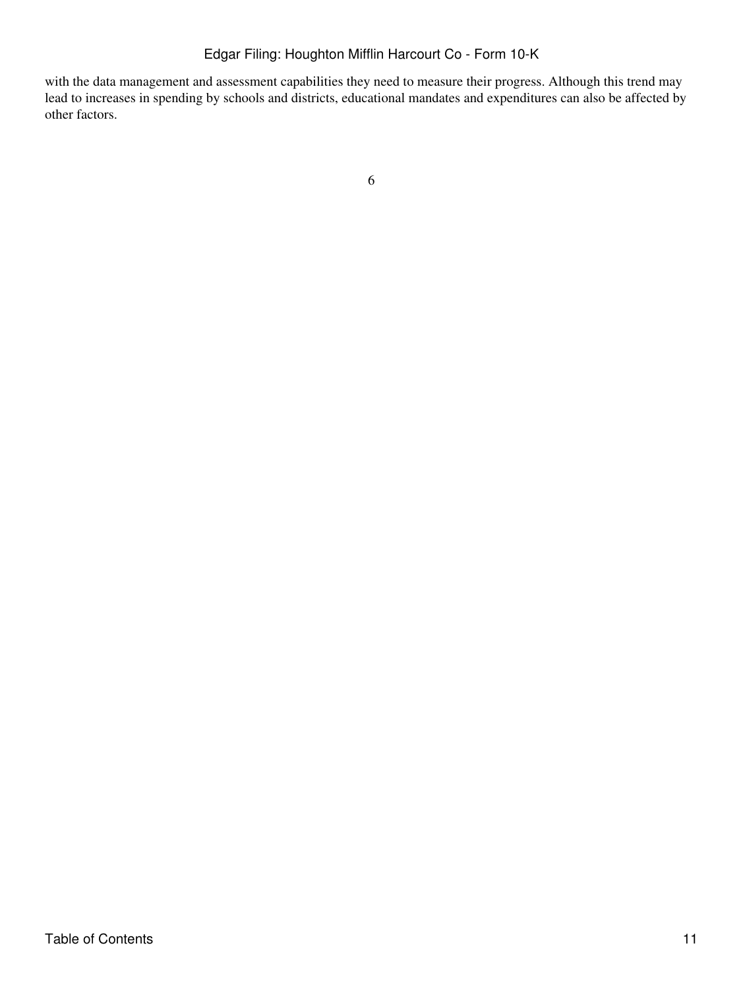with the data management and assessment capabilities they need to measure their progress. Although this trend may lead to increases in spending by schools and districts, educational mandates and expenditures can also be affected by other factors.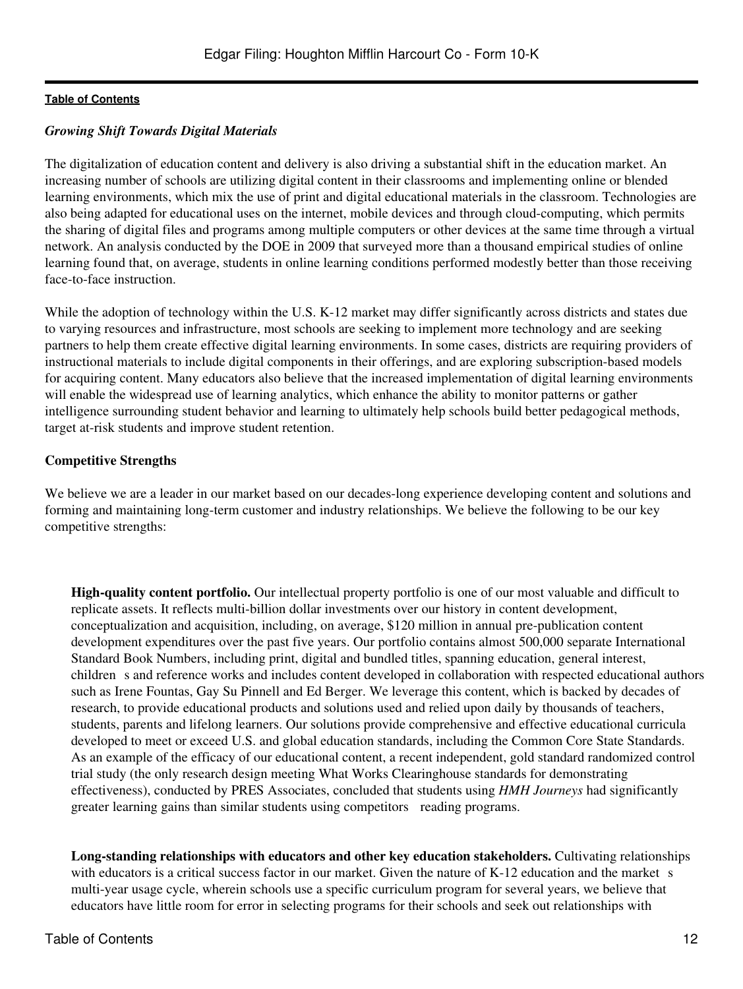## *Growing Shift Towards Digital Materials*

The digitalization of education content and delivery is also driving a substantial shift in the education market. An increasing number of schools are utilizing digital content in their classrooms and implementing online or blended learning environments, which mix the use of print and digital educational materials in the classroom. Technologies are also being adapted for educational uses on the internet, mobile devices and through cloud-computing, which permits the sharing of digital files and programs among multiple computers or other devices at the same time through a virtual network. An analysis conducted by the DOE in 2009 that surveyed more than a thousand empirical studies of online learning found that, on average, students in online learning conditions performed modestly better than those receiving face-to-face instruction.

While the adoption of technology within the U.S. K-12 market may differ significantly across districts and states due to varying resources and infrastructure, most schools are seeking to implement more technology and are seeking partners to help them create effective digital learning environments. In some cases, districts are requiring providers of instructional materials to include digital components in their offerings, and are exploring subscription-based models for acquiring content. Many educators also believe that the increased implementation of digital learning environments will enable the widespread use of learning analytics, which enhance the ability to monitor patterns or gather intelligence surrounding student behavior and learning to ultimately help schools build better pedagogical methods, target at-risk students and improve student retention.

# **Competitive Strengths**

We believe we are a leader in our market based on our decades-long experience developing content and solutions and forming and maintaining long-term customer and industry relationships. We believe the following to be our key competitive strengths:

**High-quality content portfolio.** Our intellectual property portfolio is one of our most valuable and difficult to replicate assets. It reflects multi-billion dollar investments over our history in content development, conceptualization and acquisition, including, on average, \$120 million in annual pre-publication content development expenditures over the past five years. Our portfolio contains almost 500,000 separate International Standard Book Numbers, including print, digital and bundled titles, spanning education, general interest, children s and reference works and includes content developed in collaboration with respected educational authors such as Irene Fountas, Gay Su Pinnell and Ed Berger. We leverage this content, which is backed by decades of research, to provide educational products and solutions used and relied upon daily by thousands of teachers, students, parents and lifelong learners. Our solutions provide comprehensive and effective educational curricula developed to meet or exceed U.S. and global education standards, including the Common Core State Standards. As an example of the efficacy of our educational content, a recent independent, gold standard randomized control trial study (the only research design meeting What Works Clearinghouse standards for demonstrating effectiveness), conducted by PRES Associates, concluded that students using *HMH Journeys* had significantly greater learning gains than similar students using competitors reading programs.

**Long-standing relationships with educators and other key education stakeholders.** Cultivating relationships with educators is a critical success factor in our market. Given the nature of K-12 education and the market s multi-year usage cycle, wherein schools use a specific curriculum program for several years, we believe that educators have little room for error in selecting programs for their schools and seek out relationships with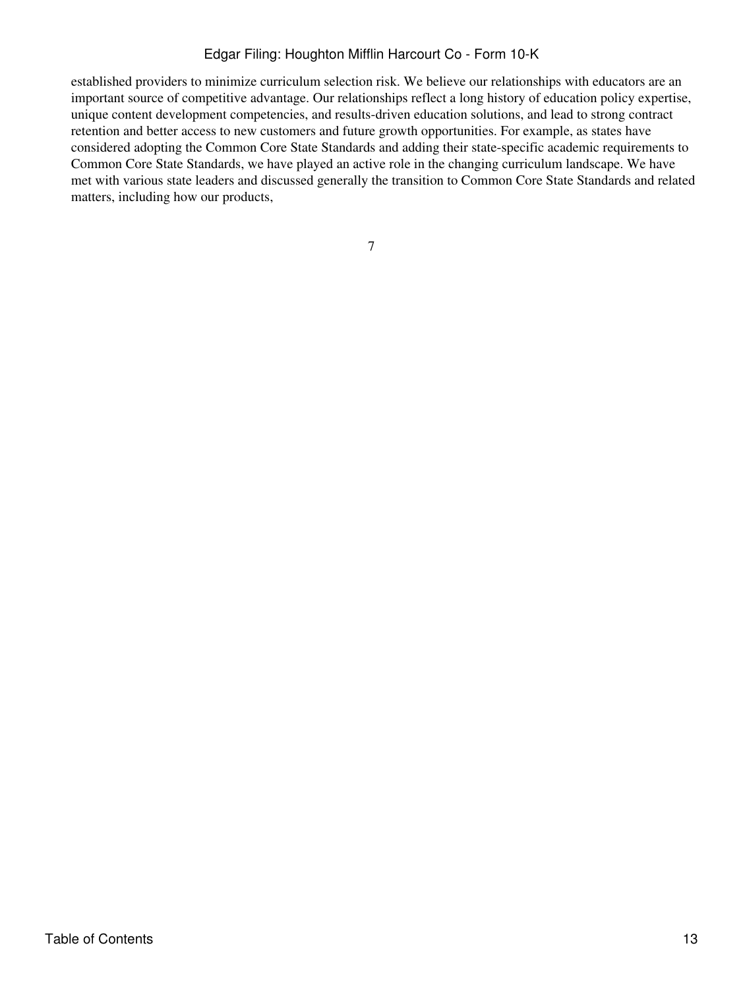established providers to minimize curriculum selection risk. We believe our relationships with educators are an important source of competitive advantage. Our relationships reflect a long history of education policy expertise, unique content development competencies, and results-driven education solutions, and lead to strong contract retention and better access to new customers and future growth opportunities. For example, as states have considered adopting the Common Core State Standards and adding their state-specific academic requirements to Common Core State Standards, we have played an active role in the changing curriculum landscape. We have met with various state leaders and discussed generally the transition to Common Core State Standards and related matters, including how our products,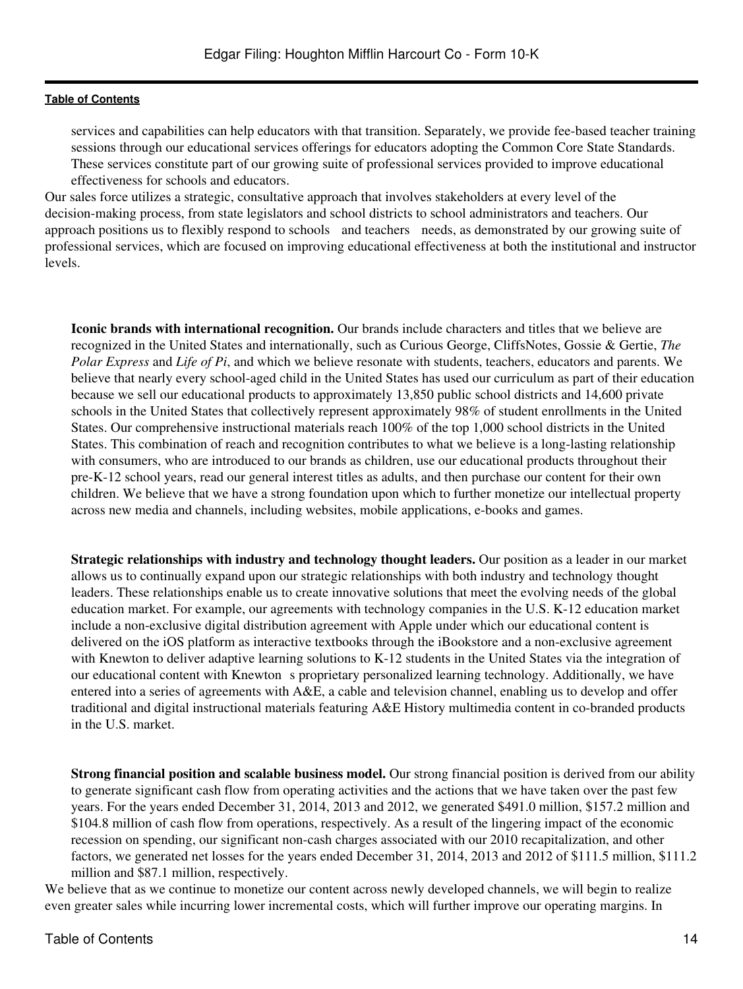services and capabilities can help educators with that transition. Separately, we provide fee-based teacher training sessions through our educational services offerings for educators adopting the Common Core State Standards. These services constitute part of our growing suite of professional services provided to improve educational effectiveness for schools and educators.

Our sales force utilizes a strategic, consultative approach that involves stakeholders at every level of the decision-making process, from state legislators and school districts to school administrators and teachers. Our approach positions us to flexibly respond to schools and teachers needs, as demonstrated by our growing suite of professional services, which are focused on improving educational effectiveness at both the institutional and instructor levels.

**Iconic brands with international recognition.** Our brands include characters and titles that we believe are recognized in the United States and internationally, such as Curious George, CliffsNotes, Gossie & Gertie, *The Polar Express* and *Life of Pi*, and which we believe resonate with students, teachers, educators and parents. We believe that nearly every school-aged child in the United States has used our curriculum as part of their education because we sell our educational products to approximately 13,850 public school districts and 14,600 private schools in the United States that collectively represent approximately 98% of student enrollments in the United States. Our comprehensive instructional materials reach 100% of the top 1,000 school districts in the United States. This combination of reach and recognition contributes to what we believe is a long-lasting relationship with consumers, who are introduced to our brands as children, use our educational products throughout their pre-K-12 school years, read our general interest titles as adults, and then purchase our content for their own children. We believe that we have a strong foundation upon which to further monetize our intellectual property across new media and channels, including websites, mobile applications, e-books and games.

**Strategic relationships with industry and technology thought leaders.** Our position as a leader in our market allows us to continually expand upon our strategic relationships with both industry and technology thought leaders. These relationships enable us to create innovative solutions that meet the evolving needs of the global education market. For example, our agreements with technology companies in the U.S. K-12 education market include a non-exclusive digital distribution agreement with Apple under which our educational content is delivered on the iOS platform as interactive textbooks through the iBookstore and a non-exclusive agreement with Knewton to deliver adaptive learning solutions to K-12 students in the United States via the integration of our educational content with Knewton s proprietary personalized learning technology. Additionally, we have entered into a series of agreements with A&E, a cable and television channel, enabling us to develop and offer traditional and digital instructional materials featuring A&E History multimedia content in co-branded products in the U.S. market.

**Strong financial position and scalable business model.** Our strong financial position is derived from our ability to generate significant cash flow from operating activities and the actions that we have taken over the past few years. For the years ended December 31, 2014, 2013 and 2012, we generated \$491.0 million, \$157.2 million and \$104.8 million of cash flow from operations, respectively. As a result of the lingering impact of the economic recession on spending, our significant non-cash charges associated with our 2010 recapitalization, and other factors, we generated net losses for the years ended December 31, 2014, 2013 and 2012 of \$111.5 million, \$111.2 million and \$87.1 million, respectively.

We believe that as we continue to monetize our content across newly developed channels, we will begin to realize even greater sales while incurring lower incremental costs, which will further improve our operating margins. In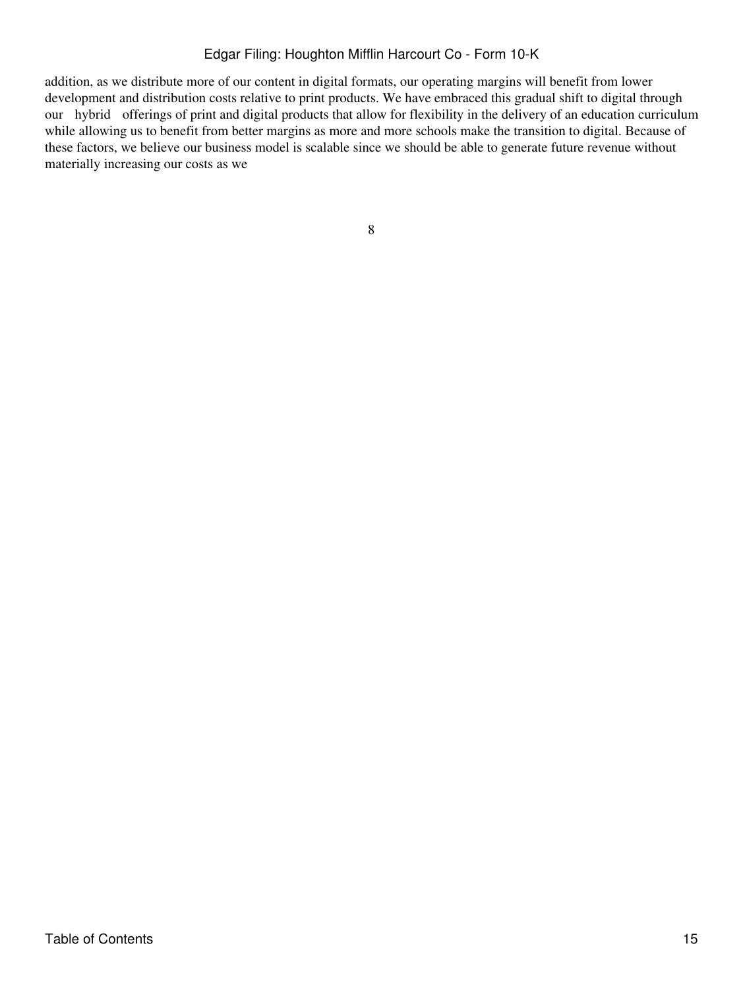addition, as we distribute more of our content in digital formats, our operating margins will benefit from lower development and distribution costs relative to print products. We have embraced this gradual shift to digital through our hybrid offerings of print and digital products that allow for flexibility in the delivery of an education curriculum while allowing us to benefit from better margins as more and more schools make the transition to digital. Because of these factors, we believe our business model is scalable since we should be able to generate future revenue without materially increasing our costs as we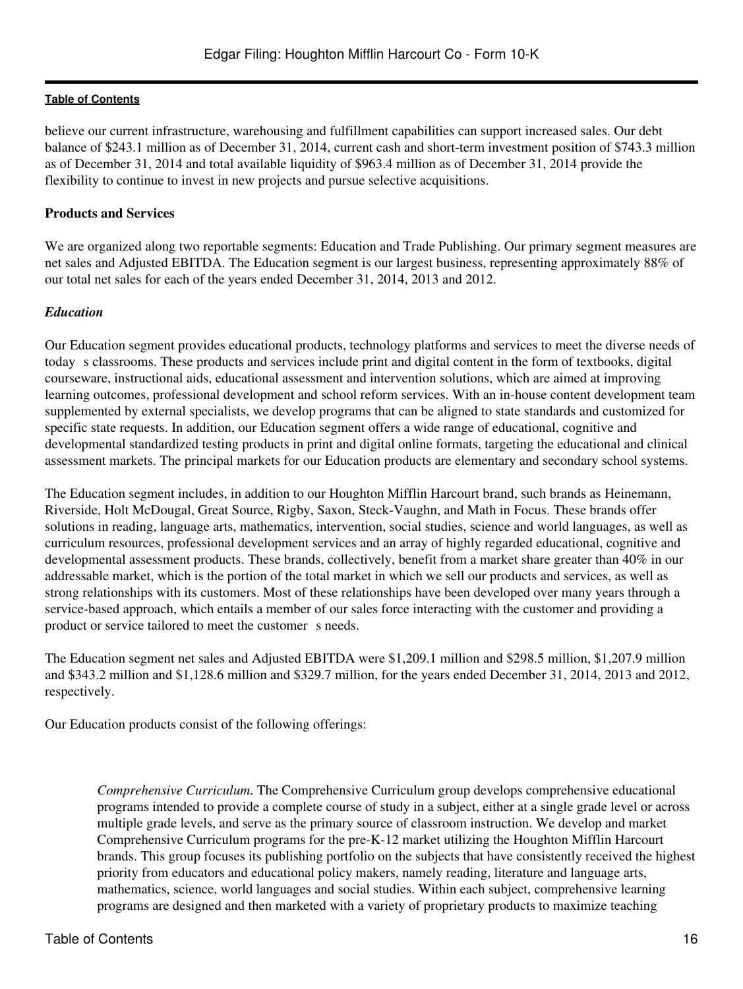believe our current infrastructure, warehousing and fulfillment capabilities can support increased sales. Our debt balance of \$243.1 million as of December 31, 2014, current cash and short-term investment position of \$743.3 million as of December 31, 2014 and total available liquidity of \$963.4 million as of December 31, 2014 provide the flexibility to continue to invest in new projects and pursue selective acquisitions.

## **Products and Services**

We are organized along two reportable segments: Education and Trade Publishing. Our primary segment measures are net sales and Adjusted EBITDA. The Education segment is our largest business, representing approximately 88% of our total net sales for each of the years ended December 31, 2014, 2013 and 2012.

### *Education*

Our Education segment provides educational products, technology platforms and services to meet the diverse needs of todays classrooms. These products and services include print and digital content in the form of textbooks, digital courseware, instructional aids, educational assessment and intervention solutions, which are aimed at improving learning outcomes, professional development and school reform services. With an in-house content development team supplemented by external specialists, we develop programs that can be aligned to state standards and customized for specific state requests. In addition, our Education segment offers a wide range of educational, cognitive and developmental standardized testing products in print and digital online formats, targeting the educational and clinical assessment markets. The principal markets for our Education products are elementary and secondary school systems.

The Education segment includes, in addition to our Houghton Mifflin Harcourt brand, such brands as Heinemann, Riverside, Holt McDougal, Great Source, Rigby, Saxon, Steck-Vaughn, and Math in Focus. These brands offer solutions in reading, language arts, mathematics, intervention, social studies, science and world languages, as well as curriculum resources, professional development services and an array of highly regarded educational, cognitive and developmental assessment products. These brands, collectively, benefit from a market share greater than 40% in our addressable market, which is the portion of the total market in which we sell our products and services, as well as strong relationships with its customers. Most of these relationships have been developed over many years through a service-based approach, which entails a member of our sales force interacting with the customer and providing a product or service tailored to meet the customer s needs.

The Education segment net sales and Adjusted EBITDA were \$1,209.1 million and \$298.5 million, \$1,207.9 million and \$343.2 million and \$1,128.6 million and \$329.7 million, for the years ended December 31, 2014, 2013 and 2012, respectively.

Our Education products consist of the following offerings:

*Comprehensive Curriculum*. The Comprehensive Curriculum group develops comprehensive educational programs intended to provide a complete course of study in a subject, either at a single grade level or across multiple grade levels, and serve as the primary source of classroom instruction. We develop and market Comprehensive Curriculum programs for the pre-K-12 market utilizing the Houghton Mifflin Harcourt brands. This group focuses its publishing portfolio on the subjects that have consistently received the highest priority from educators and educational policy makers, namely reading, literature and language arts, mathematics, science, world languages and social studies. Within each subject, comprehensive learning programs are designed and then marketed with a variety of proprietary products to maximize teaching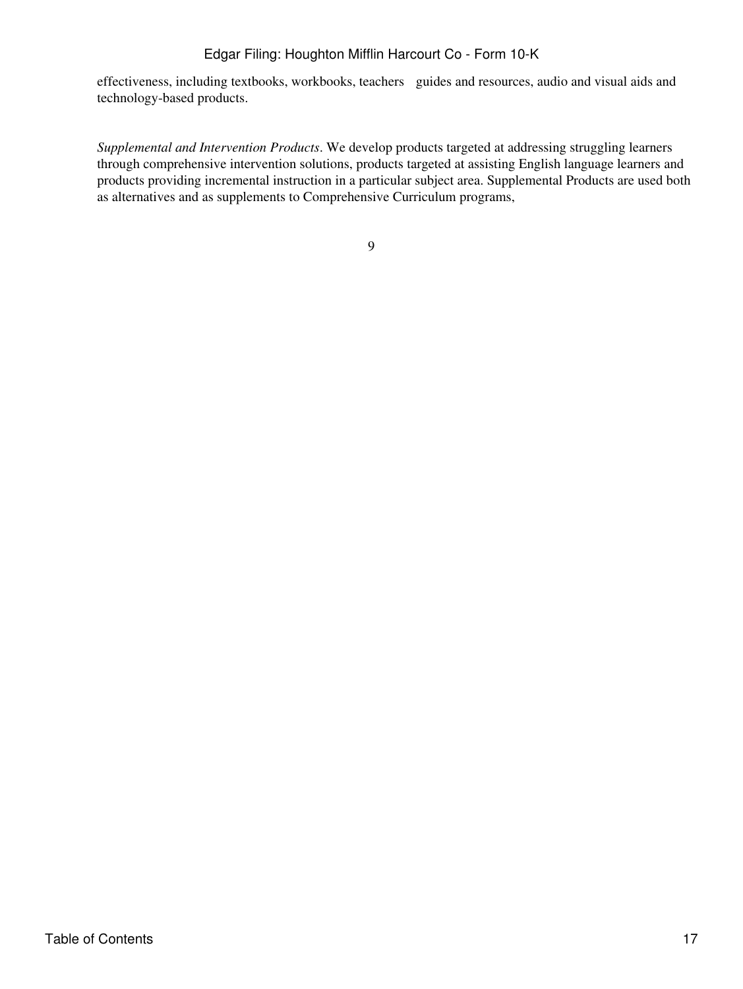effectiveness, including textbooks, workbooks, teachers guides and resources, audio and visual aids and technology-based products.

*Supplemental and Intervention Products*. We develop products targeted at addressing struggling learners through comprehensive intervention solutions, products targeted at assisting English language learners and products providing incremental instruction in a particular subject area. Supplemental Products are used both as alternatives and as supplements to Comprehensive Curriculum programs,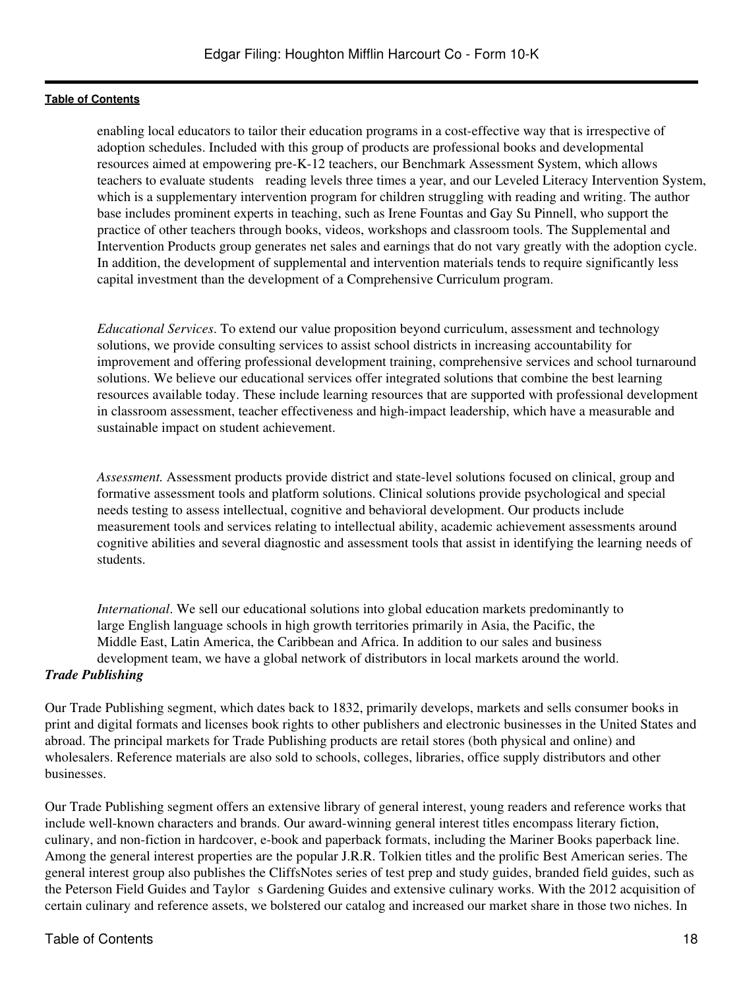enabling local educators to tailor their education programs in a cost-effective way that is irrespective of adoption schedules. Included with this group of products are professional books and developmental resources aimed at empowering pre-K-12 teachers, our Benchmark Assessment System, which allows teachers to evaluate students reading levels three times a year, and our Leveled Literacy Intervention System, which is a supplementary intervention program for children struggling with reading and writing. The author base includes prominent experts in teaching, such as Irene Fountas and Gay Su Pinnell, who support the practice of other teachers through books, videos, workshops and classroom tools. The Supplemental and Intervention Products group generates net sales and earnings that do not vary greatly with the adoption cycle. In addition, the development of supplemental and intervention materials tends to require significantly less capital investment than the development of a Comprehensive Curriculum program.

*Educational Services*. To extend our value proposition beyond curriculum, assessment and technology solutions, we provide consulting services to assist school districts in increasing accountability for improvement and offering professional development training, comprehensive services and school turnaround solutions. We believe our educational services offer integrated solutions that combine the best learning resources available today. These include learning resources that are supported with professional development in classroom assessment, teacher effectiveness and high-impact leadership, which have a measurable and sustainable impact on student achievement.

*Assessment.* Assessment products provide district and state-level solutions focused on clinical, group and formative assessment tools and platform solutions. Clinical solutions provide psychological and special needs testing to assess intellectual, cognitive and behavioral development. Our products include measurement tools and services relating to intellectual ability, academic achievement assessments around cognitive abilities and several diagnostic and assessment tools that assist in identifying the learning needs of students.

*International*. We sell our educational solutions into global education markets predominantly to large English language schools in high growth territories primarily in Asia, the Pacific, the Middle East, Latin America, the Caribbean and Africa. In addition to our sales and business development team, we have a global network of distributors in local markets around the world.

#### *Trade Publishing*

Our Trade Publishing segment, which dates back to 1832, primarily develops, markets and sells consumer books in print and digital formats and licenses book rights to other publishers and electronic businesses in the United States and abroad. The principal markets for Trade Publishing products are retail stores (both physical and online) and wholesalers. Reference materials are also sold to schools, colleges, libraries, office supply distributors and other businesses.

Our Trade Publishing segment offers an extensive library of general interest, young readers and reference works that include well-known characters and brands. Our award-winning general interest titles encompass literary fiction, culinary, and non-fiction in hardcover, e-book and paperback formats, including the Mariner Books paperback line. Among the general interest properties are the popular J.R.R. Tolkien titles and the prolific Best American series. The general interest group also publishes the CliffsNotes series of test prep and study guides, branded field guides, such as the Peterson Field Guides and Taylor s Gardening Guides and extensive culinary works. With the 2012 acquisition of certain culinary and reference assets, we bolstered our catalog and increased our market share in those two niches. In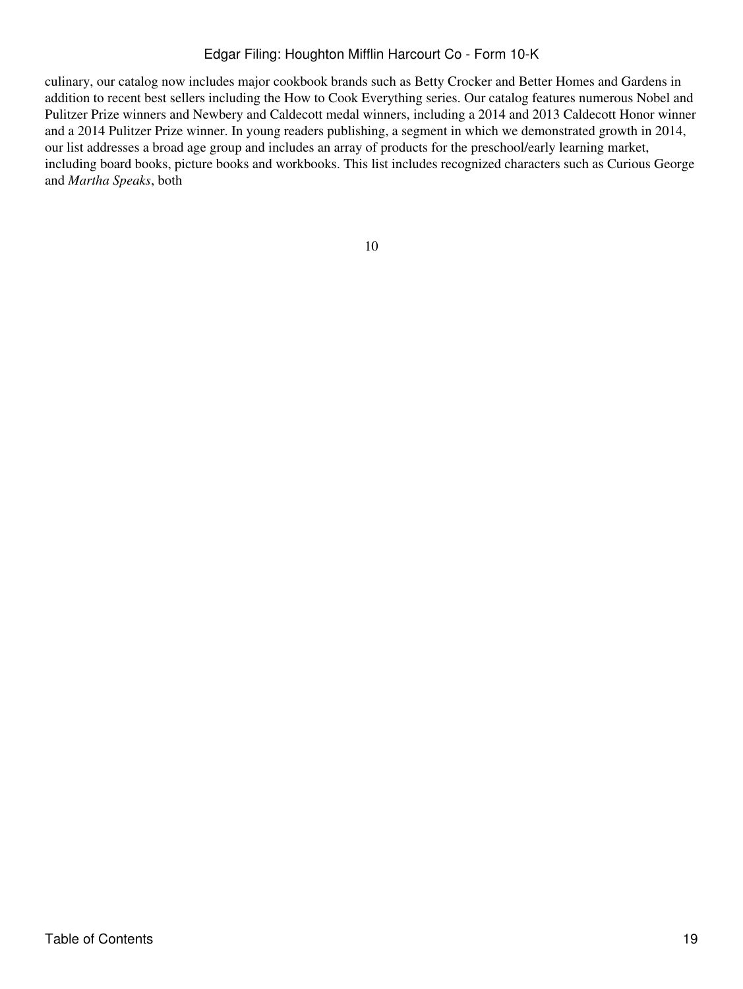culinary, our catalog now includes major cookbook brands such as Betty Crocker and Better Homes and Gardens in addition to recent best sellers including the How to Cook Everything series. Our catalog features numerous Nobel and Pulitzer Prize winners and Newbery and Caldecott medal winners, including a 2014 and 2013 Caldecott Honor winner and a 2014 Pulitzer Prize winner. In young readers publishing, a segment in which we demonstrated growth in 2014, our list addresses a broad age group and includes an array of products for the preschool/early learning market, including board books, picture books and workbooks. This list includes recognized characters such as Curious George and *Martha Speaks*, both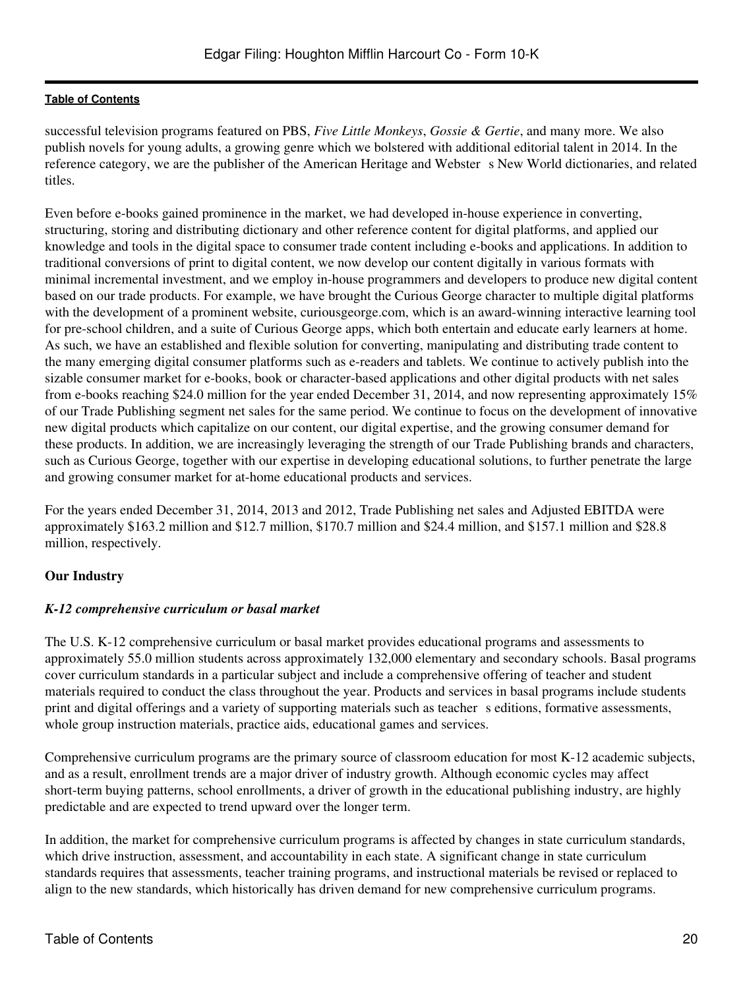successful television programs featured on PBS, *Five Little Monkeys*, *Gossie & Gertie*, and many more. We also publish novels for young adults, a growing genre which we bolstered with additional editorial talent in 2014. In the reference category, we are the publisher of the American Heritage and Webster s New World dictionaries, and related titles.

Even before e-books gained prominence in the market, we had developed in-house experience in converting, structuring, storing and distributing dictionary and other reference content for digital platforms, and applied our knowledge and tools in the digital space to consumer trade content including e-books and applications. In addition to traditional conversions of print to digital content, we now develop our content digitally in various formats with minimal incremental investment, and we employ in-house programmers and developers to produce new digital content based on our trade products. For example, we have brought the Curious George character to multiple digital platforms with the development of a prominent website, curiousgeorge.com, which is an award-winning interactive learning tool for pre-school children, and a suite of Curious George apps, which both entertain and educate early learners at home. As such, we have an established and flexible solution for converting, manipulating and distributing trade content to the many emerging digital consumer platforms such as e-readers and tablets. We continue to actively publish into the sizable consumer market for e-books, book or character-based applications and other digital products with net sales from e-books reaching \$24.0 million for the year ended December 31, 2014, and now representing approximately 15% of our Trade Publishing segment net sales for the same period. We continue to focus on the development of innovative new digital products which capitalize on our content, our digital expertise, and the growing consumer demand for these products. In addition, we are increasingly leveraging the strength of our Trade Publishing brands and characters, such as Curious George, together with our expertise in developing educational solutions, to further penetrate the large and growing consumer market for at-home educational products and services.

For the years ended December 31, 2014, 2013 and 2012, Trade Publishing net sales and Adjusted EBITDA were approximately \$163.2 million and \$12.7 million, \$170.7 million and \$24.4 million, and \$157.1 million and \$28.8 million, respectively.

## **Our Industry**

## *K-12 comprehensive curriculum or basal market*

The U.S. K-12 comprehensive curriculum or basal market provides educational programs and assessments to approximately 55.0 million students across approximately 132,000 elementary and secondary schools. Basal programs cover curriculum standards in a particular subject and include a comprehensive offering of teacher and student materials required to conduct the class throughout the year. Products and services in basal programs include students print and digital offerings and a variety of supporting materials such as teacher s editions, formative assessments, whole group instruction materials, practice aids, educational games and services.

Comprehensive curriculum programs are the primary source of classroom education for most K-12 academic subjects, and as a result, enrollment trends are a major driver of industry growth. Although economic cycles may affect short-term buying patterns, school enrollments, a driver of growth in the educational publishing industry, are highly predictable and are expected to trend upward over the longer term.

In addition, the market for comprehensive curriculum programs is affected by changes in state curriculum standards, which drive instruction, assessment, and accountability in each state. A significant change in state curriculum standards requires that assessments, teacher training programs, and instructional materials be revised or replaced to align to the new standards, which historically has driven demand for new comprehensive curriculum programs.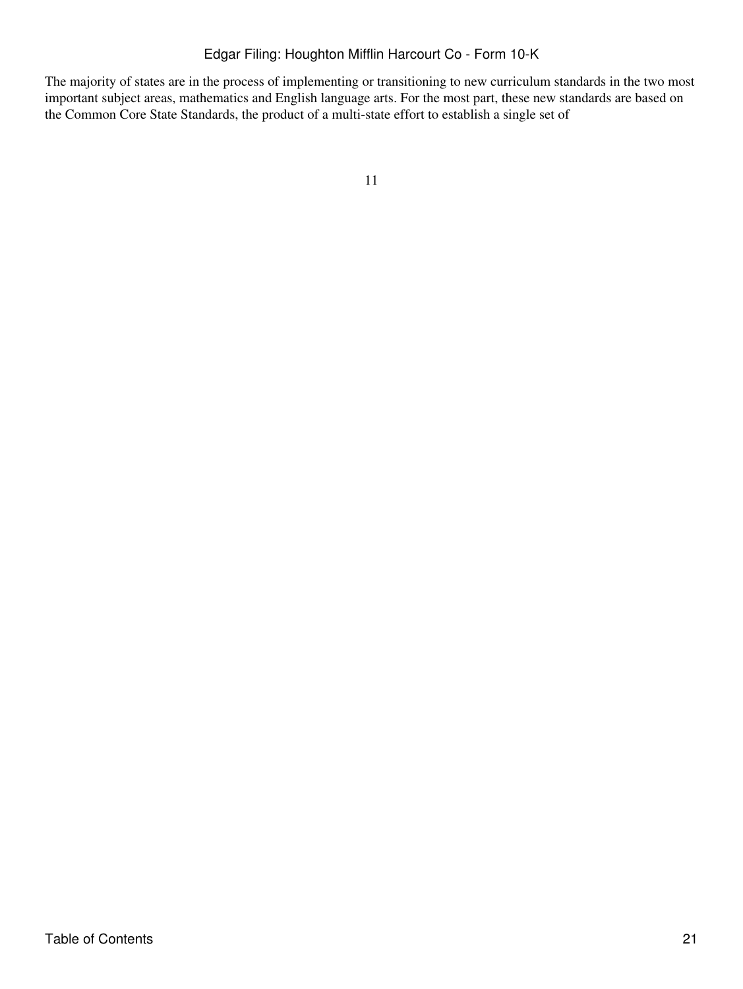The majority of states are in the process of implementing or transitioning to new curriculum standards in the two most important subject areas, mathematics and English language arts. For the most part, these new standards are based on the Common Core State Standards, the product of a multi-state effort to establish a single set of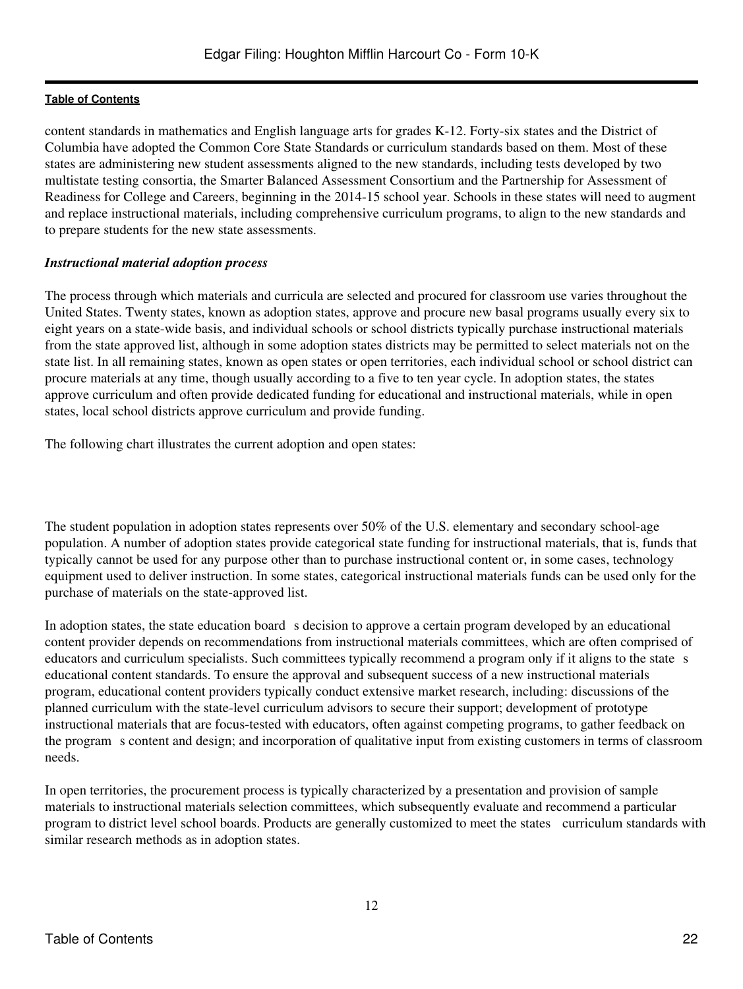content standards in mathematics and English language arts for grades K-12. Forty-six states and the District of Columbia have adopted the Common Core State Standards or curriculum standards based on them. Most of these states are administering new student assessments aligned to the new standards, including tests developed by two multistate testing consortia, the Smarter Balanced Assessment Consortium and the Partnership for Assessment of Readiness for College and Careers, beginning in the 2014-15 school year. Schools in these states will need to augment and replace instructional materials, including comprehensive curriculum programs, to align to the new standards and to prepare students for the new state assessments.

### *Instructional material adoption process*

The process through which materials and curricula are selected and procured for classroom use varies throughout the United States. Twenty states, known as adoption states, approve and procure new basal programs usually every six to eight years on a state-wide basis, and individual schools or school districts typically purchase instructional materials from the state approved list, although in some adoption states districts may be permitted to select materials not on the state list. In all remaining states, known as open states or open territories, each individual school or school district can procure materials at any time, though usually according to a five to ten year cycle. In adoption states, the states approve curriculum and often provide dedicated funding for educational and instructional materials, while in open states, local school districts approve curriculum and provide funding.

The following chart illustrates the current adoption and open states:

The student population in adoption states represents over 50% of the U.S. elementary and secondary school-age population. A number of adoption states provide categorical state funding for instructional materials, that is, funds that typically cannot be used for any purpose other than to purchase instructional content or, in some cases, technology equipment used to deliver instruction. In some states, categorical instructional materials funds can be used only for the purchase of materials on the state-approved list.

In adoption states, the state education board s decision to approve a certain program developed by an educational content provider depends on recommendations from instructional materials committees, which are often comprised of educators and curriculum specialists. Such committees typically recommend a program only if it aligns to the state s educational content standards. To ensure the approval and subsequent success of a new instructional materials program, educational content providers typically conduct extensive market research, including: discussions of the planned curriculum with the state-level curriculum advisors to secure their support; development of prototype instructional materials that are focus-tested with educators, often against competing programs, to gather feedback on the programs content and design; and incorporation of qualitative input from existing customers in terms of classroom needs.

In open territories, the procurement process is typically characterized by a presentation and provision of sample materials to instructional materials selection committees, which subsequently evaluate and recommend a particular program to district level school boards. Products are generally customized to meet the states curriculum standards with similar research methods as in adoption states.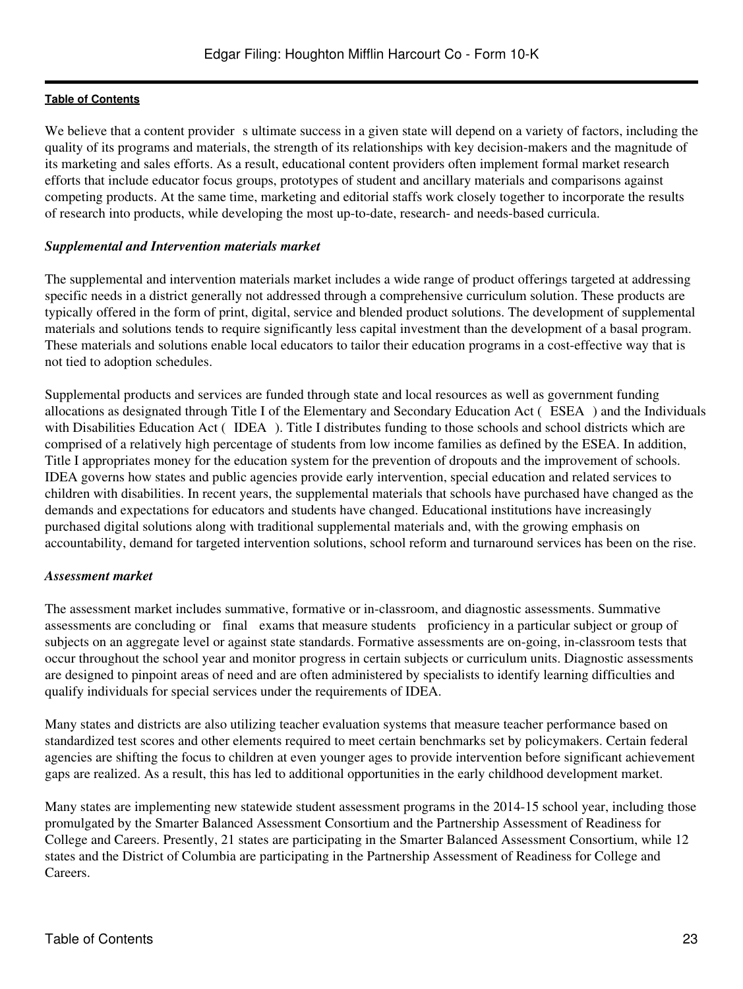We believe that a content provider sultimate success in a given state will depend on a variety of factors, including the quality of its programs and materials, the strength of its relationships with key decision-makers and the magnitude of its marketing and sales efforts. As a result, educational content providers often implement formal market research efforts that include educator focus groups, prototypes of student and ancillary materials and comparisons against competing products. At the same time, marketing and editorial staffs work closely together to incorporate the results of research into products, while developing the most up-to-date, research- and needs-based curricula.

### *Supplemental and Intervention materials market*

The supplemental and intervention materials market includes a wide range of product offerings targeted at addressing specific needs in a district generally not addressed through a comprehensive curriculum solution. These products are typically offered in the form of print, digital, service and blended product solutions. The development of supplemental materials and solutions tends to require significantly less capital investment than the development of a basal program. These materials and solutions enable local educators to tailor their education programs in a cost-effective way that is not tied to adoption schedules.

Supplemental products and services are funded through state and local resources as well as government funding allocations as designated through Title I of the Elementary and Secondary Education Act (ESEA) and the Individuals with Disabilities Education Act (IDEA). Title I distributes funding to those schools and school districts which are comprised of a relatively high percentage of students from low income families as defined by the ESEA. In addition, Title I appropriates money for the education system for the prevention of dropouts and the improvement of schools. IDEA governs how states and public agencies provide early intervention, special education and related services to children with disabilities. In recent years, the supplemental materials that schools have purchased have changed as the demands and expectations for educators and students have changed. Educational institutions have increasingly purchased digital solutions along with traditional supplemental materials and, with the growing emphasis on accountability, demand for targeted intervention solutions, school reform and turnaround services has been on the rise.

#### *Assessment market*

The assessment market includes summative, formative or in-classroom, and diagnostic assessments. Summative assessments are concluding or final exams that measure students proficiency in a particular subject or group of subjects on an aggregate level or against state standards. Formative assessments are on-going, in-classroom tests that occur throughout the school year and monitor progress in certain subjects or curriculum units. Diagnostic assessments are designed to pinpoint areas of need and are often administered by specialists to identify learning difficulties and qualify individuals for special services under the requirements of IDEA.

Many states and districts are also utilizing teacher evaluation systems that measure teacher performance based on standardized test scores and other elements required to meet certain benchmarks set by policymakers. Certain federal agencies are shifting the focus to children at even younger ages to provide intervention before significant achievement gaps are realized. As a result, this has led to additional opportunities in the early childhood development market.

Many states are implementing new statewide student assessment programs in the 2014-15 school year, including those promulgated by the Smarter Balanced Assessment Consortium and the Partnership Assessment of Readiness for College and Careers. Presently, 21 states are participating in the Smarter Balanced Assessment Consortium, while 12 states and the District of Columbia are participating in the Partnership Assessment of Readiness for College and Careers.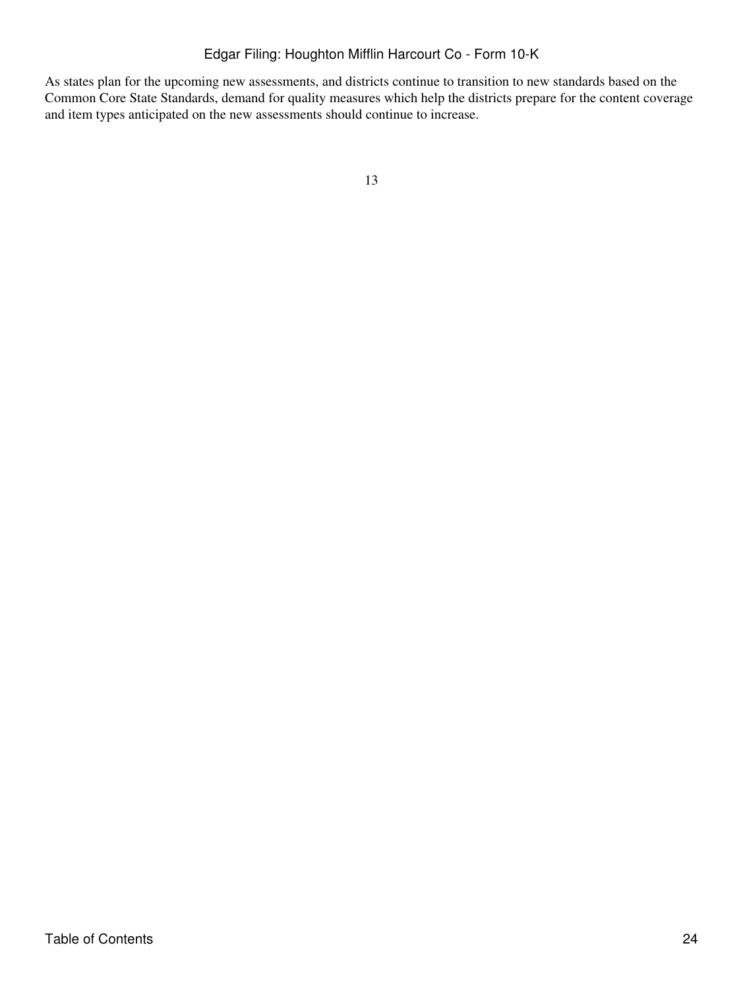As states plan for the upcoming new assessments, and districts continue to transition to new standards based on the Common Core State Standards, demand for quality measures which help the districts prepare for the content coverage and item types anticipated on the new assessments should continue to increase.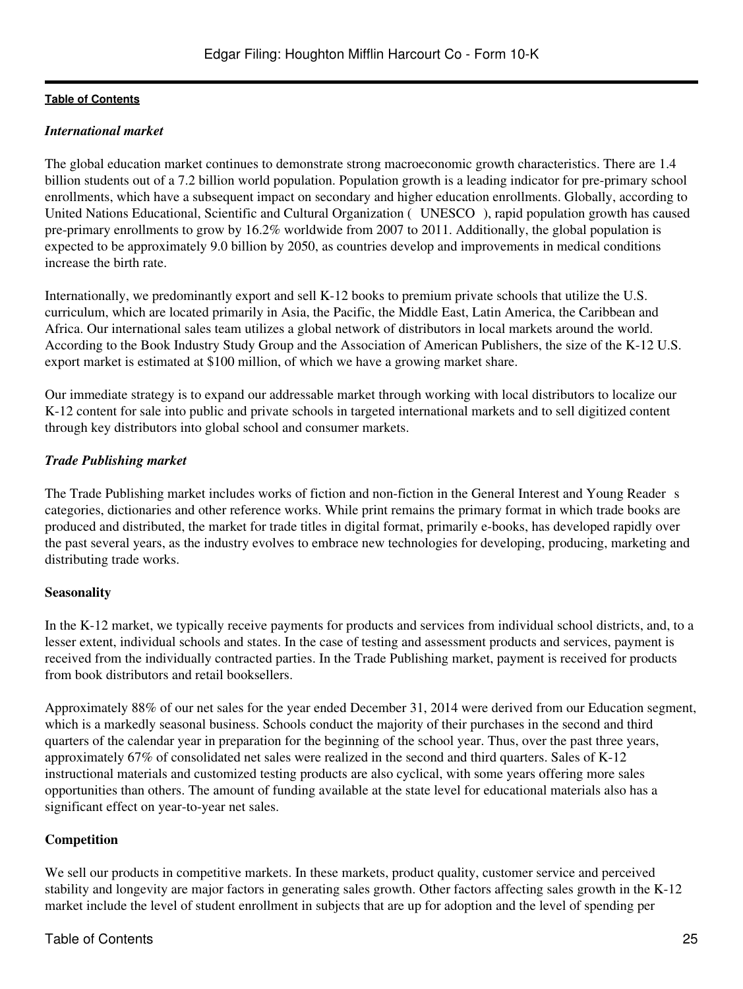### *International market*

The global education market continues to demonstrate strong macroeconomic growth characteristics. There are 1.4 billion students out of a 7.2 billion world population. Population growth is a leading indicator for pre-primary school enrollments, which have a subsequent impact on secondary and higher education enrollments. Globally, according to United Nations Educational, Scientific and Cultural Organization (UNESCO), rapid population growth has caused pre-primary enrollments to grow by 16.2% worldwide from 2007 to 2011. Additionally, the global population is expected to be approximately 9.0 billion by 2050, as countries develop and improvements in medical conditions increase the birth rate.

Internationally, we predominantly export and sell K-12 books to premium private schools that utilize the U.S. curriculum, which are located primarily in Asia, the Pacific, the Middle East, Latin America, the Caribbean and Africa. Our international sales team utilizes a global network of distributors in local markets around the world. According to the Book Industry Study Group and the Association of American Publishers, the size of the K-12 U.S. export market is estimated at \$100 million, of which we have a growing market share.

Our immediate strategy is to expand our addressable market through working with local distributors to localize our K-12 content for sale into public and private schools in targeted international markets and to sell digitized content through key distributors into global school and consumer markets.

### *Trade Publishing market*

The Trade Publishing market includes works of fiction and non-fiction in the General Interest and Young Reader s categories, dictionaries and other reference works. While print remains the primary format in which trade books are produced and distributed, the market for trade titles in digital format, primarily e-books, has developed rapidly over the past several years, as the industry evolves to embrace new technologies for developing, producing, marketing and distributing trade works.

#### **Seasonality**

In the K-12 market, we typically receive payments for products and services from individual school districts, and, to a lesser extent, individual schools and states. In the case of testing and assessment products and services, payment is received from the individually contracted parties. In the Trade Publishing market, payment is received for products from book distributors and retail booksellers.

Approximately 88% of our net sales for the year ended December 31, 2014 were derived from our Education segment, which is a markedly seasonal business. Schools conduct the majority of their purchases in the second and third quarters of the calendar year in preparation for the beginning of the school year. Thus, over the past three years, approximately 67% of consolidated net sales were realized in the second and third quarters. Sales of K-12 instructional materials and customized testing products are also cyclical, with some years offering more sales opportunities than others. The amount of funding available at the state level for educational materials also has a significant effect on year-to-year net sales.

## **Competition**

We sell our products in competitive markets. In these markets, product quality, customer service and perceived stability and longevity are major factors in generating sales growth. Other factors affecting sales growth in the K-12 market include the level of student enrollment in subjects that are up for adoption and the level of spending per

## Table of Contents 25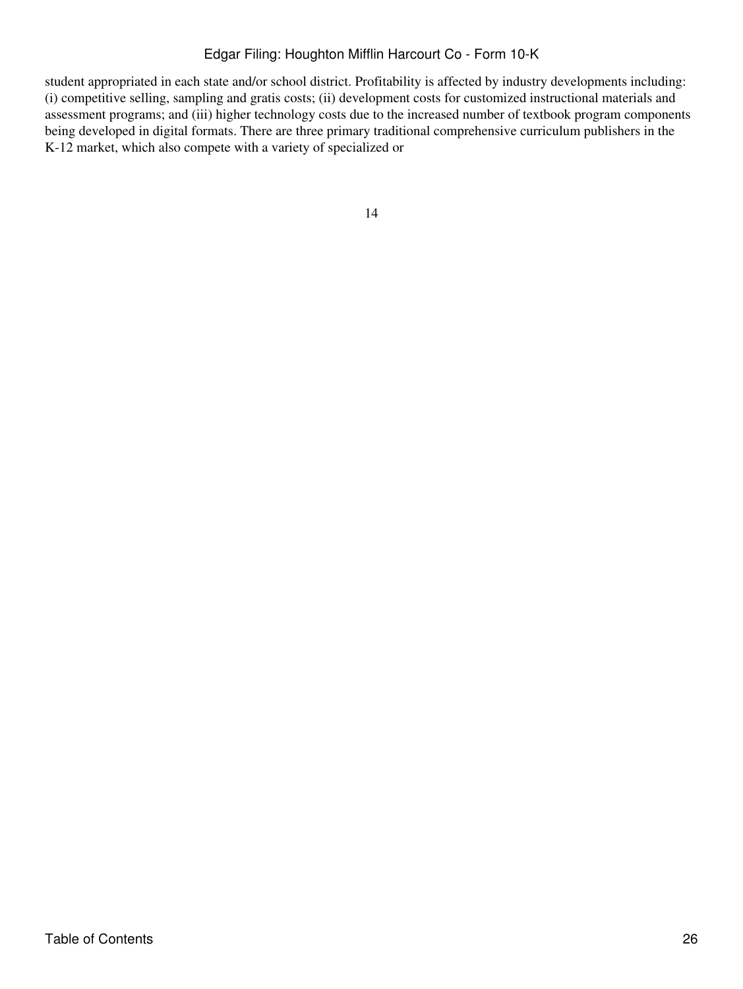student appropriated in each state and/or school district. Profitability is affected by industry developments including: (i) competitive selling, sampling and gratis costs; (ii) development costs for customized instructional materials and assessment programs; and (iii) higher technology costs due to the increased number of textbook program components being developed in digital formats. There are three primary traditional comprehensive curriculum publishers in the K-12 market, which also compete with a variety of specialized or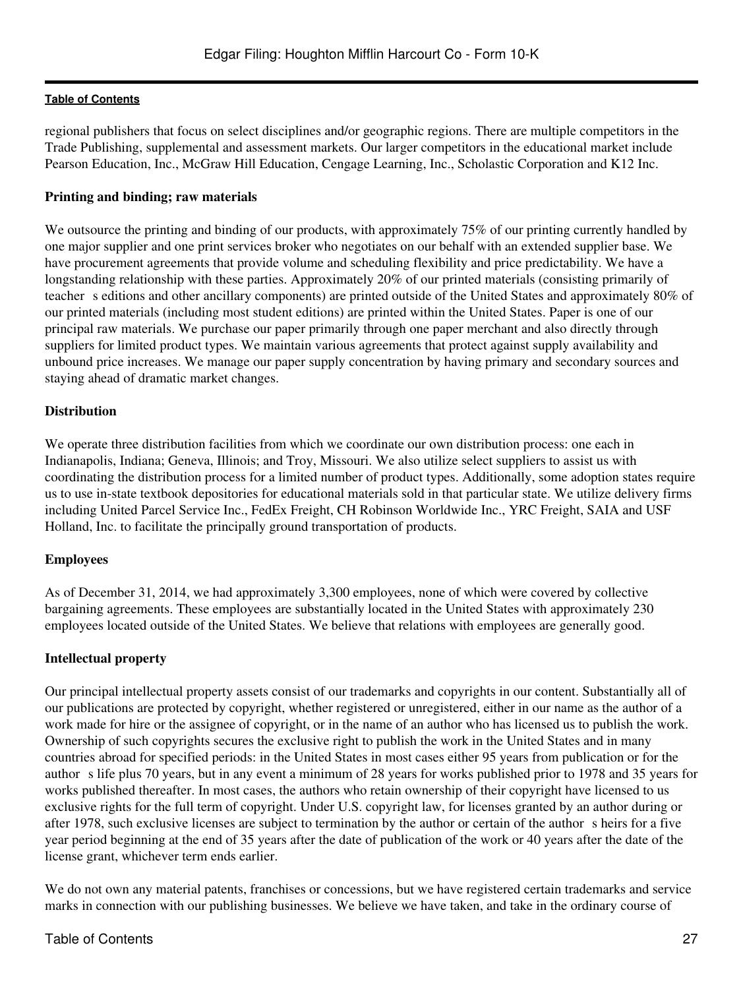regional publishers that focus on select disciplines and/or geographic regions. There are multiple competitors in the Trade Publishing, supplemental and assessment markets. Our larger competitors in the educational market include Pearson Education, Inc., McGraw Hill Education, Cengage Learning, Inc., Scholastic Corporation and K12 Inc.

### **Printing and binding; raw materials**

We outsource the printing and binding of our products, with approximately 75% of our printing currently handled by one major supplier and one print services broker who negotiates on our behalf with an extended supplier base. We have procurement agreements that provide volume and scheduling flexibility and price predictability. We have a longstanding relationship with these parties. Approximately 20% of our printed materials (consisting primarily of teacher s editions and other ancillary components) are printed outside of the United States and approximately 80% of our printed materials (including most student editions) are printed within the United States. Paper is one of our principal raw materials. We purchase our paper primarily through one paper merchant and also directly through suppliers for limited product types. We maintain various agreements that protect against supply availability and unbound price increases. We manage our paper supply concentration by having primary and secondary sources and staying ahead of dramatic market changes.

### **Distribution**

We operate three distribution facilities from which we coordinate our own distribution process: one each in Indianapolis, Indiana; Geneva, Illinois; and Troy, Missouri. We also utilize select suppliers to assist us with coordinating the distribution process for a limited number of product types. Additionally, some adoption states require us to use in-state textbook depositories for educational materials sold in that particular state. We utilize delivery firms including United Parcel Service Inc., FedEx Freight, CH Robinson Worldwide Inc., YRC Freight, SAIA and USF Holland, Inc. to facilitate the principally ground transportation of products.

#### **Employees**

As of December 31, 2014, we had approximately 3,300 employees, none of which were covered by collective bargaining agreements. These employees are substantially located in the United States with approximately 230 employees located outside of the United States. We believe that relations with employees are generally good.

#### **Intellectual property**

Our principal intellectual property assets consist of our trademarks and copyrights in our content. Substantially all of our publications are protected by copyright, whether registered or unregistered, either in our name as the author of a work made for hire or the assignee of copyright, or in the name of an author who has licensed us to publish the work. Ownership of such copyrights secures the exclusive right to publish the work in the United States and in many countries abroad for specified periods: in the United States in most cases either 95 years from publication or for the author s life plus 70 years, but in any event a minimum of 28 years for works published prior to 1978 and 35 years for works published thereafter. In most cases, the authors who retain ownership of their copyright have licensed to us exclusive rights for the full term of copyright. Under U.S. copyright law, for licenses granted by an author during or after 1978, such exclusive licenses are subject to termination by the author or certain of the author s heirs for a five year period beginning at the end of 35 years after the date of publication of the work or 40 years after the date of the license grant, whichever term ends earlier.

We do not own any material patents, franchises or concessions, but we have registered certain trademarks and service marks in connection with our publishing businesses. We believe we have taken, and take in the ordinary course of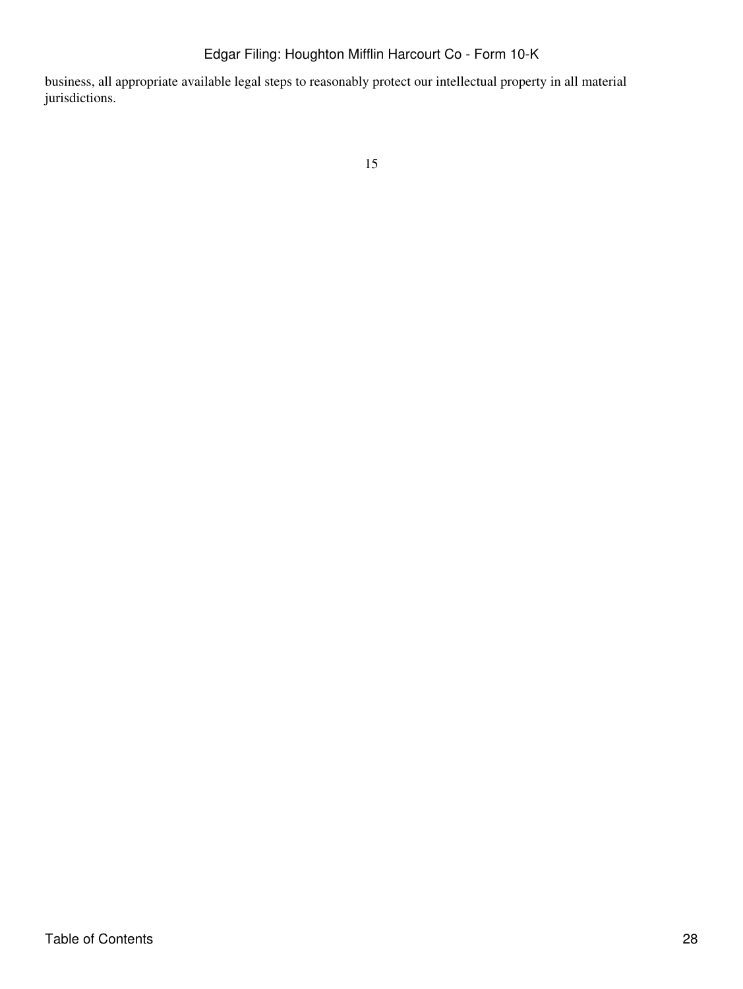business, all appropriate available legal steps to reasonably protect our intellectual property in all material jurisdictions.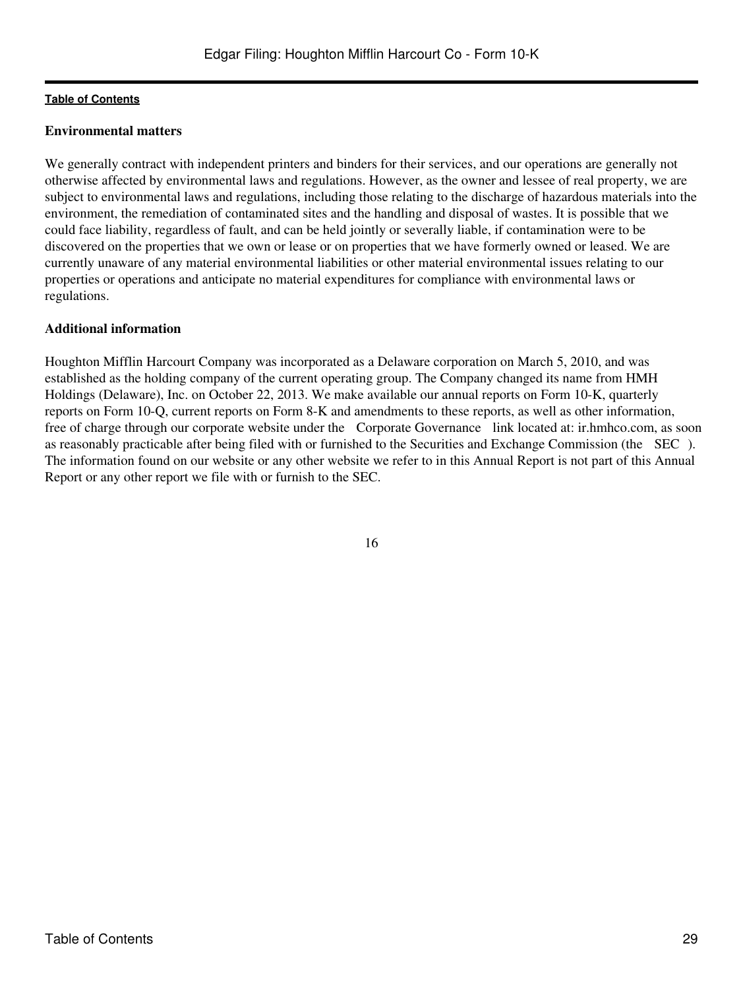### **Environmental matters**

We generally contract with independent printers and binders for their services, and our operations are generally not otherwise affected by environmental laws and regulations. However, as the owner and lessee of real property, we are subject to environmental laws and regulations, including those relating to the discharge of hazardous materials into the environment, the remediation of contaminated sites and the handling and disposal of wastes. It is possible that we could face liability, regardless of fault, and can be held jointly or severally liable, if contamination were to be discovered on the properties that we own or lease or on properties that we have formerly owned or leased. We are currently unaware of any material environmental liabilities or other material environmental issues relating to our properties or operations and anticipate no material expenditures for compliance with environmental laws or regulations.

### **Additional information**

Houghton Mifflin Harcourt Company was incorporated as a Delaware corporation on March 5, 2010, and was established as the holding company of the current operating group. The Company changed its name from HMH Holdings (Delaware), Inc. on October 22, 2013. We make available our annual reports on Form 10-K, quarterly reports on Form 10-Q, current reports on Form 8-K and amendments to these reports, as well as other information, free of charge through our corporate website under the Corporate Governance link located at: ir.hmhco.com, as soon as reasonably practicable after being filed with or furnished to the Securities and Exchange Commission (the SEC). The information found on our website or any other website we refer to in this Annual Report is not part of this Annual Report or any other report we file with or furnish to the SEC.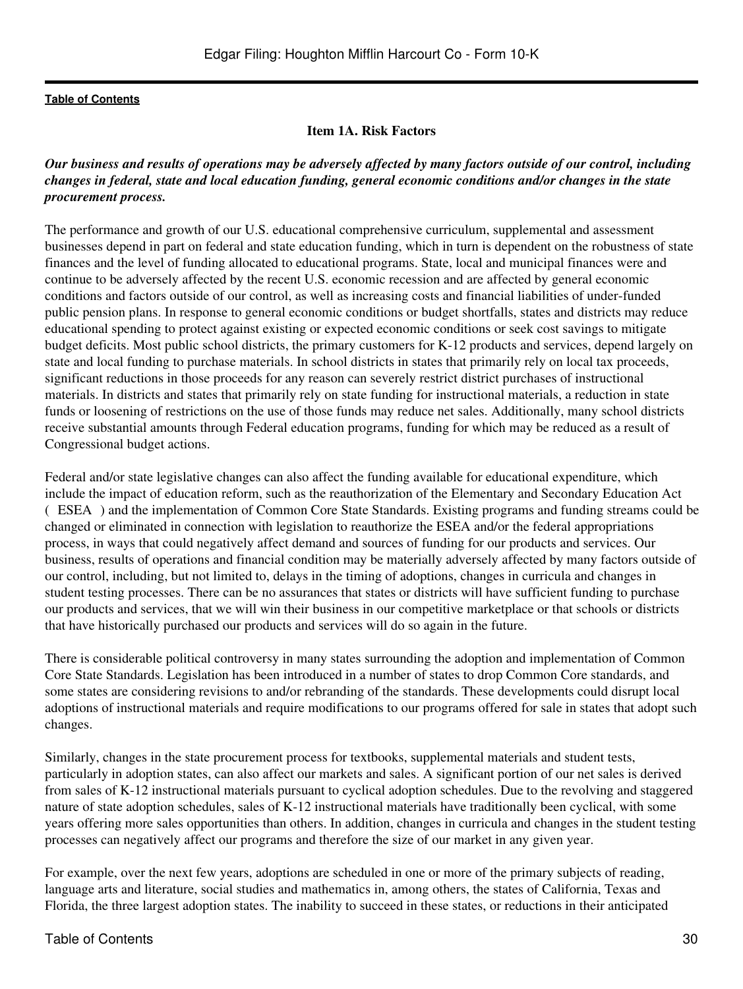### **Item 1A. Risk Factors**

### <span id="page-29-0"></span>*Our business and results of operations may be adversely affected by many factors outside of our control, including changes in federal, state and local education funding, general economic conditions and/or changes in the state procurement process.*

The performance and growth of our U.S. educational comprehensive curriculum, supplemental and assessment businesses depend in part on federal and state education funding, which in turn is dependent on the robustness of state finances and the level of funding allocated to educational programs. State, local and municipal finances were and continue to be adversely affected by the recent U.S. economic recession and are affected by general economic conditions and factors outside of our control, as well as increasing costs and financial liabilities of under-funded public pension plans. In response to general economic conditions or budget shortfalls, states and districts may reduce educational spending to protect against existing or expected economic conditions or seek cost savings to mitigate budget deficits. Most public school districts, the primary customers for K-12 products and services, depend largely on state and local funding to purchase materials. In school districts in states that primarily rely on local tax proceeds, significant reductions in those proceeds for any reason can severely restrict district purchases of instructional materials. In districts and states that primarily rely on state funding for instructional materials, a reduction in state funds or loosening of restrictions on the use of those funds may reduce net sales. Additionally, many school districts receive substantial amounts through Federal education programs, funding for which may be reduced as a result of Congressional budget actions.

Federal and/or state legislative changes can also affect the funding available for educational expenditure, which include the impact of education reform, such as the reauthorization of the Elementary and Secondary Education Act (ESEA) and the implementation of Common Core State Standards. Existing programs and funding streams could be changed or eliminated in connection with legislation to reauthorize the ESEA and/or the federal appropriations process, in ways that could negatively affect demand and sources of funding for our products and services. Our business, results of operations and financial condition may be materially adversely affected by many factors outside of our control, including, but not limited to, delays in the timing of adoptions, changes in curricula and changes in student testing processes. There can be no assurances that states or districts will have sufficient funding to purchase our products and services, that we will win their business in our competitive marketplace or that schools or districts that have historically purchased our products and services will do so again in the future.

There is considerable political controversy in many states surrounding the adoption and implementation of Common Core State Standards. Legislation has been introduced in a number of states to drop Common Core standards, and some states are considering revisions to and/or rebranding of the standards. These developments could disrupt local adoptions of instructional materials and require modifications to our programs offered for sale in states that adopt such changes.

Similarly, changes in the state procurement process for textbooks, supplemental materials and student tests, particularly in adoption states, can also affect our markets and sales. A significant portion of our net sales is derived from sales of K-12 instructional materials pursuant to cyclical adoption schedules. Due to the revolving and staggered nature of state adoption schedules, sales of K-12 instructional materials have traditionally been cyclical, with some years offering more sales opportunities than others. In addition, changes in curricula and changes in the student testing processes can negatively affect our programs and therefore the size of our market in any given year.

For example, over the next few years, adoptions are scheduled in one or more of the primary subjects of reading, language arts and literature, social studies and mathematics in, among others, the states of California, Texas and Florida, the three largest adoption states. The inability to succeed in these states, or reductions in their anticipated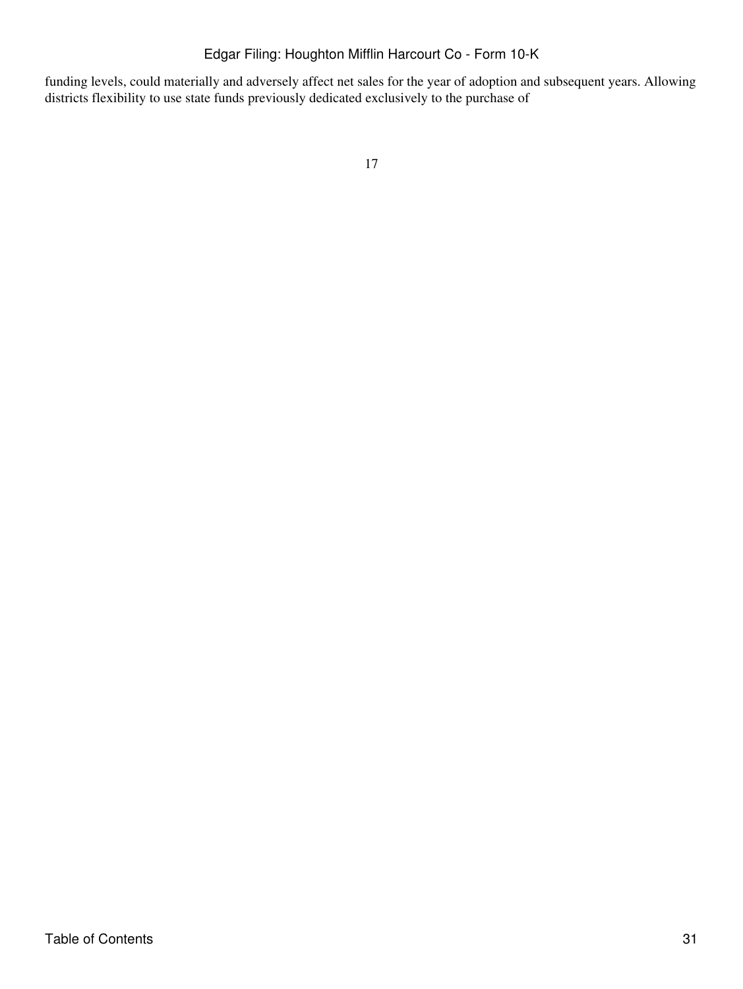funding levels, could materially and adversely affect net sales for the year of adoption and subsequent years. Allowing districts flexibility to use state funds previously dedicated exclusively to the purchase of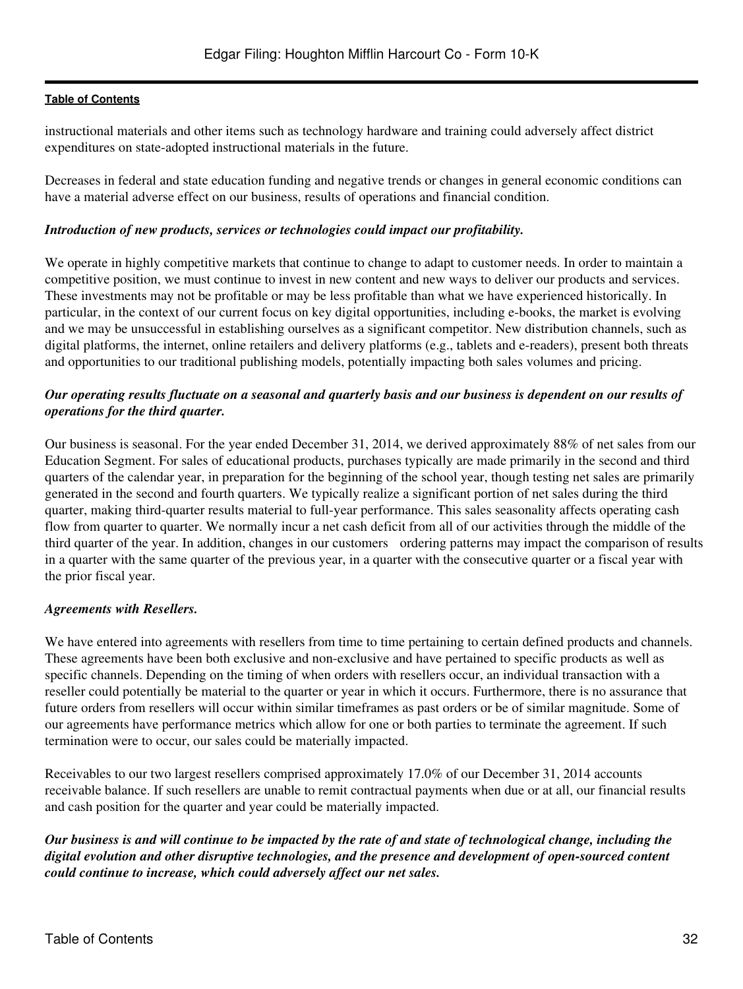instructional materials and other items such as technology hardware and training could adversely affect district expenditures on state-adopted instructional materials in the future.

Decreases in federal and state education funding and negative trends or changes in general economic conditions can have a material adverse effect on our business, results of operations and financial condition.

### *Introduction of new products, services or technologies could impact our profitability.*

We operate in highly competitive markets that continue to change to adapt to customer needs. In order to maintain a competitive position, we must continue to invest in new content and new ways to deliver our products and services. These investments may not be profitable or may be less profitable than what we have experienced historically. In particular, in the context of our current focus on key digital opportunities, including e-books, the market is evolving and we may be unsuccessful in establishing ourselves as a significant competitor. New distribution channels, such as digital platforms, the internet, online retailers and delivery platforms (e.g., tablets and e-readers), present both threats and opportunities to our traditional publishing models, potentially impacting both sales volumes and pricing.

## *Our operating results fluctuate on a seasonal and quarterly basis and our business is dependent on our results of operations for the third quarter.*

Our business is seasonal. For the year ended December 31, 2014, we derived approximately 88% of net sales from our Education Segment. For sales of educational products, purchases typically are made primarily in the second and third quarters of the calendar year, in preparation for the beginning of the school year, though testing net sales are primarily generated in the second and fourth quarters. We typically realize a significant portion of net sales during the third quarter, making third-quarter results material to full-year performance. This sales seasonality affects operating cash flow from quarter to quarter. We normally incur a net cash deficit from all of our activities through the middle of the third quarter of the year. In addition, changes in our customers ordering patterns may impact the comparison of results in a quarter with the same quarter of the previous year, in a quarter with the consecutive quarter or a fiscal year with the prior fiscal year.

## *Agreements with Resellers.*

We have entered into agreements with resellers from time to time pertaining to certain defined products and channels. These agreements have been both exclusive and non-exclusive and have pertained to specific products as well as specific channels. Depending on the timing of when orders with resellers occur, an individual transaction with a reseller could potentially be material to the quarter or year in which it occurs. Furthermore, there is no assurance that future orders from resellers will occur within similar timeframes as past orders or be of similar magnitude. Some of our agreements have performance metrics which allow for one or both parties to terminate the agreement. If such termination were to occur, our sales could be materially impacted.

Receivables to our two largest resellers comprised approximately 17.0% of our December 31, 2014 accounts receivable balance. If such resellers are unable to remit contractual payments when due or at all, our financial results and cash position for the quarter and year could be materially impacted.

*Our business is and will continue to be impacted by the rate of and state of technological change, including the digital evolution and other disruptive technologies, and the presence and development of open-sourced content could continue to increase, which could adversely affect our net sales.*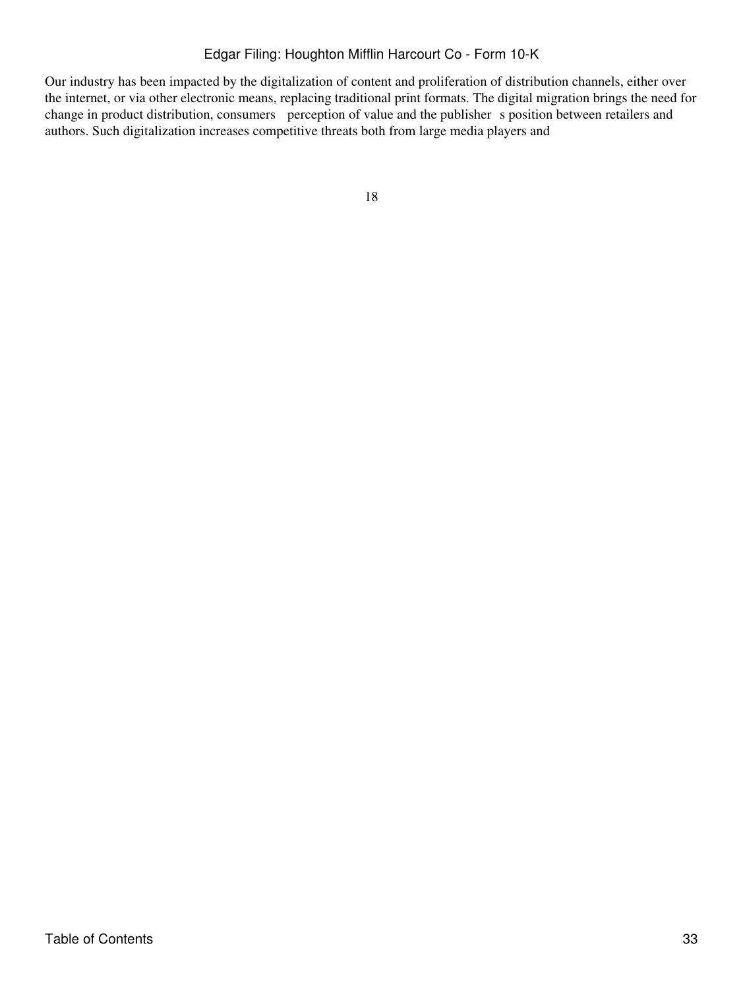Our industry has been impacted by the digitalization of content and proliferation of distribution channels, either over the internet, or via other electronic means, replacing traditional print formats. The digital migration brings the need for change in product distribution, consumers perception of value and the publisher s position between retailers and authors. Such digitalization increases competitive threats both from large media players and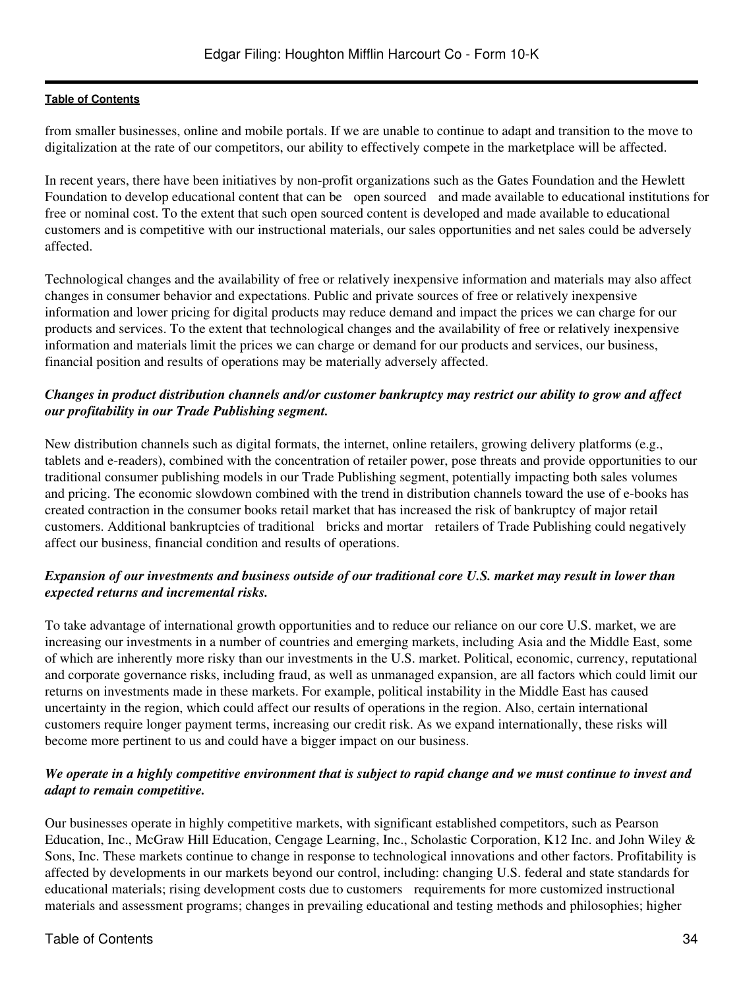from smaller businesses, online and mobile portals. If we are unable to continue to adapt and transition to the move to digitalization at the rate of our competitors, our ability to effectively compete in the marketplace will be affected.

In recent years, there have been initiatives by non-profit organizations such as the Gates Foundation and the Hewlett Foundation to develop educational content that can be open sourced and made available to educational institutions for free or nominal cost. To the extent that such open sourced content is developed and made available to educational customers and is competitive with our instructional materials, our sales opportunities and net sales could be adversely affected.

Technological changes and the availability of free or relatively inexpensive information and materials may also affect changes in consumer behavior and expectations. Public and private sources of free or relatively inexpensive information and lower pricing for digital products may reduce demand and impact the prices we can charge for our products and services. To the extent that technological changes and the availability of free or relatively inexpensive information and materials limit the prices we can charge or demand for our products and services, our business, financial position and results of operations may be materially adversely affected.

## *Changes in product distribution channels and/or customer bankruptcy may restrict our ability to grow and affect our profitability in our Trade Publishing segment.*

New distribution channels such as digital formats, the internet, online retailers, growing delivery platforms (e.g., tablets and e-readers), combined with the concentration of retailer power, pose threats and provide opportunities to our traditional consumer publishing models in our Trade Publishing segment, potentially impacting both sales volumes and pricing. The economic slowdown combined with the trend in distribution channels toward the use of e-books has created contraction in the consumer books retail market that has increased the risk of bankruptcy of major retail customers. Additional bankruptcies of traditional bricks and mortar retailers of Trade Publishing could negatively affect our business, financial condition and results of operations.

## *Expansion of our investments and business outside of our traditional core U.S. market may result in lower than expected returns and incremental risks.*

To take advantage of international growth opportunities and to reduce our reliance on our core U.S. market, we are increasing our investments in a number of countries and emerging markets, including Asia and the Middle East, some of which are inherently more risky than our investments in the U.S. market. Political, economic, currency, reputational and corporate governance risks, including fraud, as well as unmanaged expansion, are all factors which could limit our returns on investments made in these markets. For example, political instability in the Middle East has caused uncertainty in the region, which could affect our results of operations in the region. Also, certain international customers require longer payment terms, increasing our credit risk. As we expand internationally, these risks will become more pertinent to us and could have a bigger impact on our business.

## *We operate in a highly competitive environment that is subject to rapid change and we must continue to invest and adapt to remain competitive.*

Our businesses operate in highly competitive markets, with significant established competitors, such as Pearson Education, Inc., McGraw Hill Education, Cengage Learning, Inc., Scholastic Corporation, K12 Inc. and John Wiley & Sons, Inc. These markets continue to change in response to technological innovations and other factors. Profitability is affected by developments in our markets beyond our control, including: changing U.S. federal and state standards for educational materials; rising development costs due to customers requirements for more customized instructional materials and assessment programs; changes in prevailing educational and testing methods and philosophies; higher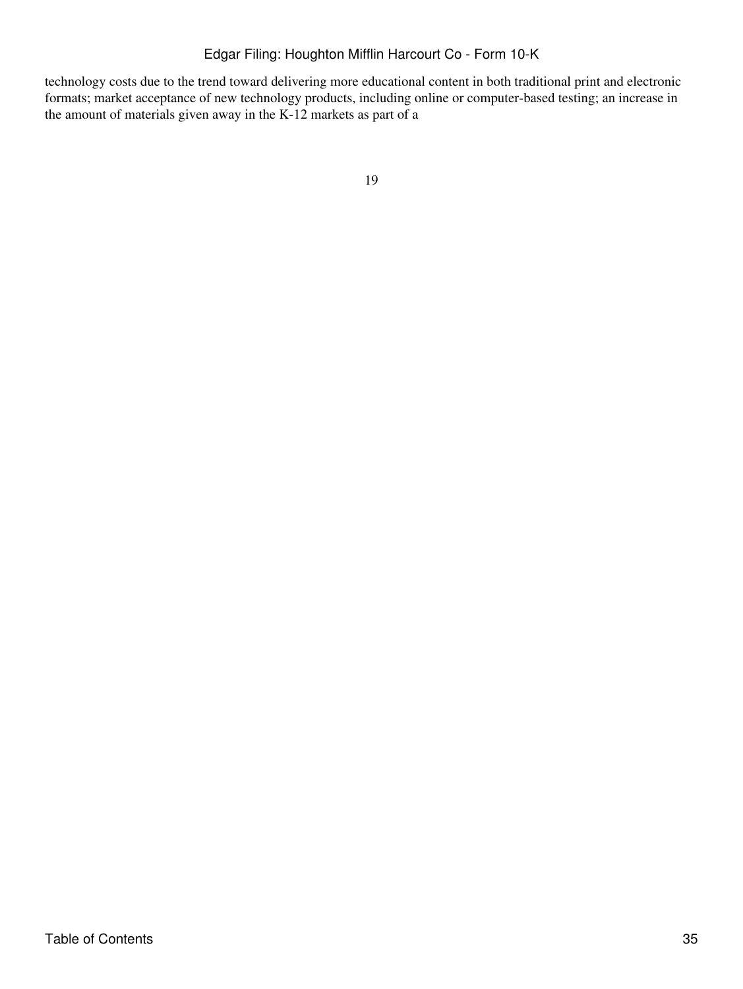technology costs due to the trend toward delivering more educational content in both traditional print and electronic formats; market acceptance of new technology products, including online or computer-based testing; an increase in the amount of materials given away in the K-12 markets as part of a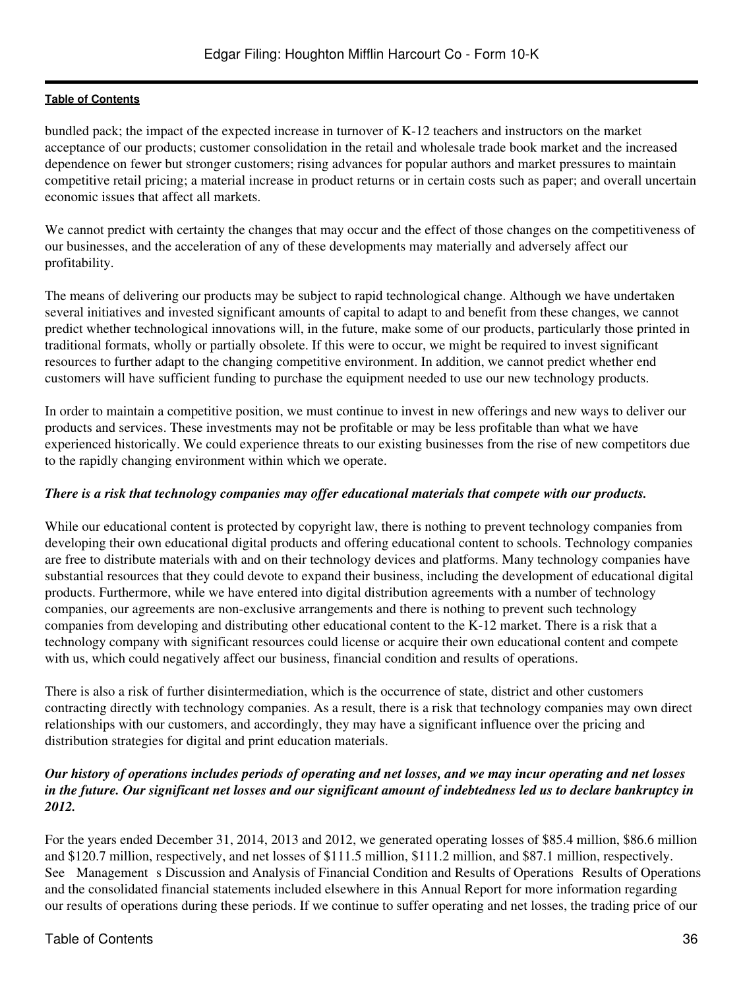bundled pack; the impact of the expected increase in turnover of K-12 teachers and instructors on the market acceptance of our products; customer consolidation in the retail and wholesale trade book market and the increased dependence on fewer but stronger customers; rising advances for popular authors and market pressures to maintain competitive retail pricing; a material increase in product returns or in certain costs such as paper; and overall uncertain economic issues that affect all markets.

We cannot predict with certainty the changes that may occur and the effect of those changes on the competitiveness of our businesses, and the acceleration of any of these developments may materially and adversely affect our profitability.

The means of delivering our products may be subject to rapid technological change. Although we have undertaken several initiatives and invested significant amounts of capital to adapt to and benefit from these changes, we cannot predict whether technological innovations will, in the future, make some of our products, particularly those printed in traditional formats, wholly or partially obsolete. If this were to occur, we might be required to invest significant resources to further adapt to the changing competitive environment. In addition, we cannot predict whether end customers will have sufficient funding to purchase the equipment needed to use our new technology products.

In order to maintain a competitive position, we must continue to invest in new offerings and new ways to deliver our products and services. These investments may not be profitable or may be less profitable than what we have experienced historically. We could experience threats to our existing businesses from the rise of new competitors due to the rapidly changing environment within which we operate.

### *There is a risk that technology companies may offer educational materials that compete with our products.*

While our educational content is protected by copyright law, there is nothing to prevent technology companies from developing their own educational digital products and offering educational content to schools. Technology companies are free to distribute materials with and on their technology devices and platforms. Many technology companies have substantial resources that they could devote to expand their business, including the development of educational digital products. Furthermore, while we have entered into digital distribution agreements with a number of technology companies, our agreements are non-exclusive arrangements and there is nothing to prevent such technology companies from developing and distributing other educational content to the K-12 market. There is a risk that a technology company with significant resources could license or acquire their own educational content and compete with us, which could negatively affect our business, financial condition and results of operations.

There is also a risk of further disintermediation, which is the occurrence of state, district and other customers contracting directly with technology companies. As a result, there is a risk that technology companies may own direct relationships with our customers, and accordingly, they may have a significant influence over the pricing and distribution strategies for digital and print education materials.

## *Our history of operations includes periods of operating and net losses, and we may incur operating and net losses in the future. Our significant net losses and our significant amount of indebtedness led us to declare bankruptcy in 2012.*

For the years ended December 31, 2014, 2013 and 2012, we generated operating losses of \$85.4 million, \$86.6 million and \$120.7 million, respectively, and net losses of \$111.5 million, \$111.2 million, and \$87.1 million, respectively. See Management s Discussion and Analysis of Financial Condition and Results of Operations Results of Operations and the consolidated financial statements included elsewhere in this Annual Report for more information regarding our results of operations during these periods. If we continue to suffer operating and net losses, the trading price of our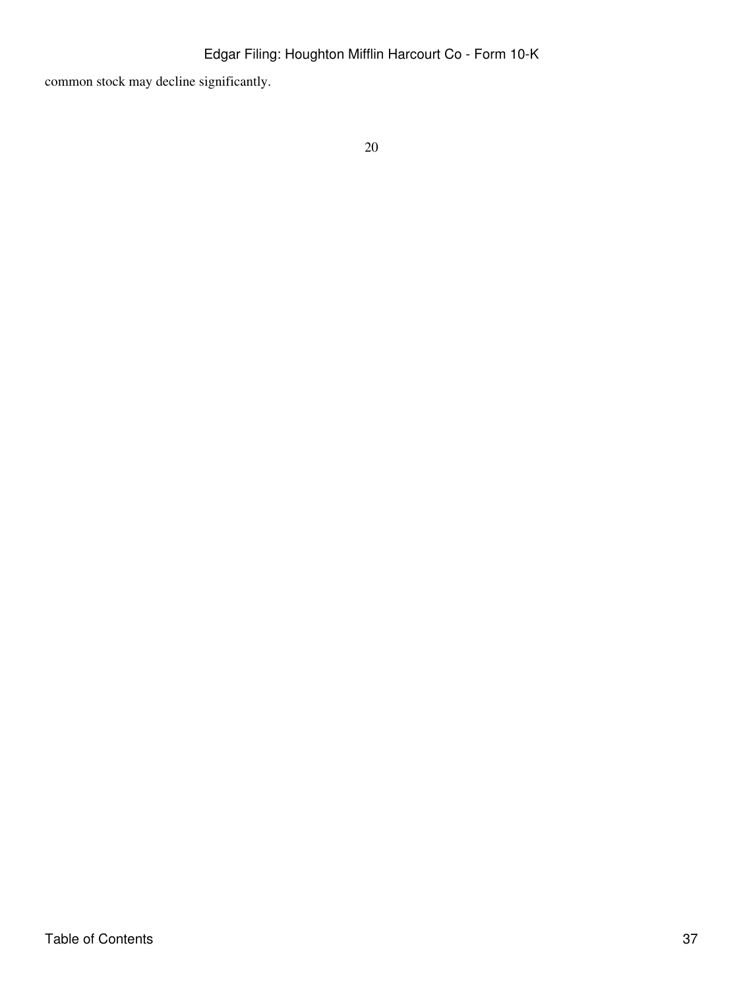common stock may decline significantly.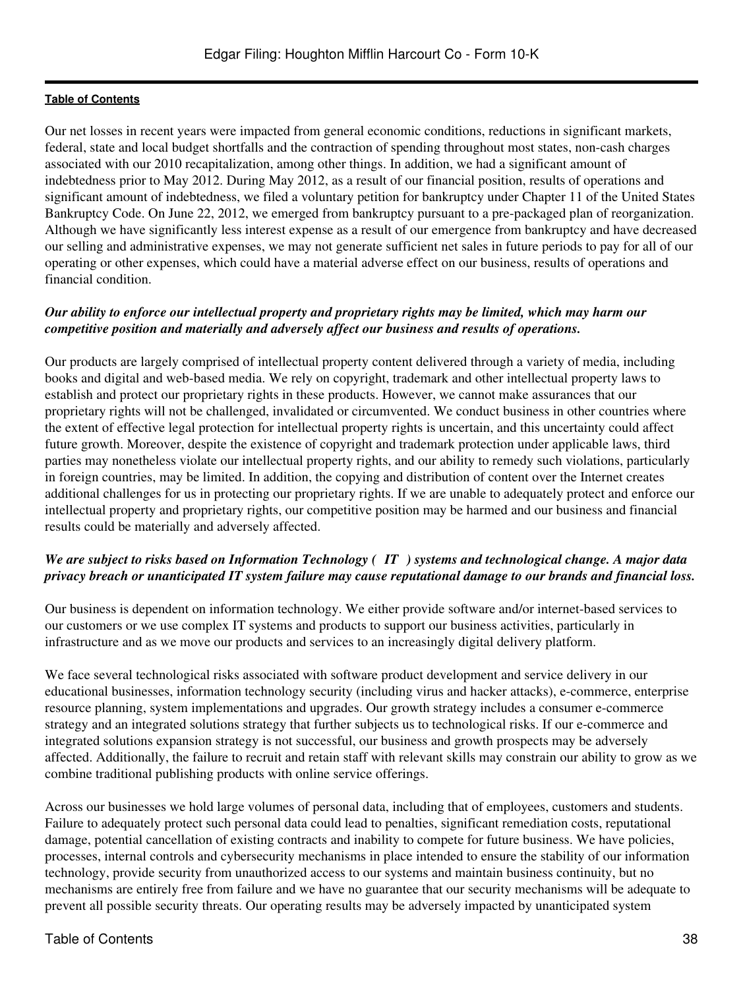Our net losses in recent years were impacted from general economic conditions, reductions in significant markets, federal, state and local budget shortfalls and the contraction of spending throughout most states, non-cash charges associated with our 2010 recapitalization, among other things. In addition, we had a significant amount of indebtedness prior to May 2012. During May 2012, as a result of our financial position, results of operations and significant amount of indebtedness, we filed a voluntary petition for bankruptcy under Chapter 11 of the United States Bankruptcy Code. On June 22, 2012, we emerged from bankruptcy pursuant to a pre-packaged plan of reorganization. Although we have significantly less interest expense as a result of our emergence from bankruptcy and have decreased our selling and administrative expenses, we may not generate sufficient net sales in future periods to pay for all of our operating or other expenses, which could have a material adverse effect on our business, results of operations and financial condition.

## *Our ability to enforce our intellectual property and proprietary rights may be limited, which may harm our competitive position and materially and adversely affect our business and results of operations.*

Our products are largely comprised of intellectual property content delivered through a variety of media, including books and digital and web-based media. We rely on copyright, trademark and other intellectual property laws to establish and protect our proprietary rights in these products. However, we cannot make assurances that our proprietary rights will not be challenged, invalidated or circumvented. We conduct business in other countries where the extent of effective legal protection for intellectual property rights is uncertain, and this uncertainty could affect future growth. Moreover, despite the existence of copyright and trademark protection under applicable laws, third parties may nonetheless violate our intellectual property rights, and our ability to remedy such violations, particularly in foreign countries, may be limited. In addition, the copying and distribution of content over the Internet creates additional challenges for us in protecting our proprietary rights. If we are unable to adequately protect and enforce our intellectual property and proprietary rights, our competitive position may be harmed and our business and financial results could be materially and adversely affected.

# *We are subject to risks based on Information Technology (IT) systems and technological change. A major data privacy breach or unanticipated IT system failure may cause reputational damage to our brands and financial loss.*

Our business is dependent on information technology. We either provide software and/or internet-based services to our customers or we use complex IT systems and products to support our business activities, particularly in infrastructure and as we move our products and services to an increasingly digital delivery platform.

We face several technological risks associated with software product development and service delivery in our educational businesses, information technology security (including virus and hacker attacks), e-commerce, enterprise resource planning, system implementations and upgrades. Our growth strategy includes a consumer e-commerce strategy and an integrated solutions strategy that further subjects us to technological risks. If our e-commerce and integrated solutions expansion strategy is not successful, our business and growth prospects may be adversely affected. Additionally, the failure to recruit and retain staff with relevant skills may constrain our ability to grow as we combine traditional publishing products with online service offerings.

Across our businesses we hold large volumes of personal data, including that of employees, customers and students. Failure to adequately protect such personal data could lead to penalties, significant remediation costs, reputational damage, potential cancellation of existing contracts and inability to compete for future business. We have policies, processes, internal controls and cybersecurity mechanisms in place intended to ensure the stability of our information technology, provide security from unauthorized access to our systems and maintain business continuity, but no mechanisms are entirely free from failure and we have no guarantee that our security mechanisms will be adequate to prevent all possible security threats. Our operating results may be adversely impacted by unanticipated system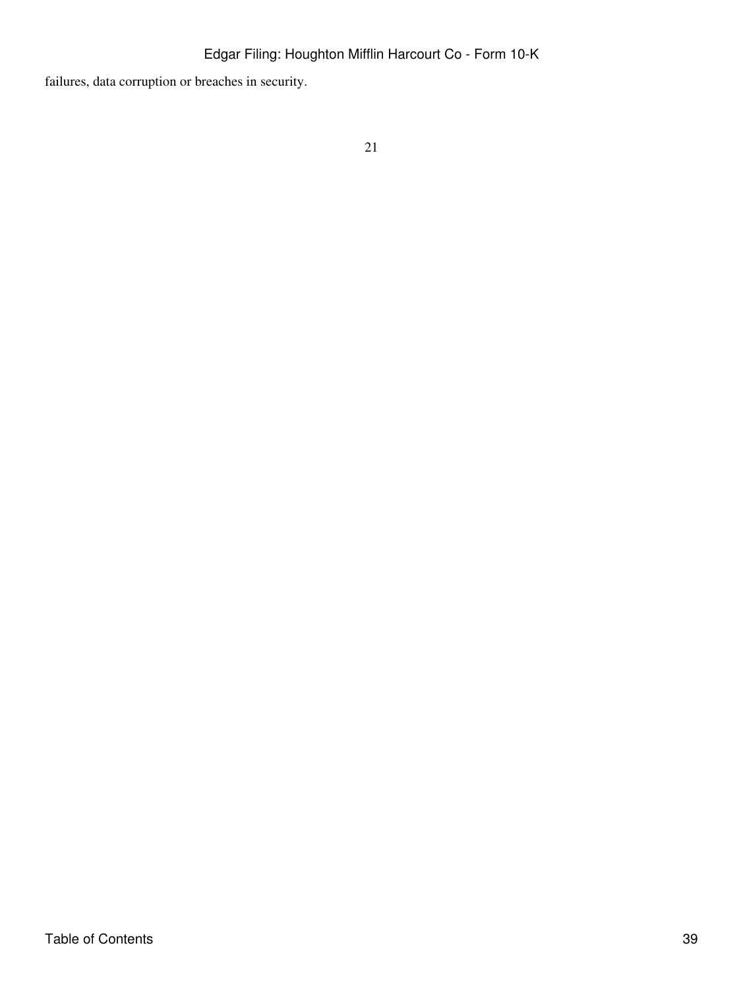failures, data corruption or breaches in security.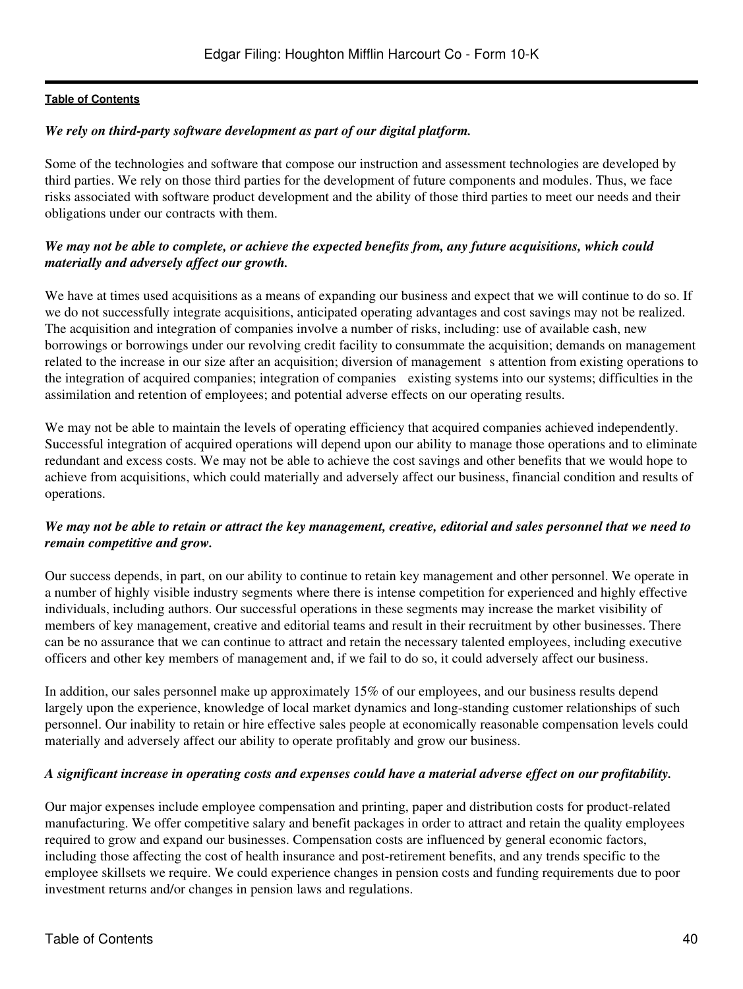## *We rely on third-party software development as part of our digital platform.*

Some of the technologies and software that compose our instruction and assessment technologies are developed by third parties. We rely on those third parties for the development of future components and modules. Thus, we face risks associated with software product development and the ability of those third parties to meet our needs and their obligations under our contracts with them.

## *We may not be able to complete, or achieve the expected benefits from, any future acquisitions, which could materially and adversely affect our growth.*

We have at times used acquisitions as a means of expanding our business and expect that we will continue to do so. If we do not successfully integrate acquisitions, anticipated operating advantages and cost savings may not be realized. The acquisition and integration of companies involve a number of risks, including: use of available cash, new borrowings or borrowings under our revolving credit facility to consummate the acquisition; demands on management related to the increase in our size after an acquisition; diversion of management s attention from existing operations to the integration of acquired companies; integration of companies existing systems into our systems; difficulties in the assimilation and retention of employees; and potential adverse effects on our operating results.

We may not be able to maintain the levels of operating efficiency that acquired companies achieved independently. Successful integration of acquired operations will depend upon our ability to manage those operations and to eliminate redundant and excess costs. We may not be able to achieve the cost savings and other benefits that we would hope to achieve from acquisitions, which could materially and adversely affect our business, financial condition and results of operations.

## *We may not be able to retain or attract the key management, creative, editorial and sales personnel that we need to remain competitive and grow.*

Our success depends, in part, on our ability to continue to retain key management and other personnel. We operate in a number of highly visible industry segments where there is intense competition for experienced and highly effective individuals, including authors. Our successful operations in these segments may increase the market visibility of members of key management, creative and editorial teams and result in their recruitment by other businesses. There can be no assurance that we can continue to attract and retain the necessary talented employees, including executive officers and other key members of management and, if we fail to do so, it could adversely affect our business.

In addition, our sales personnel make up approximately 15% of our employees, and our business results depend largely upon the experience, knowledge of local market dynamics and long-standing customer relationships of such personnel. Our inability to retain or hire effective sales people at economically reasonable compensation levels could materially and adversely affect our ability to operate profitably and grow our business.

## *A significant increase in operating costs and expenses could have a material adverse effect on our profitability.*

Our major expenses include employee compensation and printing, paper and distribution costs for product-related manufacturing. We offer competitive salary and benefit packages in order to attract and retain the quality employees required to grow and expand our businesses. Compensation costs are influenced by general economic factors, including those affecting the cost of health insurance and post-retirement benefits, and any trends specific to the employee skillsets we require. We could experience changes in pension costs and funding requirements due to poor investment returns and/or changes in pension laws and regulations.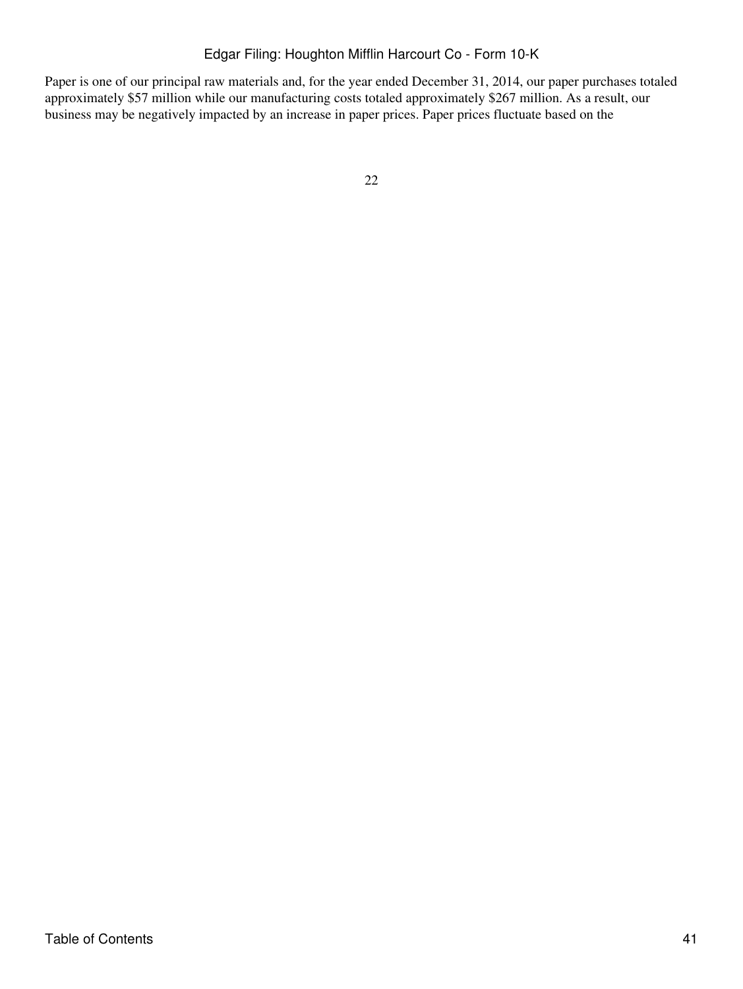Paper is one of our principal raw materials and, for the year ended December 31, 2014, our paper purchases totaled approximately \$57 million while our manufacturing costs totaled approximately \$267 million. As a result, our business may be negatively impacted by an increase in paper prices. Paper prices fluctuate based on the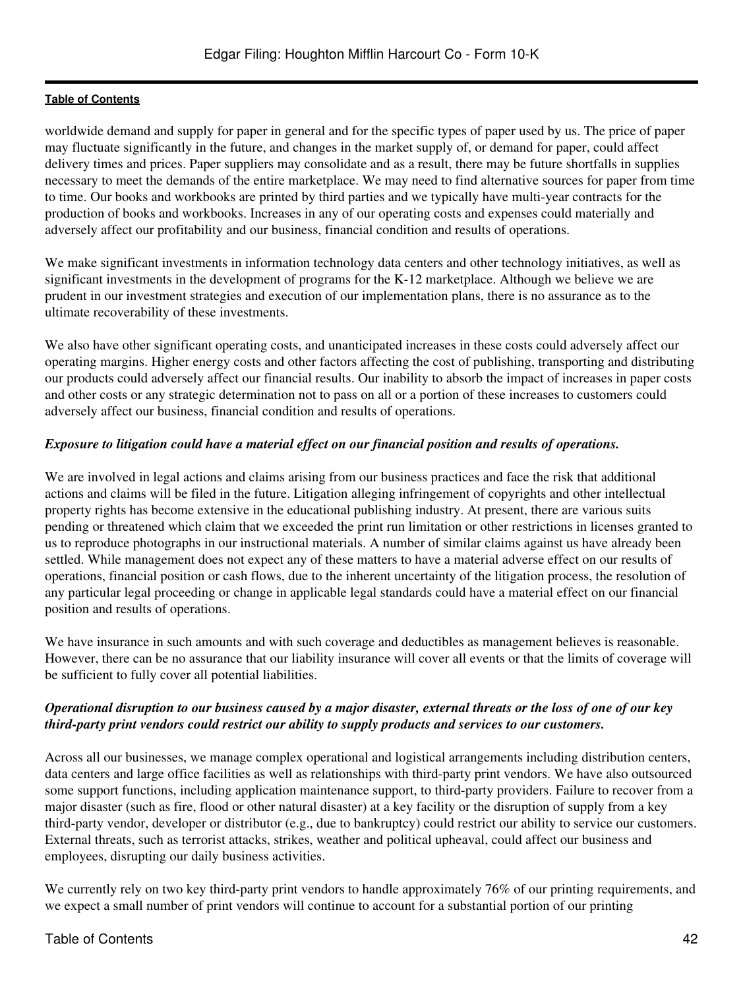worldwide demand and supply for paper in general and for the specific types of paper used by us. The price of paper may fluctuate significantly in the future, and changes in the market supply of, or demand for paper, could affect delivery times and prices. Paper suppliers may consolidate and as a result, there may be future shortfalls in supplies necessary to meet the demands of the entire marketplace. We may need to find alternative sources for paper from time to time. Our books and workbooks are printed by third parties and we typically have multi-year contracts for the production of books and workbooks. Increases in any of our operating costs and expenses could materially and adversely affect our profitability and our business, financial condition and results of operations.

We make significant investments in information technology data centers and other technology initiatives, as well as significant investments in the development of programs for the K-12 marketplace. Although we believe we are prudent in our investment strategies and execution of our implementation plans, there is no assurance as to the ultimate recoverability of these investments.

We also have other significant operating costs, and unanticipated increases in these costs could adversely affect our operating margins. Higher energy costs and other factors affecting the cost of publishing, transporting and distributing our products could adversely affect our financial results. Our inability to absorb the impact of increases in paper costs and other costs or any strategic determination not to pass on all or a portion of these increases to customers could adversely affect our business, financial condition and results of operations.

## *Exposure to litigation could have a material effect on our financial position and results of operations.*

We are involved in legal actions and claims arising from our business practices and face the risk that additional actions and claims will be filed in the future. Litigation alleging infringement of copyrights and other intellectual property rights has become extensive in the educational publishing industry. At present, there are various suits pending or threatened which claim that we exceeded the print run limitation or other restrictions in licenses granted to us to reproduce photographs in our instructional materials. A number of similar claims against us have already been settled. While management does not expect any of these matters to have a material adverse effect on our results of operations, financial position or cash flows, due to the inherent uncertainty of the litigation process, the resolution of any particular legal proceeding or change in applicable legal standards could have a material effect on our financial position and results of operations.

We have insurance in such amounts and with such coverage and deductibles as management believes is reasonable. However, there can be no assurance that our liability insurance will cover all events or that the limits of coverage will be sufficient to fully cover all potential liabilities.

## *Operational disruption to our business caused by a major disaster, external threats or the loss of one of our key third-party print vendors could restrict our ability to supply products and services to our customers.*

Across all our businesses, we manage complex operational and logistical arrangements including distribution centers, data centers and large office facilities as well as relationships with third-party print vendors. We have also outsourced some support functions, including application maintenance support, to third-party providers. Failure to recover from a major disaster (such as fire, flood or other natural disaster) at a key facility or the disruption of supply from a key third-party vendor, developer or distributor (e.g., due to bankruptcy) could restrict our ability to service our customers. External threats, such as terrorist attacks, strikes, weather and political upheaval, could affect our business and employees, disrupting our daily business activities.

We currently rely on two key third-party print vendors to handle approximately 76% of our printing requirements, and we expect a small number of print vendors will continue to account for a substantial portion of our printing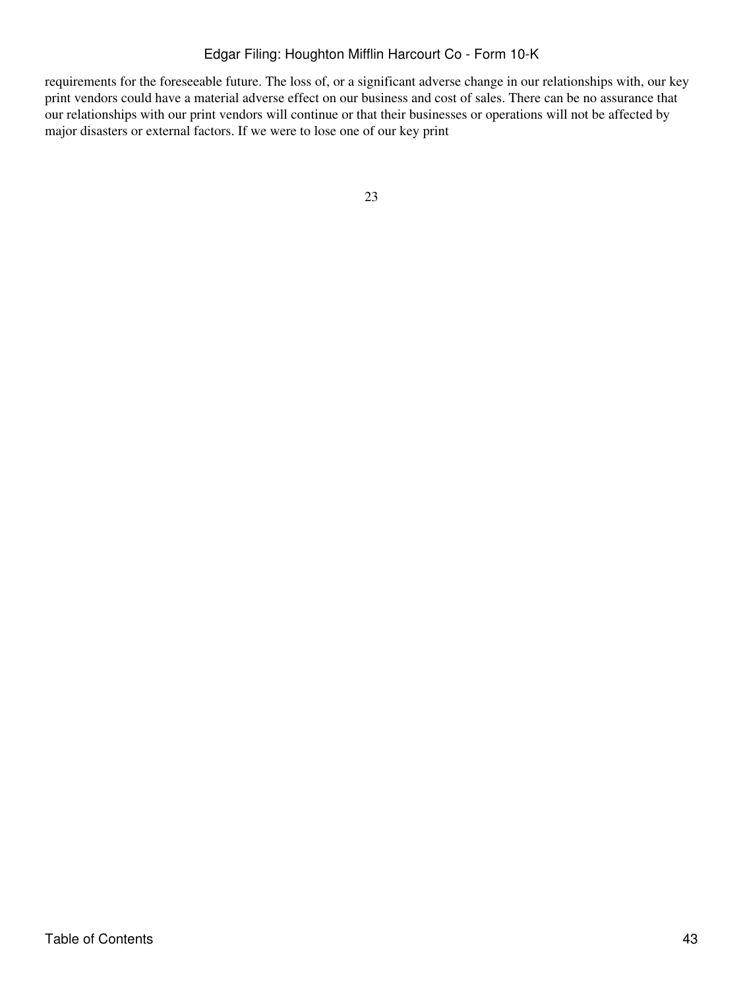requirements for the foreseeable future. The loss of, or a significant adverse change in our relationships with, our key print vendors could have a material adverse effect on our business and cost of sales. There can be no assurance that our relationships with our print vendors will continue or that their businesses or operations will not be affected by major disasters or external factors. If we were to lose one of our key print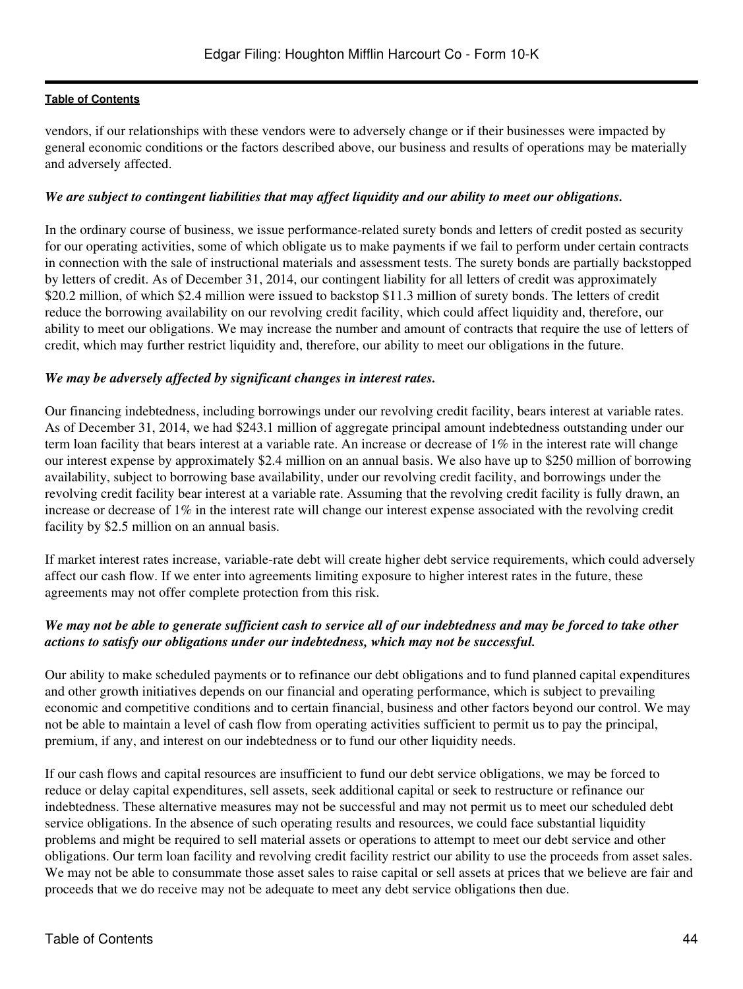vendors, if our relationships with these vendors were to adversely change or if their businesses were impacted by general economic conditions or the factors described above, our business and results of operations may be materially and adversely affected.

## *We are subject to contingent liabilities that may affect liquidity and our ability to meet our obligations.*

In the ordinary course of business, we issue performance-related surety bonds and letters of credit posted as security for our operating activities, some of which obligate us to make payments if we fail to perform under certain contracts in connection with the sale of instructional materials and assessment tests. The surety bonds are partially backstopped by letters of credit. As of December 31, 2014, our contingent liability for all letters of credit was approximately \$20.2 million, of which \$2.4 million were issued to backstop \$11.3 million of surety bonds. The letters of credit reduce the borrowing availability on our revolving credit facility, which could affect liquidity and, therefore, our ability to meet our obligations. We may increase the number and amount of contracts that require the use of letters of credit, which may further restrict liquidity and, therefore, our ability to meet our obligations in the future.

## *We may be adversely affected by significant changes in interest rates.*

Our financing indebtedness, including borrowings under our revolving credit facility, bears interest at variable rates. As of December 31, 2014, we had \$243.1 million of aggregate principal amount indebtedness outstanding under our term loan facility that bears interest at a variable rate. An increase or decrease of 1% in the interest rate will change our interest expense by approximately \$2.4 million on an annual basis. We also have up to \$250 million of borrowing availability, subject to borrowing base availability, under our revolving credit facility, and borrowings under the revolving credit facility bear interest at a variable rate. Assuming that the revolving credit facility is fully drawn, an increase or decrease of 1% in the interest rate will change our interest expense associated with the revolving credit facility by \$2.5 million on an annual basis.

If market interest rates increase, variable-rate debt will create higher debt service requirements, which could adversely affect our cash flow. If we enter into agreements limiting exposure to higher interest rates in the future, these agreements may not offer complete protection from this risk.

## *We may not be able to generate sufficient cash to service all of our indebtedness and may be forced to take other actions to satisfy our obligations under our indebtedness, which may not be successful.*

Our ability to make scheduled payments or to refinance our debt obligations and to fund planned capital expenditures and other growth initiatives depends on our financial and operating performance, which is subject to prevailing economic and competitive conditions and to certain financial, business and other factors beyond our control. We may not be able to maintain a level of cash flow from operating activities sufficient to permit us to pay the principal, premium, if any, and interest on our indebtedness or to fund our other liquidity needs.

If our cash flows and capital resources are insufficient to fund our debt service obligations, we may be forced to reduce or delay capital expenditures, sell assets, seek additional capital or seek to restructure or refinance our indebtedness. These alternative measures may not be successful and may not permit us to meet our scheduled debt service obligations. In the absence of such operating results and resources, we could face substantial liquidity problems and might be required to sell material assets or operations to attempt to meet our debt service and other obligations. Our term loan facility and revolving credit facility restrict our ability to use the proceeds from asset sales. We may not be able to consummate those asset sales to raise capital or sell assets at prices that we believe are fair and proceeds that we do receive may not be adequate to meet any debt service obligations then due.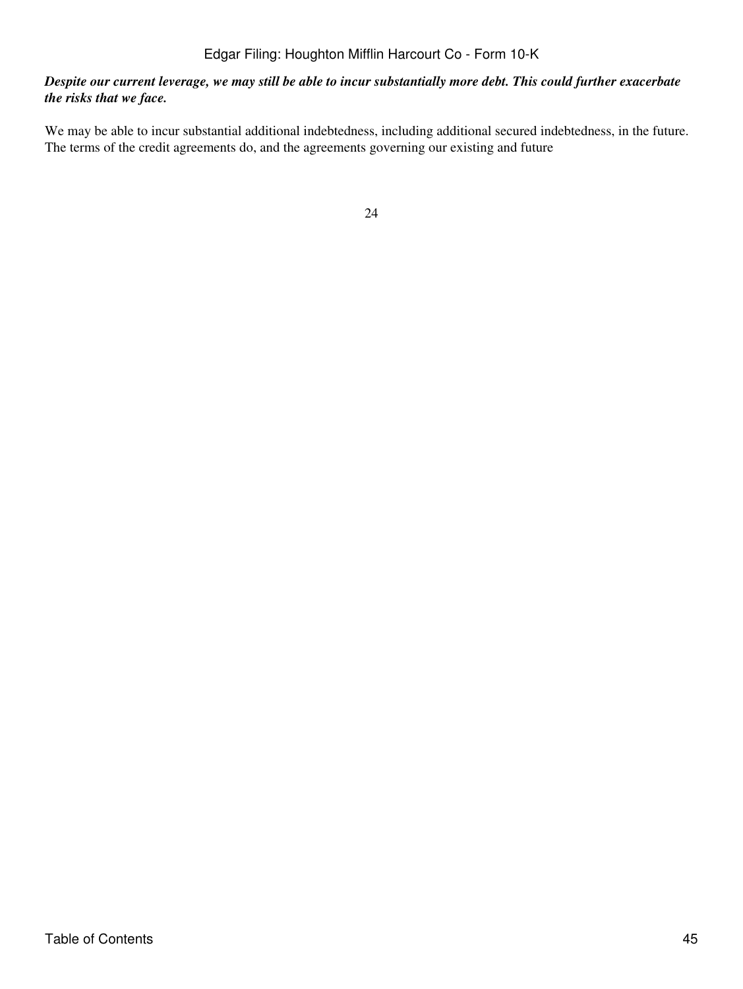## *Despite our current leverage, we may still be able to incur substantially more debt. This could further exacerbate the risks that we face.*

We may be able to incur substantial additional indebtedness, including additional secured indebtedness, in the future. The terms of the credit agreements do, and the agreements governing our existing and future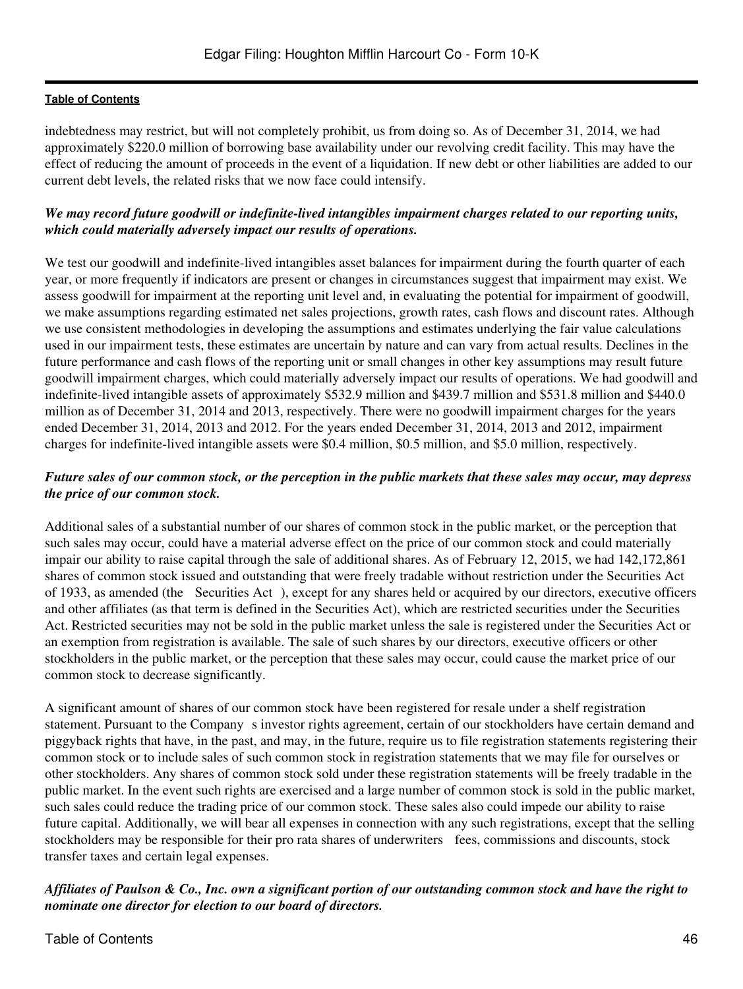indebtedness may restrict, but will not completely prohibit, us from doing so. As of December 31, 2014, we had approximately \$220.0 million of borrowing base availability under our revolving credit facility. This may have the effect of reducing the amount of proceeds in the event of a liquidation. If new debt or other liabilities are added to our current debt levels, the related risks that we now face could intensify.

## *We may record future goodwill or indefinite-lived intangibles impairment charges related to our reporting units, which could materially adversely impact our results of operations.*

We test our goodwill and indefinite-lived intangibles asset balances for impairment during the fourth quarter of each year, or more frequently if indicators are present or changes in circumstances suggest that impairment may exist. We assess goodwill for impairment at the reporting unit level and, in evaluating the potential for impairment of goodwill, we make assumptions regarding estimated net sales projections, growth rates, cash flows and discount rates. Although we use consistent methodologies in developing the assumptions and estimates underlying the fair value calculations used in our impairment tests, these estimates are uncertain by nature and can vary from actual results. Declines in the future performance and cash flows of the reporting unit or small changes in other key assumptions may result future goodwill impairment charges, which could materially adversely impact our results of operations. We had goodwill and indefinite-lived intangible assets of approximately \$532.9 million and \$439.7 million and \$531.8 million and \$440.0 million as of December 31, 2014 and 2013, respectively. There were no goodwill impairment charges for the years ended December 31, 2014, 2013 and 2012. For the years ended December 31, 2014, 2013 and 2012, impairment charges for indefinite-lived intangible assets were \$0.4 million, \$0.5 million, and \$5.0 million, respectively.

# *Future sales of our common stock, or the perception in the public markets that these sales may occur, may depress the price of our common stock.*

Additional sales of a substantial number of our shares of common stock in the public market, or the perception that such sales may occur, could have a material adverse effect on the price of our common stock and could materially impair our ability to raise capital through the sale of additional shares. As of February 12, 2015, we had 142,172,861 shares of common stock issued and outstanding that were freely tradable without restriction under the Securities Act of 1933, as amended (the Securities Act), except for any shares held or acquired by our directors, executive officers and other affiliates (as that term is defined in the Securities Act), which are restricted securities under the Securities Act. Restricted securities may not be sold in the public market unless the sale is registered under the Securities Act or an exemption from registration is available. The sale of such shares by our directors, executive officers or other stockholders in the public market, or the perception that these sales may occur, could cause the market price of our common stock to decrease significantly.

A significant amount of shares of our common stock have been registered for resale under a shelf registration statement. Pursuant to the Company s investor rights agreement, certain of our stockholders have certain demand and piggyback rights that have, in the past, and may, in the future, require us to file registration statements registering their common stock or to include sales of such common stock in registration statements that we may file for ourselves or other stockholders. Any shares of common stock sold under these registration statements will be freely tradable in the public market. In the event such rights are exercised and a large number of common stock is sold in the public market, such sales could reduce the trading price of our common stock. These sales also could impede our ability to raise future capital. Additionally, we will bear all expenses in connection with any such registrations, except that the selling stockholders may be responsible for their pro rata shares of underwriters fees, commissions and discounts, stock transfer taxes and certain legal expenses.

# *Affiliates of Paulson & Co., Inc. own a significant portion of our outstanding common stock and have the right to nominate one director for election to our board of directors.*

## Table of Contents 46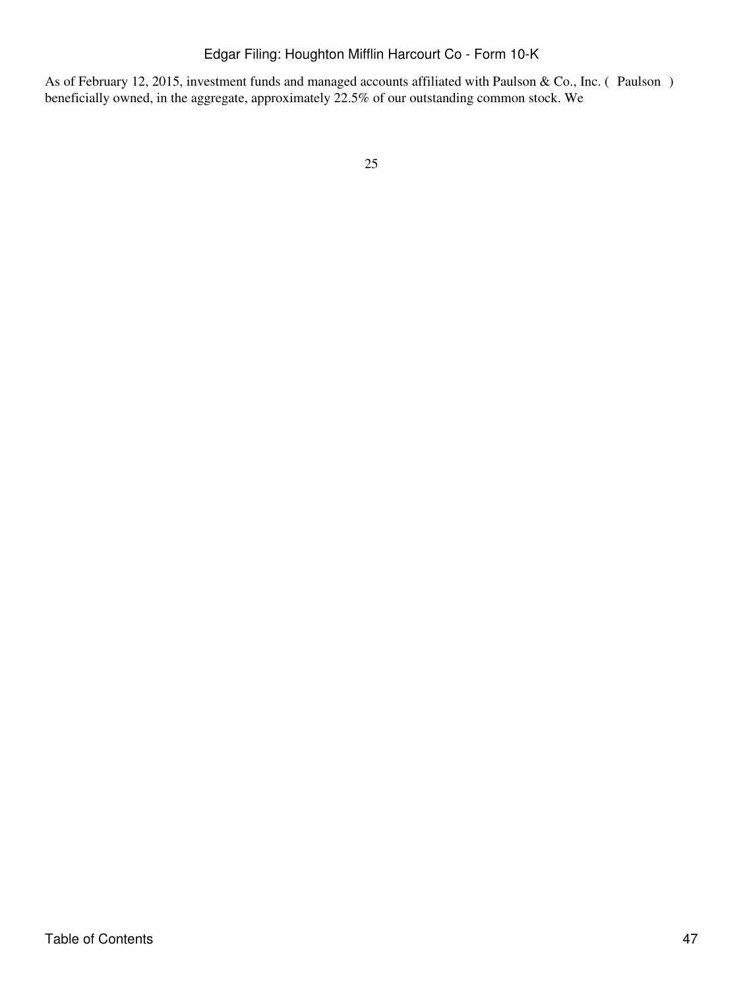As of February 12, 2015, investment funds and managed accounts affiliated with Paulson & Co., Inc. (Paulson) beneficially owned, in the aggregate, approximately 22.5% of our outstanding common stock. We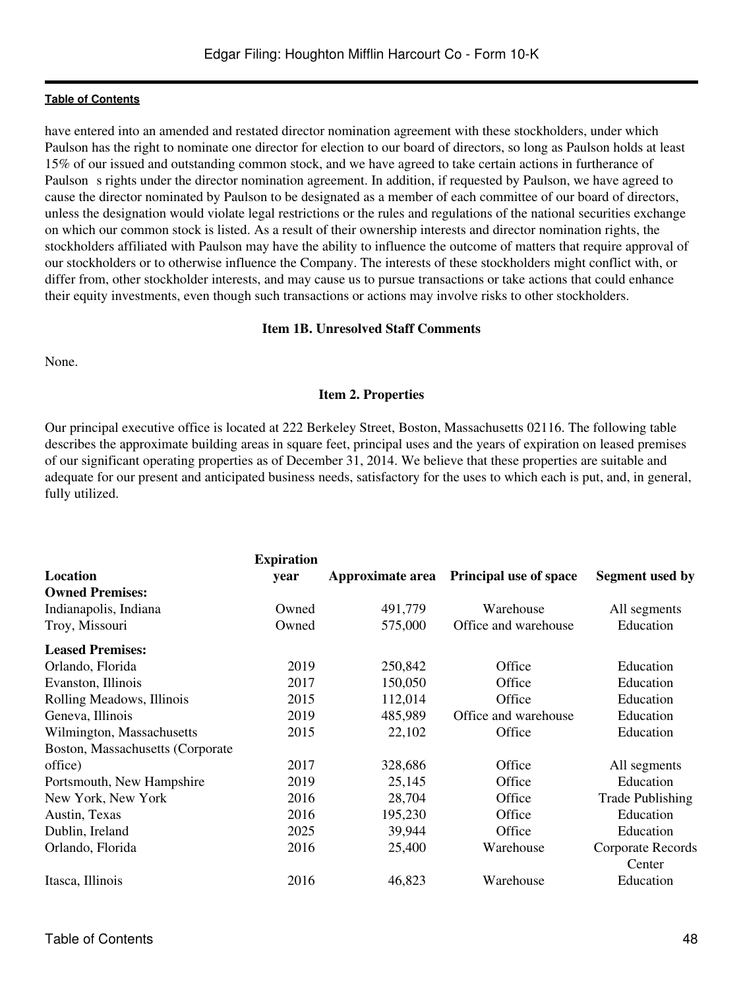have entered into an amended and restated director nomination agreement with these stockholders, under which Paulson has the right to nominate one director for election to our board of directors, so long as Paulson holds at least 15% of our issued and outstanding common stock, and we have agreed to take certain actions in furtherance of Paulson s rights under the director nomination agreement. In addition, if requested by Paulson, we have agreed to cause the director nominated by Paulson to be designated as a member of each committee of our board of directors, unless the designation would violate legal restrictions or the rules and regulations of the national securities exchange on which our common stock is listed. As a result of their ownership interests and director nomination rights, the stockholders affiliated with Paulson may have the ability to influence the outcome of matters that require approval of our stockholders or to otherwise influence the Company. The interests of these stockholders might conflict with, or differ from, other stockholder interests, and may cause us to pursue transactions or take actions that could enhance their equity investments, even though such transactions or actions may involve risks to other stockholders.

#### **Item 1B. Unresolved Staff Comments**

None.

#### **Item 2. Properties**

Our principal executive office is located at 222 Berkeley Street, Boston, Massachusetts 02116. The following table describes the approximate building areas in square feet, principal uses and the years of expiration on leased premises of our significant operating properties as of December 31, 2014. We believe that these properties are suitable and adequate for our present and anticipated business needs, satisfactory for the uses to which each is put, and, in general, fully utilized.

|                                   | <b>Expiration</b> |                  |                        |                         |
|-----------------------------------|-------------------|------------------|------------------------|-------------------------|
| Location                          | vear              | Approximate area | Principal use of space | <b>Segment</b> used by  |
| <b>Owned Premises:</b>            |                   |                  |                        |                         |
| Indianapolis, Indiana             | Owned             | 491,779          | Warehouse              | All segments            |
| Troy, Missouri                    | Owned             | 575,000          | Office and warehouse   | Education               |
| <b>Leased Premises:</b>           |                   |                  |                        |                         |
| Orlando, Florida                  | 2019              | 250,842          | Office                 | Education               |
| Evanston, Illinois                | 2017              | 150,050          | Office                 | Education               |
| Rolling Meadows, Illinois         | 2015              | 112,014          | Office                 | Education               |
| Geneva, Illinois                  | 2019              | 485,989          | Office and warehouse   | Education               |
| Wilmington, Massachusetts         | 2015              | 22,102           | Office                 | Education               |
| Boston, Massachusetts (Corporate) |                   |                  |                        |                         |
| office)                           | 2017              | 328,686          | Office                 | All segments            |
| Portsmouth, New Hampshire         | 2019              | 25,145           | Office                 | Education               |
| New York, New York                | 2016              | 28,704           | Office                 | <b>Trade Publishing</b> |
| Austin, Texas                     | 2016              | 195,230          | Office                 | Education               |
| Dublin, Ireland                   | 2025              | 39,944           | Office                 | Education               |
| Orlando, Florida                  | 2016              | 25,400           | Warehouse              | Corporate Records       |
|                                   |                   |                  |                        | Center                  |
| Itasca, Illinois                  | 2016              | 46,823           | Warehouse              | Education               |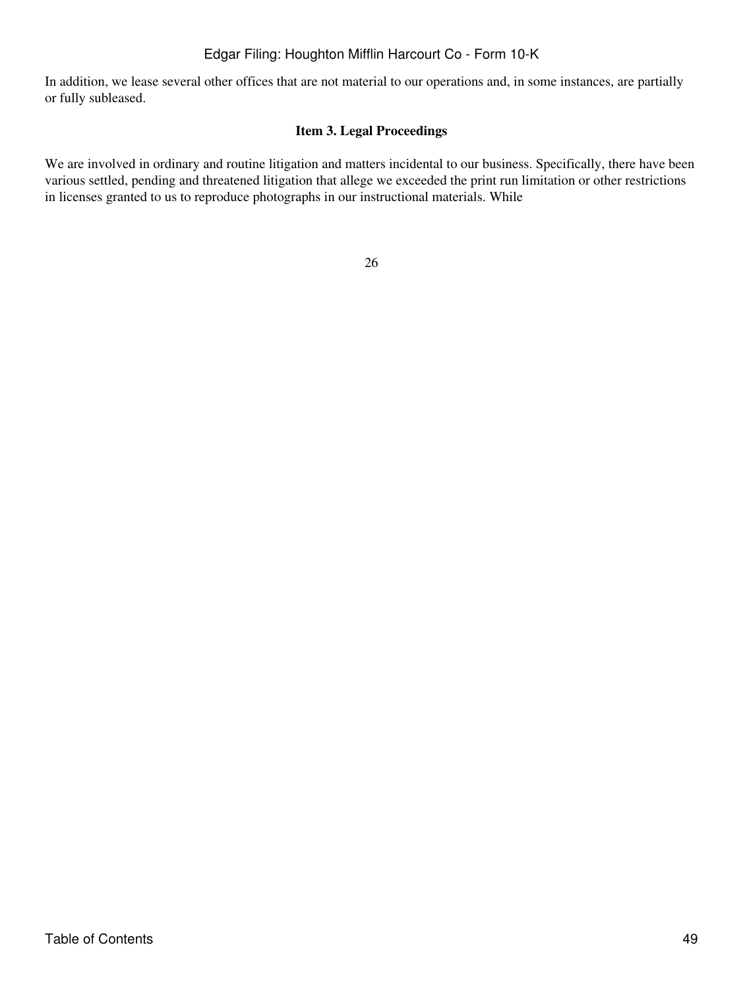In addition, we lease several other offices that are not material to our operations and, in some instances, are partially or fully subleased.

## **Item 3. Legal Proceedings**

We are involved in ordinary and routine litigation and matters incidental to our business. Specifically, there have been various settled, pending and threatened litigation that allege we exceeded the print run limitation or other restrictions in licenses granted to us to reproduce photographs in our instructional materials. While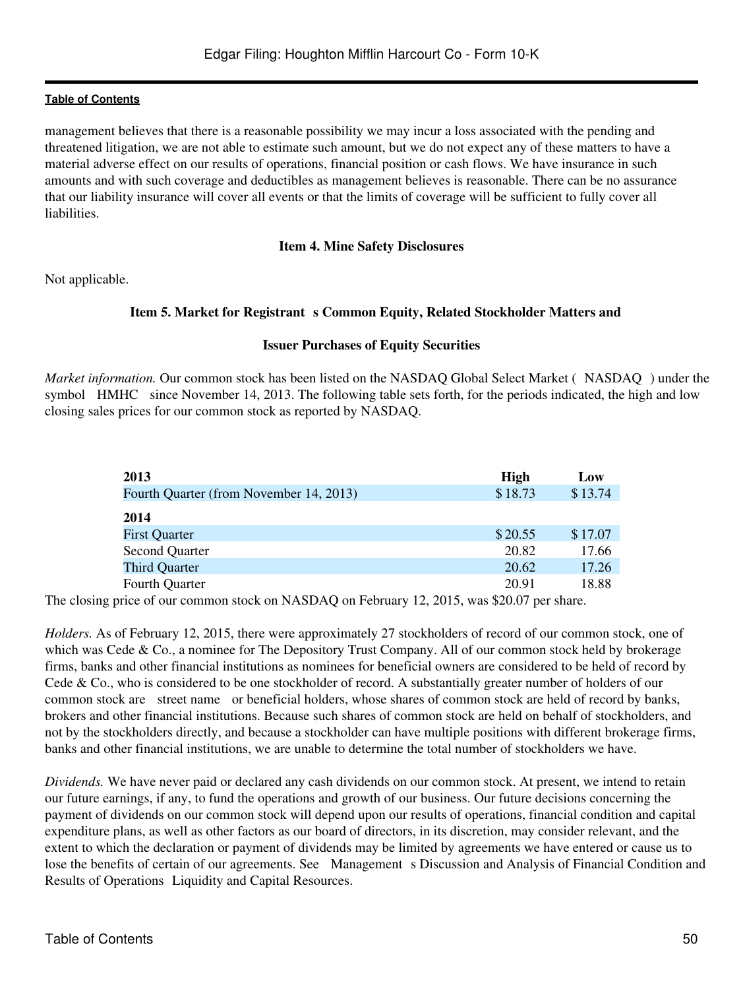management believes that there is a reasonable possibility we may incur a loss associated with the pending and threatened litigation, we are not able to estimate such amount, but we do not expect any of these matters to have a material adverse effect on our results of operations, financial position or cash flows. We have insurance in such amounts and with such coverage and deductibles as management believes is reasonable. There can be no assurance that our liability insurance will cover all events or that the limits of coverage will be sufficient to fully cover all liabilities.

## **Item 4. Mine Safety Disclosures**

Not applicable.

## **Item 5. Market for Registrant s Common Equity, Related Stockholder Matters and**

## **Issuer Purchases of Equity Securities**

*Market information*. Our common stock has been listed on the NASDAQ Global Select Market (NASDAQ) under the symbol HMHC since November 14, 2013. The following table sets forth, for the periods indicated, the high and low closing sales prices for our common stock as reported by NASDAQ.

| 2013                                    | <b>High</b> | Low     |
|-----------------------------------------|-------------|---------|
| Fourth Quarter (from November 14, 2013) | \$18.73     | \$13.74 |
| 2014                                    |             |         |
| <b>First Quarter</b>                    | \$20.55     | \$17.07 |
| <b>Second Quarter</b>                   | 20.82       | 17.66   |
| <b>Third Quarter</b>                    | 20.62       | 17.26   |
| Fourth Quarter                          | 20.91       | 18.88   |

The closing price of our common stock on NASDAQ on February 12, 2015, was \$20.07 per share.

*Holders.* As of February 12, 2015, there were approximately 27 stockholders of record of our common stock, one of which was Cede & Co., a nominee for The Depository Trust Company. All of our common stock held by brokerage firms, banks and other financial institutions as nominees for beneficial owners are considered to be held of record by Cede & Co., who is considered to be one stockholder of record. A substantially greater number of holders of our common stock are street name or beneficial holders, whose shares of common stock are held of record by banks, brokers and other financial institutions. Because such shares of common stock are held on behalf of stockholders, and not by the stockholders directly, and because a stockholder can have multiple positions with different brokerage firms, banks and other financial institutions, we are unable to determine the total number of stockholders we have.

*Dividends.* We have never paid or declared any cash dividends on our common stock. At present, we intend to retain our future earnings, if any, to fund the operations and growth of our business. Our future decisions concerning the payment of dividends on our common stock will depend upon our results of operations, financial condition and capital expenditure plans, as well as other factors as our board of directors, in its discretion, may consider relevant, and the extent to which the declaration or payment of dividends may be limited by agreements we have entered or cause us to lose the benefits of certain of our agreements. See Management s Discussion and Analysis of Financial Condition and Results of Operations Liquidity and Capital Resources.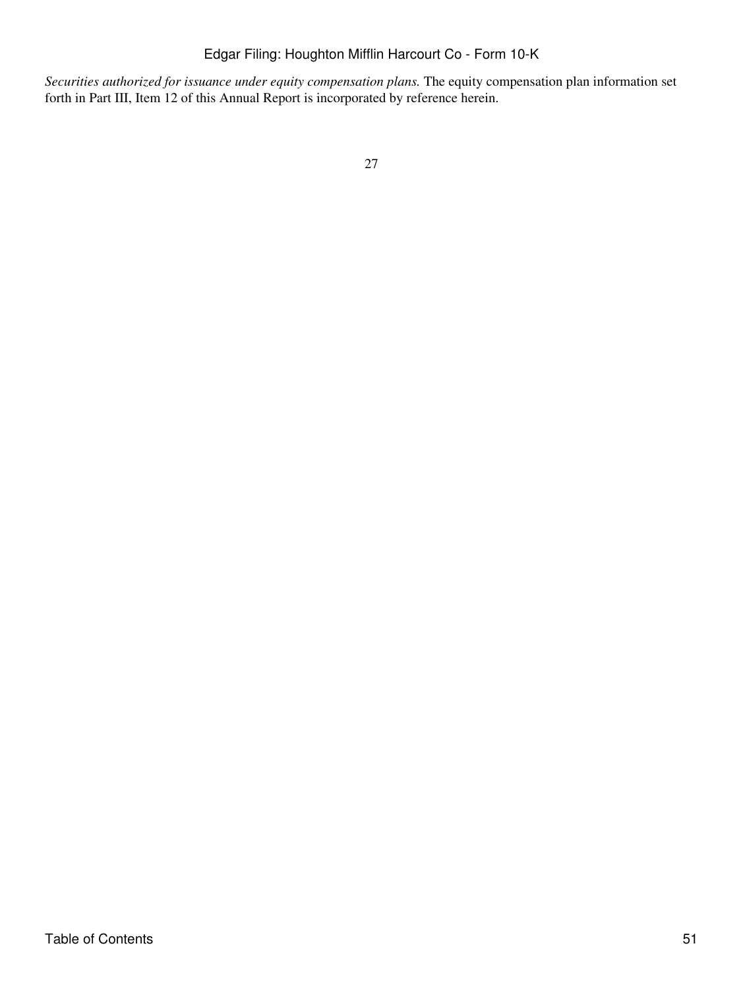*Securities authorized for issuance under equity compensation plans.* The equity compensation plan information set forth in Part III, Item 12 of this Annual Report is incorporated by reference herein.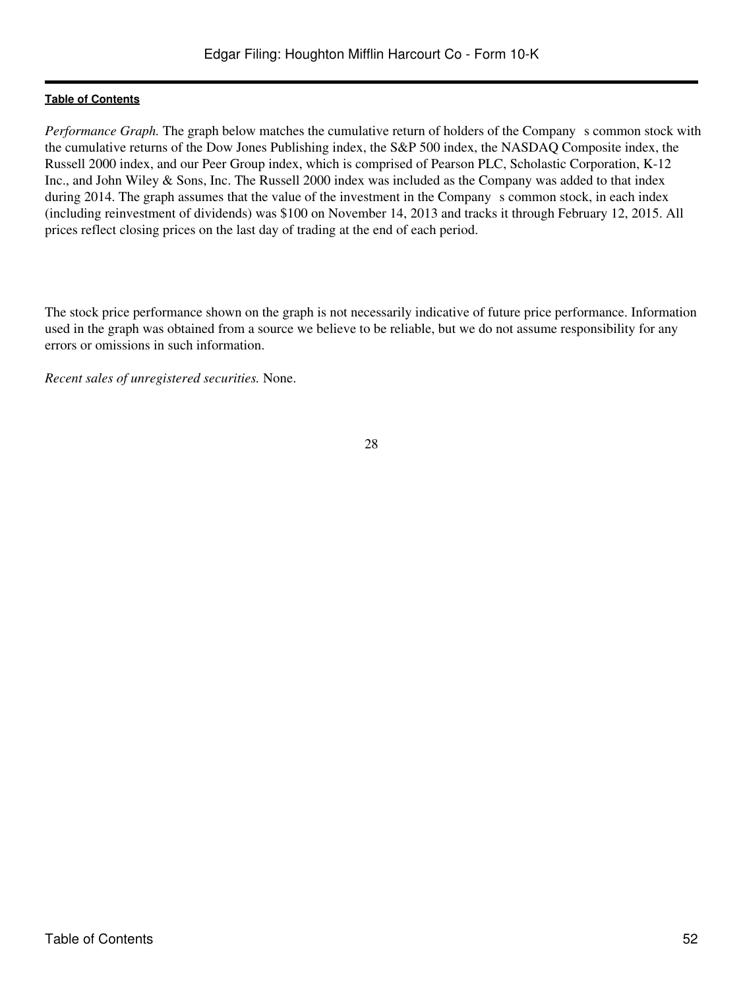*Performance Graph.* The graph below matches the cumulative return of holders of the Company s common stock with the cumulative returns of the Dow Jones Publishing index, the S&P 500 index, the NASDAQ Composite index, the Russell 2000 index, and our Peer Group index, which is comprised of Pearson PLC, Scholastic Corporation, K-12 Inc., and John Wiley & Sons, Inc. The Russell 2000 index was included as the Company was added to that index during 2014. The graph assumes that the value of the investment in the Company s common stock, in each index (including reinvestment of dividends) was \$100 on November 14, 2013 and tracks it through February 12, 2015. All prices reflect closing prices on the last day of trading at the end of each period.

The stock price performance shown on the graph is not necessarily indicative of future price performance. Information used in the graph was obtained from a source we believe to be reliable, but we do not assume responsibility for any errors or omissions in such information.

*Recent sales of unregistered securities.* None.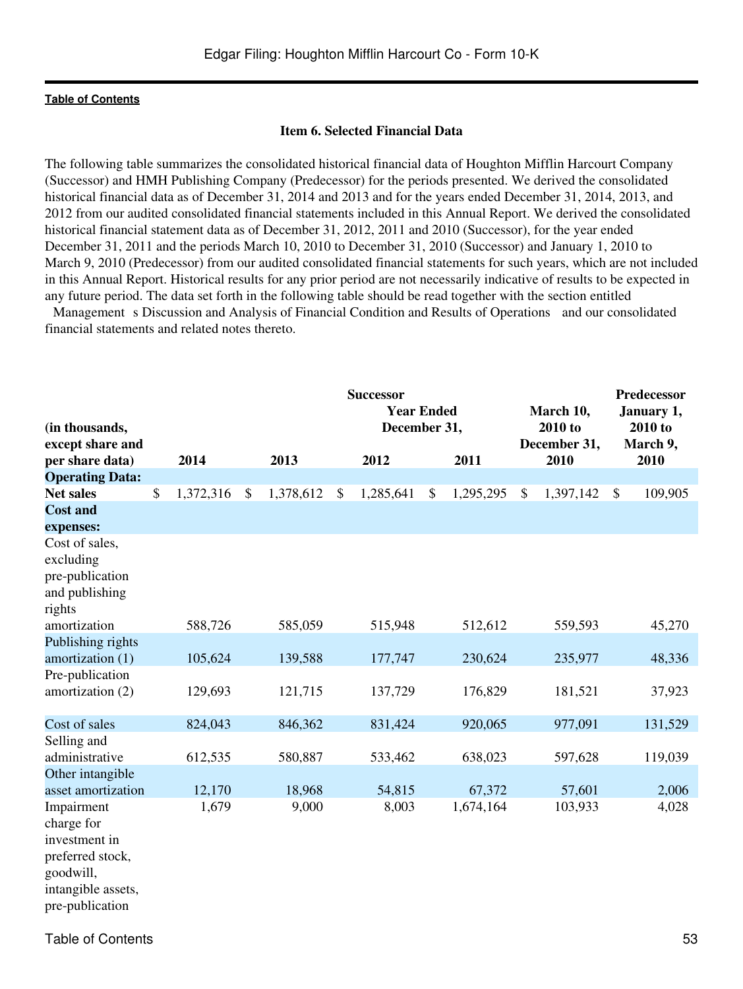#### **Item 6. Selected Financial Data**

The following table summarizes the consolidated historical financial data of Houghton Mifflin Harcourt Company (Successor) and HMH Publishing Company (Predecessor) for the periods presented. We derived the consolidated historical financial data as of December 31, 2014 and 2013 and for the years ended December 31, 2014, 2013, and 2012 from our audited consolidated financial statements included in this Annual Report. We derived the consolidated historical financial statement data as of December 31, 2012, 2011 and 2010 (Successor), for the year ended December 31, 2011 and the periods March 10, 2010 to December 31, 2010 (Successor) and January 1, 2010 to March 9, 2010 (Predecessor) from our audited consolidated financial statements for such years, which are not included in this Annual Report. Historical results for any prior period are not necessarily indicative of results to be expected in any future period. The data set forth in the following table should be read together with the section entitled

Management s Discussion and Analysis of Financial Condition and Results of Operations and our consolidated financial statements and related notes thereto.

| (in thousands,<br>except share and                                                                                  |                           |                    |               |                    | <b>Successor</b><br><b>Year Ended</b><br>December 31, |                    |    |                    |    | March 10,<br>2010 to<br>December 31, | Predecessor<br>January 1,<br>2010 to<br>March 9, |                  |
|---------------------------------------------------------------------------------------------------------------------|---------------------------|--------------------|---------------|--------------------|-------------------------------------------------------|--------------------|----|--------------------|----|--------------------------------------|--------------------------------------------------|------------------|
| per share data)                                                                                                     |                           | 2014               |               | 2013               |                                                       | 2012               |    | 2011               |    | 2010                                 | 2010                                             |                  |
| <b>Operating Data:</b>                                                                                              |                           |                    |               |                    |                                                       |                    |    |                    |    |                                      |                                                  |                  |
| <b>Net sales</b>                                                                                                    | $\boldsymbol{\mathsf{S}}$ | 1,372,316          | $\mathcal{S}$ | 1,378,612          | $\frac{1}{2}$                                         | 1,285,641          | \$ | 1,295,295          | \$ | 1,397,142                            | \$                                               | 109,905          |
| <b>Cost and</b><br>expenses:                                                                                        |                           |                    |               |                    |                                                       |                    |    |                    |    |                                      |                                                  |                  |
| Cost of sales,<br>excluding<br>pre-publication<br>and publishing<br>rights                                          |                           |                    |               |                    |                                                       |                    |    |                    |    |                                      |                                                  |                  |
| amortization                                                                                                        |                           | 588,726            |               | 585,059            |                                                       | 515,948            |    | 512,612            |    | 559,593                              |                                                  | 45,270           |
| Publishing rights<br>amortization (1)<br>Pre-publication<br>amortization (2)                                        |                           | 105,624<br>129,693 |               | 139,588<br>121,715 |                                                       | 177,747<br>137,729 |    | 230,624<br>176,829 |    | 235,977<br>181,521                   |                                                  | 48,336<br>37,923 |
| Cost of sales                                                                                                       |                           | 824,043            |               | 846,362            |                                                       | 831,424            |    | 920,065            |    | 977,091                              |                                                  | 131,529          |
| Selling and<br>administrative<br>Other intangible                                                                   |                           | 612,535            |               | 580,887            |                                                       | 533,462            |    | 638,023            |    | 597,628                              |                                                  | 119,039          |
| asset amortization                                                                                                  |                           | 12,170             |               | 18,968             |                                                       | 54,815             |    | 67,372             |    | 57,601                               |                                                  | 2,006            |
| Impairment<br>charge for<br>investment in<br>preferred stock,<br>goodwill,<br>intangible assets,<br>pre-publication |                           | 1,679              |               | 9,000              |                                                       | 8,003              |    | 1,674,164          |    | 103,933                              |                                                  | 4,028            |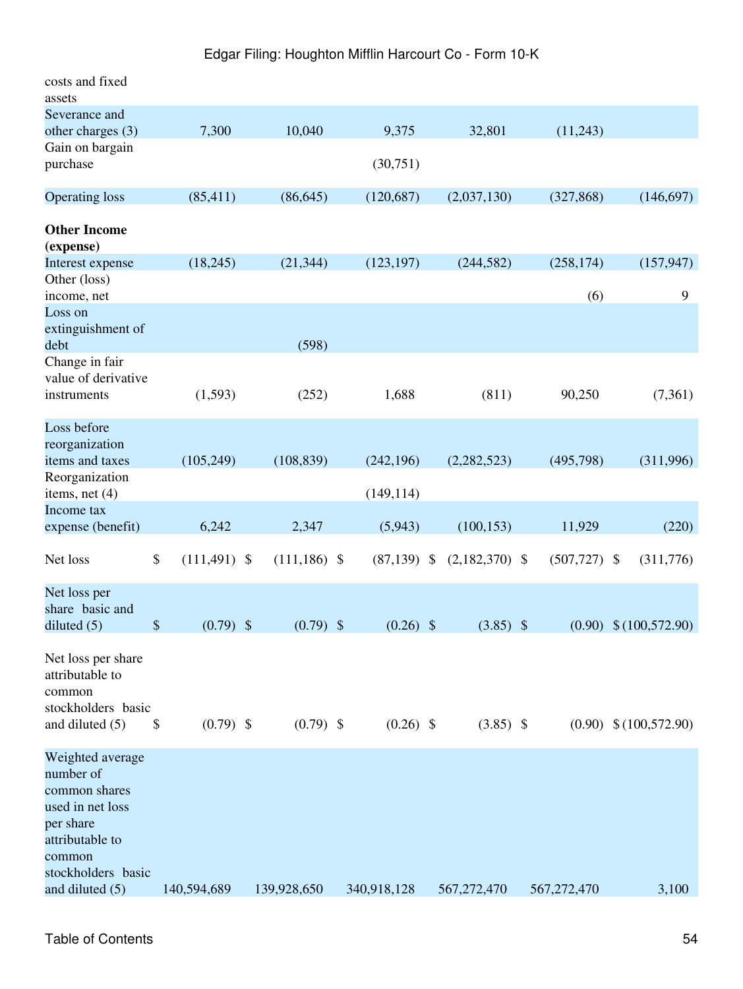| costs and fixed<br>assets                                                                                                                             |                       |                 |               |                  |                |                            |
|-------------------------------------------------------------------------------------------------------------------------------------------------------|-----------------------|-----------------|---------------|------------------|----------------|----------------------------|
| Severance and                                                                                                                                         |                       |                 |               |                  |                |                            |
| other charges (3)                                                                                                                                     | 7,300                 | 10,040          | 9,375         | 32,801           | (11,243)       |                            |
| Gain on bargain<br>purchase                                                                                                                           |                       |                 | (30,751)      |                  |                |                            |
| <b>Operating loss</b>                                                                                                                                 | (85, 411)             | (86, 645)       | (120, 687)    | (2,037,130)      | (327, 868)     | (146, 697)                 |
| <b>Other Income</b><br>(expense)                                                                                                                      |                       |                 |               |                  |                |                            |
| Interest expense                                                                                                                                      | (18,245)              | (21, 344)       | (123, 197)    | (244, 582)       | (258, 174)     | (157, 947)                 |
| Other (loss)<br>income, net                                                                                                                           |                       |                 |               |                  | (6)            | 9                          |
| Loss on<br>extinguishment of<br>debt                                                                                                                  |                       | (598)           |               |                  |                |                            |
| Change in fair                                                                                                                                        |                       |                 |               |                  |                |                            |
| value of derivative<br>instruments                                                                                                                    | (1,593)               | (252)           | 1,688         | (811)            | 90,250         | (7,361)                    |
| Loss before<br>reorganization                                                                                                                         |                       |                 |               |                  |                |                            |
| items and taxes                                                                                                                                       | (105, 249)            | (108, 839)      | (242, 196)    | (2,282,523)      | (495,798)      | (311,996)                  |
| Reorganization<br>items, net (4)                                                                                                                      |                       |                 | (149, 114)    |                  |                |                            |
| Income tax                                                                                                                                            |                       |                 |               |                  |                |                            |
| expense (benefit)                                                                                                                                     | 6,242                 | 2,347           | (5,943)       | (100, 153)       | 11,929         | (220)                      |
| Net loss                                                                                                                                              | \$<br>$(111, 491)$ \$ | $(111, 186)$ \$ | $(87,139)$ \$ | $(2,182,370)$ \$ | $(507,727)$ \$ | (311,776)                  |
| Net loss per<br>share basic and<br>diluted $(5)$                                                                                                      | \$<br>$(0.79)$ \$     | $(0.79)$ \$     | $(0.26)$ \$   | $(3.85)$ \$      |                | $(0.90)$ \$ $(100,572.90)$ |
| Net loss per share<br>attributable to<br>common<br>stockholders basic<br>and diluted $(5)$                                                            | $(0.79)$ \$<br>\$     | $(0.79)$ \$     | $(0.26)$ \$   | $(3.85)$ \$      |                | $(0.90)$ \$ $(100,572.90)$ |
| Weighted average<br>number of<br>common shares<br>used in net loss<br>per share<br>attributable to<br>common<br>stockholders basic<br>and diluted (5) | 140,594,689           | 139,928,650     | 340,918,128   | 567,272,470      | 567, 272, 470  | 3,100                      |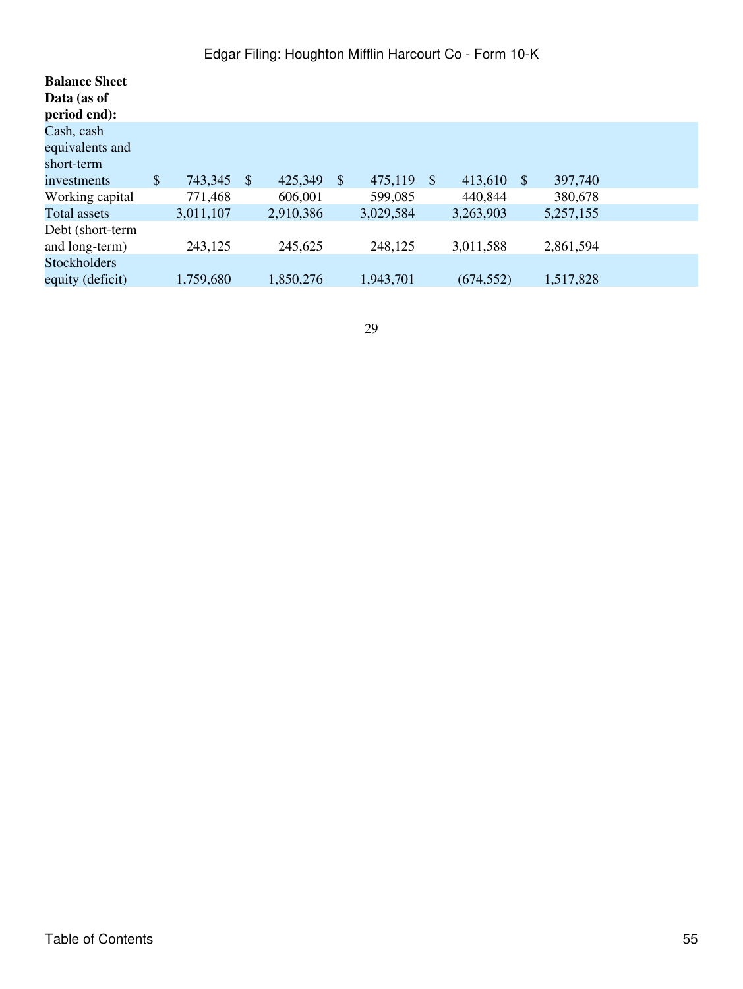| <b>Balance Sheet</b> |               |           |               |           |               |           |               |            |              |           |
|----------------------|---------------|-----------|---------------|-----------|---------------|-----------|---------------|------------|--------------|-----------|
| Data (as of          |               |           |               |           |               |           |               |            |              |           |
| period end):         |               |           |               |           |               |           |               |            |              |           |
| Cash, cash           |               |           |               |           |               |           |               |            |              |           |
| equivalents and      |               |           |               |           |               |           |               |            |              |           |
| short-term           |               |           |               |           |               |           |               |            |              |           |
| investments          | $\mathcal{S}$ | 743,345   | <sup>\$</sup> | 425,349   | $\mathcal{S}$ | 475,119   | $\mathcal{S}$ | 413,610    | <sup>S</sup> | 397,740   |
| Working capital      |               | 771,468   |               | 606,001   |               | 599,085   |               | 440,844    |              | 380,678   |
| Total assets         |               | 3,011,107 |               | 2,910,386 |               | 3,029,584 |               | 3,263,903  |              | 5,257,155 |
| Debt (short-term     |               |           |               |           |               |           |               |            |              |           |
| and long-term)       |               | 243,125   |               | 245,625   |               | 248,125   |               | 3,011,588  |              | 2,861,594 |
| <b>Stockholders</b>  |               |           |               |           |               |           |               |            |              |           |
| equity (deficit)     |               | 1,759,680 |               | 1,850,276 |               | 1,943,701 |               | (674, 552) |              | 1,517,828 |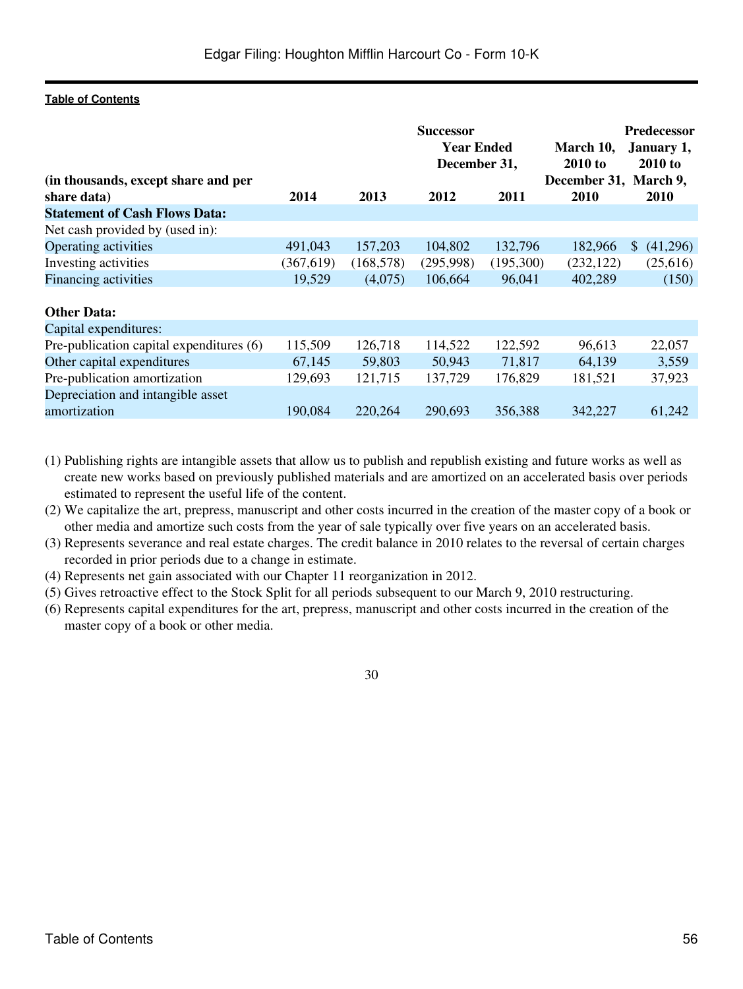|                                          |            |            | <b>Successor</b>  |           | <b>Predecessor</b>    |                 |  |
|------------------------------------------|------------|------------|-------------------|-----------|-----------------------|-----------------|--|
|                                          |            |            | <b>Year Ended</b> |           | March 10,             | January 1,      |  |
|                                          |            |            | December 31,      |           | 2010 to               | 2010 to         |  |
| (in thousands, except share and per      |            |            |                   |           | December 31, March 9, |                 |  |
| share data)                              | 2014       | 2013       | 2012              | 2011      | 2010                  | <b>2010</b>     |  |
| <b>Statement of Cash Flows Data:</b>     |            |            |                   |           |                       |                 |  |
| Net cash provided by (used in):          |            |            |                   |           |                       |                 |  |
| Operating activities                     | 491,043    | 157,203    | 104,802           | 132,796   | 182,966               | (41,296)<br>\$. |  |
| Investing activities                     | (367, 619) | (168, 578) | (295,998)         | (195,300) | (232, 122)            | (25,616)        |  |
| Financing activities                     | 19,529     | (4,075)    | 106,664           | 96,041    | 402,289               | (150)           |  |
|                                          |            |            |                   |           |                       |                 |  |
| <b>Other Data:</b>                       |            |            |                   |           |                       |                 |  |
| Capital expenditures:                    |            |            |                   |           |                       |                 |  |
| Pre-publication capital expenditures (6) | 115,509    | 126,718    | 114,522           | 122,592   | 96,613                | 22,057          |  |
| Other capital expenditures               | 67,145     | 59,803     | 50,943            | 71,817    | 64,139                | 3,559           |  |
| Pre-publication amortization             | 129,693    | 121,715    | 137,729           | 176,829   | 181,521               | 37,923          |  |
| Depreciation and intangible asset        |            |            |                   |           |                       |                 |  |
| amortization                             | 190,084    | 220,264    | 290,693           | 356,388   | 342,227               | 61,242          |  |

- (1) Publishing rights are intangible assets that allow us to publish and republish existing and future works as well as create new works based on previously published materials and are amortized on an accelerated basis over periods estimated to represent the useful life of the content.
- (2) We capitalize the art, prepress, manuscript and other costs incurred in the creation of the master copy of a book or other media and amortize such costs from the year of sale typically over five years on an accelerated basis.
- (3) Represents severance and real estate charges. The credit balance in 2010 relates to the reversal of certain charges recorded in prior periods due to a change in estimate.
- (4) Represents net gain associated with our Chapter 11 reorganization in 2012.
- (5) Gives retroactive effect to the Stock Split for all periods subsequent to our March 9, 2010 restructuring.
- (6) Represents capital expenditures for the art, prepress, manuscript and other costs incurred in the creation of the master copy of a book or other media.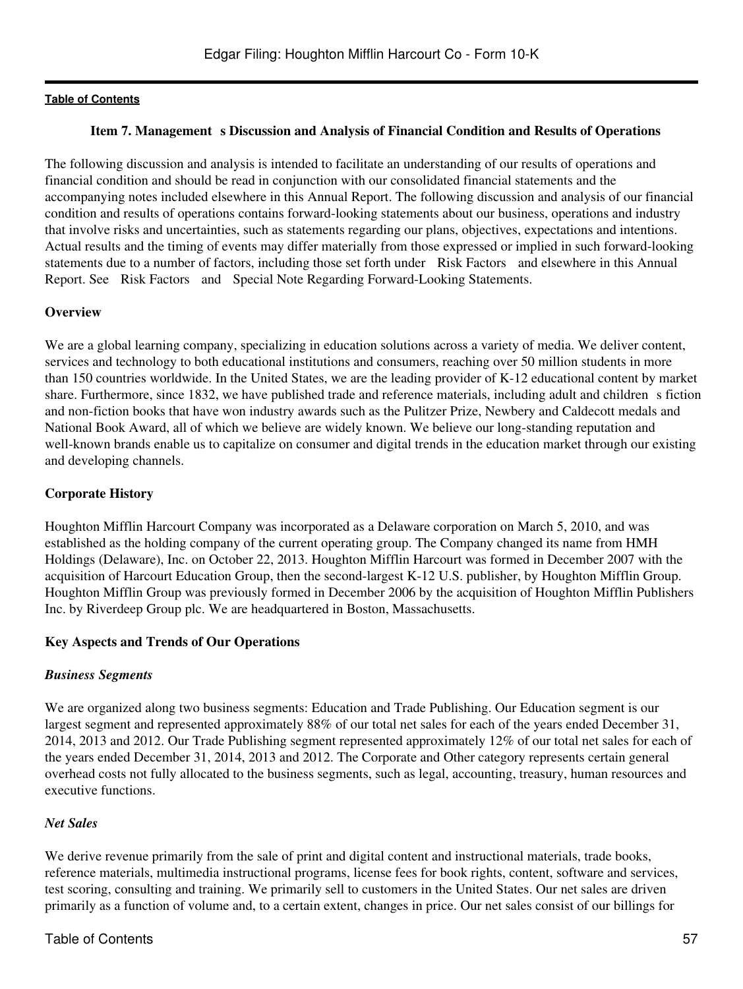## **Item 7. Management s Discussion and Analysis of Financial Condition and Results of Operations**

The following discussion and analysis is intended to facilitate an understanding of our results of operations and financial condition and should be read in conjunction with our consolidated financial statements and the accompanying notes included elsewhere in this Annual Report. The following discussion and analysis of our financial condition and results of operations contains forward-looking statements about our business, operations and industry that involve risks and uncertainties, such as statements regarding our plans, objectives, expectations and intentions. Actual results and the timing of events may differ materially from those expressed or implied in such forward-looking statements due to a number of factors, including those set forth under Risk Factors and elsewhere in this Annual Report. See Risk Factors and Special Note Regarding Forward-Looking Statements.

## **Overview**

We are a global learning company, specializing in education solutions across a variety of media. We deliver content, services and technology to both educational institutions and consumers, reaching over 50 million students in more than 150 countries worldwide. In the United States, we are the leading provider of K-12 educational content by market share. Furthermore, since 1832, we have published trade and reference materials, including adult and children s fiction and non-fiction books that have won industry awards such as the Pulitzer Prize, Newbery and Caldecott medals and National Book Award, all of which we believe are widely known. We believe our long-standing reputation and well-known brands enable us to capitalize on consumer and digital trends in the education market through our existing and developing channels.

## **Corporate History**

Houghton Mifflin Harcourt Company was incorporated as a Delaware corporation on March 5, 2010, and was established as the holding company of the current operating group. The Company changed its name from HMH Holdings (Delaware), Inc. on October 22, 2013. Houghton Mifflin Harcourt was formed in December 2007 with the acquisition of Harcourt Education Group, then the second-largest K-12 U.S. publisher, by Houghton Mifflin Group. Houghton Mifflin Group was previously formed in December 2006 by the acquisition of Houghton Mifflin Publishers Inc. by Riverdeep Group plc. We are headquartered in Boston, Massachusetts.

#### **Key Aspects and Trends of Our Operations**

#### *Business Segments*

We are organized along two business segments: Education and Trade Publishing. Our Education segment is our largest segment and represented approximately 88% of our total net sales for each of the years ended December 31, 2014, 2013 and 2012. Our Trade Publishing segment represented approximately 12% of our total net sales for each of the years ended December 31, 2014, 2013 and 2012. The Corporate and Other category represents certain general overhead costs not fully allocated to the business segments, such as legal, accounting, treasury, human resources and executive functions.

#### *Net Sales*

We derive revenue primarily from the sale of print and digital content and instructional materials, trade books, reference materials, multimedia instructional programs, license fees for book rights, content, software and services, test scoring, consulting and training. We primarily sell to customers in the United States. Our net sales are driven primarily as a function of volume and, to a certain extent, changes in price. Our net sales consist of our billings for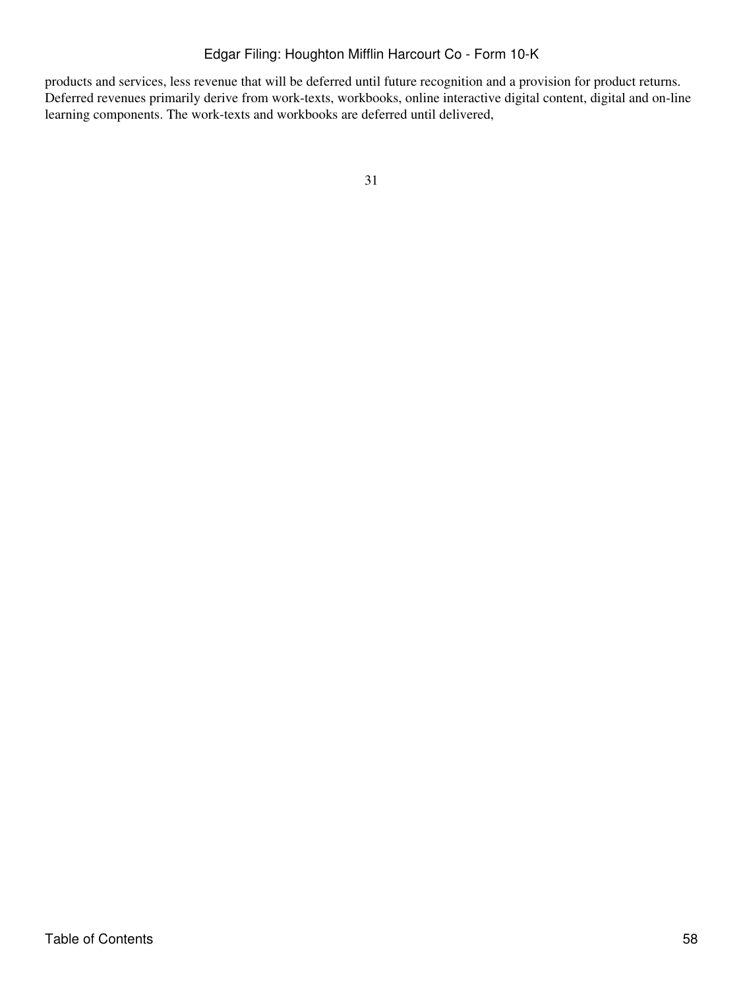products and services, less revenue that will be deferred until future recognition and a provision for product returns. Deferred revenues primarily derive from work-texts, workbooks, online interactive digital content, digital and on-line learning components. The work-texts and workbooks are deferred until delivered,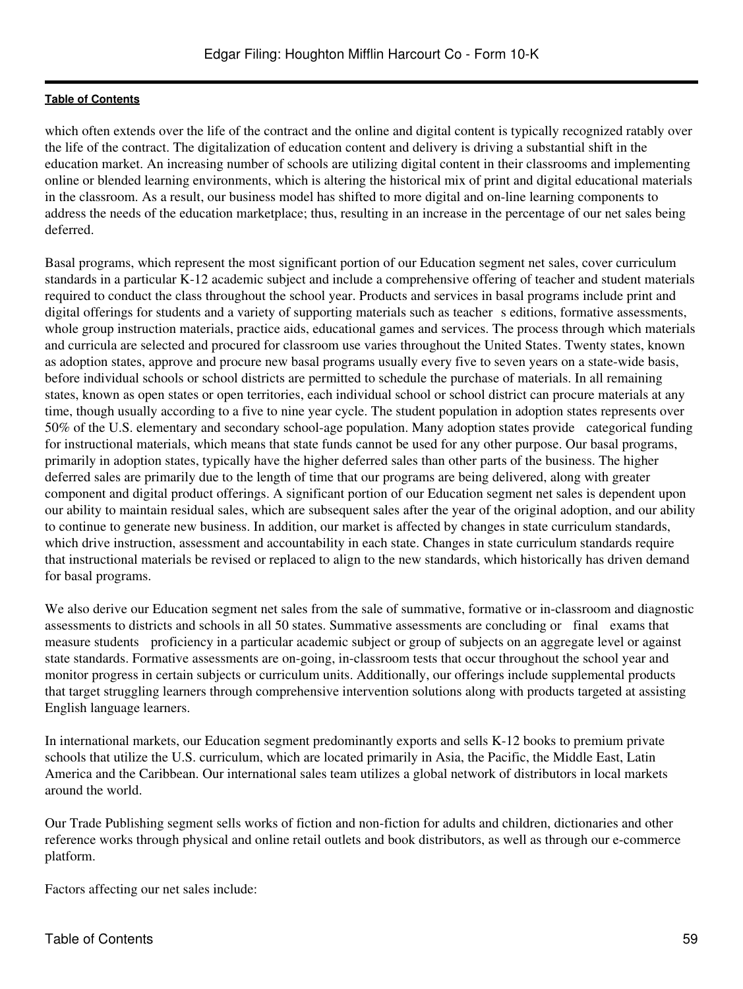which often extends over the life of the contract and the online and digital content is typically recognized ratably over the life of the contract. The digitalization of education content and delivery is driving a substantial shift in the education market. An increasing number of schools are utilizing digital content in their classrooms and implementing online or blended learning environments, which is altering the historical mix of print and digital educational materials in the classroom. As a result, our business model has shifted to more digital and on-line learning components to address the needs of the education marketplace; thus, resulting in an increase in the percentage of our net sales being deferred.

Basal programs, which represent the most significant portion of our Education segment net sales, cover curriculum standards in a particular K-12 academic subject and include a comprehensive offering of teacher and student materials required to conduct the class throughout the school year. Products and services in basal programs include print and digital offerings for students and a variety of supporting materials such as teacher s editions, formative assessments, whole group instruction materials, practice aids, educational games and services. The process through which materials and curricula are selected and procured for classroom use varies throughout the United States. Twenty states, known as adoption states, approve and procure new basal programs usually every five to seven years on a state-wide basis, before individual schools or school districts are permitted to schedule the purchase of materials. In all remaining states, known as open states or open territories, each individual school or school district can procure materials at any time, though usually according to a five to nine year cycle. The student population in adoption states represents over 50% of the U.S. elementary and secondary school-age population. Many adoption states provide categorical funding for instructional materials, which means that state funds cannot be used for any other purpose. Our basal programs, primarily in adoption states, typically have the higher deferred sales than other parts of the business. The higher deferred sales are primarily due to the length of time that our programs are being delivered, along with greater component and digital product offerings. A significant portion of our Education segment net sales is dependent upon our ability to maintain residual sales, which are subsequent sales after the year of the original adoption, and our ability to continue to generate new business. In addition, our market is affected by changes in state curriculum standards, which drive instruction, assessment and accountability in each state. Changes in state curriculum standards require that instructional materials be revised or replaced to align to the new standards, which historically has driven demand for basal programs.

We also derive our Education segment net sales from the sale of summative, formative or in-classroom and diagnostic assessments to districts and schools in all 50 states. Summative assessments are concluding or final exams that measure students proficiency in a particular academic subject or group of subjects on an aggregate level or against state standards. Formative assessments are on-going, in-classroom tests that occur throughout the school year and monitor progress in certain subjects or curriculum units. Additionally, our offerings include supplemental products that target struggling learners through comprehensive intervention solutions along with products targeted at assisting English language learners.

In international markets, our Education segment predominantly exports and sells K-12 books to premium private schools that utilize the U.S. curriculum, which are located primarily in Asia, the Pacific, the Middle East, Latin America and the Caribbean. Our international sales team utilizes a global network of distributors in local markets around the world.

Our Trade Publishing segment sells works of fiction and non-fiction for adults and children, dictionaries and other reference works through physical and online retail outlets and book distributors, as well as through our e-commerce platform.

Factors affecting our net sales include: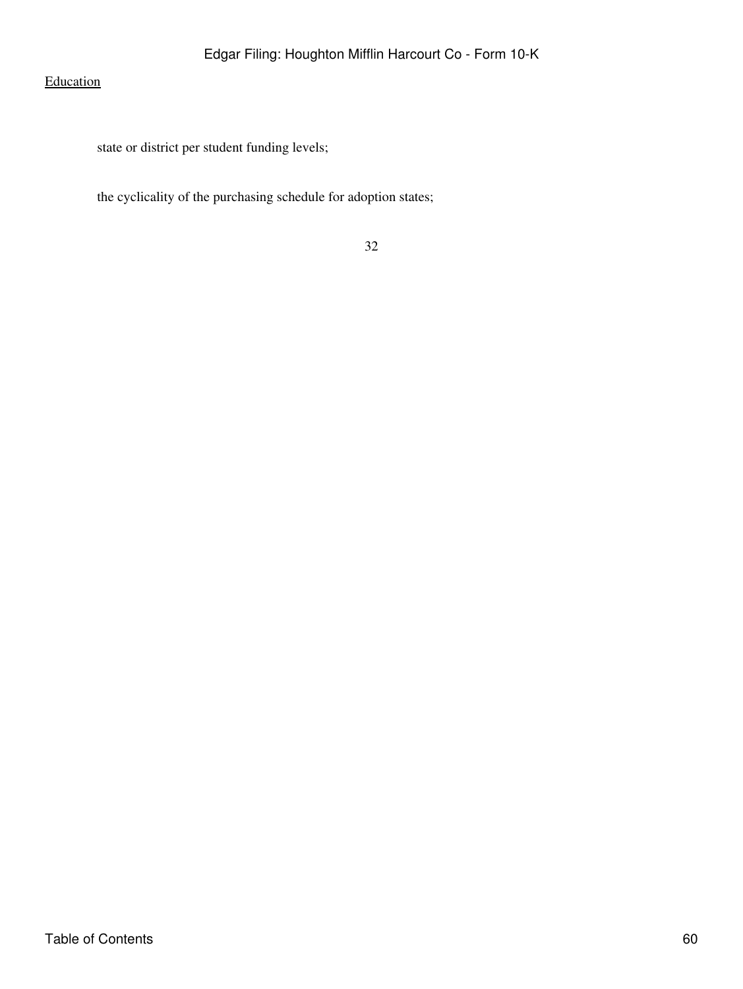# **Education**

state or district per student funding levels;

the cyclicality of the purchasing schedule for adoption states;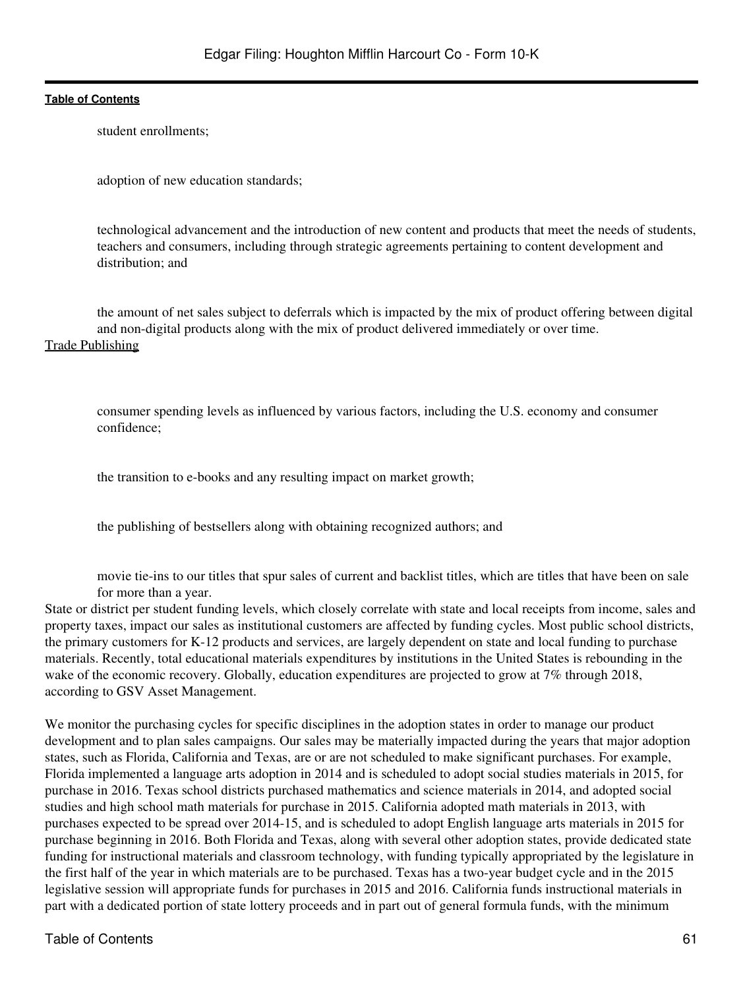student enrollments;

adoption of new education standards;

technological advancement and the introduction of new content and products that meet the needs of students, teachers and consumers, including through strategic agreements pertaining to content development and distribution; and

the amount of net sales subject to deferrals which is impacted by the mix of product offering between digital and non-digital products along with the mix of product delivered immediately or over time. Trade Publishing

consumer spending levels as influenced by various factors, including the U.S. economy and consumer confidence;

the transition to e-books and any resulting impact on market growth;

the publishing of bestsellers along with obtaining recognized authors; and

movie tie-ins to our titles that spur sales of current and backlist titles, which are titles that have been on sale for more than a year.

State or district per student funding levels, which closely correlate with state and local receipts from income, sales and property taxes, impact our sales as institutional customers are affected by funding cycles. Most public school districts, the primary customers for K-12 products and services, are largely dependent on state and local funding to purchase materials. Recently, total educational materials expenditures by institutions in the United States is rebounding in the wake of the economic recovery. Globally, education expenditures are projected to grow at 7% through 2018, according to GSV Asset Management.

We monitor the purchasing cycles for specific disciplines in the adoption states in order to manage our product development and to plan sales campaigns. Our sales may be materially impacted during the years that major adoption states, such as Florida, California and Texas, are or are not scheduled to make significant purchases. For example, Florida implemented a language arts adoption in 2014 and is scheduled to adopt social studies materials in 2015, for purchase in 2016. Texas school districts purchased mathematics and science materials in 2014, and adopted social studies and high school math materials for purchase in 2015. California adopted math materials in 2013, with purchases expected to be spread over 2014-15, and is scheduled to adopt English language arts materials in 2015 for purchase beginning in 2016. Both Florida and Texas, along with several other adoption states, provide dedicated state funding for instructional materials and classroom technology, with funding typically appropriated by the legislature in the first half of the year in which materials are to be purchased. Texas has a two-year budget cycle and in the 2015 legislative session will appropriate funds for purchases in 2015 and 2016. California funds instructional materials in part with a dedicated portion of state lottery proceeds and in part out of general formula funds, with the minimum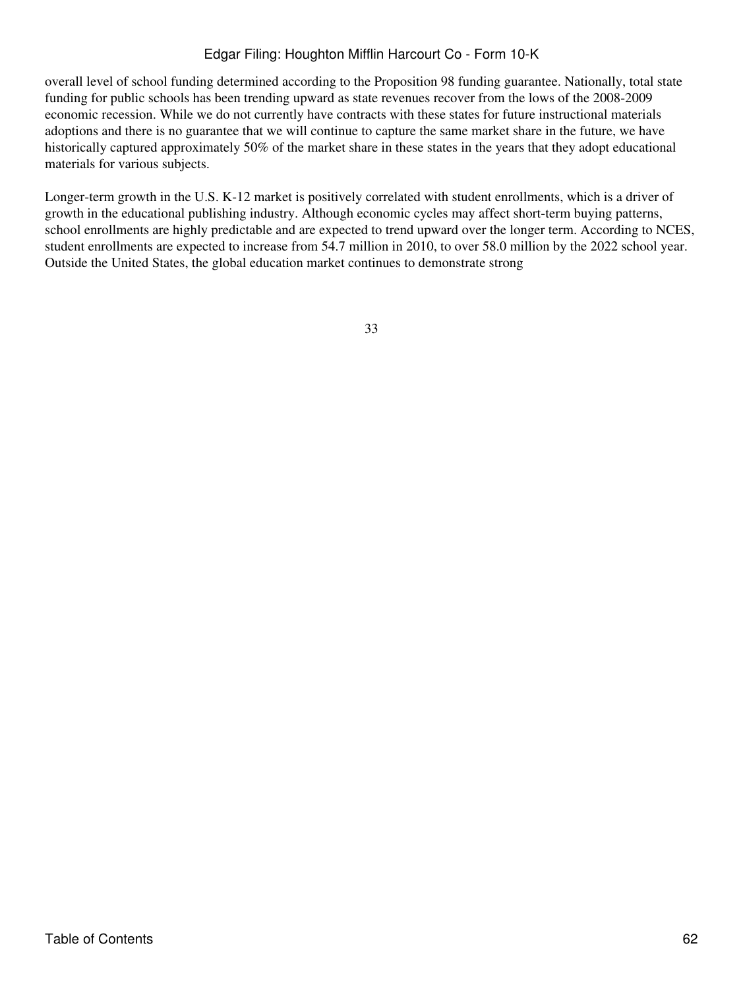overall level of school funding determined according to the Proposition 98 funding guarantee. Nationally, total state funding for public schools has been trending upward as state revenues recover from the lows of the 2008-2009 economic recession. While we do not currently have contracts with these states for future instructional materials adoptions and there is no guarantee that we will continue to capture the same market share in the future, we have historically captured approximately 50% of the market share in these states in the years that they adopt educational materials for various subjects.

Longer-term growth in the U.S. K-12 market is positively correlated with student enrollments, which is a driver of growth in the educational publishing industry. Although economic cycles may affect short-term buying patterns, school enrollments are highly predictable and are expected to trend upward over the longer term. According to NCES, student enrollments are expected to increase from 54.7 million in 2010, to over 58.0 million by the 2022 school year. Outside the United States, the global education market continues to demonstrate strong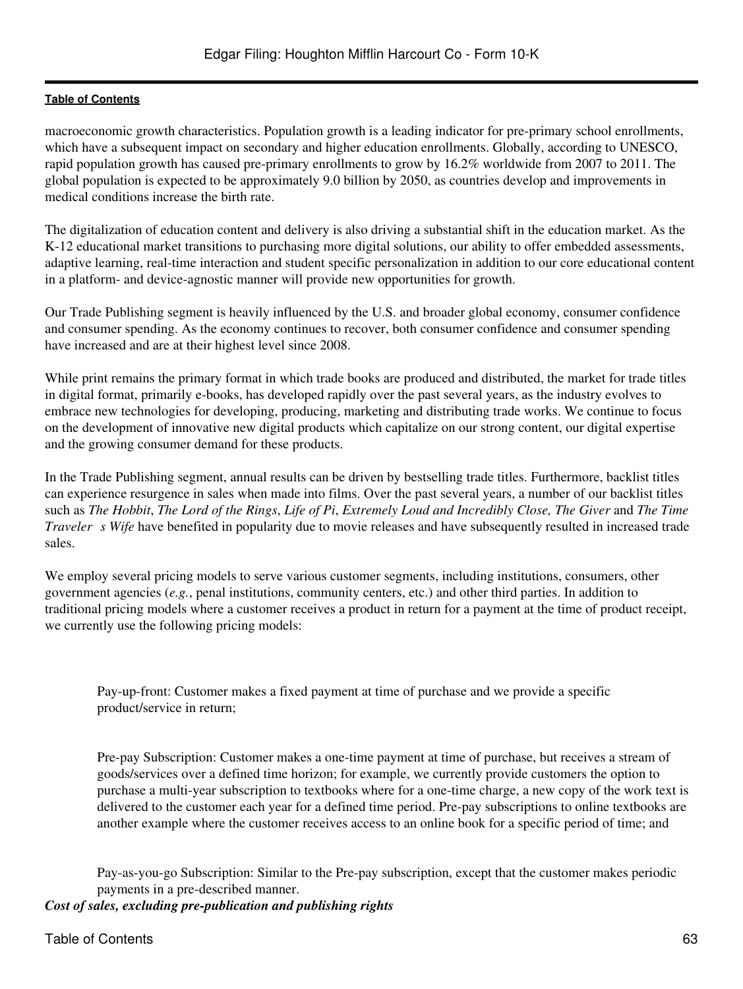macroeconomic growth characteristics. Population growth is a leading indicator for pre-primary school enrollments, which have a subsequent impact on secondary and higher education enrollments. Globally, according to UNESCO, rapid population growth has caused pre-primary enrollments to grow by 16.2% worldwide from 2007 to 2011. The global population is expected to be approximately 9.0 billion by 2050, as countries develop and improvements in medical conditions increase the birth rate.

The digitalization of education content and delivery is also driving a substantial shift in the education market. As the K-12 educational market transitions to purchasing more digital solutions, our ability to offer embedded assessments, adaptive learning, real-time interaction and student specific personalization in addition to our core educational content in a platform- and device-agnostic manner will provide new opportunities for growth.

Our Trade Publishing segment is heavily influenced by the U.S. and broader global economy, consumer confidence and consumer spending. As the economy continues to recover, both consumer confidence and consumer spending have increased and are at their highest level since 2008.

While print remains the primary format in which trade books are produced and distributed, the market for trade titles in digital format, primarily e-books, has developed rapidly over the past several years, as the industry evolves to embrace new technologies for developing, producing, marketing and distributing trade works. We continue to focus on the development of innovative new digital products which capitalize on our strong content, our digital expertise and the growing consumer demand for these products.

In the Trade Publishing segment, annual results can be driven by bestselling trade titles. Furthermore, backlist titles can experience resurgence in sales when made into films. Over the past several years, a number of our backlist titles such as *The Hobbit*, *The Lord of the Rings*, *Life of Pi*, *Extremely Loud and Incredibly Close, The Giver* and *The Time Traveler s Wife* have benefited in popularity due to movie releases and have subsequently resulted in increased trade sales.

We employ several pricing models to serve various customer segments, including institutions, consumers, other government agencies (*e.g.*, penal institutions, community centers, etc.) and other third parties. In addition to traditional pricing models where a customer receives a product in return for a payment at the time of product receipt, we currently use the following pricing models:

Pay-up-front: Customer makes a fixed payment at time of purchase and we provide a specific product/service in return;

Pre-pay Subscription: Customer makes a one-time payment at time of purchase, but receives a stream of goods/services over a defined time horizon; for example, we currently provide customers the option to purchase a multi-year subscription to textbooks where for a one-time charge, a new copy of the work text is delivered to the customer each year for a defined time period. Pre-pay subscriptions to online textbooks are another example where the customer receives access to an online book for a specific period of time; and

Pay-as-you-go Subscription: Similar to the Pre-pay subscription, except that the customer makes periodic payments in a pre-described manner.

*Cost of sales, excluding pre-publication and publishing rights*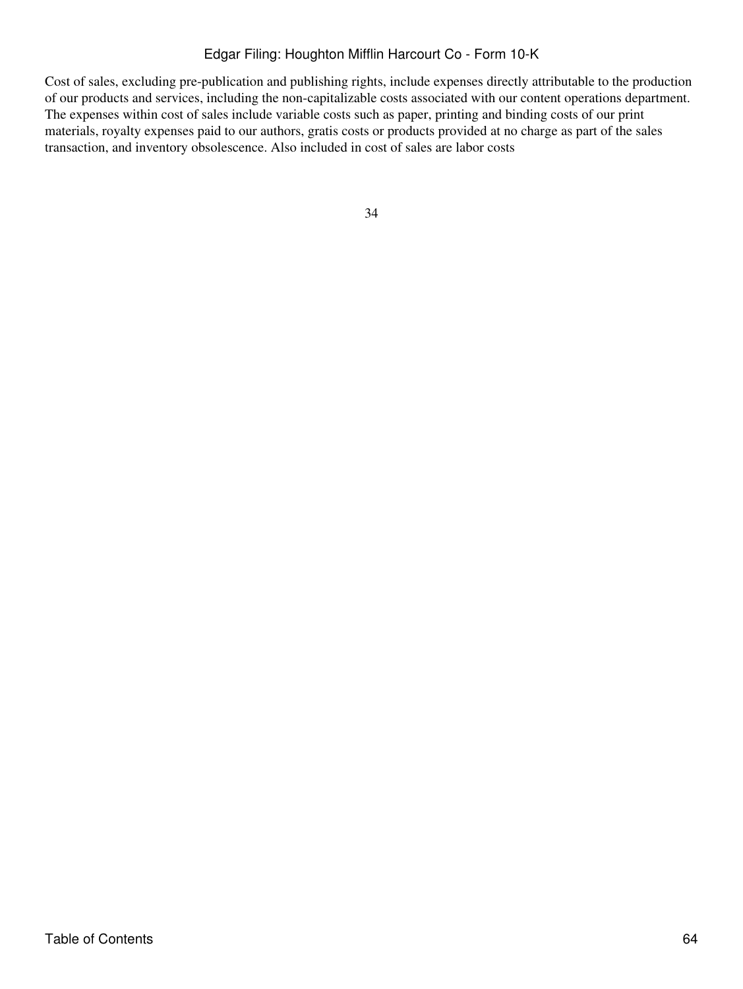Cost of sales, excluding pre-publication and publishing rights, include expenses directly attributable to the production of our products and services, including the non-capitalizable costs associated with our content operations department. The expenses within cost of sales include variable costs such as paper, printing and binding costs of our print materials, royalty expenses paid to our authors, gratis costs or products provided at no charge as part of the sales transaction, and inventory obsolescence. Also included in cost of sales are labor costs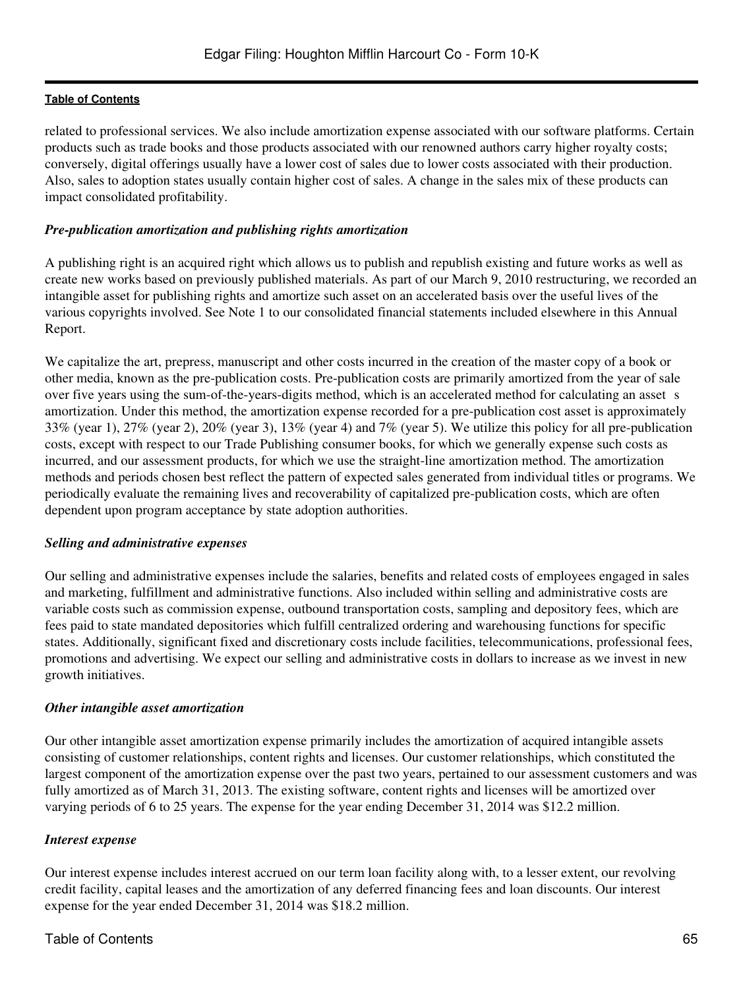related to professional services. We also include amortization expense associated with our software platforms. Certain products such as trade books and those products associated with our renowned authors carry higher royalty costs; conversely, digital offerings usually have a lower cost of sales due to lower costs associated with their production. Also, sales to adoption states usually contain higher cost of sales. A change in the sales mix of these products can impact consolidated profitability.

## *Pre-publication amortization and publishing rights amortization*

A publishing right is an acquired right which allows us to publish and republish existing and future works as well as create new works based on previously published materials. As part of our March 9, 2010 restructuring, we recorded an intangible asset for publishing rights and amortize such asset on an accelerated basis over the useful lives of the various copyrights involved. See Note 1 to our consolidated financial statements included elsewhere in this Annual Report.

We capitalize the art, prepress, manuscript and other costs incurred in the creation of the master copy of a book or other media, known as the pre-publication costs. Pre-publication costs are primarily amortized from the year of sale over five years using the sum-of-the-years-digits method, which is an accelerated method for calculating an asset s amortization. Under this method, the amortization expense recorded for a pre-publication cost asset is approximately 33% (year 1), 27% (year 2), 20% (year 3), 13% (year 4) and 7% (year 5). We utilize this policy for all pre-publication costs, except with respect to our Trade Publishing consumer books, for which we generally expense such costs as incurred, and our assessment products, for which we use the straight-line amortization method. The amortization methods and periods chosen best reflect the pattern of expected sales generated from individual titles or programs. We periodically evaluate the remaining lives and recoverability of capitalized pre-publication costs, which are often dependent upon program acceptance by state adoption authorities.

#### *Selling and administrative expenses*

Our selling and administrative expenses include the salaries, benefits and related costs of employees engaged in sales and marketing, fulfillment and administrative functions. Also included within selling and administrative costs are variable costs such as commission expense, outbound transportation costs, sampling and depository fees, which are fees paid to state mandated depositories which fulfill centralized ordering and warehousing functions for specific states. Additionally, significant fixed and discretionary costs include facilities, telecommunications, professional fees, promotions and advertising. We expect our selling and administrative costs in dollars to increase as we invest in new growth initiatives.

## *Other intangible asset amortization*

Our other intangible asset amortization expense primarily includes the amortization of acquired intangible assets consisting of customer relationships, content rights and licenses. Our customer relationships, which constituted the largest component of the amortization expense over the past two years, pertained to our assessment customers and was fully amortized as of March 31, 2013. The existing software, content rights and licenses will be amortized over varying periods of 6 to 25 years. The expense for the year ending December 31, 2014 was \$12.2 million.

## *Interest expense*

Our interest expense includes interest accrued on our term loan facility along with, to a lesser extent, our revolving credit facility, capital leases and the amortization of any deferred financing fees and loan discounts. Our interest expense for the year ended December 31, 2014 was \$18.2 million.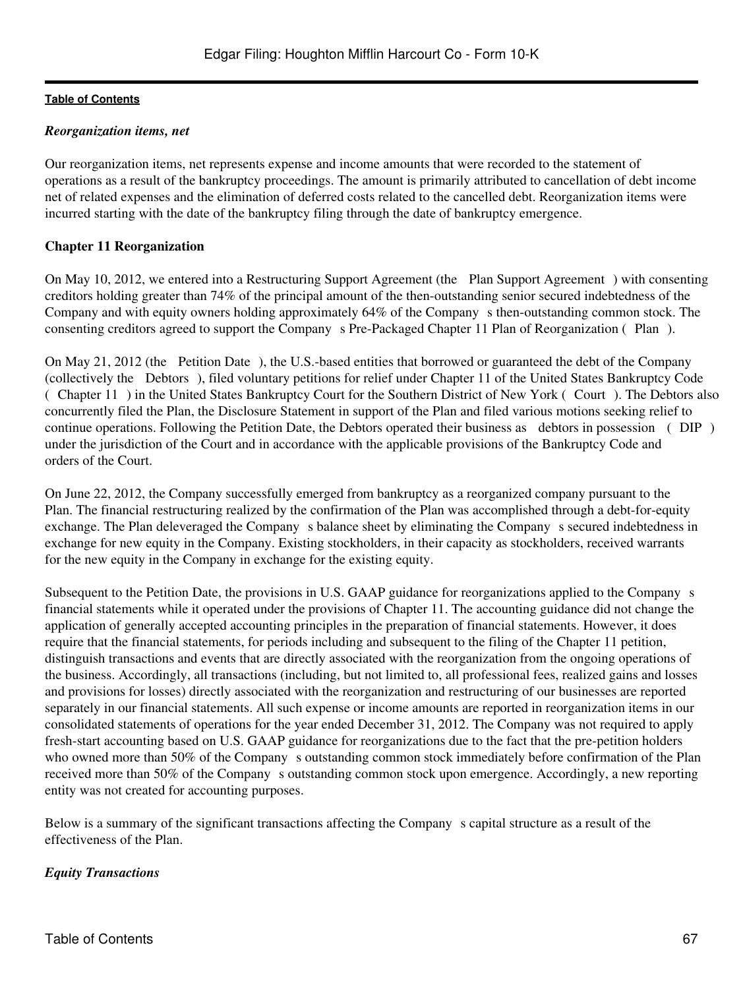## *Reorganization items, net*

Our reorganization items, net represents expense and income amounts that were recorded to the statement of operations as a result of the bankruptcy proceedings. The amount is primarily attributed to cancellation of debt income net of related expenses and the elimination of deferred costs related to the cancelled debt. Reorganization items were incurred starting with the date of the bankruptcy filing through the date of bankruptcy emergence.

## **Chapter 11 Reorganization**

On May 10, 2012, we entered into a Restructuring Support Agreement (the Plan Support Agreement) with consenting creditors holding greater than 74% of the principal amount of the then-outstanding senior secured indebtedness of the Company and with equity owners holding approximately 64% of the Company s then-outstanding common stock. The consenting creditors agreed to support the Company s Pre-Packaged Chapter 11 Plan of Reorganization (Plan).

On May 21, 2012 (the Petition Date), the U.S.-based entities that borrowed or guaranteed the debt of the Company (collectively the Debtors), filed voluntary petitions for relief under Chapter 11 of the United States Bankruptcy Code (Chapter 11) in the United States Bankruptcy Court for the Southern District of New York (Court). The Debtors also concurrently filed the Plan, the Disclosure Statement in support of the Plan and filed various motions seeking relief to continue operations. Following the Petition Date, the Debtors operated their business as debtors in possession (DIP) under the jurisdiction of the Court and in accordance with the applicable provisions of the Bankruptcy Code and orders of the Court.

On June 22, 2012, the Company successfully emerged from bankruptcy as a reorganized company pursuant to the Plan. The financial restructuring realized by the confirmation of the Plan was accomplished through a debt-for-equity exchange. The Plan deleveraged the Company s balance sheet by eliminating the Company s secured indebtedness in exchange for new equity in the Company. Existing stockholders, in their capacity as stockholders, received warrants for the new equity in the Company in exchange for the existing equity.

Subsequent to the Petition Date, the provisions in U.S. GAAP guidance for reorganizations applied to the Company s financial statements while it operated under the provisions of Chapter 11. The accounting guidance did not change the application of generally accepted accounting principles in the preparation of financial statements. However, it does require that the financial statements, for periods including and subsequent to the filing of the Chapter 11 petition, distinguish transactions and events that are directly associated with the reorganization from the ongoing operations of the business. Accordingly, all transactions (including, but not limited to, all professional fees, realized gains and losses and provisions for losses) directly associated with the reorganization and restructuring of our businesses are reported separately in our financial statements. All such expense or income amounts are reported in reorganization items in our consolidated statements of operations for the year ended December 31, 2012. The Company was not required to apply fresh-start accounting based on U.S. GAAP guidance for reorganizations due to the fact that the pre-petition holders who owned more than 50% of the Company s outstanding common stock immediately before confirmation of the Plan received more than 50% of the Company s outstanding common stock upon emergence. Accordingly, a new reporting entity was not created for accounting purposes.

Below is a summary of the significant transactions affecting the Companys capital structure as a result of the effectiveness of the Plan.

## *Equity Transactions*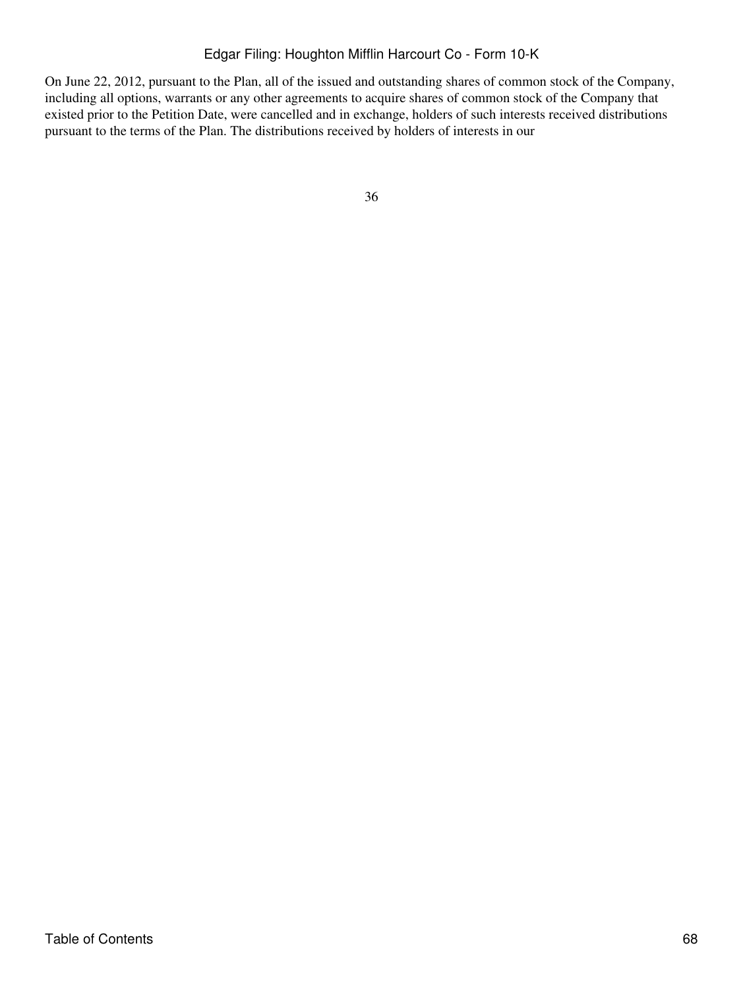On June 22, 2012, pursuant to the Plan, all of the issued and outstanding shares of common stock of the Company, including all options, warrants or any other agreements to acquire shares of common stock of the Company that existed prior to the Petition Date, were cancelled and in exchange, holders of such interests received distributions pursuant to the terms of the Plan. The distributions received by holders of interests in our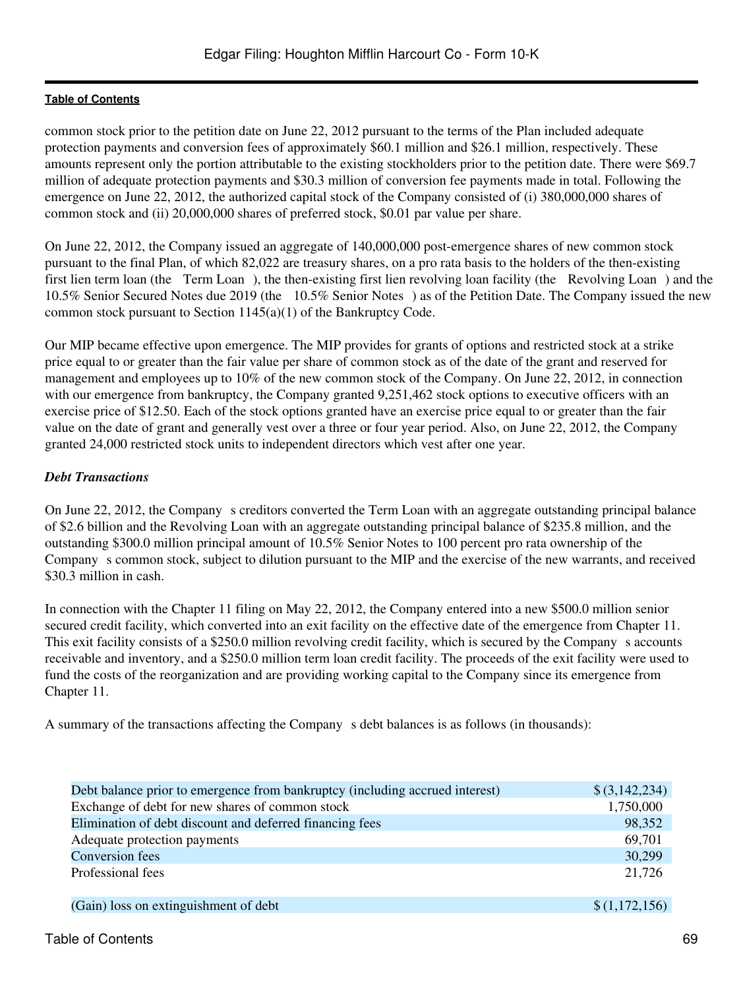common stock prior to the petition date on June 22, 2012 pursuant to the terms of the Plan included adequate protection payments and conversion fees of approximately \$60.1 million and \$26.1 million, respectively. These amounts represent only the portion attributable to the existing stockholders prior to the petition date. There were \$69.7 million of adequate protection payments and \$30.3 million of conversion fee payments made in total. Following the emergence on June 22, 2012, the authorized capital stock of the Company consisted of (i) 380,000,000 shares of common stock and (ii) 20,000,000 shares of preferred stock, \$0.01 par value per share.

On June 22, 2012, the Company issued an aggregate of 140,000,000 post-emergence shares of new common stock pursuant to the final Plan, of which 82,022 are treasury shares, on a pro rata basis to the holders of the then-existing first lien term loan (the Term Loan), the then-existing first lien revolving loan facility (the Revolving Loan) and the 10.5% Senior Secured Notes due 2019 (the 10.5% Senior Notes) as of the Petition Date. The Company issued the new common stock pursuant to Section 1145(a)(1) of the Bankruptcy Code.

Our MIP became effective upon emergence. The MIP provides for grants of options and restricted stock at a strike price equal to or greater than the fair value per share of common stock as of the date of the grant and reserved for management and employees up to 10% of the new common stock of the Company. On June 22, 2012, in connection with our emergence from bankruptcy, the Company granted 9,251,462 stock options to executive officers with an exercise price of \$12.50. Each of the stock options granted have an exercise price equal to or greater than the fair value on the date of grant and generally vest over a three or four year period. Also, on June 22, 2012, the Company granted 24,000 restricted stock units to independent directors which vest after one year.

## *Debt Transactions*

On June 22, 2012, the Company s creditors converted the Term Loan with an aggregate outstanding principal balance of \$2.6 billion and the Revolving Loan with an aggregate outstanding principal balance of \$235.8 million, and the outstanding \$300.0 million principal amount of 10.5% Senior Notes to 100 percent pro rata ownership of the Company s common stock, subject to dilution pursuant to the MIP and the exercise of the new warrants, and received \$30.3 million in cash.

In connection with the Chapter 11 filing on May 22, 2012, the Company entered into a new \$500.0 million senior secured credit facility, which converted into an exit facility on the effective date of the emergence from Chapter 11. This exit facility consists of a \$250.0 million revolving credit facility, which is secured by the Company s accounts receivable and inventory, and a \$250.0 million term loan credit facility. The proceeds of the exit facility were used to fund the costs of the reorganization and are providing working capital to the Company since its emergence from Chapter 11.

A summary of the transactions affecting the Companys debt balances is as follows (in thousands):

| Debt balance prior to emergence from bankruptcy (including accrued interest) | \$(3,142,234) |
|------------------------------------------------------------------------------|---------------|
| Exchange of debt for new shares of common stock                              | 1,750,000     |
| Elimination of debt discount and deferred financing fees                     | 98,352        |
| Adequate protection payments                                                 | 69,701        |
| <b>Conversion</b> fees                                                       | 30,299        |
| Professional fees                                                            | 21,726        |
|                                                                              |               |
| (Gain) loss on extinguishment of debt                                        | \$(1,172,156) |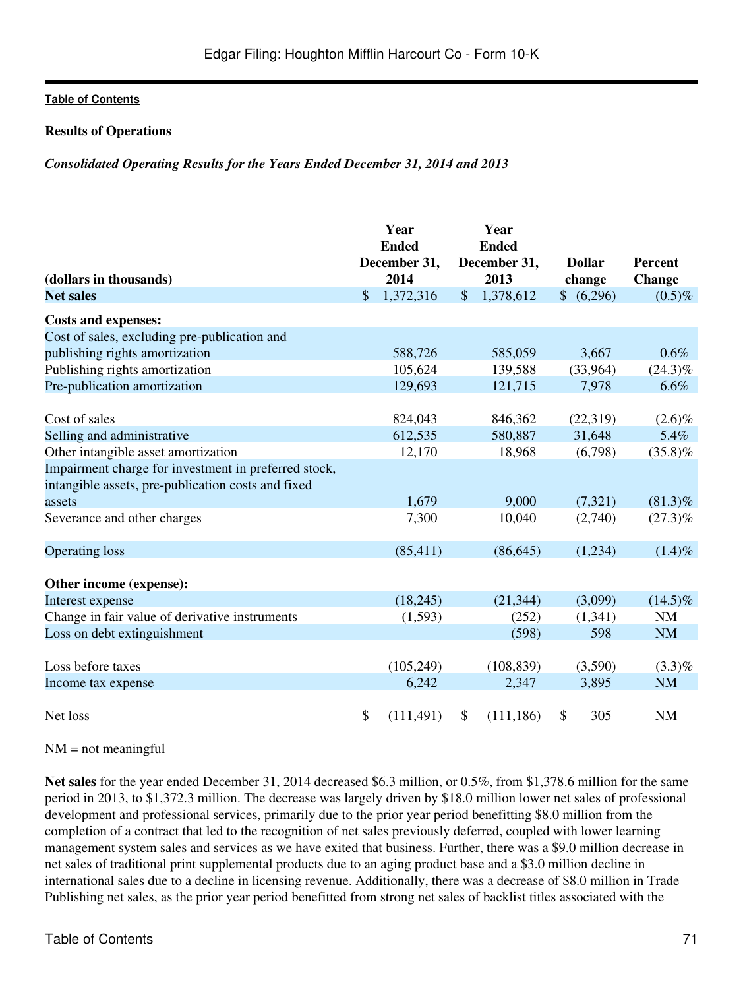## **Results of Operations**

*Consolidated Operating Results for the Years Ended December 31, 2014 and 2013*

|                                                      | Year |                      | Year                 |              |                         |            |                                 |  |
|------------------------------------------------------|------|----------------------|----------------------|--------------|-------------------------|------------|---------------------------------|--|
|                                                      |      | <b>Ended</b>         |                      | <b>Ended</b> |                         |            |                                 |  |
| (dollars in thousands)                               |      | December 31,<br>2014 | December 31,<br>2013 |              | <b>Dollar</b><br>change |            | <b>Percent</b><br><b>Change</b> |  |
| <b>Net sales</b>                                     | \$   | 1,372,316            | $\frac{1}{2}$        | 1,378,612    |                         | \$ (6,296) | $(0.5)\%$                       |  |
| <b>Costs and expenses:</b>                           |      |                      |                      |              |                         |            |                                 |  |
| Cost of sales, excluding pre-publication and         |      |                      |                      |              |                         |            |                                 |  |
| publishing rights amortization                       |      | 588,726              |                      | 585,059      |                         | 3,667      | 0.6%                            |  |
| Publishing rights amortization                       |      | 105,624              |                      | 139,588      |                         | (33,964)   | $(24.3)\%$                      |  |
| Pre-publication amortization                         |      | 129,693              |                      | 121,715      |                         | 7,978      | 6.6%                            |  |
|                                                      |      |                      |                      |              |                         |            |                                 |  |
| Cost of sales                                        |      | 824,043              |                      | 846,362      |                         | (22,319)   | $(2.6)\%$                       |  |
| Selling and administrative                           |      | 612,535              |                      | 580,887      |                         | 31,648     | 5.4%                            |  |
| Other intangible asset amortization                  |      | 12,170               |                      | 18,968       |                         | (6,798)    | $(35.8)\%$                      |  |
| Impairment charge for investment in preferred stock, |      |                      |                      |              |                         |            |                                 |  |
| intangible assets, pre-publication costs and fixed   |      |                      |                      |              |                         |            |                                 |  |
| assets                                               |      | 1,679                |                      | 9,000        |                         | (7, 321)   | $(81.3)\%$                      |  |
| Severance and other charges                          |      | 7,300                |                      | 10,040       |                         | (2,740)    | $(27.3)\%$                      |  |
|                                                      |      |                      |                      |              |                         |            |                                 |  |
| <b>Operating loss</b>                                |      | (85, 411)            |                      | (86, 645)    |                         | (1,234)    | $(1.4)\%$                       |  |
|                                                      |      |                      |                      |              |                         |            |                                 |  |
| Other income (expense):                              |      |                      |                      |              |                         |            |                                 |  |
| Interest expense                                     |      | (18,245)             |                      | (21, 344)    |                         | (3,099)    | $(14.5)\%$                      |  |
| Change in fair value of derivative instruments       |      | (1,593)              |                      | (252)        |                         | (1,341)    | NM                              |  |
| Loss on debt extinguishment                          |      |                      |                      | (598)        |                         | 598        | <b>NM</b>                       |  |
| Loss before taxes                                    |      | (105, 249)           |                      | (108, 839)   |                         | (3,590)    | $(3.3)\%$                       |  |
| Income tax expense                                   |      | 6,242                |                      | 2,347        |                         | 3,895      | <b>NM</b>                       |  |
|                                                      |      |                      |                      |              |                         |            |                                 |  |
| Net loss                                             | \$   | (111, 491)           | \$                   | (111, 186)   | $\mathcal{S}$           | 305        | <b>NM</b>                       |  |

 $NM = not meaningful$ 

**Net sales** for the year ended December 31, 2014 decreased \$6.3 million, or 0.5%, from \$1,378.6 million for the same period in 2013, to \$1,372.3 million. The decrease was largely driven by \$18.0 million lower net sales of professional development and professional services, primarily due to the prior year period benefitting \$8.0 million from the completion of a contract that led to the recognition of net sales previously deferred, coupled with lower learning management system sales and services as we have exited that business. Further, there was a \$9.0 million decrease in net sales of traditional print supplemental products due to an aging product base and a \$3.0 million decline in international sales due to a decline in licensing revenue. Additionally, there was a decrease of \$8.0 million in Trade Publishing net sales, as the prior year period benefitted from strong net sales of backlist titles associated with the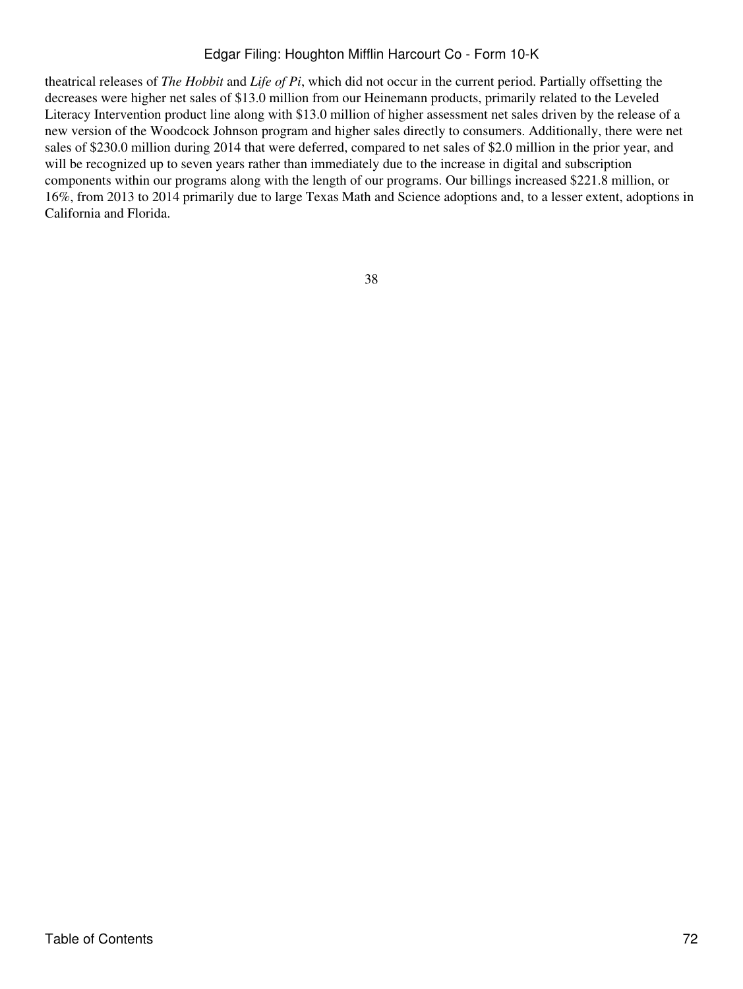theatrical releases of *The Hobbit* and *Life of Pi*, which did not occur in the current period. Partially offsetting the decreases were higher net sales of \$13.0 million from our Heinemann products, primarily related to the Leveled Literacy Intervention product line along with \$13.0 million of higher assessment net sales driven by the release of a new version of the Woodcock Johnson program and higher sales directly to consumers. Additionally, there were net sales of \$230.0 million during 2014 that were deferred, compared to net sales of \$2.0 million in the prior year, and will be recognized up to seven years rather than immediately due to the increase in digital and subscription components within our programs along with the length of our programs. Our billings increased \$221.8 million, or 16%, from 2013 to 2014 primarily due to large Texas Math and Science adoptions and, to a lesser extent, adoptions in California and Florida.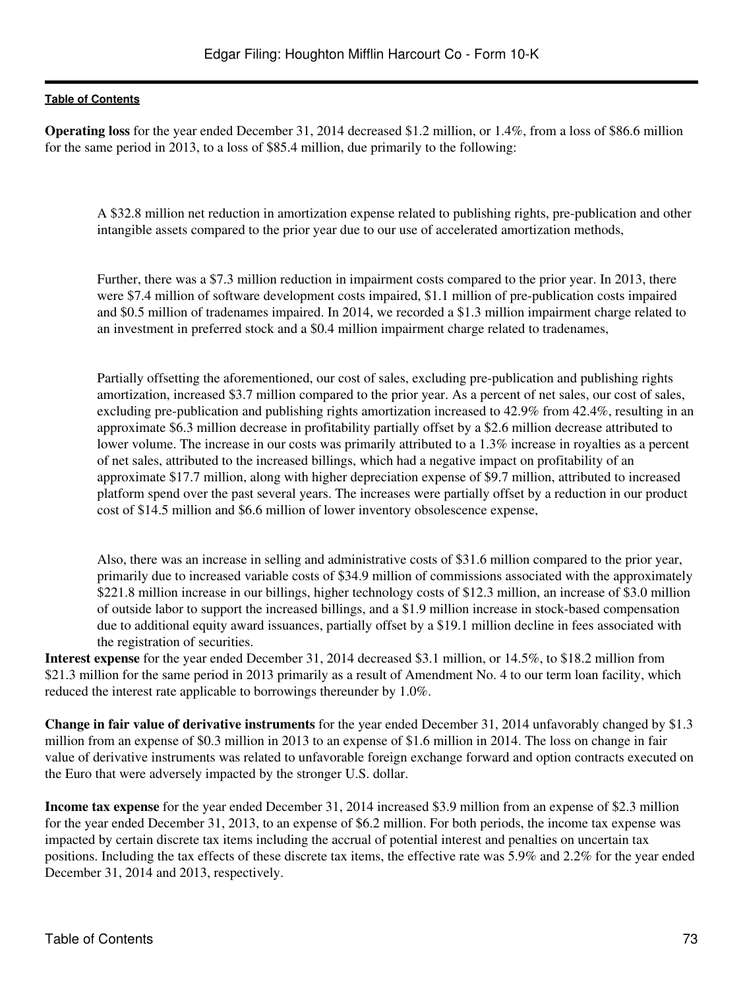**Operating loss** for the year ended December 31, 2014 decreased \$1.2 million, or 1.4%, from a loss of \$86.6 million for the same period in 2013, to a loss of \$85.4 million, due primarily to the following:

A \$32.8 million net reduction in amortization expense related to publishing rights, pre-publication and other intangible assets compared to the prior year due to our use of accelerated amortization methods,

Further, there was a \$7.3 million reduction in impairment costs compared to the prior year. In 2013, there were \$7.4 million of software development costs impaired, \$1.1 million of pre-publication costs impaired and \$0.5 million of tradenames impaired. In 2014, we recorded a \$1.3 million impairment charge related to an investment in preferred stock and a \$0.4 million impairment charge related to tradenames,

Partially offsetting the aforementioned, our cost of sales, excluding pre-publication and publishing rights amortization, increased \$3.7 million compared to the prior year. As a percent of net sales, our cost of sales, excluding pre-publication and publishing rights amortization increased to 42.9% from 42.4%, resulting in an approximate \$6.3 million decrease in profitability partially offset by a \$2.6 million decrease attributed to lower volume. The increase in our costs was primarily attributed to a 1.3% increase in royalties as a percent of net sales, attributed to the increased billings, which had a negative impact on profitability of an approximate \$17.7 million, along with higher depreciation expense of \$9.7 million, attributed to increased platform spend over the past several years. The increases were partially offset by a reduction in our product cost of \$14.5 million and \$6.6 million of lower inventory obsolescence expense,

Also, there was an increase in selling and administrative costs of \$31.6 million compared to the prior year, primarily due to increased variable costs of \$34.9 million of commissions associated with the approximately \$221.8 million increase in our billings, higher technology costs of \$12.3 million, an increase of \$3.0 million of outside labor to support the increased billings, and a \$1.9 million increase in stock-based compensation due to additional equity award issuances, partially offset by a \$19.1 million decline in fees associated with the registration of securities.

**Interest expense** for the year ended December 31, 2014 decreased \$3.1 million, or 14.5%, to \$18.2 million from \$21.3 million for the same period in 2013 primarily as a result of Amendment No. 4 to our term loan facility, which reduced the interest rate applicable to borrowings thereunder by 1.0%.

**Change in fair value of derivative instruments** for the year ended December 31, 2014 unfavorably changed by \$1.3 million from an expense of \$0.3 million in 2013 to an expense of \$1.6 million in 2014. The loss on change in fair value of derivative instruments was related to unfavorable foreign exchange forward and option contracts executed on the Euro that were adversely impacted by the stronger U.S. dollar.

**Income tax expense** for the year ended December 31, 2014 increased \$3.9 million from an expense of \$2.3 million for the year ended December 31, 2013, to an expense of \$6.2 million. For both periods, the income tax expense was impacted by certain discrete tax items including the accrual of potential interest and penalties on uncertain tax positions. Including the tax effects of these discrete tax items, the effective rate was 5.9% and 2.2% for the year ended December 31, 2014 and 2013, respectively.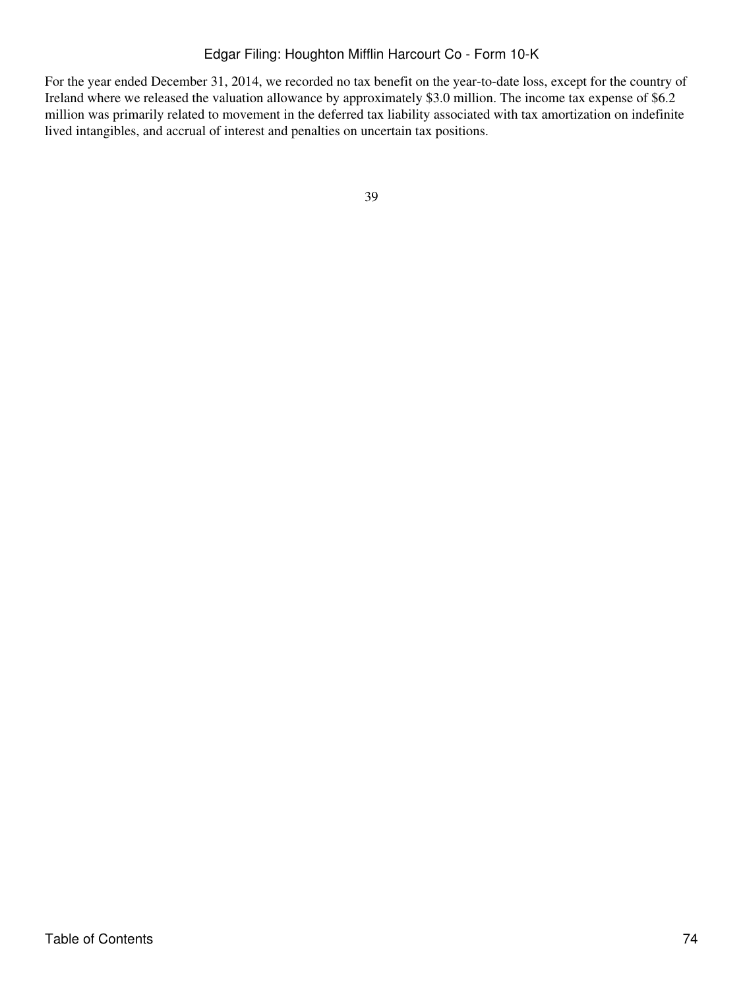# Edgar Filing: Houghton Mifflin Harcourt Co - Form 10-K

For the year ended December 31, 2014, we recorded no tax benefit on the year-to-date loss, except for the country of Ireland where we released the valuation allowance by approximately \$3.0 million. The income tax expense of \$6.2 million was primarily related to movement in the deferred tax liability associated with tax amortization on indefinite lived intangibles, and accrual of interest and penalties on uncertain tax positions.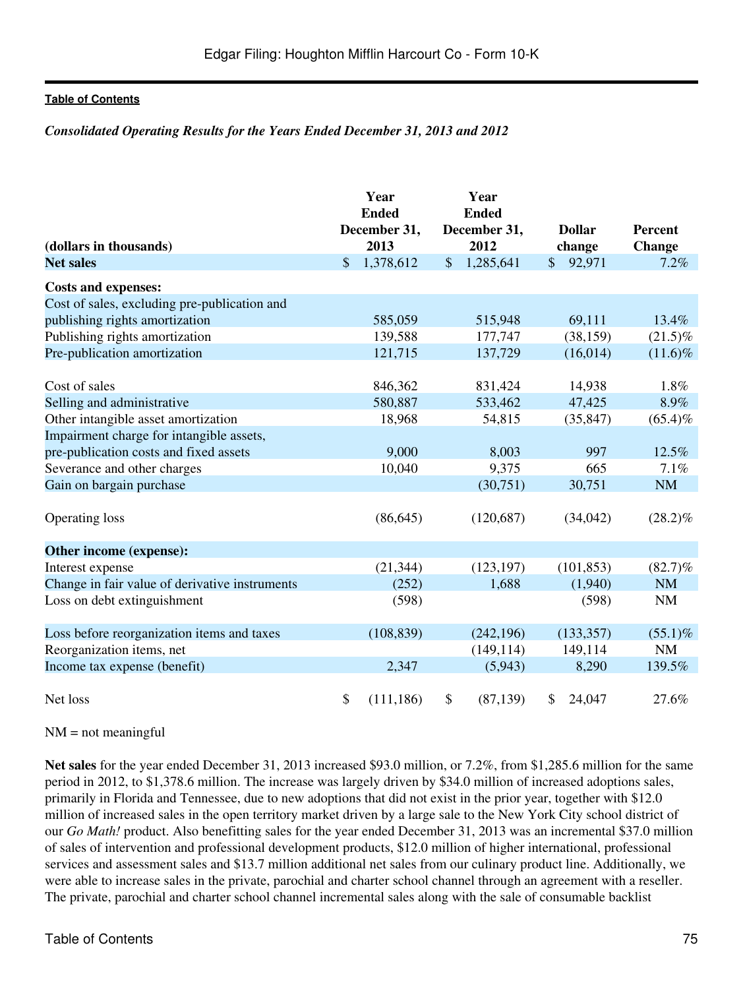#### *Consolidated Operating Results for the Years Ended December 31, 2013 and 2012*

|                                                | Year<br><b>Ended</b> |              |               | Year<br><b>Ended</b> |    |               |               |
|------------------------------------------------|----------------------|--------------|---------------|----------------------|----|---------------|---------------|
|                                                |                      | December 31, |               | December 31,         |    | <b>Dollar</b> | Percent       |
| (dollars in thousands)                         |                      | 2013         |               | 2012                 |    | change        | <b>Change</b> |
| <b>Net sales</b>                               | $\mathcal{S}$        | 1,378,612    | $\mathcal{S}$ | 1,285,641            |    | \$92,971      | 7.2%          |
| <b>Costs and expenses:</b>                     |                      |              |               |                      |    |               |               |
| Cost of sales, excluding pre-publication and   |                      |              |               |                      |    |               |               |
| publishing rights amortization                 |                      | 585,059      |               | 515,948              |    | 69,111        | 13.4%         |
| Publishing rights amortization                 |                      | 139,588      |               | 177,747              |    | (38, 159)     | $(21.5)\%$    |
| Pre-publication amortization                   |                      | 121,715      |               | 137,729              |    | (16, 014)     | $(11.6)\%$    |
| Cost of sales                                  |                      | 846,362      |               | 831,424              |    | 14,938        | $1.8\%$       |
| Selling and administrative                     |                      | 580,887      |               | 533,462              |    | 47,425        | 8.9%          |
| Other intangible asset amortization            |                      | 18,968       |               | 54,815               |    | (35, 847)     | $(65.4)\%$    |
| Impairment charge for intangible assets,       |                      |              |               |                      |    |               |               |
| pre-publication costs and fixed assets         |                      | 9,000        |               | 8,003                |    | 997           | 12.5%         |
| Severance and other charges                    |                      | 10,040       |               | 9,375                |    | 665           | 7.1%          |
| Gain on bargain purchase                       |                      |              |               | (30,751)             |    | 30,751        | <b>NM</b>     |
|                                                |                      |              |               |                      |    |               |               |
| Operating loss                                 |                      | (86, 645)    |               | (120, 687)           |    | (34,042)      | $(28.2)\%$    |
| Other income (expense):                        |                      |              |               |                      |    |               |               |
| Interest expense                               |                      | (21, 344)    |               | (123, 197)           |    | (101, 853)    | $(82.7)\%$    |
| Change in fair value of derivative instruments |                      | (252)        |               | 1,688                |    | (1,940)       | <b>NM</b>     |
| Loss on debt extinguishment                    |                      | (598)        |               |                      |    | (598)         | <b>NM</b>     |
| Loss before reorganization items and taxes     |                      | (108, 839)   |               | (242, 196)           |    | (133, 357)    | $(55.1)\%$    |
| Reorganization items, net                      |                      |              |               | (149, 114)           |    | 149,114       | <b>NM</b>     |
| Income tax expense (benefit)                   |                      | 2,347        |               | (5,943)              |    | 8,290         | 139.5%        |
| Net loss                                       | \$                   | (111, 186)   | \$            | (87, 139)            | \$ | 24,047        | 27.6%         |

 $NM = not meaningful$ 

**Net sales** for the year ended December 31, 2013 increased \$93.0 million, or 7.2%, from \$1,285.6 million for the same period in 2012, to \$1,378.6 million. The increase was largely driven by \$34.0 million of increased adoptions sales, primarily in Florida and Tennessee, due to new adoptions that did not exist in the prior year, together with \$12.0 million of increased sales in the open territory market driven by a large sale to the New York City school district of our *Go Math!* product. Also benefitting sales for the year ended December 31, 2013 was an incremental \$37.0 million of sales of intervention and professional development products, \$12.0 million of higher international, professional services and assessment sales and \$13.7 million additional net sales from our culinary product line. Additionally, we were able to increase sales in the private, parochial and charter school channel through an agreement with a reseller. The private, parochial and charter school channel incremental sales along with the sale of consumable backlist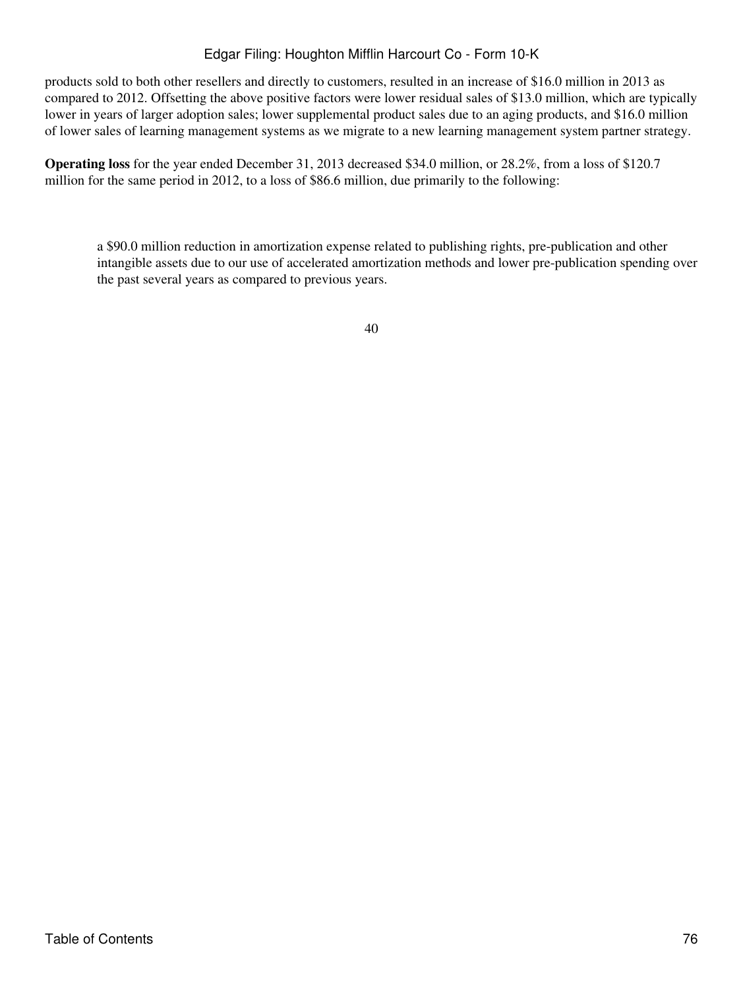# Edgar Filing: Houghton Mifflin Harcourt Co - Form 10-K

products sold to both other resellers and directly to customers, resulted in an increase of \$16.0 million in 2013 as compared to 2012. Offsetting the above positive factors were lower residual sales of \$13.0 million, which are typically lower in years of larger adoption sales; lower supplemental product sales due to an aging products, and \$16.0 million of lower sales of learning management systems as we migrate to a new learning management system partner strategy.

**Operating loss** for the year ended December 31, 2013 decreased \$34.0 million, or 28.2%, from a loss of \$120.7 million for the same period in 2012, to a loss of \$86.6 million, due primarily to the following:

a \$90.0 million reduction in amortization expense related to publishing rights, pre-publication and other intangible assets due to our use of accelerated amortization methods and lower pre-publication spending over the past several years as compared to previous years.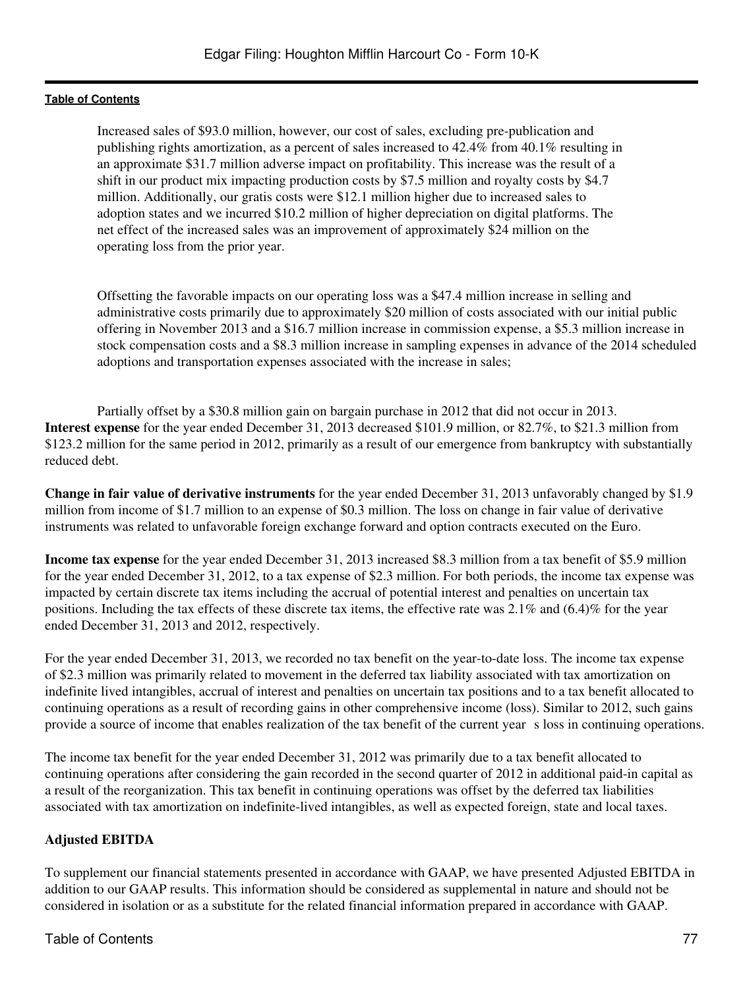Increased sales of \$93.0 million, however, our cost of sales, excluding pre-publication and publishing rights amortization, as a percent of sales increased to 42.4% from 40.1% resulting in an approximate \$31.7 million adverse impact on profitability. This increase was the result of a shift in our product mix impacting production costs by \$7.5 million and royalty costs by \$4.7 million. Additionally, our gratis costs were \$12.1 million higher due to increased sales to adoption states and we incurred \$10.2 million of higher depreciation on digital platforms. The net effect of the increased sales was an improvement of approximately \$24 million on the operating loss from the prior year.

Offsetting the favorable impacts on our operating loss was a \$47.4 million increase in selling and administrative costs primarily due to approximately \$20 million of costs associated with our initial public offering in November 2013 and a \$16.7 million increase in commission expense, a \$5.3 million increase in stock compensation costs and a \$8.3 million increase in sampling expenses in advance of the 2014 scheduled adoptions and transportation expenses associated with the increase in sales;

Partially offset by a \$30.8 million gain on bargain purchase in 2012 that did not occur in 2013. **Interest expense** for the year ended December 31, 2013 decreased \$101.9 million, or 82.7%, to \$21.3 million from \$123.2 million for the same period in 2012, primarily as a result of our emergence from bankruptcy with substantially reduced debt.

**Change in fair value of derivative instruments** for the year ended December 31, 2013 unfavorably changed by \$1.9 million from income of \$1.7 million to an expense of \$0.3 million. The loss on change in fair value of derivative instruments was related to unfavorable foreign exchange forward and option contracts executed on the Euro.

**Income tax expense** for the year ended December 31, 2013 increased \$8.3 million from a tax benefit of \$5.9 million for the year ended December 31, 2012, to a tax expense of \$2.3 million. For both periods, the income tax expense was impacted by certain discrete tax items including the accrual of potential interest and penalties on uncertain tax positions. Including the tax effects of these discrete tax items, the effective rate was 2.1% and (6.4)% for the year ended December 31, 2013 and 2012, respectively.

For the year ended December 31, 2013, we recorded no tax benefit on the year-to-date loss. The income tax expense of \$2.3 million was primarily related to movement in the deferred tax liability associated with tax amortization on indefinite lived intangibles, accrual of interest and penalties on uncertain tax positions and to a tax benefit allocated to continuing operations as a result of recording gains in other comprehensive income (loss). Similar to 2012, such gains provide a source of income that enables realization of the tax benefit of the current year s loss in continuing operations.

The income tax benefit for the year ended December 31, 2012 was primarily due to a tax benefit allocated to continuing operations after considering the gain recorded in the second quarter of 2012 in additional paid-in capital as a result of the reorganization. This tax benefit in continuing operations was offset by the deferred tax liabilities associated with tax amortization on indefinite-lived intangibles, as well as expected foreign, state and local taxes.

# **Adjusted EBITDA**

To supplement our financial statements presented in accordance with GAAP, we have presented Adjusted EBITDA in addition to our GAAP results. This information should be considered as supplemental in nature and should not be considered in isolation or as a substitute for the related financial information prepared in accordance with GAAP.

## Table of Contents 77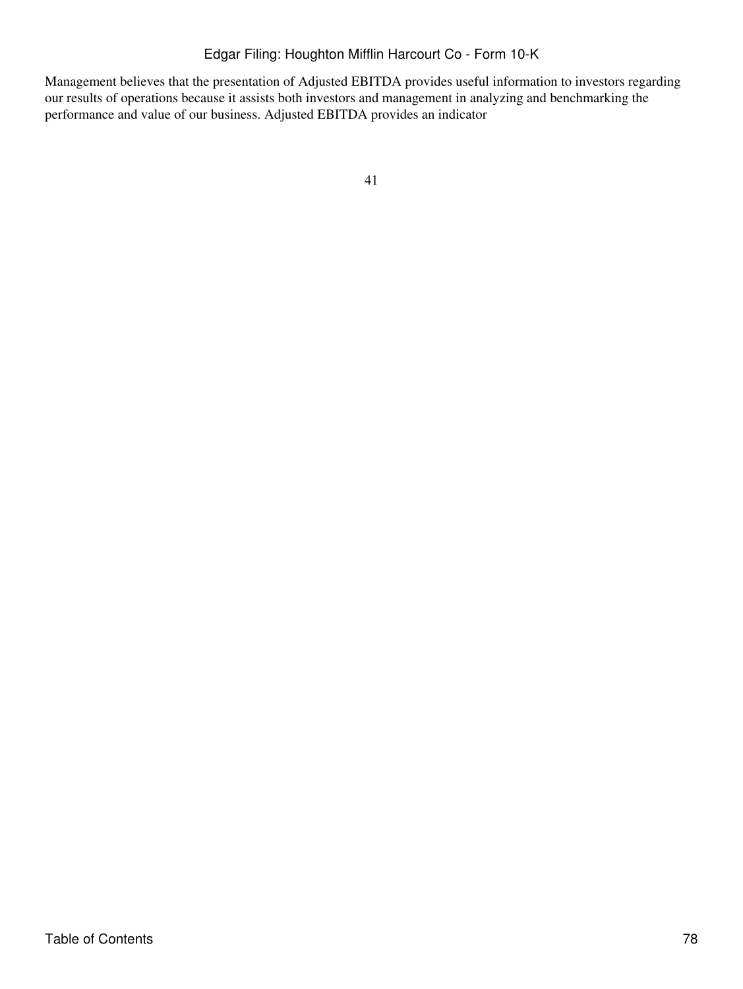Management believes that the presentation of Adjusted EBITDA provides useful information to investors regarding our results of operations because it assists both investors and management in analyzing and benchmarking the performance and value of our business. Adjusted EBITDA provides an indicator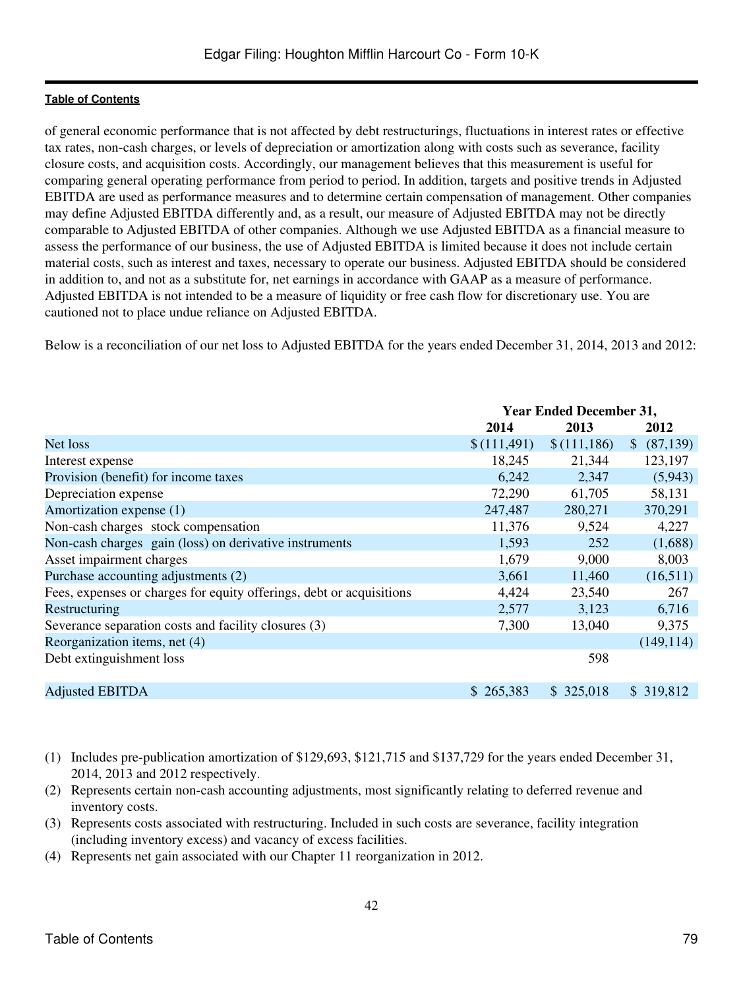of general economic performance that is not affected by debt restructurings, fluctuations in interest rates or effective tax rates, non-cash charges, or levels of depreciation or amortization along with costs such as severance, facility closure costs, and acquisition costs. Accordingly, our management believes that this measurement is useful for comparing general operating performance from period to period. In addition, targets and positive trends in Adjusted EBITDA are used as performance measures and to determine certain compensation of management. Other companies may define Adjusted EBITDA differently and, as a result, our measure of Adjusted EBITDA may not be directly comparable to Adjusted EBITDA of other companies. Although we use Adjusted EBITDA as a financial measure to assess the performance of our business, the use of Adjusted EBITDA is limited because it does not include certain material costs, such as interest and taxes, necessary to operate our business. Adjusted EBITDA should be considered in addition to, and not as a substitute for, net earnings in accordance with GAAP as a measure of performance. Adjusted EBITDA is not intended to be a measure of liquidity or free cash flow for discretionary use. You are cautioned not to place undue reliance on Adjusted EBITDA.

Below is a reconciliation of our net loss to Adjusted EBITDA for the years ended December 31, 2014, 2013 and 2012:

|                                                                      | <b>Year Ended December 31,</b> |             |             |  |  |
|----------------------------------------------------------------------|--------------------------------|-------------|-------------|--|--|
|                                                                      | 2014                           | 2013        | 2012        |  |  |
| Net loss                                                             | \$(111,491)                    | \$(111,186) | \$ (87,139) |  |  |
| Interest expense                                                     | 18,245                         | 21,344      | 123,197     |  |  |
| Provision (benefit) for income taxes                                 | 6,242                          | 2,347       | (5,943)     |  |  |
| Depreciation expense                                                 | 72,290                         | 61,705      | 58,131      |  |  |
| Amortization expense (1)                                             | 247,487                        | 280,271     | 370,291     |  |  |
| Non-cash charges stock compensation                                  | 11,376                         | 9,524       | 4,227       |  |  |
| Non-cash charges gain (loss) on derivative instruments               | 1,593                          | 252         | (1,688)     |  |  |
| Asset impairment charges                                             | 1,679                          | 9,000       | 8,003       |  |  |
| Purchase accounting adjustments (2)                                  | 3,661                          | 11,460      | (16,511)    |  |  |
| Fees, expenses or charges for equity offerings, debt or acquisitions | 4,424                          | 23,540      | 267         |  |  |
| Restructuring                                                        | 2,577                          | 3,123       | 6,716       |  |  |
| Severance separation costs and facility closures (3)                 | 7,300                          | 13,040      | 9,375       |  |  |
| Reorganization items, net (4)                                        |                                |             | (149, 114)  |  |  |
| Debt extinguishment loss                                             |                                | 598         |             |  |  |
| <b>Adjusted EBITDA</b>                                               | \$265,383                      | \$325,018   | \$ 319,812  |  |  |

- (1) Includes pre-publication amortization of \$129,693, \$121,715 and \$137,729 for the years ended December 31, 2014, 2013 and 2012 respectively.
- (2) Represents certain non-cash accounting adjustments, most significantly relating to deferred revenue and inventory costs.
- (3) Represents costs associated with restructuring. Included in such costs are severance, facility integration (including inventory excess) and vacancy of excess facilities.
- (4) Represents net gain associated with our Chapter 11 reorganization in 2012.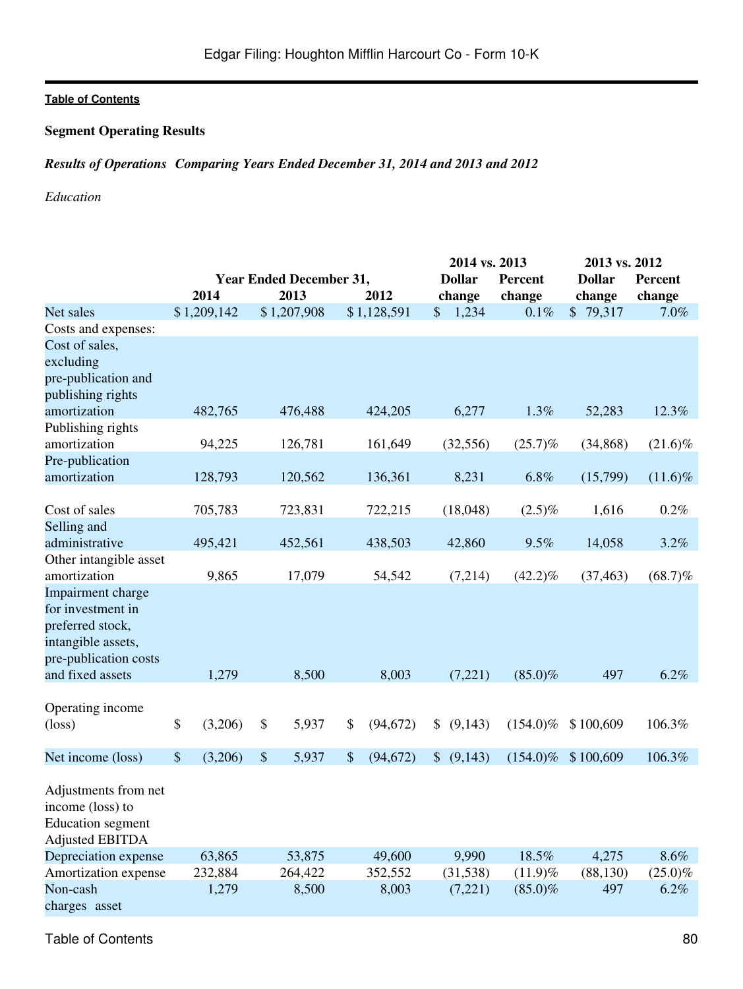# **Segment Operating Results**

# *Results of OperationsComparing Years Ended December 31, 2014 and 2013 and 2012*

## *Education*

|                                                            | <b>Year Ended December 31,</b> |             |                           |             |       | 2014 vs. 2013<br><b>Dollar</b><br><b>Percent</b> |               |           | 2013 vs. 2012<br><b>Dollar</b><br>Percent |           |            |
|------------------------------------------------------------|--------------------------------|-------------|---------------------------|-------------|-------|--------------------------------------------------|---------------|-----------|-------------------------------------------|-----------|------------|
|                                                            |                                | 2014        |                           | 2013        |       | 2012                                             |               | change    | change                                    | change    | change     |
| Net sales                                                  |                                | \$1,209,142 |                           | \$1,207,908 |       | \$1,128,591                                      | $\mathcal{S}$ | 1,234     | $0.1\%$                                   | \$79,317  | 7.0%       |
| Costs and expenses:                                        |                                |             |                           |             |       |                                                  |               |           |                                           |           |            |
| Cost of sales,                                             |                                |             |                           |             |       |                                                  |               |           |                                           |           |            |
| excluding                                                  |                                |             |                           |             |       |                                                  |               |           |                                           |           |            |
| pre-publication and                                        |                                |             |                           |             |       |                                                  |               |           |                                           |           |            |
| publishing rights                                          |                                |             |                           |             |       |                                                  |               |           |                                           |           |            |
| amortization                                               |                                | 482,765     |                           | 476,488     |       | 424,205                                          |               | 6,277     | 1.3%                                      | 52,283    | 12.3%      |
| Publishing rights                                          |                                |             |                           |             |       |                                                  |               |           |                                           |           |            |
| amortization                                               |                                | 94,225      |                           | 126,781     |       | 161,649                                          |               | (32, 556) | $(25.7)\%$                                | (34, 868) | $(21.6)\%$ |
| Pre-publication                                            |                                |             |                           |             |       |                                                  |               |           |                                           |           |            |
| amortization                                               |                                | 128,793     |                           | 120,562     |       | 136,361                                          |               | 8,231     | 6.8%                                      | (15,799)  | $(11.6)\%$ |
|                                                            |                                |             |                           |             |       |                                                  |               |           |                                           |           |            |
| Cost of sales                                              |                                | 705,783     |                           | 723,831     |       | 722,215                                          |               | (18,048)  | $(2.5)\%$                                 | 1,616     | 0.2%       |
| Selling and                                                |                                |             |                           |             |       |                                                  |               |           |                                           |           |            |
| administrative                                             |                                | 495,421     |                           | 452,561     |       | 438,503                                          |               | 42,860    | 9.5%                                      | 14,058    | 3.2%       |
| Other intangible asset                                     |                                |             |                           |             |       |                                                  |               |           |                                           |           |            |
| amortization                                               |                                | 9,865       |                           | 17,079      |       | 54,542                                           |               | (7,214)   | $(42.2)\%$                                | (37, 463) | $(68.7)\%$ |
| Impairment charge<br>for investment in<br>preferred stock, |                                |             |                           |             |       |                                                  |               |           |                                           |           |            |
| intangible assets,                                         |                                |             |                           |             |       |                                                  |               |           |                                           |           |            |
| pre-publication costs                                      |                                |             |                           |             |       |                                                  |               |           |                                           |           |            |
| and fixed assets                                           |                                | 1,279       |                           | 8,500       |       | 8,003                                            |               | (7,221)   | $(85.0)\%$                                | 497       | 6.2%       |
|                                                            |                                |             |                           |             |       |                                                  |               |           |                                           |           |            |
| Operating income                                           |                                |             |                           |             |       |                                                  |               |           |                                           |           |            |
| $(\text{loss})$                                            | \$                             | (3,206)     | \$                        | 5,937       | \$    | (94, 672)                                        | \$            | (9,143)   | $(154.0)\%$                               | \$100,609 | 106.3%     |
|                                                            |                                |             | $\boldsymbol{\mathsf{S}}$ | 5,937       | $\$\$ |                                                  |               |           |                                           | \$100,609 | 106.3%     |
| Net income (loss)                                          | \$                             | (3,206)     |                           |             |       | (94, 672)                                        | $\mathsf{\$}$ | (9,143)   | $(154.0)\%$                               |           |            |
| Adjustments from net                                       |                                |             |                           |             |       |                                                  |               |           |                                           |           |            |
| income (loss) to                                           |                                |             |                           |             |       |                                                  |               |           |                                           |           |            |
| Education segment                                          |                                |             |                           |             |       |                                                  |               |           |                                           |           |            |
| <b>Adjusted EBITDA</b>                                     |                                |             |                           |             |       |                                                  |               |           |                                           |           |            |
| Depreciation expense                                       |                                | 63,865      |                           | 53,875      |       | 49,600                                           |               | 9,990     | 18.5%                                     | 4,275     | 8.6%       |
| Amortization expense                                       |                                | 232,884     |                           | 264,422     |       | 352,552                                          |               | (31,538)  | $(11.9)\%$                                | (88, 130) | $(25.0)\%$ |
| Non-cash                                                   |                                | 1,279       |                           | 8,500       |       | 8,003                                            |               | (7,221)   | $(85.0)\%$                                | 497       | $6.2\%$    |
| charges asset                                              |                                |             |                           |             |       |                                                  |               |           |                                           |           |            |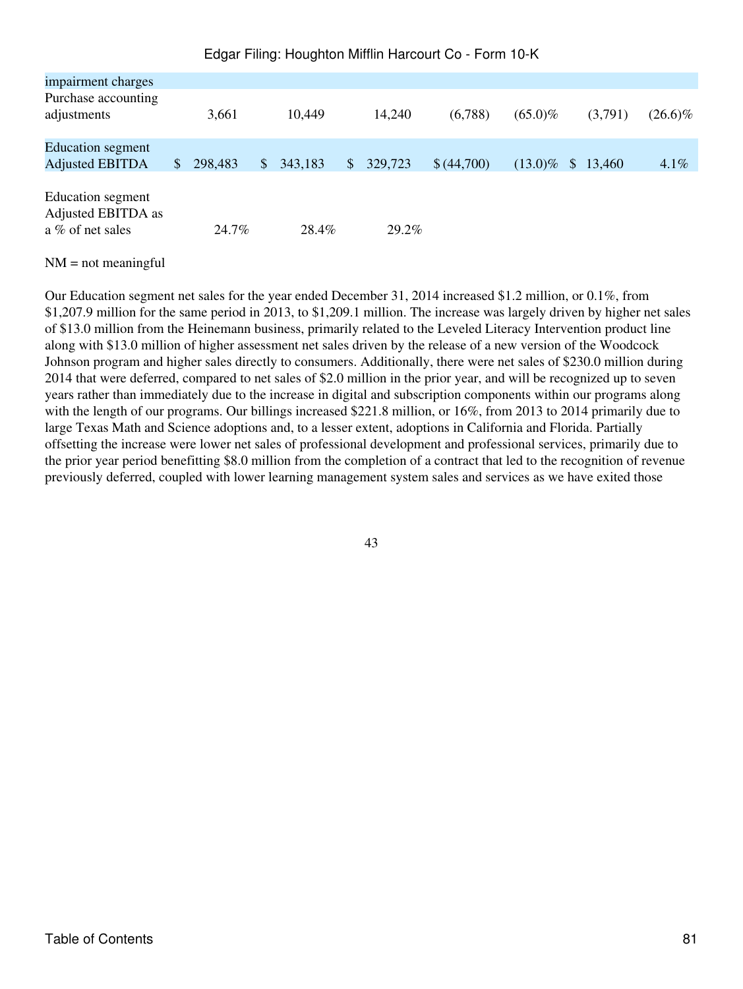| impairment charges                                                 |     |         |               |               |            |            |                        |            |
|--------------------------------------------------------------------|-----|---------|---------------|---------------|------------|------------|------------------------|------------|
| Purchase accounting<br>adjustments                                 |     | 3,661   | 10,449        | 14,240        | (6,788)    | $(65.0)\%$ | (3,791)                | $(26.6)\%$ |
| <b>Education segment</b><br><b>Adjusted EBITDA</b>                 | \$. | 298,483 | \$<br>343,183 | \$<br>329,723 | \$(44,700) | $(13.0)\%$ | <sup>S</sup><br>13,460 | $4.1\%$    |
| <b>Education</b> segment<br>Adjusted EBITDA as<br>a % of net sales |     | 24.7%   | 28.4%         | 29.2%         |            |            |                        |            |

# Edgar Filing: Houghton Mifflin Harcourt Co - Form 10-K

### $NM = not meaningful$

Our Education segment net sales for the year ended December 31, 2014 increased \$1.2 million, or 0.1%, from \$1,207.9 million for the same period in 2013, to \$1,209.1 million. The increase was largely driven by higher net sales of \$13.0 million from the Heinemann business, primarily related to the Leveled Literacy Intervention product line along with \$13.0 million of higher assessment net sales driven by the release of a new version of the Woodcock Johnson program and higher sales directly to consumers. Additionally, there were net sales of \$230.0 million during 2014 that were deferred, compared to net sales of \$2.0 million in the prior year, and will be recognized up to seven years rather than immediately due to the increase in digital and subscription components within our programs along with the length of our programs. Our billings increased \$221.8 million, or 16%, from 2013 to 2014 primarily due to large Texas Math and Science adoptions and, to a lesser extent, adoptions in California and Florida. Partially offsetting the increase were lower net sales of professional development and professional services, primarily due to the prior year period benefitting \$8.0 million from the completion of a contract that led to the recognition of revenue previously deferred, coupled with lower learning management system sales and services as we have exited those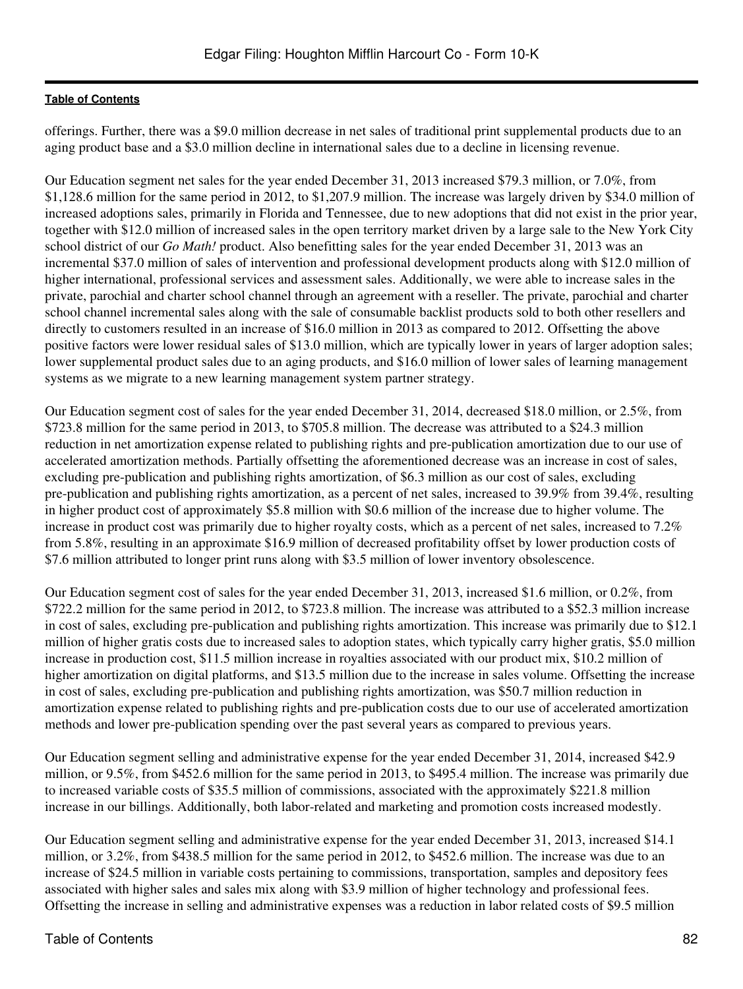offerings. Further, there was a \$9.0 million decrease in net sales of traditional print supplemental products due to an aging product base and a \$3.0 million decline in international sales due to a decline in licensing revenue.

Our Education segment net sales for the year ended December 31, 2013 increased \$79.3 million, or 7.0%, from \$1,128.6 million for the same period in 2012, to \$1,207.9 million. The increase was largely driven by \$34.0 million of increased adoptions sales, primarily in Florida and Tennessee, due to new adoptions that did not exist in the prior year, together with \$12.0 million of increased sales in the open territory market driven by a large sale to the New York City school district of our *Go Math!* product. Also benefitting sales for the year ended December 31, 2013 was an incremental \$37.0 million of sales of intervention and professional development products along with \$12.0 million of higher international, professional services and assessment sales. Additionally, we were able to increase sales in the private, parochial and charter school channel through an agreement with a reseller. The private, parochial and charter school channel incremental sales along with the sale of consumable backlist products sold to both other resellers and directly to customers resulted in an increase of \$16.0 million in 2013 as compared to 2012. Offsetting the above positive factors were lower residual sales of \$13.0 million, which are typically lower in years of larger adoption sales; lower supplemental product sales due to an aging products, and \$16.0 million of lower sales of learning management systems as we migrate to a new learning management system partner strategy.

Our Education segment cost of sales for the year ended December 31, 2014, decreased \$18.0 million, or 2.5%, from \$723.8 million for the same period in 2013, to \$705.8 million. The decrease was attributed to a \$24.3 million reduction in net amortization expense related to publishing rights and pre-publication amortization due to our use of accelerated amortization methods. Partially offsetting the aforementioned decrease was an increase in cost of sales, excluding pre-publication and publishing rights amortization, of \$6.3 million as our cost of sales, excluding pre-publication and publishing rights amortization, as a percent of net sales, increased to 39.9% from 39.4%, resulting in higher product cost of approximately \$5.8 million with \$0.6 million of the increase due to higher volume. The increase in product cost was primarily due to higher royalty costs, which as a percent of net sales, increased to 7.2% from 5.8%, resulting in an approximate \$16.9 million of decreased profitability offset by lower production costs of \$7.6 million attributed to longer print runs along with \$3.5 million of lower inventory obsolescence.

Our Education segment cost of sales for the year ended December 31, 2013, increased \$1.6 million, or 0.2%, from \$722.2 million for the same period in 2012, to \$723.8 million. The increase was attributed to a \$52.3 million increase in cost of sales, excluding pre-publication and publishing rights amortization. This increase was primarily due to \$12.1 million of higher gratis costs due to increased sales to adoption states, which typically carry higher gratis, \$5.0 million increase in production cost, \$11.5 million increase in royalties associated with our product mix, \$10.2 million of higher amortization on digital platforms, and \$13.5 million due to the increase in sales volume. Offsetting the increase in cost of sales, excluding pre-publication and publishing rights amortization, was \$50.7 million reduction in amortization expense related to publishing rights and pre-publication costs due to our use of accelerated amortization methods and lower pre-publication spending over the past several years as compared to previous years.

Our Education segment selling and administrative expense for the year ended December 31, 2014, increased \$42.9 million, or 9.5%, from \$452.6 million for the same period in 2013, to \$495.4 million. The increase was primarily due to increased variable costs of \$35.5 million of commissions, associated with the approximately \$221.8 million increase in our billings. Additionally, both labor-related and marketing and promotion costs increased modestly.

Our Education segment selling and administrative expense for the year ended December 31, 2013, increased \$14.1 million, or 3.2%, from \$438.5 million for the same period in 2012, to \$452.6 million. The increase was due to an increase of \$24.5 million in variable costs pertaining to commissions, transportation, samples and depository fees associated with higher sales and sales mix along with \$3.9 million of higher technology and professional fees. Offsetting the increase in selling and administrative expenses was a reduction in labor related costs of \$9.5 million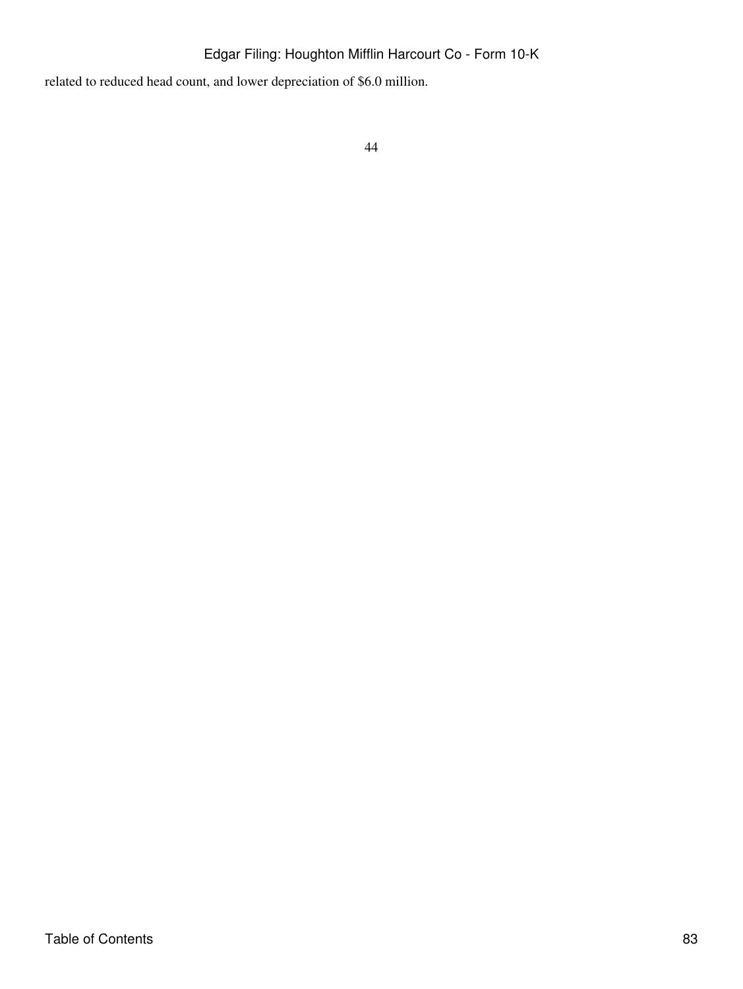related to reduced head count, and lower depreciation of \$6.0 million.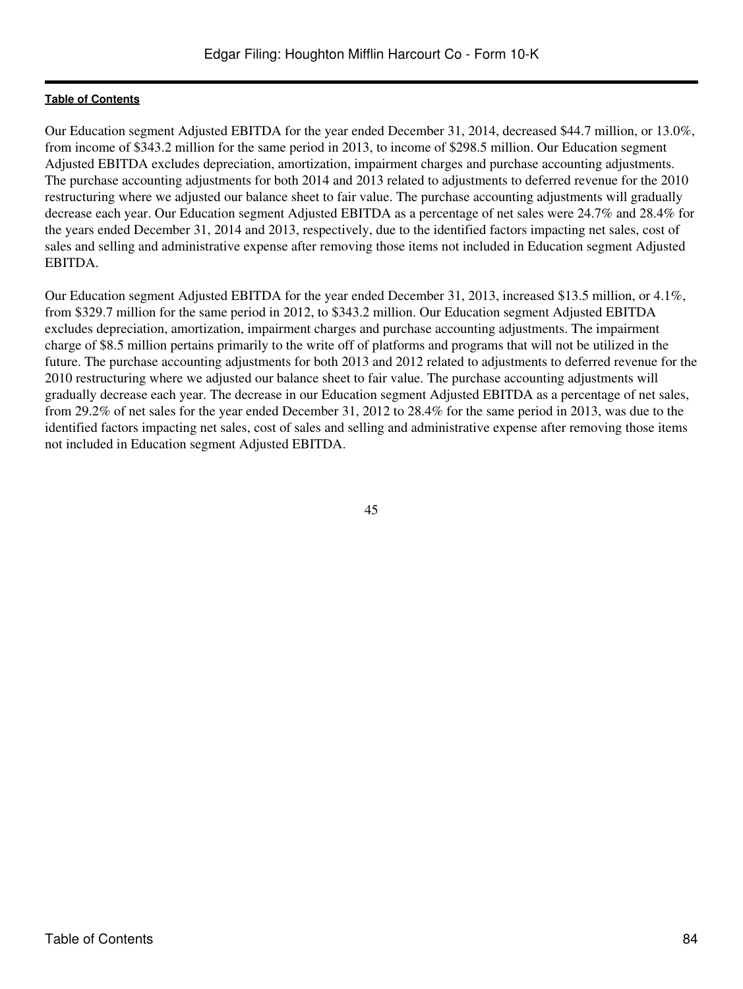Our Education segment Adjusted EBITDA for the year ended December 31, 2014, decreased \$44.7 million, or 13.0%, from income of \$343.2 million for the same period in 2013, to income of \$298.5 million. Our Education segment Adjusted EBITDA excludes depreciation, amortization, impairment charges and purchase accounting adjustments. The purchase accounting adjustments for both 2014 and 2013 related to adjustments to deferred revenue for the 2010 restructuring where we adjusted our balance sheet to fair value. The purchase accounting adjustments will gradually decrease each year. Our Education segment Adjusted EBITDA as a percentage of net sales were 24.7% and 28.4% for the years ended December 31, 2014 and 2013, respectively, due to the identified factors impacting net sales, cost of sales and selling and administrative expense after removing those items not included in Education segment Adjusted EBITDA.

Our Education segment Adjusted EBITDA for the year ended December 31, 2013, increased \$13.5 million, or 4.1%, from \$329.7 million for the same period in 2012, to \$343.2 million. Our Education segment Adjusted EBITDA excludes depreciation, amortization, impairment charges and purchase accounting adjustments. The impairment charge of \$8.5 million pertains primarily to the write off of platforms and programs that will not be utilized in the future. The purchase accounting adjustments for both 2013 and 2012 related to adjustments to deferred revenue for the 2010 restructuring where we adjusted our balance sheet to fair value. The purchase accounting adjustments will gradually decrease each year. The decrease in our Education segment Adjusted EBITDA as a percentage of net sales, from 29.2% of net sales for the year ended December 31, 2012 to 28.4% for the same period in 2013, was due to the identified factors impacting net sales, cost of sales and selling and administrative expense after removing those items not included in Education segment Adjusted EBITDA.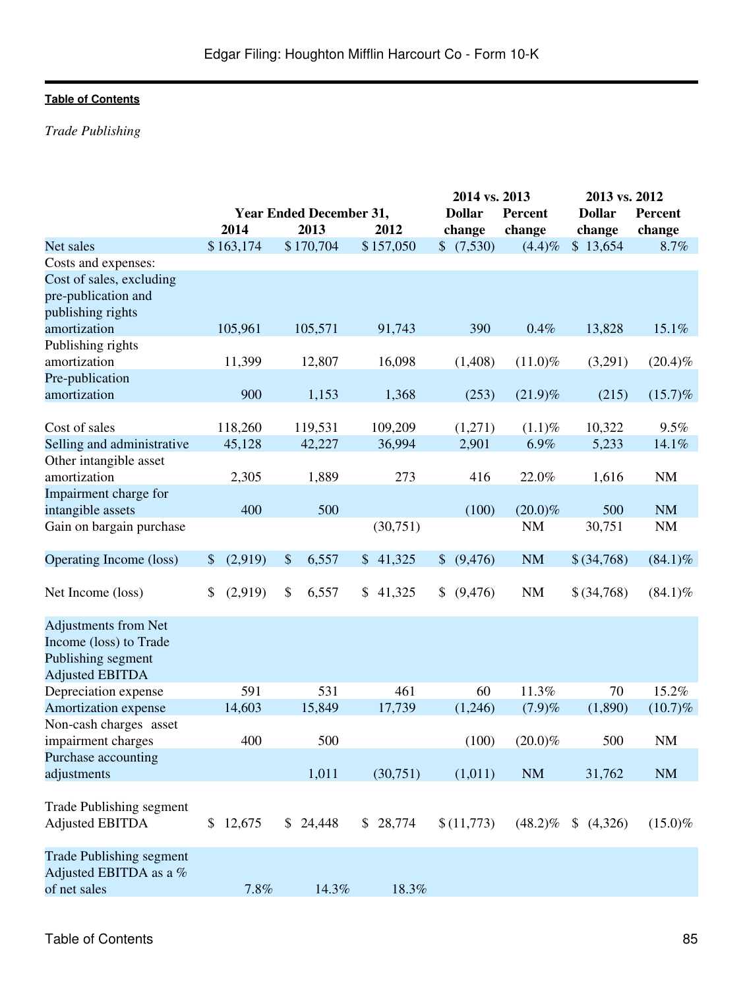# *Trade Publishing*

|                                 |               |           |                                |              | 2014 vs. 2013  |            | 2013 vs. 2012 |            |
|---------------------------------|---------------|-----------|--------------------------------|--------------|----------------|------------|---------------|------------|
|                                 |               |           | <b>Year Ended December 31,</b> |              | <b>Dollar</b>  | Percent    | <b>Dollar</b> | Percent    |
|                                 |               | 2014      | 2013                           | 2012         | change         | change     | change        | change     |
| Net sales                       |               | \$163,174 | \$170,704                      | \$157,050    | \$ (7,530)     | $(4.4)\%$  | \$13,654      | 8.7%       |
| Costs and expenses:             |               |           |                                |              |                |            |               |            |
| Cost of sales, excluding        |               |           |                                |              |                |            |               |            |
| pre-publication and             |               |           |                                |              |                |            |               |            |
| publishing rights               |               |           |                                |              |                |            |               |            |
| amortization                    |               | 105,961   | 105,571                        | 91,743       | 390            | 0.4%       | 13,828        | 15.1%      |
| Publishing rights               |               |           |                                |              |                |            |               |            |
| amortization                    |               | 11,399    | 12,807                         | 16,098       | (1,408)        | $(11.0)\%$ | (3,291)       | $(20.4)\%$ |
| Pre-publication                 |               |           |                                |              |                |            |               |            |
| amortization                    |               | 900       | 1,153                          | 1,368        | (253)          | $(21.9)\%$ | (215)         | $(15.7)\%$ |
|                                 |               |           |                                |              |                |            |               |            |
| Cost of sales                   |               | 118,260   | 119,531                        | 109,209      | (1,271)        | $(1.1)\%$  | 10,322        | 9.5%       |
| Selling and administrative      |               | 45,128    | 42,227                         | 36,994       | 2,901          | 6.9%       | 5,233         | 14.1%      |
| Other intangible asset          |               |           |                                |              |                |            |               |            |
| amortization                    |               | 2,305     | 1,889                          | 273          | 416            | 22.0%      | 1,616         | <b>NM</b>  |
| Impairment charge for           |               |           |                                |              |                |            |               |            |
| intangible assets               |               | 400       | 500                            |              | (100)          | $(20.0)\%$ | 500           | <b>NM</b>  |
| Gain on bargain purchase        |               |           |                                | (30,751)     |                | <b>NM</b>  | 30,751        | $\rm{NM}$  |
| Operating Income (loss)         | $\frac{1}{2}$ | (2,919)   | \$<br>6,557                    | \$41,325     | \$ (9,476)     | <b>NM</b>  | \$ (34,768)   | $(84.1)\%$ |
|                                 |               |           |                                |              |                |            |               |            |
| Net Income (loss)               | \$            | (2,919)   | \$<br>6,557                    | 41,325<br>\$ | (9, 476)<br>\$ | <b>NM</b>  | \$(34,768)    | $(84.1)\%$ |
| <b>Adjustments from Net</b>     |               |           |                                |              |                |            |               |            |
| Income (loss) to Trade          |               |           |                                |              |                |            |               |            |
| Publishing segment              |               |           |                                |              |                |            |               |            |
| <b>Adjusted EBITDA</b>          |               |           |                                |              |                |            |               |            |
| Depreciation expense            |               | 591       | 531                            | 461          | 60             | 11.3%      | 70            | 15.2%      |
| Amortization expense            |               | 14,603    | 15,849                         | 17,739       | (1,246)        | (7.9)%     | (1,890)       | $(10.7)\%$ |
| Non-cash charges asset          |               |           |                                |              |                |            |               |            |
| impairment charges              |               | 400       | 500                            |              | (100)          | $(20.0)\%$ | 500           | <b>NM</b>  |
| Purchase accounting             |               |           |                                |              |                |            |               |            |
| adjustments                     |               |           | 1,011                          | (30,751)     | (1,011)        | NM         | 31,762        | <b>NM</b>  |
|                                 |               |           |                                |              |                |            |               |            |
| Trade Publishing segment        |               |           |                                |              |                |            |               |            |
| <b>Adjusted EBITDA</b>          |               | \$12,675  | \$24,448                       | \$28,774     | \$(11,773)     | $(48.2)\%$ | (4,326)       | $(15.0)\%$ |
| <b>Trade Publishing segment</b> |               |           |                                |              |                |            |               |            |
| Adjusted EBITDA as a %          |               |           |                                |              |                |            |               |            |
| of net sales                    |               | 7.8%      | 14.3%                          | 18.3%        |                |            |               |            |
|                                 |               |           |                                |              |                |            |               |            |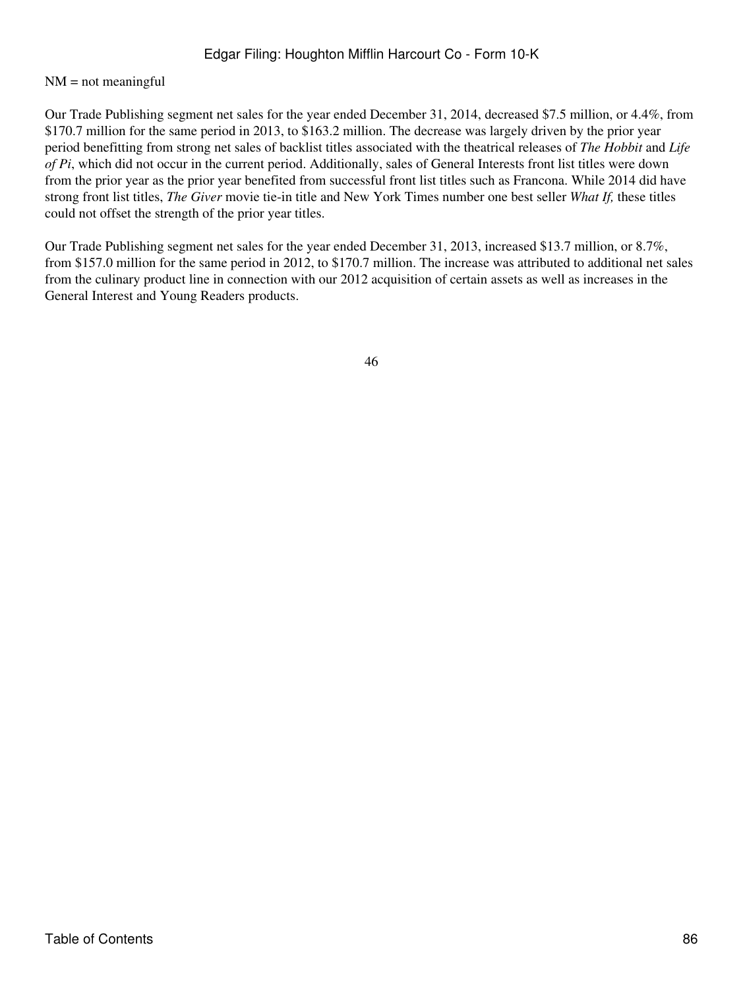# Edgar Filing: Houghton Mifflin Harcourt Co - Form 10-K

#### $NM = not meaningful$

Our Trade Publishing segment net sales for the year ended December 31, 2014, decreased \$7.5 million, or 4.4%, from \$170.7 million for the same period in 2013, to \$163.2 million. The decrease was largely driven by the prior year period benefitting from strong net sales of backlist titles associated with the theatrical releases of *The Hobbit* and *Life of Pi*, which did not occur in the current period. Additionally, sales of General Interests front list titles were down from the prior year as the prior year benefited from successful front list titles such as Francona. While 2014 did have strong front list titles, *The Giver* movie tie-in title and New York Times number one best seller *What If,* these titles could not offset the strength of the prior year titles.

Our Trade Publishing segment net sales for the year ended December 31, 2013, increased \$13.7 million, or 8.7%, from \$157.0 million for the same period in 2012, to \$170.7 million. The increase was attributed to additional net sales from the culinary product line in connection with our 2012 acquisition of certain assets as well as increases in the General Interest and Young Readers products.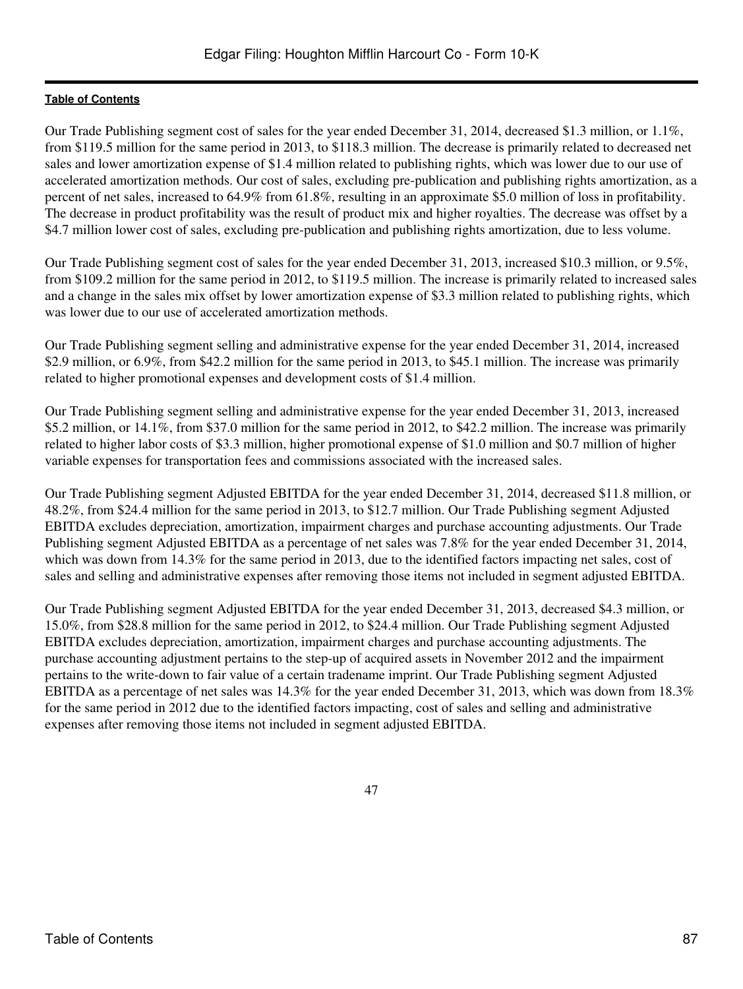Our Trade Publishing segment cost of sales for the year ended December 31, 2014, decreased \$1.3 million, or 1.1%, from \$119.5 million for the same period in 2013, to \$118.3 million. The decrease is primarily related to decreased net sales and lower amortization expense of \$1.4 million related to publishing rights, which was lower due to our use of accelerated amortization methods. Our cost of sales, excluding pre-publication and publishing rights amortization, as a percent of net sales, increased to 64.9% from 61.8%, resulting in an approximate \$5.0 million of loss in profitability. The decrease in product profitability was the result of product mix and higher royalties. The decrease was offset by a \$4.7 million lower cost of sales, excluding pre-publication and publishing rights amortization, due to less volume.

Our Trade Publishing segment cost of sales for the year ended December 31, 2013, increased \$10.3 million, or 9.5%, from \$109.2 million for the same period in 2012, to \$119.5 million. The increase is primarily related to increased sales and a change in the sales mix offset by lower amortization expense of \$3.3 million related to publishing rights, which was lower due to our use of accelerated amortization methods.

Our Trade Publishing segment selling and administrative expense for the year ended December 31, 2014, increased \$2.9 million, or 6.9%, from \$42.2 million for the same period in 2013, to \$45.1 million. The increase was primarily related to higher promotional expenses and development costs of \$1.4 million.

Our Trade Publishing segment selling and administrative expense for the year ended December 31, 2013, increased \$5.2 million, or 14.1%, from \$37.0 million for the same period in 2012, to \$42.2 million. The increase was primarily related to higher labor costs of \$3.3 million, higher promotional expense of \$1.0 million and \$0.7 million of higher variable expenses for transportation fees and commissions associated with the increased sales.

Our Trade Publishing segment Adjusted EBITDA for the year ended December 31, 2014, decreased \$11.8 million, or 48.2%, from \$24.4 million for the same period in 2013, to \$12.7 million. Our Trade Publishing segment Adjusted EBITDA excludes depreciation, amortization, impairment charges and purchase accounting adjustments. Our Trade Publishing segment Adjusted EBITDA as a percentage of net sales was 7.8% for the year ended December 31, 2014, which was down from 14.3% for the same period in 2013, due to the identified factors impacting net sales, cost of sales and selling and administrative expenses after removing those items not included in segment adjusted EBITDA.

Our Trade Publishing segment Adjusted EBITDA for the year ended December 31, 2013, decreased \$4.3 million, or 15.0%, from \$28.8 million for the same period in 2012, to \$24.4 million. Our Trade Publishing segment Adjusted EBITDA excludes depreciation, amortization, impairment charges and purchase accounting adjustments. The purchase accounting adjustment pertains to the step-up of acquired assets in November 2012 and the impairment pertains to the write-down to fair value of a certain tradename imprint. Our Trade Publishing segment Adjusted EBITDA as a percentage of net sales was 14.3% for the year ended December 31, 2013, which was down from 18.3% for the same period in 2012 due to the identified factors impacting, cost of sales and selling and administrative expenses after removing those items not included in segment adjusted EBITDA.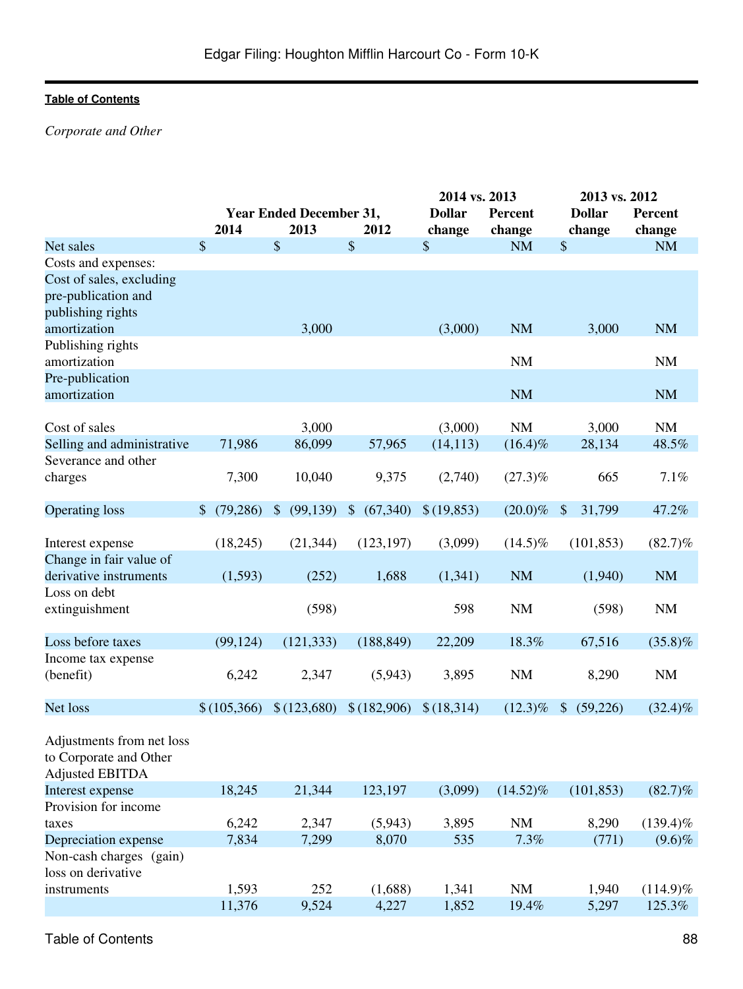# *Corporate and Other*

|                            |                            |                                        |                 | 2014 vs. 2013                   |             | 2013 vs. 2012             |             |
|----------------------------|----------------------------|----------------------------------------|-----------------|---------------------------------|-------------|---------------------------|-------------|
|                            |                            | <b>Year Ended December 31,</b>         |                 | <b>Dollar</b>                   | Percent     | <b>Dollar</b>             | Percent     |
|                            | 2014                       | 2013                                   | 2012            | change                          | change      | change                    | change      |
| Net sales                  | \$                         | \$                                     | \$              | $\boldsymbol{\hat{\mathsf{S}}}$ | <b>NM</b>   | \$                        | <b>NM</b>   |
| Costs and expenses:        |                            |                                        |                 |                                 |             |                           |             |
| Cost of sales, excluding   |                            |                                        |                 |                                 |             |                           |             |
| pre-publication and        |                            |                                        |                 |                                 |             |                           |             |
| publishing rights          |                            |                                        |                 |                                 |             |                           |             |
| amortization               |                            | 3,000                                  |                 | (3,000)                         | <b>NM</b>   | 3,000                     | NM          |
| Publishing rights          |                            |                                        |                 |                                 |             |                           |             |
| amortization               |                            |                                        |                 |                                 | $\rm{NM}$   |                           | $\rm{NM}$   |
| Pre-publication            |                            |                                        |                 |                                 |             |                           |             |
| amortization               |                            |                                        |                 |                                 | <b>NM</b>   |                           | <b>NM</b>   |
|                            |                            |                                        |                 |                                 |             |                           |             |
| Cost of sales              |                            | 3,000                                  |                 | (3,000)                         | <b>NM</b>   | 3,000                     | NM          |
| Selling and administrative | 71,986                     | 86,099                                 | 57,965          | (14, 113)                       | $(16.4)\%$  | 28,134                    | 48.5%       |
| Severance and other        |                            |                                        |                 |                                 |             |                           |             |
| charges                    | 7,300                      | 10,040                                 | 9,375           | (2,740)                         | $(27.3)\%$  | 665                       | 7.1%        |
|                            |                            |                                        |                 |                                 |             |                           |             |
| <b>Operating loss</b>      | (79, 286)<br>$\mathcal{S}$ | (99, 139)<br>$\boldsymbol{\mathsf{S}}$ | \$<br>(67, 340) | \$(19, 853)                     | $(20.0)\%$  | $\sqrt$<br>31,799         | 47.2%       |
|                            |                            |                                        |                 |                                 |             |                           |             |
| Interest expense           | (18,245)                   | (21, 344)                              | (123, 197)      | (3,099)                         | $(14.5)\%$  | (101, 853)                | $(82.7)\%$  |
| Change in fair value of    |                            |                                        |                 |                                 |             |                           |             |
| derivative instruments     | (1,593)                    | (252)                                  | 1,688           | (1,341)                         | <b>NM</b>   | (1,940)                   | NM          |
| Loss on debt               |                            |                                        |                 |                                 |             |                           |             |
| extinguishment             |                            | (598)                                  |                 | 598                             | $\rm{NM}$   | (598)                     | NM          |
|                            |                            |                                        |                 |                                 |             |                           |             |
| Loss before taxes          | (99, 124)                  | (121, 333)                             | (188, 849)      | 22,209                          | 18.3%       | 67,516                    | $(35.8)\%$  |
| Income tax expense         |                            |                                        |                 |                                 |             |                           |             |
| (benefit)                  | 6,242                      | 2,347                                  | (5,943)         | 3,895                           | <b>NM</b>   | 8,290                     | <b>NM</b>   |
|                            |                            |                                        |                 |                                 |             |                           |             |
| Net loss                   | \$(105,366)                | \$(123,680)                            | \$(182,906)     | \$(18,314)                      | $(12.3)\%$  | (59,226)<br>$\frac{1}{2}$ | $(32.4)\%$  |
|                            |                            |                                        |                 |                                 |             |                           |             |
| Adjustments from net loss  |                            |                                        |                 |                                 |             |                           |             |
| to Corporate and Other     |                            |                                        |                 |                                 |             |                           |             |
| <b>Adjusted EBITDA</b>     |                            |                                        |                 |                                 |             |                           |             |
| Interest expense           | 18,245                     | 21,344                                 | 123,197         | (3,099)                         | $(14.52)\%$ | (101, 853)                | $(82.7)\%$  |
| Provision for income       |                            |                                        |                 |                                 |             |                           |             |
| taxes                      | 6,242                      | 2,347                                  | (5,943)         | 3,895                           | <b>NM</b>   | 8,290                     | $(139.4)\%$ |
| Depreciation expense       | 7,834                      | 7,299                                  | 8,070           | 535                             | 7.3%        | (771)                     | $(9.6)\%$   |
| Non-cash charges (gain)    |                            |                                        |                 |                                 |             |                           |             |
| loss on derivative         |                            |                                        |                 |                                 |             |                           |             |
| instruments                | 1,593                      | 252                                    | (1,688)         | 1,341                           | $\rm{NM}$   | 1,940                     | $(114.9)\%$ |
|                            | 11,376                     | 9,524                                  | 4,227           | 1,852                           | 19.4%       | 5,297                     | 125.3%      |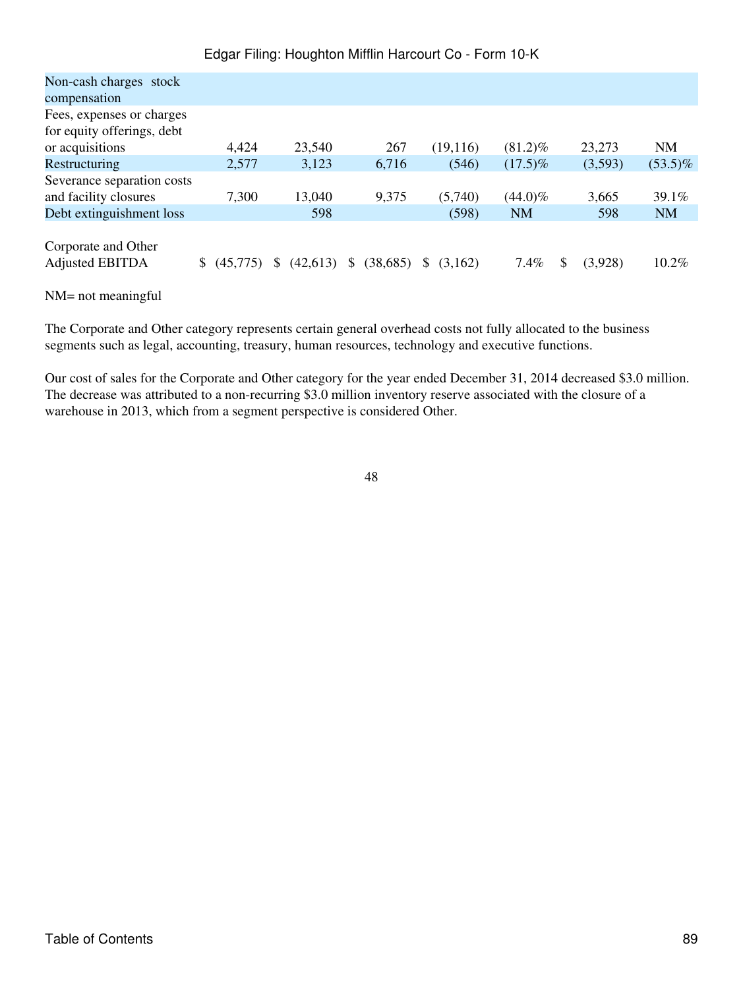# Edgar Filing: Houghton Mifflin Harcourt Co - Form 10-K

| Non-cash charges stock<br>compensation |          |           |                 |          |            |              |            |
|----------------------------------------|----------|-----------|-----------------|----------|------------|--------------|------------|
| Fees, expenses or charges              |          |           |                 |          |            |              |            |
| for equity offerings, debt             |          |           |                 |          |            |              |            |
| or acquisitions                        | 4,424    | 23,540    | 267             | (19,116) | $(81.2)\%$ | 23,273       | <b>NM</b>  |
| Restructuring                          | 2,577    | 3,123     | 6,716           | (546)    | $(17.5)\%$ | (3,593)      | $(53.5)\%$ |
| Severance separation costs             |          |           |                 |          |            |              |            |
| and facility closures                  | 7,300    | 13,040    | 9,375           | (5,740)  | $(44.0)\%$ | 3,665        | 39.1%      |
| Debt extinguishment loss               |          | 598       |                 | (598)    | <b>NM</b>  | 598          | <b>NM</b>  |
| Corporate and Other                    |          |           |                 |          |            |              |            |
| <b>Adjusted EBITDA</b>                 | (45,775) | (42, 613) | (38, 685)<br>S. | (3,162)  | $7.4\%$    | S<br>(3,928) | $10.2\%$   |

NM= not meaningful

The Corporate and Other category represents certain general overhead costs not fully allocated to the business segments such as legal, accounting, treasury, human resources, technology and executive functions.

Our cost of sales for the Corporate and Other category for the year ended December 31, 2014 decreased \$3.0 million. The decrease was attributed to a non-recurring \$3.0 million inventory reserve associated with the closure of a warehouse in 2013, which from a segment perspective is considered Other.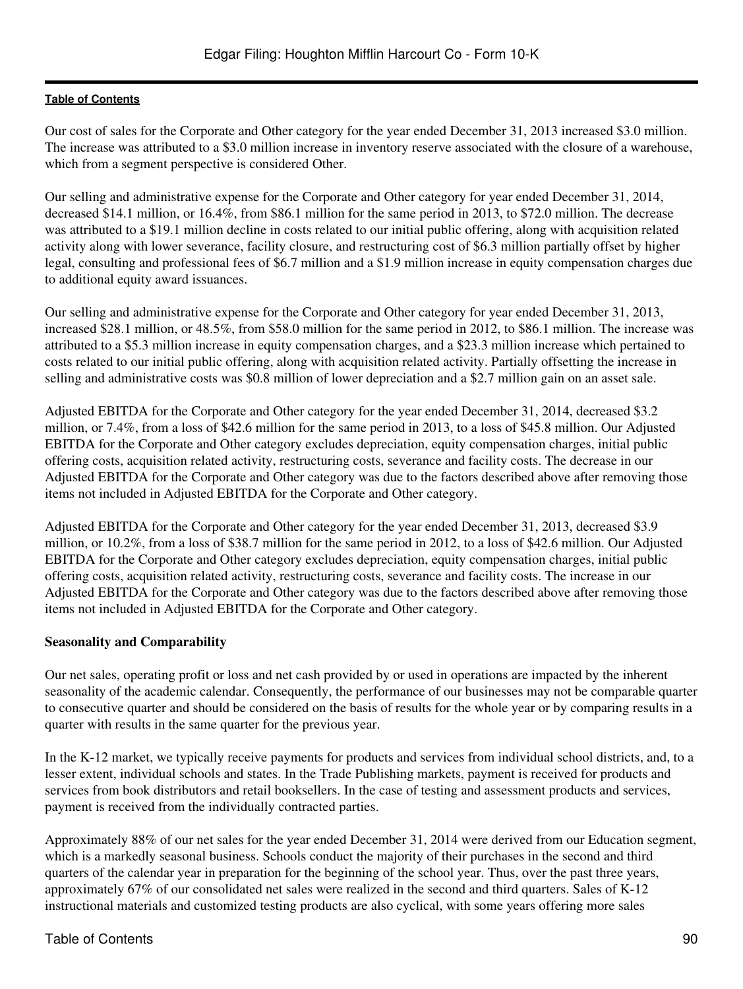Our cost of sales for the Corporate and Other category for the year ended December 31, 2013 increased \$3.0 million. The increase was attributed to a \$3.0 million increase in inventory reserve associated with the closure of a warehouse, which from a segment perspective is considered Other.

Our selling and administrative expense for the Corporate and Other category for year ended December 31, 2014, decreased \$14.1 million, or 16.4%, from \$86.1 million for the same period in 2013, to \$72.0 million. The decrease was attributed to a \$19.1 million decline in costs related to our initial public offering, along with acquisition related activity along with lower severance, facility closure, and restructuring cost of \$6.3 million partially offset by higher legal, consulting and professional fees of \$6.7 million and a \$1.9 million increase in equity compensation charges due to additional equity award issuances.

Our selling and administrative expense for the Corporate and Other category for year ended December 31, 2013, increased \$28.1 million, or 48.5%, from \$58.0 million for the same period in 2012, to \$86.1 million. The increase was attributed to a \$5.3 million increase in equity compensation charges, and a \$23.3 million increase which pertained to costs related to our initial public offering, along with acquisition related activity. Partially offsetting the increase in selling and administrative costs was \$0.8 million of lower depreciation and a \$2.7 million gain on an asset sale.

Adjusted EBITDA for the Corporate and Other category for the year ended December 31, 2014, decreased \$3.2 million, or 7.4%, from a loss of \$42.6 million for the same period in 2013, to a loss of \$45.8 million. Our Adjusted EBITDA for the Corporate and Other category excludes depreciation, equity compensation charges, initial public offering costs, acquisition related activity, restructuring costs, severance and facility costs. The decrease in our Adjusted EBITDA for the Corporate and Other category was due to the factors described above after removing those items not included in Adjusted EBITDA for the Corporate and Other category.

Adjusted EBITDA for the Corporate and Other category for the year ended December 31, 2013, decreased \$3.9 million, or 10.2%, from a loss of \$38.7 million for the same period in 2012, to a loss of \$42.6 million. Our Adjusted EBITDA for the Corporate and Other category excludes depreciation, equity compensation charges, initial public offering costs, acquisition related activity, restructuring costs, severance and facility costs. The increase in our Adjusted EBITDA for the Corporate and Other category was due to the factors described above after removing those items not included in Adjusted EBITDA for the Corporate and Other category.

## **Seasonality and Comparability**

Our net sales, operating profit or loss and net cash provided by or used in operations are impacted by the inherent seasonality of the academic calendar. Consequently, the performance of our businesses may not be comparable quarter to consecutive quarter and should be considered on the basis of results for the whole year or by comparing results in a quarter with results in the same quarter for the previous year.

In the K-12 market, we typically receive payments for products and services from individual school districts, and, to a lesser extent, individual schools and states. In the Trade Publishing markets, payment is received for products and services from book distributors and retail booksellers. In the case of testing and assessment products and services, payment is received from the individually contracted parties.

Approximately 88% of our net sales for the year ended December 31, 2014 were derived from our Education segment, which is a markedly seasonal business. Schools conduct the majority of their purchases in the second and third quarters of the calendar year in preparation for the beginning of the school year. Thus, over the past three years, approximately 67% of our consolidated net sales were realized in the second and third quarters. Sales of K-12 instructional materials and customized testing products are also cyclical, with some years offering more sales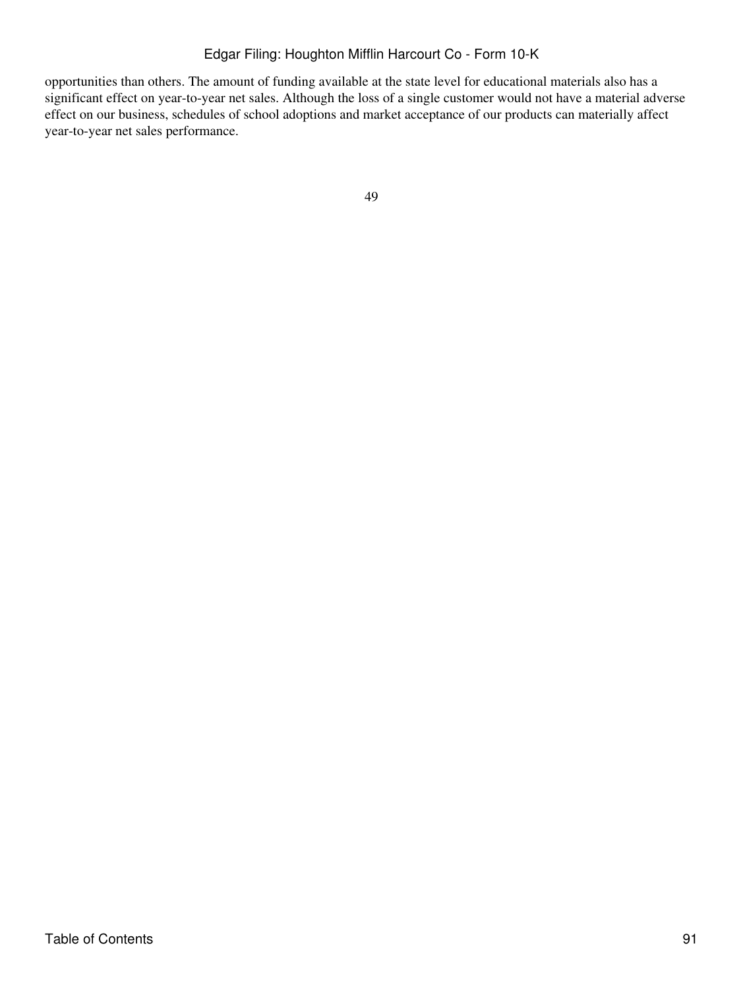# Edgar Filing: Houghton Mifflin Harcourt Co - Form 10-K

opportunities than others. The amount of funding available at the state level for educational materials also has a significant effect on year-to-year net sales. Although the loss of a single customer would not have a material adverse effect on our business, schedules of school adoptions and market acceptance of our products can materially affect year-to-year net sales performance.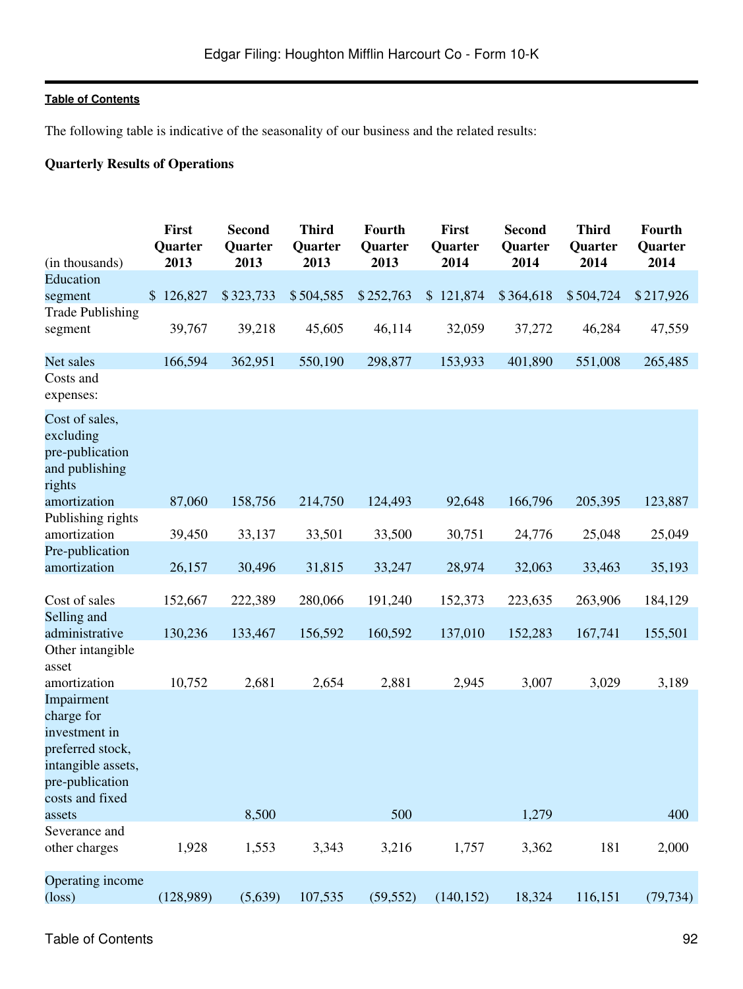The following table is indicative of the seasonality of our business and the related results:

# **Quarterly Results of Operations**

| (in thousands)                                                                                                                            | First<br>Quarter<br>2013 | <b>Second</b><br><b>Quarter</b><br>2013 | <b>Third</b><br>Quarter<br>2013 | Fourth<br>Quarter<br>2013 | <b>First</b><br>Quarter<br>2014 | <b>Second</b><br>Quarter<br>2014 | <b>Third</b><br>Quarter<br>2014 | Fourth<br>Quarter<br>2014 |
|-------------------------------------------------------------------------------------------------------------------------------------------|--------------------------|-----------------------------------------|---------------------------------|---------------------------|---------------------------------|----------------------------------|---------------------------------|---------------------------|
| Education                                                                                                                                 |                          |                                         |                                 |                           |                                 |                                  |                                 |                           |
| segment                                                                                                                                   | \$126,827                | \$323,733                               | \$504,585                       | \$252,763                 | \$121,874                       | \$364,618                        | \$504,724                       | \$217,926                 |
| <b>Trade Publishing</b>                                                                                                                   |                          |                                         |                                 |                           |                                 |                                  |                                 |                           |
| segment                                                                                                                                   | 39,767                   | 39,218                                  | 45,605                          | 46,114                    | 32,059                          | 37,272                           | 46,284                          | 47,559                    |
| Net sales                                                                                                                                 | 166,594                  | 362,951                                 | 550,190                         | 298,877                   | 153,933                         | 401,890                          | 551,008                         | 265,485                   |
| Costs and<br>expenses:                                                                                                                    |                          |                                         |                                 |                           |                                 |                                  |                                 |                           |
| Cost of sales,<br>excluding<br>pre-publication<br>and publishing<br>rights                                                                |                          |                                         |                                 |                           |                                 |                                  |                                 |                           |
| amortization                                                                                                                              | 87,060                   | 158,756                                 | 214,750                         | 124,493                   | 92,648                          | 166,796                          | 205,395                         | 123,887                   |
| Publishing rights<br>amortization                                                                                                         | 39,450                   | 33,137                                  | 33,501                          | 33,500                    | 30,751                          | 24,776                           | 25,048                          | 25,049                    |
| Pre-publication<br>amortization                                                                                                           | 26,157                   | 30,496                                  | 31,815                          | 33,247                    | 28,974                          | 32,063                           | 33,463                          | 35,193                    |
| Cost of sales                                                                                                                             | 152,667                  | 222,389                                 | 280,066                         | 191,240                   | 152,373                         | 223,635                          | 263,906                         | 184,129                   |
| Selling and<br>administrative                                                                                                             | 130,236                  | 133,467                                 | 156,592                         | 160,592                   | 137,010                         | 152,283                          | 167,741                         | 155,501                   |
| Other intangible<br>asset                                                                                                                 |                          |                                         |                                 |                           |                                 |                                  |                                 |                           |
| amortization<br>Impairment<br>charge for<br>investment in<br>preferred stock,<br>intangible assets,<br>pre-publication<br>costs and fixed | 10,752                   | 2,681                                   | 2,654                           | 2,881                     | 2,945                           | 3,007                            | 3,029                           | 3,189                     |
| assets                                                                                                                                    |                          | 8,500                                   |                                 | 500                       |                                 | 1,279                            |                                 | 400                       |
| Severance and<br>other charges                                                                                                            | 1,928                    | 1,553                                   | 3,343                           | 3,216                     | 1,757                           | 3,362                            | 181                             | 2,000                     |
| Operating income<br>$(\text{loss})$                                                                                                       | (128,989)                | (5,639)                                 | 107,535                         | (59, 552)                 | (140, 152)                      | 18,324                           | 116,151                         | (79, 734)                 |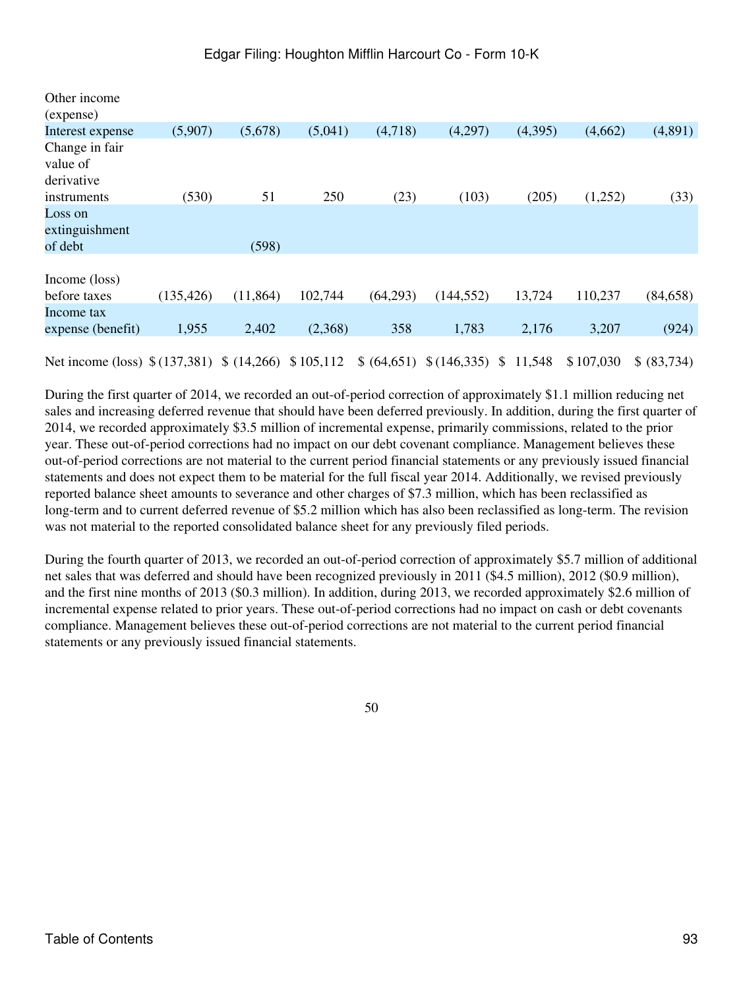| Edgar Filing: Houghton Mifflin Harcourt Co - Form 10-K |  |  |  |
|--------------------------------------------------------|--|--|--|
|--------------------------------------------------------|--|--|--|

| Other income<br>(expense)                                  |            |           |         |          |                        |                        |           |             |
|------------------------------------------------------------|------------|-----------|---------|----------|------------------------|------------------------|-----------|-------------|
| Interest expense                                           | (5,907)    | (5,678)   | (5,041) | (4,718)  | (4,297)                | (4,395)                | (4,662)   | (4,891)     |
| Change in fair<br>value of<br>derivative                   |            |           |         |          |                        |                        |           |             |
| instruments                                                | (530)      | 51        | 250     | (23)     | (103)                  | (205)                  | (1,252)   | (33)        |
| Loss on<br>extinguishment<br>of debt                       |            | (598)     |         |          |                        |                        |           |             |
| Income (loss)<br>before taxes                              | (135, 426) | (11, 864) | 102,744 | (64,293) | (144, 552)             | 13,724                 | 110,237   | (84, 658)   |
| Income tax<br>expense (benefit)                            | 1,955      | 2,402     | (2,368) | 358      | 1,783                  | 2,176                  | 3,207     | (924)       |
| Net income (loss) $\{(137,381)$ $\{(14,266)$ $\{(105,112)$ |            |           |         |          | $(64,651)$ $(146,335)$ | 11,548<br>$\mathbb{S}$ | \$107,030 | \$ (83,734) |

During the first quarter of 2014, we recorded an out-of-period correction of approximately \$1.1 million reducing net sales and increasing deferred revenue that should have been deferred previously. In addition, during the first quarter of 2014, we recorded approximately \$3.5 million of incremental expense, primarily commissions, related to the prior year. These out-of-period corrections had no impact on our debt covenant compliance. Management believes these out-of-period corrections are not material to the current period financial statements or any previously issued financial statements and does not expect them to be material for the full fiscal year 2014. Additionally, we revised previously reported balance sheet amounts to severance and other charges of \$7.3 million, which has been reclassified as long-term and to current deferred revenue of \$5.2 million which has also been reclassified as long-term. The revision was not material to the reported consolidated balance sheet for any previously filed periods.

During the fourth quarter of 2013, we recorded an out-of-period correction of approximately \$5.7 million of additional net sales that was deferred and should have been recognized previously in 2011 (\$4.5 million), 2012 (\$0.9 million), and the first nine months of 2013 (\$0.3 million). In addition, during 2013, we recorded approximately \$2.6 million of incremental expense related to prior years. These out-of-period corrections had no impact on cash or debt covenants compliance. Management believes these out-of-period corrections are not material to the current period financial statements or any previously issued financial statements.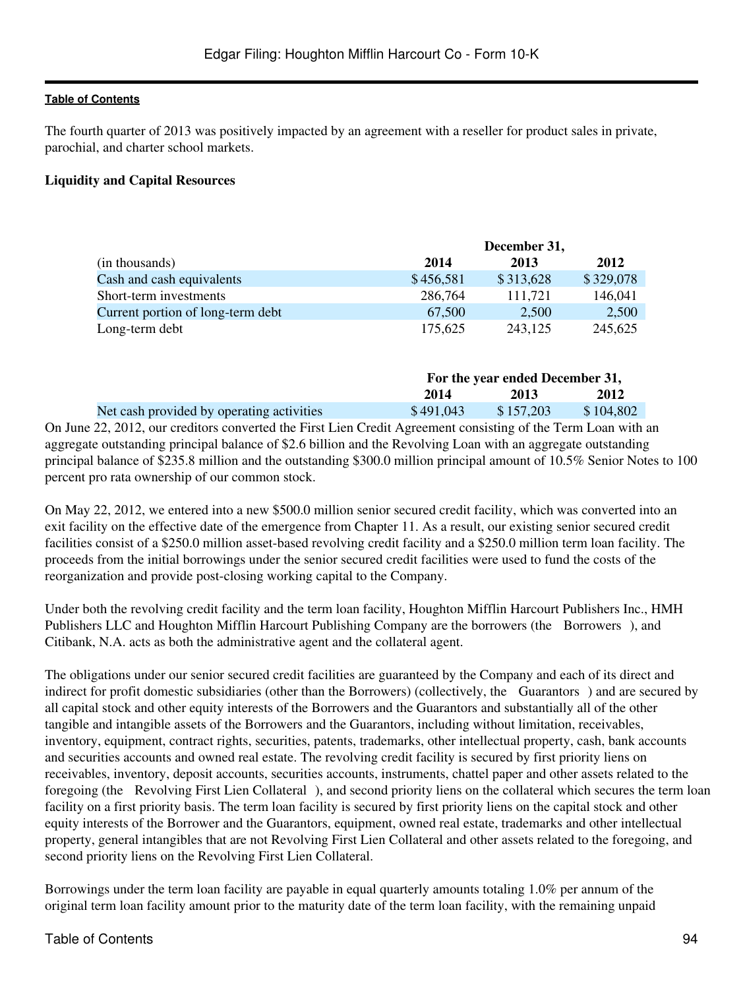The fourth quarter of 2013 was positively impacted by an agreement with a reseller for product sales in private, parochial, and charter school markets.

## **Liquidity and Capital Resources**

|                                   | December 31, |           |           |  |  |  |  |
|-----------------------------------|--------------|-----------|-----------|--|--|--|--|
| (in thousands)                    | 2014         | 2013      | 2012      |  |  |  |  |
| Cash and cash equivalents         | \$456,581    | \$313,628 | \$329,078 |  |  |  |  |
| Short-term investments            | 286,764      | 111.721   | 146,041   |  |  |  |  |
| Current portion of long-term debt | 67,500       | 2,500     | 2,500     |  |  |  |  |
| Long-term debt                    | 175,625      | 243,125   | 245,625   |  |  |  |  |

|                                           | For the year ended December 31, |           |           |  |  |  |
|-------------------------------------------|---------------------------------|-----------|-----------|--|--|--|
|                                           | 2014                            | 2013      | 2012      |  |  |  |
| Net cash provided by operating activities | \$491,043                       | \$157.203 | \$104,802 |  |  |  |

On June 22, 2012, our creditors converted the First Lien Credit Agreement consisting of the Term Loan with an aggregate outstanding principal balance of \$2.6 billion and the Revolving Loan with an aggregate outstanding principal balance of \$235.8 million and the outstanding \$300.0 million principal amount of 10.5% Senior Notes to 100 percent pro rata ownership of our common stock.

On May 22, 2012, we entered into a new \$500.0 million senior secured credit facility, which was converted into an exit facility on the effective date of the emergence from Chapter 11. As a result, our existing senior secured credit facilities consist of a \$250.0 million asset-based revolving credit facility and a \$250.0 million term loan facility. The proceeds from the initial borrowings under the senior secured credit facilities were used to fund the costs of the reorganization and provide post-closing working capital to the Company.

Under both the revolving credit facility and the term loan facility, Houghton Mifflin Harcourt Publishers Inc., HMH Publishers LLC and Houghton Mifflin Harcourt Publishing Company are the borrowers (the Borrowers), and Citibank, N.A. acts as both the administrative agent and the collateral agent.

The obligations under our senior secured credit facilities are guaranteed by the Company and each of its direct and indirect for profit domestic subsidiaries (other than the Borrowers) (collectively, the Guarantors) and are secured by all capital stock and other equity interests of the Borrowers and the Guarantors and substantially all of the other tangible and intangible assets of the Borrowers and the Guarantors, including without limitation, receivables, inventory, equipment, contract rights, securities, patents, trademarks, other intellectual property, cash, bank accounts and securities accounts and owned real estate. The revolving credit facility is secured by first priority liens on receivables, inventory, deposit accounts, securities accounts, instruments, chattel paper and other assets related to the foregoing (the Revolving First Lien Collateral), and second priority liens on the collateral which secures the term loan facility on a first priority basis. The term loan facility is secured by first priority liens on the capital stock and other equity interests of the Borrower and the Guarantors, equipment, owned real estate, trademarks and other intellectual property, general intangibles that are not Revolving First Lien Collateral and other assets related to the foregoing, and second priority liens on the Revolving First Lien Collateral.

Borrowings under the term loan facility are payable in equal quarterly amounts totaling 1.0% per annum of the original term loan facility amount prior to the maturity date of the term loan facility, with the remaining unpaid

## Table of Contents 94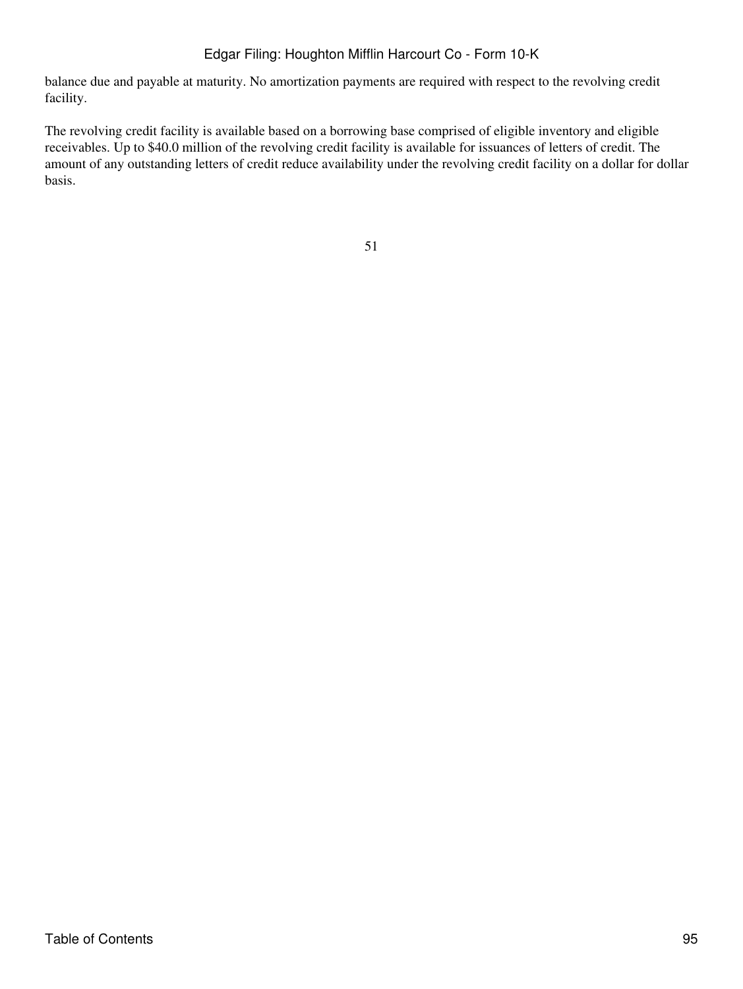# Edgar Filing: Houghton Mifflin Harcourt Co - Form 10-K

balance due and payable at maturity. No amortization payments are required with respect to the revolving credit facility.

The revolving credit facility is available based on a borrowing base comprised of eligible inventory and eligible receivables. Up to \$40.0 million of the revolving credit facility is available for issuances of letters of credit. The amount of any outstanding letters of credit reduce availability under the revolving credit facility on a dollar for dollar basis.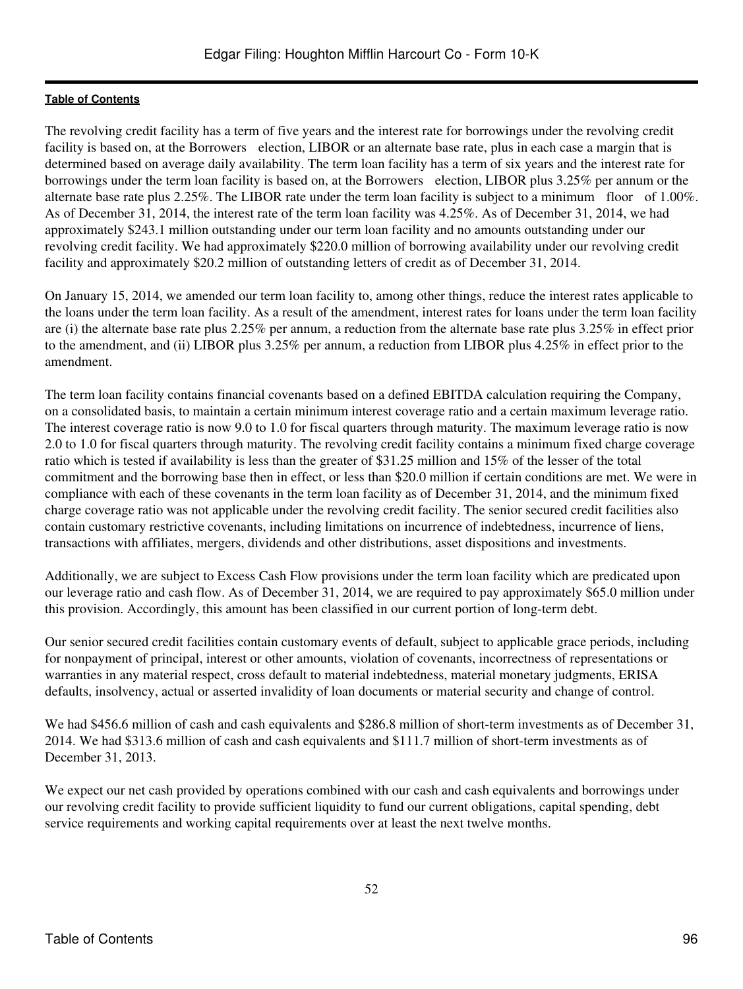The revolving credit facility has a term of five years and the interest rate for borrowings under the revolving credit facility is based on, at the Borrowers election, LIBOR or an alternate base rate, plus in each case a margin that is determined based on average daily availability. The term loan facility has a term of six years and the interest rate for borrowings under the term loan facility is based on, at the Borrowers election, LIBOR plus 3.25% per annum or the alternate base rate plus 2.25%. The LIBOR rate under the term loan facility is subject to a minimum floor of 1.00%. As of December 31, 2014, the interest rate of the term loan facility was 4.25%. As of December 31, 2014, we had approximately \$243.1 million outstanding under our term loan facility and no amounts outstanding under our revolving credit facility. We had approximately \$220.0 million of borrowing availability under our revolving credit facility and approximately \$20.2 million of outstanding letters of credit as of December 31, 2014.

On January 15, 2014, we amended our term loan facility to, among other things, reduce the interest rates applicable to the loans under the term loan facility. As a result of the amendment, interest rates for loans under the term loan facility are (i) the alternate base rate plus 2.25% per annum, a reduction from the alternate base rate plus 3.25% in effect prior to the amendment, and (ii) LIBOR plus 3.25% per annum, a reduction from LIBOR plus 4.25% in effect prior to the amendment.

The term loan facility contains financial covenants based on a defined EBITDA calculation requiring the Company, on a consolidated basis, to maintain a certain minimum interest coverage ratio and a certain maximum leverage ratio. The interest coverage ratio is now 9.0 to 1.0 for fiscal quarters through maturity. The maximum leverage ratio is now 2.0 to 1.0 for fiscal quarters through maturity. The revolving credit facility contains a minimum fixed charge coverage ratio which is tested if availability is less than the greater of \$31.25 million and 15% of the lesser of the total commitment and the borrowing base then in effect, or less than \$20.0 million if certain conditions are met. We were in compliance with each of these covenants in the term loan facility as of December 31, 2014, and the minimum fixed charge coverage ratio was not applicable under the revolving credit facility. The senior secured credit facilities also contain customary restrictive covenants, including limitations on incurrence of indebtedness, incurrence of liens, transactions with affiliates, mergers, dividends and other distributions, asset dispositions and investments.

Additionally, we are subject to Excess Cash Flow provisions under the term loan facility which are predicated upon our leverage ratio and cash flow. As of December 31, 2014, we are required to pay approximately \$65.0 million under this provision. Accordingly, this amount has been classified in our current portion of long-term debt.

Our senior secured credit facilities contain customary events of default, subject to applicable grace periods, including for nonpayment of principal, interest or other amounts, violation of covenants, incorrectness of representations or warranties in any material respect, cross default to material indebtedness, material monetary judgments, ERISA defaults, insolvency, actual or asserted invalidity of loan documents or material security and change of control.

We had \$456.6 million of cash and cash equivalents and \$286.8 million of short-term investments as of December 31, 2014. We had \$313.6 million of cash and cash equivalents and \$111.7 million of short-term investments as of December 31, 2013.

We expect our net cash provided by operations combined with our cash and cash equivalents and borrowings under our revolving credit facility to provide sufficient liquidity to fund our current obligations, capital spending, debt service requirements and working capital requirements over at least the next twelve months.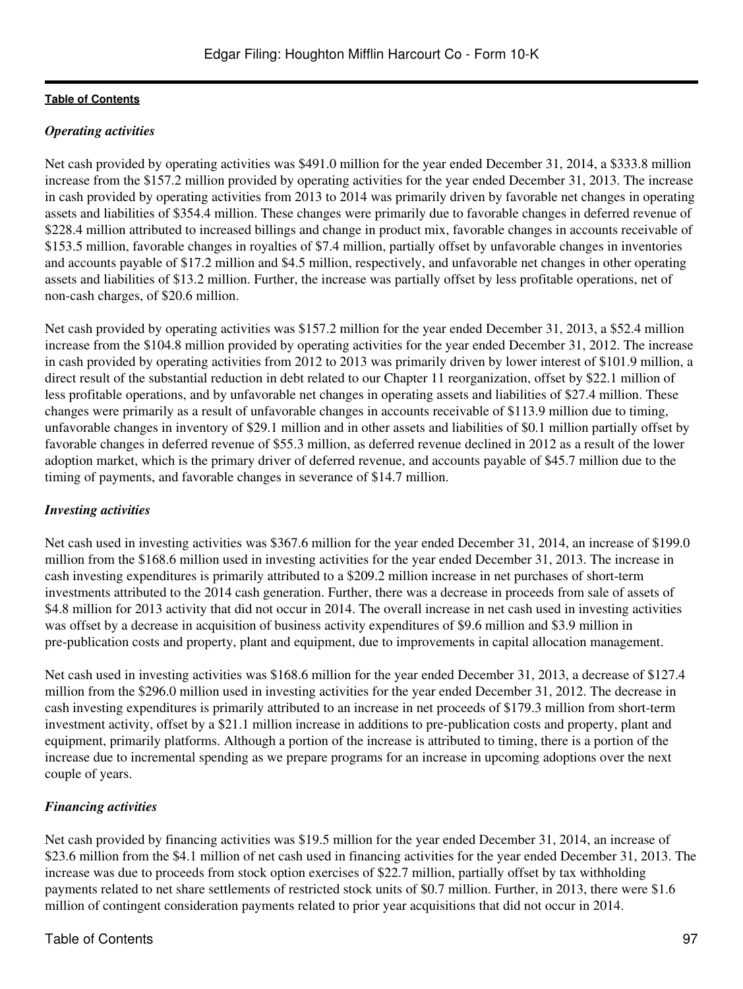## *Operating activities*

Net cash provided by operating activities was \$491.0 million for the year ended December 31, 2014, a \$333.8 million increase from the \$157.2 million provided by operating activities for the year ended December 31, 2013. The increase in cash provided by operating activities from 2013 to 2014 was primarily driven by favorable net changes in operating assets and liabilities of \$354.4 million. These changes were primarily due to favorable changes in deferred revenue of \$228.4 million attributed to increased billings and change in product mix, favorable changes in accounts receivable of \$153.5 million, favorable changes in royalties of \$7.4 million, partially offset by unfavorable changes in inventories and accounts payable of \$17.2 million and \$4.5 million, respectively, and unfavorable net changes in other operating assets and liabilities of \$13.2 million. Further, the increase was partially offset by less profitable operations, net of non-cash charges, of \$20.6 million.

Net cash provided by operating activities was \$157.2 million for the year ended December 31, 2013, a \$52.4 million increase from the \$104.8 million provided by operating activities for the year ended December 31, 2012. The increase in cash provided by operating activities from 2012 to 2013 was primarily driven by lower interest of \$101.9 million, a direct result of the substantial reduction in debt related to our Chapter 11 reorganization, offset by \$22.1 million of less profitable operations, and by unfavorable net changes in operating assets and liabilities of \$27.4 million. These changes were primarily as a result of unfavorable changes in accounts receivable of \$113.9 million due to timing, unfavorable changes in inventory of \$29.1 million and in other assets and liabilities of \$0.1 million partially offset by favorable changes in deferred revenue of \$55.3 million, as deferred revenue declined in 2012 as a result of the lower adoption market, which is the primary driver of deferred revenue, and accounts payable of \$45.7 million due to the timing of payments, and favorable changes in severance of \$14.7 million.

## *Investing activities*

Net cash used in investing activities was \$367.6 million for the year ended December 31, 2014, an increase of \$199.0 million from the \$168.6 million used in investing activities for the year ended December 31, 2013. The increase in cash investing expenditures is primarily attributed to a \$209.2 million increase in net purchases of short-term investments attributed to the 2014 cash generation. Further, there was a decrease in proceeds from sale of assets of \$4.8 million for 2013 activity that did not occur in 2014. The overall increase in net cash used in investing activities was offset by a decrease in acquisition of business activity expenditures of \$9.6 million and \$3.9 million in pre-publication costs and property, plant and equipment, due to improvements in capital allocation management.

Net cash used in investing activities was \$168.6 million for the year ended December 31, 2013, a decrease of \$127.4 million from the \$296.0 million used in investing activities for the year ended December 31, 2012. The decrease in cash investing expenditures is primarily attributed to an increase in net proceeds of \$179.3 million from short-term investment activity, offset by a \$21.1 million increase in additions to pre-publication costs and property, plant and equipment, primarily platforms. Although a portion of the increase is attributed to timing, there is a portion of the increase due to incremental spending as we prepare programs for an increase in upcoming adoptions over the next couple of years.

## *Financing activities*

Net cash provided by financing activities was \$19.5 million for the year ended December 31, 2014, an increase of \$23.6 million from the \$4.1 million of net cash used in financing activities for the year ended December 31, 2013. The increase was due to proceeds from stock option exercises of \$22.7 million, partially offset by tax withholding payments related to net share settlements of restricted stock units of \$0.7 million. Further, in 2013, there were \$1.6 million of contingent consideration payments related to prior year acquisitions that did not occur in 2014.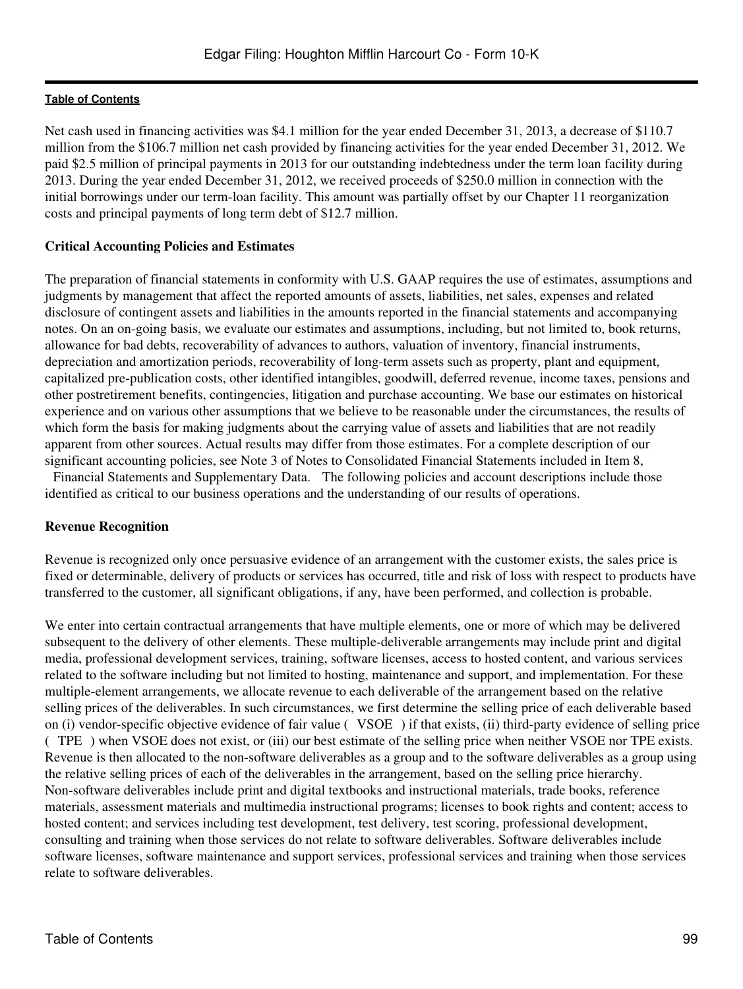Net cash used in financing activities was \$4.1 million for the year ended December 31, 2013, a decrease of \$110.7 million from the \$106.7 million net cash provided by financing activities for the year ended December 31, 2012. We paid \$2.5 million of principal payments in 2013 for our outstanding indebtedness under the term loan facility during 2013. During the year ended December 31, 2012, we received proceeds of \$250.0 million in connection with the initial borrowings under our term-loan facility. This amount was partially offset by our Chapter 11 reorganization costs and principal payments of long term debt of \$12.7 million.

## **Critical Accounting Policies and Estimates**

The preparation of financial statements in conformity with U.S. GAAP requires the use of estimates, assumptions and judgments by management that affect the reported amounts of assets, liabilities, net sales, expenses and related disclosure of contingent assets and liabilities in the amounts reported in the financial statements and accompanying notes. On an on-going basis, we evaluate our estimates and assumptions, including, but not limited to, book returns, allowance for bad debts, recoverability of advances to authors, valuation of inventory, financial instruments, depreciation and amortization periods, recoverability of long-term assets such as property, plant and equipment, capitalized pre-publication costs, other identified intangibles, goodwill, deferred revenue, income taxes, pensions and other postretirement benefits, contingencies, litigation and purchase accounting. We base our estimates on historical experience and on various other assumptions that we believe to be reasonable under the circumstances, the results of which form the basis for making judgments about the carrying value of assets and liabilities that are not readily apparent from other sources. Actual results may differ from those estimates. For a complete description of our significant accounting policies, see Note 3 of Notes to Consolidated Financial Statements included in Item 8, Financial Statements and Supplementary Data. The following policies and account descriptions include those

identified as critical to our business operations and the understanding of our results of operations.

#### **Revenue Recognition**

Revenue is recognized only once persuasive evidence of an arrangement with the customer exists, the sales price is fixed or determinable, delivery of products or services has occurred, title and risk of loss with respect to products have transferred to the customer, all significant obligations, if any, have been performed, and collection is probable.

We enter into certain contractual arrangements that have multiple elements, one or more of which may be delivered subsequent to the delivery of other elements. These multiple-deliverable arrangements may include print and digital media, professional development services, training, software licenses, access to hosted content, and various services related to the software including but not limited to hosting, maintenance and support, and implementation. For these multiple-element arrangements, we allocate revenue to each deliverable of the arrangement based on the relative selling prices of the deliverables. In such circumstances, we first determine the selling price of each deliverable based on (i) vendor-specific objective evidence of fair value (VSOE) if that exists, (ii) third-party evidence of selling price (TPE) when VSOE does not exist, or (iii) our best estimate of the selling price when neither VSOE nor TPE exists. Revenue is then allocated to the non-software deliverables as a group and to the software deliverables as a group using the relative selling prices of each of the deliverables in the arrangement, based on the selling price hierarchy. Non-software deliverables include print and digital textbooks and instructional materials, trade books, reference materials, assessment materials and multimedia instructional programs; licenses to book rights and content; access to hosted content; and services including test development, test delivery, test scoring, professional development, consulting and training when those services do not relate to software deliverables. Software deliverables include software licenses, software maintenance and support services, professional services and training when those services relate to software deliverables.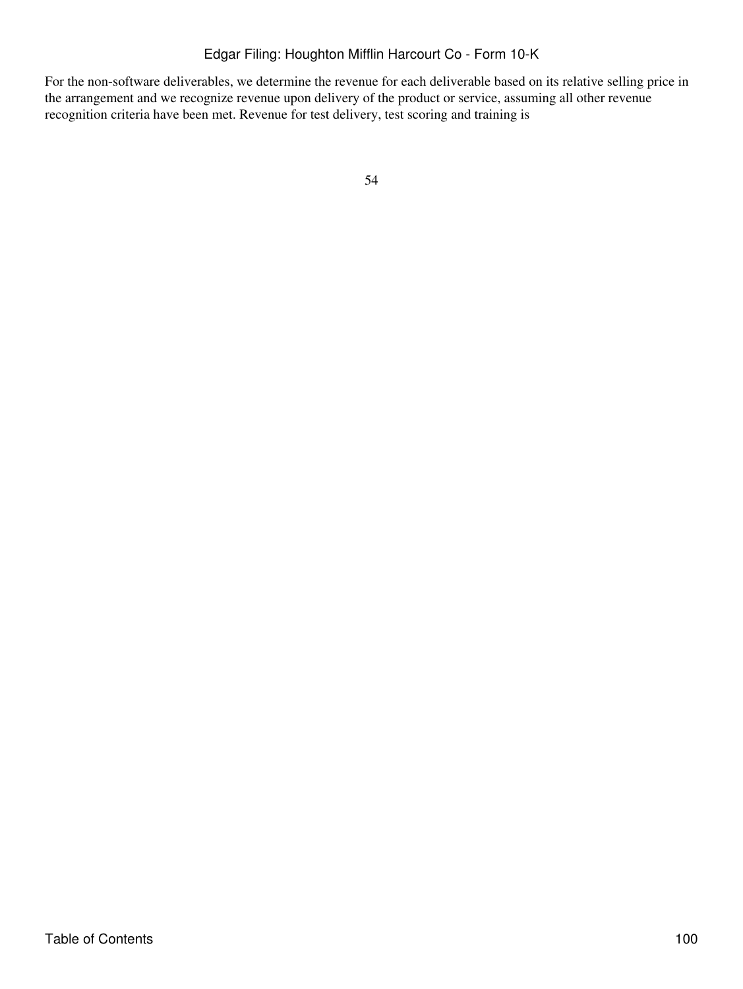For the non-software deliverables, we determine the revenue for each deliverable based on its relative selling price in the arrangement and we recognize revenue upon delivery of the product or service, assuming all other revenue recognition criteria have been met. Revenue for test delivery, test scoring and training is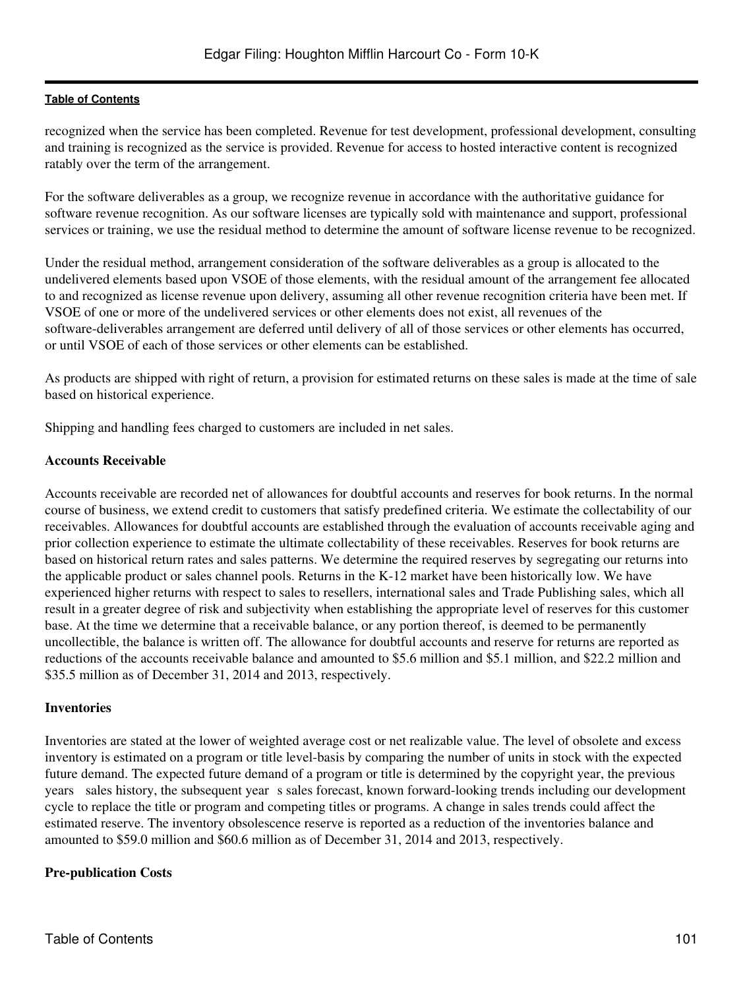recognized when the service has been completed. Revenue for test development, professional development, consulting and training is recognized as the service is provided. Revenue for access to hosted interactive content is recognized ratably over the term of the arrangement.

For the software deliverables as a group, we recognize revenue in accordance with the authoritative guidance for software revenue recognition. As our software licenses are typically sold with maintenance and support, professional services or training, we use the residual method to determine the amount of software license revenue to be recognized.

Under the residual method, arrangement consideration of the software deliverables as a group is allocated to the undelivered elements based upon VSOE of those elements, with the residual amount of the arrangement fee allocated to and recognized as license revenue upon delivery, assuming all other revenue recognition criteria have been met. If VSOE of one or more of the undelivered services or other elements does not exist, all revenues of the software-deliverables arrangement are deferred until delivery of all of those services or other elements has occurred, or until VSOE of each of those services or other elements can be established.

As products are shipped with right of return, a provision for estimated returns on these sales is made at the time of sale based on historical experience.

Shipping and handling fees charged to customers are included in net sales.

### **Accounts Receivable**

Accounts receivable are recorded net of allowances for doubtful accounts and reserves for book returns. In the normal course of business, we extend credit to customers that satisfy predefined criteria. We estimate the collectability of our receivables. Allowances for doubtful accounts are established through the evaluation of accounts receivable aging and prior collection experience to estimate the ultimate collectability of these receivables. Reserves for book returns are based on historical return rates and sales patterns. We determine the required reserves by segregating our returns into the applicable product or sales channel pools. Returns in the K-12 market have been historically low. We have experienced higher returns with respect to sales to resellers, international sales and Trade Publishing sales, which all result in a greater degree of risk and subjectivity when establishing the appropriate level of reserves for this customer base. At the time we determine that a receivable balance, or any portion thereof, is deemed to be permanently uncollectible, the balance is written off. The allowance for doubtful accounts and reserve for returns are reported as reductions of the accounts receivable balance and amounted to \$5.6 million and \$5.1 million, and \$22.2 million and \$35.5 million as of December 31, 2014 and 2013, respectively.

#### **Inventories**

Inventories are stated at the lower of weighted average cost or net realizable value. The level of obsolete and excess inventory is estimated on a program or title level-basis by comparing the number of units in stock with the expected future demand. The expected future demand of a program or title is determined by the copyright year, the previous years sales history, the subsequent years sales forecast, known forward-looking trends including our development cycle to replace the title or program and competing titles or programs. A change in sales trends could affect the estimated reserve. The inventory obsolescence reserve is reported as a reduction of the inventories balance and amounted to \$59.0 million and \$60.6 million as of December 31, 2014 and 2013, respectively.

## **Pre-publication Costs**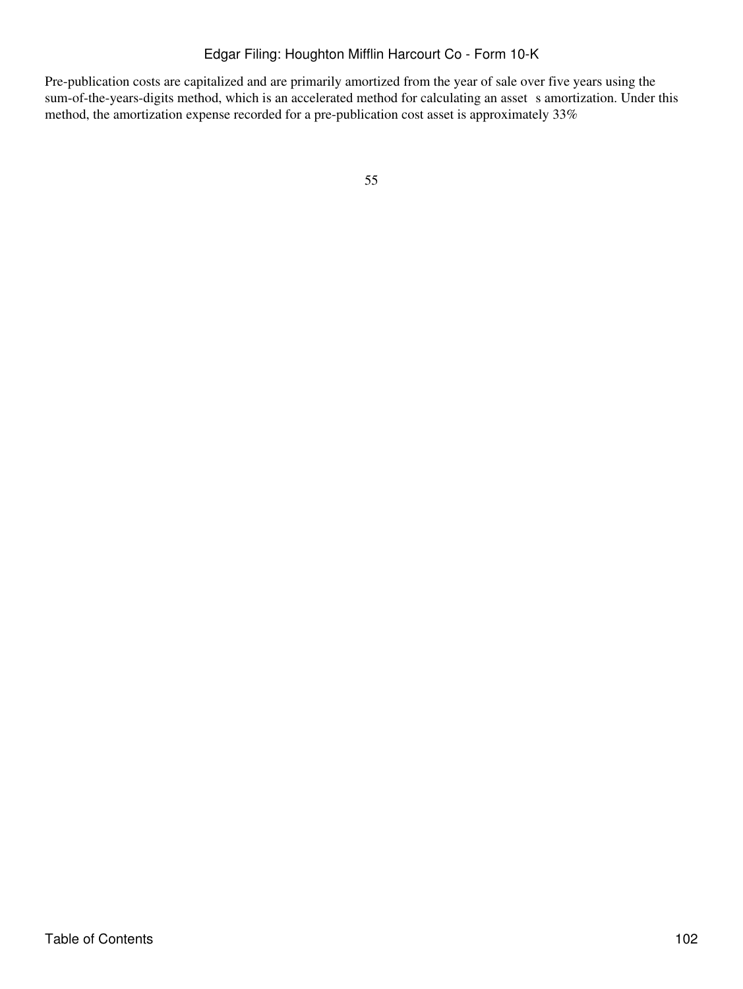Pre-publication costs are capitalized and are primarily amortized from the year of sale over five years using the sum-of-the-years-digits method, which is an accelerated method for calculating an asset s amortization. Under this method, the amortization expense recorded for a pre-publication cost asset is approximately 33%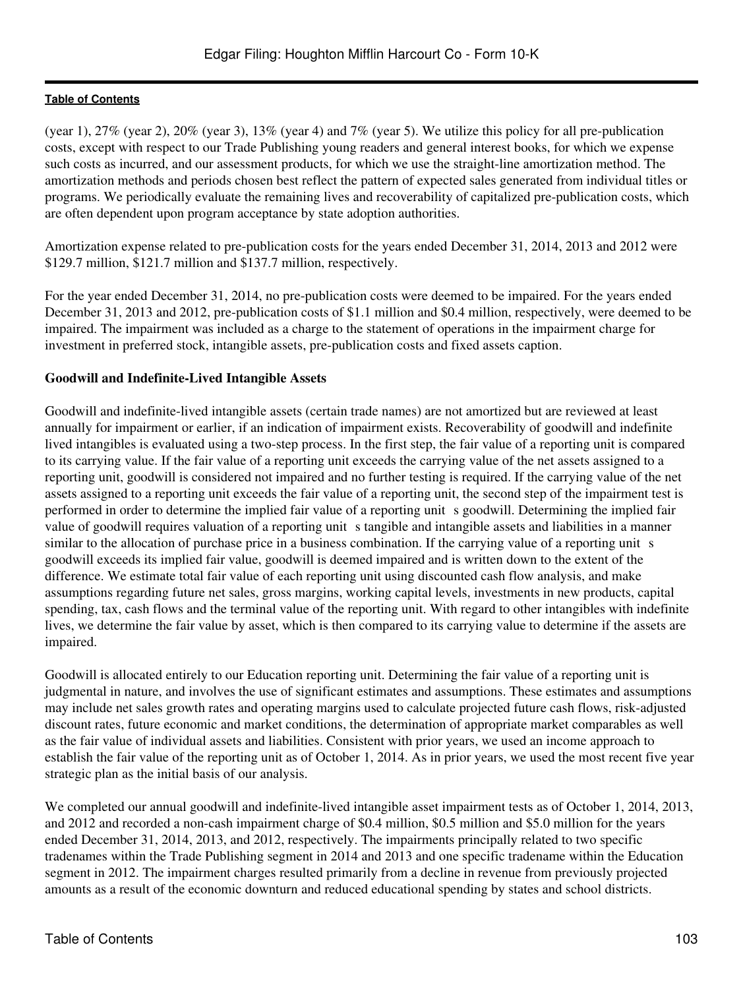(year 1), 27% (year 2), 20% (year 3), 13% (year 4) and 7% (year 5). We utilize this policy for all pre-publication costs, except with respect to our Trade Publishing young readers and general interest books, for which we expense such costs as incurred, and our assessment products, for which we use the straight-line amortization method. The amortization methods and periods chosen best reflect the pattern of expected sales generated from individual titles or programs. We periodically evaluate the remaining lives and recoverability of capitalized pre-publication costs, which are often dependent upon program acceptance by state adoption authorities.

Amortization expense related to pre-publication costs for the years ended December 31, 2014, 2013 and 2012 were \$129.7 million, \$121.7 million and \$137.7 million, respectively.

For the year ended December 31, 2014, no pre-publication costs were deemed to be impaired. For the years ended December 31, 2013 and 2012, pre-publication costs of \$1.1 million and \$0.4 million, respectively, were deemed to be impaired. The impairment was included as a charge to the statement of operations in the impairment charge for investment in preferred stock, intangible assets, pre-publication costs and fixed assets caption.

### **Goodwill and Indefinite-Lived Intangible Assets**

Goodwill and indefinite-lived intangible assets (certain trade names) are not amortized but are reviewed at least annually for impairment or earlier, if an indication of impairment exists. Recoverability of goodwill and indefinite lived intangibles is evaluated using a two-step process. In the first step, the fair value of a reporting unit is compared to its carrying value. If the fair value of a reporting unit exceeds the carrying value of the net assets assigned to a reporting unit, goodwill is considered not impaired and no further testing is required. If the carrying value of the net assets assigned to a reporting unit exceeds the fair value of a reporting unit, the second step of the impairment test is performed in order to determine the implied fair value of a reporting unit s goodwill. Determining the implied fair value of goodwill requires valuation of a reporting unit s tangible and intangible assets and liabilities in a manner similar to the allocation of purchase price in a business combination. If the carrying value of a reporting unit s goodwill exceeds its implied fair value, goodwill is deemed impaired and is written down to the extent of the difference. We estimate total fair value of each reporting unit using discounted cash flow analysis, and make assumptions regarding future net sales, gross margins, working capital levels, investments in new products, capital spending, tax, cash flows and the terminal value of the reporting unit. With regard to other intangibles with indefinite lives, we determine the fair value by asset, which is then compared to its carrying value to determine if the assets are impaired.

Goodwill is allocated entirely to our Education reporting unit. Determining the fair value of a reporting unit is judgmental in nature, and involves the use of significant estimates and assumptions. These estimates and assumptions may include net sales growth rates and operating margins used to calculate projected future cash flows, risk-adjusted discount rates, future economic and market conditions, the determination of appropriate market comparables as well as the fair value of individual assets and liabilities. Consistent with prior years, we used an income approach to establish the fair value of the reporting unit as of October 1, 2014. As in prior years, we used the most recent five year strategic plan as the initial basis of our analysis.

We completed our annual goodwill and indefinite-lived intangible asset impairment tests as of October 1, 2014, 2013, and 2012 and recorded a non-cash impairment charge of \$0.4 million, \$0.5 million and \$5.0 million for the years ended December 31, 2014, 2013, and 2012, respectively. The impairments principally related to two specific tradenames within the Trade Publishing segment in 2014 and 2013 and one specific tradename within the Education segment in 2012. The impairment charges resulted primarily from a decline in revenue from previously projected amounts as a result of the economic downturn and reduced educational spending by states and school districts.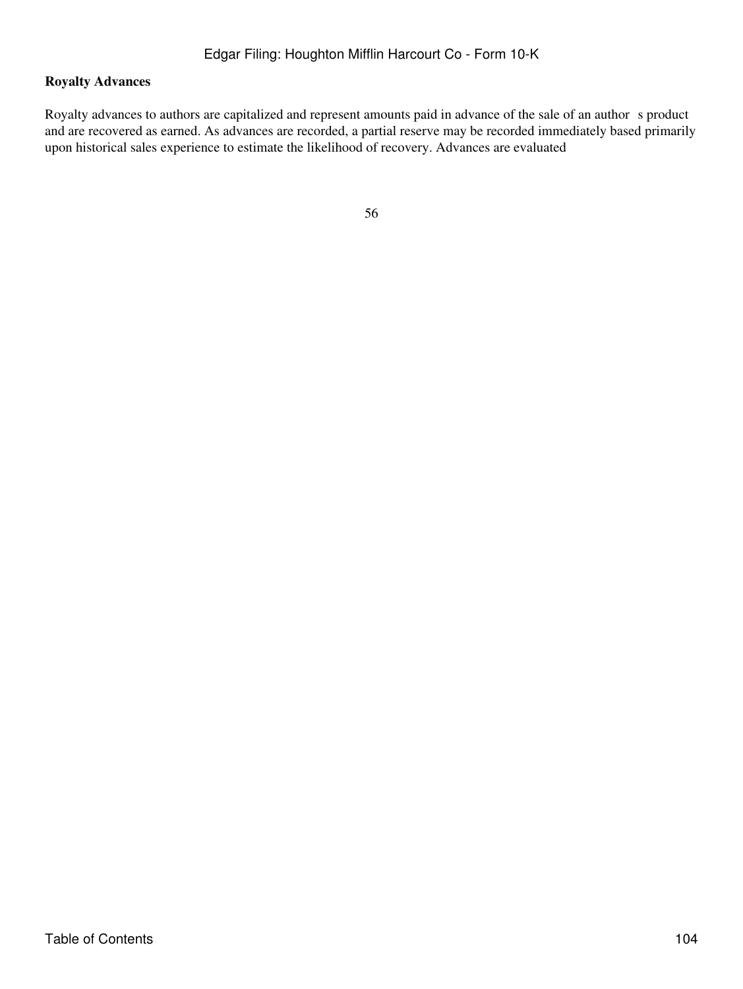### **Royalty Advances**

Royalty advances to authors are capitalized and represent amounts paid in advance of the sale of an author s product and are recovered as earned. As advances are recorded, a partial reserve may be recorded immediately based primarily upon historical sales experience to estimate the likelihood of recovery. Advances are evaluated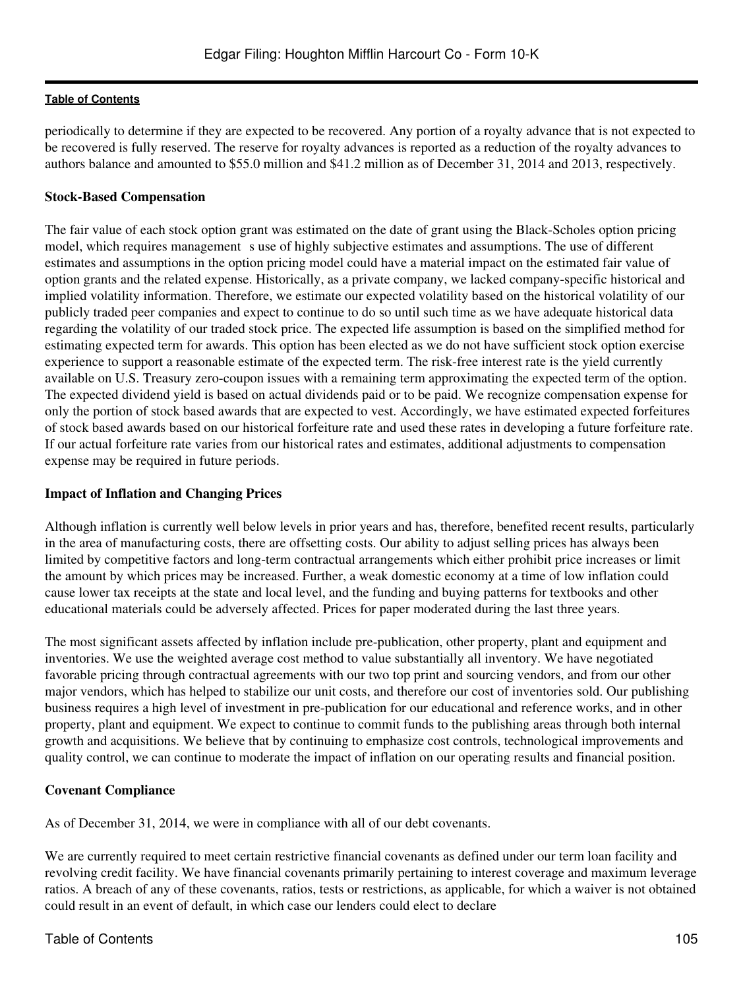periodically to determine if they are expected to be recovered. Any portion of a royalty advance that is not expected to be recovered is fully reserved. The reserve for royalty advances is reported as a reduction of the royalty advances to authors balance and amounted to \$55.0 million and \$41.2 million as of December 31, 2014 and 2013, respectively.

### **Stock-Based Compensation**

The fair value of each stock option grant was estimated on the date of grant using the Black-Scholes option pricing model, which requires management s use of highly subjective estimates and assumptions. The use of different estimates and assumptions in the option pricing model could have a material impact on the estimated fair value of option grants and the related expense. Historically, as a private company, we lacked company-specific historical and implied volatility information. Therefore, we estimate our expected volatility based on the historical volatility of our publicly traded peer companies and expect to continue to do so until such time as we have adequate historical data regarding the volatility of our traded stock price. The expected life assumption is based on the simplified method for estimating expected term for awards. This option has been elected as we do not have sufficient stock option exercise experience to support a reasonable estimate of the expected term. The risk-free interest rate is the yield currently available on U.S. Treasury zero-coupon issues with a remaining term approximating the expected term of the option. The expected dividend yield is based on actual dividends paid or to be paid. We recognize compensation expense for only the portion of stock based awards that are expected to vest. Accordingly, we have estimated expected forfeitures of stock based awards based on our historical forfeiture rate and used these rates in developing a future forfeiture rate. If our actual forfeiture rate varies from our historical rates and estimates, additional adjustments to compensation expense may be required in future periods.

### **Impact of Inflation and Changing Prices**

Although inflation is currently well below levels in prior years and has, therefore, benefited recent results, particularly in the area of manufacturing costs, there are offsetting costs. Our ability to adjust selling prices has always been limited by competitive factors and long-term contractual arrangements which either prohibit price increases or limit the amount by which prices may be increased. Further, a weak domestic economy at a time of low inflation could cause lower tax receipts at the state and local level, and the funding and buying patterns for textbooks and other educational materials could be adversely affected. Prices for paper moderated during the last three years.

The most significant assets affected by inflation include pre-publication, other property, plant and equipment and inventories. We use the weighted average cost method to value substantially all inventory. We have negotiated favorable pricing through contractual agreements with our two top print and sourcing vendors, and from our other major vendors, which has helped to stabilize our unit costs, and therefore our cost of inventories sold. Our publishing business requires a high level of investment in pre-publication for our educational and reference works, and in other property, plant and equipment. We expect to continue to commit funds to the publishing areas through both internal growth and acquisitions. We believe that by continuing to emphasize cost controls, technological improvements and quality control, we can continue to moderate the impact of inflation on our operating results and financial position.

## **Covenant Compliance**

As of December 31, 2014, we were in compliance with all of our debt covenants.

We are currently required to meet certain restrictive financial covenants as defined under our term loan facility and revolving credit facility. We have financial covenants primarily pertaining to interest coverage and maximum leverage ratios. A breach of any of these covenants, ratios, tests or restrictions, as applicable, for which a waiver is not obtained could result in an event of default, in which case our lenders could elect to declare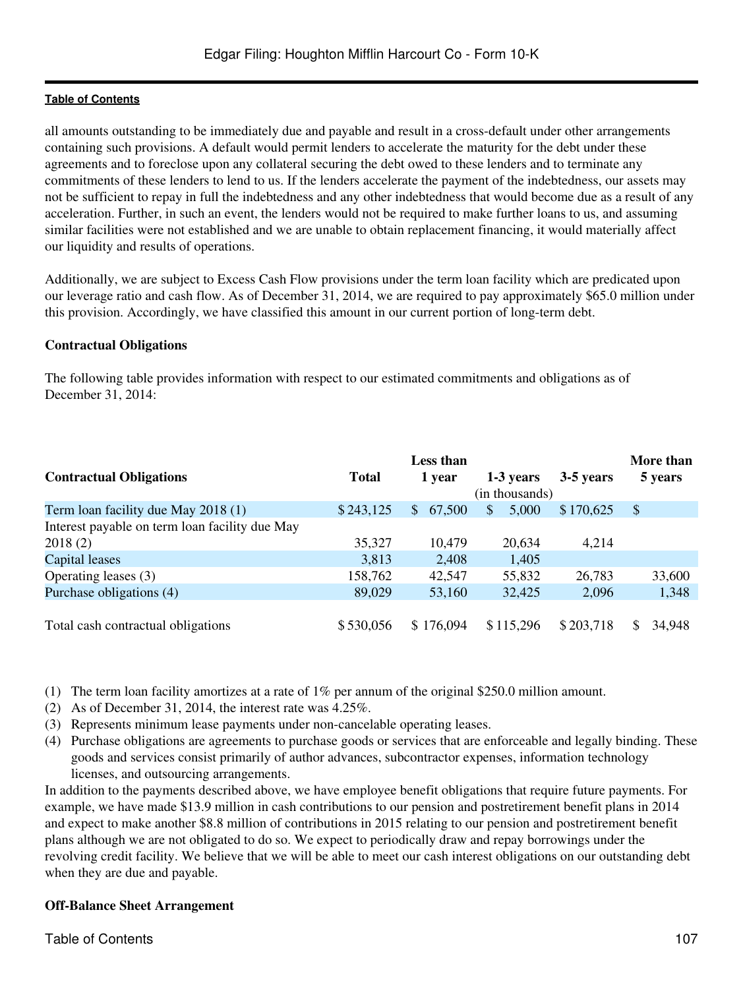all amounts outstanding to be immediately due and payable and result in a cross-default under other arrangements containing such provisions. A default would permit lenders to accelerate the maturity for the debt under these agreements and to foreclose upon any collateral securing the debt owed to these lenders and to terminate any commitments of these lenders to lend to us. If the lenders accelerate the payment of the indebtedness, our assets may not be sufficient to repay in full the indebtedness and any other indebtedness that would become due as a result of any acceleration. Further, in such an event, the lenders would not be required to make further loans to us, and assuming similar facilities were not established and we are unable to obtain replacement financing, it would materially affect our liquidity and results of operations.

Additionally, we are subject to Excess Cash Flow provisions under the term loan facility which are predicated upon our leverage ratio and cash flow. As of December 31, 2014, we are required to pay approximately \$65.0 million under this provision. Accordingly, we have classified this amount in our current portion of long-term debt.

#### **Contractual Obligations**

The following table provides information with respect to our estimated commitments and obligations as of December 31, 2014:

|                                                | Less than    |                        |                |           | More than     |
|------------------------------------------------|--------------|------------------------|----------------|-----------|---------------|
| <b>Contractual Obligations</b>                 | <b>Total</b> | 1 year                 | 1-3 years      | 3-5 years | 5 years       |
|                                                |              |                        | (in thousands) |           |               |
| Term loan facility due May 2018 (1)            | \$243,125    | 67,500<br>$\mathbb{S}$ | 5,000<br>\$.   | \$170,625 | $\mathcal{S}$ |
| Interest payable on term loan facility due May |              |                        |                |           |               |
| 2018(2)                                        | 35,327       | 10,479                 | 20,634         | 4,214     |               |
| Capital leases                                 | 3,813        | 2,408                  | 1,405          |           |               |
| Operating leases (3)                           | 158,762      | 42,547                 | 55,832         | 26,783    | 33,600        |
| Purchase obligations (4)                       | 89,029       | 53,160                 | 32,425         | 2,096     | 1,348         |
|                                                |              |                        |                |           |               |
| Total cash contractual obligations             | \$530,056    | \$176,094              | \$115,296      | \$203,718 | 34,948        |

- (1) The term loan facility amortizes at a rate of 1% per annum of the original \$250.0 million amount.
- (2) As of December 31, 2014, the interest rate was 4.25%.
- (3) Represents minimum lease payments under non-cancelable operating leases.
- (4) Purchase obligations are agreements to purchase goods or services that are enforceable and legally binding. These goods and services consist primarily of author advances, subcontractor expenses, information technology licenses, and outsourcing arrangements.

In addition to the payments described above, we have employee benefit obligations that require future payments. For example, we have made \$13.9 million in cash contributions to our pension and postretirement benefit plans in 2014 and expect to make another \$8.8 million of contributions in 2015 relating to our pension and postretirement benefit plans although we are not obligated to do so. We expect to periodically draw and repay borrowings under the revolving credit facility. We believe that we will be able to meet our cash interest obligations on our outstanding debt when they are due and payable.

#### **Off-Balance Sheet Arrangement**

Table of Contents 107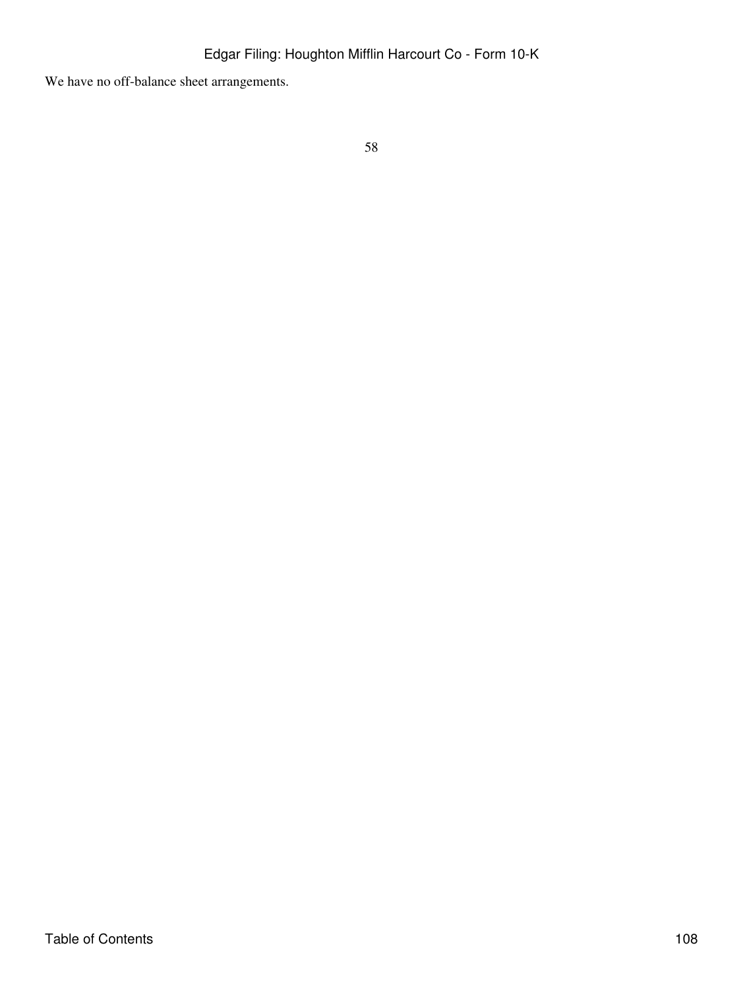We have no off-balance sheet arrangements.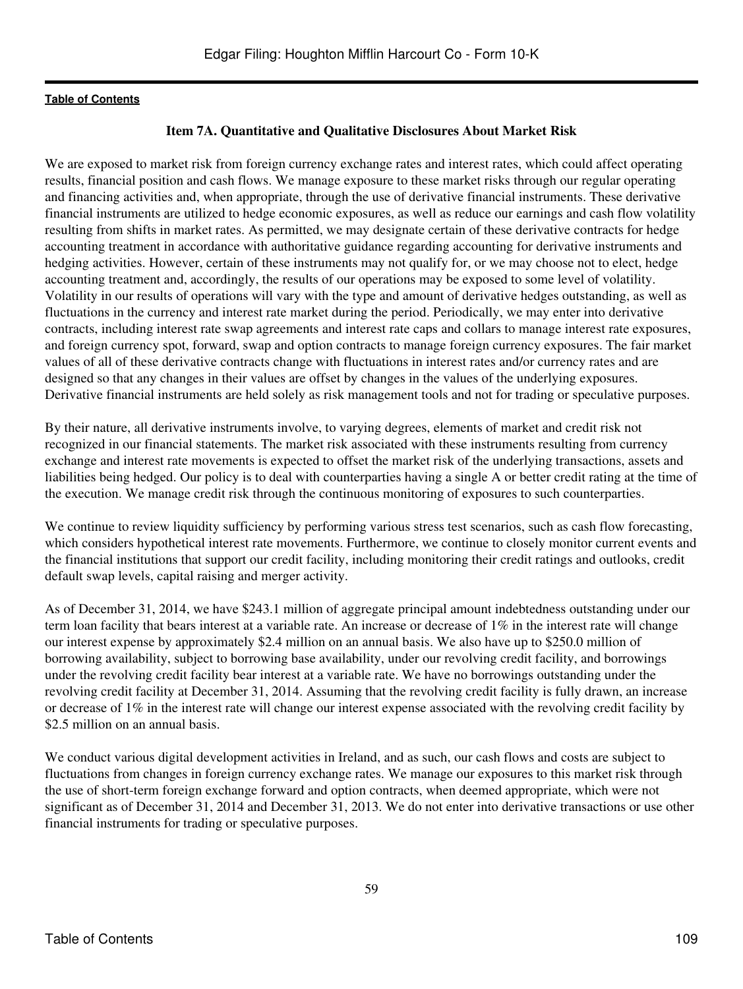### **Item 7A. Quantitative and Qualitative Disclosures About Market Risk**

We are exposed to market risk from foreign currency exchange rates and interest rates, which could affect operating results, financial position and cash flows. We manage exposure to these market risks through our regular operating and financing activities and, when appropriate, through the use of derivative financial instruments. These derivative financial instruments are utilized to hedge economic exposures, as well as reduce our earnings and cash flow volatility resulting from shifts in market rates. As permitted, we may designate certain of these derivative contracts for hedge accounting treatment in accordance with authoritative guidance regarding accounting for derivative instruments and hedging activities. However, certain of these instruments may not qualify for, or we may choose not to elect, hedge accounting treatment and, accordingly, the results of our operations may be exposed to some level of volatility. Volatility in our results of operations will vary with the type and amount of derivative hedges outstanding, as well as fluctuations in the currency and interest rate market during the period. Periodically, we may enter into derivative contracts, including interest rate swap agreements and interest rate caps and collars to manage interest rate exposures, and foreign currency spot, forward, swap and option contracts to manage foreign currency exposures. The fair market values of all of these derivative contracts change with fluctuations in interest rates and/or currency rates and are designed so that any changes in their values are offset by changes in the values of the underlying exposures. Derivative financial instruments are held solely as risk management tools and not for trading or speculative purposes.

By their nature, all derivative instruments involve, to varying degrees, elements of market and credit risk not recognized in our financial statements. The market risk associated with these instruments resulting from currency exchange and interest rate movements is expected to offset the market risk of the underlying transactions, assets and liabilities being hedged. Our policy is to deal with counterparties having a single A or better credit rating at the time of the execution. We manage credit risk through the continuous monitoring of exposures to such counterparties.

We continue to review liquidity sufficiency by performing various stress test scenarios, such as cash flow forecasting, which considers hypothetical interest rate movements. Furthermore, we continue to closely monitor current events and the financial institutions that support our credit facility, including monitoring their credit ratings and outlooks, credit default swap levels, capital raising and merger activity.

As of December 31, 2014, we have \$243.1 million of aggregate principal amount indebtedness outstanding under our term loan facility that bears interest at a variable rate. An increase or decrease of 1% in the interest rate will change our interest expense by approximately \$2.4 million on an annual basis. We also have up to \$250.0 million of borrowing availability, subject to borrowing base availability, under our revolving credit facility, and borrowings under the revolving credit facility bear interest at a variable rate. We have no borrowings outstanding under the revolving credit facility at December 31, 2014. Assuming that the revolving credit facility is fully drawn, an increase or decrease of 1% in the interest rate will change our interest expense associated with the revolving credit facility by \$2.5 million on an annual basis.

We conduct various digital development activities in Ireland, and as such, our cash flows and costs are subject to fluctuations from changes in foreign currency exchange rates. We manage our exposures to this market risk through the use of short-term foreign exchange forward and option contracts, when deemed appropriate, which were not significant as of December 31, 2014 and December 31, 2013. We do not enter into derivative transactions or use other financial instruments for trading or speculative purposes.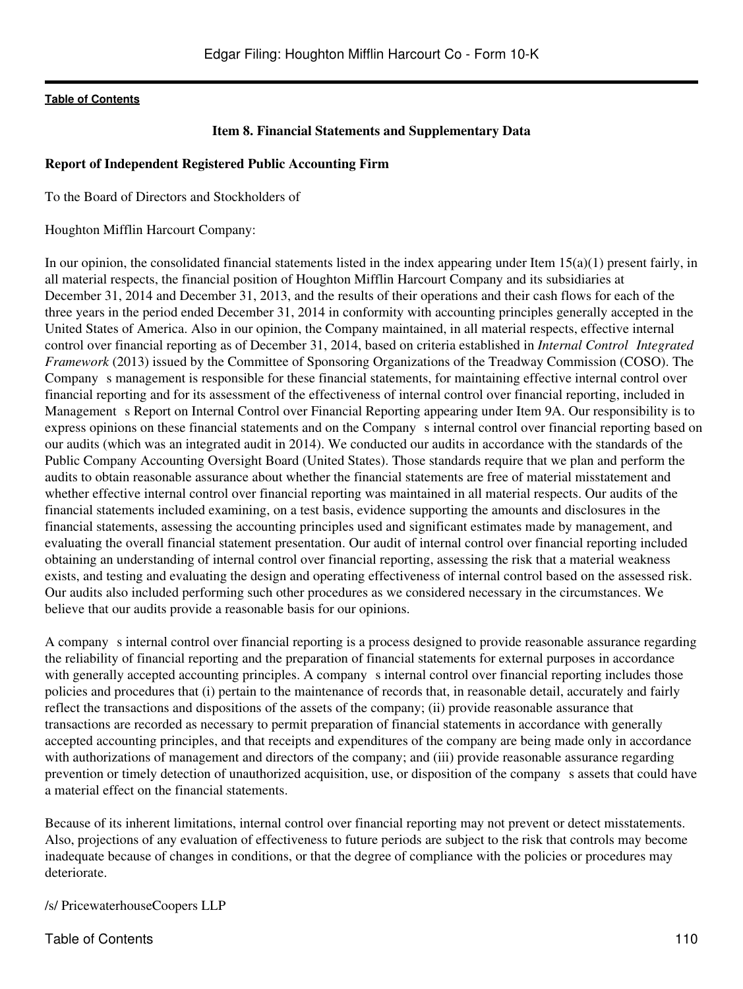### **Item 8. Financial Statements and Supplementary Data**

#### **Report of Independent Registered Public Accounting Firm**

To the Board of Directors and Stockholders of

Houghton Mifflin Harcourt Company:

In our opinion, the consolidated financial statements listed in the index appearing under Item  $15(a)(1)$  present fairly, in all material respects, the financial position of Houghton Mifflin Harcourt Company and its subsidiaries at December 31, 2014 and December 31, 2013, and the results of their operations and their cash flows for each of the three years in the period ended December 31, 2014 in conformity with accounting principles generally accepted in the United States of America. Also in our opinion, the Company maintained, in all material respects, effective internal control over financial reporting as of December 31, 2014, based on criteria established in *Internal Control Integrated Framework* (2013) issued by the Committee of Sponsoring Organizations of the Treadway Commission (COSO). The Company s management is responsible for these financial statements, for maintaining effective internal control over financial reporting and for its assessment of the effectiveness of internal control over financial reporting, included in Management s Report on Internal Control over Financial Reporting appearing under Item 9A. Our responsibility is to express opinions on these financial statements and on the Company s internal control over financial reporting based on our audits (which was an integrated audit in 2014). We conducted our audits in accordance with the standards of the Public Company Accounting Oversight Board (United States). Those standards require that we plan and perform the audits to obtain reasonable assurance about whether the financial statements are free of material misstatement and whether effective internal control over financial reporting was maintained in all material respects. Our audits of the financial statements included examining, on a test basis, evidence supporting the amounts and disclosures in the financial statements, assessing the accounting principles used and significant estimates made by management, and evaluating the overall financial statement presentation. Our audit of internal control over financial reporting included obtaining an understanding of internal control over financial reporting, assessing the risk that a material weakness exists, and testing and evaluating the design and operating effectiveness of internal control based on the assessed risk. Our audits also included performing such other procedures as we considered necessary in the circumstances. We believe that our audits provide a reasonable basis for our opinions.

A companys internal control over financial reporting is a process designed to provide reasonable assurance regarding the reliability of financial reporting and the preparation of financial statements for external purposes in accordance with generally accepted accounting principles. A company s internal control over financial reporting includes those policies and procedures that (i) pertain to the maintenance of records that, in reasonable detail, accurately and fairly reflect the transactions and dispositions of the assets of the company; (ii) provide reasonable assurance that transactions are recorded as necessary to permit preparation of financial statements in accordance with generally accepted accounting principles, and that receipts and expenditures of the company are being made only in accordance with authorizations of management and directors of the company; and (iii) provide reasonable assurance regarding prevention or timely detection of unauthorized acquisition, use, or disposition of the companys assets that could have a material effect on the financial statements.

Because of its inherent limitations, internal control over financial reporting may not prevent or detect misstatements. Also, projections of any evaluation of effectiveness to future periods are subject to the risk that controls may become inadequate because of changes in conditions, or that the degree of compliance with the policies or procedures may deteriorate.

#### /s/ PricewaterhouseCoopers LLP

### Table of Contents 110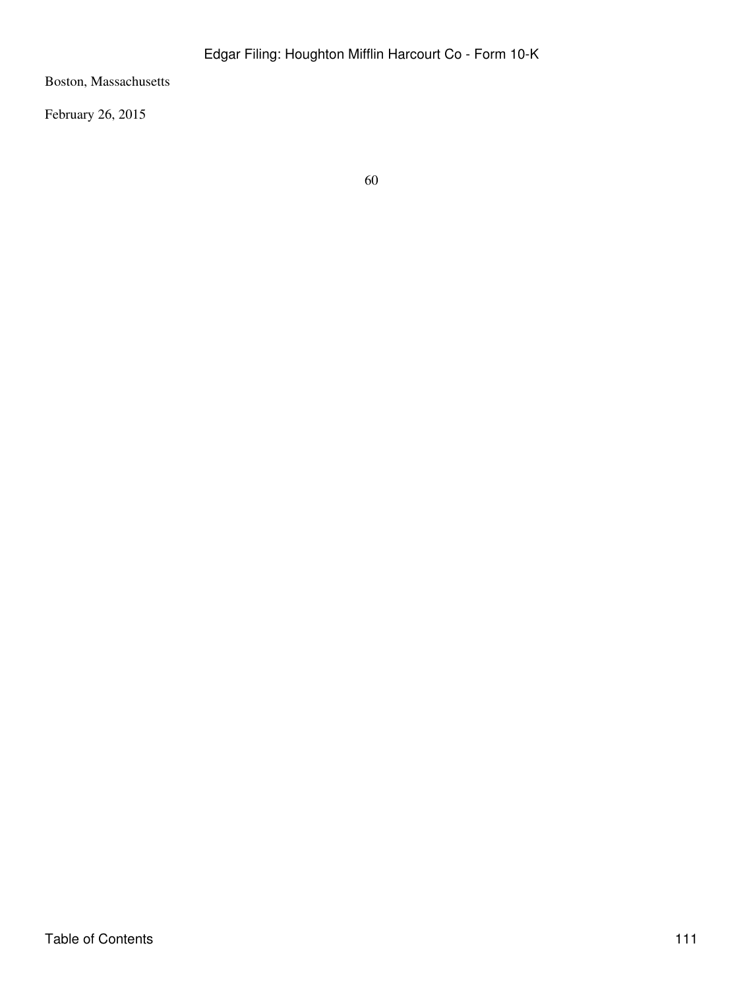Boston, Massachusetts

February 26, 2015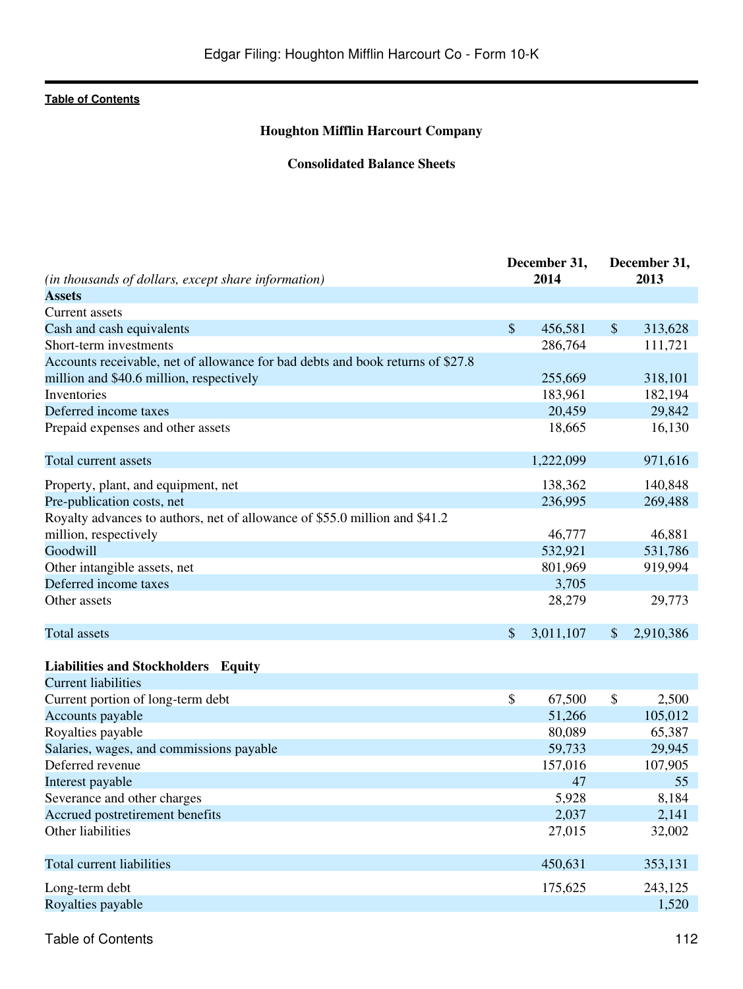# **Houghton Mifflin Harcourt Company**

### **Consolidated Balance Sheets**

|                                                                                | December 31,<br>2014 |       | December 31,<br>2013 |
|--------------------------------------------------------------------------------|----------------------|-------|----------------------|
| (in thousands of dollars, except share information)<br><b>Assets</b>           |                      |       |                      |
|                                                                                |                      |       |                      |
| Current assets                                                                 | \$                   | $\$\$ |                      |
| Cash and cash equivalents                                                      | 456,581              |       | 313,628              |
| Short-term investments                                                         | 286,764              |       | 111,721              |
| Accounts receivable, net of allowance for bad debts and book returns of \$27.8 |                      |       |                      |
| million and \$40.6 million, respectively                                       | 255,669              |       | 318,101              |
| Inventories                                                                    | 183,961              |       | 182,194              |
| Deferred income taxes                                                          | 20,459               |       | 29,842               |
| Prepaid expenses and other assets                                              | 18,665               |       | 16,130               |
| Total current assets                                                           | 1,222,099            |       | 971,616              |
| Property, plant, and equipment, net                                            | 138,362              |       | 140,848              |
| Pre-publication costs, net                                                     | 236,995              |       | 269,488              |
| Royalty advances to authors, net of allowance of \$55.0 million and \$41.2     |                      |       |                      |
| million, respectively                                                          | 46,777               |       | 46,881               |
| Goodwill                                                                       | 532,921              |       | 531,786              |
| Other intangible assets, net                                                   | 801,969              |       | 919,994              |
| Deferred income taxes                                                          | 3,705                |       |                      |
| Other assets                                                                   | 28,279               |       | 29,773               |
| <b>Total assets</b>                                                            | \$<br>3,011,107      | \$    | 2,910,386            |
| <b>Liabilities and Stockholders Equity</b>                                     |                      |       |                      |
| <b>Current liabilities</b>                                                     |                      |       |                      |
| Current portion of long-term debt                                              | \$<br>67,500         | \$    | 2,500                |
| Accounts payable                                                               | 51,266               |       | 105,012              |
| Royalties payable                                                              | 80,089               |       | 65,387               |
| Salaries, wages, and commissions payable                                       | 59,733               |       | 29,945               |
| Deferred revenue                                                               | 157,016              |       | 107,905              |
| Interest payable                                                               | 47                   |       | 55                   |
| Severance and other charges                                                    | 5,928                |       | 8,184                |
| Accrued postretirement benefits                                                | 2,037                |       | 2,141                |
| Other liabilities                                                              | 27,015               |       | 32,002               |
|                                                                                |                      |       |                      |
| Total current liabilities                                                      | 450,631              |       | 353,131              |
| Long-term debt                                                                 | 175,625              |       | 243,125              |
| Royalties payable                                                              |                      |       | 1,520                |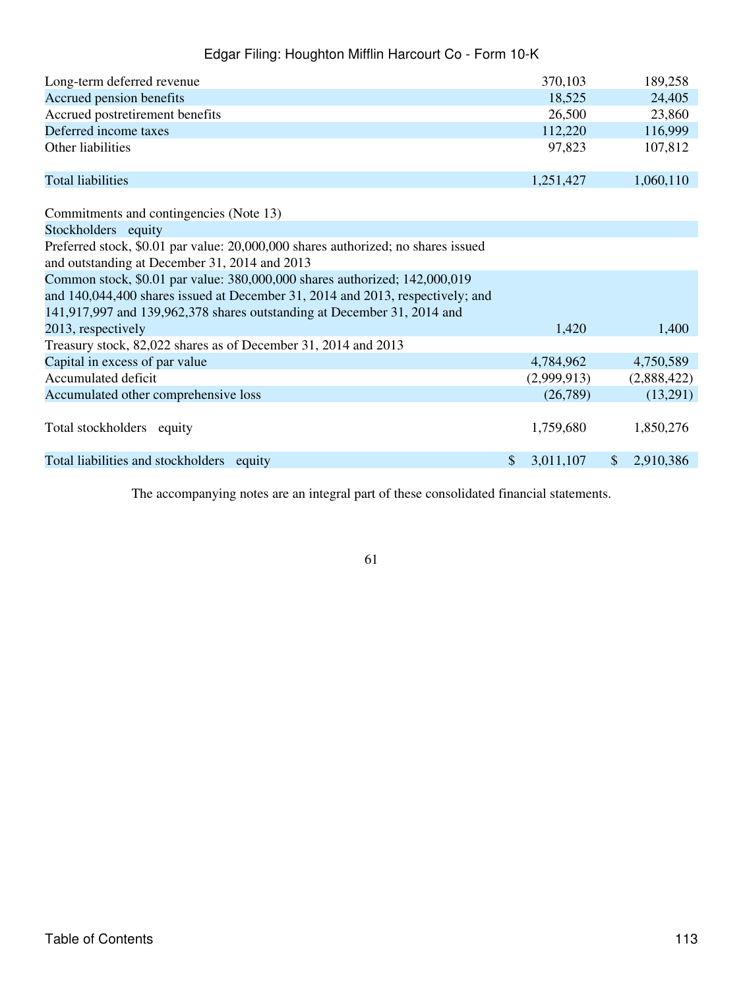| Long-term deferred revenue                                                        | 370,103         | 189,258                    |
|-----------------------------------------------------------------------------------|-----------------|----------------------------|
| Accrued pension benefits                                                          | 18,525          | 24,405                     |
| Accrued postretirement benefits                                                   | 26,500          | 23,860                     |
| Deferred income taxes                                                             | 112,220         | 116,999                    |
| Other liabilities                                                                 | 97,823          | 107,812                    |
| <b>Total liabilities</b>                                                          | 1,251,427       | 1,060,110                  |
| Commitments and contingencies (Note 13)                                           |                 |                            |
| Stockholders equity                                                               |                 |                            |
| Preferred stock, \$0.01 par value: 20,000,000 shares authorized; no shares issued |                 |                            |
| and outstanding at December 31, 2014 and 2013                                     |                 |                            |
| Common stock, \$0.01 par value: 380,000,000 shares authorized; 142,000,019        |                 |                            |
| and 140,044,400 shares issued at December 31, 2014 and 2013, respectively; and    |                 |                            |
| 141,917,997 and 139,962,378 shares outstanding at December 31, 2014 and           |                 |                            |
| 2013, respectively                                                                | 1,420           | 1,400                      |
| Treasury stock, 82,022 shares as of December 31, 2014 and 2013                    |                 |                            |
| Capital in excess of par value                                                    | 4,784,962       | 4,750,589                  |
| Accumulated deficit                                                               | (2,999,913)     | (2,888,422)                |
| Accumulated other comprehensive loss                                              | (26,789)        | (13,291)                   |
| Total stockholders equity                                                         | 1,759,680       | 1,850,276                  |
| Total liabilities and stockholders equity                                         | 3,011,107<br>\$ | $\mathsf{\$}$<br>2,910,386 |

The accompanying notes are an integral part of these consolidated financial statements.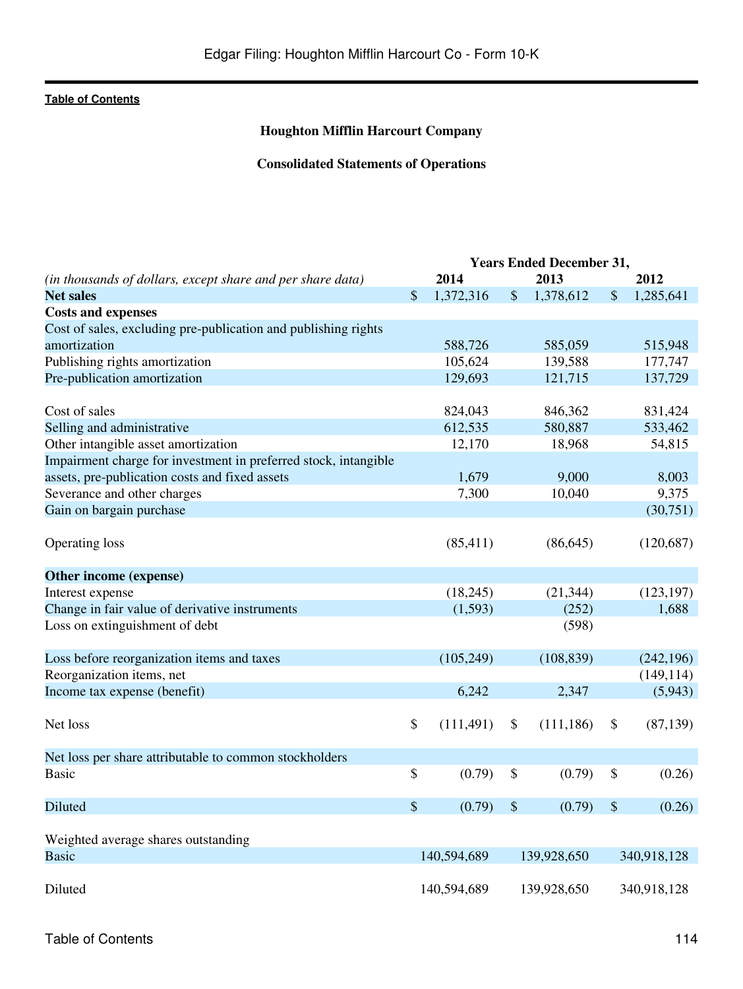## **Houghton Mifflin Harcourt Company**

## **Consolidated Statements of Operations**

|                                                                 | <b>Years Ended December 31,</b> |               |             |               |             |
|-----------------------------------------------------------------|---------------------------------|---------------|-------------|---------------|-------------|
| (in thousands of dollars, except share and per share data)      | 2014                            |               | 2013        |               | 2012        |
| <b>Net sales</b>                                                | \$<br>1,372,316                 | $\mathcal{S}$ | 1,378,612   | $\mathcal{S}$ | 1,285,641   |
| <b>Costs and expenses</b>                                       |                                 |               |             |               |             |
| Cost of sales, excluding pre-publication and publishing rights  |                                 |               |             |               |             |
| amortization                                                    | 588,726                         |               | 585,059     |               | 515,948     |
| Publishing rights amortization                                  | 105,624                         |               | 139,588     |               | 177,747     |
| Pre-publication amortization                                    | 129,693                         |               | 121,715     |               | 137,729     |
|                                                                 |                                 |               |             |               |             |
| Cost of sales                                                   | 824,043                         |               | 846,362     |               | 831,424     |
| Selling and administrative                                      | 612,535                         |               | 580,887     |               | 533,462     |
| Other intangible asset amortization                             | 12,170                          |               | 18,968      |               | 54,815      |
| Impairment charge for investment in preferred stock, intangible |                                 |               |             |               |             |
| assets, pre-publication costs and fixed assets                  | 1,679                           |               | 9,000       |               | 8,003       |
| Severance and other charges                                     | 7,300                           |               | 10,040      |               | 9,375       |
| Gain on bargain purchase                                        |                                 |               |             |               | (30,751)    |
|                                                                 |                                 |               |             |               |             |
| <b>Operating loss</b>                                           | (85, 411)                       |               | (86, 645)   |               | (120, 687)  |
|                                                                 |                                 |               |             |               |             |
| Other income (expense)                                          |                                 |               |             |               |             |
| Interest expense                                                | (18, 245)                       |               | (21, 344)   |               | (123, 197)  |
| Change in fair value of derivative instruments                  | (1,593)                         |               | (252)       |               | 1,688       |
| Loss on extinguishment of debt                                  |                                 |               | (598)       |               |             |
|                                                                 |                                 |               |             |               |             |
| Loss before reorganization items and taxes                      | (105, 249)                      |               | (108, 839)  |               | (242, 196)  |
| Reorganization items, net                                       |                                 |               |             |               | (149, 114)  |
| Income tax expense (benefit)                                    | 6,242                           |               | 2,347       |               | (5,943)     |
|                                                                 |                                 |               |             |               |             |
| Net loss                                                        | \$<br>(111, 491)                | \$            | (111, 186)  | \$            | (87, 139)   |
|                                                                 |                                 |               |             |               |             |
| Net loss per share attributable to common stockholders          |                                 |               |             |               |             |
| <b>Basic</b>                                                    | \$<br>(0.79)                    | \$            | (0.79)      | \$            | (0.26)      |
|                                                                 |                                 |               |             |               |             |
| <b>Diluted</b>                                                  | \$<br>(0.79)                    | $\$$          | (0.79)      | \$            | (0.26)      |
|                                                                 |                                 |               |             |               |             |
| Weighted average shares outstanding                             |                                 |               |             |               |             |
| <b>Basic</b>                                                    | 140,594,689                     |               | 139,928,650 |               | 340,918,128 |
|                                                                 |                                 |               |             |               |             |
| Diluted                                                         | 140,594,689                     |               | 139,928,650 |               | 340,918,128 |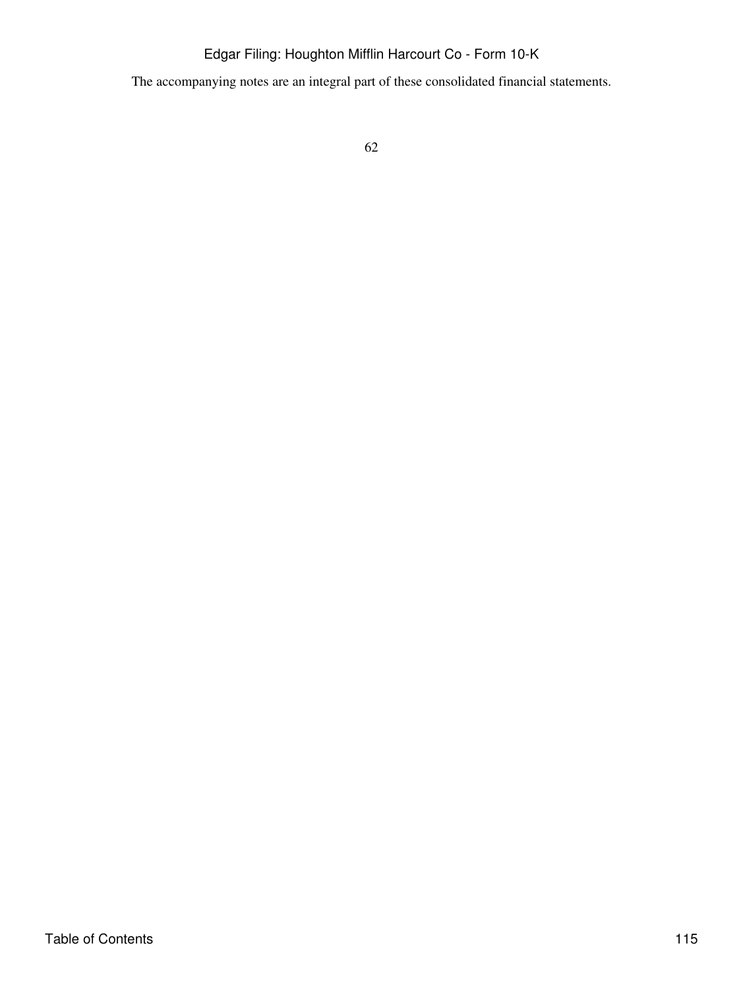The accompanying notes are an integral part of these consolidated financial statements.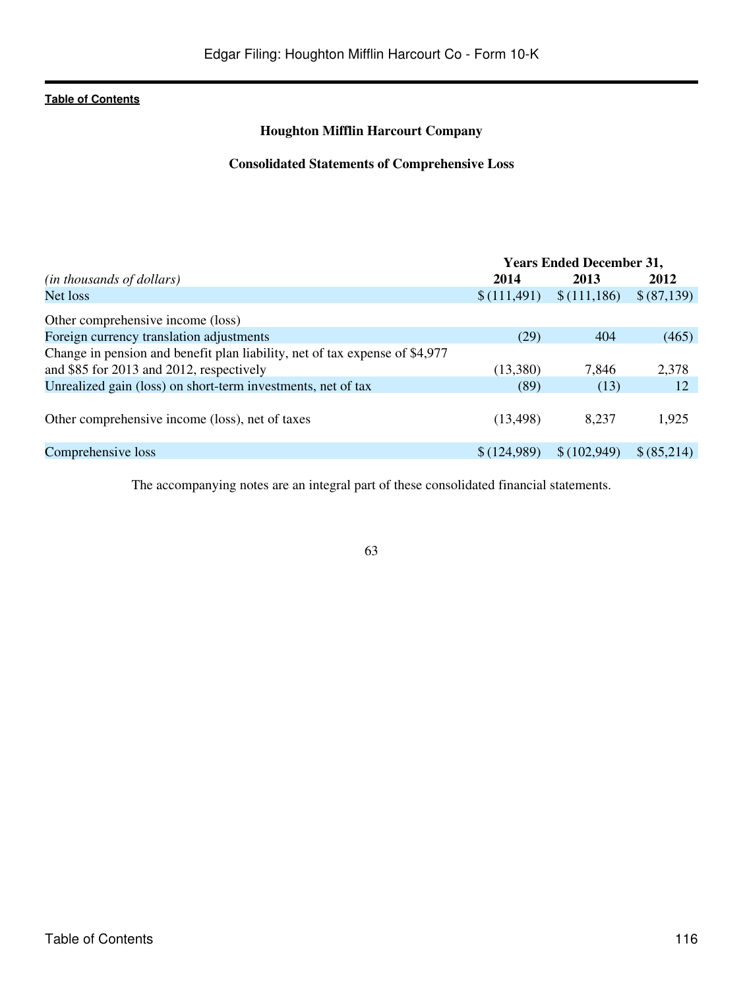## **Houghton Mifflin Harcourt Company**

### **Consolidated Statements of Comprehensive Loss**

|                                                                             | <b>Years Ended December 31,</b> |             |             |  |
|-----------------------------------------------------------------------------|---------------------------------|-------------|-------------|--|
| ( <i>in thousands of dollars</i> )                                          | 2014<br>2013<br>2012            |             |             |  |
| Net loss                                                                    | \$(111,491)                     | \$(111,186) | \$(87,139)  |  |
| Other comprehensive income (loss)                                           |                                 |             |             |  |
| Foreign currency translation adjustments                                    | (29)                            | 404         | (465)       |  |
| Change in pension and benefit plan liability, net of tax expense of \$4,977 |                                 |             |             |  |
| and \$85 for 2013 and 2012, respectively                                    | (13,380)                        | 7.846       | 2,378       |  |
| Unrealized gain (loss) on short-term investments, net of tax                | (89)                            | (13)        | 12          |  |
| Other comprehensive income (loss), net of taxes                             | (13, 498)                       | 8.237       | 1,925       |  |
| Comprehensive loss                                                          | \$(124,989)                     | \$(102,949) | \$ (85,214) |  |

The accompanying notes are an integral part of these consolidated financial statements.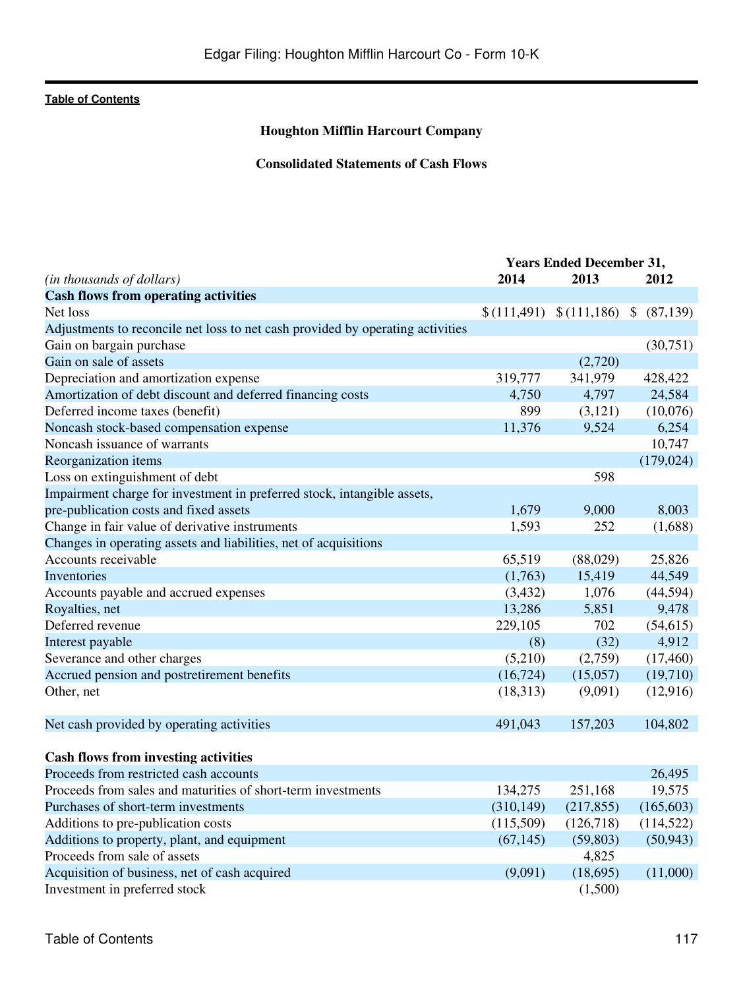## **Houghton Mifflin Harcourt Company**

### **Consolidated Statements of Cash Flows**

|                                                                                | <b>Years Ended December 31,</b> |                         |                                        |
|--------------------------------------------------------------------------------|---------------------------------|-------------------------|----------------------------------------|
| (in thousands of dollars)                                                      | 2014                            | 2013                    | 2012                                   |
| <b>Cash flows from operating activities</b>                                    |                                 |                         |                                        |
| Net loss                                                                       |                                 | \$(111,491) \$(111,186) | (87, 139)<br>$\boldsymbol{\mathsf{S}}$ |
| Adjustments to reconcile net loss to net cash provided by operating activities |                                 |                         |                                        |
| Gain on bargain purchase                                                       |                                 |                         | (30,751)                               |
| Gain on sale of assets                                                         |                                 | (2,720)                 |                                        |
| Depreciation and amortization expense                                          | 319,777                         | 341,979                 | 428,422                                |
| Amortization of debt discount and deferred financing costs                     | 4,750                           | 4,797                   | 24,584                                 |
| Deferred income taxes (benefit)                                                | 899                             | (3,121)                 | (10,076)                               |
| Noncash stock-based compensation expense                                       | 11,376                          | 9,524                   | 6,254                                  |
| Noncash issuance of warrants                                                   |                                 |                         | 10,747                                 |
| Reorganization items                                                           |                                 |                         | (179, 024)                             |
| Loss on extinguishment of debt                                                 |                                 | 598                     |                                        |
| Impairment charge for investment in preferred stock, intangible assets,        |                                 |                         |                                        |
| pre-publication costs and fixed assets                                         | 1,679                           | 9,000                   | 8,003                                  |
| Change in fair value of derivative instruments                                 | 1,593                           | 252                     | (1,688)                                |
| Changes in operating assets and liabilities, net of acquisitions               |                                 |                         |                                        |
| Accounts receivable                                                            | 65,519                          | (88,029)                | 25,826                                 |
| Inventories                                                                    | (1,763)                         | 15,419                  | 44,549                                 |
| Accounts payable and accrued expenses                                          | (3, 432)                        | 1,076                   | (44, 594)                              |
| Royalties, net                                                                 | 13,286                          | 5,851                   | 9,478                                  |
| Deferred revenue                                                               | 229,105                         | 702                     | (54, 615)                              |
| Interest payable                                                               | (8)                             | (32)                    | 4,912                                  |
| Severance and other charges                                                    | (5,210)                         | (2,759)                 | (17, 460)                              |
| Accrued pension and postretirement benefits                                    | (16, 724)                       | (15,057)                | (19,710)                               |
| Other, net                                                                     | (18, 313)                       | (9,091)                 | (12,916)                               |
| Net cash provided by operating activities                                      | 491,043                         | 157,203                 | 104,802                                |
| <b>Cash flows from investing activities</b>                                    |                                 |                         |                                        |
| Proceeds from restricted cash accounts                                         |                                 |                         | 26,495                                 |
| Proceeds from sales and maturities of short-term investments                   | 134,275                         | 251,168                 | 19,575                                 |
| Purchases of short-term investments                                            | (310, 149)                      | (217, 855)              | (165, 603)                             |
| Additions to pre-publication costs                                             | (115,509)                       | (126,718)               | (114, 522)                             |
| Additions to property, plant, and equipment                                    | (67, 145)                       | (59, 803)               | (50, 943)                              |
| Proceeds from sale of assets                                                   |                                 | 4,825                   |                                        |
| Acquisition of business, net of cash acquired                                  | (9,091)                         | (18,695)                | (11,000)                               |
| Investment in preferred stock                                                  |                                 | (1,500)                 |                                        |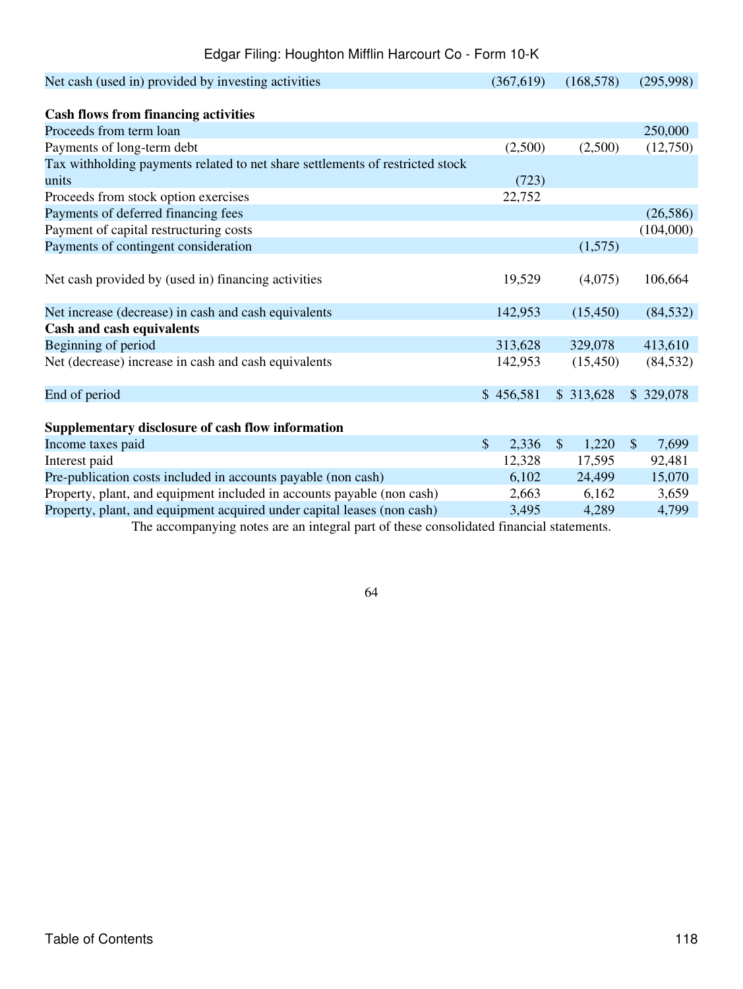| Net cash (used in) provided by investing activities                                    | (367,619)              | (168, 578)             | (295,998)              |
|----------------------------------------------------------------------------------------|------------------------|------------------------|------------------------|
| <b>Cash flows from financing activities</b>                                            |                        |                        |                        |
| Proceeds from term loan                                                                |                        |                        | 250,000                |
| Payments of long-term debt                                                             | (2,500)                | (2,500)                | (12,750)               |
| Tax withholding payments related to net share settlements of restricted stock<br>units | (723)                  |                        |                        |
| Proceeds from stock option exercises                                                   | 22,752                 |                        |                        |
| Payments of deferred financing fees                                                    |                        |                        | (26, 586)              |
| Payment of capital restructuring costs                                                 |                        |                        | (104,000)              |
| Payments of contingent consideration                                                   |                        | (1,575)                |                        |
|                                                                                        |                        |                        |                        |
| Net cash provided by (used in) financing activities                                    | 19,529                 | (4,075)                | 106,664                |
| Net increase (decrease) in cash and cash equivalents                                   | 142,953                | (15, 450)              | (84, 532)              |
| Cash and cash equivalents                                                              |                        |                        |                        |
| Beginning of period                                                                    | 313,628                | 329,078                | 413,610                |
| Net (decrease) increase in cash and cash equivalents                                   | 142,953                | (15, 450)              | (84, 532)              |
| End of period                                                                          | \$456,581              | \$313,628              | \$329,078              |
| Supplementary disclosure of cash flow information                                      |                        |                        |                        |
| Income taxes paid                                                                      | $\mathcal{S}$<br>2,336 | 1,220<br>$\mathcal{S}$ | 7,699<br>$\mathcal{S}$ |
| Interest paid                                                                          | 12,328                 | 17,595                 | 92,481                 |
| Pre-publication costs included in accounts payable (non cash)                          | 6,102                  | 24,499                 | 15,070                 |
| Property, plant, and equipment included in accounts payable (non cash)                 | 2,663                  | 6,162                  | 3,659                  |
| Property, plant, and equipment acquired under capital leases (non cash)                | 3,495                  | 4,289                  | 4,799                  |

The accompanying notes are an integral part of these consolidated financial statements.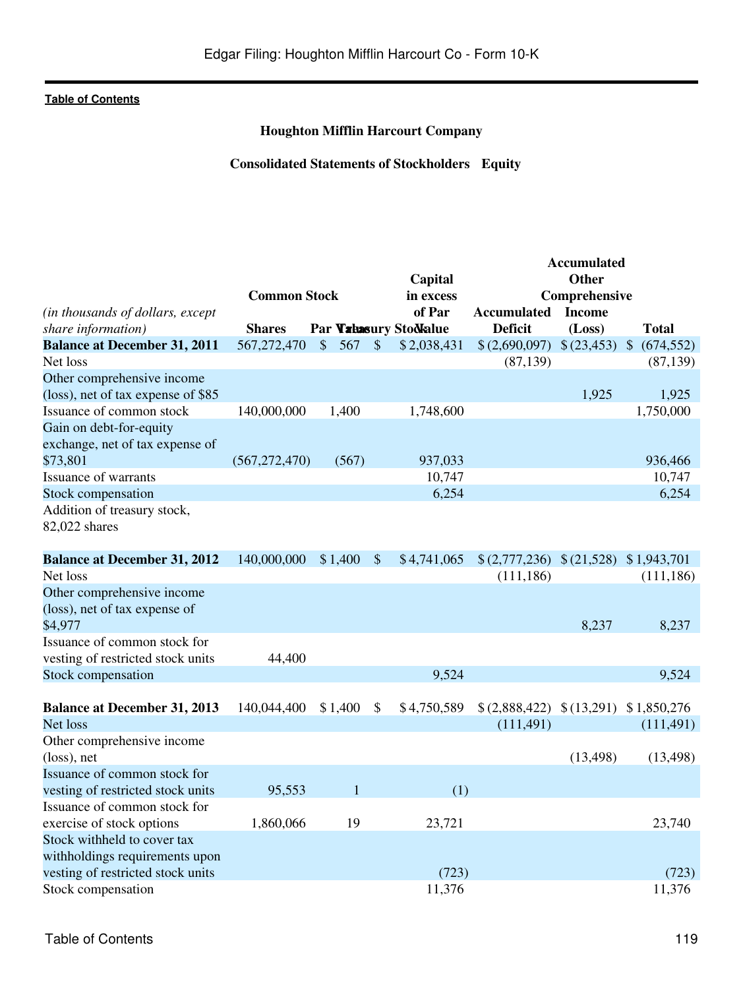## **Houghton Mifflin Harcourt Company**

## **Consolidated Statements of Stockholders Equity**

|                                     |                     |              |                           |                        | <b>Accumulated</b>         |                |              |
|-------------------------------------|---------------------|--------------|---------------------------|------------------------|----------------------------|----------------|--------------|
|                                     |                     |              |                           | Capital                |                            | <b>Other</b>   |              |
|                                     | <b>Common Stock</b> |              | in excess                 | Comprehensive          |                            |                |              |
| (in thousands of dollars, except    |                     |              |                           | of Par                 | <b>Accumulated</b>         | <b>Income</b>  |              |
| share information)                  | <b>Shares</b>       |              |                           | Par Vahasury Stodkalue | <b>Deficit</b>             | (Loss)         | <b>Total</b> |
| <b>Balance at December 31, 2011</b> | 567,272,470         | \$<br>567    | $\mathcal{S}$             | \$2,038,431            | \$(2,690,097)              | $$(23,453)$ \; | (674, 552)   |
| Net loss                            |                     |              |                           |                        | (87, 139)                  |                | (87, 139)    |
| Other comprehensive income          |                     |              |                           |                        |                            |                |              |
| (loss), net of tax expense of \$85  |                     |              |                           |                        |                            | 1,925          | 1,925        |
| Issuance of common stock            | 140,000,000         | 1,400        |                           | 1,748,600              |                            |                | 1,750,000    |
| Gain on debt-for-equity             |                     |              |                           |                        |                            |                |              |
| exchange, net of tax expense of     |                     |              |                           |                        |                            |                |              |
| \$73,801                            | (567, 272, 470)     | (567)        |                           | 937,033                |                            |                | 936,466      |
| Issuance of warrants                |                     |              |                           | 10,747                 |                            |                | 10,747       |
| Stock compensation                  |                     |              |                           | 6,254                  |                            |                | 6,254        |
| Addition of treasury stock,         |                     |              |                           |                        |                            |                |              |
| 82,022 shares                       |                     |              |                           |                        |                            |                |              |
|                                     |                     |              |                           |                        |                            |                |              |
| <b>Balance at December 31, 2012</b> | 140,000,000         | \$1,400      | $\boldsymbol{\mathsf{S}}$ | \$4,741,065            | $$(2,777,236) \ $(21,528)$ |                | \$1,943,701  |
| Net loss                            |                     |              |                           |                        | (111, 186)                 |                | (111, 186)   |
| Other comprehensive income          |                     |              |                           |                        |                            |                |              |
| (loss), net of tax expense of       |                     |              |                           |                        |                            |                |              |
| \$4,977                             |                     |              |                           |                        |                            | 8,237          | 8,237        |
| Issuance of common stock for        |                     |              |                           |                        |                            |                |              |
| vesting of restricted stock units   | 44,400              |              |                           |                        |                            |                |              |
| Stock compensation                  |                     |              |                           | 9,524                  |                            |                | 9,524        |
|                                     |                     |              |                           |                        |                            |                |              |
| <b>Balance at December 31, 2013</b> | 140,044,400         | \$1,400      | $\boldsymbol{\mathsf{S}}$ | \$4,750,589            | \$(2,888,422) \$(13,291)   |                | \$1,850,276  |
| <b>Net loss</b>                     |                     |              |                           |                        | (111, 491)                 |                | (111, 491)   |
| Other comprehensive income          |                     |              |                           |                        |                            |                |              |
| (loss), net                         |                     |              |                           |                        |                            | (13, 498)      | (13, 498)    |
| Issuance of common stock for        |                     |              |                           |                        |                            |                |              |
| vesting of restricted stock units   | 95,553              | $\mathbf{1}$ |                           | (1)                    |                            |                |              |
| Issuance of common stock for        |                     |              |                           |                        |                            |                |              |
| exercise of stock options           | 1,860,066           | 19           |                           | 23,721                 |                            |                | 23,740       |
| Stock withheld to cover tax         |                     |              |                           |                        |                            |                |              |
| withholdings requirements upon      |                     |              |                           |                        |                            |                |              |
| vesting of restricted stock units   |                     |              |                           | (723)                  |                            |                | (723)        |
| Stock compensation                  |                     |              |                           | 11,376                 |                            |                | 11,376       |
|                                     |                     |              |                           |                        |                            |                |              |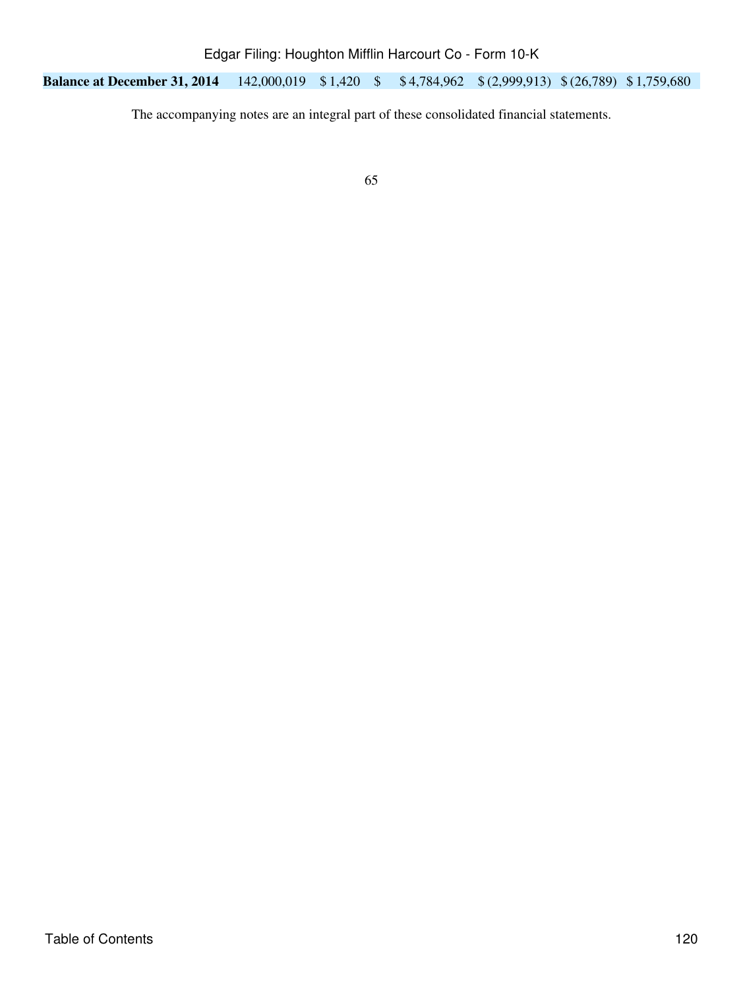**Balance at December 31, 2014** 142,000,019 \$ 1,420 \$ \$ 4,784,962 \$ (2,999,913) \$ (26,789) \$ 1,759,680

The accompanying notes are an integral part of these consolidated financial statements.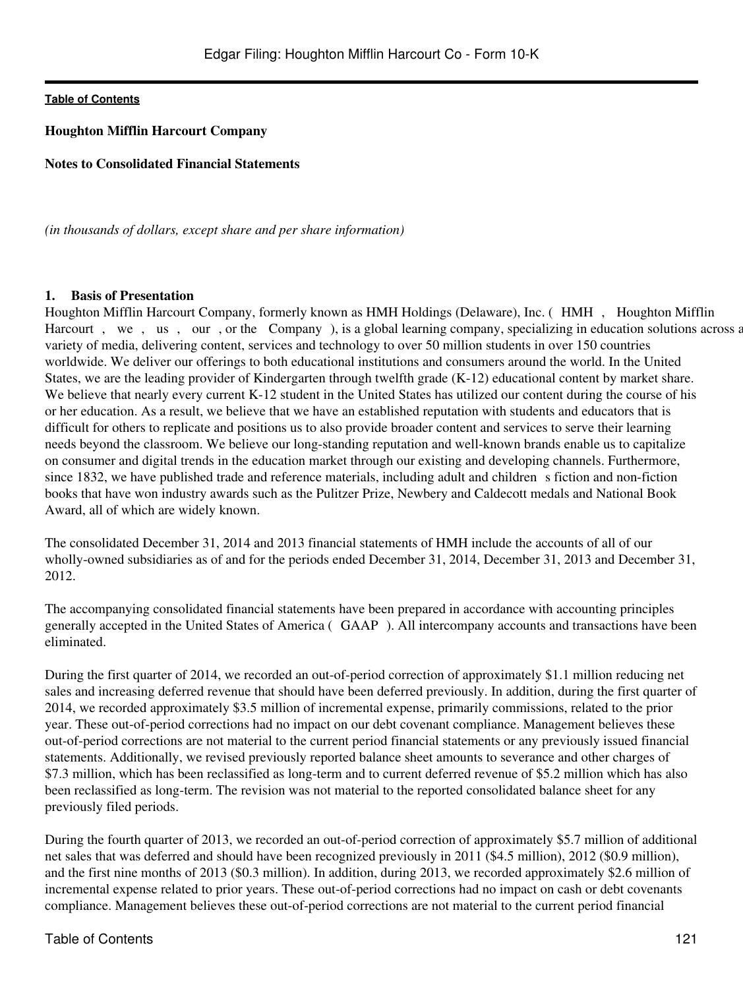## **Houghton Mifflin Harcourt Company**

**Notes to Consolidated Financial Statements**

*(in thousands of dollars, except share and per share information)*

### **1. Basis of Presentation**

Houghton Mifflin Harcourt Company, formerly known as HMH Holdings (Delaware), Inc. (HMH, Houghton Mifflin Harcourt, we, us, our, or the Company), is a global learning company, specializing in education solutions across a variety of media, delivering content, services and technology to over 50 million students in over 150 countries worldwide. We deliver our offerings to both educational institutions and consumers around the world. In the United States, we are the leading provider of Kindergarten through twelfth grade (K-12) educational content by market share. We believe that nearly every current K-12 student in the United States has utilized our content during the course of his or her education. As a result, we believe that we have an established reputation with students and educators that is difficult for others to replicate and positions us to also provide broader content and services to serve their learning needs beyond the classroom. We believe our long-standing reputation and well-known brands enable us to capitalize on consumer and digital trends in the education market through our existing and developing channels. Furthermore, since 1832, we have published trade and reference materials, including adult and children s fiction and non-fiction books that have won industry awards such as the Pulitzer Prize, Newbery and Caldecott medals and National Book Award, all of which are widely known.

The consolidated December 31, 2014 and 2013 financial statements of HMH include the accounts of all of our wholly-owned subsidiaries as of and for the periods ended December 31, 2014, December 31, 2013 and December 31, 2012.

The accompanying consolidated financial statements have been prepared in accordance with accounting principles generally accepted in the United States of America (GAAP). All intercompany accounts and transactions have been eliminated.

During the first quarter of 2014, we recorded an out-of-period correction of approximately \$1.1 million reducing net sales and increasing deferred revenue that should have been deferred previously. In addition, during the first quarter of 2014, we recorded approximately \$3.5 million of incremental expense, primarily commissions, related to the prior year. These out-of-period corrections had no impact on our debt covenant compliance. Management believes these out-of-period corrections are not material to the current period financial statements or any previously issued financial statements. Additionally, we revised previously reported balance sheet amounts to severance and other charges of \$7.3 million, which has been reclassified as long-term and to current deferred revenue of \$5.2 million which has also been reclassified as long-term. The revision was not material to the reported consolidated balance sheet for any previously filed periods.

During the fourth quarter of 2013, we recorded an out-of-period correction of approximately \$5.7 million of additional net sales that was deferred and should have been recognized previously in 2011 (\$4.5 million), 2012 (\$0.9 million), and the first nine months of 2013 (\$0.3 million). In addition, during 2013, we recorded approximately \$2.6 million of incremental expense related to prior years. These out-of-period corrections had no impact on cash or debt covenants compliance. Management believes these out-of-period corrections are not material to the current period financial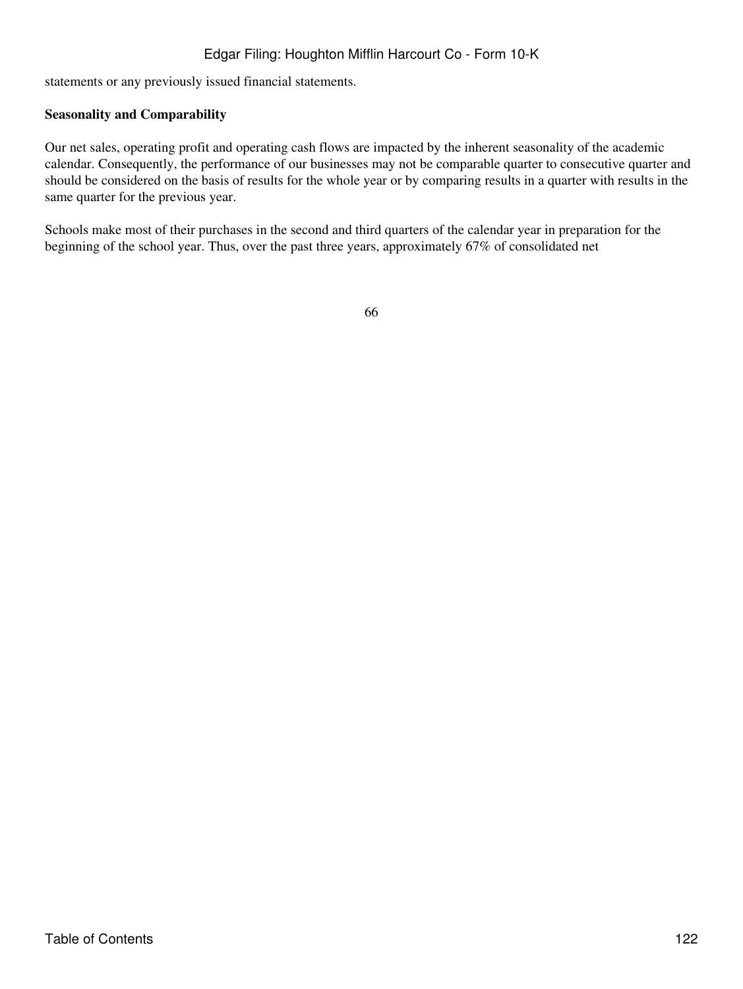statements or any previously issued financial statements.

### **Seasonality and Comparability**

Our net sales, operating profit and operating cash flows are impacted by the inherent seasonality of the academic calendar. Consequently, the performance of our businesses may not be comparable quarter to consecutive quarter and should be considered on the basis of results for the whole year or by comparing results in a quarter with results in the same quarter for the previous year.

Schools make most of their purchases in the second and third quarters of the calendar year in preparation for the beginning of the school year. Thus, over the past three years, approximately 67% of consolidated net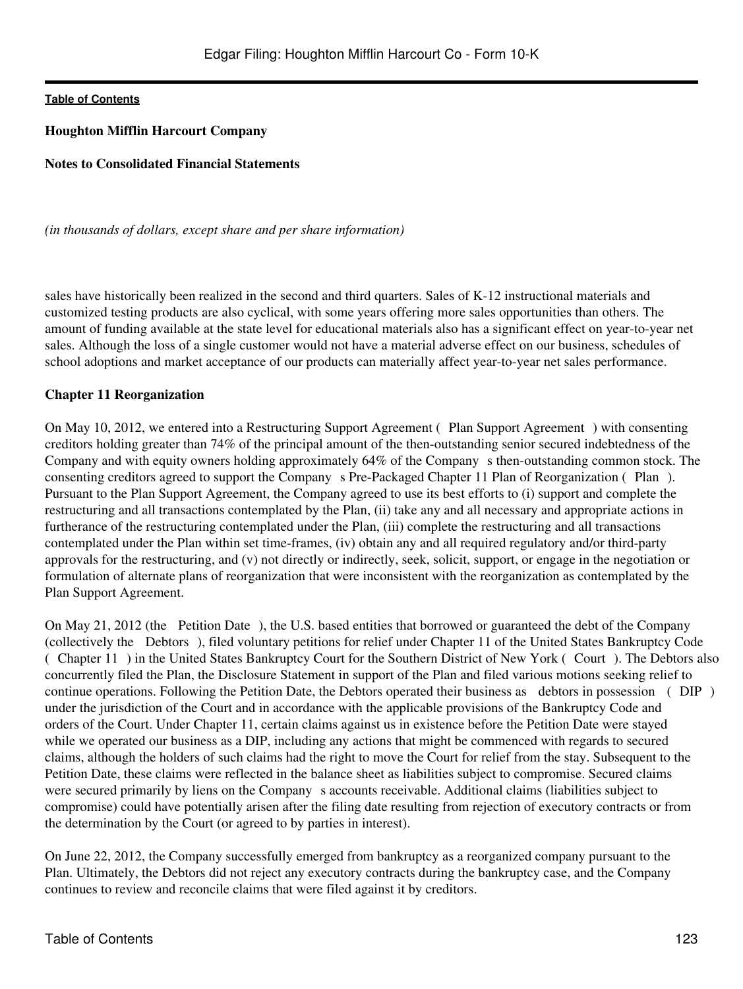## **Houghton Mifflin Harcourt Company**

**Notes to Consolidated Financial Statements**

*(in thousands of dollars, except share and per share information)*

sales have historically been realized in the second and third quarters. Sales of K-12 instructional materials and customized testing products are also cyclical, with some years offering more sales opportunities than others. The amount of funding available at the state level for educational materials also has a significant effect on year-to-year net sales. Although the loss of a single customer would not have a material adverse effect on our business, schedules of school adoptions and market acceptance of our products can materially affect year-to-year net sales performance.

### **Chapter 11 Reorganization**

On May 10, 2012, we entered into a Restructuring Support Agreement (Plan Support Agreement) with consenting creditors holding greater than 74% of the principal amount of the then-outstanding senior secured indebtedness of the Company and with equity owners holding approximately 64% of the Company s then-outstanding common stock. The consenting creditors agreed to support the Company s Pre-Packaged Chapter 11 Plan of Reorganization (Plan). Pursuant to the Plan Support Agreement, the Company agreed to use its best efforts to (i) support and complete the restructuring and all transactions contemplated by the Plan, (ii) take any and all necessary and appropriate actions in furtherance of the restructuring contemplated under the Plan, (iii) complete the restructuring and all transactions contemplated under the Plan within set time-frames, (iv) obtain any and all required regulatory and/or third-party approvals for the restructuring, and (v) not directly or indirectly, seek, solicit, support, or engage in the negotiation or formulation of alternate plans of reorganization that were inconsistent with the reorganization as contemplated by the Plan Support Agreement.

On May 21, 2012 (the Petition Date), the U.S. based entities that borrowed or guaranteed the debt of the Company (collectively the Debtors), filed voluntary petitions for relief under Chapter 11 of the United States Bankruptcy Code (Chapter 11) in the United States Bankruptcy Court for the Southern District of New York (Court). The Debtors also concurrently filed the Plan, the Disclosure Statement in support of the Plan and filed various motions seeking relief to continue operations. Following the Petition Date, the Debtors operated their business as debtors in possession (DIP) under the jurisdiction of the Court and in accordance with the applicable provisions of the Bankruptcy Code and orders of the Court. Under Chapter 11, certain claims against us in existence before the Petition Date were stayed while we operated our business as a DIP, including any actions that might be commenced with regards to secured claims, although the holders of such claims had the right to move the Court for relief from the stay. Subsequent to the Petition Date, these claims were reflected in the balance sheet as liabilities subject to compromise. Secured claims were secured primarily by liens on the Company s accounts receivable. Additional claims (liabilities subject to compromise) could have potentially arisen after the filing date resulting from rejection of executory contracts or from the determination by the Court (or agreed to by parties in interest).

On June 22, 2012, the Company successfully emerged from bankruptcy as a reorganized company pursuant to the Plan. Ultimately, the Debtors did not reject any executory contracts during the bankruptcy case, and the Company continues to review and reconcile claims that were filed against it by creditors.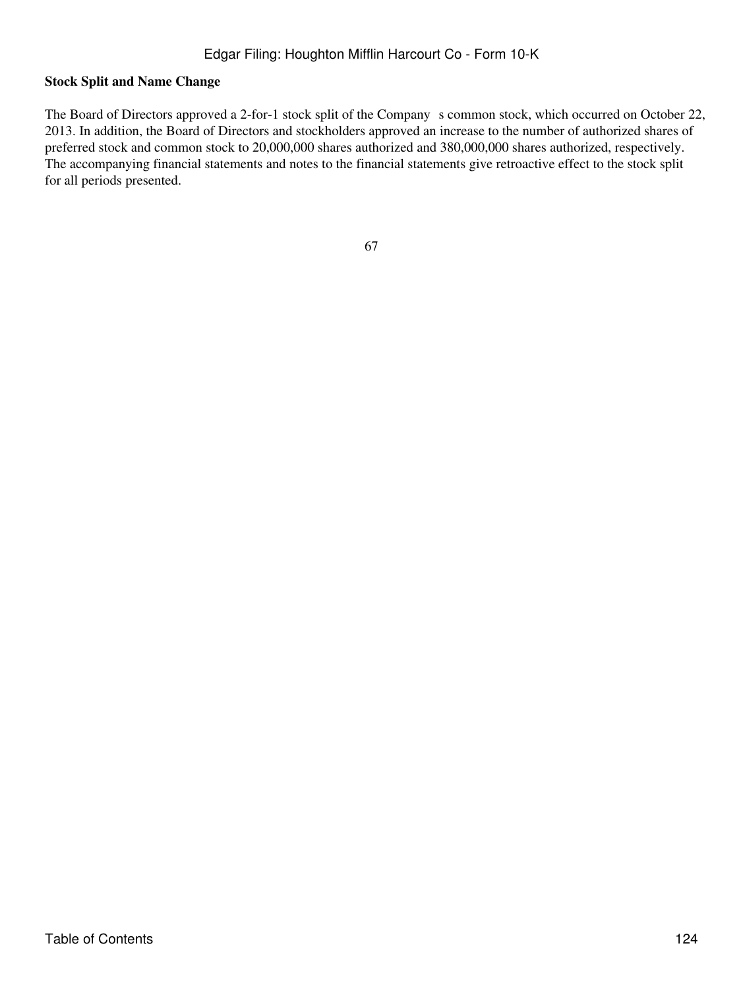### **Stock Split and Name Change**

The Board of Directors approved a 2-for-1 stock split of the Company s common stock, which occurred on October 22, 2013. In addition, the Board of Directors and stockholders approved an increase to the number of authorized shares of preferred stock and common stock to 20,000,000 shares authorized and 380,000,000 shares authorized, respectively. The accompanying financial statements and notes to the financial statements give retroactive effect to the stock split for all periods presented.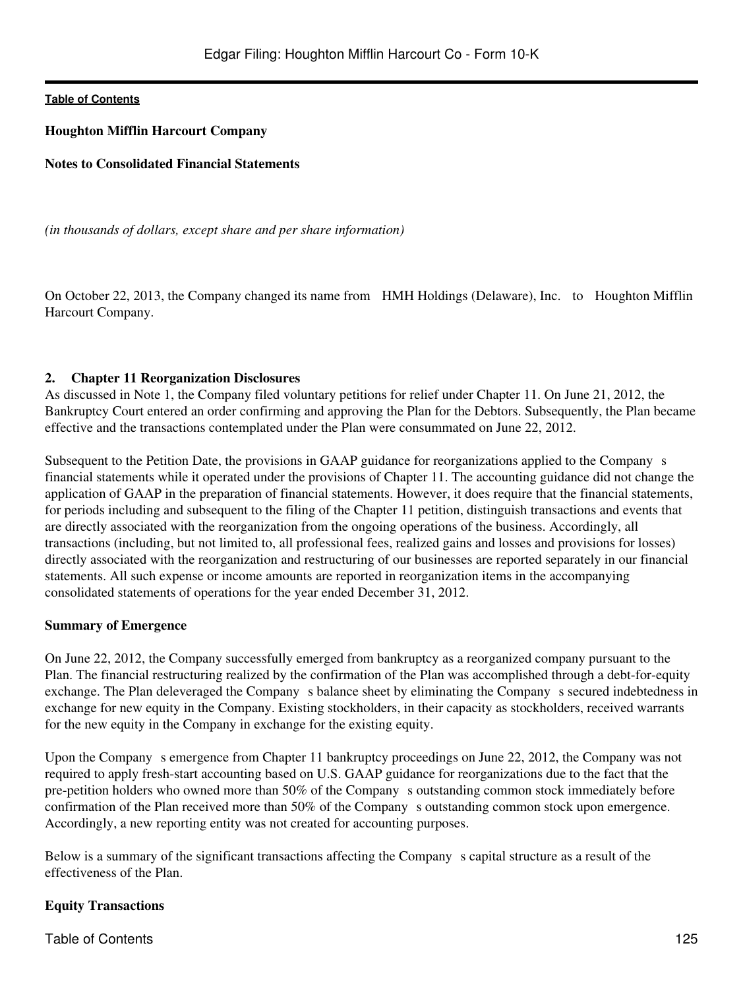## **Houghton Mifflin Harcourt Company**

**Notes to Consolidated Financial Statements**

*(in thousands of dollars, except share and per share information)*

On October 22, 2013, the Company changed its name from HMH Holdings (Delaware), Inc. to Houghton Mifflin Harcourt Company.

### **2. Chapter 11 Reorganization Disclosures**

As discussed in Note 1, the Company filed voluntary petitions for relief under Chapter 11. On June 21, 2012, the Bankruptcy Court entered an order confirming and approving the Plan for the Debtors. Subsequently, the Plan became effective and the transactions contemplated under the Plan were consummated on June 22, 2012.

Subsequent to the Petition Date, the provisions in GAAP guidance for reorganizations applied to the Company s financial statements while it operated under the provisions of Chapter 11. The accounting guidance did not change the application of GAAP in the preparation of financial statements. However, it does require that the financial statements, for periods including and subsequent to the filing of the Chapter 11 petition, distinguish transactions and events that are directly associated with the reorganization from the ongoing operations of the business. Accordingly, all transactions (including, but not limited to, all professional fees, realized gains and losses and provisions for losses) directly associated with the reorganization and restructuring of our businesses are reported separately in our financial statements. All such expense or income amounts are reported in reorganization items in the accompanying consolidated statements of operations for the year ended December 31, 2012.

### **Summary of Emergence**

On June 22, 2012, the Company successfully emerged from bankruptcy as a reorganized company pursuant to the Plan. The financial restructuring realized by the confirmation of the Plan was accomplished through a debt-for-equity exchange. The Plan deleveraged the Company s balance sheet by eliminating the Company s secured indebtedness in exchange for new equity in the Company. Existing stockholders, in their capacity as stockholders, received warrants for the new equity in the Company in exchange for the existing equity.

Upon the Company s emergence from Chapter 11 bankruptcy proceedings on June 22, 2012, the Company was not required to apply fresh-start accounting based on U.S. GAAP guidance for reorganizations due to the fact that the pre-petition holders who owned more than 50% of the Company s outstanding common stock immediately before confirmation of the Plan received more than 50% of the Company s outstanding common stock upon emergence. Accordingly, a new reporting entity was not created for accounting purposes.

Below is a summary of the significant transactions affecting the Companys capital structure as a result of the effectiveness of the Plan.

### **Equity Transactions**

Table of Contents 25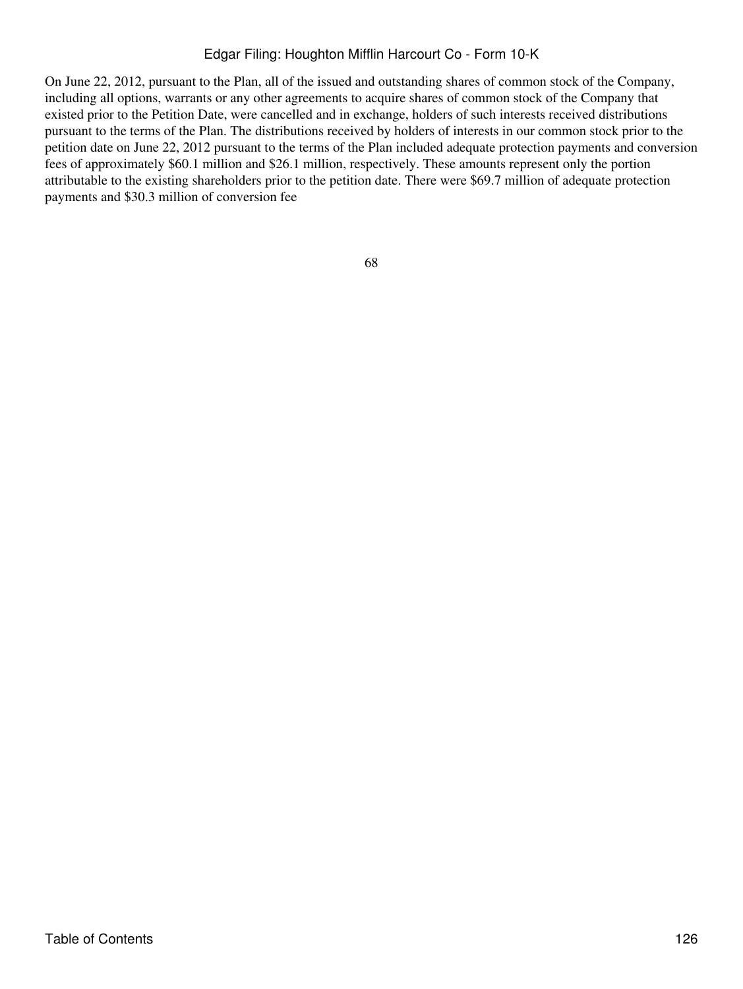On June 22, 2012, pursuant to the Plan, all of the issued and outstanding shares of common stock of the Company, including all options, warrants or any other agreements to acquire shares of common stock of the Company that existed prior to the Petition Date, were cancelled and in exchange, holders of such interests received distributions pursuant to the terms of the Plan. The distributions received by holders of interests in our common stock prior to the petition date on June 22, 2012 pursuant to the terms of the Plan included adequate protection payments and conversion fees of approximately \$60.1 million and \$26.1 million, respectively. These amounts represent only the portion attributable to the existing shareholders prior to the petition date. There were \$69.7 million of adequate protection payments and \$30.3 million of conversion fee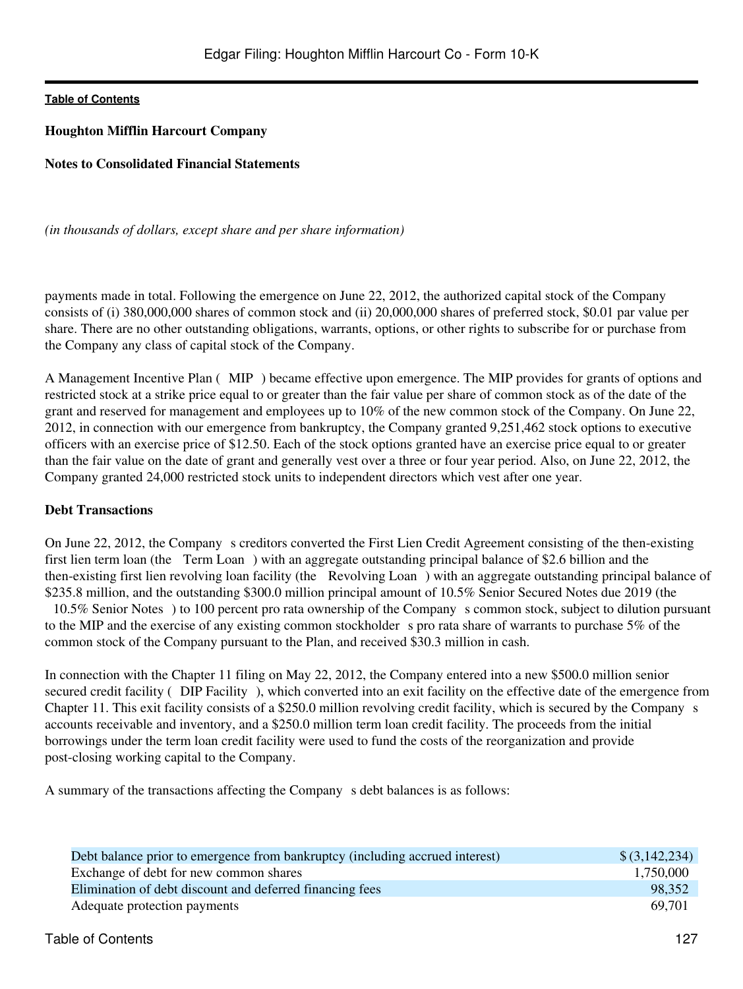## **Houghton Mifflin Harcourt Company**

**Notes to Consolidated Financial Statements**

*(in thousands of dollars, except share and per share information)*

payments made in total. Following the emergence on June 22, 2012, the authorized capital stock of the Company consists of (i) 380,000,000 shares of common stock and (ii) 20,000,000 shares of preferred stock, \$0.01 par value per share. There are no other outstanding obligations, warrants, options, or other rights to subscribe for or purchase from the Company any class of capital stock of the Company.

A Management Incentive Plan (MIP) became effective upon emergence. The MIP provides for grants of options and restricted stock at a strike price equal to or greater than the fair value per share of common stock as of the date of the grant and reserved for management and employees up to 10% of the new common stock of the Company. On June 22, 2012, in connection with our emergence from bankruptcy, the Company granted 9,251,462 stock options to executive officers with an exercise price of \$12.50. Each of the stock options granted have an exercise price equal to or greater than the fair value on the date of grant and generally vest over a three or four year period. Also, on June 22, 2012, the Company granted 24,000 restricted stock units to independent directors which vest after one year.

### **Debt Transactions**

On June 22, 2012, the Company s creditors converted the First Lien Credit Agreement consisting of the then-existing first lien term loan (the Term Loan) with an aggregate outstanding principal balance of \$2.6 billion and the then-existing first lien revolving loan facility (the Revolving Loan) with an aggregate outstanding principal balance of \$235.8 million, and the outstanding \$300.0 million principal amount of 10.5% Senior Secured Notes due 2019 (the

10.5% Senior Notes) to 100 percent pro rata ownership of the Companys common stock, subject to dilution pursuant to the MIP and the exercise of any existing common stockholder s pro rata share of warrants to purchase 5% of the common stock of the Company pursuant to the Plan, and received \$30.3 million in cash.

In connection with the Chapter 11 filing on May 22, 2012, the Company entered into a new \$500.0 million senior secured credit facility (DIP Facility), which converted into an exit facility on the effective date of the emergence from Chapter 11. This exit facility consists of a \$250.0 million revolving credit facility, which is secured by the Companys accounts receivable and inventory, and a \$250.0 million term loan credit facility. The proceeds from the initial borrowings under the term loan credit facility were used to fund the costs of the reorganization and provide post-closing working capital to the Company.

A summary of the transactions affecting the Company s debt balances is as follows:

| Debt balance prior to emergence from bankruptcy (including accrued interest) | $$$ (3,142,234) |
|------------------------------------------------------------------------------|-----------------|
| Exchange of debt for new common shares                                       | 1,750,000       |
| Elimination of debt discount and deferred financing fees                     | 98,352          |
| Adequate protection payments                                                 | 69.701          |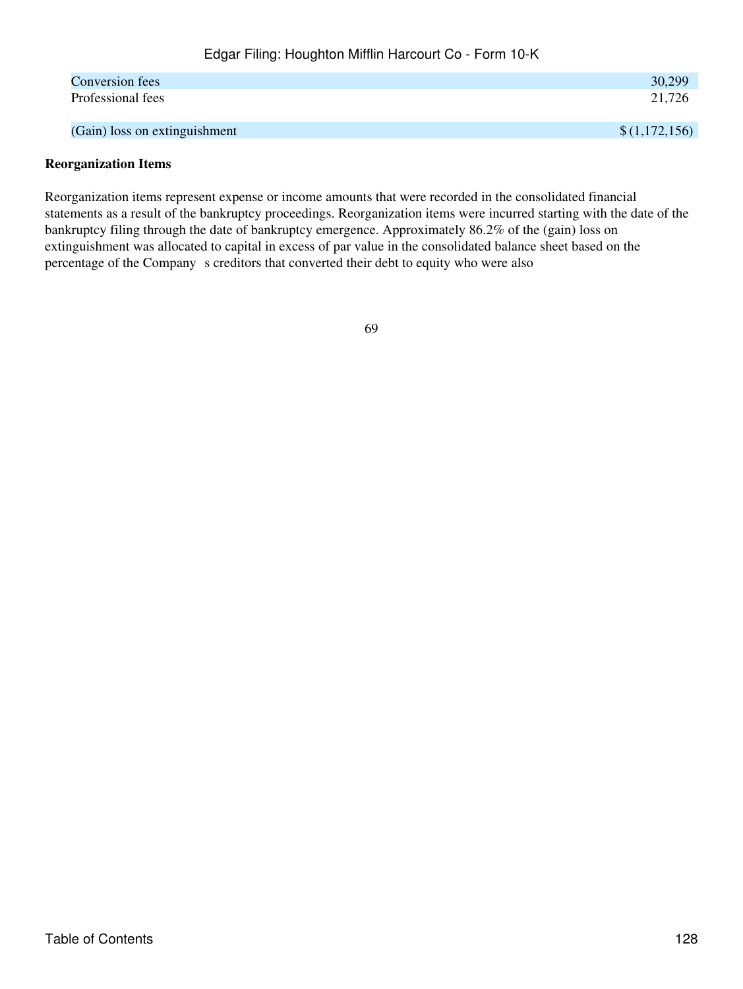| Conversion fees               | 30,299        |
|-------------------------------|---------------|
| Professional fees             | 21,726        |
|                               |               |
| (Gain) loss on extinguishment | \$(1,172,156) |

### **Reorganization Items**

Reorganization items represent expense or income amounts that were recorded in the consolidated financial statements as a result of the bankruptcy proceedings. Reorganization items were incurred starting with the date of the bankruptcy filing through the date of bankruptcy emergence. Approximately 86.2% of the (gain) loss on extinguishment was allocated to capital in excess of par value in the consolidated balance sheet based on the percentage of the Company s creditors that converted their debt to equity who were also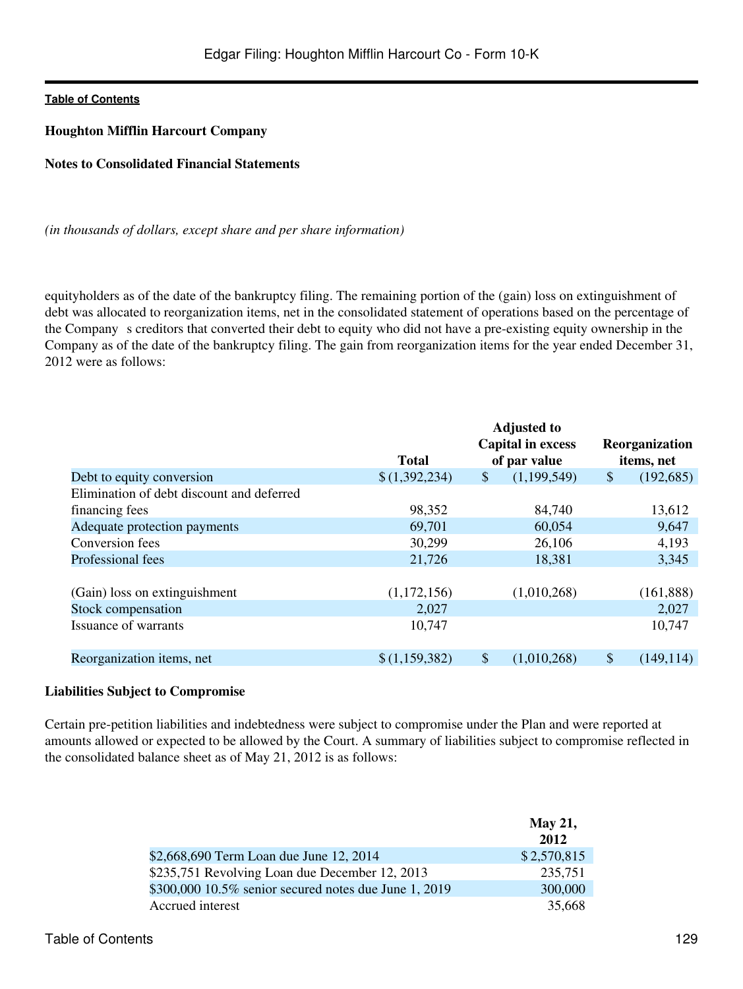## **Houghton Mifflin Harcourt Company**

**Notes to Consolidated Financial Statements**

*(in thousands of dollars, except share and per share information)*

equityholders as of the date of the bankruptcy filing. The remaining portion of the (gain) loss on extinguishment of debt was allocated to reorganization items, net in the consolidated statement of operations based on the percentage of the Companys creditors that converted their debt to equity who did not have a pre-existing equity ownership in the Company as of the date of the bankruptcy filing. The gain from reorganization items for the year ended December 31, 2012 were as follows:

|                                           | <b>Total</b>  |               | <b>Adjusted to</b><br><b>Capital in excess</b><br>of par value |               | Reorganization<br>items, net |
|-------------------------------------------|---------------|---------------|----------------------------------------------------------------|---------------|------------------------------|
| Debt to equity conversion                 | \$(1,392,234) | $\mathbb{S}$  | (1,199,549)                                                    | $\mathcal{S}$ | (192, 685)                   |
| Elimination of debt discount and deferred |               |               |                                                                |               |                              |
| financing fees                            | 98,352        |               | 84,740                                                         |               | 13,612                       |
| Adequate protection payments              | 69,701        |               | 60,054                                                         |               | 9,647                        |
| Conversion fees                           | 30,299        |               | 26,106                                                         |               | 4,193                        |
| Professional fees                         | 21,726        |               | 18,381                                                         |               | 3,345                        |
|                                           |               |               |                                                                |               |                              |
| (Gain) loss on extinguishment             | (1,172,156)   |               | (1,010,268)                                                    |               | (161, 888)                   |
| Stock compensation                        | 2,027         |               |                                                                |               | 2,027                        |
| Issuance of warrants                      | 10,747        |               |                                                                |               | 10,747                       |
|                                           |               |               |                                                                |               |                              |
| Reorganization items, net                 | \$(1,159,382) | $\mathcal{S}$ | (1,010,268)                                                    | \$            | (149, 114)                   |
|                                           |               |               |                                                                |               |                              |

### **Liabilities Subject to Compromise**

Certain pre-petition liabilities and indebtedness were subject to compromise under the Plan and were reported at amounts allowed or expected to be allowed by the Court. A summary of liabilities subject to compromise reflected in the consolidated balance sheet as of May 21, 2012 is as follows:

|                                                       | <b>May 21,</b><br>2012 |
|-------------------------------------------------------|------------------------|
| \$2,668,690 Term Loan due June 12, 2014               | \$2,570,815            |
| \$235,751 Revolving Loan due December 12, 2013        | 235,751                |
| \$300,000 10.5% senior secured notes due June 1, 2019 | 300,000                |
| Accrued interest                                      | 35,668                 |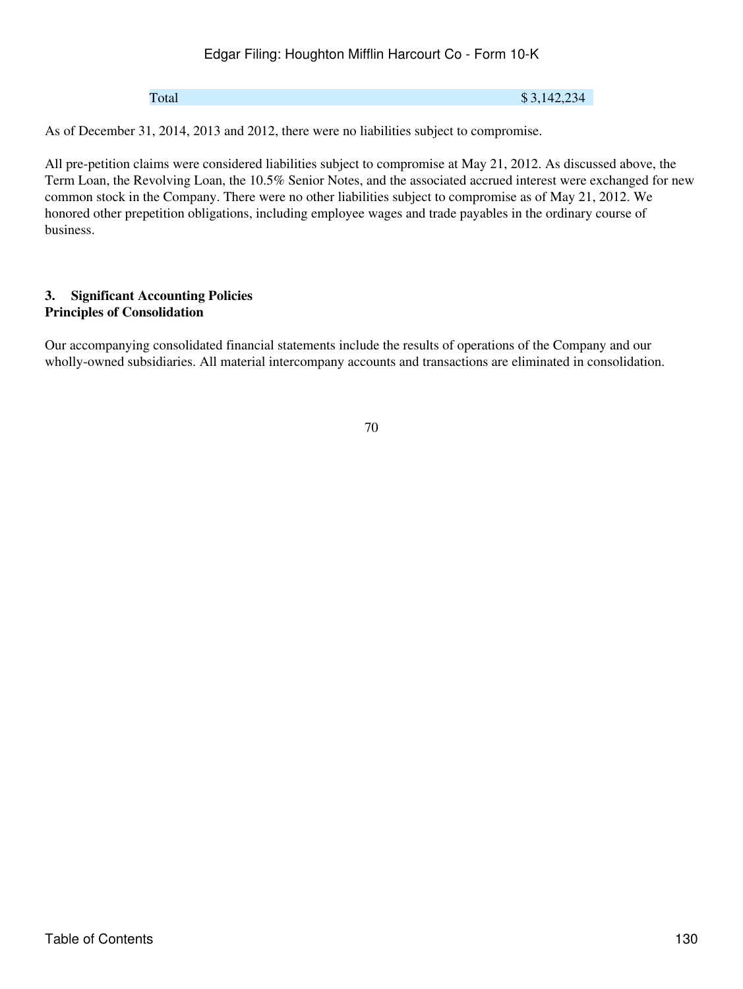Total \$ 3,142,234

As of December 31, 2014, 2013 and 2012, there were no liabilities subject to compromise.

All pre-petition claims were considered liabilities subject to compromise at May 21, 2012. As discussed above, the Term Loan, the Revolving Loan, the 10.5% Senior Notes, and the associated accrued interest were exchanged for new common stock in the Company. There were no other liabilities subject to compromise as of May 21, 2012. We honored other prepetition obligations, including employee wages and trade payables in the ordinary course of business.

#### **3. Significant Accounting Policies Principles of Consolidation**

Our accompanying consolidated financial statements include the results of operations of the Company and our wholly-owned subsidiaries. All material intercompany accounts and transactions are eliminated in consolidation.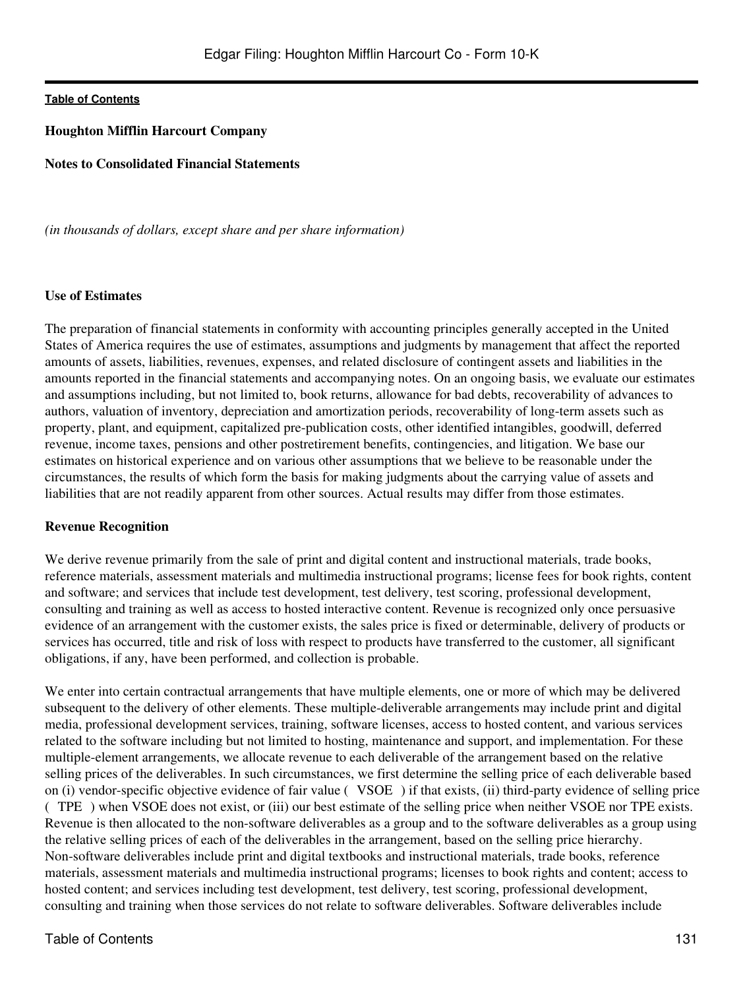### **Houghton Mifflin Harcourt Company**

**Notes to Consolidated Financial Statements**

*(in thousands of dollars, except share and per share information)*

#### **Use of Estimates**

The preparation of financial statements in conformity with accounting principles generally accepted in the United States of America requires the use of estimates, assumptions and judgments by management that affect the reported amounts of assets, liabilities, revenues, expenses, and related disclosure of contingent assets and liabilities in the amounts reported in the financial statements and accompanying notes. On an ongoing basis, we evaluate our estimates and assumptions including, but not limited to, book returns, allowance for bad debts, recoverability of advances to authors, valuation of inventory, depreciation and amortization periods, recoverability of long-term assets such as property, plant, and equipment, capitalized pre-publication costs, other identified intangibles, goodwill, deferred revenue, income taxes, pensions and other postretirement benefits, contingencies, and litigation. We base our estimates on historical experience and on various other assumptions that we believe to be reasonable under the circumstances, the results of which form the basis for making judgments about the carrying value of assets and liabilities that are not readily apparent from other sources. Actual results may differ from those estimates.

#### **Revenue Recognition**

We derive revenue primarily from the sale of print and digital content and instructional materials, trade books, reference materials, assessment materials and multimedia instructional programs; license fees for book rights, content and software; and services that include test development, test delivery, test scoring, professional development, consulting and training as well as access to hosted interactive content. Revenue is recognized only once persuasive evidence of an arrangement with the customer exists, the sales price is fixed or determinable, delivery of products or services has occurred, title and risk of loss with respect to products have transferred to the customer, all significant obligations, if any, have been performed, and collection is probable.

We enter into certain contractual arrangements that have multiple elements, one or more of which may be delivered subsequent to the delivery of other elements. These multiple-deliverable arrangements may include print and digital media, professional development services, training, software licenses, access to hosted content, and various services related to the software including but not limited to hosting, maintenance and support, and implementation. For these multiple-element arrangements, we allocate revenue to each deliverable of the arrangement based on the relative selling prices of the deliverables. In such circumstances, we first determine the selling price of each deliverable based on (i) vendor-specific objective evidence of fair value (VSOE) if that exists, (ii) third-party evidence of selling price (TPE) when VSOE does not exist, or (iii) our best estimate of the selling price when neither VSOE nor TPE exists. Revenue is then allocated to the non-software deliverables as a group and to the software deliverables as a group using the relative selling prices of each of the deliverables in the arrangement, based on the selling price hierarchy. Non-software deliverables include print and digital textbooks and instructional materials, trade books, reference materials, assessment materials and multimedia instructional programs; licenses to book rights and content; access to hosted content; and services including test development, test delivery, test scoring, professional development, consulting and training when those services do not relate to software deliverables. Software deliverables include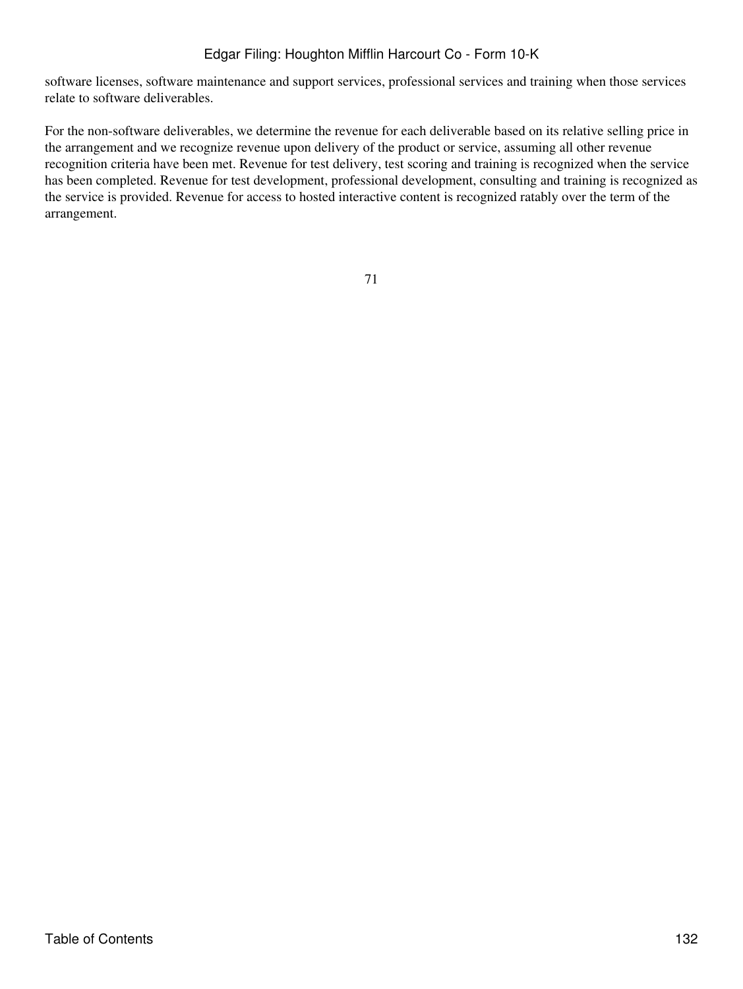software licenses, software maintenance and support services, professional services and training when those services relate to software deliverables.

For the non-software deliverables, we determine the revenue for each deliverable based on its relative selling price in the arrangement and we recognize revenue upon delivery of the product or service, assuming all other revenue recognition criteria have been met. Revenue for test delivery, test scoring and training is recognized when the service has been completed. Revenue for test development, professional development, consulting and training is recognized as the service is provided. Revenue for access to hosted interactive content is recognized ratably over the term of the arrangement.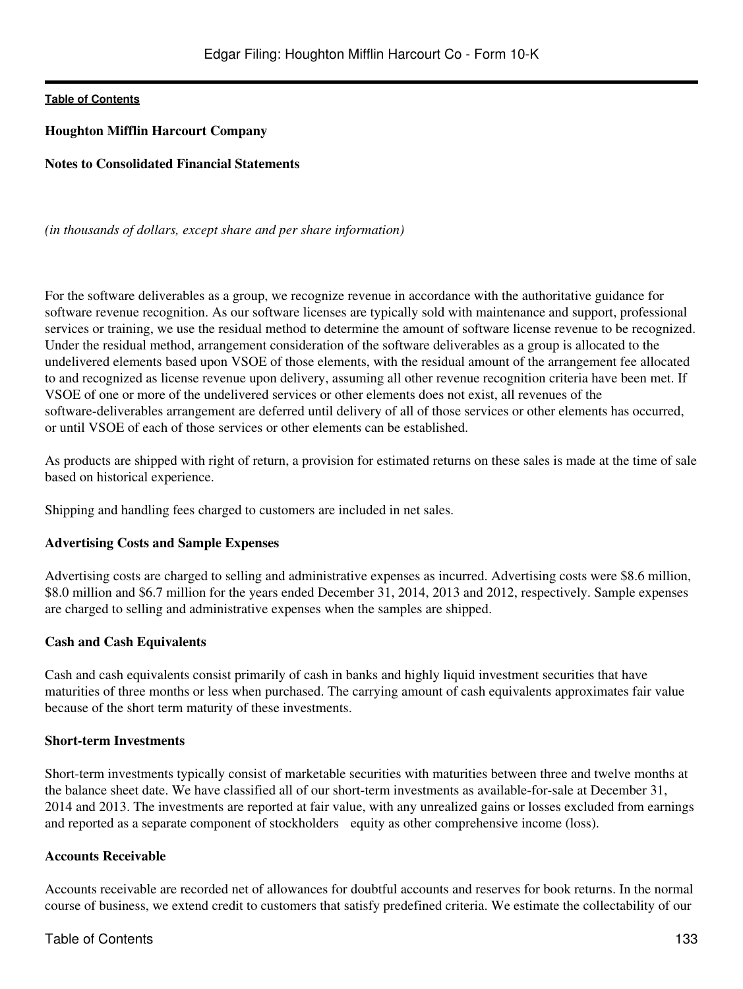## **Houghton Mifflin Harcourt Company**

**Notes to Consolidated Financial Statements**

*(in thousands of dollars, except share and per share information)*

For the software deliverables as a group, we recognize revenue in accordance with the authoritative guidance for software revenue recognition. As our software licenses are typically sold with maintenance and support, professional services or training, we use the residual method to determine the amount of software license revenue to be recognized. Under the residual method, arrangement consideration of the software deliverables as a group is allocated to the undelivered elements based upon VSOE of those elements, with the residual amount of the arrangement fee allocated to and recognized as license revenue upon delivery, assuming all other revenue recognition criteria have been met. If VSOE of one or more of the undelivered services or other elements does not exist, all revenues of the software-deliverables arrangement are deferred until delivery of all of those services or other elements has occurred, or until VSOE of each of those services or other elements can be established.

As products are shipped with right of return, a provision for estimated returns on these sales is made at the time of sale based on historical experience.

Shipping and handling fees charged to customers are included in net sales.

### **Advertising Costs and Sample Expenses**

Advertising costs are charged to selling and administrative expenses as incurred. Advertising costs were \$8.6 million, \$8.0 million and \$6.7 million for the years ended December 31, 2014, 2013 and 2012, respectively. Sample expenses are charged to selling and administrative expenses when the samples are shipped.

### **Cash and Cash Equivalents**

Cash and cash equivalents consist primarily of cash in banks and highly liquid investment securities that have maturities of three months or less when purchased. The carrying amount of cash equivalents approximates fair value because of the short term maturity of these investments.

#### **Short-term Investments**

Short-term investments typically consist of marketable securities with maturities between three and twelve months at the balance sheet date. We have classified all of our short-term investments as available-for-sale at December 31, 2014 and 2013. The investments are reported at fair value, with any unrealized gains or losses excluded from earnings and reported as a separate component of stockholders equity as other comprehensive income (loss).

### **Accounts Receivable**

Accounts receivable are recorded net of allowances for doubtful accounts and reserves for book returns. In the normal course of business, we extend credit to customers that satisfy predefined criteria. We estimate the collectability of our

### Table of Contents 133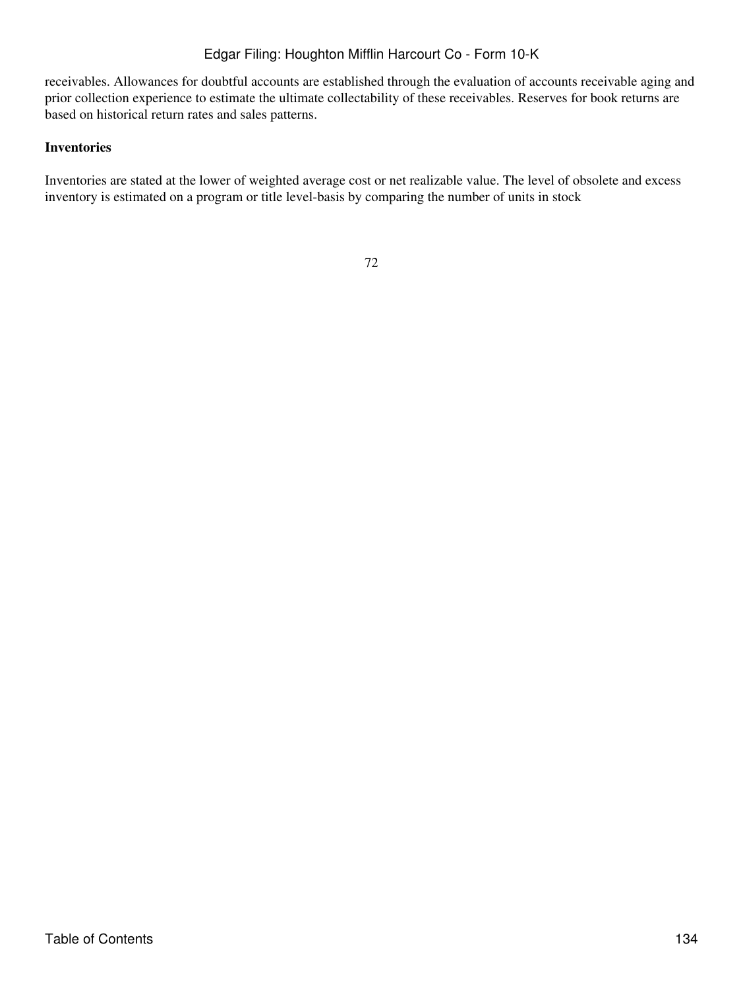receivables. Allowances for doubtful accounts are established through the evaluation of accounts receivable aging and prior collection experience to estimate the ultimate collectability of these receivables. Reserves for book returns are based on historical return rates and sales patterns.

## **Inventories**

Inventories are stated at the lower of weighted average cost or net realizable value. The level of obsolete and excess inventory is estimated on a program or title level-basis by comparing the number of units in stock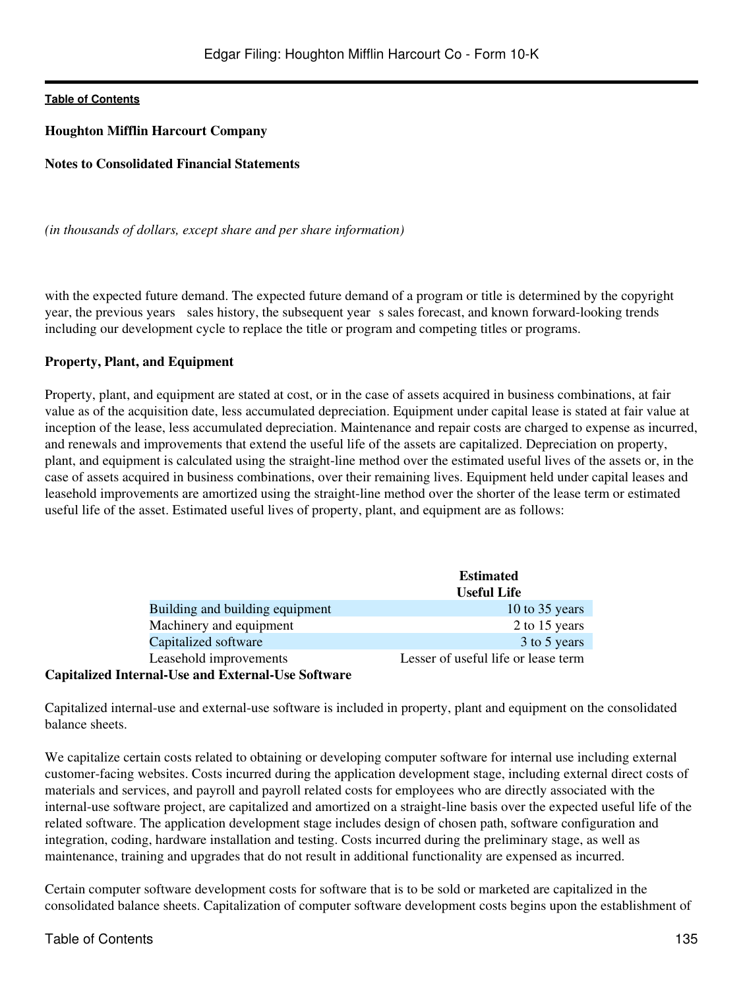## **Houghton Mifflin Harcourt Company**

**Notes to Consolidated Financial Statements**

*(in thousands of dollars, except share and per share information)*

with the expected future demand. The expected future demand of a program or title is determined by the copyright year, the previous years sales history, the subsequent year s sales forecast, and known forward-looking trends including our development cycle to replace the title or program and competing titles or programs.

### **Property, Plant, and Equipment**

Property, plant, and equipment are stated at cost, or in the case of assets acquired in business combinations, at fair value as of the acquisition date, less accumulated depreciation. Equipment under capital lease is stated at fair value at inception of the lease, less accumulated depreciation. Maintenance and repair costs are charged to expense as incurred, and renewals and improvements that extend the useful life of the assets are capitalized. Depreciation on property, plant, and equipment is calculated using the straight-line method over the estimated useful lives of the assets or, in the case of assets acquired in business combinations, over their remaining lives. Equipment held under capital leases and leasehold improvements are amortized using the straight-line method over the shorter of the lease term or estimated useful life of the asset. Estimated useful lives of property, plant, and equipment are as follows:

|                                                   | <b>Estimated</b>                    |
|---------------------------------------------------|-------------------------------------|
|                                                   | <b>Useful Life</b>                  |
| Building and building equipment                   | 10 to $35$ years                    |
| Machinery and equipment                           | 2 to 15 years                       |
| Capitalized software                              | 3 to 5 years                        |
| Leasehold improvements                            | Lesser of useful life or lease term |
| Ionitalizad Internal Has and Ertemed Has Ceftware |                                     |

#### **Capitalized Internal-Use and External-Use Software**

Capitalized internal-use and external-use software is included in property, plant and equipment on the consolidated balance sheets.

We capitalize certain costs related to obtaining or developing computer software for internal use including external customer-facing websites. Costs incurred during the application development stage, including external direct costs of materials and services, and payroll and payroll related costs for employees who are directly associated with the internal-use software project, are capitalized and amortized on a straight-line basis over the expected useful life of the related software. The application development stage includes design of chosen path, software configuration and integration, coding, hardware installation and testing. Costs incurred during the preliminary stage, as well as maintenance, training and upgrades that do not result in additional functionality are expensed as incurred.

Certain computer software development costs for software that is to be sold or marketed are capitalized in the consolidated balance sheets. Capitalization of computer software development costs begins upon the establishment of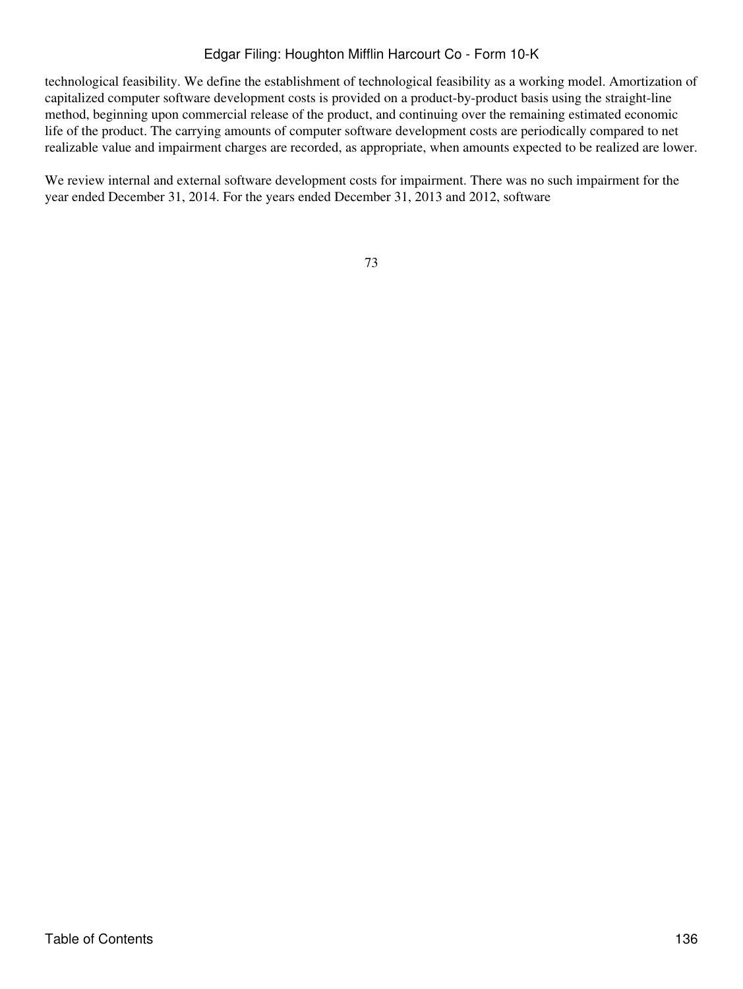technological feasibility. We define the establishment of technological feasibility as a working model. Amortization of capitalized computer software development costs is provided on a product-by-product basis using the straight-line method, beginning upon commercial release of the product, and continuing over the remaining estimated economic life of the product. The carrying amounts of computer software development costs are periodically compared to net realizable value and impairment charges are recorded, as appropriate, when amounts expected to be realized are lower.

We review internal and external software development costs for impairment. There was no such impairment for the year ended December 31, 2014. For the years ended December 31, 2013 and 2012, software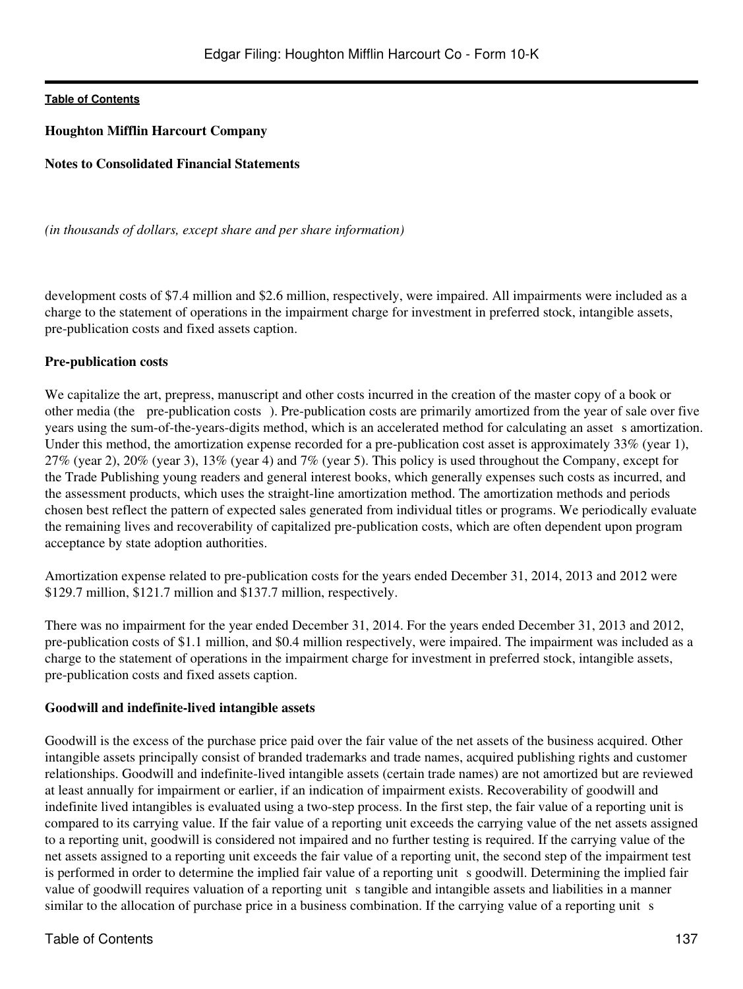## **Houghton Mifflin Harcourt Company**

**Notes to Consolidated Financial Statements**

*(in thousands of dollars, except share and per share information)*

development costs of \$7.4 million and \$2.6 million, respectively, were impaired. All impairments were included as a charge to the statement of operations in the impairment charge for investment in preferred stock, intangible assets, pre-publication costs and fixed assets caption.

### **Pre-publication costs**

We capitalize the art, prepress, manuscript and other costs incurred in the creation of the master copy of a book or other media (the pre-publication costs). Pre-publication costs are primarily amortized from the year of sale over five years using the sum-of-the-years-digits method, which is an accelerated method for calculating an asset s amortization. Under this method, the amortization expense recorded for a pre-publication cost asset is approximately 33% (year 1), 27% (year 2), 20% (year 3), 13% (year 4) and 7% (year 5). This policy is used throughout the Company, except for the Trade Publishing young readers and general interest books, which generally expenses such costs as incurred, and the assessment products, which uses the straight-line amortization method. The amortization methods and periods chosen best reflect the pattern of expected sales generated from individual titles or programs. We periodically evaluate the remaining lives and recoverability of capitalized pre-publication costs, which are often dependent upon program acceptance by state adoption authorities.

Amortization expense related to pre-publication costs for the years ended December 31, 2014, 2013 and 2012 were \$129.7 million, \$121.7 million and \$137.7 million, respectively.

There was no impairment for the year ended December 31, 2014. For the years ended December 31, 2013 and 2012, pre-publication costs of \$1.1 million, and \$0.4 million respectively, were impaired. The impairment was included as a charge to the statement of operations in the impairment charge for investment in preferred stock, intangible assets, pre-publication costs and fixed assets caption.

### **Goodwill and indefinite-lived intangible assets**

Goodwill is the excess of the purchase price paid over the fair value of the net assets of the business acquired. Other intangible assets principally consist of branded trademarks and trade names, acquired publishing rights and customer relationships. Goodwill and indefinite-lived intangible assets (certain trade names) are not amortized but are reviewed at least annually for impairment or earlier, if an indication of impairment exists. Recoverability of goodwill and indefinite lived intangibles is evaluated using a two-step process. In the first step, the fair value of a reporting unit is compared to its carrying value. If the fair value of a reporting unit exceeds the carrying value of the net assets assigned to a reporting unit, goodwill is considered not impaired and no further testing is required. If the carrying value of the net assets assigned to a reporting unit exceeds the fair value of a reporting unit, the second step of the impairment test is performed in order to determine the implied fair value of a reporting unit s goodwill. Determining the implied fair value of goodwill requires valuation of a reporting unit s tangible and intangible assets and liabilities in a manner similar to the allocation of purchase price in a business combination. If the carrying value of a reporting unit s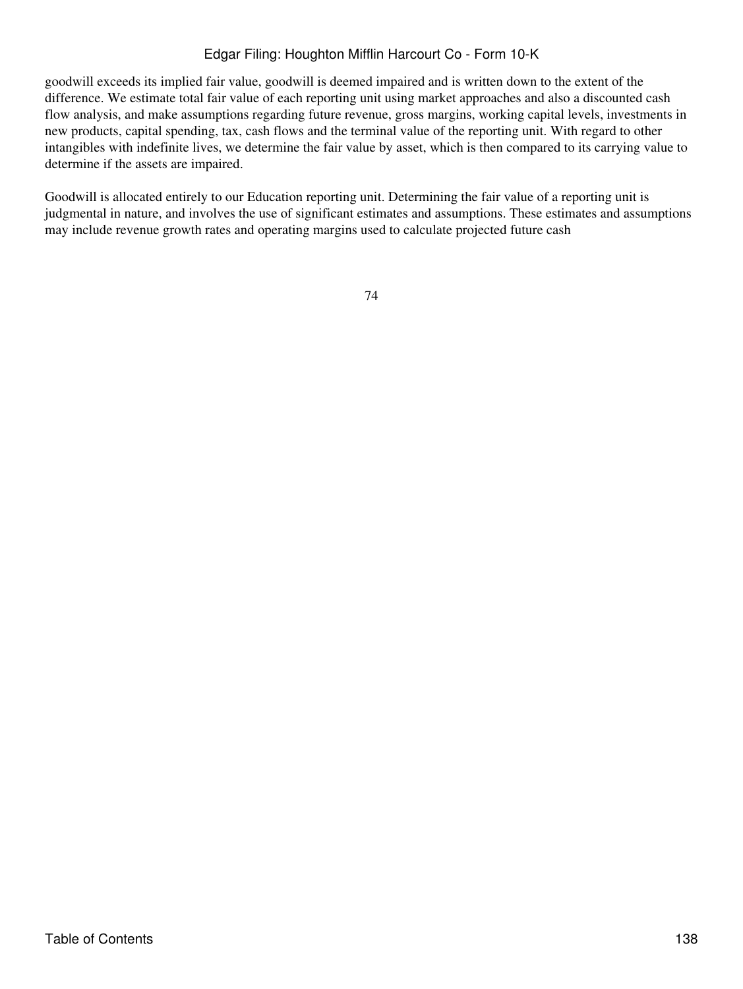goodwill exceeds its implied fair value, goodwill is deemed impaired and is written down to the extent of the difference. We estimate total fair value of each reporting unit using market approaches and also a discounted cash flow analysis, and make assumptions regarding future revenue, gross margins, working capital levels, investments in new products, capital spending, tax, cash flows and the terminal value of the reporting unit. With regard to other intangibles with indefinite lives, we determine the fair value by asset, which is then compared to its carrying value to determine if the assets are impaired.

Goodwill is allocated entirely to our Education reporting unit. Determining the fair value of a reporting unit is judgmental in nature, and involves the use of significant estimates and assumptions. These estimates and assumptions may include revenue growth rates and operating margins used to calculate projected future cash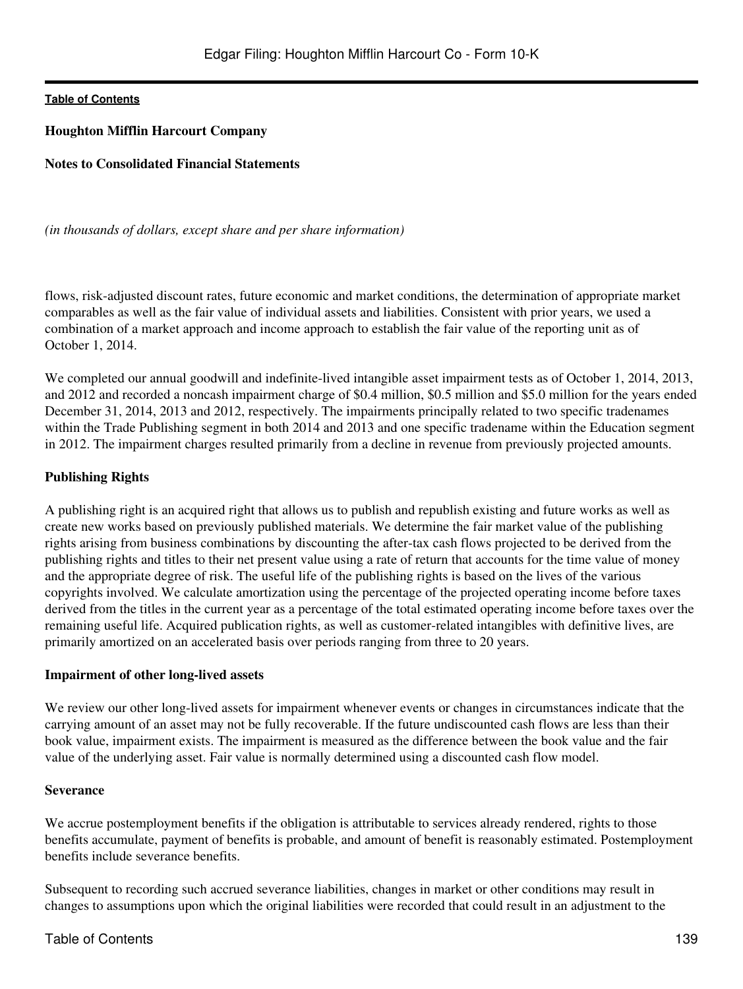## **Houghton Mifflin Harcourt Company**

**Notes to Consolidated Financial Statements**

*(in thousands of dollars, except share and per share information)*

flows, risk-adjusted discount rates, future economic and market conditions, the determination of appropriate market comparables as well as the fair value of individual assets and liabilities. Consistent with prior years, we used a combination of a market approach and income approach to establish the fair value of the reporting unit as of October 1, 2014.

We completed our annual goodwill and indefinite-lived intangible asset impairment tests as of October 1, 2014, 2013, and 2012 and recorded a noncash impairment charge of \$0.4 million, \$0.5 million and \$5.0 million for the years ended December 31, 2014, 2013 and 2012, respectively. The impairments principally related to two specific tradenames within the Trade Publishing segment in both 2014 and 2013 and one specific tradename within the Education segment in 2012. The impairment charges resulted primarily from a decline in revenue from previously projected amounts.

### **Publishing Rights**

A publishing right is an acquired right that allows us to publish and republish existing and future works as well as create new works based on previously published materials. We determine the fair market value of the publishing rights arising from business combinations by discounting the after-tax cash flows projected to be derived from the publishing rights and titles to their net present value using a rate of return that accounts for the time value of money and the appropriate degree of risk. The useful life of the publishing rights is based on the lives of the various copyrights involved. We calculate amortization using the percentage of the projected operating income before taxes derived from the titles in the current year as a percentage of the total estimated operating income before taxes over the remaining useful life. Acquired publication rights, as well as customer-related intangibles with definitive lives, are primarily amortized on an accelerated basis over periods ranging from three to 20 years.

### **Impairment of other long-lived assets**

We review our other long-lived assets for impairment whenever events or changes in circumstances indicate that the carrying amount of an asset may not be fully recoverable. If the future undiscounted cash flows are less than their book value, impairment exists. The impairment is measured as the difference between the book value and the fair value of the underlying asset. Fair value is normally determined using a discounted cash flow model.

#### **Severance**

We accrue postemployment benefits if the obligation is attributable to services already rendered, rights to those benefits accumulate, payment of benefits is probable, and amount of benefit is reasonably estimated. Postemployment benefits include severance benefits.

Subsequent to recording such accrued severance liabilities, changes in market or other conditions may result in changes to assumptions upon which the original liabilities were recorded that could result in an adjustment to the

### Table of Contents 139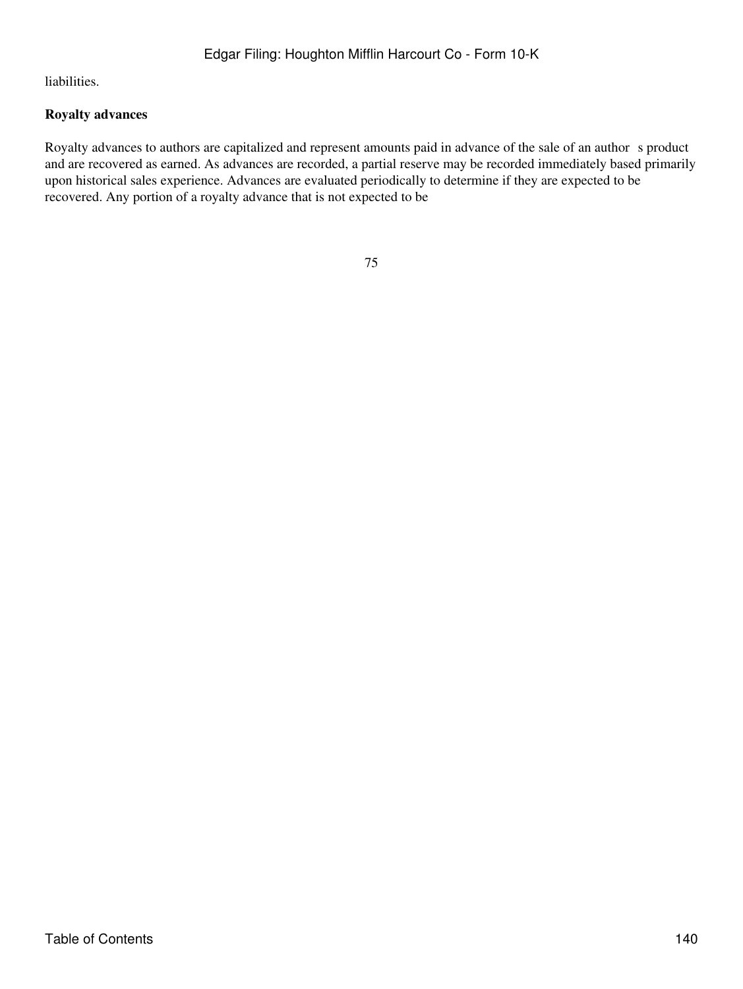liabilities.

### **Royalty advances**

Royalty advances to authors are capitalized and represent amounts paid in advance of the sale of an author s product and are recovered as earned. As advances are recorded, a partial reserve may be recorded immediately based primarily upon historical sales experience. Advances are evaluated periodically to determine if they are expected to be recovered. Any portion of a royalty advance that is not expected to be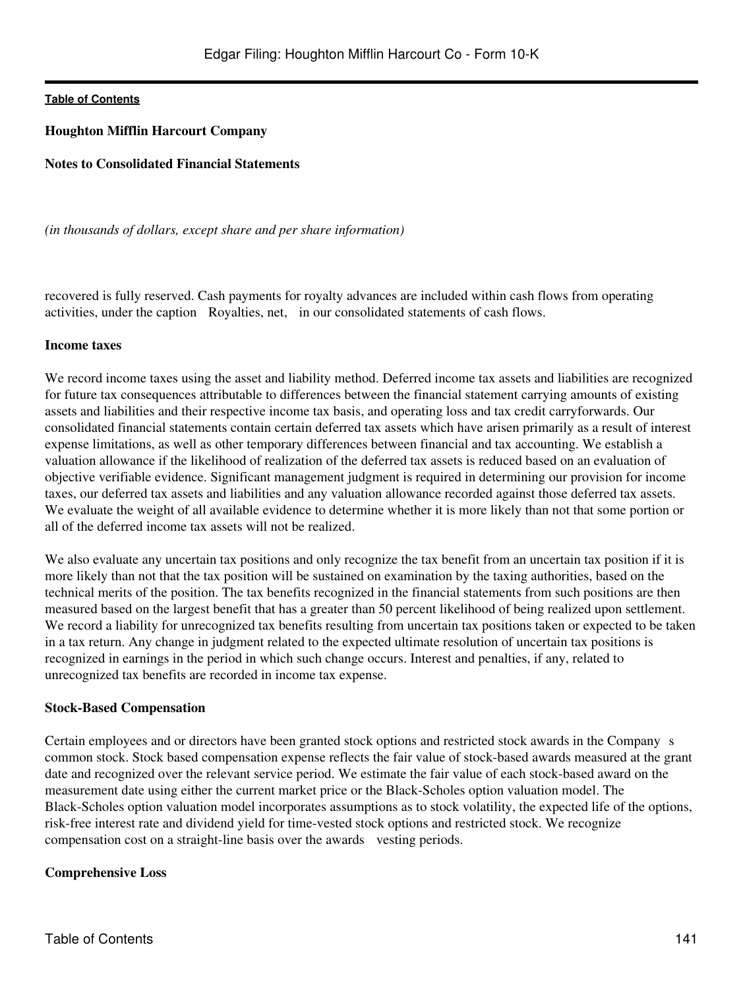### **Houghton Mifflin Harcourt Company**

### **Notes to Consolidated Financial Statements**

*(in thousands of dollars, except share and per share information)*

recovered is fully reserved. Cash payments for royalty advances are included within cash flows from operating activities, under the caption Royalties, net, in our consolidated statements of cash flows.

#### **Income taxes**

We record income taxes using the asset and liability method. Deferred income tax assets and liabilities are recognized for future tax consequences attributable to differences between the financial statement carrying amounts of existing assets and liabilities and their respective income tax basis, and operating loss and tax credit carryforwards. Our consolidated financial statements contain certain deferred tax assets which have arisen primarily as a result of interest expense limitations, as well as other temporary differences between financial and tax accounting. We establish a valuation allowance if the likelihood of realization of the deferred tax assets is reduced based on an evaluation of objective verifiable evidence. Significant management judgment is required in determining our provision for income taxes, our deferred tax assets and liabilities and any valuation allowance recorded against those deferred tax assets. We evaluate the weight of all available evidence to determine whether it is more likely than not that some portion or all of the deferred income tax assets will not be realized.

We also evaluate any uncertain tax positions and only recognize the tax benefit from an uncertain tax position if it is more likely than not that the tax position will be sustained on examination by the taxing authorities, based on the technical merits of the position. The tax benefits recognized in the financial statements from such positions are then measured based on the largest benefit that has a greater than 50 percent likelihood of being realized upon settlement. We record a liability for unrecognized tax benefits resulting from uncertain tax positions taken or expected to be taken in a tax return. Any change in judgment related to the expected ultimate resolution of uncertain tax positions is recognized in earnings in the period in which such change occurs. Interest and penalties, if any, related to unrecognized tax benefits are recorded in income tax expense.

#### **Stock-Based Compensation**

Certain employees and or directors have been granted stock options and restricted stock awards in the Companys common stock. Stock based compensation expense reflects the fair value of stock-based awards measured at the grant date and recognized over the relevant service period. We estimate the fair value of each stock-based award on the measurement date using either the current market price or the Black-Scholes option valuation model. The Black-Scholes option valuation model incorporates assumptions as to stock volatility, the expected life of the options, risk-free interest rate and dividend yield for time-vested stock options and restricted stock. We recognize compensation cost on a straight-line basis over the awards vesting periods.

#### **Comprehensive Loss**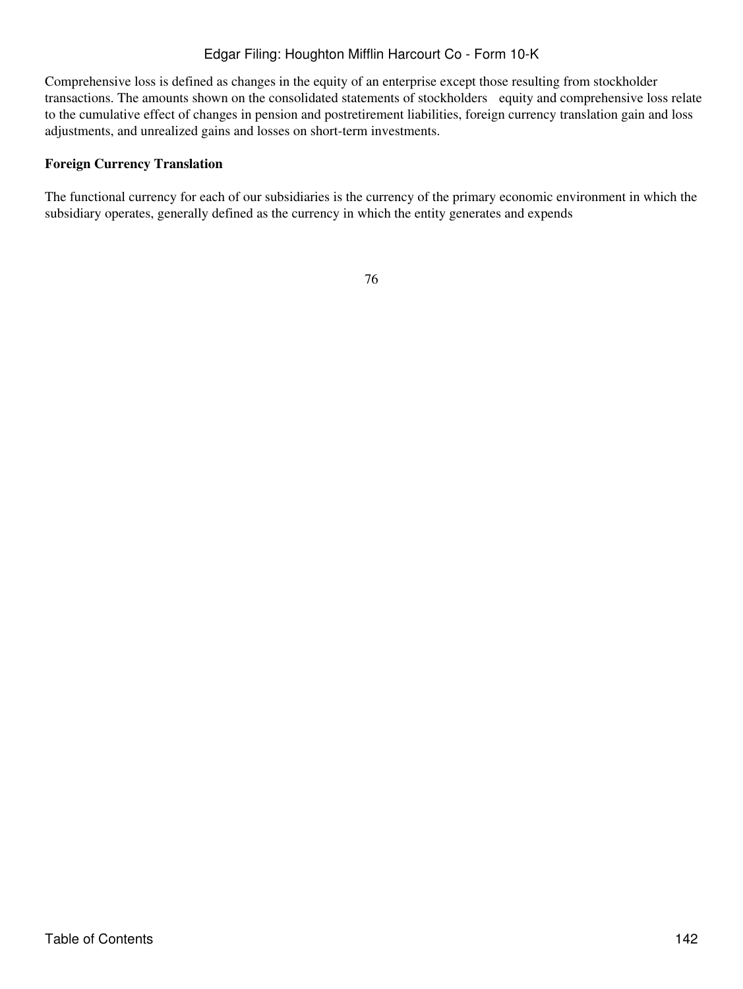Comprehensive loss is defined as changes in the equity of an enterprise except those resulting from stockholder transactions. The amounts shown on the consolidated statements of stockholders equity and comprehensive loss relate to the cumulative effect of changes in pension and postretirement liabilities, foreign currency translation gain and loss adjustments, and unrealized gains and losses on short-term investments.

### **Foreign Currency Translation**

The functional currency for each of our subsidiaries is the currency of the primary economic environment in which the subsidiary operates, generally defined as the currency in which the entity generates and expends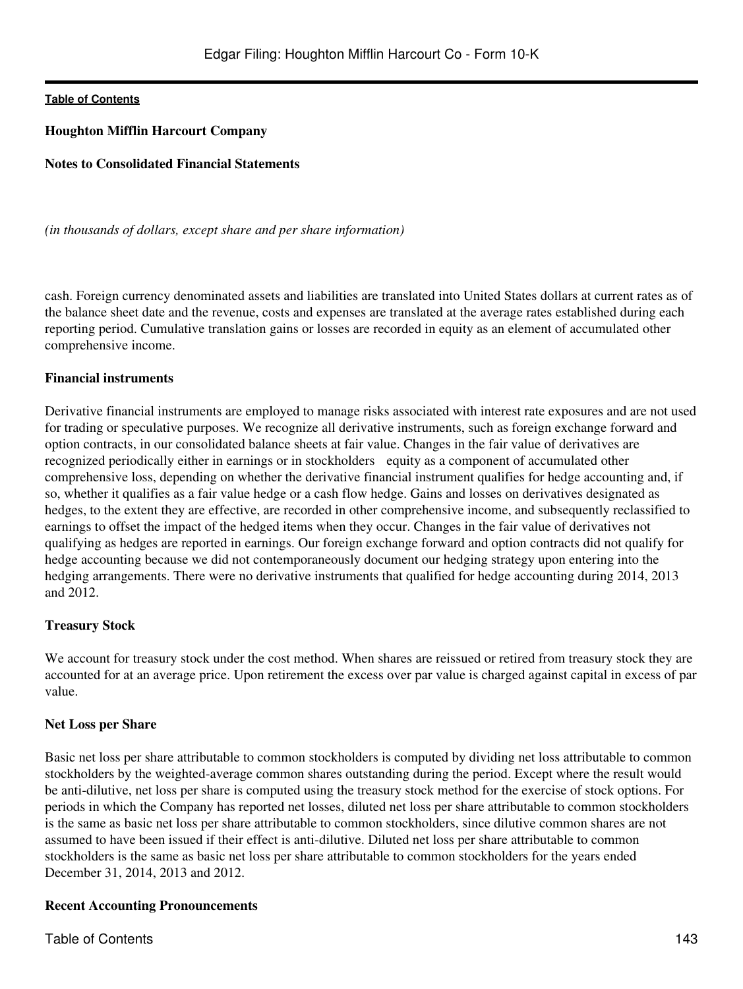## **Houghton Mifflin Harcourt Company**

**Notes to Consolidated Financial Statements**

*(in thousands of dollars, except share and per share information)*

cash. Foreign currency denominated assets and liabilities are translated into United States dollars at current rates as of the balance sheet date and the revenue, costs and expenses are translated at the average rates established during each reporting period. Cumulative translation gains or losses are recorded in equity as an element of accumulated other comprehensive income.

### **Financial instruments**

Derivative financial instruments are employed to manage risks associated with interest rate exposures and are not used for trading or speculative purposes. We recognize all derivative instruments, such as foreign exchange forward and option contracts, in our consolidated balance sheets at fair value. Changes in the fair value of derivatives are recognized periodically either in earnings or in stockholders equity as a component of accumulated other comprehensive loss, depending on whether the derivative financial instrument qualifies for hedge accounting and, if so, whether it qualifies as a fair value hedge or a cash flow hedge. Gains and losses on derivatives designated as hedges, to the extent they are effective, are recorded in other comprehensive income, and subsequently reclassified to earnings to offset the impact of the hedged items when they occur. Changes in the fair value of derivatives not qualifying as hedges are reported in earnings. Our foreign exchange forward and option contracts did not qualify for hedge accounting because we did not contemporaneously document our hedging strategy upon entering into the hedging arrangements. There were no derivative instruments that qualified for hedge accounting during 2014, 2013 and 2012.

### **Treasury Stock**

We account for treasury stock under the cost method. When shares are reissued or retired from treasury stock they are accounted for at an average price. Upon retirement the excess over par value is charged against capital in excess of par value.

### **Net Loss per Share**

Basic net loss per share attributable to common stockholders is computed by dividing net loss attributable to common stockholders by the weighted-average common shares outstanding during the period. Except where the result would be anti-dilutive, net loss per share is computed using the treasury stock method for the exercise of stock options. For periods in which the Company has reported net losses, diluted net loss per share attributable to common stockholders is the same as basic net loss per share attributable to common stockholders, since dilutive common shares are not assumed to have been issued if their effect is anti-dilutive. Diluted net loss per share attributable to common stockholders is the same as basic net loss per share attributable to common stockholders for the years ended December 31, 2014, 2013 and 2012.

### **Recent Accounting Pronouncements**

Table of Contents 143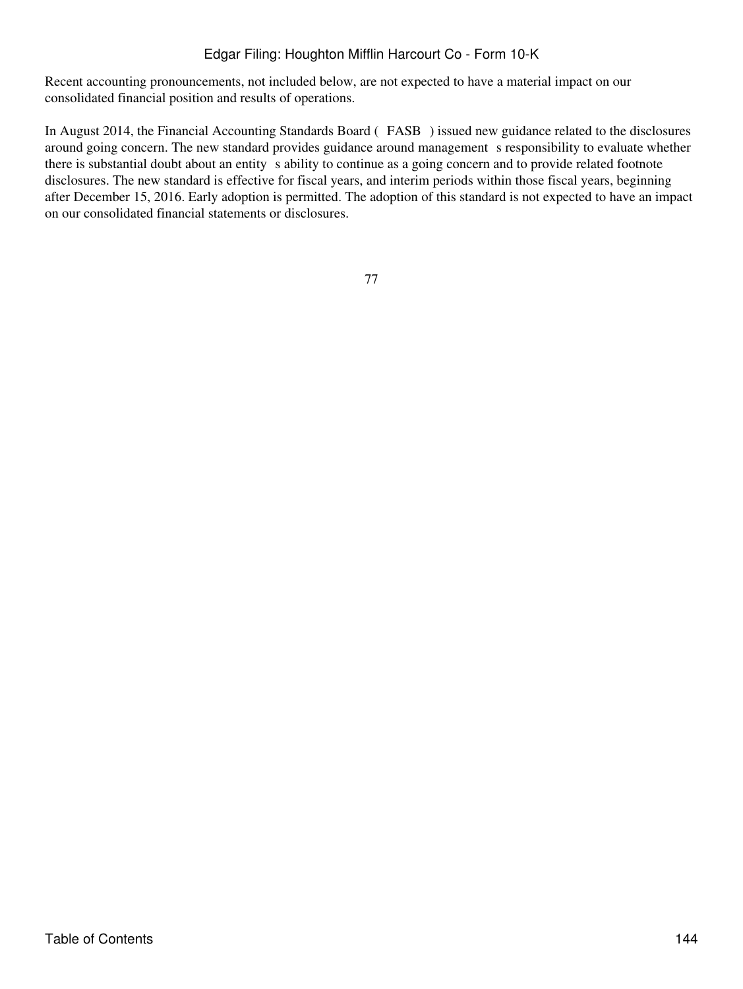Recent accounting pronouncements, not included below, are not expected to have a material impact on our consolidated financial position and results of operations.

In August 2014, the Financial Accounting Standards Board (FASB) issued new guidance related to the disclosures around going concern. The new standard provides guidance around management s responsibility to evaluate whether there is substantial doubt about an entity s ability to continue as a going concern and to provide related footnote disclosures. The new standard is effective for fiscal years, and interim periods within those fiscal years, beginning after December 15, 2016. Early adoption is permitted. The adoption of this standard is not expected to have an impact on our consolidated financial statements or disclosures.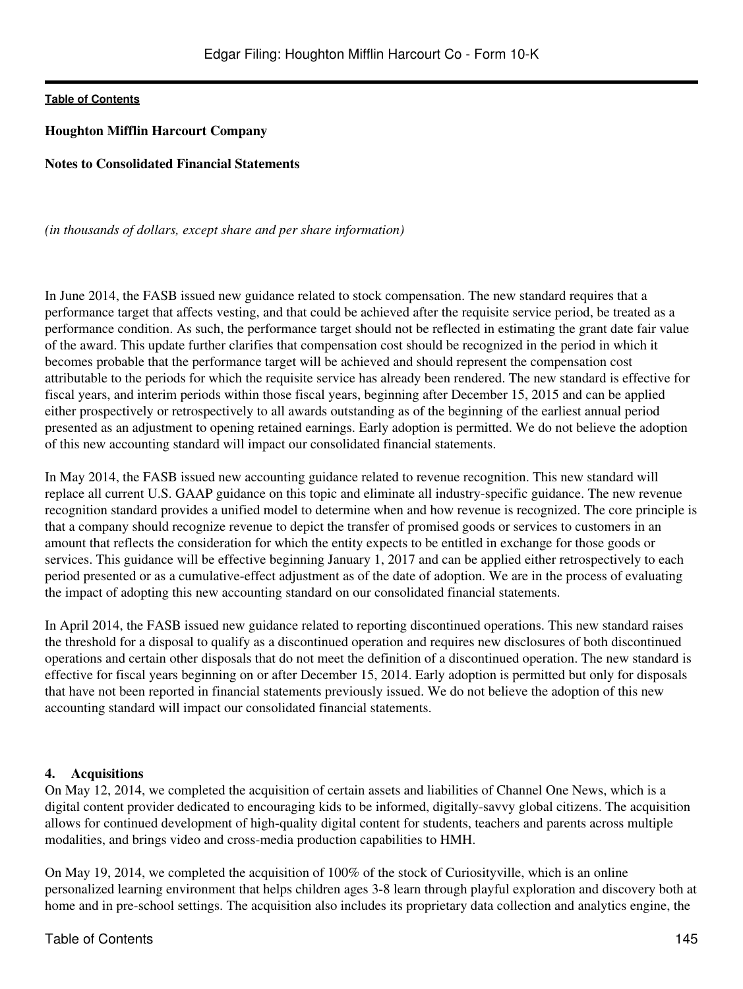## **Houghton Mifflin Harcourt Company**

**Notes to Consolidated Financial Statements**

*(in thousands of dollars, except share and per share information)*

In June 2014, the FASB issued new guidance related to stock compensation. The new standard requires that a performance target that affects vesting, and that could be achieved after the requisite service period, be treated as a performance condition. As such, the performance target should not be reflected in estimating the grant date fair value of the award. This update further clarifies that compensation cost should be recognized in the period in which it becomes probable that the performance target will be achieved and should represent the compensation cost attributable to the periods for which the requisite service has already been rendered. The new standard is effective for fiscal years, and interim periods within those fiscal years, beginning after December 15, 2015 and can be applied either prospectively or retrospectively to all awards outstanding as of the beginning of the earliest annual period presented as an adjustment to opening retained earnings. Early adoption is permitted. We do not believe the adoption of this new accounting standard will impact our consolidated financial statements.

In May 2014, the FASB issued new accounting guidance related to revenue recognition. This new standard will replace all current U.S. GAAP guidance on this topic and eliminate all industry-specific guidance. The new revenue recognition standard provides a unified model to determine when and how revenue is recognized. The core principle is that a company should recognize revenue to depict the transfer of promised goods or services to customers in an amount that reflects the consideration for which the entity expects to be entitled in exchange for those goods or services. This guidance will be effective beginning January 1, 2017 and can be applied either retrospectively to each period presented or as a cumulative-effect adjustment as of the date of adoption. We are in the process of evaluating the impact of adopting this new accounting standard on our consolidated financial statements.

In April 2014, the FASB issued new guidance related to reporting discontinued operations. This new standard raises the threshold for a disposal to qualify as a discontinued operation and requires new disclosures of both discontinued operations and certain other disposals that do not meet the definition of a discontinued operation. The new standard is effective for fiscal years beginning on or after December 15, 2014. Early adoption is permitted but only for disposals that have not been reported in financial statements previously issued. We do not believe the adoption of this new accounting standard will impact our consolidated financial statements.

### **4. Acquisitions**

On May 12, 2014, we completed the acquisition of certain assets and liabilities of Channel One News, which is a digital content provider dedicated to encouraging kids to be informed, digitally-savvy global citizens. The acquisition allows for continued development of high-quality digital content for students, teachers and parents across multiple modalities, and brings video and cross-media production capabilities to HMH.

On May 19, 2014, we completed the acquisition of 100% of the stock of Curiosityville, which is an online personalized learning environment that helps children ages 3-8 learn through playful exploration and discovery both at home and in pre-school settings. The acquisition also includes its proprietary data collection and analytics engine, the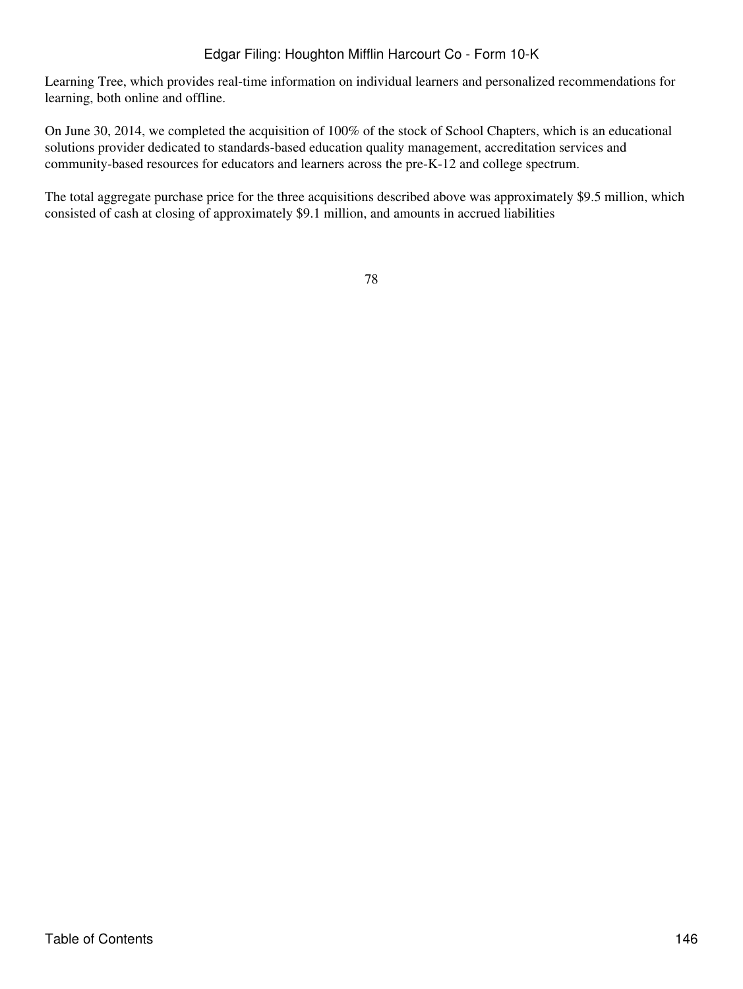Learning Tree, which provides real-time information on individual learners and personalized recommendations for learning, both online and offline.

On June 30, 2014, we completed the acquisition of 100% of the stock of School Chapters, which is an educational solutions provider dedicated to standards-based education quality management, accreditation services and community-based resources for educators and learners across the pre-K-12 and college spectrum.

The total aggregate purchase price for the three acquisitions described above was approximately \$9.5 million, which consisted of cash at closing of approximately \$9.1 million, and amounts in accrued liabilities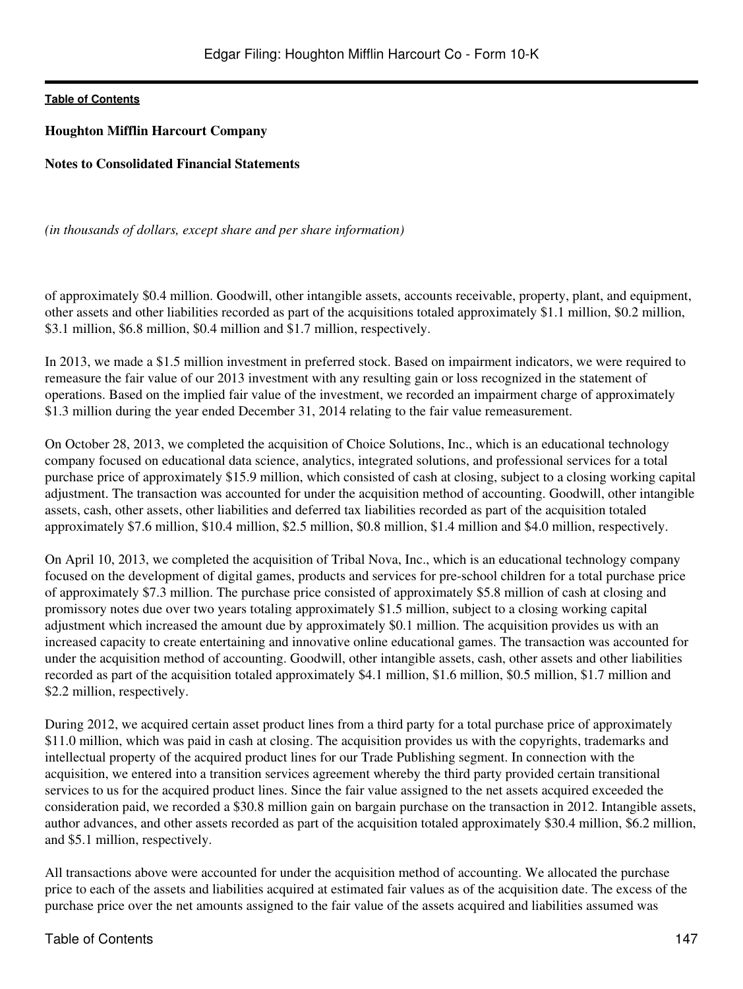## **Houghton Mifflin Harcourt Company**

**Notes to Consolidated Financial Statements**

*(in thousands of dollars, except share and per share information)*

of approximately \$0.4 million. Goodwill, other intangible assets, accounts receivable, property, plant, and equipment, other assets and other liabilities recorded as part of the acquisitions totaled approximately \$1.1 million, \$0.2 million, \$3.1 million, \$6.8 million, \$0.4 million and \$1.7 million, respectively.

In 2013, we made a \$1.5 million investment in preferred stock. Based on impairment indicators, we were required to remeasure the fair value of our 2013 investment with any resulting gain or loss recognized in the statement of operations. Based on the implied fair value of the investment, we recorded an impairment charge of approximately \$1.3 million during the year ended December 31, 2014 relating to the fair value remeasurement.

On October 28, 2013, we completed the acquisition of Choice Solutions, Inc., which is an educational technology company focused on educational data science, analytics, integrated solutions, and professional services for a total purchase price of approximately \$15.9 million, which consisted of cash at closing, subject to a closing working capital adjustment. The transaction was accounted for under the acquisition method of accounting. Goodwill, other intangible assets, cash, other assets, other liabilities and deferred tax liabilities recorded as part of the acquisition totaled approximately \$7.6 million, \$10.4 million, \$2.5 million, \$0.8 million, \$1.4 million and \$4.0 million, respectively.

On April 10, 2013, we completed the acquisition of Tribal Nova, Inc., which is an educational technology company focused on the development of digital games, products and services for pre-school children for a total purchase price of approximately \$7.3 million. The purchase price consisted of approximately \$5.8 million of cash at closing and promissory notes due over two years totaling approximately \$1.5 million, subject to a closing working capital adjustment which increased the amount due by approximately \$0.1 million. The acquisition provides us with an increased capacity to create entertaining and innovative online educational games. The transaction was accounted for under the acquisition method of accounting. Goodwill, other intangible assets, cash, other assets and other liabilities recorded as part of the acquisition totaled approximately \$4.1 million, \$1.6 million, \$0.5 million, \$1.7 million and \$2.2 million, respectively.

During 2012, we acquired certain asset product lines from a third party for a total purchase price of approximately \$11.0 million, which was paid in cash at closing. The acquisition provides us with the copyrights, trademarks and intellectual property of the acquired product lines for our Trade Publishing segment. In connection with the acquisition, we entered into a transition services agreement whereby the third party provided certain transitional services to us for the acquired product lines. Since the fair value assigned to the net assets acquired exceeded the consideration paid, we recorded a \$30.8 million gain on bargain purchase on the transaction in 2012. Intangible assets, author advances, and other assets recorded as part of the acquisition totaled approximately \$30.4 million, \$6.2 million, and \$5.1 million, respectively.

All transactions above were accounted for under the acquisition method of accounting. We allocated the purchase price to each of the assets and liabilities acquired at estimated fair values as of the acquisition date. The excess of the purchase price over the net amounts assigned to the fair value of the assets acquired and liabilities assumed was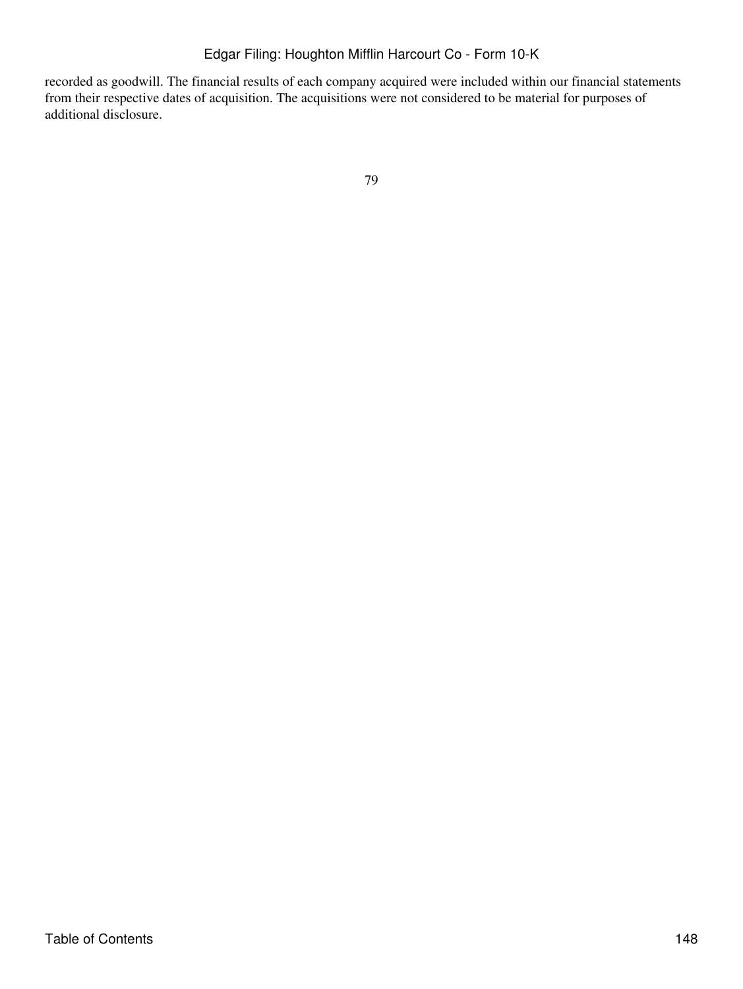recorded as goodwill. The financial results of each company acquired were included within our financial statements from their respective dates of acquisition. The acquisitions were not considered to be material for purposes of additional disclosure.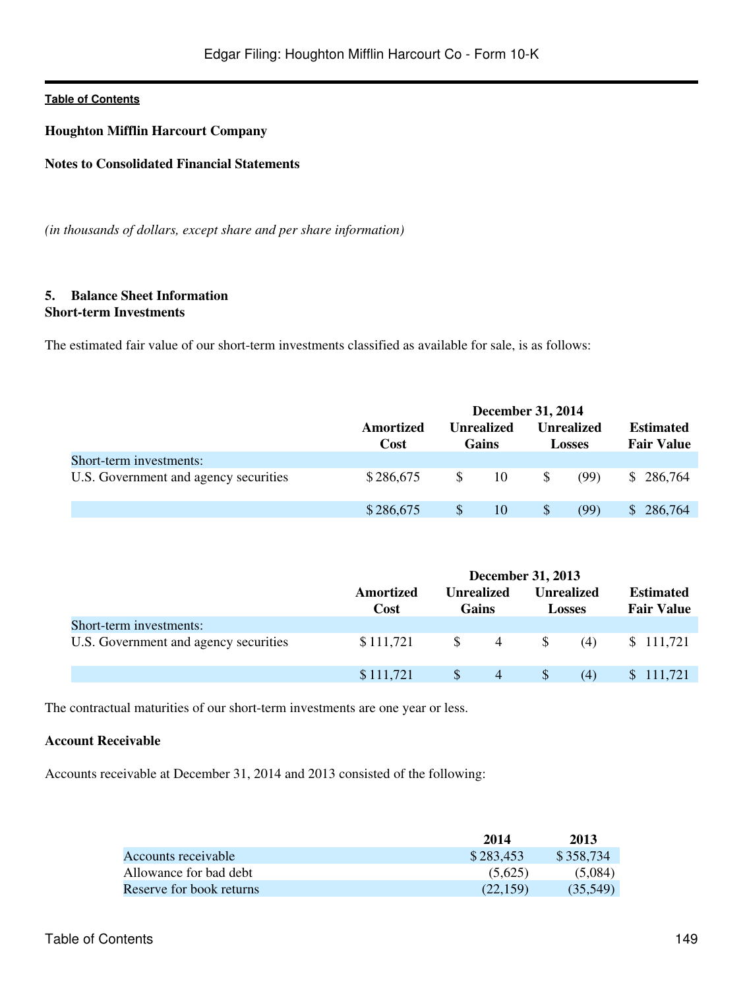**Houghton Mifflin Harcourt Company**

**Notes to Consolidated Financial Statements**

*(in thousands of dollars, except share and per share information)*

### **5. Balance Sheet Information Short-term Investments**

The estimated fair value of our short-term investments classified as available for sale, is as follows:

|                                       | <b>December 31, 2014</b> |              |                     |               |                             |                                       |
|---------------------------------------|--------------------------|--------------|---------------------|---------------|-----------------------------|---------------------------------------|
|                                       | Amortized<br>Cost        |              | Unrealized<br>Gains |               | <b>Unrealized</b><br>Losses | <b>Estimated</b><br><b>Fair Value</b> |
| Short-term investments:               |                          |              |                     |               |                             |                                       |
| U.S. Government and agency securities | \$286,675                | <sup>S</sup> | 10                  | <sup>\$</sup> | (99)                        | \$ 286,764                            |
|                                       | \$286,675                |              | 10                  |               | (99)                        | 286,764<br>\$                         |

|                                       | <b>December 31, 2013</b> |                            |                |               |                             |                                       |
|---------------------------------------|--------------------------|----------------------------|----------------|---------------|-----------------------------|---------------------------------------|
|                                       | Amortized<br>Cost        | <b>Unrealized</b><br>Gains |                |               | Unrealized<br><b>Losses</b> | <b>Estimated</b><br><b>Fair Value</b> |
| Short-term investments:               |                          |                            |                |               |                             |                                       |
| U.S. Government and agency securities | \$111,721                | <sup>S</sup>               | 4              | <sup>\$</sup> | (4)                         | \$ 111,721                            |
|                                       | \$111,721                |                            | $\overline{4}$ | <sup>\$</sup> | (4)                         | \$ 111,721                            |

The contractual maturities of our short-term investments are one year or less.

#### **Account Receivable**

Accounts receivable at December 31, 2014 and 2013 consisted of the following:

|                          | 2014      | 2013      |
|--------------------------|-----------|-----------|
| Accounts receivable      | \$283.453 | \$358,734 |
| Allowance for bad debt   | (5.625)   | (5.084)   |
| Reserve for book returns | (22.159)  | (35.549)  |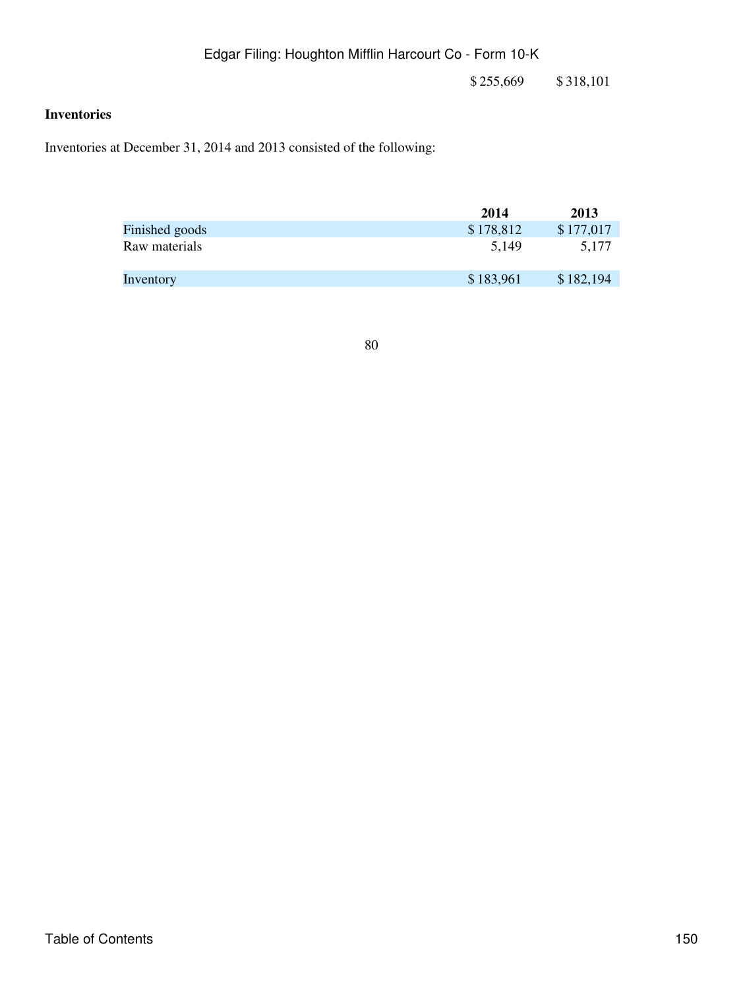\$255,669 \$318,101

## **Inventories**

Inventories at December 31, 2014 and 2013 consisted of the following:

|                | 2014      | 2013      |
|----------------|-----------|-----------|
| Finished goods | \$178,812 | \$177,017 |
| Raw materials  | 5.149     | 5.177     |
| Inventory      | \$183,961 | \$182,194 |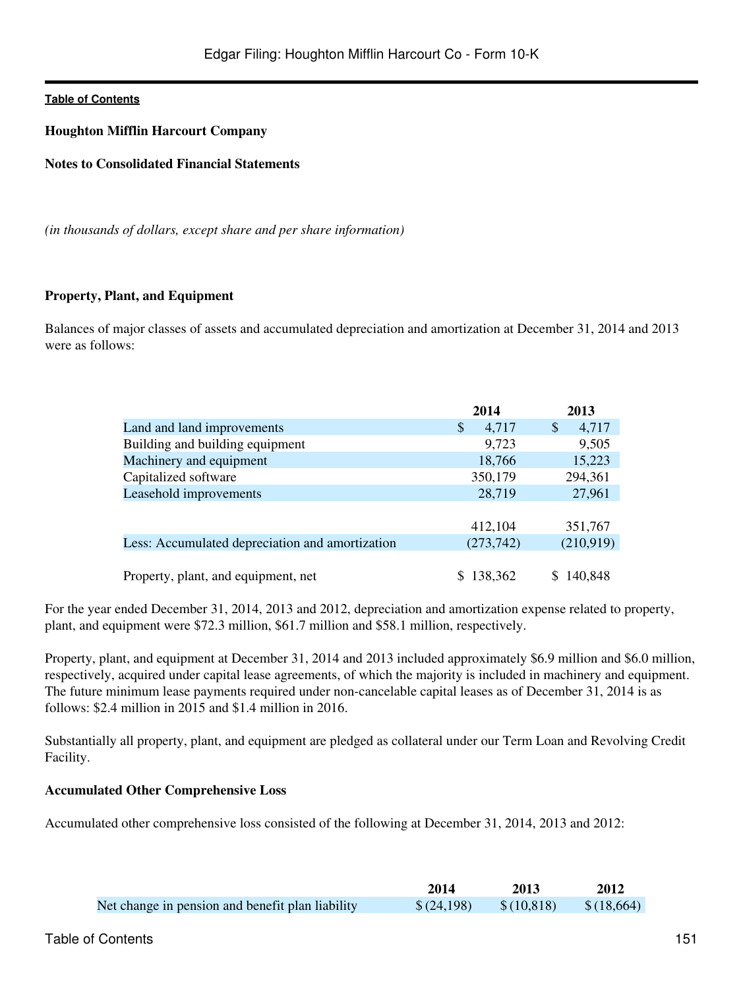### **Houghton Mifflin Harcourt Company**

**Notes to Consolidated Financial Statements**

*(in thousands of dollars, except share and per share information)*

### **Property, Plant, and Equipment**

Balances of major classes of assets and accumulated depreciation and amortization at December 31, 2014 and 2013 were as follows:

|                                                 | 2014        | 2013                   |
|-------------------------------------------------|-------------|------------------------|
| Land and land improvements                      | 4,717<br>\$ | 4,717<br><sup>\$</sup> |
| Building and building equipment                 | 9,723       | 9,505                  |
| Machinery and equipment                         | 18,766      | 15,223                 |
| Capitalized software                            | 350,179     | 294,361                |
| Leasehold improvements                          | 28,719      | 27,961                 |
|                                                 |             |                        |
|                                                 | 412,104     | 351,767                |
| Less: Accumulated depreciation and amortization | (273, 742)  | (210,919)              |
|                                                 |             |                        |
| Property, plant, and equipment, net             | 138,362     | 140,848                |

For the year ended December 31, 2014, 2013 and 2012, depreciation and amortization expense related to property, plant, and equipment were \$72.3 million, \$61.7 million and \$58.1 million, respectively.

Property, plant, and equipment at December 31, 2014 and 2013 included approximately \$6.9 million and \$6.0 million, respectively, acquired under capital lease agreements, of which the majority is included in machinery and equipment. The future minimum lease payments required under non-cancelable capital leases as of December 31, 2014 is as follows: \$2.4 million in 2015 and \$1.4 million in 2016.

Substantially all property, plant, and equipment are pledged as collateral under our Term Loan and Revolving Credit Facility.

### **Accumulated Other Comprehensive Loss**

Accumulated other comprehensive loss consisted of the following at December 31, 2014, 2013 and 2012:

|                                                  | 2014       | 2013       | 2012       |
|--------------------------------------------------|------------|------------|------------|
| Net change in pension and benefit plan liability | \$(24,198) | \$(10,818) | \$(18,664) |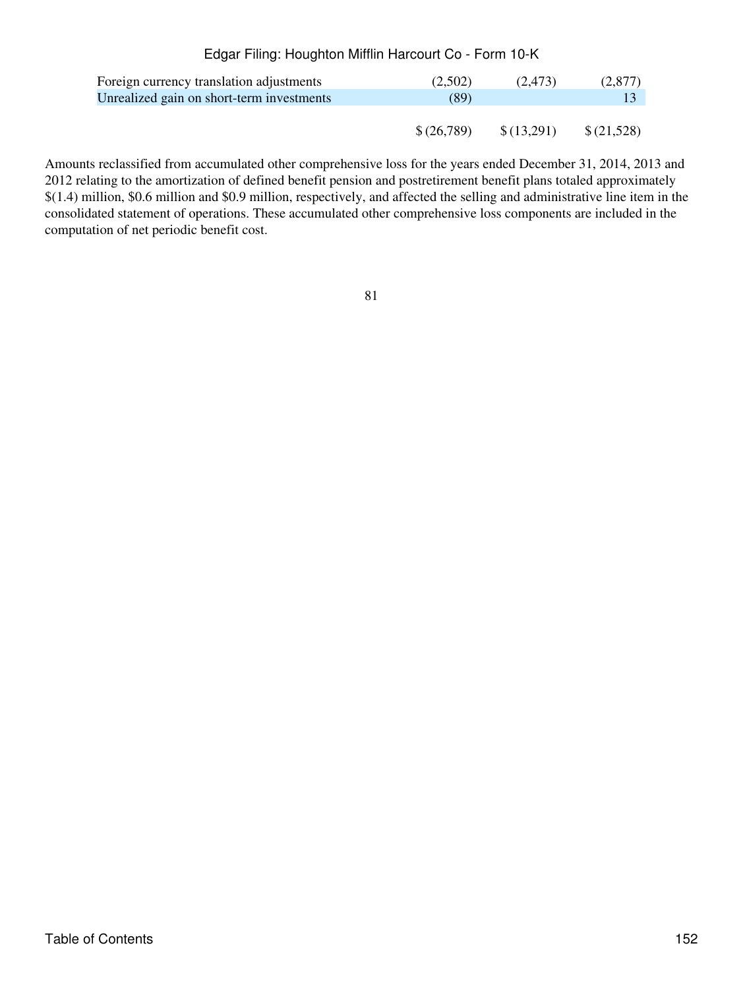| Foreign currency translation adjustments  | (2,502)     | (2.473)    | (2,877)    |
|-------------------------------------------|-------------|------------|------------|
| Unrealized gain on short-term investments | (89)        |            |            |
|                                           |             |            |            |
|                                           | \$ (26,789) | \$(13.291) | \$(21,528) |

Amounts reclassified from accumulated other comprehensive loss for the years ended December 31, 2014, 2013 and 2012 relating to the amortization of defined benefit pension and postretirement benefit plans totaled approximately \$(1.4) million, \$0.6 million and \$0.9 million, respectively, and affected the selling and administrative line item in the consolidated statement of operations. These accumulated other comprehensive loss components are included in the computation of net periodic benefit cost.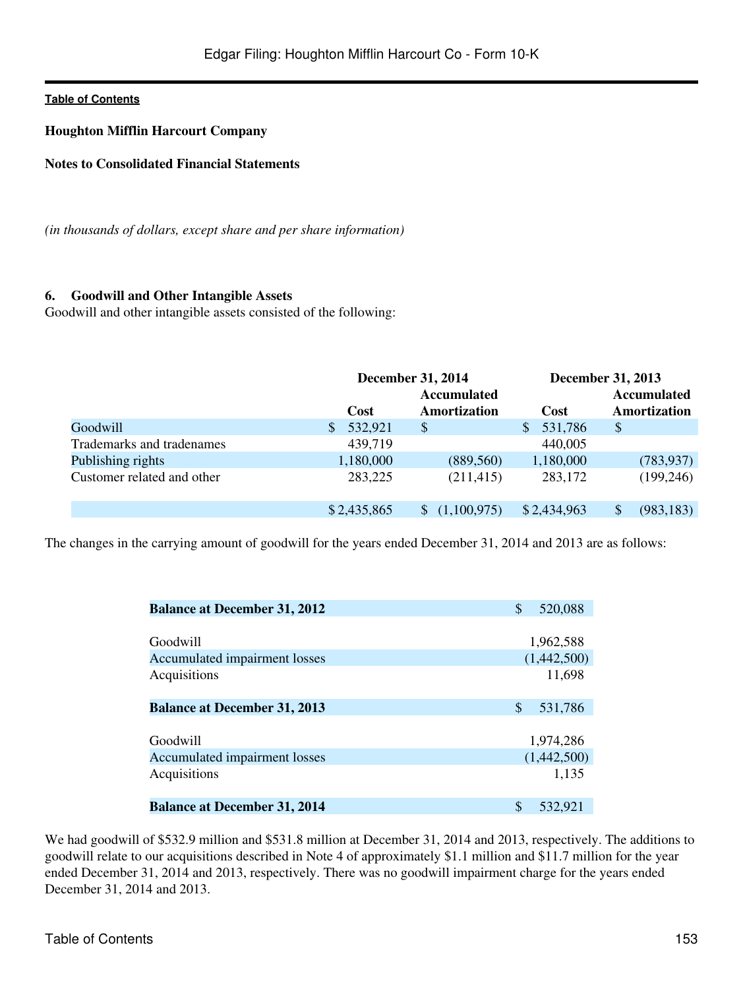### **Houghton Mifflin Harcourt Company**

**Notes to Consolidated Financial Statements**

*(in thousands of dollars, except share and per share information)*

### **6. Goodwill and Other Intangible Assets**

Goodwill and other intangible assets consisted of the following:

|                            | <b>December 31, 2014</b> |                    |                          | <b>December 31, 2013</b> |
|----------------------------|--------------------------|--------------------|--------------------------|--------------------------|
|                            |                          | <b>Accumulated</b> |                          | Accumulated              |
|                            | Cost                     | Amortization       | <b>Cost</b>              | Amortization             |
| Goodwill                   | 532,921<br>$\mathbb{S}$  | \$                 | 531,786<br>$\mathcal{S}$ | \$                       |
| Trademarks and tradenames  | 439,719                  |                    | 440,005                  |                          |
| Publishing rights          | 1,180,000                | (889, 560)         | 1,180,000                | (783, 937)               |
| Customer related and other | 283,225                  | (211, 415)         | 283,172                  | (199, 246)               |
|                            | \$2,435,865              | (1,100,975)        | \$2,434,963              | (983, 183)<br>\$         |

The changes in the carrying amount of goodwill for the years ended December 31, 2014 and 2013 are as follows:

| <b>Balance at December 31, 2012</b> | \$  | 520,088     |
|-------------------------------------|-----|-------------|
|                                     |     |             |
| Goodwill                            |     | 1,962,588   |
| Accumulated impairment losses       |     | (1,442,500) |
| Acquisitions                        |     | 11,698      |
|                                     |     |             |
| <b>Balance at December 31, 2013</b> | \$. | 531,786     |
|                                     |     |             |
| Goodwill                            |     | 1,974,286   |
| Accumulated impairment losses       |     | (1,442,500) |
| Acquisitions                        |     | 1,135       |
|                                     |     |             |
| <b>Balance at December 31, 2014</b> | \$  | 532,921     |

We had goodwill of \$532.9 million and \$531.8 million at December 31, 2014 and 2013, respectively. The additions to goodwill relate to our acquisitions described in Note 4 of approximately \$1.1 million and \$11.7 million for the year ended December 31, 2014 and 2013, respectively. There was no goodwill impairment charge for the years ended December 31, 2014 and 2013.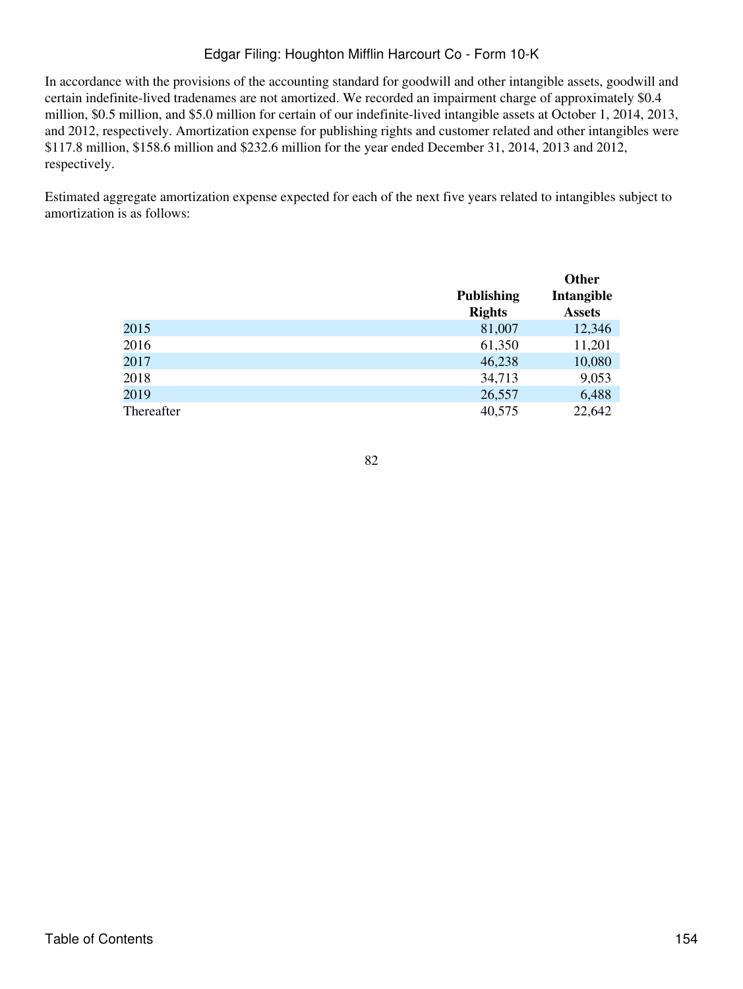In accordance with the provisions of the accounting standard for goodwill and other intangible assets, goodwill and certain indefinite-lived tradenames are not amortized. We recorded an impairment charge of approximately \$0.4 million, \$0.5 million, and \$5.0 million for certain of our indefinite-lived intangible assets at October 1, 2014, 2013, and 2012, respectively. Amortization expense for publishing rights and customer related and other intangibles were \$117.8 million, \$158.6 million and \$232.6 million for the year ended December 31, 2014, 2013 and 2012, respectively.

Estimated aggregate amortization expense expected for each of the next five years related to intangibles subject to amortization is as follows:

|            |                   | <b>Other</b>  |
|------------|-------------------|---------------|
|            | <b>Publishing</b> | Intangible    |
|            | <b>Rights</b>     | <b>Assets</b> |
| 2015       | 81,007            | 12,346        |
| 2016       | 61,350            | 11,201        |
| 2017       | 46,238            | 10,080        |
| 2018       | 34,713            | 9,053         |
| 2019       | 26,557            | 6,488         |
| Thereafter | 40,575            | 22,642        |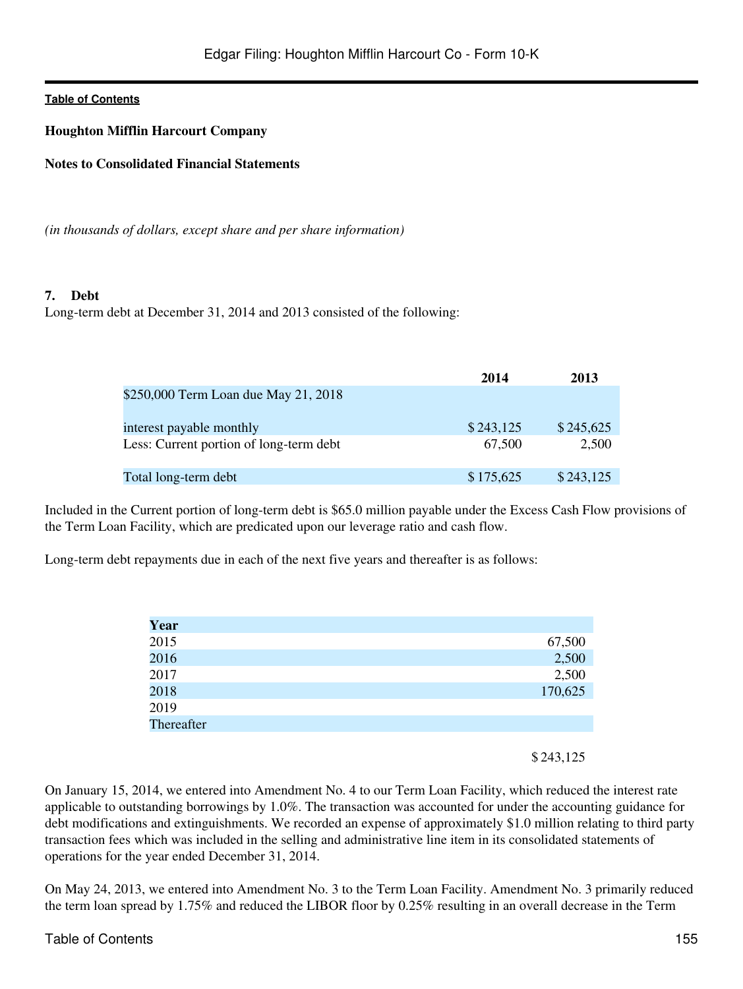**Houghton Mifflin Harcourt Company**

**Notes to Consolidated Financial Statements**

*(in thousands of dollars, except share and per share information)*

#### **7. Debt**

Long-term debt at December 31, 2014 and 2013 consisted of the following:

|                                         | 2014      | 2013      |
|-----------------------------------------|-----------|-----------|
| \$250,000 Term Loan due May 21, 2018    |           |           |
|                                         |           |           |
| interest payable monthly                | \$243,125 | \$245,625 |
| Less: Current portion of long-term debt | 67.500    | 2,500     |
| Total long-term debt                    | \$175,625 | \$243,125 |

Included in the Current portion of long-term debt is \$65.0 million payable under the Excess Cash Flow provisions of the Term Loan Facility, which are predicated upon our leverage ratio and cash flow.

Long-term debt repayments due in each of the next five years and thereafter is as follows:

| Year       |         |
|------------|---------|
| 2015       | 67,500  |
| 2016       | 2,500   |
| 2017       | 2,500   |
| 2018       | 170,625 |
| 2019       |         |
| Thereafter |         |

\$ 243,125

On January 15, 2014, we entered into Amendment No. 4 to our Term Loan Facility, which reduced the interest rate applicable to outstanding borrowings by 1.0%. The transaction was accounted for under the accounting guidance for debt modifications and extinguishments. We recorded an expense of approximately \$1.0 million relating to third party transaction fees which was included in the selling and administrative line item in its consolidated statements of operations for the year ended December 31, 2014.

On May 24, 2013, we entered into Amendment No. 3 to the Term Loan Facility. Amendment No. 3 primarily reduced the term loan spread by 1.75% and reduced the LIBOR floor by 0.25% resulting in an overall decrease in the Term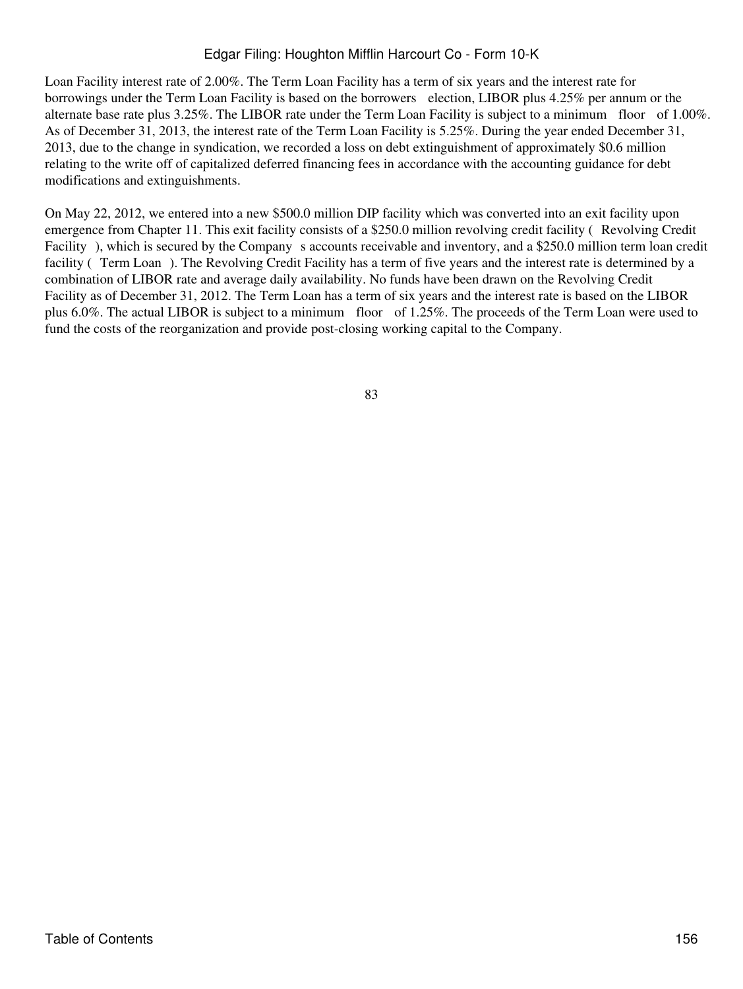Loan Facility interest rate of 2.00%. The Term Loan Facility has a term of six years and the interest rate for borrowings under the Term Loan Facility is based on the borrowers election, LIBOR plus 4.25% per annum or the alternate base rate plus 3.25%. The LIBOR rate under the Term Loan Facility is subject to a minimum floor of 1.00%. As of December 31, 2013, the interest rate of the Term Loan Facility is 5.25%. During the year ended December 31, 2013, due to the change in syndication, we recorded a loss on debt extinguishment of approximately \$0.6 million relating to the write off of capitalized deferred financing fees in accordance with the accounting guidance for debt modifications and extinguishments.

On May 22, 2012, we entered into a new \$500.0 million DIP facility which was converted into an exit facility upon emergence from Chapter 11. This exit facility consists of a \$250.0 million revolving credit facility (Revolving Credit Facility), which is secured by the Company s accounts receivable and inventory, and a \$250.0 million term loan credit facility (Term Loan). The Revolving Credit Facility has a term of five years and the interest rate is determined by a combination of LIBOR rate and average daily availability. No funds have been drawn on the Revolving Credit Facility as of December 31, 2012. The Term Loan has a term of six years and the interest rate is based on the LIBOR plus 6.0%. The actual LIBOR is subject to a minimum floor of 1.25%. The proceeds of the Term Loan were used to fund the costs of the reorganization and provide post-closing working capital to the Company.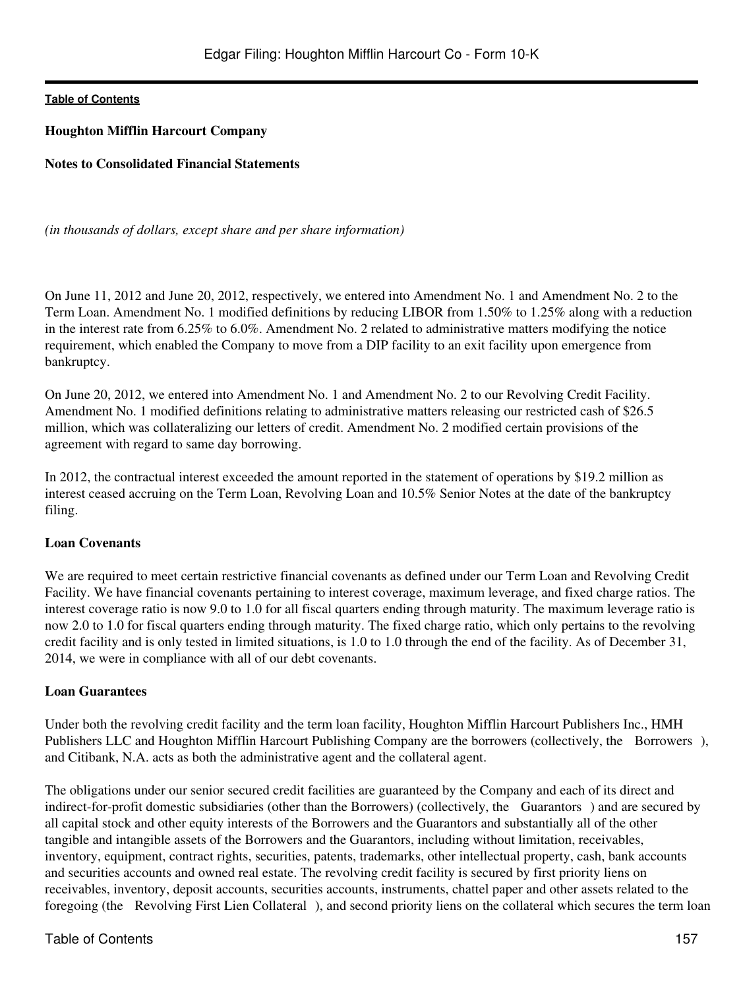## **Houghton Mifflin Harcourt Company**

**Notes to Consolidated Financial Statements**

*(in thousands of dollars, except share and per share information)*

On June 11, 2012 and June 20, 2012, respectively, we entered into Amendment No. 1 and Amendment No. 2 to the Term Loan. Amendment No. 1 modified definitions by reducing LIBOR from 1.50% to 1.25% along with a reduction in the interest rate from 6.25% to 6.0%. Amendment No. 2 related to administrative matters modifying the notice requirement, which enabled the Company to move from a DIP facility to an exit facility upon emergence from bankruptcy.

On June 20, 2012, we entered into Amendment No. 1 and Amendment No. 2 to our Revolving Credit Facility. Amendment No. 1 modified definitions relating to administrative matters releasing our restricted cash of \$26.5 million, which was collateralizing our letters of credit. Amendment No. 2 modified certain provisions of the agreement with regard to same day borrowing.

In 2012, the contractual interest exceeded the amount reported in the statement of operations by \$19.2 million as interest ceased accruing on the Term Loan, Revolving Loan and 10.5% Senior Notes at the date of the bankruptcy filing.

### **Loan Covenants**

We are required to meet certain restrictive financial covenants as defined under our Term Loan and Revolving Credit Facility. We have financial covenants pertaining to interest coverage, maximum leverage, and fixed charge ratios. The interest coverage ratio is now 9.0 to 1.0 for all fiscal quarters ending through maturity. The maximum leverage ratio is now 2.0 to 1.0 for fiscal quarters ending through maturity. The fixed charge ratio, which only pertains to the revolving credit facility and is only tested in limited situations, is 1.0 to 1.0 through the end of the facility. As of December 31, 2014, we were in compliance with all of our debt covenants.

### **Loan Guarantees**

Under both the revolving credit facility and the term loan facility, Houghton Mifflin Harcourt Publishers Inc., HMH Publishers LLC and Houghton Mifflin Harcourt Publishing Company are the borrowers (collectively, the Borrowers), and Citibank, N.A. acts as both the administrative agent and the collateral agent.

The obligations under our senior secured credit facilities are guaranteed by the Company and each of its direct and indirect-for-profit domestic subsidiaries (other than the Borrowers) (collectively, the Guarantors) and are secured by all capital stock and other equity interests of the Borrowers and the Guarantors and substantially all of the other tangible and intangible assets of the Borrowers and the Guarantors, including without limitation, receivables, inventory, equipment, contract rights, securities, patents, trademarks, other intellectual property, cash, bank accounts and securities accounts and owned real estate. The revolving credit facility is secured by first priority liens on receivables, inventory, deposit accounts, securities accounts, instruments, chattel paper and other assets related to the foregoing (the Revolving First Lien Collateral), and second priority liens on the collateral which secures the term loan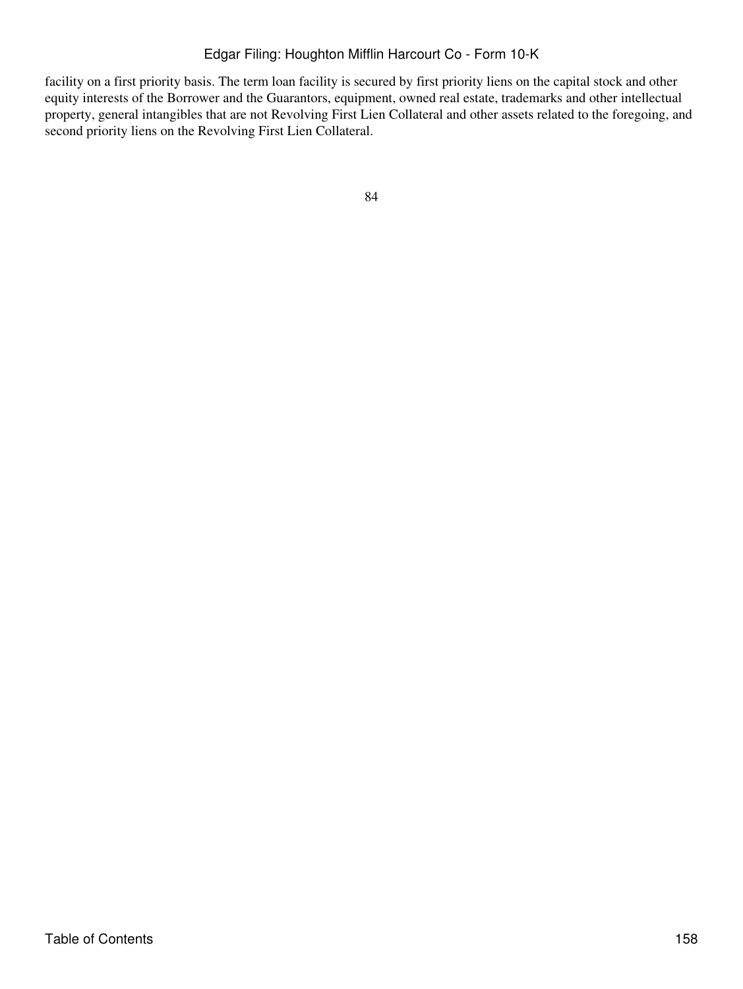facility on a first priority basis. The term loan facility is secured by first priority liens on the capital stock and other equity interests of the Borrower and the Guarantors, equipment, owned real estate, trademarks and other intellectual property, general intangibles that are not Revolving First Lien Collateral and other assets related to the foregoing, and second priority liens on the Revolving First Lien Collateral.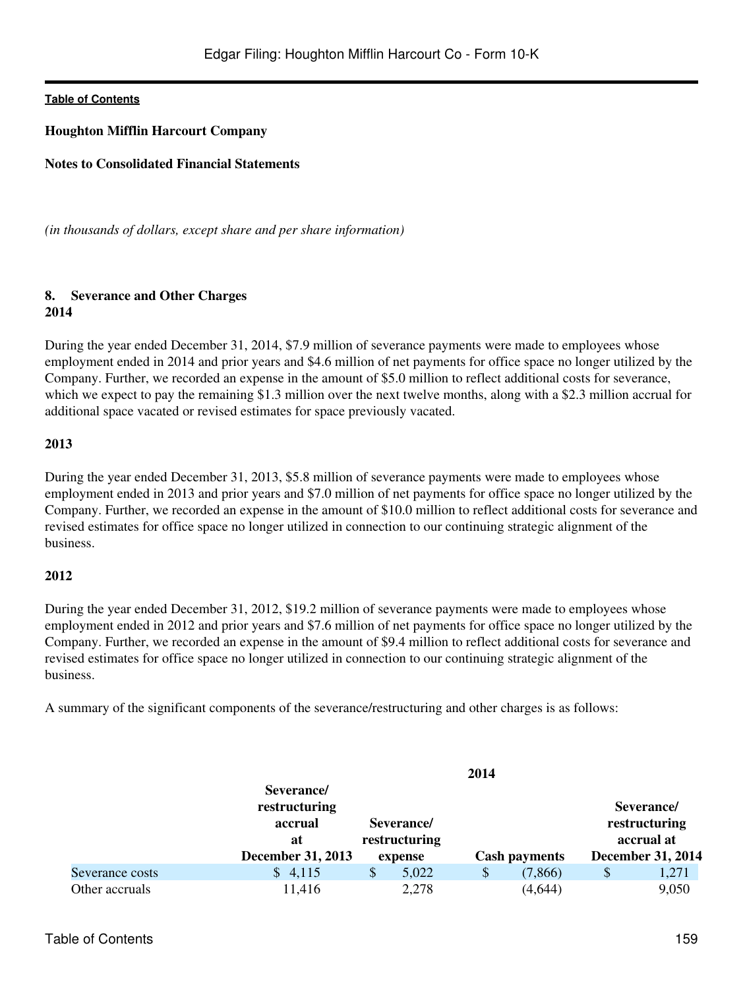### **Houghton Mifflin Harcourt Company**

**Notes to Consolidated Financial Statements**

*(in thousands of dollars, except share and per share information)*

#### **8. Severance and Other Charges 2014**

During the year ended December 31, 2014, \$7.9 million of severance payments were made to employees whose employment ended in 2014 and prior years and \$4.6 million of net payments for office space no longer utilized by the Company. Further, we recorded an expense in the amount of \$5.0 million to reflect additional costs for severance, which we expect to pay the remaining \$1.3 million over the next twelve months, along with a \$2.3 million accrual for additional space vacated or revised estimates for space previously vacated.

### **2013**

During the year ended December 31, 2013, \$5.8 million of severance payments were made to employees whose employment ended in 2013 and prior years and \$7.0 million of net payments for office space no longer utilized by the Company. Further, we recorded an expense in the amount of \$10.0 million to reflect additional costs for severance and revised estimates for office space no longer utilized in connection to our continuing strategic alignment of the business.

### **2012**

During the year ended December 31, 2012, \$19.2 million of severance payments were made to employees whose employment ended in 2012 and prior years and \$7.6 million of net payments for office space no longer utilized by the Company. Further, we recorded an expense in the amount of \$9.4 million to reflect additional costs for severance and revised estimates for office space no longer utilized in connection to our continuing strategic alignment of the business.

A summary of the significant components of the severance/restructuring and other charges is as follows:

|                 |                          |               | 2014                 |                          |
|-----------------|--------------------------|---------------|----------------------|--------------------------|
|                 | Severance/               |               |                      |                          |
|                 | restructuring            |               |                      | Severance/               |
|                 | accrual                  | Severance/    |                      | restructuring            |
|                 | at                       | restructuring |                      | accrual at               |
|                 | <b>December 31, 2013</b> | expense       | <b>Cash payments</b> | <b>December 31, 2014</b> |
| Severance costs | \$4,115                  | \$<br>5,022   | S<br>(7,866)         | \$<br>1,271              |
| Other accruals  | 11,416                   | 2,278         | (4,644)              | 9,050                    |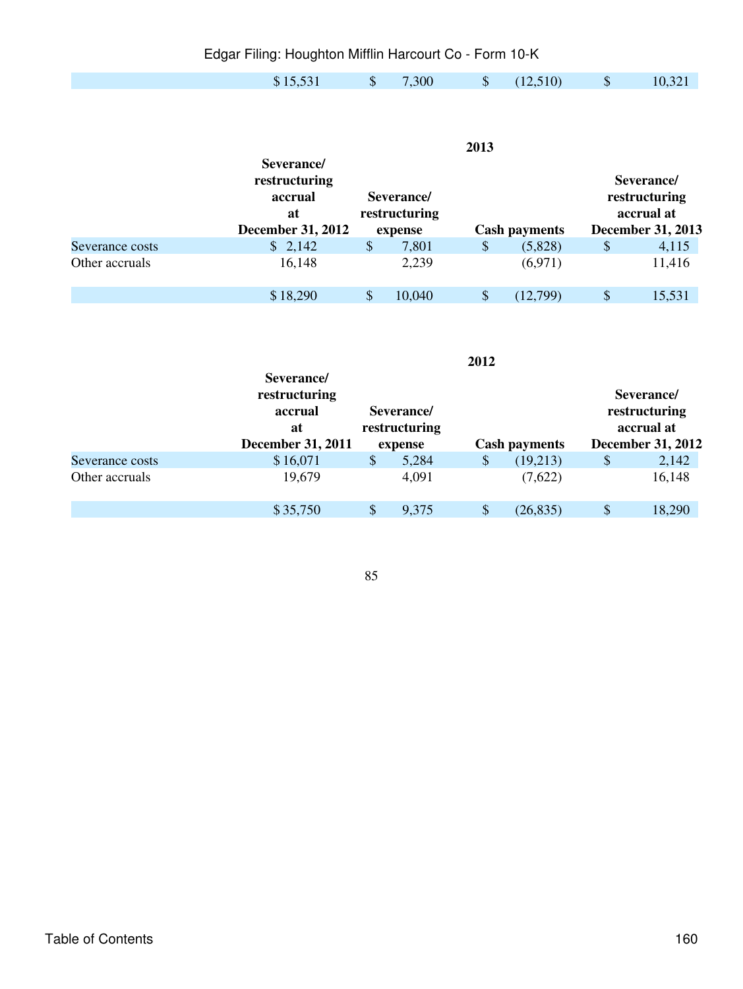| Edgar Filing: Houghton Mifflin Harcourt Co - Form 10-K |          |    |       |          |          |              |        |
|--------------------------------------------------------|----------|----|-------|----------|----------|--------------|--------|
|                                                        | \$15,531 | S. | 7,300 | $\sim$ S | (12,510) | <sup>S</sup> | 10,321 |
|                                                        |          |    |       |          |          |              |        |
|                                                        |          |    |       |          |          |              |        |

|                 |                                                                          |                                        | 2013                 |                                                                       |
|-----------------|--------------------------------------------------------------------------|----------------------------------------|----------------------|-----------------------------------------------------------------------|
|                 | Severance/<br>restructuring<br>accrual<br>at<br><b>December 31, 2012</b> | Severance/<br>restructuring<br>expense | <b>Cash payments</b> | Severance/<br>restructuring<br>accrual at<br><b>December 31, 2013</b> |
| Severance costs | \$2,142                                                                  | \$<br>7,801                            | (5,828)<br>\$        | \$<br>4,115                                                           |
| Other accruals  | 16,148                                                                   | 2,239                                  | (6,971)              | 11,416                                                                |
|                 | \$18,290                                                                 | 10,040                                 | (12, 799)            | 15,531<br>\$                                                          |

|                 | Severance/                     |                             | 2012                 |                                           |
|-----------------|--------------------------------|-----------------------------|----------------------|-------------------------------------------|
|                 | restructuring<br>accrual<br>at | Severance/<br>restructuring |                      | Severance/<br>restructuring<br>accrual at |
|                 | <b>December 31, 2011</b>       | expense                     | <b>Cash payments</b> | <b>December 31, 2012</b>                  |
| Severance costs | \$16,071                       | \$<br>5,284                 | (19,213)<br>\$       | \$<br>2,142                               |
| Other accruals  | 19,679                         | 4,091                       | (7,622)              | 16,148                                    |
|                 | \$35,750                       | $\mathbb{S}$<br>9,375       | (26, 835)<br>\$      | \$<br>18,290                              |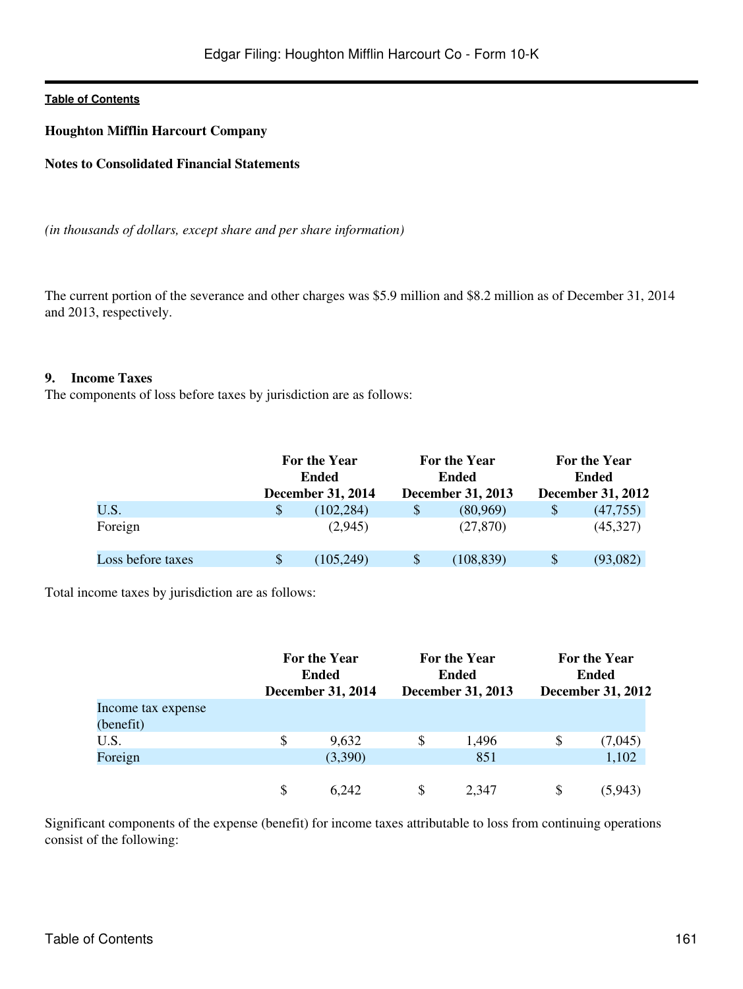### **Houghton Mifflin Harcourt Company**

**Notes to Consolidated Financial Statements**

*(in thousands of dollars, except share and per share information)*

The current portion of the severance and other charges was \$5.9 million and \$8.2 million as of December 31, 2014 and 2013, respectively.

#### **9. Income Taxes**

The components of loss before taxes by jurisdiction are as follows:

|                   | For the Year<br><b>Ended</b> |               | For the Year<br><b>Ended</b> |              | For the Year<br><b>Ended</b> |  |
|-------------------|------------------------------|---------------|------------------------------|--------------|------------------------------|--|
|                   | <b>December 31, 2014</b>     |               | <b>December 31, 2013</b>     |              | <b>December 31, 2012</b>     |  |
| U.S.              | (102, 284)                   | \$            | (80, 969)                    | <sup>8</sup> | (47, 755)                    |  |
| Foreign           | (2,945)                      |               | (27, 870)                    |              | (45,327)                     |  |
| Loss before taxes | (105, 249)                   | <sup>\$</sup> | (108, 839)                   |              | (93,082)                     |  |

Total income taxes by jurisdiction are as follows:

|                    | For the Year<br><b>Ended</b><br><b>December 31, 2014</b> |    | For the Year<br><b>Ended</b><br><b>December 31, 2013</b> | For the Year<br><b>Ended</b><br><b>December 31, 2012</b> |
|--------------------|----------------------------------------------------------|----|----------------------------------------------------------|----------------------------------------------------------|
| Income tax expense |                                                          |    |                                                          |                                                          |
| (benefit)          |                                                          |    |                                                          |                                                          |
| U.S.               | \$<br>9,632                                              | S  | 1,496                                                    | \$<br>(7,045)                                            |
| Foreign            | (3,390)                                                  |    | 851                                                      | 1,102                                                    |
|                    |                                                          |    |                                                          |                                                          |
|                    | \$<br>6.242                                              | \$ | 2,347                                                    | \$<br>(5.943)                                            |

Significant components of the expense (benefit) for income taxes attributable to loss from continuing operations consist of the following: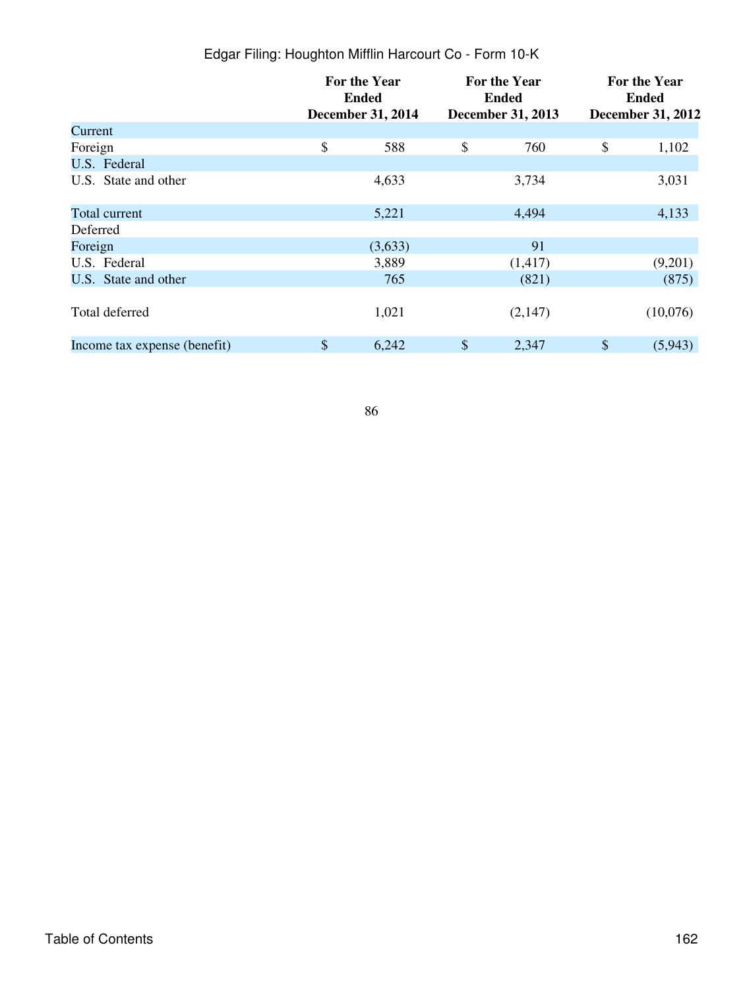|                              | For the Year<br><b>Ended</b><br><b>December 31, 2014</b> |                           | For the Year<br><b>Ended</b><br><b>December 31, 2013</b> | For the Year<br><b>Ended</b><br><b>December 31, 2012</b> |
|------------------------------|----------------------------------------------------------|---------------------------|----------------------------------------------------------|----------------------------------------------------------|
| Current                      |                                                          |                           |                                                          |                                                          |
| Foreign                      | \$<br>588                                                | \$                        | 760                                                      | \$<br>1,102                                              |
| U.S. Federal                 |                                                          |                           |                                                          |                                                          |
| U.S. State and other         | 4,633                                                    |                           | 3,734                                                    | 3,031                                                    |
| Total current                | 5,221                                                    |                           | 4,494                                                    | 4,133                                                    |
| Deferred                     |                                                          |                           |                                                          |                                                          |
| Foreign                      | (3,633)                                                  |                           | 91                                                       |                                                          |
| U.S. Federal                 | 3,889                                                    |                           | (1, 417)                                                 | (9,201)                                                  |
| U.S. State and other         | 765                                                      |                           | (821)                                                    | (875)                                                    |
| Total deferred               | 1,021                                                    |                           | (2,147)                                                  | (10,076)                                                 |
| Income tax expense (benefit) | \$<br>6,242                                              | $\boldsymbol{\mathsf{S}}$ | 2,347                                                    | \$<br>(5,943)                                            |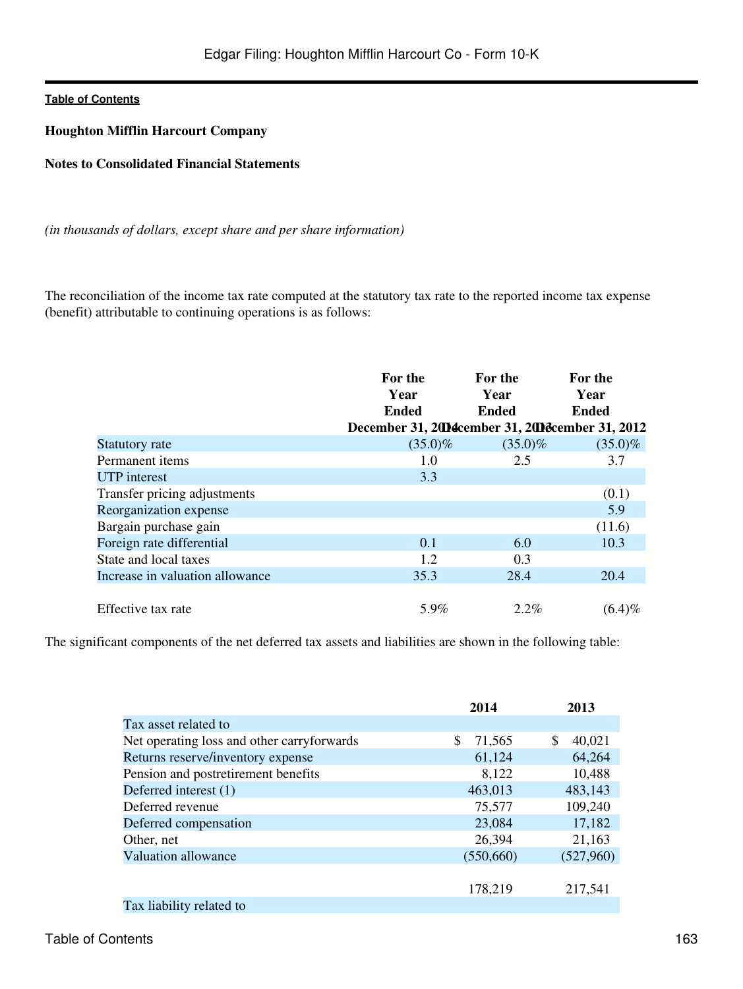### **Houghton Mifflin Harcourt Company**

**Notes to Consolidated Financial Statements**

*(in thousands of dollars, except share and per share information)*

The reconciliation of the income tax rate computed at the statutory tax rate to the reported income tax expense (benefit) attributable to continuing operations is as follows:

|                                 | For the<br>Year                                    | For the<br>Year | For the<br>Year |
|---------------------------------|----------------------------------------------------|-----------------|-----------------|
|                                 | <b>Ended</b>                                       | <b>Ended</b>    | <b>Ended</b>    |
|                                 | December 31, 2014 deember 31, 2018 cember 31, 2012 |                 |                 |
| Statutory rate                  | $(35.0)\%$                                         | $(35.0)\%$      | $(35.0)\%$      |
| Permanent <i>items</i>          | 1.0                                                | 2.5             | 3.7             |
| UTP interest                    | 3.3                                                |                 |                 |
| Transfer pricing adjustments    |                                                    |                 | (0.1)           |
| Reorganization expense          |                                                    |                 | 5.9             |
| Bargain purchase gain           |                                                    |                 | (11.6)          |
| Foreign rate differential       | 0.1                                                | 6.0             | 10.3            |
| State and local taxes           | 1.2                                                | 0.3             |                 |
| Increase in valuation allowance | 35.3                                               | 28.4            | 20.4            |
|                                 |                                                    |                 |                 |
| Effective tax rate              | 5.9%                                               | $2.2\%$         | $(6.4)\%$       |

The significant components of the net deferred tax assets and liabilities are shown in the following table:

|                                            | 2014         | 2013         |
|--------------------------------------------|--------------|--------------|
| Tax asset related to                       |              |              |
| Net operating loss and other carryforwards | \$<br>71,565 | \$<br>40,021 |
| Returns reserve/inventory expense          | 61,124       | 64,264       |
| Pension and postretirement benefits        | 8,122        | 10,488       |
| Deferred interest (1)                      | 463,013      | 483,143      |
| Deferred revenue                           | 75,577       | 109,240      |
| Deferred compensation                      | 23,084       | 17,182       |
| Other, net                                 | 26,394       | 21,163       |
| Valuation allowance                        | (550,660)    | (527,960)    |
|                                            |              |              |
|                                            | 178,219      | 217,541      |
| Tax liability related to                   |              |              |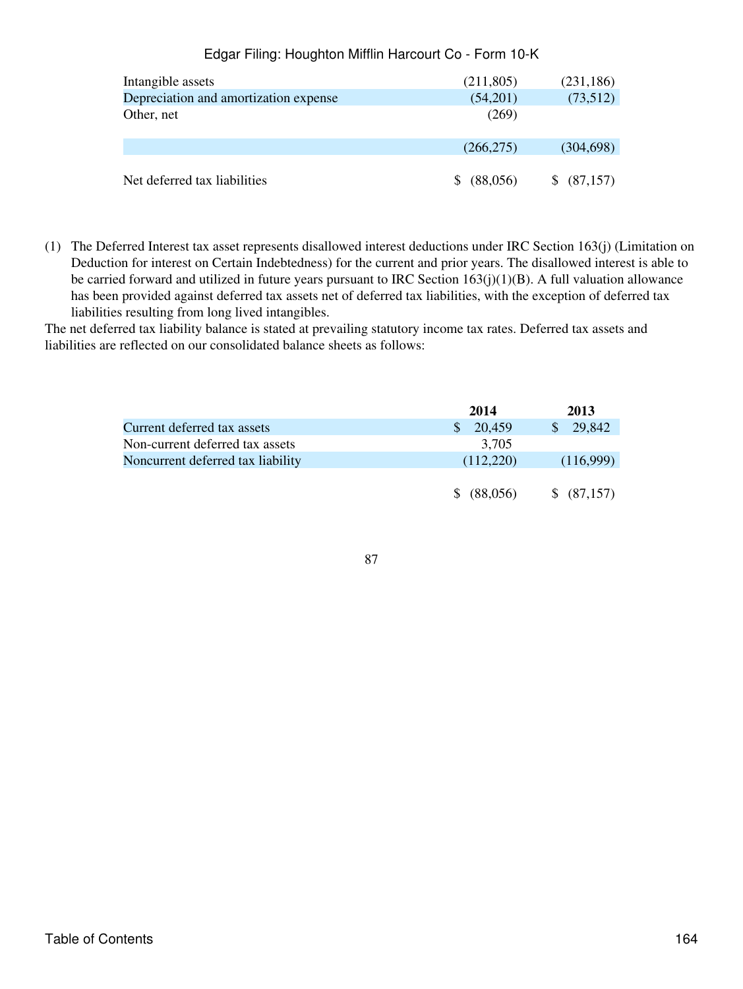| Intangible assets                     | (211,805) | (231, 186) |
|---------------------------------------|-----------|------------|
| Depreciation and amortization expense | (54,201)  | (73,512)   |
| Other, net                            | (269)     |            |
|                                       |           |            |
|                                       | (266,275) | (304, 698) |
|                                       |           |            |
| Net deferred tax liabilities          | (88,056)  | (87, 157)  |

(1) The Deferred Interest tax asset represents disallowed interest deductions under IRC Section 163(j) (Limitation on Deduction for interest on Certain Indebtedness) for the current and prior years. The disallowed interest is able to be carried forward and utilized in future years pursuant to IRC Section 163(j)(1)(B). A full valuation allowance has been provided against deferred tax assets net of deferred tax liabilities, with the exception of deferred tax liabilities resulting from long lived intangibles.

The net deferred tax liability balance is stated at prevailing statutory income tax rates. Deferred tax assets and liabilities are reflected on our consolidated balance sheets as follows:

|                                   | 2014           | 2013        |
|-----------------------------------|----------------|-------------|
| Current deferred tax assets       | 20,459         | 29,842      |
| Non-current deferred tax assets   | 3,705          |             |
| Noncurrent deferred tax liability | (112,220)      | (116,999)   |
|                                   |                |             |
|                                   | (88,056)<br>S. | \$ (87,157) |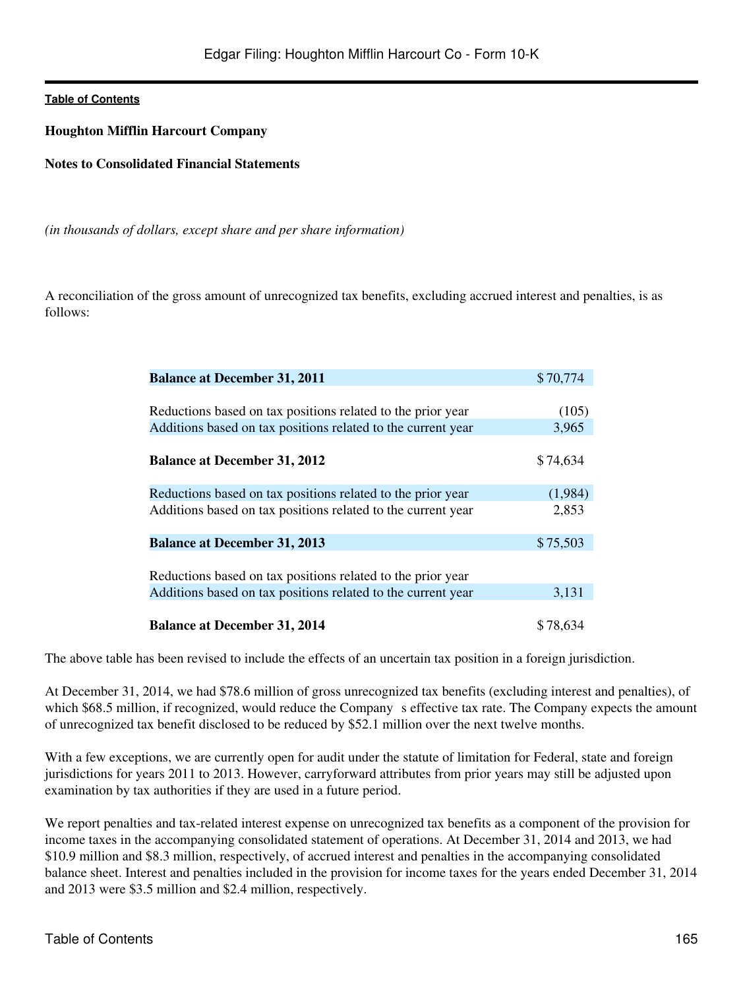**Houghton Mifflin Harcourt Company**

**Notes to Consolidated Financial Statements**

*(in thousands of dollars, except share and per share information)*

A reconciliation of the gross amount of unrecognized tax benefits, excluding accrued interest and penalties, is as follows:

| <b>Balance at December 31, 2011</b>                          | \$70,774 |
|--------------------------------------------------------------|----------|
|                                                              |          |
| Reductions based on tax positions related to the prior year  | (105)    |
| Additions based on tax positions related to the current year | 3,965    |
| <b>Balance at December 31, 2012</b>                          | \$74,634 |
| Reductions based on tax positions related to the prior year  | (1,984)  |
| Additions based on tax positions related to the current year | 2,853    |
|                                                              |          |
| <b>Balance at December 31, 2013</b>                          | \$75,503 |
|                                                              |          |
| Reductions based on tax positions related to the prior year  |          |
| Additions based on tax positions related to the current year | 3,131    |
|                                                              |          |
| <b>Balance at December 31, 2014</b>                          | \$78,634 |

The above table has been revised to include the effects of an uncertain tax position in a foreign jurisdiction.

At December 31, 2014, we had \$78.6 million of gross unrecognized tax benefits (excluding interest and penalties), of which \$68.5 million, if recognized, would reduce the Company s effective tax rate. The Company expects the amount of unrecognized tax benefit disclosed to be reduced by \$52.1 million over the next twelve months.

With a few exceptions, we are currently open for audit under the statute of limitation for Federal, state and foreign jurisdictions for years 2011 to 2013. However, carryforward attributes from prior years may still be adjusted upon examination by tax authorities if they are used in a future period.

We report penalties and tax-related interest expense on unrecognized tax benefits as a component of the provision for income taxes in the accompanying consolidated statement of operations. At December 31, 2014 and 2013, we had \$10.9 million and \$8.3 million, respectively, of accrued interest and penalties in the accompanying consolidated balance sheet. Interest and penalties included in the provision for income taxes for the years ended December 31, 2014 and 2013 were \$3.5 million and \$2.4 million, respectively.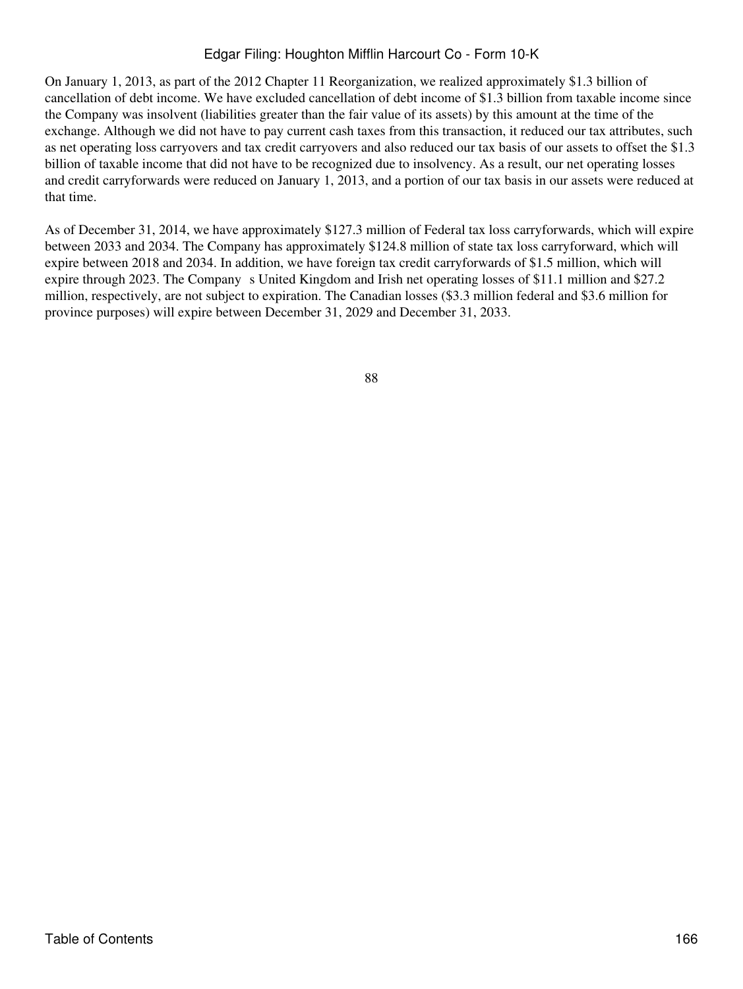On January 1, 2013, as part of the 2012 Chapter 11 Reorganization, we realized approximately \$1.3 billion of cancellation of debt income. We have excluded cancellation of debt income of \$1.3 billion from taxable income since the Company was insolvent (liabilities greater than the fair value of its assets) by this amount at the time of the exchange. Although we did not have to pay current cash taxes from this transaction, it reduced our tax attributes, such as net operating loss carryovers and tax credit carryovers and also reduced our tax basis of our assets to offset the \$1.3 billion of taxable income that did not have to be recognized due to insolvency. As a result, our net operating losses and credit carryforwards were reduced on January 1, 2013, and a portion of our tax basis in our assets were reduced at that time.

As of December 31, 2014, we have approximately \$127.3 million of Federal tax loss carryforwards, which will expire between 2033 and 2034. The Company has approximately \$124.8 million of state tax loss carryforward, which will expire between 2018 and 2034. In addition, we have foreign tax credit carryforwards of \$1.5 million, which will expire through 2023. The Company s United Kingdom and Irish net operating losses of \$11.1 million and \$27.2 million, respectively, are not subject to expiration. The Canadian losses (\$3.3 million federal and \$3.6 million for province purposes) will expire between December 31, 2029 and December 31, 2033.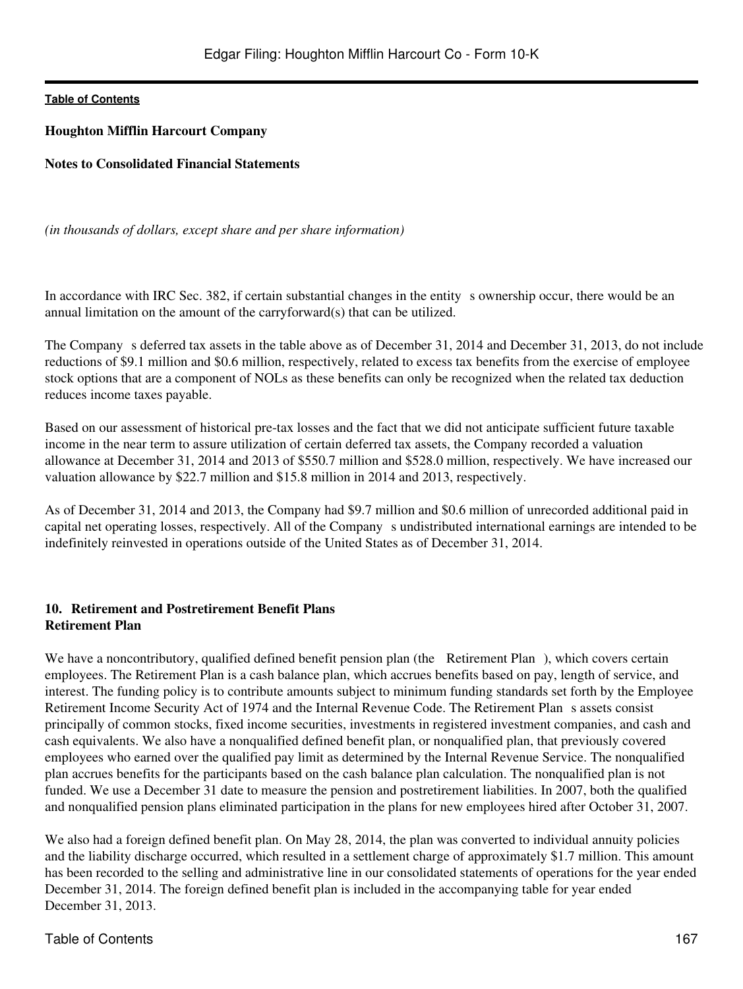## **Houghton Mifflin Harcourt Company**

**Notes to Consolidated Financial Statements**

*(in thousands of dollars, except share and per share information)*

In accordance with IRC Sec. 382, if certain substantial changes in the entity s ownership occur, there would be an annual limitation on the amount of the carryforward(s) that can be utilized.

The Company s deferred tax assets in the table above as of December 31, 2014 and December 31, 2013, do not include reductions of \$9.1 million and \$0.6 million, respectively, related to excess tax benefits from the exercise of employee stock options that are a component of NOLs as these benefits can only be recognized when the related tax deduction reduces income taxes payable.

Based on our assessment of historical pre-tax losses and the fact that we did not anticipate sufficient future taxable income in the near term to assure utilization of certain deferred tax assets, the Company recorded a valuation allowance at December 31, 2014 and 2013 of \$550.7 million and \$528.0 million, respectively. We have increased our valuation allowance by \$22.7 million and \$15.8 million in 2014 and 2013, respectively.

As of December 31, 2014 and 2013, the Company had \$9.7 million and \$0.6 million of unrecorded additional paid in capital net operating losses, respectively. All of the Companys undistributed international earnings are intended to be indefinitely reinvested in operations outside of the United States as of December 31, 2014.

## **10. Retirement and Postretirement Benefit Plans Retirement Plan**

We have a noncontributory, qualified defined benefit pension plan (the Retirement Plan), which covers certain employees. The Retirement Plan is a cash balance plan, which accrues benefits based on pay, length of service, and interest. The funding policy is to contribute amounts subject to minimum funding standards set forth by the Employee Retirement Income Security Act of 1974 and the Internal Revenue Code. The Retirement Plan s assets consist principally of common stocks, fixed income securities, investments in registered investment companies, and cash and cash equivalents. We also have a nonqualified defined benefit plan, or nonqualified plan, that previously covered employees who earned over the qualified pay limit as determined by the Internal Revenue Service. The nonqualified plan accrues benefits for the participants based on the cash balance plan calculation. The nonqualified plan is not funded. We use a December 31 date to measure the pension and postretirement liabilities. In 2007, both the qualified and nonqualified pension plans eliminated participation in the plans for new employees hired after October 31, 2007.

We also had a foreign defined benefit plan. On May 28, 2014, the plan was converted to individual annuity policies and the liability discharge occurred, which resulted in a settlement charge of approximately \$1.7 million. This amount has been recorded to the selling and administrative line in our consolidated statements of operations for the year ended December 31, 2014. The foreign defined benefit plan is included in the accompanying table for year ended December 31, 2013.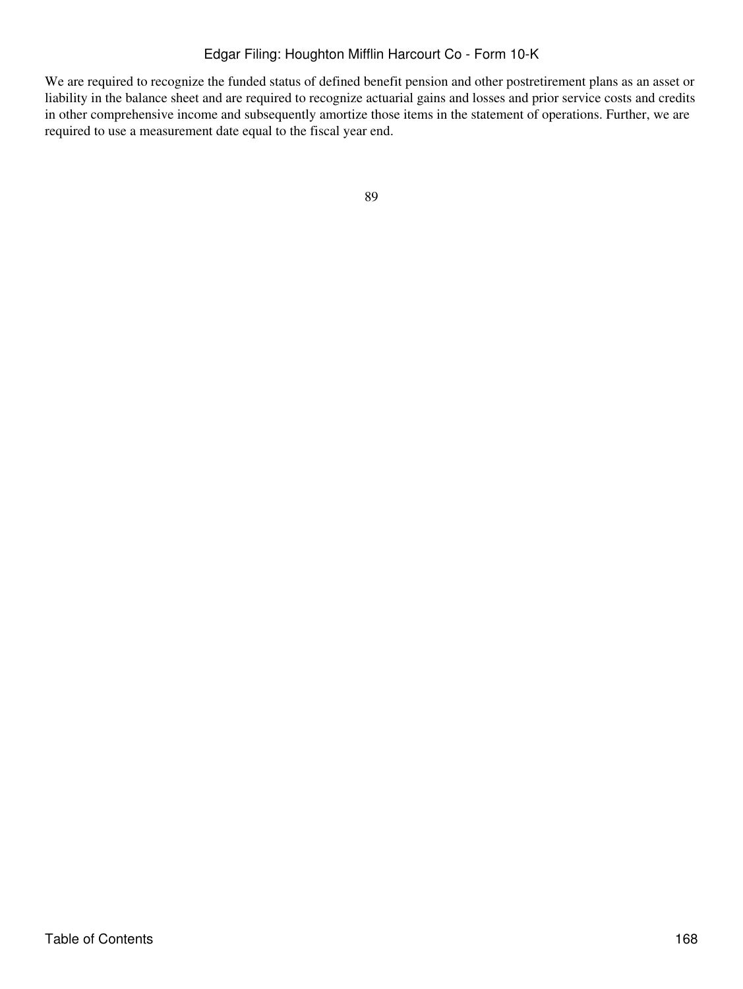We are required to recognize the funded status of defined benefit pension and other postretirement plans as an asset or liability in the balance sheet and are required to recognize actuarial gains and losses and prior service costs and credits in other comprehensive income and subsequently amortize those items in the statement of operations. Further, we are required to use a measurement date equal to the fiscal year end.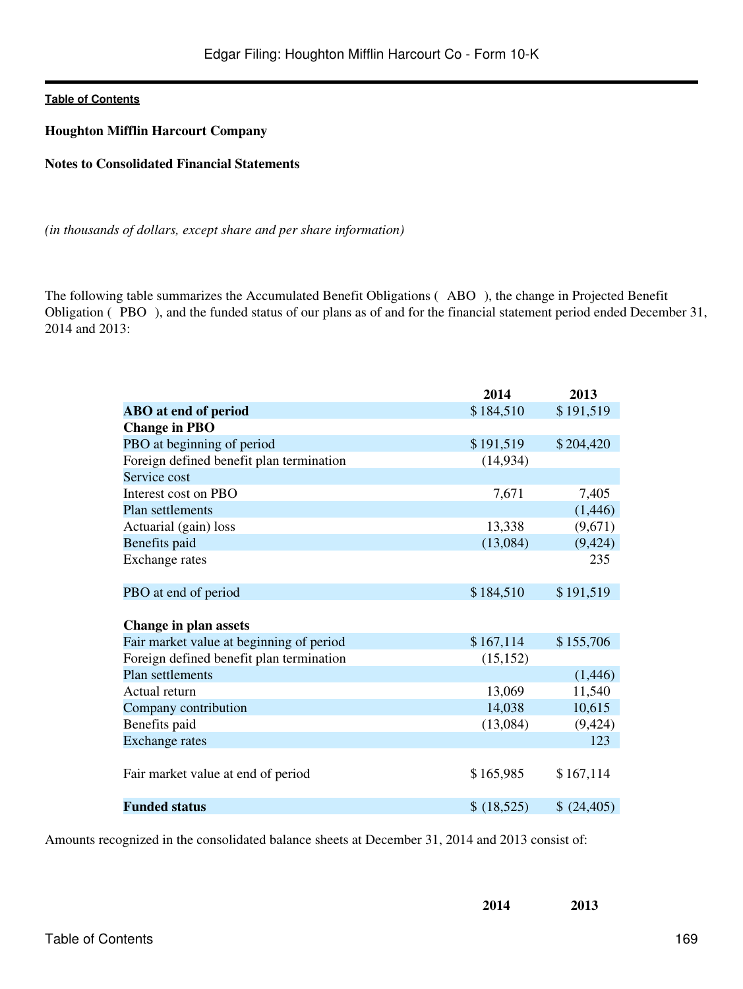**Houghton Mifflin Harcourt Company**

**Notes to Consolidated Financial Statements**

*(in thousands of dollars, except share and per share information)*

The following table summarizes the Accumulated Benefit Obligations (ABO), the change in Projected Benefit Obligation (PBO), and the funded status of our plans as of and for the financial statement period ended December 31, 2014 and 2013:

|                                          | 2014        | 2013      |
|------------------------------------------|-------------|-----------|
| ABO at end of period                     | \$184,510   | \$191,519 |
| <b>Change in PBO</b>                     |             |           |
| PBO at beginning of period               | \$191,519   | \$204,420 |
| Foreign defined benefit plan termination | (14, 934)   |           |
| Service cost                             |             |           |
| Interest cost on PBO                     | 7,671       | 7,405     |
| Plan settlements                         |             | (1,446)   |
| Actuarial (gain) loss                    | 13,338      | (9,671)   |
| Benefits paid                            | (13,084)    | (9, 424)  |
| Exchange rates                           |             | 235       |
|                                          |             |           |
| PBO at end of period                     | \$184,510   | \$191,519 |
|                                          |             |           |
| Change in plan assets                    |             |           |
| Fair market value at beginning of period | \$167,114   | \$155,706 |
| Foreign defined benefit plan termination | (15, 152)   |           |
| Plan settlements                         |             | (1,446)   |
| Actual return                            | 13,069      | 11,540    |
| Company contribution                     | 14,038      | 10,615    |
| Benefits paid                            | (13,084)    | (9, 424)  |
| <b>Exchange rates</b>                    |             | 123       |
| Fair market value at end of period       | \$165,985   | \$167,114 |
| <b>Funded status</b>                     | \$ (18,525) | (24, 405) |

Amounts recognized in the consolidated balance sheets at December 31, 2014 and 2013 consist of: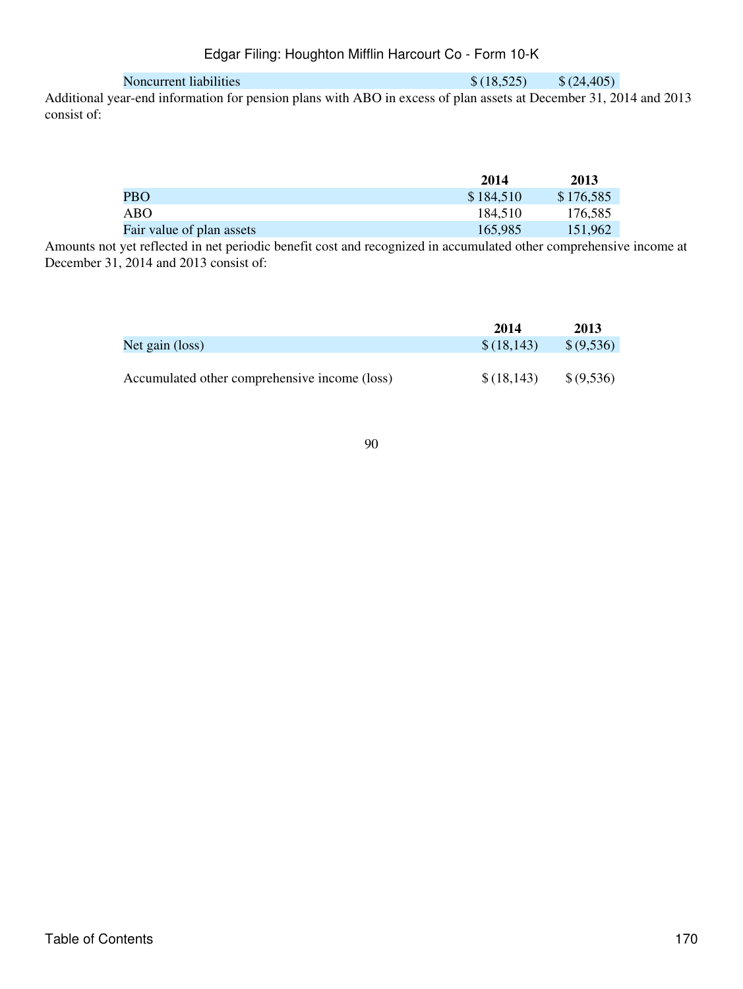Noncurrent liabilities  $\{(18,525) \quad \{(24,405)\}$ Additional year-end information for pension plans with ABO in excess of plan assets at December 31, 2014 and 2013 consist of:

|                           | 2014      | 2013      |
|---------------------------|-----------|-----------|
| PBO                       | \$184,510 | \$176,585 |
| <b>ABO</b>                | 184.510   | 176.585   |
| Fair value of plan assets | 165,985   | 151.962   |

Amounts not yet reflected in net periodic benefit cost and recognized in accumulated other comprehensive income at December 31, 2014 and 2013 consist of:

|                                               | 2014        | 2013       |
|-----------------------------------------------|-------------|------------|
| Net gain (loss)                               | \$(18, 143) | \$ (9,536) |
|                                               |             |            |
| Accumulated other comprehensive income (loss) | \$(18, 143) | \$ (9,536) |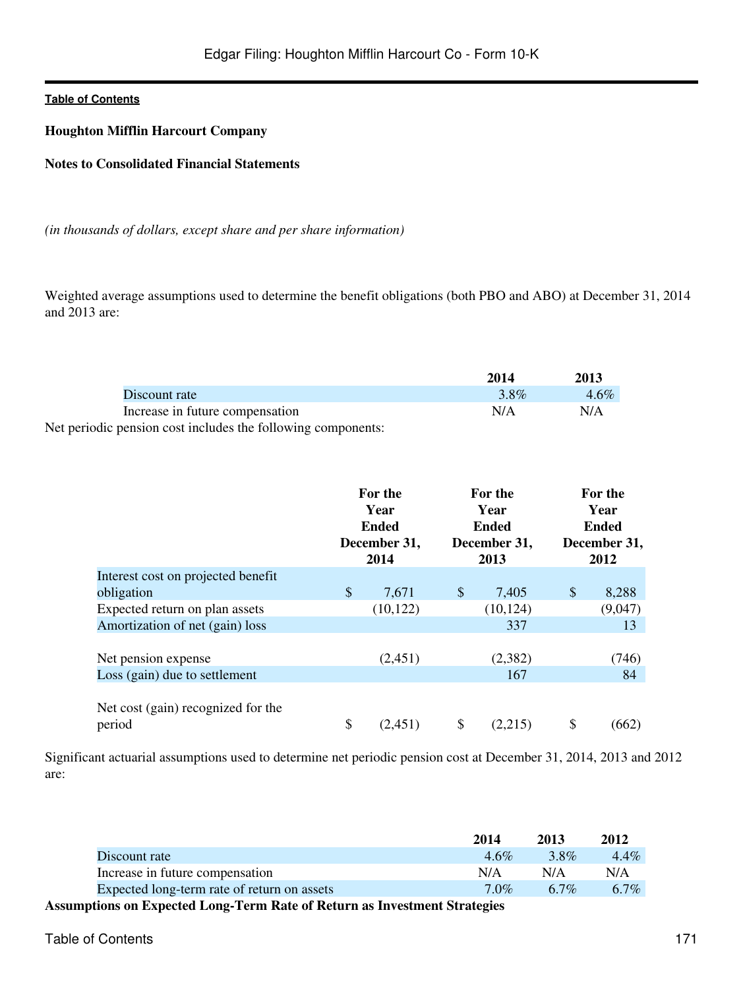#### **Houghton Mifflin Harcourt Company**

**Notes to Consolidated Financial Statements**

*(in thousands of dollars, except share and per share information)*

Weighted average assumptions used to determine the benefit obligations (both PBO and ABO) at December 31, 2014 and 2013 are:

|                                                                                                    | 2014 | 2013    |
|----------------------------------------------------------------------------------------------------|------|---------|
| Discount rate                                                                                      | 3.8% | $4.6\%$ |
| Increase in future compensation                                                                    | N/A  | N/A     |
| $\sim$ 45 cm in a star in a real for the first parties. $\ell$ attitude the component construction |      |         |

Net periodic pension cost includes the following components:

|                                              | For the<br>Year<br><b>Ended</b><br>2014 |           | For the<br>Year<br><b>Ended</b><br>December 31,<br>December 31,<br>2013 |           | For the<br>Year<br><b>Ended</b><br>December 31,<br>2012 |
|----------------------------------------------|-----------------------------------------|-----------|-------------------------------------------------------------------------|-----------|---------------------------------------------------------|
| Interest cost on projected benefit           |                                         |           |                                                                         |           |                                                         |
| obligation                                   | \$                                      | 7,671     | \$                                                                      | 7,405     | \$<br>8,288                                             |
| Expected return on plan assets               |                                         | (10, 122) |                                                                         | (10, 124) | (9,047)                                                 |
| Amortization of net (gain) loss              |                                         |           |                                                                         | 337       | 13                                                      |
|                                              |                                         |           |                                                                         |           |                                                         |
| Net pension expense                          |                                         | (2,451)   |                                                                         | (2,382)   | (746)                                                   |
| Loss (gain) due to settlement                |                                         |           |                                                                         | 167       | 84                                                      |
| Net cost (gain) recognized for the<br>period | \$                                      | (2,451)   | \$                                                                      | (2,215)   | \$<br>(662)                                             |

Significant actuarial assumptions used to determine net periodic pension cost at December 31, 2014, 2013 and 2012 are:

|                                             | 2014    | 2013    | 2012    |
|---------------------------------------------|---------|---------|---------|
| Discount rate                               | $4.6\%$ | $3.8\%$ | $4.4\%$ |
| Increase in future compensation             | N/A     | N/A     | N/A     |
| Expected long-term rate of return on assets | $7.0\%$ | 6.7%    | 6.7%    |

**Assumptions on Expected Long-Term Rate of Return as Investment Strategies**

### Table of Contents 171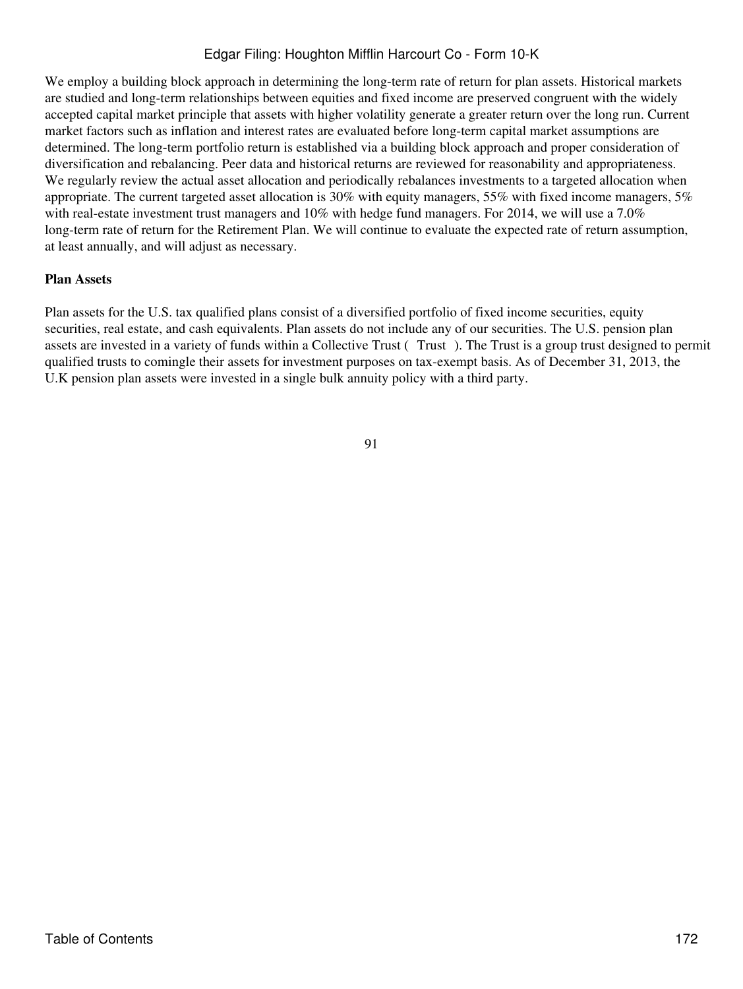We employ a building block approach in determining the long-term rate of return for plan assets. Historical markets are studied and long-term relationships between equities and fixed income are preserved congruent with the widely accepted capital market principle that assets with higher volatility generate a greater return over the long run. Current market factors such as inflation and interest rates are evaluated before long-term capital market assumptions are determined. The long-term portfolio return is established via a building block approach and proper consideration of diversification and rebalancing. Peer data and historical returns are reviewed for reasonability and appropriateness. We regularly review the actual asset allocation and periodically rebalances investments to a targeted allocation when appropriate. The current targeted asset allocation is 30% with equity managers, 55% with fixed income managers, 5% with real-estate investment trust managers and 10% with hedge fund managers. For 2014, we will use a 7.0% long-term rate of return for the Retirement Plan. We will continue to evaluate the expected rate of return assumption, at least annually, and will adjust as necessary.

### **Plan Assets**

Plan assets for the U.S. tax qualified plans consist of a diversified portfolio of fixed income securities, equity securities, real estate, and cash equivalents. Plan assets do not include any of our securities. The U.S. pension plan assets are invested in a variety of funds within a Collective Trust (Trust). The Trust is a group trust designed to permit qualified trusts to comingle their assets for investment purposes on tax-exempt basis. As of December 31, 2013, the U.K pension plan assets were invested in a single bulk annuity policy with a third party.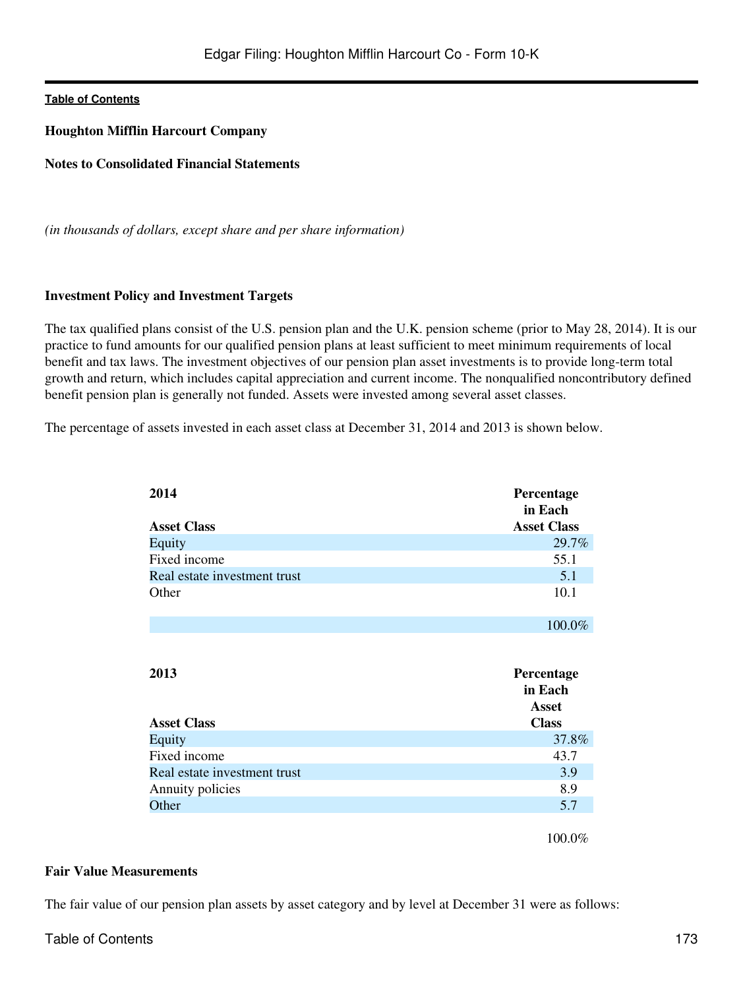### **Houghton Mifflin Harcourt Company**

**Notes to Consolidated Financial Statements**

*(in thousands of dollars, except share and per share information)*

### **Investment Policy and Investment Targets**

The tax qualified plans consist of the U.S. pension plan and the U.K. pension scheme (prior to May 28, 2014). It is our practice to fund amounts for our qualified pension plans at least sufficient to meet minimum requirements of local benefit and tax laws. The investment objectives of our pension plan asset investments is to provide long-term total growth and return, which includes capital appreciation and current income. The nonqualified noncontributory defined benefit pension plan is generally not funded. Assets were invested among several asset classes.

The percentage of assets invested in each asset class at December 31, 2014 and 2013 is shown below.

| 2014                         | Percentage<br>in Each |
|------------------------------|-----------------------|
| <b>Asset Class</b>           | <b>Asset Class</b>    |
| Equity                       | 29.7%                 |
| Fixed income                 | 55.1                  |
| Real estate investment trust | 5.1                   |
| Other                        | 10.1                  |
|                              |                       |
|                              | 100.0%                |
| 2013                         | Percentage<br>in Each |
|                              | Asset                 |
|                              |                       |
| <b>Asset Class</b>           | <b>Class</b>          |
| Equity                       | 37.8%                 |
| Fixed income                 | 43.7                  |
| Real estate investment trust | 3.9                   |
| Annuity policies             | 8.9                   |
| Other                        | 5.7                   |
|                              |                       |

#### **Fair Value Measurements**

The fair value of our pension plan assets by asset category and by level at December 31 were as follows:

#### Table of Contents 173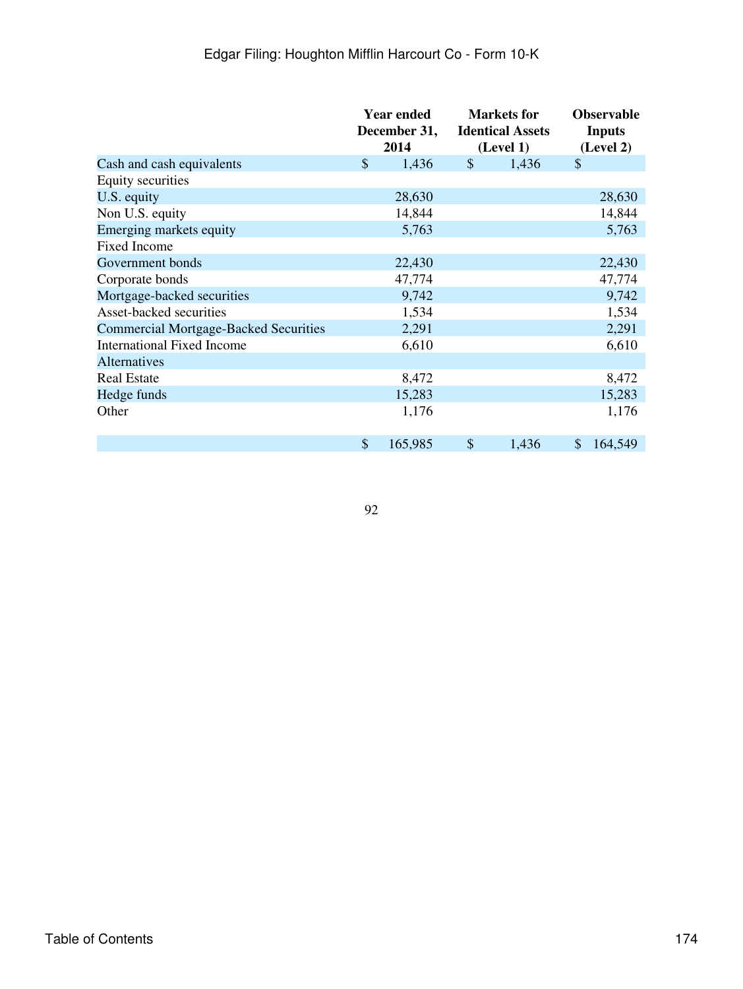|                                              | <b>Year ended</b><br>December 31,<br>2014 | <b>Markets</b> for<br><b>Identical Assets</b><br>(Level 1) | <b>Observable</b><br><b>Inputs</b><br>(Level 2) |
|----------------------------------------------|-------------------------------------------|------------------------------------------------------------|-------------------------------------------------|
| Cash and cash equivalents                    | \$<br>1,436                               | \$<br>1,436                                                | \$                                              |
| <b>Equity securities</b>                     |                                           |                                                            |                                                 |
| U.S. equity                                  | 28,630                                    |                                                            | 28,630                                          |
| Non U.S. equity                              | 14,844                                    |                                                            | 14,844                                          |
| Emerging markets equity                      | 5,763                                     |                                                            | 5,763                                           |
| <b>Fixed Income</b>                          |                                           |                                                            |                                                 |
| Government bonds                             | 22,430                                    |                                                            | 22,430                                          |
| Corporate bonds                              | 47,774                                    |                                                            | 47,774                                          |
| Mortgage-backed securities                   | 9,742                                     |                                                            | 9,742                                           |
| Asset-backed securities                      | 1,534                                     |                                                            | 1,534                                           |
| <b>Commercial Mortgage-Backed Securities</b> | 2,291                                     |                                                            | 2,291                                           |
| <b>International Fixed Income</b>            | 6,610                                     |                                                            | 6,610                                           |
| Alternatives                                 |                                           |                                                            |                                                 |
| <b>Real Estate</b>                           | 8,472                                     |                                                            | 8,472                                           |
| Hedge funds                                  | 15,283                                    |                                                            | 15,283                                          |
| Other                                        | 1,176                                     |                                                            | 1,176                                           |
|                                              | \$<br>165,985                             | \$<br>1,436                                                | \$<br>164,549                                   |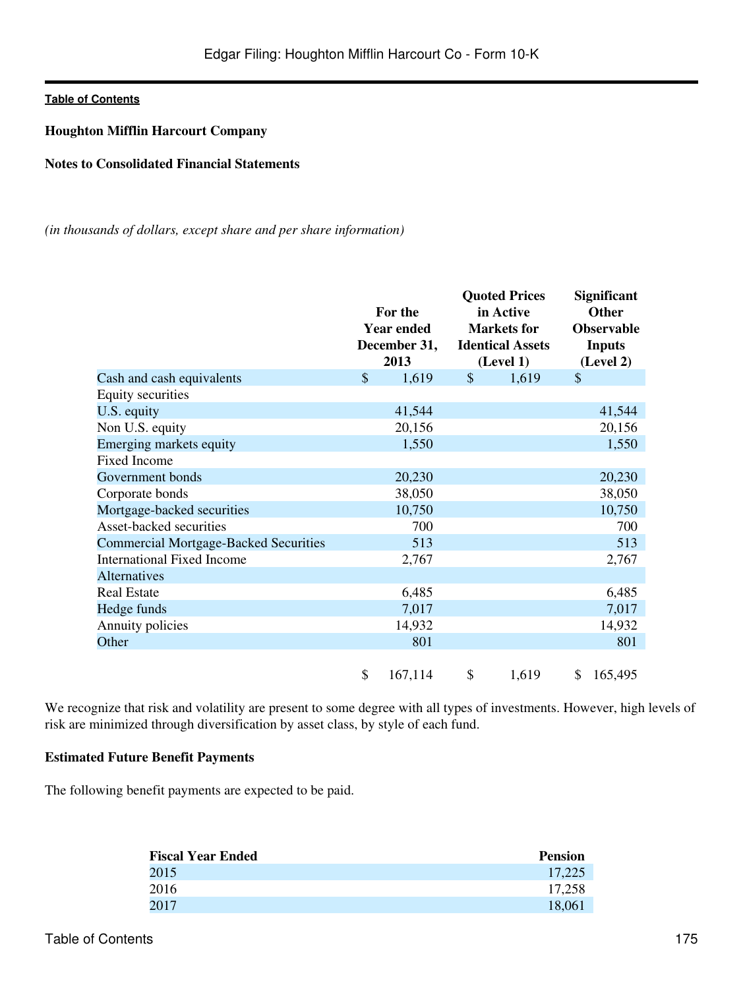### **Houghton Mifflin Harcourt Company**

#### **Notes to Consolidated Financial Statements**

#### *(in thousands of dollars, except share and per share information)*

|                                              |               | For the<br><b>Year ended</b><br>December 31,<br>2013 |               | <b>Quoted Prices</b><br>in Active<br><b>Markets</b> for<br><b>Identical Assets</b><br>(Level 1) | <b>Significant</b><br>Other<br><b>Observable</b><br><b>Inputs</b><br>(Level 2) |
|----------------------------------------------|---------------|------------------------------------------------------|---------------|-------------------------------------------------------------------------------------------------|--------------------------------------------------------------------------------|
| Cash and cash equivalents                    | $\mathcal{S}$ | 1,619                                                | $\mathcal{S}$ | 1,619                                                                                           | \$                                                                             |
| <b>Equity securities</b>                     |               |                                                      |               |                                                                                                 |                                                                                |
| U.S. equity                                  |               | 41,544                                               |               |                                                                                                 | 41,544                                                                         |
| Non U.S. equity                              |               | 20,156                                               |               |                                                                                                 | 20,156                                                                         |
| Emerging markets equity                      |               | 1,550                                                |               |                                                                                                 | 1,550                                                                          |
| <b>Fixed Income</b>                          |               |                                                      |               |                                                                                                 |                                                                                |
| Government bonds                             |               | 20,230                                               |               |                                                                                                 | 20,230                                                                         |
| Corporate bonds                              |               | 38,050                                               |               |                                                                                                 | 38,050                                                                         |
| Mortgage-backed securities                   |               | 10,750                                               |               |                                                                                                 | 10,750                                                                         |
| Asset-backed securities                      |               | 700                                                  |               |                                                                                                 | 700                                                                            |
| <b>Commercial Mortgage-Backed Securities</b> |               | 513                                                  |               |                                                                                                 | 513                                                                            |
| <b>International Fixed Income</b>            |               | 2,767                                                |               |                                                                                                 | 2,767                                                                          |
| <b>Alternatives</b>                          |               |                                                      |               |                                                                                                 |                                                                                |
| <b>Real Estate</b>                           |               | 6,485                                                |               |                                                                                                 | 6,485                                                                          |
| Hedge funds                                  |               | 7,017                                                |               |                                                                                                 | 7,017                                                                          |
| Annuity policies                             |               | 14,932                                               |               |                                                                                                 | 14,932                                                                         |
| Other                                        |               | 801                                                  |               |                                                                                                 | 801                                                                            |
|                                              |               |                                                      |               |                                                                                                 |                                                                                |
|                                              | \$            | 167,114                                              | \$            | 1,619                                                                                           | \$<br>165,495                                                                  |

We recognize that risk and volatility are present to some degree with all types of investments. However, high levels of risk are minimized through diversification by asset class, by style of each fund.

#### **Estimated Future Benefit Payments**

The following benefit payments are expected to be paid.

| <b>Fiscal Year Ended</b> | <b>Pension</b> |
|--------------------------|----------------|
| 2015                     | 17.225         |
| 2016                     | 17.258         |
| 2017                     | 18,061         |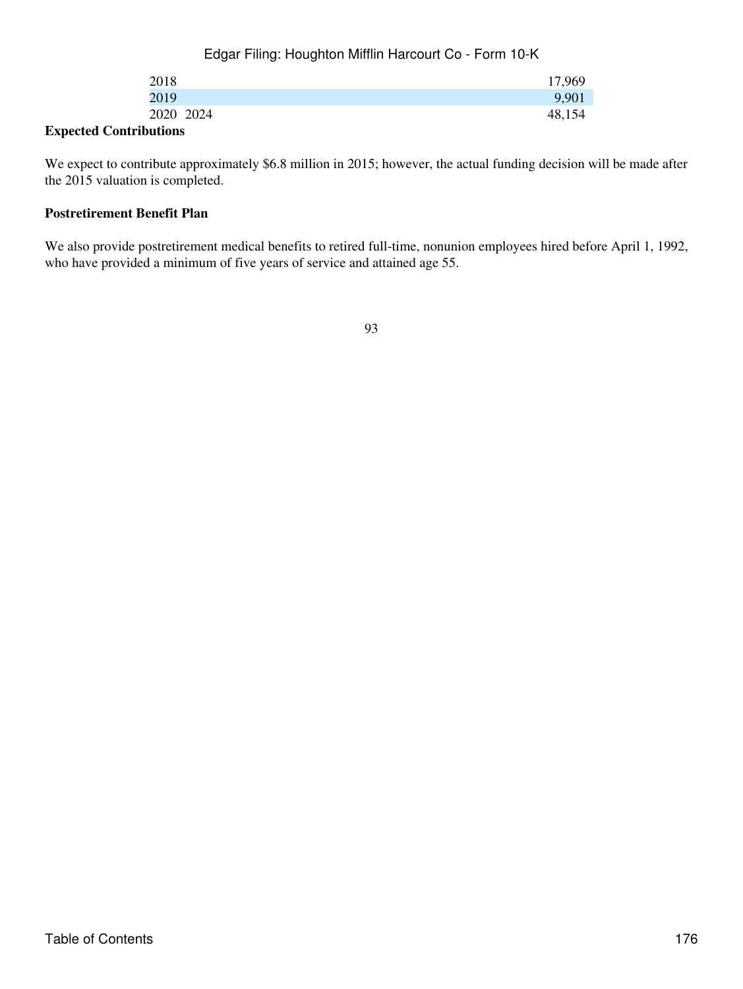| 2018      | 17,969 |
|-----------|--------|
| 2019      | 9,901  |
| 2020 2024 | 48,154 |

### **Expected Contributions**

We expect to contribute approximately \$6.8 million in 2015; however, the actual funding decision will be made after the 2015 valuation is completed.

### **Postretirement Benefit Plan**

We also provide postretirement medical benefits to retired full-time, nonunion employees hired before April 1, 1992, who have provided a minimum of five years of service and attained age 55.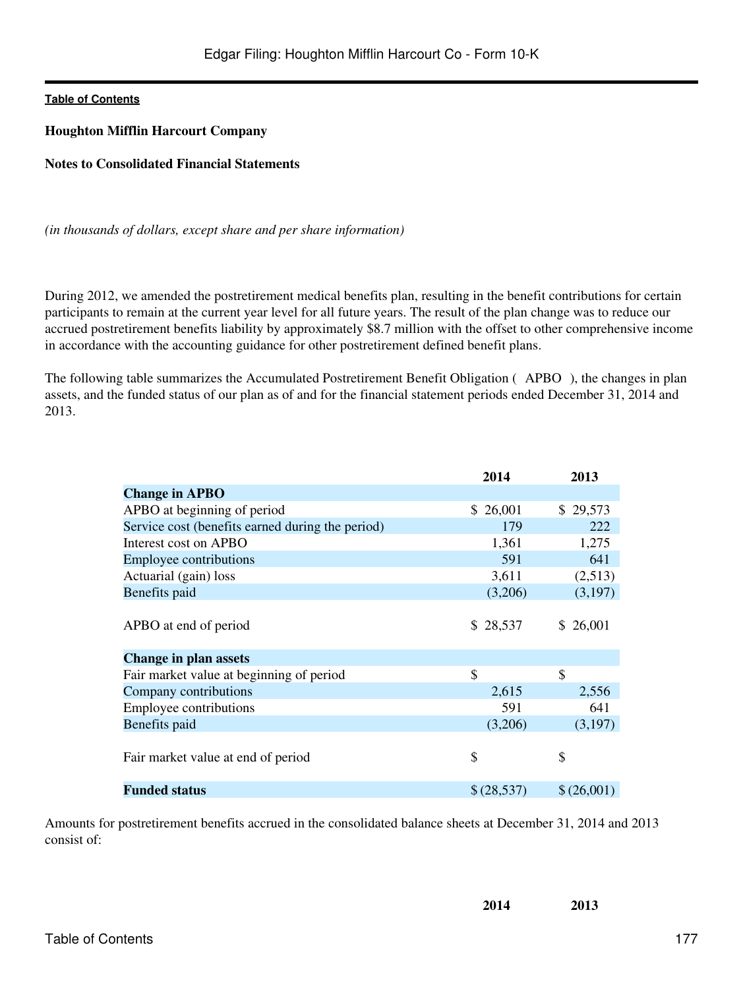## **Houghton Mifflin Harcourt Company**

**Notes to Consolidated Financial Statements**

*(in thousands of dollars, except share and per share information)*

During 2012, we amended the postretirement medical benefits plan, resulting in the benefit contributions for certain participants to remain at the current year level for all future years. The result of the plan change was to reduce our accrued postretirement benefits liability by approximately \$8.7 million with the offset to other comprehensive income in accordance with the accounting guidance for other postretirement defined benefit plans.

The following table summarizes the Accumulated Postretirement Benefit Obligation (APBO), the changes in plan assets, and the funded status of our plan as of and for the financial statement periods ended December 31, 2014 and 2013.

|                                                  | 2014       | 2013       |
|--------------------------------------------------|------------|------------|
| <b>Change in APBO</b>                            |            |            |
| APBO at beginning of period                      | \$26,001   | \$29,573   |
| Service cost (benefits earned during the period) | 179        | 222        |
| Interest cost on APBO                            | 1,361      | 1,275      |
| <b>Employee contributions</b>                    | 591        | 641        |
| Actuarial (gain) loss                            | 3,611      | (2,513)    |
| Benefits paid                                    | (3,206)    | (3,197)    |
| APBO at end of period                            | \$28,537   | \$ 26,001  |
| <b>Change in plan assets</b>                     |            |            |
| Fair market value at beginning of period         | \$         | \$         |
| Company contributions                            | 2,615      | 2,556      |
| Employee contributions                           | 591        | 641        |
| Benefits paid                                    | (3,206)    | (3,197)    |
| Fair market value at end of period               | \$         | \$         |
| <b>Funded status</b>                             | \$(28,537) | \$(26,001) |

Amounts for postretirement benefits accrued in the consolidated balance sheets at December 31, 2014 and 2013 consist of: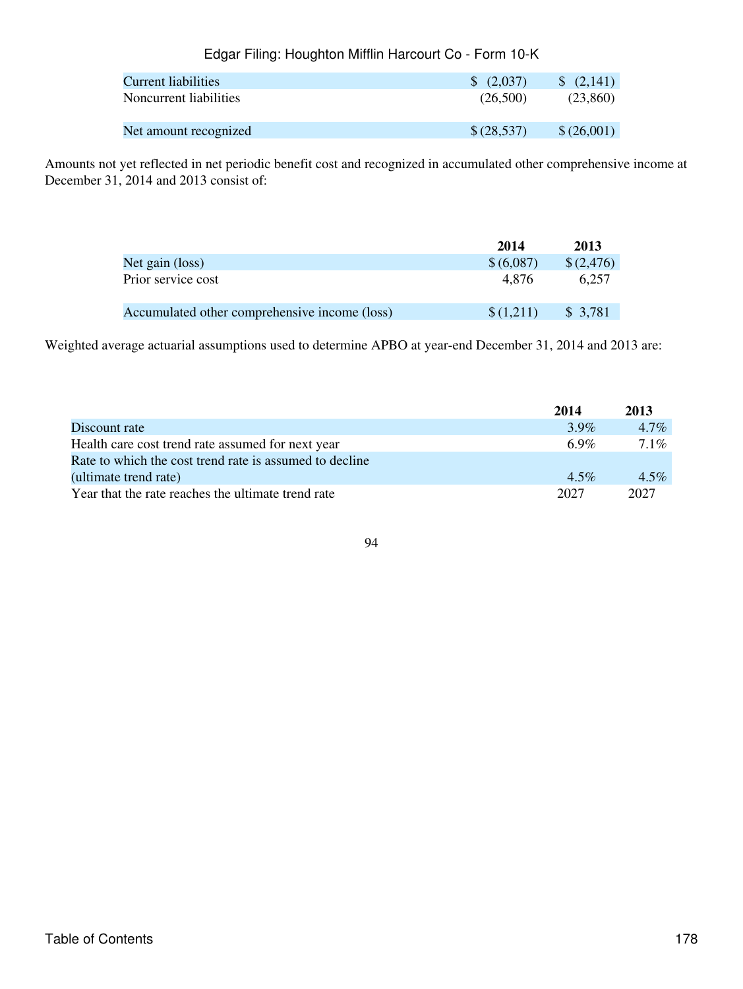| Current liabilities    | $\sqrt{2.037}$ | $\frac{1}{2}$ (2,141) |
|------------------------|----------------|-----------------------|
| Noncurrent liabilities | (26.500)       | (23.860)              |
| Net amount recognized  | \$ (28,537)    | \$(26,001)            |

Amounts not yet reflected in net periodic benefit cost and recognized in accumulated other comprehensive income at December 31, 2014 and 2013 consist of:

|                                               | 2014       | 2013      |
|-----------------------------------------------|------------|-----------|
| Net gain (loss)                               | \$ (6,087) | \$(2,476) |
| Prior service cost                            | 4.876      | 6.257     |
| Accumulated other comprehensive income (loss) | \$(1,211)  | \$ 3,781  |

Weighted average actuarial assumptions used to determine APBO at year-end December 31, 2014 and 2013 are:

|                                                         | 2014    | 2013    |
|---------------------------------------------------------|---------|---------|
| Discount rate                                           | $3.9\%$ | $4.7\%$ |
| Health care cost trend rate assumed for next year       | 6.9%    | $71\%$  |
| Rate to which the cost trend rate is assumed to decline |         |         |
| (ultimate trend rate)                                   | $4.5\%$ | $4.5\%$ |
| Year that the rate reaches the ultimate trend rate      | 2027    | 2027    |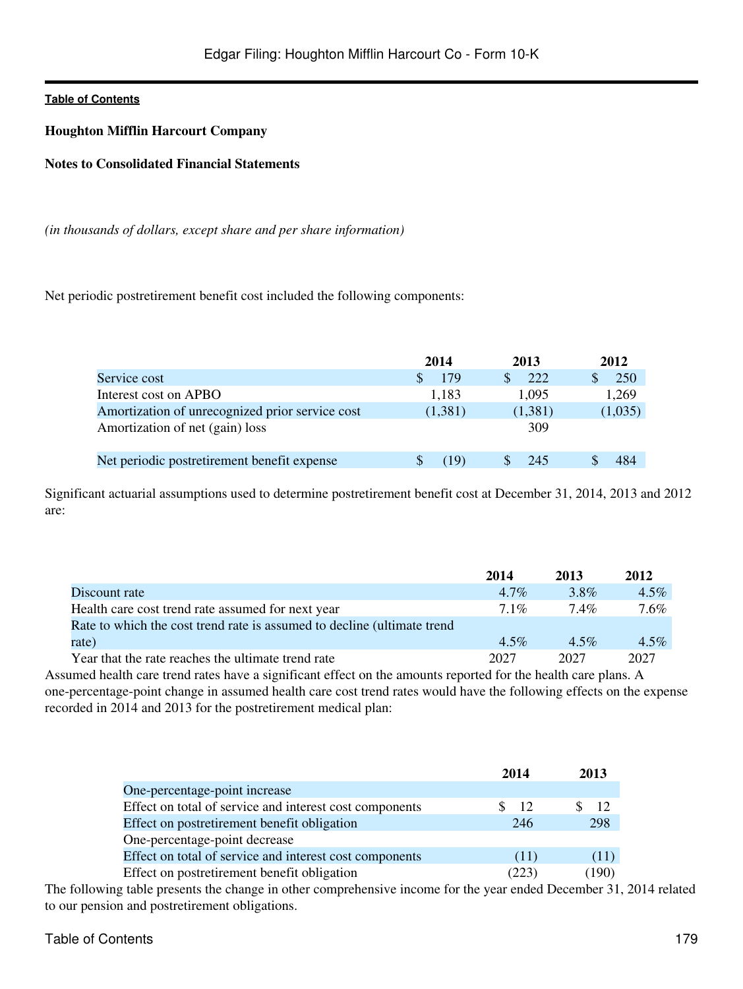**Houghton Mifflin Harcourt Company**

**Notes to Consolidated Financial Statements**

*(in thousands of dollars, except share and per share information)*

Net periodic postretirement benefit cost included the following components:

|                                                 | 2014    | 2013    | 2012    |
|-------------------------------------------------|---------|---------|---------|
| Service cost                                    | 179     | 222     | 250     |
| Interest cost on APBO                           | 1.183   | 1.095   | 1,269   |
| Amortization of unrecognized prior service cost | (1,381) | (1,381) | (1,035) |
| Amortization of net (gain) loss                 |         | 309     |         |
| Net periodic postretirement benefit expense     | (19)    | 245     | 484     |

Significant actuarial assumptions used to determine postretirement benefit cost at December 31, 2014, 2013 and 2012 are:

|                                                                         | 2014    | 2013    | 2012    |
|-------------------------------------------------------------------------|---------|---------|---------|
| Discount rate                                                           | $4.7\%$ | $3.8\%$ | $4.5\%$ |
| Health care cost trend rate assumed for next year                       | $71\%$  | $7.4\%$ | $7.6\%$ |
| Rate to which the cost trend rate is assumed to decline (ultimate trend |         |         |         |
| rate)                                                                   | $4.5\%$ | $4.5\%$ | $4.5\%$ |
| Year that the rate reaches the ultimate trend rate                      | 2027    | 2027    | 2027    |

Assumed health care trend rates have a significant effect on the amounts reported for the health care plans. A one-percentage-point change in assumed health care cost trend rates would have the following effects on the expense recorded in 2014 and 2013 for the postretirement medical plan:

|                                                         | 2014  | 2013  |
|---------------------------------------------------------|-------|-------|
| One-percentage-point increase                           |       |       |
| Effect on total of service and interest cost components | - 12  | 12    |
| Effect on postretirement benefit obligation             | 246   | 298   |
| One-percentage-point decrease                           |       |       |
| Effect on total of service and interest cost components | (11)  | (11)  |
| Effect on postretirement benefit obligation             | (223) | (190) |

The following table presents the change in other comprehensive income for the year ended December 31, 2014 related to our pension and postretirement obligations.

### Table of Contents 2008 179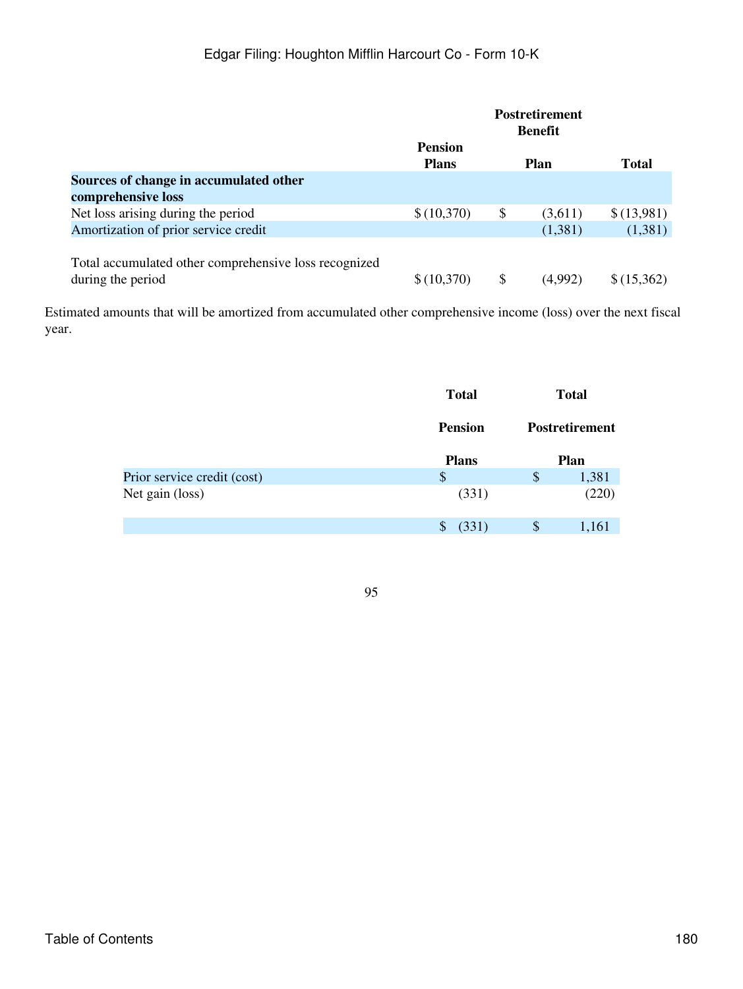| <b>Postretirement</b><br><b>Benefit</b> |            |             |              |
|-----------------------------------------|------------|-------------|--------------|
| <b>Pension</b>                          |            |             |              |
| <b>Plans</b>                            |            | <b>Plan</b> | <b>Total</b> |
|                                         |            |             |              |
|                                         |            |             |              |
| \$(10,370)                              | \$         | (3,611)     | \$(13,981)   |
|                                         |            | (1,381)     | (1,381)      |
|                                         |            |             | \$(15,362)   |
|                                         | \$(10,370) | S           | (4,992)      |

Estimated amounts that will be amortized from accumulated other comprehensive income (loss) over the next fiscal year.

|                             | <b>Total</b>   |                       | <b>Total</b> |
|-----------------------------|----------------|-----------------------|--------------|
|                             | <b>Pension</b> | <b>Postretirement</b> |              |
|                             | <b>Plans</b>   |                       | <b>Plan</b>  |
| Prior service credit (cost) | \$             | S                     | 1,381        |
| Net gain (loss)             | (331)          |                       | (220)        |
|                             | (331)          | \$                    | 1,161        |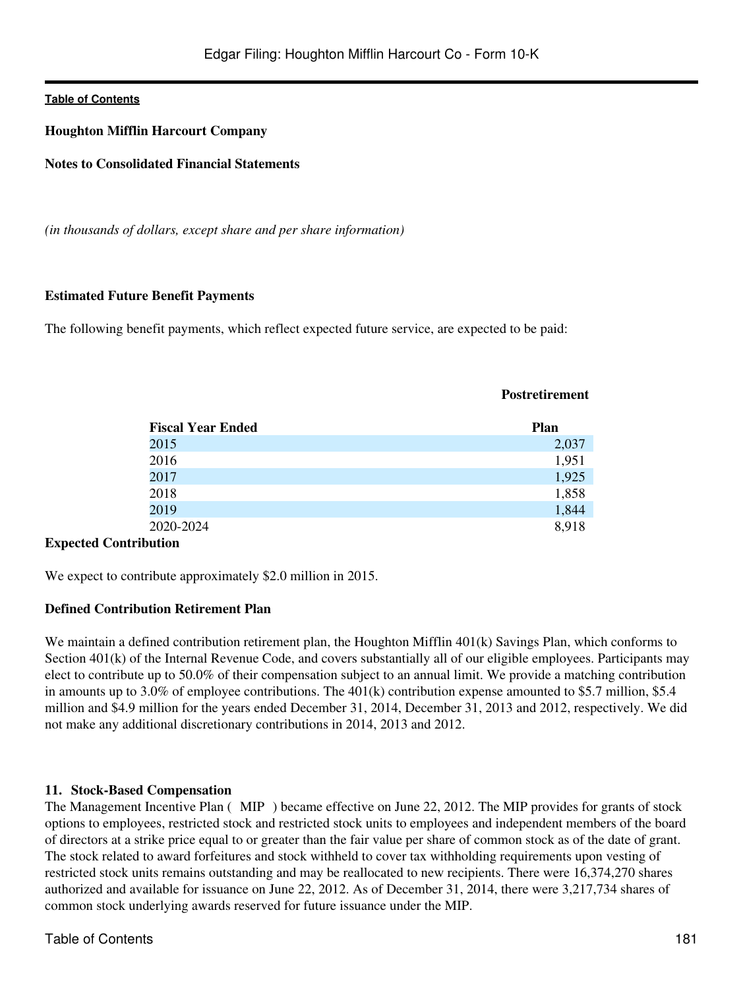**Houghton Mifflin Harcourt Company**

**Notes to Consolidated Financial Statements**

*(in thousands of dollars, except share and per share information)*

#### **Estimated Future Benefit Payments**

The following benefit payments, which reflect expected future service, are expected to be paid:

#### **Postretirement**

| <b>Fiscal Year Ended</b> | <b>Plan</b> |
|--------------------------|-------------|
| 2015                     | 2,037       |
| 2016                     | 1,951       |
| 2017                     | 1,925       |
| 2018                     | 1,858       |
| 2019                     | 1,844       |
| 2020-2024                | 8,918       |

# **Expected Contribution**

We expect to contribute approximately \$2.0 million in 2015.

# **Defined Contribution Retirement Plan**

We maintain a defined contribution retirement plan, the Houghton Mifflin 401(k) Savings Plan, which conforms to Section 401(k) of the Internal Revenue Code, and covers substantially all of our eligible employees. Participants may elect to contribute up to 50.0% of their compensation subject to an annual limit. We provide a matching contribution in amounts up to 3.0% of employee contributions. The  $401(k)$  contribution expense amounted to \$5.7 million, \$5.4 million and \$4.9 million for the years ended December 31, 2014, December 31, 2013 and 2012, respectively. We did not make any additional discretionary contributions in 2014, 2013 and 2012.

# **11. Stock-Based Compensation**

The Management Incentive Plan (MIP) became effective on June 22, 2012. The MIP provides for grants of stock options to employees, restricted stock and restricted stock units to employees and independent members of the board of directors at a strike price equal to or greater than the fair value per share of common stock as of the date of grant. The stock related to award forfeitures and stock withheld to cover tax withholding requirements upon vesting of restricted stock units remains outstanding and may be reallocated to new recipients. There were 16,374,270 shares authorized and available for issuance on June 22, 2012. As of December 31, 2014, there were 3,217,734 shares of common stock underlying awards reserved for future issuance under the MIP.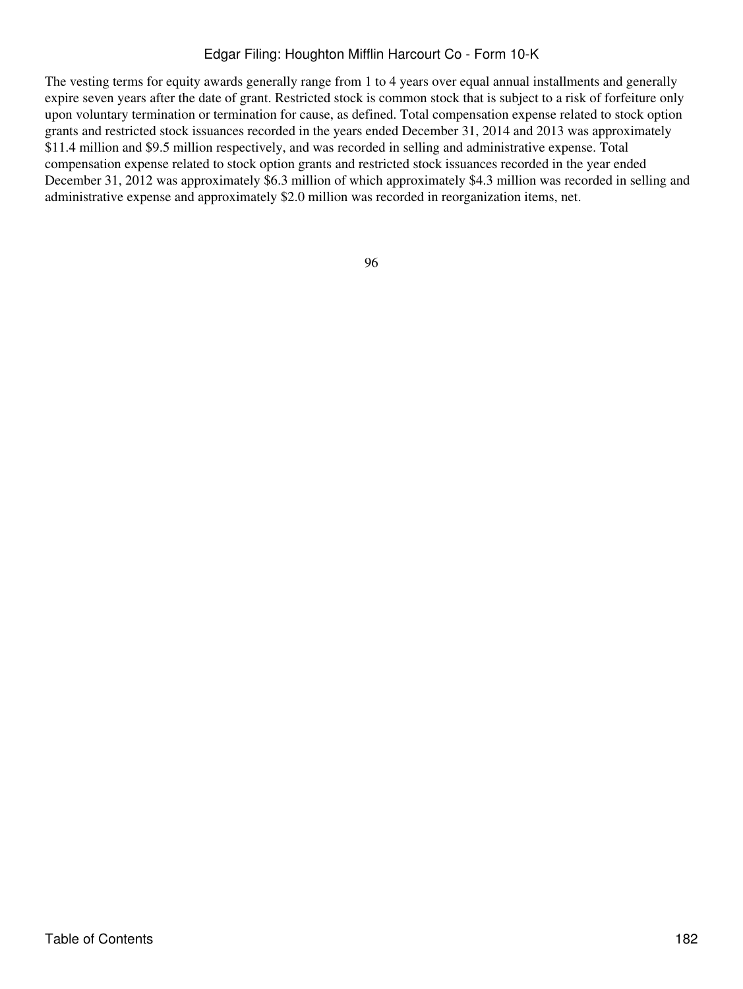The vesting terms for equity awards generally range from 1 to 4 years over equal annual installments and generally expire seven years after the date of grant. Restricted stock is common stock that is subject to a risk of forfeiture only upon voluntary termination or termination for cause, as defined. Total compensation expense related to stock option grants and restricted stock issuances recorded in the years ended December 31, 2014 and 2013 was approximately \$11.4 million and \$9.5 million respectively, and was recorded in selling and administrative expense. Total compensation expense related to stock option grants and restricted stock issuances recorded in the year ended December 31, 2012 was approximately \$6.3 million of which approximately \$4.3 million was recorded in selling and administrative expense and approximately \$2.0 million was recorded in reorganization items, net.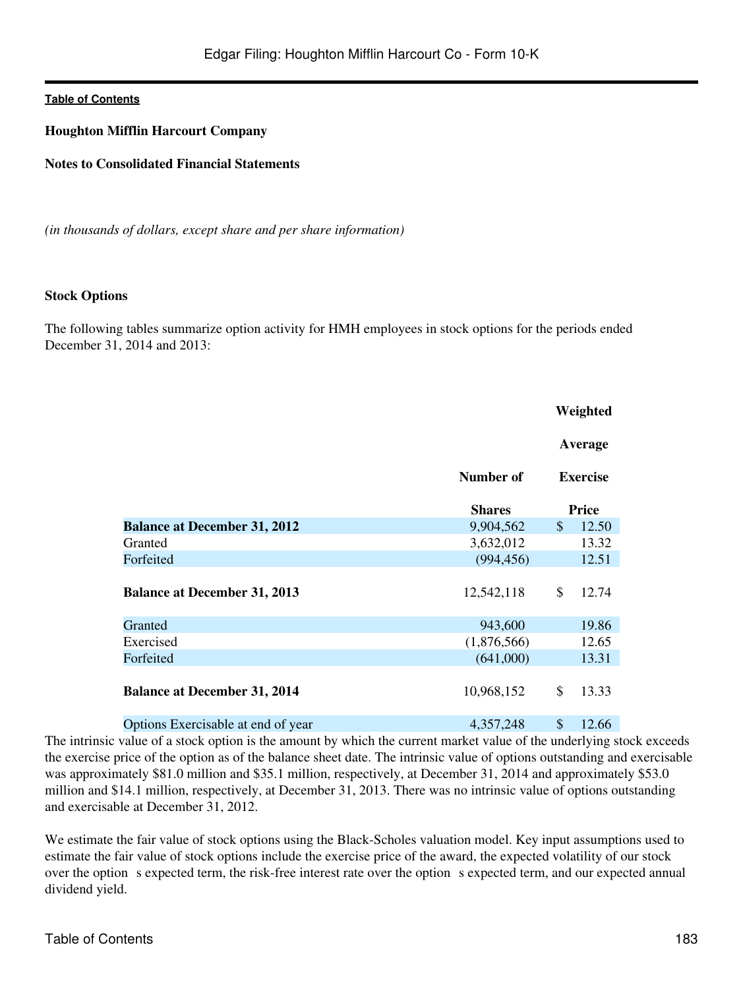### **Houghton Mifflin Harcourt Company**

**Notes to Consolidated Financial Statements**

*(in thousands of dollars, except share and per share information)*

#### **Stock Options**

The following tables summarize option activity for HMH employees in stock options for the periods ended December 31, 2014 and 2013:

|                                     |                  |               | Weighted        |
|-------------------------------------|------------------|---------------|-----------------|
|                                     |                  |               | Average         |
|                                     | <b>Number of</b> |               | <b>Exercise</b> |
|                                     | <b>Shares</b>    |               | <b>Price</b>    |
| <b>Balance at December 31, 2012</b> | 9,904,562        | $\mathcal{S}$ | 12.50           |
| Granted                             | 3,632,012        |               | 13.32           |
| Forfeited                           | (994, 456)       |               | 12.51           |
| <b>Balance at December 31, 2013</b> | 12,542,118       | \$            | 12.74           |
| Granted                             | 943,600          |               | 19.86           |
| Exercised                           | (1,876,566)      |               | 12.65           |
| Forfeited                           | (641,000)        |               | 13.31           |
| <b>Balance at December 31, 2014</b> | 10,968,152       | \$            | 13.33           |
| Options Exercisable at end of year  | 4,357,248        | \$            | 12.66           |

The intrinsic value of a stock option is the amount by which the current market value of the underlying stock exceeds the exercise price of the option as of the balance sheet date. The intrinsic value of options outstanding and exercisable was approximately \$81.0 million and \$35.1 million, respectively, at December 31, 2014 and approximately \$53.0 million and \$14.1 million, respectively, at December 31, 2013. There was no intrinsic value of options outstanding and exercisable at December 31, 2012.

We estimate the fair value of stock options using the Black-Scholes valuation model. Key input assumptions used to estimate the fair value of stock options include the exercise price of the award, the expected volatility of our stock over the option s expected term, the risk-free interest rate over the option s expected term, and our expected annual dividend yield.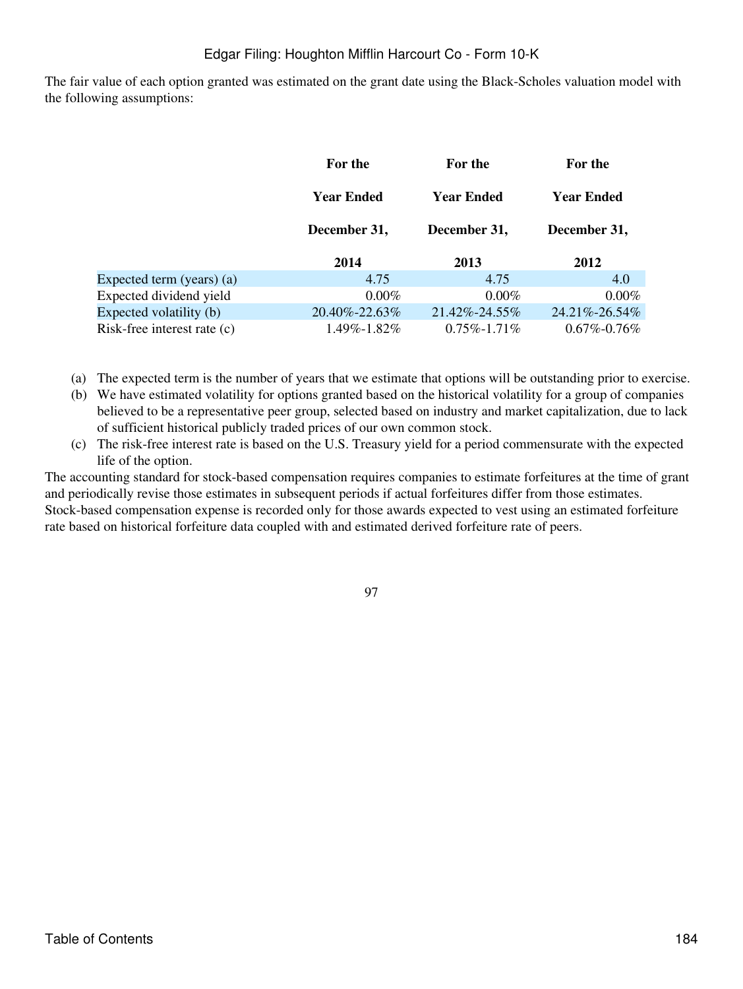The fair value of each option granted was estimated on the grant date using the Black-Scholes valuation model with the following assumptions:

|                             | For the           | For the           | For the           |
|-----------------------------|-------------------|-------------------|-------------------|
|                             | <b>Year Ended</b> | <b>Year Ended</b> | <b>Year Ended</b> |
|                             | December 31,      | December 31,      | December 31,      |
|                             | 2014              | 2013              | 2012              |
| Expected term (years) (a)   | 4.75              | 4.75              | 4.0               |
| Expected dividend yield     | $0.00\%$          | $0.00\%$          | $0.00\%$          |
| Expected volatility (b)     | 20.40%-22.63%     | 21.42%-24.55%     | 24.21%-26.54%     |
| Risk-free interest rate (c) | $1.49\% - 1.82\%$ | $0.75\% - 1.71\%$ | $0.67\% - 0.76\%$ |

- (a) The expected term is the number of years that we estimate that options will be outstanding prior to exercise.
- (b) We have estimated volatility for options granted based on the historical volatility for a group of companies believed to be a representative peer group, selected based on industry and market capitalization, due to lack of sufficient historical publicly traded prices of our own common stock.
- (c) The risk-free interest rate is based on the U.S. Treasury yield for a period commensurate with the expected life of the option.

The accounting standard for stock-based compensation requires companies to estimate forfeitures at the time of grant and periodically revise those estimates in subsequent periods if actual forfeitures differ from those estimates. Stock-based compensation expense is recorded only for those awards expected to vest using an estimated forfeiture rate based on historical forfeiture data coupled with and estimated derived forfeiture rate of peers.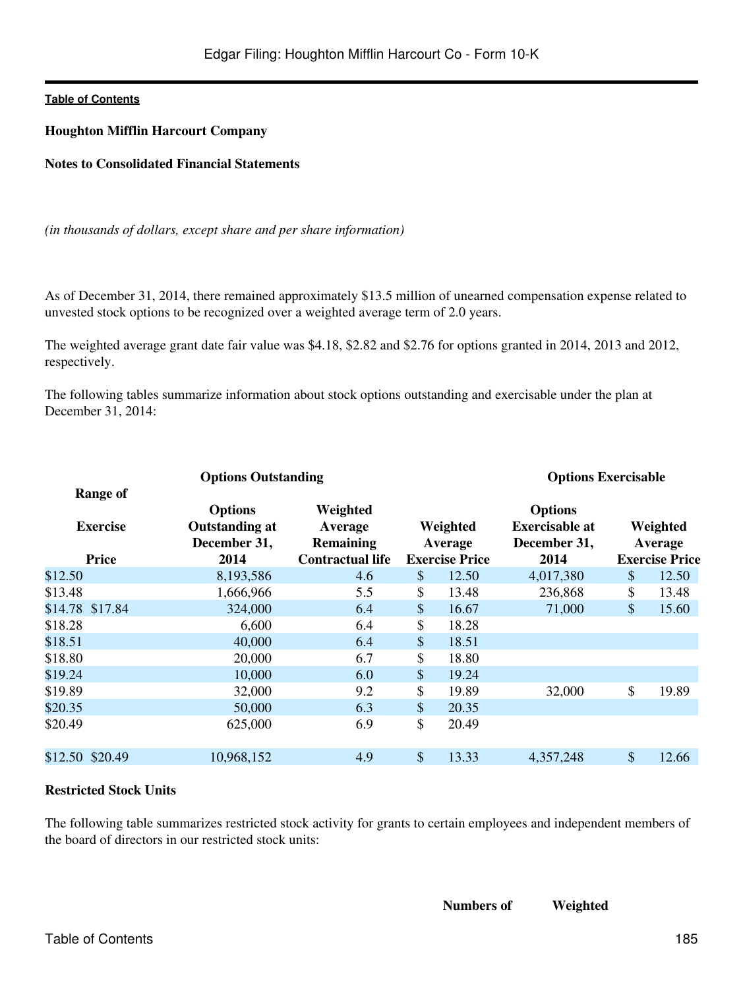# **Houghton Mifflin Harcourt Company**

# **Notes to Consolidated Financial Statements**

*(in thousands of dollars, except share and per share information)*

As of December 31, 2014, there remained approximately \$13.5 million of unearned compensation expense related to unvested stock options to be recognized over a weighted average term of 2.0 years.

The weighted average grant date fair value was \$4.18, \$2.82 and \$2.76 for options granted in 2014, 2013 and 2012, respectively.

The following tables summarize information about stock options outstanding and exercisable under the plan at December 31, 2014:

|                 |                 | <b>Options Outstanding</b>                              |                                         |                       | <b>Options Exercisable</b>                              |               |                       |
|-----------------|-----------------|---------------------------------------------------------|-----------------------------------------|-----------------------|---------------------------------------------------------|---------------|-----------------------|
|                 | <b>Range of</b> |                                                         |                                         |                       |                                                         |               |                       |
|                 | <b>Exercise</b> | <b>Options</b><br><b>Outstanding at</b><br>December 31, | Weighted<br>Average<br><b>Remaining</b> | Weighted<br>Average   | <b>Options</b><br><b>Exercisable at</b><br>December 31, |               | Weighted<br>Average   |
|                 | <b>Price</b>    | 2014                                                    | <b>Contractual life</b>                 | <b>Exercise Price</b> | 2014                                                    |               | <b>Exercise Price</b> |
| \$12.50         |                 | 8,193,586                                               | 4.6                                     | \$<br>12.50           | 4,017,380                                               | $\mathcal{S}$ | 12.50                 |
| \$13.48         |                 | 1,666,966                                               | 5.5                                     | \$<br>13.48           | 236,868                                                 | \$            | 13.48                 |
| \$14.78 \$17.84 |                 | 324,000                                                 | 6.4                                     | \$<br>16.67           | 71,000                                                  | \$            | 15.60                 |
| \$18.28         |                 | 6,600                                                   | 6.4                                     | \$<br>18.28           |                                                         |               |                       |
| \$18.51         |                 | 40,000                                                  | 6.4                                     | \$<br>18.51           |                                                         |               |                       |
| \$18.80         |                 | 20,000                                                  | 6.7                                     | \$<br>18.80           |                                                         |               |                       |
| \$19.24         |                 | 10,000                                                  | 6.0                                     | \$<br>19.24           |                                                         |               |                       |
| \$19.89         |                 | 32,000                                                  | 9.2                                     | \$<br>19.89           | 32,000                                                  | \$            | 19.89                 |
| \$20.35         |                 | 50,000                                                  | 6.3                                     | \$<br>20.35           |                                                         |               |                       |
| \$20.49         |                 | 625,000                                                 | 6.9                                     | \$<br>20.49           |                                                         |               |                       |
| \$12.50 \$20.49 |                 | 10,968,152                                              | 4.9                                     | \$<br>13.33           | 4,357,248                                               | $\mathcal{S}$ | 12.66                 |

# **Restricted Stock Units**

The following table summarizes restricted stock activity for grants to certain employees and independent members of the board of directors in our restricted stock units:

**Numbers of Weighted**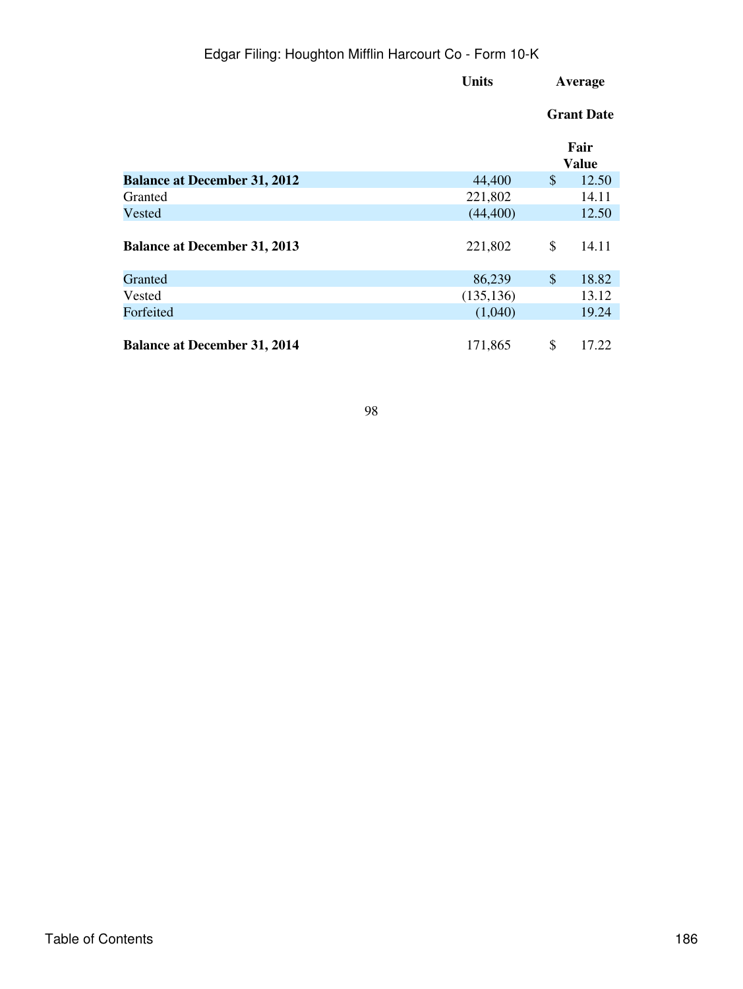|                                     | <b>Units</b> |               | Average              |
|-------------------------------------|--------------|---------------|----------------------|
|                                     |              |               | <b>Grant Date</b>    |
|                                     |              |               | Fair<br><b>Value</b> |
| <b>Balance at December 31, 2012</b> | 44,400       | $\mathcal{S}$ | 12.50                |
| Granted                             | 221,802      |               | 14.11                |
| Vested                              | (44, 400)    |               | 12.50                |
| <b>Balance at December 31, 2013</b> | 221,802      | \$            | 14.11                |
| Granted                             | 86,239       | $\mathcal{S}$ | 18.82                |
| Vested                              | (135, 136)   |               | 13.12                |
| Forfeited                           | (1,040)      |               | 19.24                |
| <b>Balance at December 31, 2014</b> | 171,865      | \$            | 17.22                |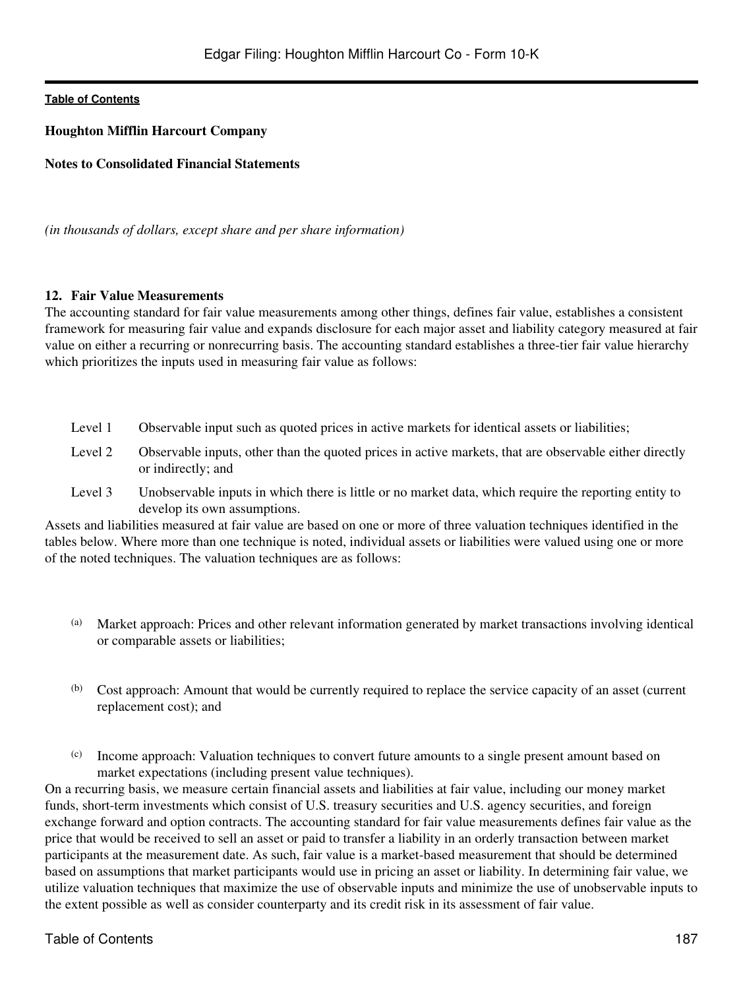# **Houghton Mifflin Harcourt Company**

**Notes to Consolidated Financial Statements**

*(in thousands of dollars, except share and per share information)*

### **12. Fair Value Measurements**

The accounting standard for fair value measurements among other things, defines fair value, establishes a consistent framework for measuring fair value and expands disclosure for each major asset and liability category measured at fair value on either a recurring or nonrecurring basis. The accounting standard establishes a three-tier fair value hierarchy which prioritizes the inputs used in measuring fair value as follows:

- Level 1 Observable input such as quoted prices in active markets for identical assets or liabilities;
- Level 2 Observable inputs, other than the quoted prices in active markets, that are observable either directly or indirectly; and
- Level 3 Unobservable inputs in which there is little or no market data, which require the reporting entity to develop its own assumptions.

Assets and liabilities measured at fair value are based on one or more of three valuation techniques identified in the tables below. Where more than one technique is noted, individual assets or liabilities were valued using one or more of the noted techniques. The valuation techniques are as follows:

- (a) Market approach: Prices and other relevant information generated by market transactions involving identical or comparable assets or liabilities;
- (b) Cost approach: Amount that would be currently required to replace the service capacity of an asset (current replacement cost); and
- (c) Income approach: Valuation techniques to convert future amounts to a single present amount based on market expectations (including present value techniques).

On a recurring basis, we measure certain financial assets and liabilities at fair value, including our money market funds, short-term investments which consist of U.S. treasury securities and U.S. agency securities, and foreign exchange forward and option contracts. The accounting standard for fair value measurements defines fair value as the price that would be received to sell an asset or paid to transfer a liability in an orderly transaction between market participants at the measurement date. As such, fair value is a market-based measurement that should be determined based on assumptions that market participants would use in pricing an asset or liability. In determining fair value, we utilize valuation techniques that maximize the use of observable inputs and minimize the use of unobservable inputs to the extent possible as well as consider counterparty and its credit risk in its assessment of fair value.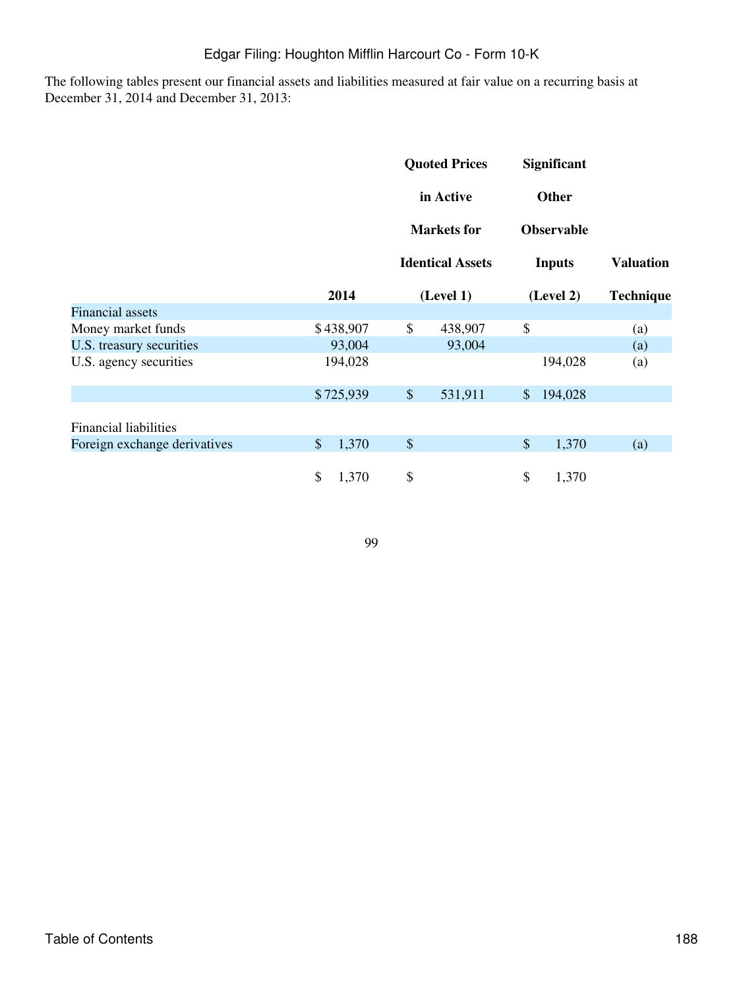The following tables present our financial assets and liabilities measured at fair value on a recurring basis at December 31, 2014 and December 31, 2013:

|                              |                        | <b>Quoted Prices</b>    | <b>Significant</b>                 |                  |
|------------------------------|------------------------|-------------------------|------------------------------------|------------------|
|                              |                        | in Active               | <b>Other</b>                       |                  |
|                              |                        | <b>Markets</b> for      | <b>Observable</b>                  |                  |
|                              |                        | <b>Identical Assets</b> | <b>Inputs</b>                      | <b>Valuation</b> |
|                              | 2014                   | (Level 1)               | (Level 2)                          | <b>Technique</b> |
| <b>Financial assets</b>      |                        |                         |                                    |                  |
| Money market funds           | \$438,907              | \$<br>438,907           | \$                                 | (a)              |
| U.S. treasury securities     | 93,004                 | 93,004                  |                                    | (a)              |
| U.S. agency securities       | 194,028                |                         | 194,028                            | (a)              |
|                              | \$725,939              | $\$\$<br>531,911        | $\frac{1}{2}$<br>194,028           |                  |
| <b>Financial liabilities</b> |                        |                         |                                    |                  |
| Foreign exchange derivatives | $\frac{1}{2}$<br>1,370 | $\$\$                   | $\boldsymbol{\mathsf{S}}$<br>1,370 | (a)              |
|                              | 1,370<br>\$            | \$                      | \$<br>1,370                        |                  |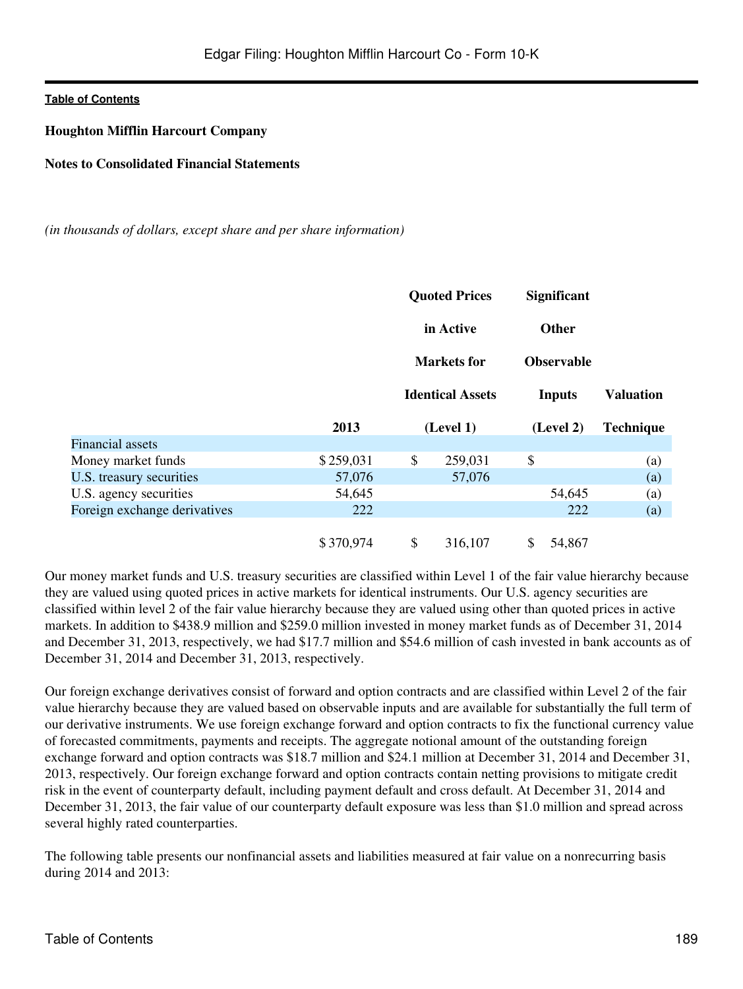# **Houghton Mifflin Harcourt Company**

### **Notes to Consolidated Financial Statements**

*(in thousands of dollars, except share and per share information)*

|                              |           | <b>Quoted Prices</b>    | <b>Significant</b> |                   |
|------------------------------|-----------|-------------------------|--------------------|-------------------|
|                              |           | in Active               | <b>Other</b>       |                   |
|                              |           | <b>Markets</b> for      | <b>Observable</b>  |                   |
|                              |           | <b>Identical Assets</b> | <b>Inputs</b>      | <b>Valuation</b>  |
|                              | 2013      | (Level 1)               | (Level 2)          | <b>Technique</b>  |
| <b>Financial assets</b>      |           |                         |                    |                   |
| Money market funds           | \$259,031 | \$<br>259,031           | \$                 | (a)               |
| U.S. treasury securities     | 57,076    | 57,076                  |                    | (a)               |
| U.S. agency securities       | 54,645    |                         | 54,645             | (a)               |
| Foreign exchange derivatives | 222       |                         | 222                | $\left( a\right)$ |
|                              |           |                         |                    |                   |

Our money market funds and U.S. treasury securities are classified within Level 1 of the fair value hierarchy because they are valued using quoted prices in active markets for identical instruments. Our U.S. agency securities are classified within level 2 of the fair value hierarchy because they are valued using other than quoted prices in active markets. In addition to \$438.9 million and \$259.0 million invested in money market funds as of December 31, 2014 and December 31, 2013, respectively, we had \$17.7 million and \$54.6 million of cash invested in bank accounts as of December 31, 2014 and December 31, 2013, respectively.

Our foreign exchange derivatives consist of forward and option contracts and are classified within Level 2 of the fair value hierarchy because they are valued based on observable inputs and are available for substantially the full term of our derivative instruments. We use foreign exchange forward and option contracts to fix the functional currency value of forecasted commitments, payments and receipts. The aggregate notional amount of the outstanding foreign exchange forward and option contracts was \$18.7 million and \$24.1 million at December 31, 2014 and December 31, 2013, respectively. Our foreign exchange forward and option contracts contain netting provisions to mitigate credit risk in the event of counterparty default, including payment default and cross default. At December 31, 2014 and December 31, 2013, the fair value of our counterparty default exposure was less than \$1.0 million and spread across several highly rated counterparties.

The following table presents our nonfinancial assets and liabilities measured at fair value on a nonrecurring basis during 2014 and 2013: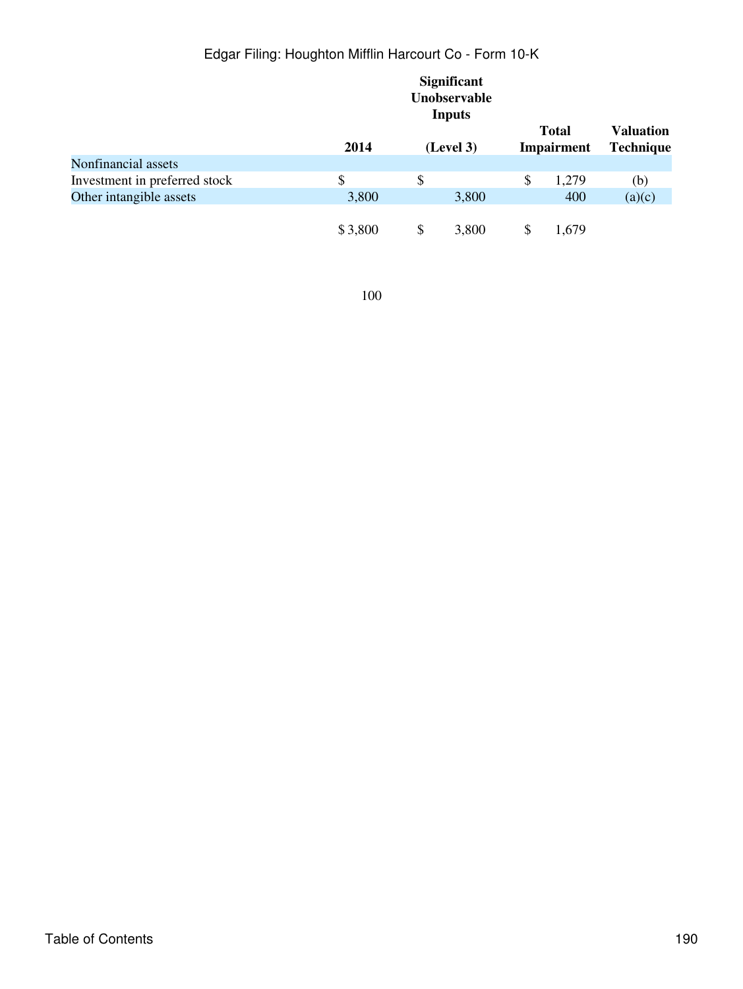|                               | <b>Significant</b><br>Unobservable<br><b>Inputs</b> |    |           |    |                                   |                                      |
|-------------------------------|-----------------------------------------------------|----|-----------|----|-----------------------------------|--------------------------------------|
|                               | 2014                                                |    | (Level 3) |    | <b>Total</b><br><b>Impairment</b> | <b>Valuation</b><br><b>Technique</b> |
| Nonfinancial assets           |                                                     |    |           |    |                                   |                                      |
| Investment in preferred stock | \$                                                  | \$ |           | \$ | 1,279                             | (b)                                  |
| Other intangible assets       | 3,800                                               |    | 3,800     |    | 400                               | (a)(c)                               |
|                               | \$3,800                                             | S  | 3,800     | S  | 1,679                             |                                      |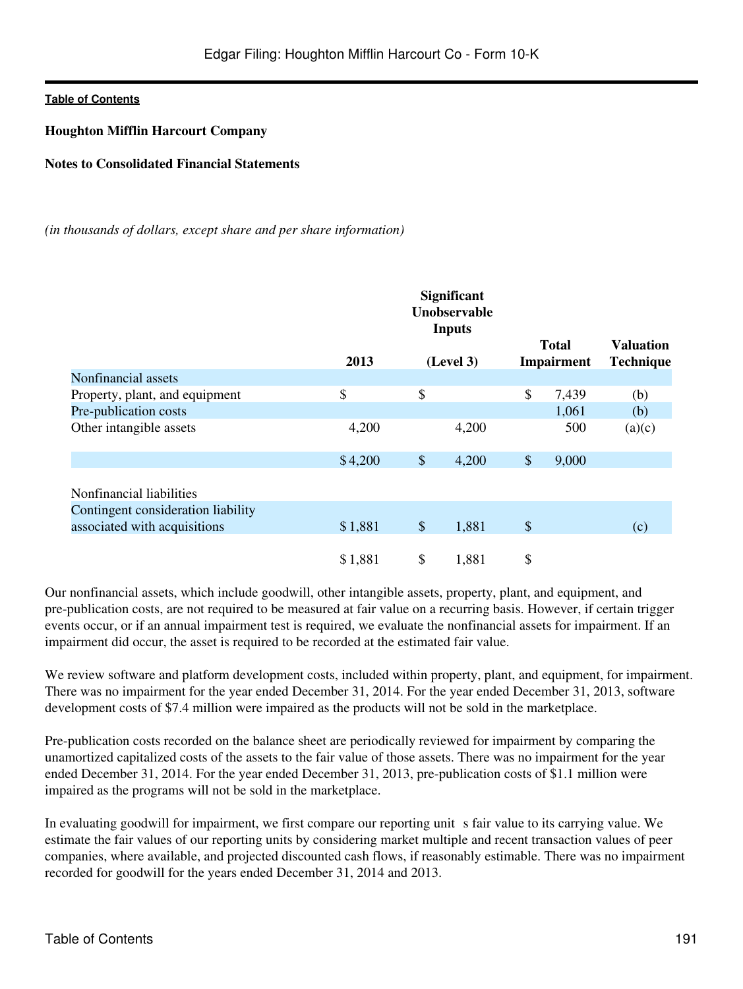### **Houghton Mifflin Harcourt Company**

### **Notes to Consolidated Financial Statements**

### *(in thousands of dollars, except share and per share information)*

|                                    |         |       | <b>Significant</b><br>Unobservable<br><b>Inputs</b> |                           |                   |                  |
|------------------------------------|---------|-------|-----------------------------------------------------|---------------------------|-------------------|------------------|
|                                    |         |       |                                                     |                           | <b>Total</b>      | <b>Valuation</b> |
|                                    | 2013    |       | (Level 3)                                           |                           | <b>Impairment</b> | <b>Technique</b> |
| Nonfinancial assets                |         |       |                                                     |                           |                   |                  |
| Property, plant, and equipment     | \$      | \$    |                                                     | \$                        | 7,439             | (b)              |
| Pre-publication costs              |         |       |                                                     |                           | 1,061             | (b)              |
| Other intangible assets            | 4,200   |       | 4,200                                               |                           | 500               | (a)(c)           |
|                                    | \$4,200 | $\$\$ | 4,200                                               | $\boldsymbol{\mathsf{S}}$ | 9,000             |                  |
| Nonfinancial liabilities           |         |       |                                                     |                           |                   |                  |
| Contingent consideration liability |         |       |                                                     |                           |                   |                  |
| associated with acquisitions       | \$1,881 | $\$\$ | 1,881                                               | $\boldsymbol{\mathsf{S}}$ |                   | (c)              |
|                                    |         |       |                                                     |                           |                   |                  |
|                                    | \$1,881 | \$    | 1,881                                               | \$                        |                   |                  |

Our nonfinancial assets, which include goodwill, other intangible assets, property, plant, and equipment, and pre-publication costs, are not required to be measured at fair value on a recurring basis. However, if certain trigger events occur, or if an annual impairment test is required, we evaluate the nonfinancial assets for impairment. If an impairment did occur, the asset is required to be recorded at the estimated fair value.

We review software and platform development costs, included within property, plant, and equipment, for impairment. There was no impairment for the year ended December 31, 2014. For the year ended December 31, 2013, software development costs of \$7.4 million were impaired as the products will not be sold in the marketplace.

Pre-publication costs recorded on the balance sheet are periodically reviewed for impairment by comparing the unamortized capitalized costs of the assets to the fair value of those assets. There was no impairment for the year ended December 31, 2014. For the year ended December 31, 2013, pre-publication costs of \$1.1 million were impaired as the programs will not be sold in the marketplace.

In evaluating goodwill for impairment, we first compare our reporting unit s fair value to its carrying value. We estimate the fair values of our reporting units by considering market multiple and recent transaction values of peer companies, where available, and projected discounted cash flows, if reasonably estimable. There was no impairment recorded for goodwill for the years ended December 31, 2014 and 2013.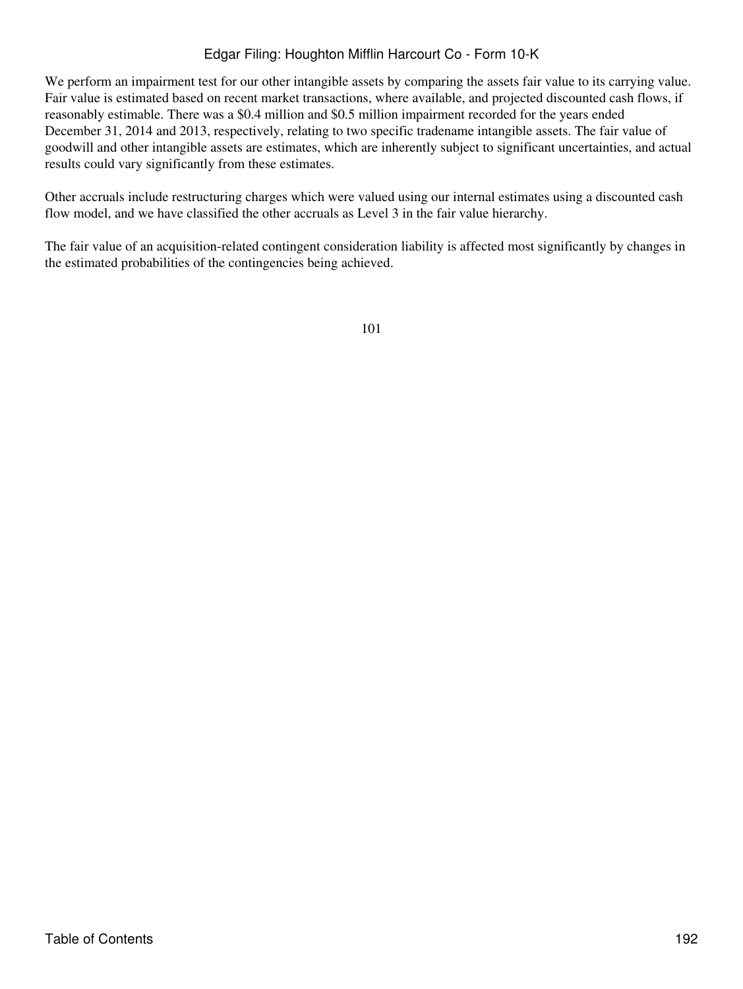We perform an impairment test for our other intangible assets by comparing the assets fair value to its carrying value. Fair value is estimated based on recent market transactions, where available, and projected discounted cash flows, if reasonably estimable. There was a \$0.4 million and \$0.5 million impairment recorded for the years ended December 31, 2014 and 2013, respectively, relating to two specific tradename intangible assets. The fair value of goodwill and other intangible assets are estimates, which are inherently subject to significant uncertainties, and actual results could vary significantly from these estimates.

Other accruals include restructuring charges which were valued using our internal estimates using a discounted cash flow model, and we have classified the other accruals as Level 3 in the fair value hierarchy.

The fair value of an acquisition-related contingent consideration liability is affected most significantly by changes in the estimated probabilities of the contingencies being achieved.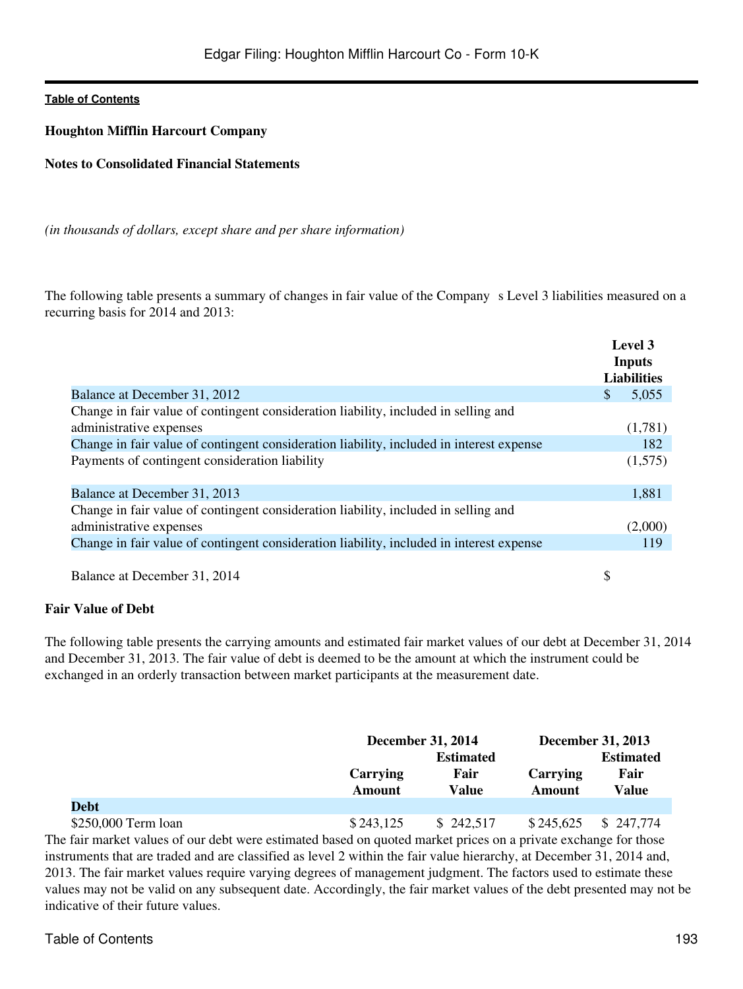# **Houghton Mifflin Harcourt Company**

**Notes to Consolidated Financial Statements**

*(in thousands of dollars, except share and per share information)*

The following table presents a summary of changes in fair value of the Company s Level 3 liabilities measured on a recurring basis for 2014 and 2013:

|                                                                                          |    | Level 3<br><b>Inputs</b><br><b>Liabilities</b> |
|------------------------------------------------------------------------------------------|----|------------------------------------------------|
| Balance at December 31, 2012                                                             | S  | 5,055                                          |
| Change in fair value of contingent consideration liability, included in selling and      |    |                                                |
| administrative expenses                                                                  |    | (1,781)                                        |
| Change in fair value of contingent consideration liability, included in interest expense |    | 182                                            |
| Payments of contingent consideration liability                                           |    | (1,575)                                        |
| Balance at December 31, 2013                                                             |    | 1,881                                          |
| Change in fair value of contingent consideration liability, included in selling and      |    |                                                |
| administrative expenses                                                                  |    | (2,000)                                        |
| Change in fair value of contingent consideration liability, included in interest expense |    | 119                                            |
| Balance at December 31, 2014                                                             | \$ |                                                |

#### **Fair Value of Debt**

The following table presents the carrying amounts and estimated fair market values of our debt at December 31, 2014 and December 31, 2013. The fair value of debt is deemed to be the amount at which the instrument could be exchanged in an orderly transaction between market participants at the measurement date.

|                     |                    | <b>December 31, 2014</b>          |                    | December 31, 2013                 |
|---------------------|--------------------|-----------------------------------|--------------------|-----------------------------------|
|                     | Carrying<br>Amount | <b>Estimated</b><br>Fair<br>Value | Carrying<br>Amount | <b>Estimated</b><br>Fair<br>Value |
| <b>Debt</b>         |                    |                                   |                    |                                   |
| \$250,000 Term loan | \$243,125          | \$242,517                         | \$245,625          | \$247,774                         |

The fair market values of our debt were estimated based on quoted market prices on a private exchange for those instruments that are traded and are classified as level 2 within the fair value hierarchy, at December 31, 2014 and, 2013. The fair market values require varying degrees of management judgment. The factors used to estimate these values may not be valid on any subsequent date. Accordingly, the fair market values of the debt presented may not be indicative of their future values.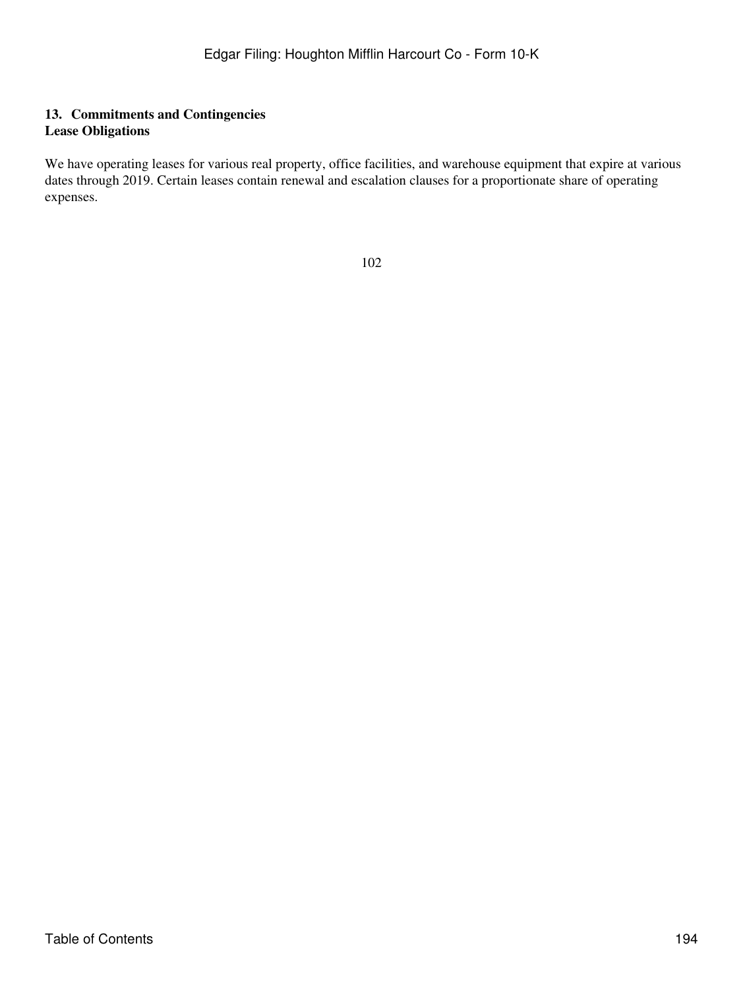# **13. Commitments and Contingencies Lease Obligations**

We have operating leases for various real property, office facilities, and warehouse equipment that expire at various dates through 2019. Certain leases contain renewal and escalation clauses for a proportionate share of operating expenses.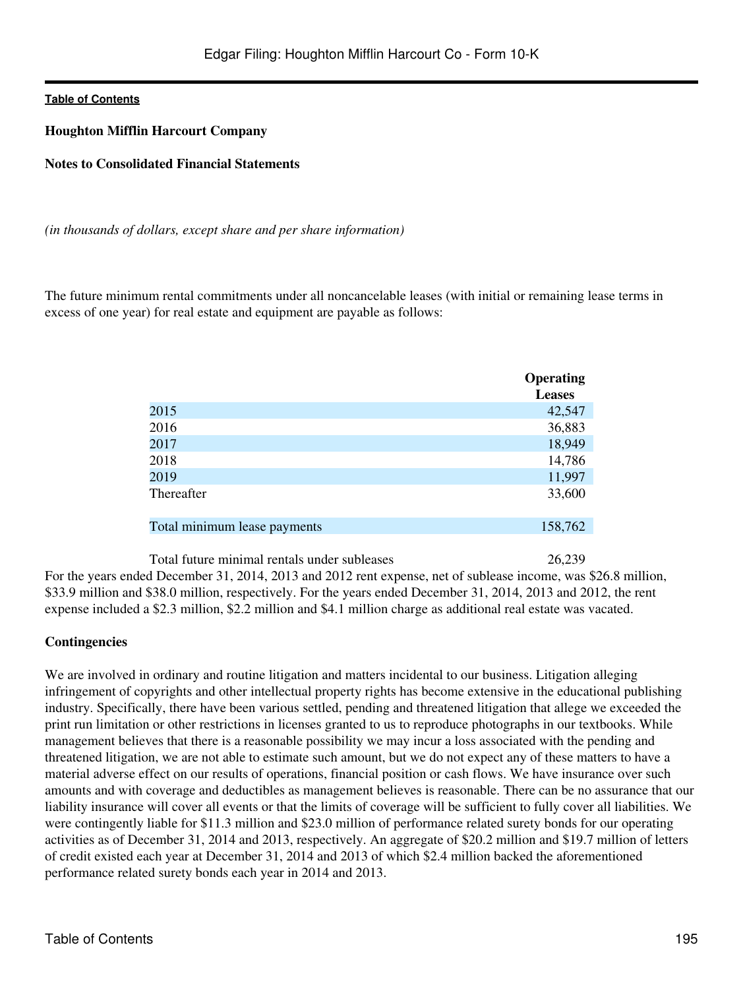# **Houghton Mifflin Harcourt Company**

**Notes to Consolidated Financial Statements**

*(in thousands of dollars, except share and per share information)*

The future minimum rental commitments under all noncancelable leases (with initial or remaining lease terms in excess of one year) for real estate and equipment are payable as follows:

|                              | <b>Operating</b> |
|------------------------------|------------------|
|                              | <b>Leases</b>    |
| 2015                         | 42,547           |
| 2016                         | 36,883           |
| 2017                         | 18,949           |
| 2018                         | 14,786           |
| 2019                         | 11,997           |
| Thereafter                   | 33,600           |
| Total minimum lease payments | 158,762          |

Total future minimal rentals under subleases 26,239 For the years ended December 31, 2014, 2013 and 2012 rent expense, net of sublease income, was \$26.8 million, \$33.9 million and \$38.0 million, respectively. For the years ended December 31, 2014, 2013 and 2012, the rent expense included a \$2.3 million, \$2.2 million and \$4.1 million charge as additional real estate was vacated.

#### **Contingencies**

We are involved in ordinary and routine litigation and matters incidental to our business. Litigation alleging infringement of copyrights and other intellectual property rights has become extensive in the educational publishing industry. Specifically, there have been various settled, pending and threatened litigation that allege we exceeded the print run limitation or other restrictions in licenses granted to us to reproduce photographs in our textbooks. While management believes that there is a reasonable possibility we may incur a loss associated with the pending and threatened litigation, we are not able to estimate such amount, but we do not expect any of these matters to have a material adverse effect on our results of operations, financial position or cash flows. We have insurance over such amounts and with coverage and deductibles as management believes is reasonable. There can be no assurance that our liability insurance will cover all events or that the limits of coverage will be sufficient to fully cover all liabilities. We were contingently liable for \$11.3 million and \$23.0 million of performance related surety bonds for our operating activities as of December 31, 2014 and 2013, respectively. An aggregate of \$20.2 million and \$19.7 million of letters of credit existed each year at December 31, 2014 and 2013 of which \$2.4 million backed the aforementioned performance related surety bonds each year in 2014 and 2013.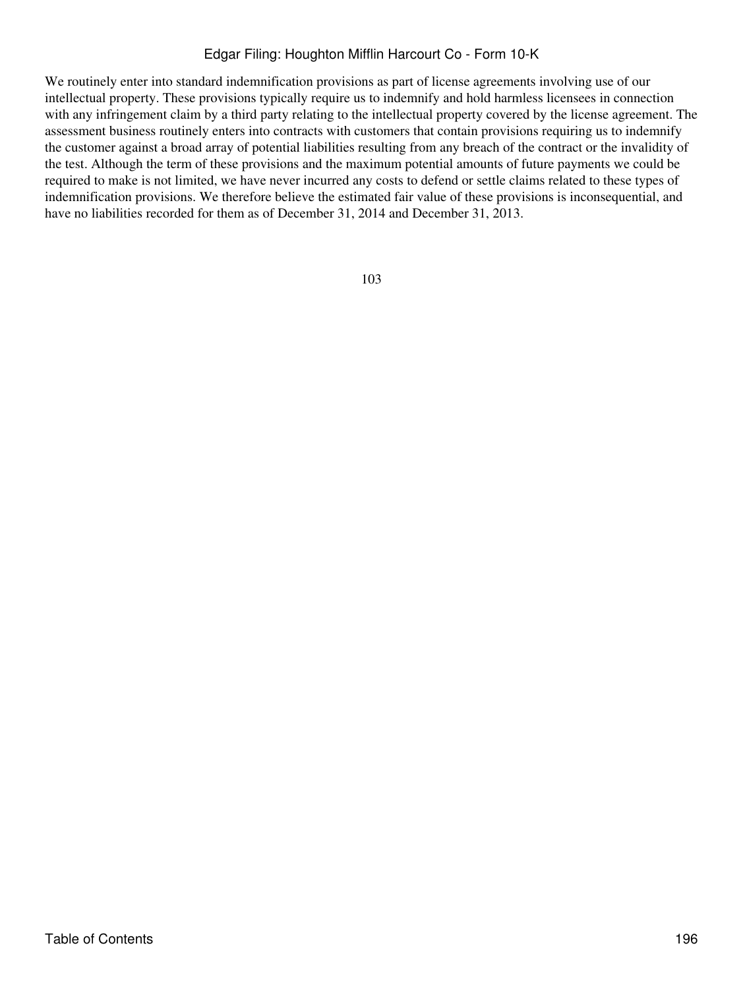We routinely enter into standard indemnification provisions as part of license agreements involving use of our intellectual property. These provisions typically require us to indemnify and hold harmless licensees in connection with any infringement claim by a third party relating to the intellectual property covered by the license agreement. The assessment business routinely enters into contracts with customers that contain provisions requiring us to indemnify the customer against a broad array of potential liabilities resulting from any breach of the contract or the invalidity of the test. Although the term of these provisions and the maximum potential amounts of future payments we could be required to make is not limited, we have never incurred any costs to defend or settle claims related to these types of indemnification provisions. We therefore believe the estimated fair value of these provisions is inconsequential, and have no liabilities recorded for them as of December 31, 2014 and December 31, 2013.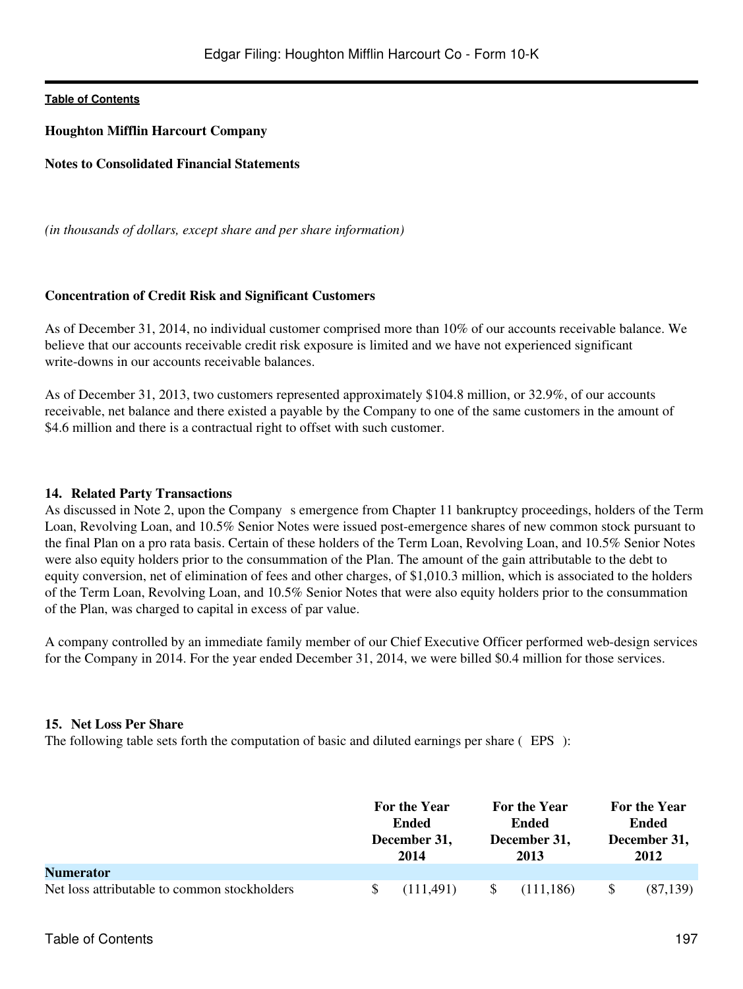# **Houghton Mifflin Harcourt Company**

**Notes to Consolidated Financial Statements**

*(in thousands of dollars, except share and per share information)*

### **Concentration of Credit Risk and Significant Customers**

As of December 31, 2014, no individual customer comprised more than 10% of our accounts receivable balance. We believe that our accounts receivable credit risk exposure is limited and we have not experienced significant write-downs in our accounts receivable balances.

As of December 31, 2013, two customers represented approximately \$104.8 million, or 32.9%, of our accounts receivable, net balance and there existed a payable by the Company to one of the same customers in the amount of \$4.6 million and there is a contractual right to offset with such customer.

#### **14. Related Party Transactions**

As discussed in Note 2, upon the Company s emergence from Chapter 11 bankruptcy proceedings, holders of the Term Loan, Revolving Loan, and 10.5% Senior Notes were issued post-emergence shares of new common stock pursuant to the final Plan on a pro rata basis. Certain of these holders of the Term Loan, Revolving Loan, and 10.5% Senior Notes were also equity holders prior to the consummation of the Plan. The amount of the gain attributable to the debt to equity conversion, net of elimination of fees and other charges, of \$1,010.3 million, which is associated to the holders of the Term Loan, Revolving Loan, and 10.5% Senior Notes that were also equity holders prior to the consummation of the Plan, was charged to capital in excess of par value.

A company controlled by an immediate family member of our Chief Executive Officer performed web-design services for the Company in 2014. For the year ended December 31, 2014, we were billed \$0.4 million for those services.

#### **15. Net Loss Per Share**

The following table sets forth the computation of basic and diluted earnings per share (EPS):

|                                              | For the Year<br>Ended<br>December 31,<br>2014 |              | For the Year<br>Ended<br>December 31,<br>2013 | <b>For the Year</b><br><b>Ended</b><br>December 31,<br>2012 |
|----------------------------------------------|-----------------------------------------------|--------------|-----------------------------------------------|-------------------------------------------------------------|
| <b>Numerator</b>                             |                                               |              |                                               |                                                             |
| Net loss attributable to common stockholders | (111.491)                                     | <sup>S</sup> | (111, 186)                                    | (87.139)                                                    |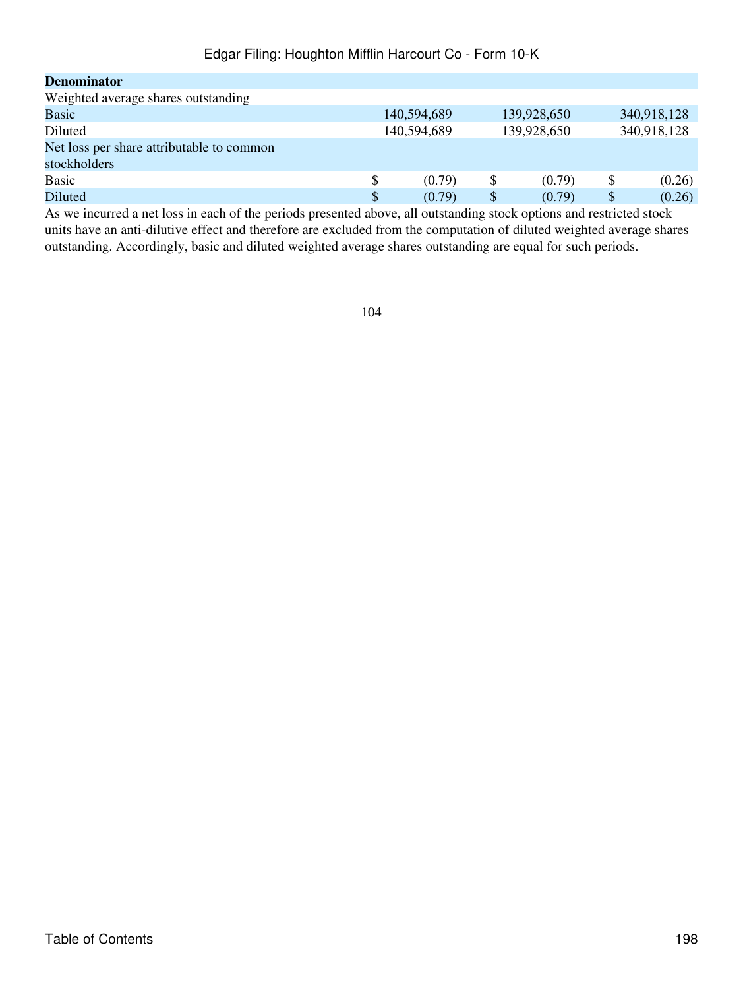| <b>Denominator</b>                        |             |             |             |             |             |             |
|-------------------------------------------|-------------|-------------|-------------|-------------|-------------|-------------|
| Weighted average shares outstanding       |             |             |             |             |             |             |
| <b>Basic</b>                              |             | 140,594,689 |             | 139,928,650 |             | 340,918,128 |
| Diluted                                   | 140,594,689 |             | 139,928,650 |             | 340,918,128 |             |
| Net loss per share attributable to common |             |             |             |             |             |             |
| stockholders                              |             |             |             |             |             |             |
| <b>Basic</b>                              | S           | (0.79)      | \$          | (0.79)      | S           | (0.26)      |
| Diluted                                   | \$          | (0.79)      | \$          | (0.79)      | S           | (0.26)      |

As we incurred a net loss in each of the periods presented above, all outstanding stock options and restricted stock units have an anti-dilutive effect and therefore are excluded from the computation of diluted weighted average shares outstanding. Accordingly, basic and diluted weighted average shares outstanding are equal for such periods.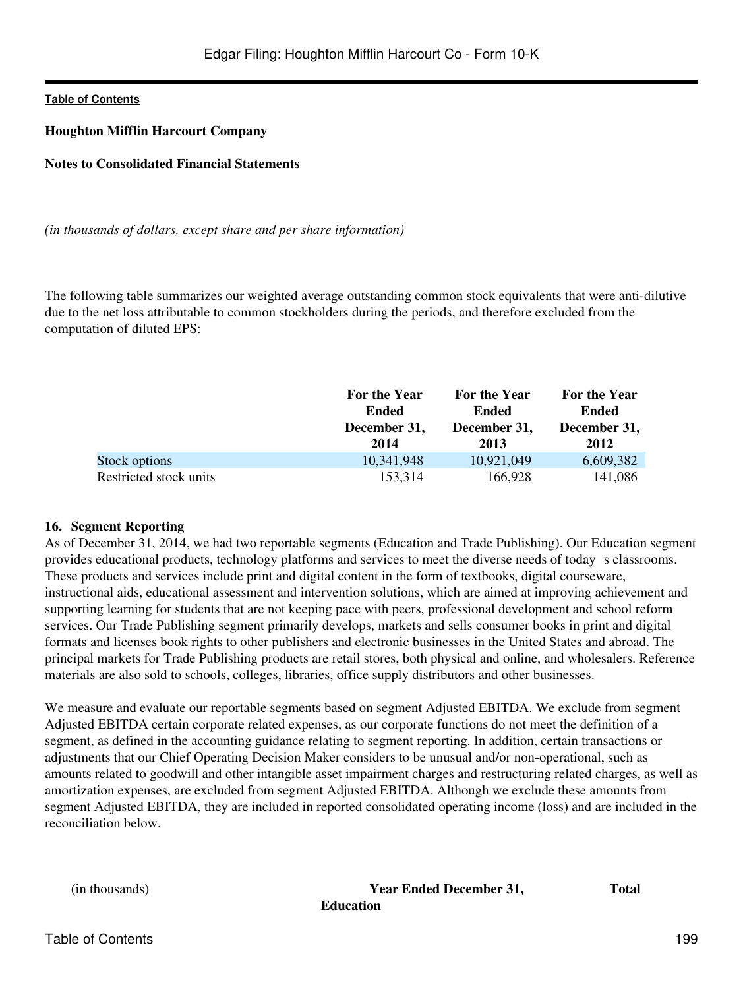# **Houghton Mifflin Harcourt Company**

**Notes to Consolidated Financial Statements**

*(in thousands of dollars, except share and per share information)*

The following table summarizes our weighted average outstanding common stock equivalents that were anti-dilutive due to the net loss attributable to common stockholders during the periods, and therefore excluded from the computation of diluted EPS:

|                        | For the Year | For the Year |              |
|------------------------|--------------|--------------|--------------|
|                        | Ended        | Ended        | Ended        |
|                        | December 31, | December 31, | December 31, |
|                        | 2014         | 2013         | 2012         |
| Stock options          | 10,341,948   | 10,921,049   | 6,609,382    |
| Restricted stock units | 153,314      | 166,928      | 141,086      |

# **16. Segment Reporting**

As of December 31, 2014, we had two reportable segments (Education and Trade Publishing). Our Education segment provides educational products, technology platforms and services to meet the diverse needs of todays classrooms. These products and services include print and digital content in the form of textbooks, digital courseware, instructional aids, educational assessment and intervention solutions, which are aimed at improving achievement and supporting learning for students that are not keeping pace with peers, professional development and school reform services. Our Trade Publishing segment primarily develops, markets and sells consumer books in print and digital formats and licenses book rights to other publishers and electronic businesses in the United States and abroad. The principal markets for Trade Publishing products are retail stores, both physical and online, and wholesalers. Reference materials are also sold to schools, colleges, libraries, office supply distributors and other businesses.

We measure and evaluate our reportable segments based on segment Adjusted EBITDA. We exclude from segment Adjusted EBITDA certain corporate related expenses, as our corporate functions do not meet the definition of a segment, as defined in the accounting guidance relating to segment reporting. In addition, certain transactions or adjustments that our Chief Operating Decision Maker considers to be unusual and/or non-operational, such as amounts related to goodwill and other intangible asset impairment charges and restructuring related charges, as well as amortization expenses, are excluded from segment Adjusted EBITDA. Although we exclude these amounts from segment Adjusted EBITDA, they are included in reported consolidated operating income (loss) and are included in the reconciliation below.

(in thousands) **Year Ended December 31, Total**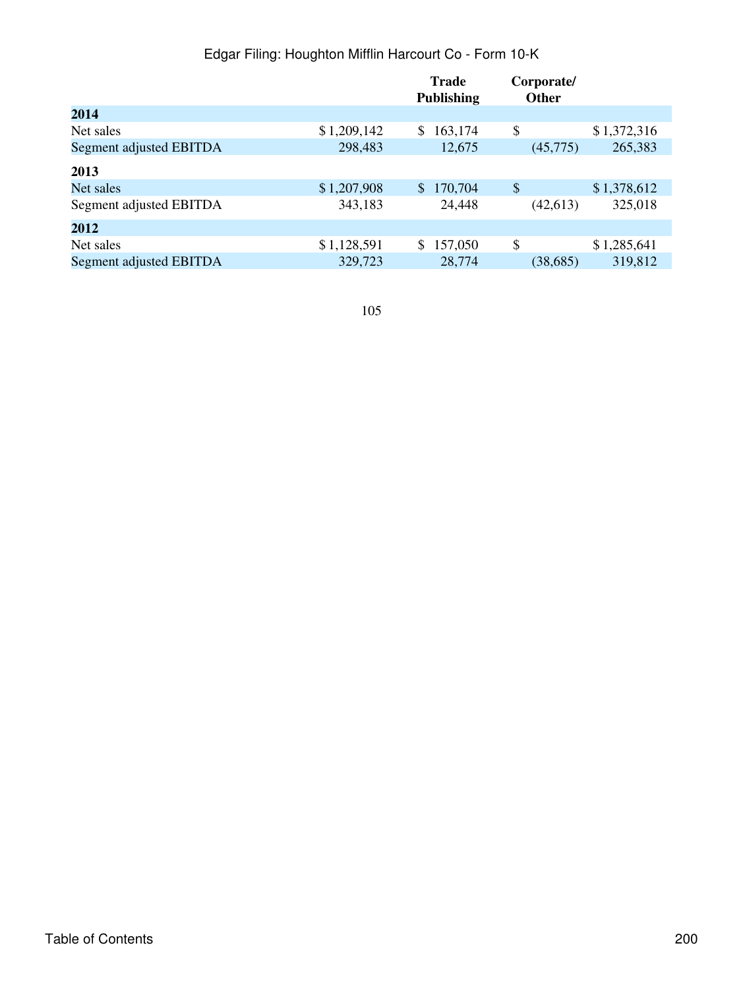|                         |             | <b>Trade</b><br><b>Publishing</b> | Corporate/<br><b>Other</b> |             |
|-------------------------|-------------|-----------------------------------|----------------------------|-------------|
| 2014                    |             |                                   |                            |             |
| Net sales               | \$1,209,142 | 163,174<br>\$.                    | \$                         | \$1,372,316 |
| Segment adjusted EBITDA | 298,483     | 12,675                            | (45,775)                   | 265,383     |
| 2013                    |             |                                   |                            |             |
| Net sales               | \$1,207,908 | 170,704<br>\$.                    | \$                         | \$1,378,612 |
| Segment adjusted EBITDA | 343,183     | 24,448                            | (42, 613)                  | 325,018     |
| 2012                    |             |                                   |                            |             |
| Net sales               | \$1,128,591 | 157,050<br>S.                     | \$                         | \$1,285,641 |
| Segment adjusted EBITDA | 329,723     | 28,774                            | (38, 685)                  | 319,812     |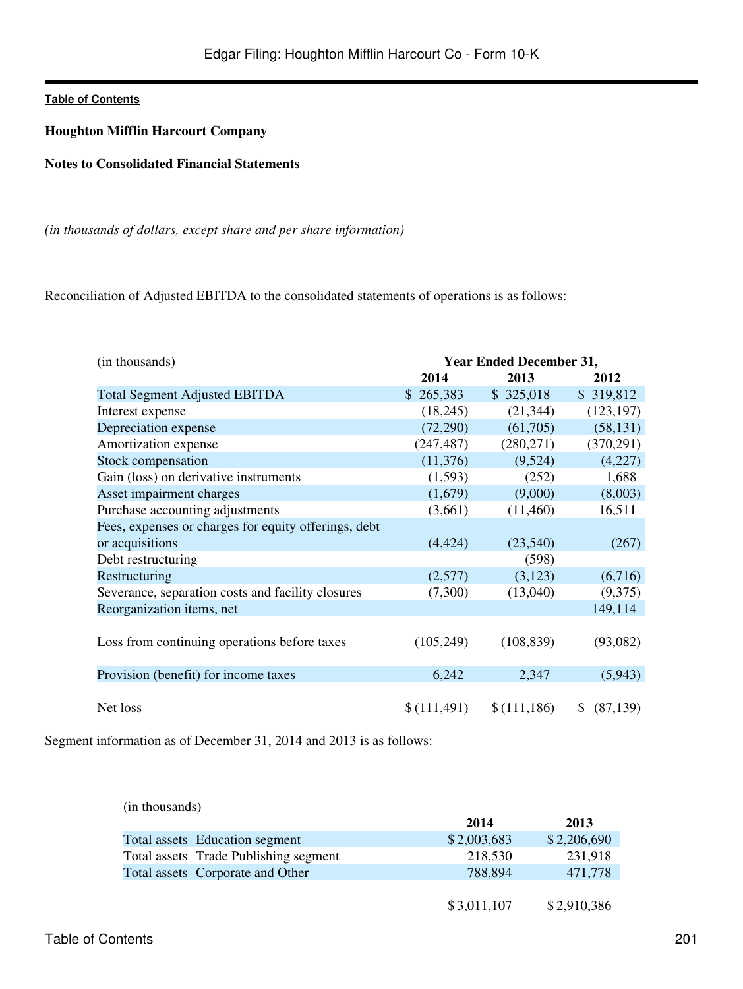**Houghton Mifflin Harcourt Company**

**Notes to Consolidated Financial Statements**

*(in thousands of dollars, except share and per share information)*

Reconciliation of Adjusted EBITDA to the consolidated statements of operations is as follows:

| (in thousands)                                       | <b>Year Ended December 31,</b> |             |                 |  |  |
|------------------------------------------------------|--------------------------------|-------------|-----------------|--|--|
|                                                      | 2014                           | 2013        | 2012            |  |  |
| <b>Total Segment Adjusted EBITDA</b>                 | \$265,383                      | \$325,018   | \$319,812       |  |  |
| Interest expense                                     | (18,245)                       | (21, 344)   | (123, 197)      |  |  |
| Depreciation expense                                 | (72,290)                       | (61,705)    | (58, 131)       |  |  |
| Amortization expense                                 | (247, 487)                     | (280,271)   | (370, 291)      |  |  |
| Stock compensation                                   | (11,376)                       | (9,524)     | (4,227)         |  |  |
| Gain (loss) on derivative instruments                | (1,593)                        | (252)       | 1,688           |  |  |
| Asset impairment charges                             | (1,679)                        | (9,000)     | (8,003)         |  |  |
| Purchase accounting adjustments                      | (3,661)                        | (11,460)    | 16,511          |  |  |
| Fees, expenses or charges for equity offerings, debt |                                |             |                 |  |  |
| or acquisitions                                      | (4, 424)                       | (23,540)    | (267)           |  |  |
| Debt restructuring                                   |                                | (598)       |                 |  |  |
| Restructuring                                        | (2,577)                        | (3,123)     | (6,716)         |  |  |
| Severance, separation costs and facility closures    | (7,300)                        | (13,040)    | (9,375)         |  |  |
| Reorganization items, net                            |                                |             | 149,114         |  |  |
|                                                      |                                |             |                 |  |  |
| Loss from continuing operations before taxes         | (105, 249)                     | (108, 839)  | (93,082)        |  |  |
| Provision (benefit) for income taxes                 | 6,242                          | 2,347       | (5,943)         |  |  |
| Net loss                                             | \$(111,491)                    | \$(111,186) | (87, 139)<br>S. |  |  |

Segment information as of December 31, 2014 and 2013 is as follows:

| (in thousands) |                                       |             |             |
|----------------|---------------------------------------|-------------|-------------|
|                |                                       | 2014        | 2013        |
|                | Total assets Education segment        | \$2,003,683 | \$2,206,690 |
|                | Total assets Trade Publishing segment | 218,530     | 231,918     |
|                | Total assets Corporate and Other      | 788,894     | 471,778     |
|                |                                       |             |             |
|                |                                       | \$3,011,107 | \$2,910,386 |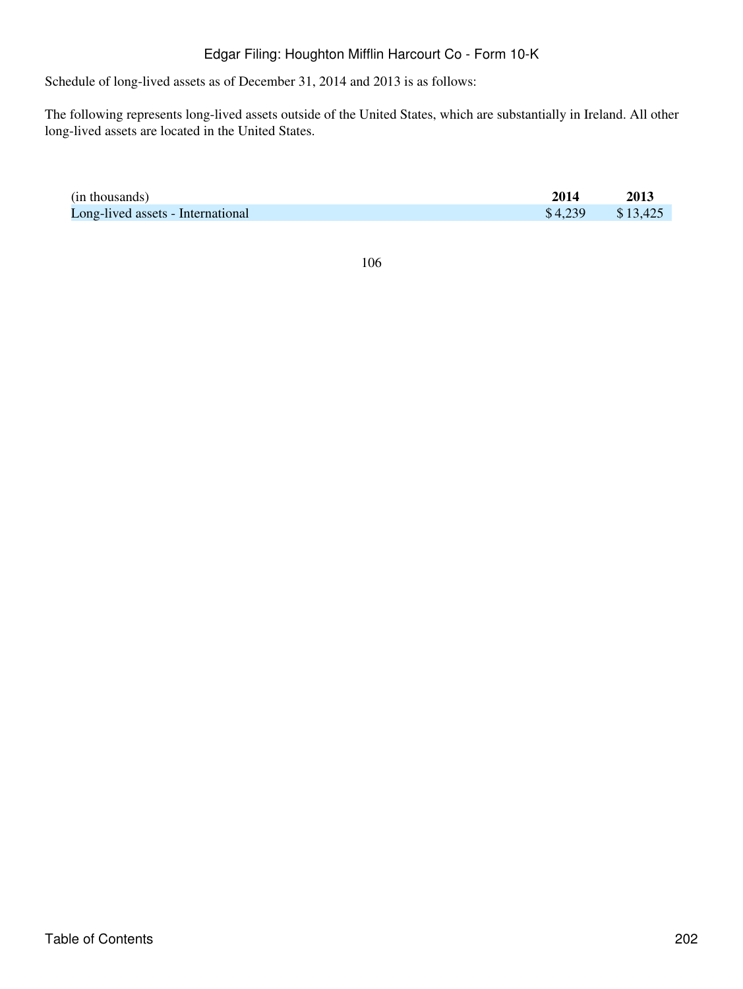Schedule of long-lived assets as of December 31, 2014 and 2013 is as follows:

The following represents long-lived assets outside of the United States, which are substantially in Ireland. All other long-lived assets are located in the United States.

| (in thousands)                    | 2014 | 2013               |
|-----------------------------------|------|--------------------|
| Long-lived assets - International |      | $$4,239$ $$13,425$ |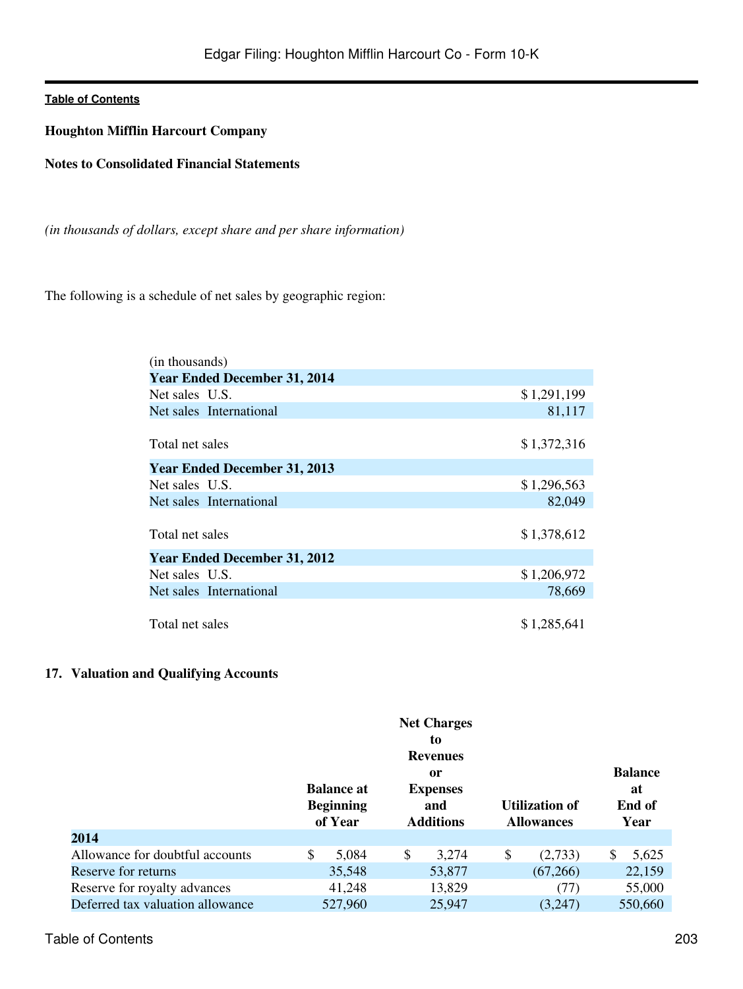**Houghton Mifflin Harcourt Company**

**Notes to Consolidated Financial Statements**

*(in thousands of dollars, except share and per share information)*

The following is a schedule of net sales by geographic region:

| (in thousands)                      |             |
|-------------------------------------|-------------|
| <b>Year Ended December 31, 2014</b> |             |
| Net sales U.S.                      | \$1,291,199 |
| Net sales International             | 81,117      |
|                                     |             |
| Total net sales                     | \$1,372,316 |
| <b>Year Ended December 31, 2013</b> |             |
| Net sales U.S.                      | \$1,296,563 |
| Net sales International             | 82,049      |
|                                     |             |
| Total net sales                     | \$1,378,612 |
| <b>Year Ended December 31, 2012</b> |             |
| Net sales U.S.                      | \$1,206,972 |
| Net sales International             | 78,669      |
|                                     |             |
| Total net sales                     | \$1,285,641 |

# **17. Valuation and Qualifying Accounts**

|                                  | <b>Balance at</b><br><b>Beginning</b><br>of Year | <b>Net Charges</b><br>to<br><b>Revenues</b><br><sub>or</sub><br><b>Expenses</b><br>and<br><b>Additions</b> | Utilization of<br><b>Allowances</b> | <b>Balance</b><br>at<br>End of<br>Year |
|----------------------------------|--------------------------------------------------|------------------------------------------------------------------------------------------------------------|-------------------------------------|----------------------------------------|
| 2014                             |                                                  |                                                                                                            |                                     |                                        |
| Allowance for doubtful accounts  | \$<br>5,084                                      | \$<br>3,274                                                                                                | \$<br>(2,733)                       | S<br>5,625                             |
| Reserve for returns              | 35,548                                           | 53,877                                                                                                     | (67,266)                            | 22,159                                 |
| Reserve for royalty advances     | 41,248                                           | 13,829                                                                                                     | (77)                                | 55,000                                 |
| Deferred tax valuation allowance | 527,960                                          | 25,947                                                                                                     | (3,247)                             | 550,660                                |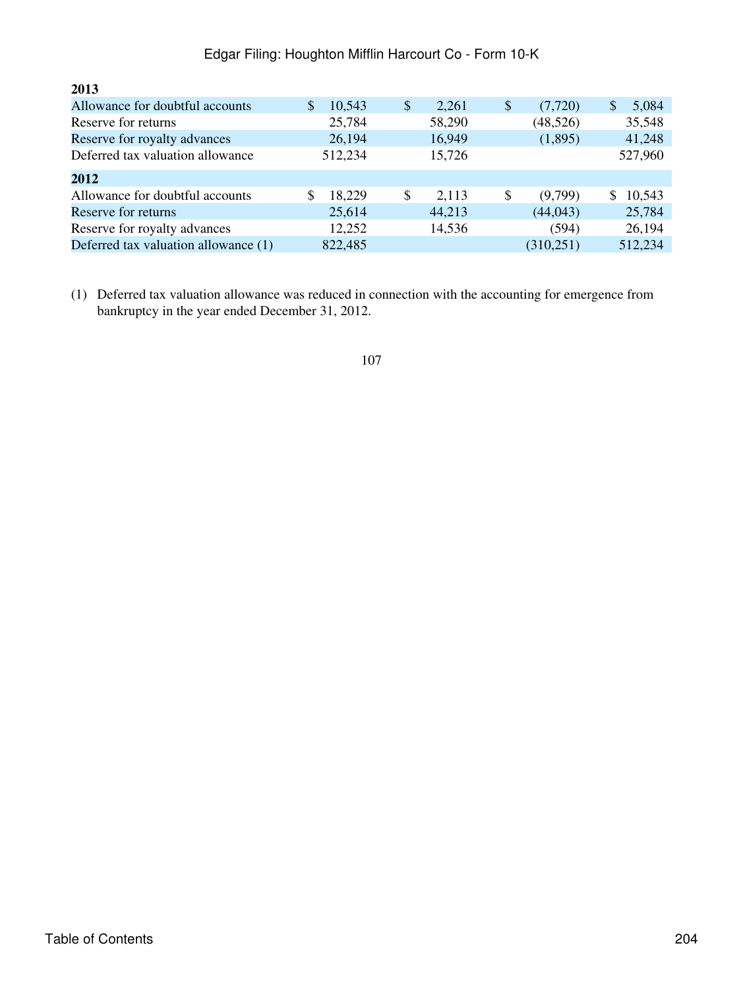| Allowance for doubtful accounts      | <sup>\$</sup> | 10.543  | \$<br>2,261 | \$<br>(7,720) | S | 5,084   |
|--------------------------------------|---------------|---------|-------------|---------------|---|---------|
| Reserve for returns                  |               | 25,784  | 58,290      | (48, 526)     |   | 35,548  |
| Reserve for royalty advances         |               | 26,194  | 16,949      | (1,895)       |   | 41,248  |
| Deferred tax valuation allowance     |               | 512,234 | 15,726      |               |   | 527,960 |
| 2012                                 |               |         |             |               |   |         |
| Allowance for doubtful accounts      | S             | 18,229  | \$<br>2,113 | \$<br>(9,799) | S | 10,543  |
| Reserve for returns                  |               | 25,614  | 44,213      | (44, 043)     |   | 25,784  |
| Reserve for royalty advances         |               | 12,252  | 14,536      | (594)         |   | 26,194  |
| Deferred tax valuation allowance (1) |               | 822,485 |             | (310,251)     |   | 512,234 |
|                                      |               |         |             |               |   |         |

# **2013**

(1) Deferred tax valuation allowance was reduced in connection with the accounting for emergence from bankruptcy in the year ended December 31, 2012.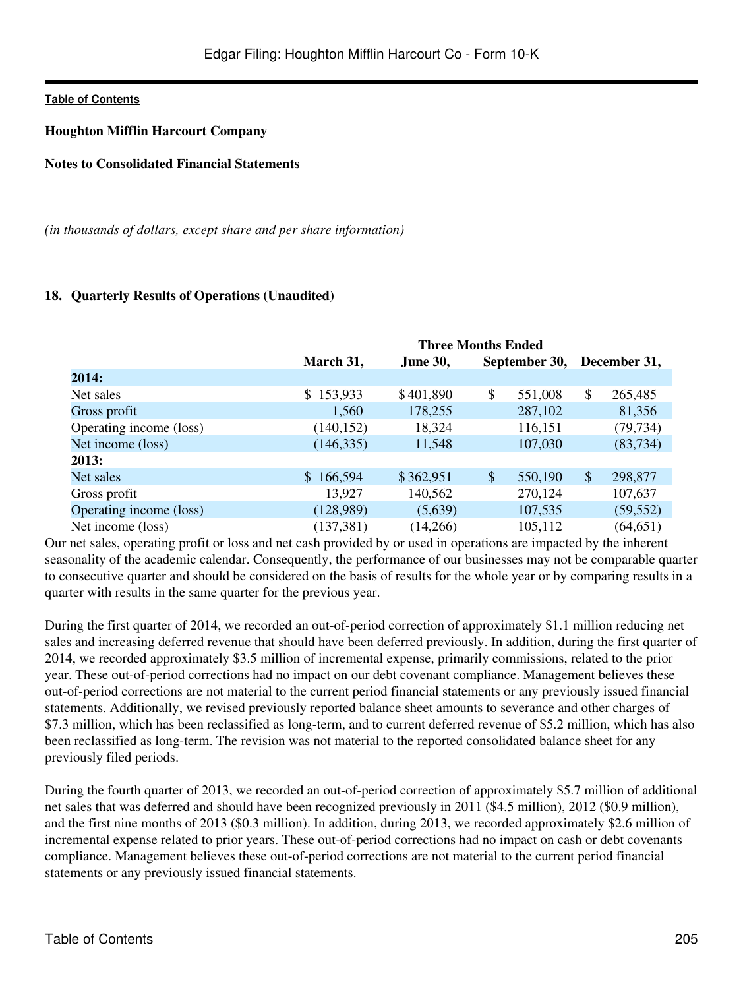### **Houghton Mifflin Harcourt Company**

**Notes to Consolidated Financial Statements**

*(in thousands of dollars, except share and per share information)*

# **18. Quarterly Results of Operations (Unaudited)**

|                         | <b>Three Months Ended</b> |                                  |               |                          |  |  |  |  |
|-------------------------|---------------------------|----------------------------------|---------------|--------------------------|--|--|--|--|
|                         | March 31,                 | September 30,<br><b>June 30,</b> |               | December 31,             |  |  |  |  |
| 2014:                   |                           |                                  |               |                          |  |  |  |  |
| Net sales               | \$153,933                 | \$401,890                        | \$<br>551,008 | \$<br>265,485            |  |  |  |  |
| Gross profit            | 1,560                     | 178,255                          | 287,102       | 81,356                   |  |  |  |  |
| Operating income (loss) | (140, 152)                | 18,324                           | 116,151       | (79, 734)                |  |  |  |  |
| Net income (loss)       | (146, 335)                | 11,548                           | 107,030       | (83, 734)                |  |  |  |  |
| 2013:                   |                           |                                  |               |                          |  |  |  |  |
| Net sales               | \$166,594                 | \$362,951                        | \$<br>550,190 | $\frac{1}{2}$<br>298,877 |  |  |  |  |
| Gross profit            | 13,927                    | 140,562                          | 270,124       | 107,637                  |  |  |  |  |
| Operating income (loss) | (128,989)                 | (5,639)                          | 107,535       | (59, 552)                |  |  |  |  |
| Net income (loss)       | (137, 381)                | (14,266)                         | 105,112       | (64, 651)                |  |  |  |  |

Our net sales, operating profit or loss and net cash provided by or used in operations are impacted by the inherent seasonality of the academic calendar. Consequently, the performance of our businesses may not be comparable quarter to consecutive quarter and should be considered on the basis of results for the whole year or by comparing results in a quarter with results in the same quarter for the previous year.

During the first quarter of 2014, we recorded an out-of-period correction of approximately \$1.1 million reducing net sales and increasing deferred revenue that should have been deferred previously. In addition, during the first quarter of 2014, we recorded approximately \$3.5 million of incremental expense, primarily commissions, related to the prior year. These out-of-period corrections had no impact on our debt covenant compliance. Management believes these out-of-period corrections are not material to the current period financial statements or any previously issued financial statements. Additionally, we revised previously reported balance sheet amounts to severance and other charges of \$7.3 million, which has been reclassified as long-term, and to current deferred revenue of \$5.2 million, which has also been reclassified as long-term. The revision was not material to the reported consolidated balance sheet for any previously filed periods.

During the fourth quarter of 2013, we recorded an out-of-period correction of approximately \$5.7 million of additional net sales that was deferred and should have been recognized previously in 2011 (\$4.5 million), 2012 (\$0.9 million), and the first nine months of 2013 (\$0.3 million). In addition, during 2013, we recorded approximately \$2.6 million of incremental expense related to prior years. These out-of-period corrections had no impact on cash or debt covenants compliance. Management believes these out-of-period corrections are not material to the current period financial statements or any previously issued financial statements.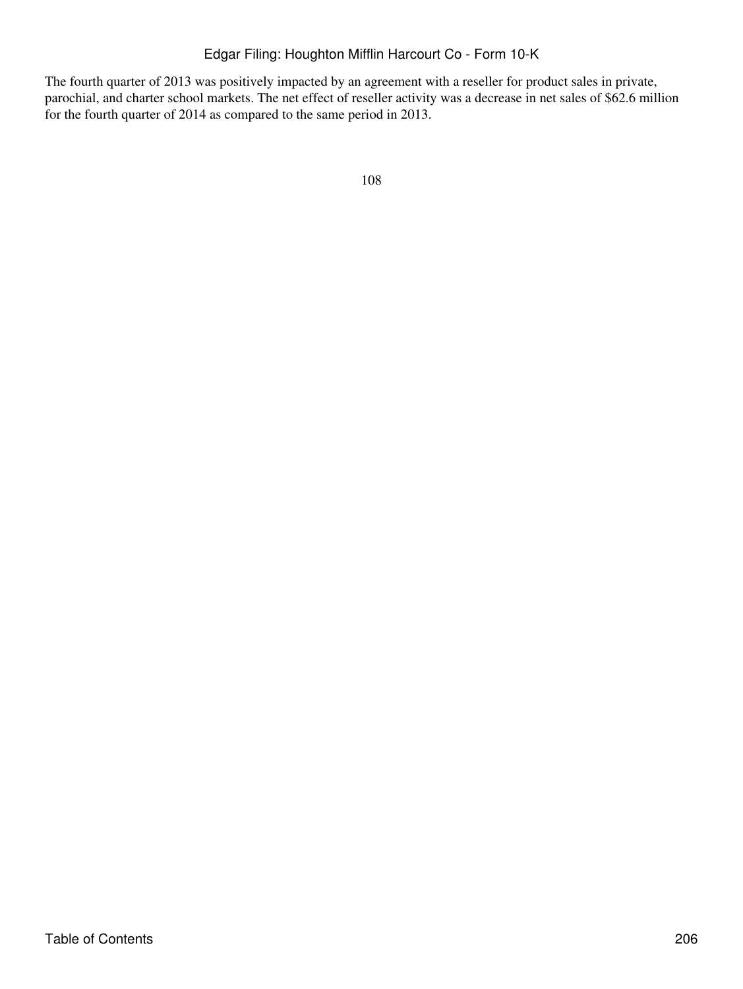The fourth quarter of 2013 was positively impacted by an agreement with a reseller for product sales in private, parochial, and charter school markets. The net effect of reseller activity was a decrease in net sales of \$62.6 million for the fourth quarter of 2014 as compared to the same period in 2013.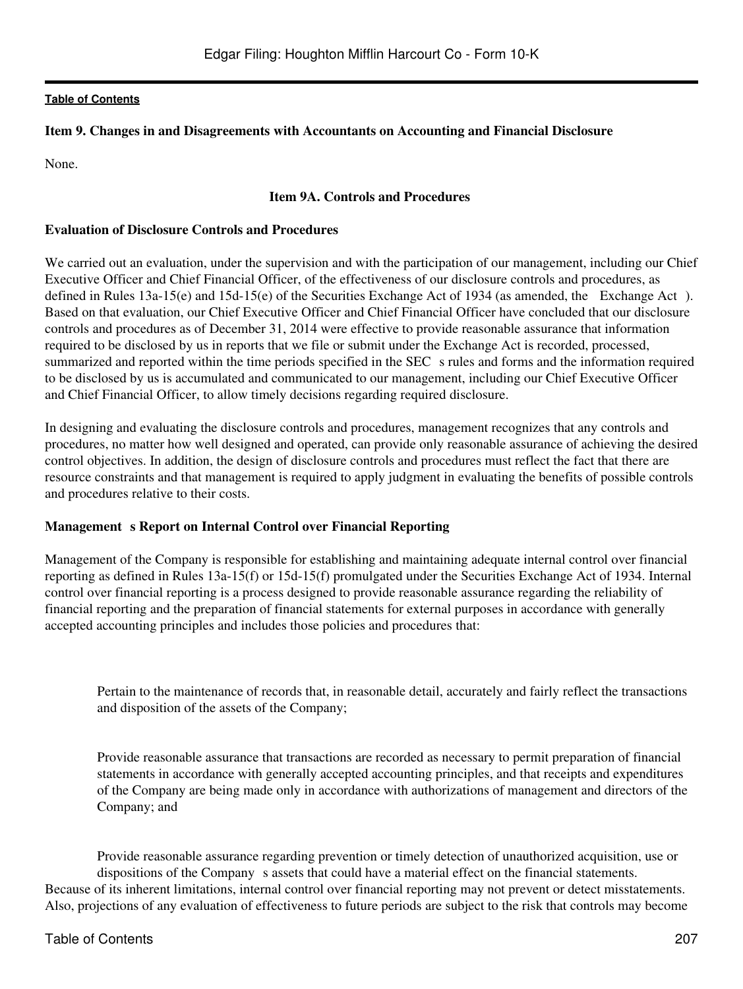### **Item 9. Changes in and Disagreements with Accountants on Accounting and Financial Disclosure**

None.

### **Item 9A. Controls and Procedures**

### **Evaluation of Disclosure Controls and Procedures**

We carried out an evaluation, under the supervision and with the participation of our management, including our Chief Executive Officer and Chief Financial Officer, of the effectiveness of our disclosure controls and procedures, as defined in Rules 13a-15(e) and 15d-15(e) of the Securities Exchange Act of 1934 (as amended, the Exchange Act). Based on that evaluation, our Chief Executive Officer and Chief Financial Officer have concluded that our disclosure controls and procedures as of December 31, 2014 were effective to provide reasonable assurance that information required to be disclosed by us in reports that we file or submit under the Exchange Act is recorded, processed, summarized and reported within the time periods specified in the SEC s rules and forms and the information required to be disclosed by us is accumulated and communicated to our management, including our Chief Executive Officer and Chief Financial Officer, to allow timely decisions regarding required disclosure.

In designing and evaluating the disclosure controls and procedures, management recognizes that any controls and procedures, no matter how well designed and operated, can provide only reasonable assurance of achieving the desired control objectives. In addition, the design of disclosure controls and procedures must reflect the fact that there are resource constraints and that management is required to apply judgment in evaluating the benefits of possible controls and procedures relative to their costs.

#### **Management s Report on Internal Control over Financial Reporting**

Management of the Company is responsible for establishing and maintaining adequate internal control over financial reporting as defined in Rules 13a-15(f) or 15d-15(f) promulgated under the Securities Exchange Act of 1934. Internal control over financial reporting is a process designed to provide reasonable assurance regarding the reliability of financial reporting and the preparation of financial statements for external purposes in accordance with generally accepted accounting principles and includes those policies and procedures that:

Pertain to the maintenance of records that, in reasonable detail, accurately and fairly reflect the transactions and disposition of the assets of the Company;

Provide reasonable assurance that transactions are recorded as necessary to permit preparation of financial statements in accordance with generally accepted accounting principles, and that receipts and expenditures of the Company are being made only in accordance with authorizations of management and directors of the Company; and

Provide reasonable assurance regarding prevention or timely detection of unauthorized acquisition, use or dispositions of the Company s assets that could have a material effect on the financial statements. Because of its inherent limitations, internal control over financial reporting may not prevent or detect misstatements. Also, projections of any evaluation of effectiveness to future periods are subject to the risk that controls may become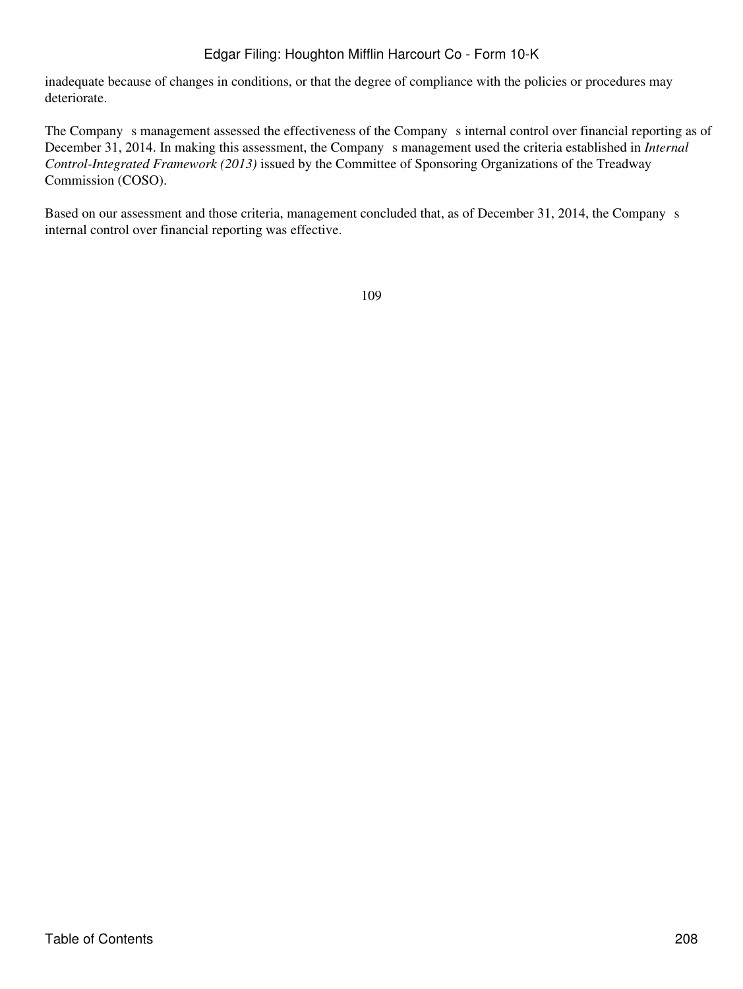inadequate because of changes in conditions, or that the degree of compliance with the policies or procedures may deteriorate.

The Company s management assessed the effectiveness of the Company s internal control over financial reporting as of December 31, 2014. In making this assessment, the Company s management used the criteria established in *Internal Control-Integrated Framework (2013)* issued by the Committee of Sponsoring Organizations of the Treadway Commission (COSO).

Based on our assessment and those criteria, management concluded that, as of December 31, 2014, the Company s internal control over financial reporting was effective.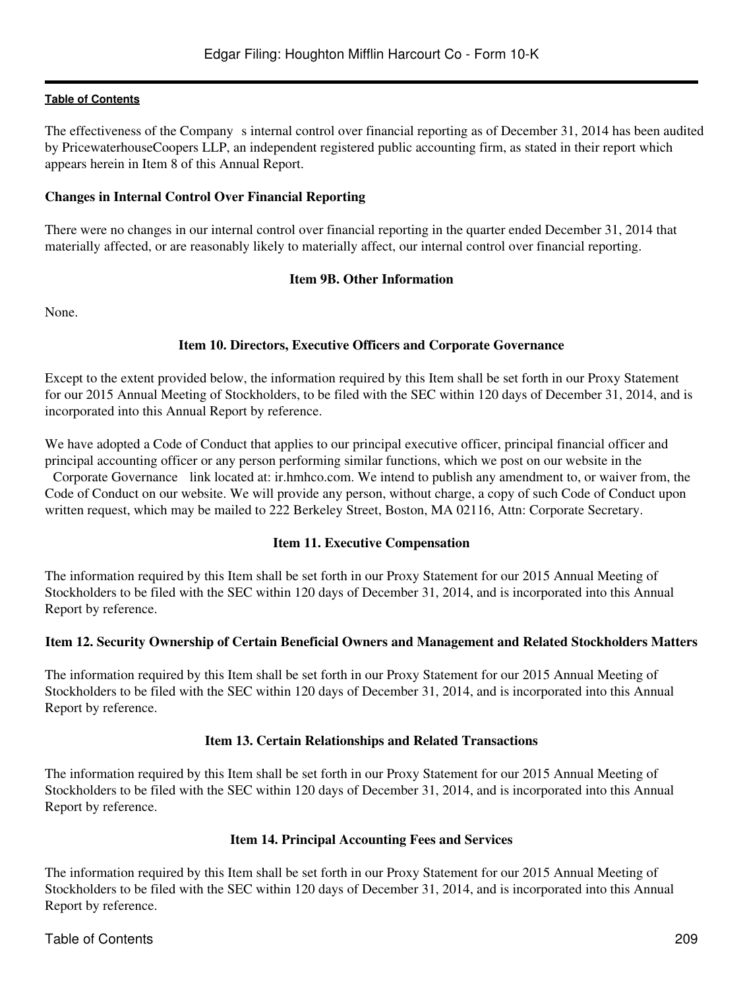The effectiveness of the Company s internal control over financial reporting as of December 31, 2014 has been audited by PricewaterhouseCoopers LLP, an independent registered public accounting firm, as stated in their report which appears herein in Item 8 of this Annual Report.

### **Changes in Internal Control Over Financial Reporting**

There were no changes in our internal control over financial reporting in the quarter ended December 31, 2014 that materially affected, or are reasonably likely to materially affect, our internal control over financial reporting.

### **Item 9B. Other Information**

None.

### **Item 10. Directors, Executive Officers and Corporate Governance**

Except to the extent provided below, the information required by this Item shall be set forth in our Proxy Statement for our 2015 Annual Meeting of Stockholders, to be filed with the SEC within 120 days of December 31, 2014, and is incorporated into this Annual Report by reference.

We have adopted a Code of Conduct that applies to our principal executive officer, principal financial officer and principal accounting officer or any person performing similar functions, which we post on our website in the Corporate Governance link located at: ir.hmhco.com. We intend to publish any amendment to, or waiver from, the

Code of Conduct on our website. We will provide any person, without charge, a copy of such Code of Conduct upon written request, which may be mailed to 222 Berkeley Street, Boston, MA 02116, Attn: Corporate Secretary.

#### **Item 11. Executive Compensation**

The information required by this Item shall be set forth in our Proxy Statement for our 2015 Annual Meeting of Stockholders to be filed with the SEC within 120 days of December 31, 2014, and is incorporated into this Annual Report by reference.

#### **Item 12. Security Ownership of Certain Beneficial Owners and Management and Related Stockholders Matters**

The information required by this Item shall be set forth in our Proxy Statement for our 2015 Annual Meeting of Stockholders to be filed with the SEC within 120 days of December 31, 2014, and is incorporated into this Annual Report by reference.

#### **Item 13. Certain Relationships and Related Transactions**

The information required by this Item shall be set forth in our Proxy Statement for our 2015 Annual Meeting of Stockholders to be filed with the SEC within 120 days of December 31, 2014, and is incorporated into this Annual Report by reference.

#### **Item 14. Principal Accounting Fees and Services**

The information required by this Item shall be set forth in our Proxy Statement for our 2015 Annual Meeting of Stockholders to be filed with the SEC within 120 days of December 31, 2014, and is incorporated into this Annual Report by reference.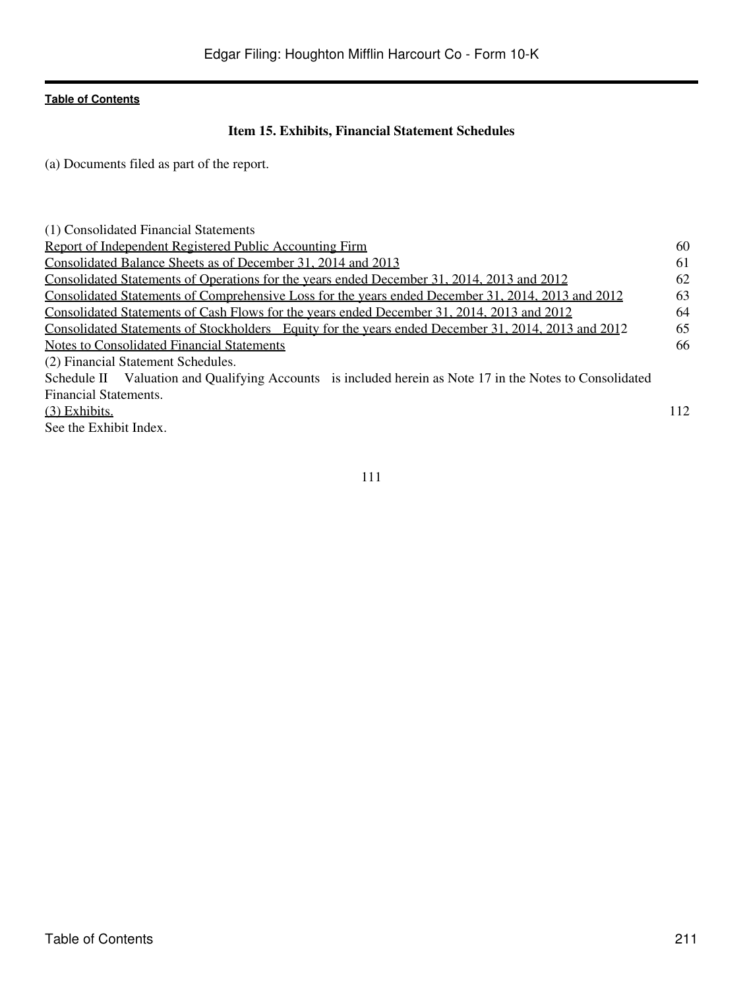# **Item 15. Exhibits, Financial Statement Schedules**

(a) Documents filed as part of the report.

| (1) Consolidated Financial Statements                                                                    |     |
|----------------------------------------------------------------------------------------------------------|-----|
| Report of Independent Registered Public Accounting Firm                                                  | 60  |
| Consolidated Balance Sheets as of December 31, 2014 and 2013                                             | 61  |
| Consolidated Statements of Operations for the years ended December 31, 2014, 2013 and 2012               | 62  |
| Consolidated Statements of Comprehensive Loss for the years ended December 31, 2014, 2013 and 2012       | 63  |
| Consolidated Statements of Cash Flows for the years ended December 31, 2014, 2013 and 2012               | 64  |
| Consolidated Statements of Stockholders Equity for the years ended December 31, 2014, 2013 and 2012      | 65  |
| Notes to Consolidated Financial Statements                                                               | 66  |
| (2) Financial Statement Schedules.                                                                       |     |
| Schedule II Valuation and Qualifying Accounts is included herein as Note 17 in the Notes to Consolidated |     |
| Financial Statements.                                                                                    |     |
| $(3)$ Exhibits.                                                                                          | 112 |
| See the Exhibit Index.                                                                                   |     |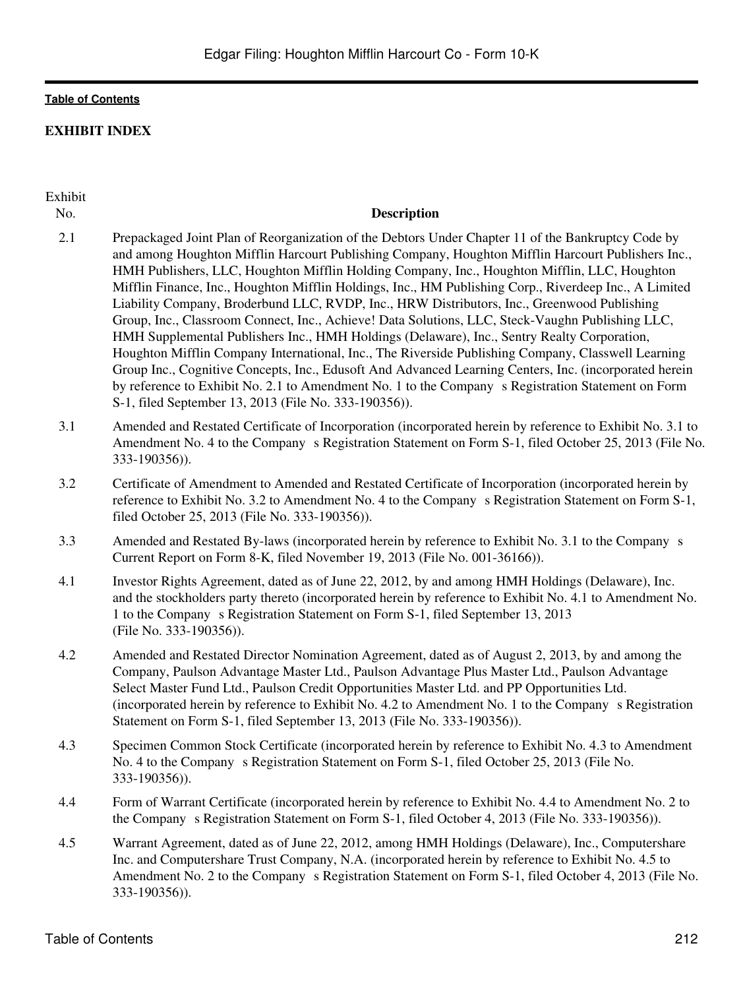### <span id="page-211-0"></span>**EXHIBIT INDEX**

# Exhibit

#### No. **Description**

- 2.1 Prepackaged Joint Plan of Reorganization of the Debtors Under Chapter 11 of the Bankruptcy Code by and among Houghton Mifflin Harcourt Publishing Company, Houghton Mifflin Harcourt Publishers Inc., HMH Publishers, LLC, Houghton Mifflin Holding Company, Inc., Houghton Mifflin, LLC, Houghton Mifflin Finance, Inc., Houghton Mifflin Holdings, Inc., HM Publishing Corp., Riverdeep Inc., A Limited Liability Company, Broderbund LLC, RVDP, Inc., HRW Distributors, Inc., Greenwood Publishing Group, Inc., Classroom Connect, Inc., Achieve! Data Solutions, LLC, Steck-Vaughn Publishing LLC, HMH Supplemental Publishers Inc., HMH Holdings (Delaware), Inc., Sentry Realty Corporation, Houghton Mifflin Company International, Inc., The Riverside Publishing Company, Classwell Learning Group Inc., Cognitive Concepts, Inc., Edusoft And Advanced Learning Centers, Inc. (incorporated herein by reference to Exhibit No. 2.1 to Amendment No. 1 to the Companys Registration Statement on Form S-1, filed September 13, 2013 (File No. 333-190356)).
- 3.1 Amended and Restated Certificate of Incorporation (incorporated herein by reference to Exhibit No. 3.1 to Amendment No. 4 to the Company s Registration Statement on Form S-1, filed October 25, 2013 (File No. 333-190356)).
- 3.2 Certificate of Amendment to Amended and Restated Certificate of Incorporation (incorporated herein by reference to Exhibit No. 3.2 to Amendment No. 4 to the Companys Registration Statement on Form S-1, filed October 25, 2013 (File No. 333-190356)).
- 3.3 Amended and Restated By-laws (incorporated herein by reference to Exhibit No. 3.1 to the Companys Current Report on Form 8-K, filed November 19, 2013 (File No. 001-36166)).
- 4.1 Investor Rights Agreement, dated as of June 22, 2012, by and among HMH Holdings (Delaware), Inc. and the stockholders party thereto (incorporated herein by reference to Exhibit No. 4.1 to Amendment No. 1 to the Company s Registration Statement on Form S-1, filed September 13, 2013 (File No. 333-190356)).
- 4.2 Amended and Restated Director Nomination Agreement, dated as of August 2, 2013, by and among the Company, Paulson Advantage Master Ltd., Paulson Advantage Plus Master Ltd., Paulson Advantage Select Master Fund Ltd., Paulson Credit Opportunities Master Ltd. and PP Opportunities Ltd. (incorporated herein by reference to Exhibit No. 4.2 to Amendment No. 1 to the Companys Registration Statement on Form S-1, filed September 13, 2013 (File No. 333-190356)).
- 4.3 Specimen Common Stock Certificate (incorporated herein by reference to Exhibit No. 4.3 to Amendment No. 4 to the Company s Registration Statement on Form S-1, filed October 25, 2013 (File No. 333-190356)).
- 4.4 Form of Warrant Certificate (incorporated herein by reference to Exhibit No. 4.4 to Amendment No. 2 to the Company s Registration Statement on Form S-1, filed October 4, 2013 (File No. 333-190356)).
- 4.5 Warrant Agreement, dated as of June 22, 2012, among HMH Holdings (Delaware), Inc., Computershare Inc. and Computershare Trust Company, N.A. (incorporated herein by reference to Exhibit No. 4.5 to Amendment No. 2 to the Company s Registration Statement on Form S-1, filed October 4, 2013 (File No. 333-190356)).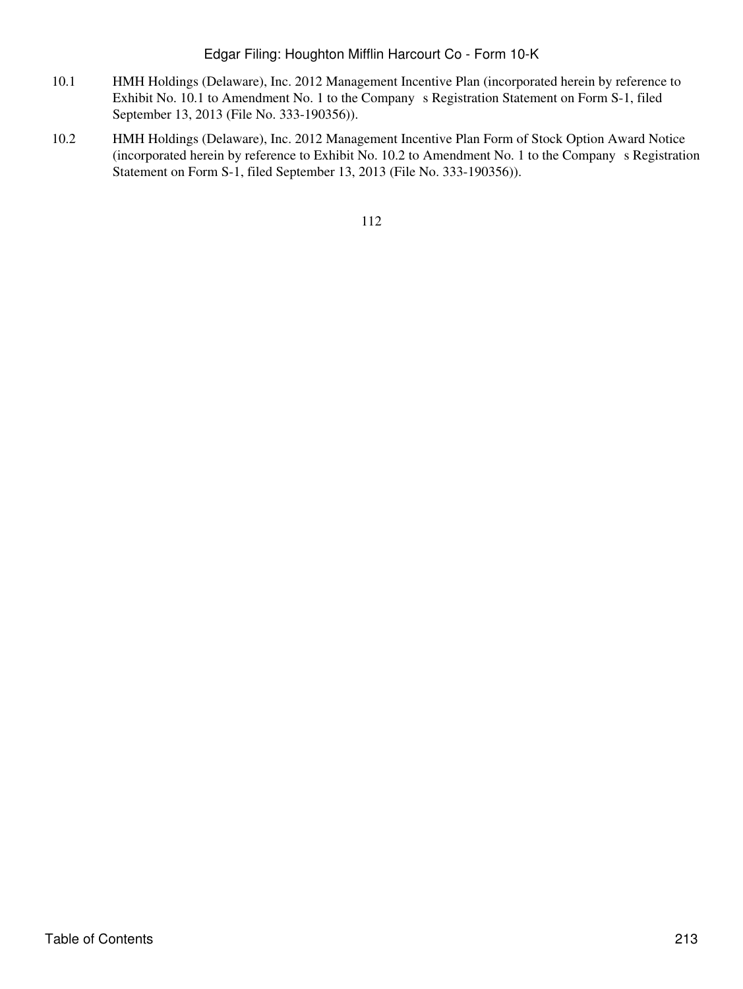- 10.1 HMH Holdings (Delaware), Inc. 2012 Management Incentive Plan (incorporated herein by reference to Exhibit No. 10.1 to Amendment No. 1 to the Company s Registration Statement on Form S-1, filed September 13, 2013 (File No. 333-190356)).
- 10.2 HMH Holdings (Delaware), Inc. 2012 Management Incentive Plan Form of Stock Option Award Notice (incorporated herein by reference to Exhibit No. 10.2 to Amendment No. 1 to the Company s Registration Statement on Form S-1, filed September 13, 2013 (File No. 333-190356)).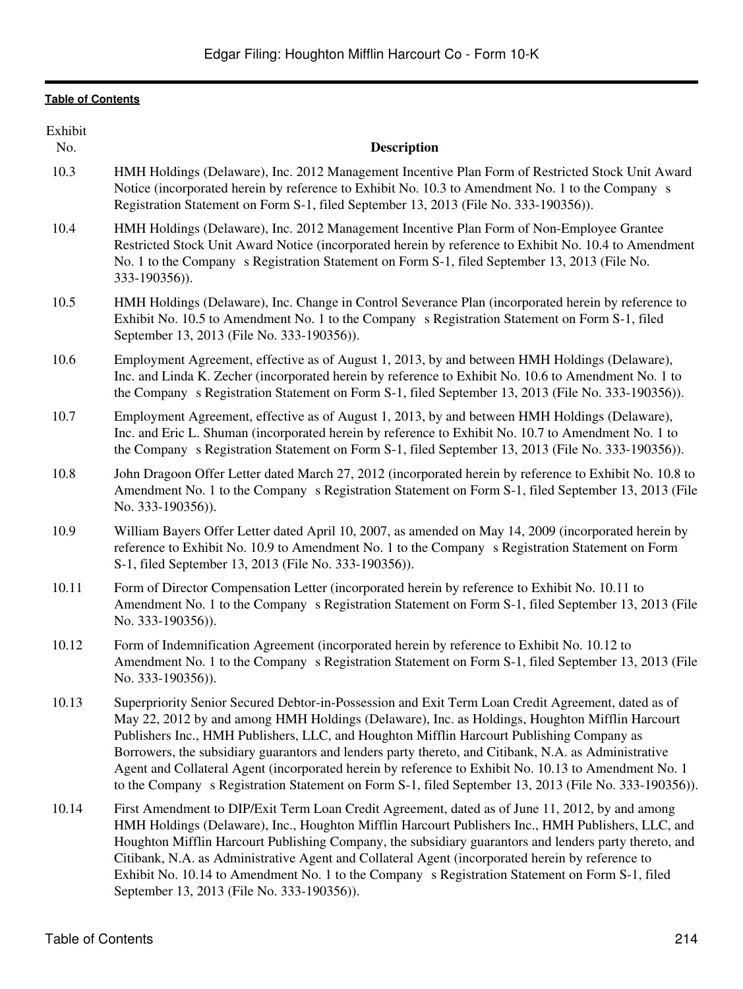| Exhibit<br>No. | <b>Description</b>                                                                                                                                                                                                                                                                                                                                                                                                                                                                                                                                                                                                         |
|----------------|----------------------------------------------------------------------------------------------------------------------------------------------------------------------------------------------------------------------------------------------------------------------------------------------------------------------------------------------------------------------------------------------------------------------------------------------------------------------------------------------------------------------------------------------------------------------------------------------------------------------------|
| 10.3           | HMH Holdings (Delaware), Inc. 2012 Management Incentive Plan Form of Restricted Stock Unit Award<br>Notice (incorporated herein by reference to Exhibit No. 10.3 to Amendment No. 1 to the Company s<br>Registration Statement on Form S-1, filed September 13, 2013 (File No. 333-190356)).                                                                                                                                                                                                                                                                                                                               |
| 10.4           | HMH Holdings (Delaware), Inc. 2012 Management Incentive Plan Form of Non-Employee Grantee<br>Restricted Stock Unit Award Notice (incorporated herein by reference to Exhibit No. 10.4 to Amendment<br>No. 1 to the Company s Registration Statement on Form S-1, filed September 13, 2013 (File No.<br>333-190356)).                                                                                                                                                                                                                                                                                                       |
| 10.5           | HMH Holdings (Delaware), Inc. Change in Control Severance Plan (incorporated herein by reference to<br>Exhibit No. 10.5 to Amendment No. 1 to the Company s Registration Statement on Form S-1, filed<br>September 13, 2013 (File No. 333-190356)).                                                                                                                                                                                                                                                                                                                                                                        |
| 10.6           | Employment Agreement, effective as of August 1, 2013, by and between HMH Holdings (Delaware),<br>Inc. and Linda K. Zecher (incorporated herein by reference to Exhibit No. 10.6 to Amendment No. 1 to<br>the Company s Registration Statement on Form S-1, filed September 13, 2013 (File No. 333-190356)).                                                                                                                                                                                                                                                                                                                |
| 10.7           | Employment Agreement, effective as of August 1, 2013, by and between HMH Holdings (Delaware),<br>Inc. and Eric L. Shuman (incorporated herein by reference to Exhibit No. 10.7 to Amendment No. 1 to<br>the Company s Registration Statement on Form S-1, filed September 13, 2013 (File No. 333-190356)).                                                                                                                                                                                                                                                                                                                 |
| 10.8           | John Dragoon Offer Letter dated March 27, 2012 (incorporated herein by reference to Exhibit No. 10.8 to<br>Amendment No. 1 to the Company s Registration Statement on Form S-1, filed September 13, 2013 (File<br>No. 333-190356)).                                                                                                                                                                                                                                                                                                                                                                                        |
| 10.9           | William Bayers Offer Letter dated April 10, 2007, as amended on May 14, 2009 (incorporated herein by<br>reference to Exhibit No. 10.9 to Amendment No. 1 to the Company s Registration Statement on Form<br>S-1, filed September 13, 2013 (File No. 333-190356)).                                                                                                                                                                                                                                                                                                                                                          |
| 10.11          | Form of Director Compensation Letter (incorporated herein by reference to Exhibit No. 10.11 to<br>Amendment No. 1 to the Company s Registration Statement on Form S-1, filed September 13, 2013 (File<br>No. 333-190356)).                                                                                                                                                                                                                                                                                                                                                                                                 |
| 10.12          | Form of Indemnification Agreement (incorporated herein by reference to Exhibit No. 10.12 to<br>Amendment No. 1 to the Company s Registration Statement on Form S-1, filed September 13, 2013 (File<br>No. 333-190356)).                                                                                                                                                                                                                                                                                                                                                                                                    |
| 10.13          | Superpriority Senior Secured Debtor-in-Possession and Exit Term Loan Credit Agreement, dated as of<br>May 22, 2012 by and among HMH Holdings (Delaware), Inc. as Holdings, Houghton Mifflin Harcourt<br>Publishers Inc., HMH Publishers, LLC, and Houghton Mifflin Harcourt Publishing Company as<br>Borrowers, the subsidiary guarantors and lenders party thereto, and Citibank, N.A. as Administrative<br>Agent and Collateral Agent (incorporated herein by reference to Exhibit No. 10.13 to Amendment No. 1<br>to the Company s Registration Statement on Form S-1, filed September 13, 2013 (File No. 333-190356)). |
| 10.14          | First Amendment to DIP/Exit Term Loan Credit Agreement, dated as of June 11, 2012, by and among<br>HMH Holdings (Delaware), Inc., Houghton Mifflin Harcourt Publishers Inc., HMH Publishers, LLC, and<br>Houghton Mifflin Harcourt Publishing Company, the subsidiary guarantors and lenders party thereto, and<br>Citibank, N.A. as Administrative Agent and Collateral Agent (incorporated herein by reference to<br>Exhibit No. 10.14 to Amendment No. 1 to the Company s Registration Statement on Form S-1, filed<br>September 13, 2013 (File No. 333-190356)).                                                       |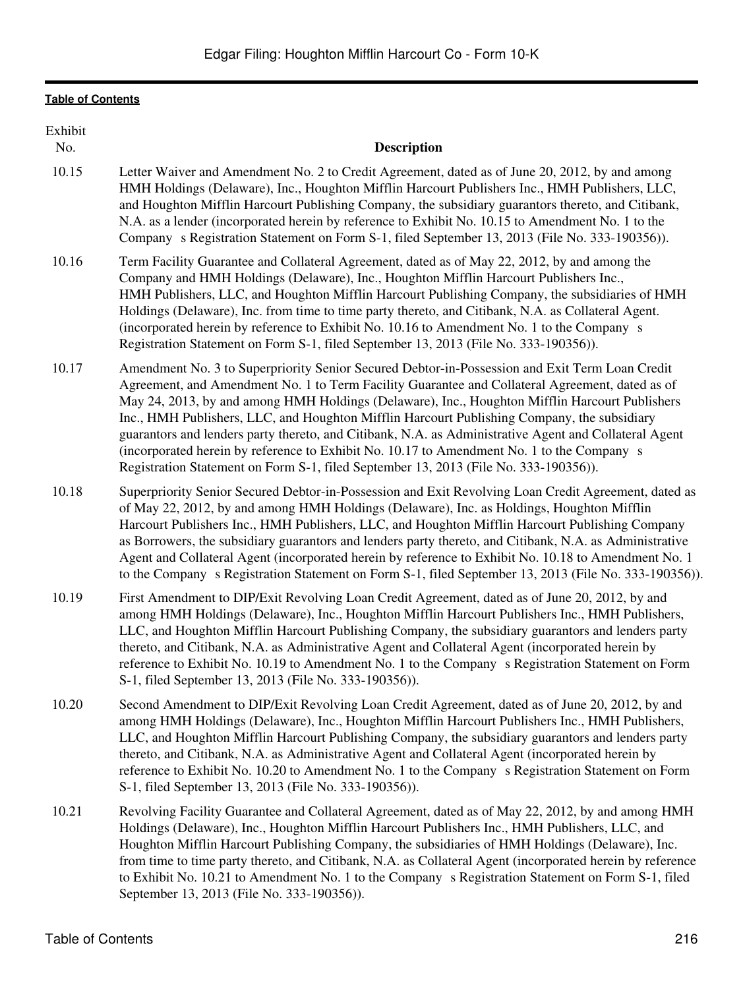| Exhibit<br>No. | <b>Description</b>                                                                                                                                                                                                                                                                                                                                                                                                                                                                                                                                                                                                                                                                                |
|----------------|---------------------------------------------------------------------------------------------------------------------------------------------------------------------------------------------------------------------------------------------------------------------------------------------------------------------------------------------------------------------------------------------------------------------------------------------------------------------------------------------------------------------------------------------------------------------------------------------------------------------------------------------------------------------------------------------------|
| 10.15          | Letter Waiver and Amendment No. 2 to Credit Agreement, dated as of June 20, 2012, by and among<br>HMH Holdings (Delaware), Inc., Houghton Mifflin Harcourt Publishers Inc., HMH Publishers, LLC,<br>and Houghton Mifflin Harcourt Publishing Company, the subsidiary guarantors thereto, and Citibank,<br>N.A. as a lender (incorporated herein by reference to Exhibit No. 10.15 to Amendment No. 1 to the<br>Company s Registration Statement on Form S-1, filed September 13, 2013 (File No. 333-190356)).                                                                                                                                                                                     |
| 10.16          | Term Facility Guarantee and Collateral Agreement, dated as of May 22, 2012, by and among the<br>Company and HMH Holdings (Delaware), Inc., Houghton Mifflin Harcourt Publishers Inc.,<br>HMH Publishers, LLC, and Houghton Mifflin Harcourt Publishing Company, the subsidiaries of HMH<br>Holdings (Delaware), Inc. from time to time party thereto, and Citibank, N.A. as Collateral Agent.<br>(incorporated herein by reference to Exhibit No. 10.16 to Amendment No. 1 to the Company s<br>Registration Statement on Form S-1, filed September 13, 2013 (File No. 333-190356)).                                                                                                               |
| 10.17          | Amendment No. 3 to Superpriority Senior Secured Debtor-in-Possession and Exit Term Loan Credit<br>Agreement, and Amendment No. 1 to Term Facility Guarantee and Collateral Agreement, dated as of<br>May 24, 2013, by and among HMH Holdings (Delaware), Inc., Houghton Mifflin Harcourt Publishers<br>Inc., HMH Publishers, LLC, and Houghton Mifflin Harcourt Publishing Company, the subsidiary<br>guarantors and lenders party thereto, and Citibank, N.A. as Administrative Agent and Collateral Agent<br>(incorporated herein by reference to Exhibit No. 10.17 to Amendment No. 1 to the Company s<br>Registration Statement on Form S-1, filed September 13, 2013 (File No. 333-190356)). |
| 10.18          | Superpriority Senior Secured Debtor-in-Possession and Exit Revolving Loan Credit Agreement, dated as<br>of May 22, 2012, by and among HMH Holdings (Delaware), Inc. as Holdings, Houghton Mifflin<br>Harcourt Publishers Inc., HMH Publishers, LLC, and Houghton Mifflin Harcourt Publishing Company<br>as Borrowers, the subsidiary guarantors and lenders party thereto, and Citibank, N.A. as Administrative<br>Agent and Collateral Agent (incorporated herein by reference to Exhibit No. 10.18 to Amendment No. 1<br>to the Company s Registration Statement on Form S-1, filed September 13, 2013 (File No. 333-190356)).                                                                  |
| 10.19          | First Amendment to DIP/Exit Revolving Loan Credit Agreement, dated as of June 20, 2012, by and<br>among HMH Holdings (Delaware), Inc., Houghton Mifflin Harcourt Publishers Inc., HMH Publishers,<br>LLC, and Houghton Mifflin Harcourt Publishing Company, the subsidiary guarantors and lenders party<br>thereto, and Citibank, N.A. as Administrative Agent and Collateral Agent (incorporated herein by<br>reference to Exhibit No. 10.19 to Amendment No. 1 to the Company s Registration Statement on Form<br>S-1, filed September 13, 2013 (File No. 333-190356)).                                                                                                                         |
| 10.20          | Second Amendment to DIP/Exit Revolving Loan Credit Agreement, dated as of June 20, 2012, by and<br>among HMH Holdings (Delaware), Inc., Houghton Mifflin Harcourt Publishers Inc., HMH Publishers,<br>LLC, and Houghton Mifflin Harcourt Publishing Company, the subsidiary guarantors and lenders party<br>thereto, and Citibank, N.A. as Administrative Agent and Collateral Agent (incorporated herein by<br>reference to Exhibit No. 10.20 to Amendment No. 1 to the Company s Registration Statement on Form<br>S-1, filed September 13, 2013 (File No. 333-190356)).                                                                                                                        |
| 10.21          | Revolving Facility Guarantee and Collateral Agreement, dated as of May 22, 2012, by and among HMH<br>Holdings (Delaware), Inc., Houghton Mifflin Harcourt Publishers Inc., HMH Publishers, LLC, and<br>Houghton Mifflin Harcourt Publishing Company, the subsidiaries of HMH Holdings (Delaware), Inc.<br>from time to time party thereto, and Citibank, N.A. as Collateral Agent (incorporated herein by reference<br>to Exhibit No. 10.21 to Amendment No. 1 to the Company s Registration Statement on Form S-1, filed<br>September 13, 2013 (File No. 333-190356)).                                                                                                                           |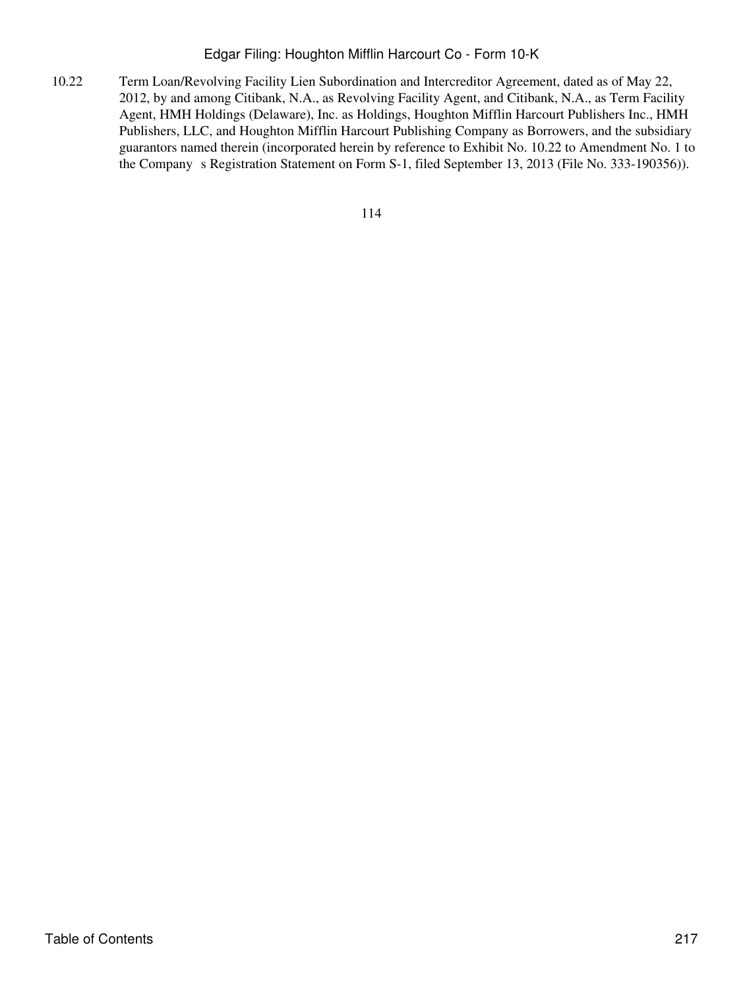10.22 Term Loan/Revolving Facility Lien Subordination and Intercreditor Agreement, dated as of May 22, 2012, by and among Citibank, N.A., as Revolving Facility Agent, and Citibank, N.A., as Term Facility Agent, HMH Holdings (Delaware), Inc. as Holdings, Houghton Mifflin Harcourt Publishers Inc., HMH Publishers, LLC, and Houghton Mifflin Harcourt Publishing Company as Borrowers, and the subsidiary guarantors named therein (incorporated herein by reference to Exhibit No. 10.22 to Amendment No. 1 to the Company s Registration Statement on Form S-1, filed September 13, 2013 (File No. 333-190356)).

114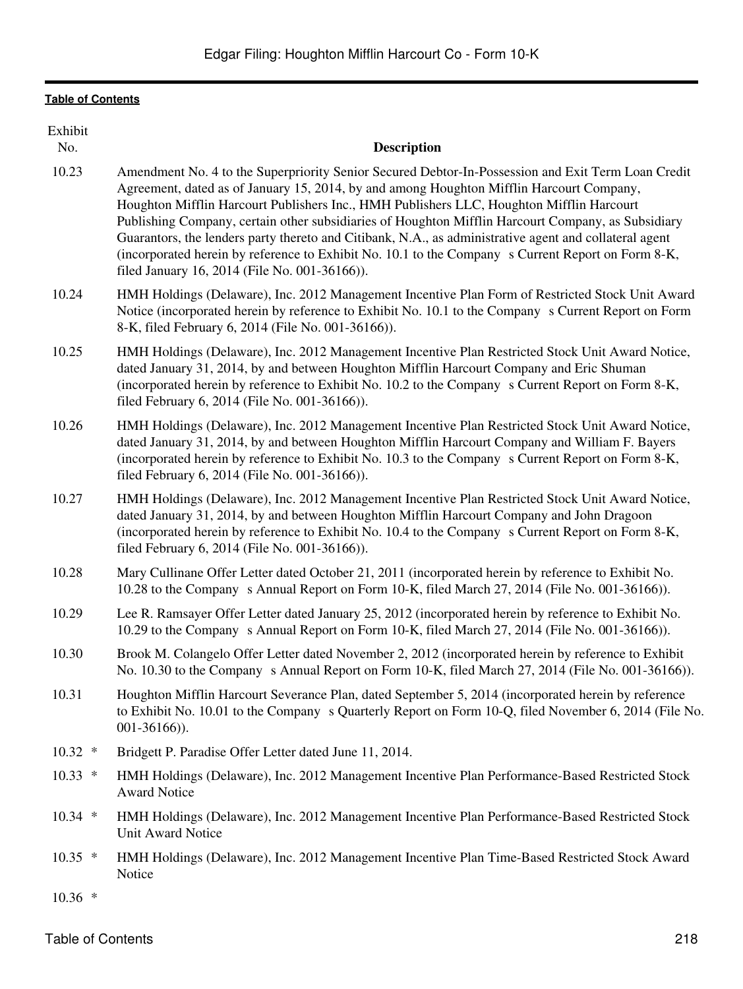## **[Table of Contents](#page-3-0)**

| Exhibit   |                                                                                                                                                                                                                                                                                                                                                                                                                                                                                                                                                                                                                                                                   |
|-----------|-------------------------------------------------------------------------------------------------------------------------------------------------------------------------------------------------------------------------------------------------------------------------------------------------------------------------------------------------------------------------------------------------------------------------------------------------------------------------------------------------------------------------------------------------------------------------------------------------------------------------------------------------------------------|
| No.       | <b>Description</b>                                                                                                                                                                                                                                                                                                                                                                                                                                                                                                                                                                                                                                                |
| 10.23     | Amendment No. 4 to the Superpriority Senior Secured Debtor-In-Possession and Exit Term Loan Credit<br>Agreement, dated as of January 15, 2014, by and among Houghton Mifflin Harcourt Company,<br>Houghton Mifflin Harcourt Publishers Inc., HMH Publishers LLC, Houghton Mifflin Harcourt<br>Publishing Company, certain other subsidiaries of Houghton Mifflin Harcourt Company, as Subsidiary<br>Guarantors, the lenders party thereto and Citibank, N.A., as administrative agent and collateral agent<br>(incorporated herein by reference to Exhibit No. 10.1 to the Company s Current Report on Form 8-K,<br>filed January 16, 2014 (File No. 001-36166)). |
| 10.24     | HMH Holdings (Delaware), Inc. 2012 Management Incentive Plan Form of Restricted Stock Unit Award<br>Notice (incorporated herein by reference to Exhibit No. 10.1 to the Company s Current Report on Form<br>8-K, filed February 6, 2014 (File No. 001-36166)).                                                                                                                                                                                                                                                                                                                                                                                                    |
| 10.25     | HMH Holdings (Delaware), Inc. 2012 Management Incentive Plan Restricted Stock Unit Award Notice,<br>dated January 31, 2014, by and between Houghton Mifflin Harcourt Company and Eric Shuman<br>(incorporated herein by reference to Exhibit No. 10.2 to the Company s Current Report on Form 8-K,<br>filed February 6, 2014 (File No. 001-36166)).                                                                                                                                                                                                                                                                                                               |
| 10.26     | HMH Holdings (Delaware), Inc. 2012 Management Incentive Plan Restricted Stock Unit Award Notice,<br>dated January 31, 2014, by and between Houghton Mifflin Harcourt Company and William F. Bayers<br>(incorporated herein by reference to Exhibit No. 10.3 to the Company s Current Report on Form 8-K,<br>filed February 6, 2014 (File No. 001-36166)).                                                                                                                                                                                                                                                                                                         |
| 10.27     | HMH Holdings (Delaware), Inc. 2012 Management Incentive Plan Restricted Stock Unit Award Notice,<br>dated January 31, 2014, by and between Houghton Mifflin Harcourt Company and John Dragoon<br>(incorporated herein by reference to Exhibit No. 10.4 to the Company s Current Report on Form 8-K,<br>filed February 6, 2014 (File No. 001-36166)).                                                                                                                                                                                                                                                                                                              |
| 10.28     | Mary Cullinane Offer Letter dated October 21, 2011 (incorporated herein by reference to Exhibit No.<br>10.28 to the Company s Annual Report on Form 10-K, filed March 27, 2014 (File No. 001-36166)).                                                                                                                                                                                                                                                                                                                                                                                                                                                             |
| 10.29     | Lee R. Ramsayer Offer Letter dated January 25, 2012 (incorporated herein by reference to Exhibit No.<br>10.29 to the Company s Annual Report on Form 10-K, filed March 27, 2014 (File No. 001-36166)).                                                                                                                                                                                                                                                                                                                                                                                                                                                            |
| 10.30     | Brook M. Colangelo Offer Letter dated November 2, 2012 (incorporated herein by reference to Exhibit<br>No. 10.30 to the Company s Annual Report on Form 10-K, filed March 27, 2014 (File No. 001-36166)).                                                                                                                                                                                                                                                                                                                                                                                                                                                         |
| 10.31     | Houghton Mifflin Harcourt Severance Plan, dated September 5, 2014 (incorporated herein by reference<br>to Exhibit No. 10.01 to the Company s Quarterly Report on Form 10-Q, filed November 6, 2014 (File No.<br>$001-36166)$ ).                                                                                                                                                                                                                                                                                                                                                                                                                                   |
| $10.32$ * | Bridgett P. Paradise Offer Letter dated June 11, 2014.                                                                                                                                                                                                                                                                                                                                                                                                                                                                                                                                                                                                            |
| $10.33$ * | HMH Holdings (Delaware), Inc. 2012 Management Incentive Plan Performance-Based Restricted Stock<br><b>Award Notice</b>                                                                                                                                                                                                                                                                                                                                                                                                                                                                                                                                            |
| $10.34$ * | HMH Holdings (Delaware), Inc. 2012 Management Incentive Plan Performance-Based Restricted Stock<br>Unit Award Notice                                                                                                                                                                                                                                                                                                                                                                                                                                                                                                                                              |
| $10.35$ * | HMH Holdings (Delaware), Inc. 2012 Management Incentive Plan Time-Based Restricted Stock Award<br>Notice                                                                                                                                                                                                                                                                                                                                                                                                                                                                                                                                                          |
| $10.36$ * |                                                                                                                                                                                                                                                                                                                                                                                                                                                                                                                                                                                                                                                                   |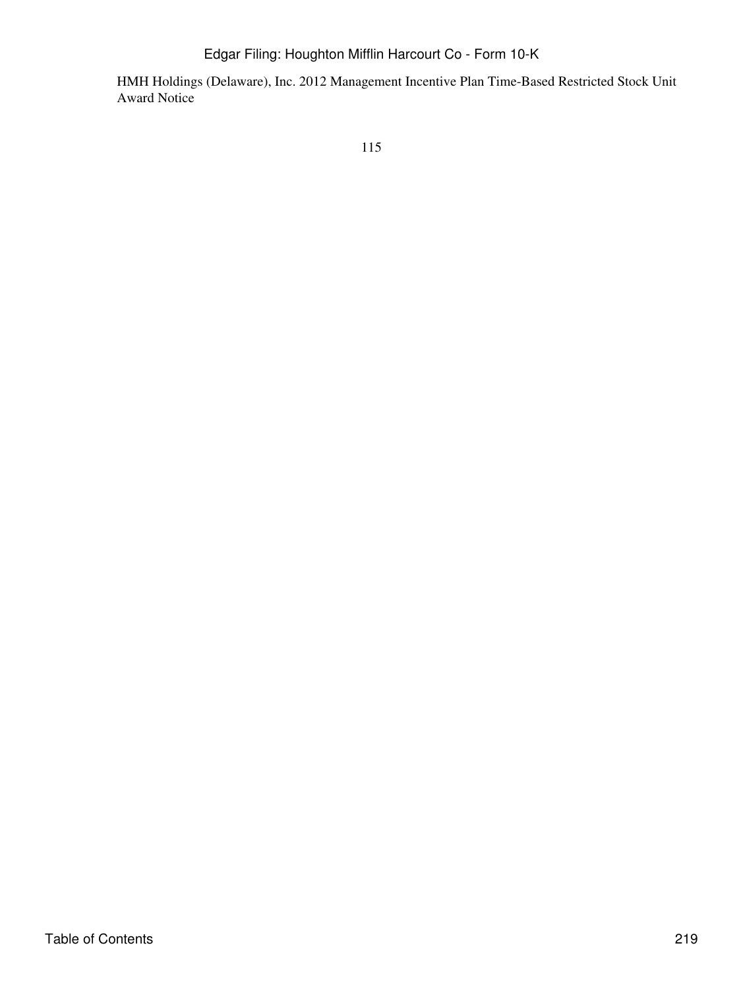Edgar Filing: Houghton Mifflin Harcourt Co - Form 10-K

HMH Holdings (Delaware), Inc. 2012 Management Incentive Plan Time-Based Restricted Stock Unit Award Notice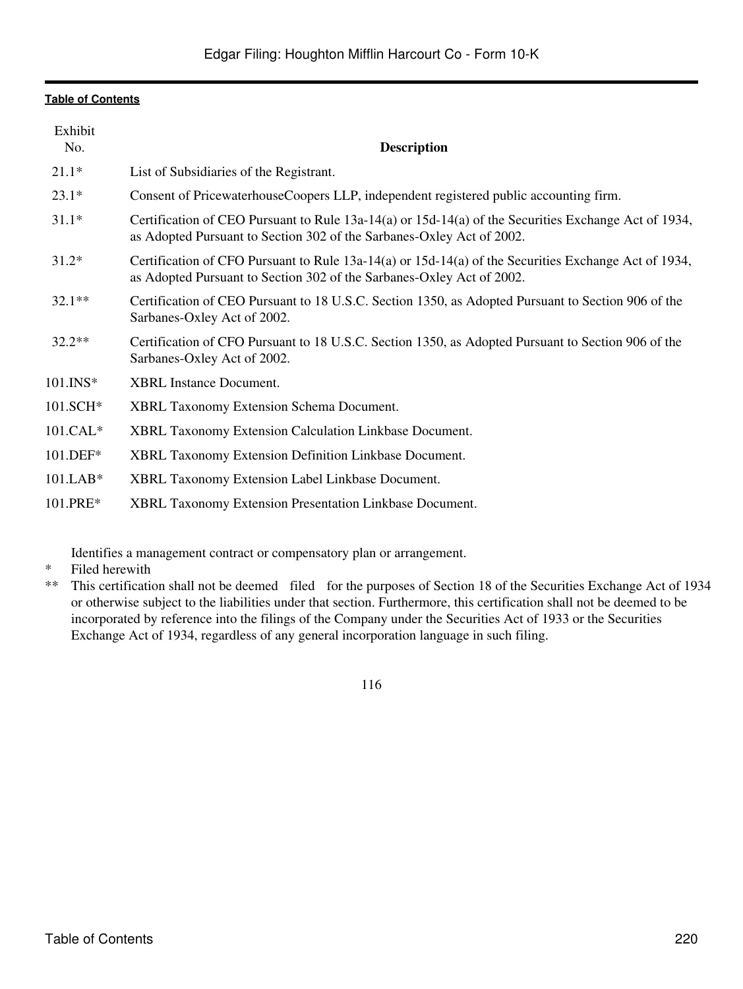### **[Table of Contents](#page-3-0)**

| Exhibit<br>No. | <b>Description</b>                                                                                                                                                            |
|----------------|-------------------------------------------------------------------------------------------------------------------------------------------------------------------------------|
| $21.1*$        | List of Subsidiaries of the Registrant.                                                                                                                                       |
| $23.1*$        | Consent of PricewaterhouseCoopers LLP, independent registered public accounting firm.                                                                                         |
| $31.1*$        | Certification of CEO Pursuant to Rule 13a-14(a) or 15d-14(a) of the Securities Exchange Act of 1934,<br>as Adopted Pursuant to Section 302 of the Sarbanes-Oxley Act of 2002. |
| $31.2*$        | Certification of CFO Pursuant to Rule 13a-14(a) or 15d-14(a) of the Securities Exchange Act of 1934,<br>as Adopted Pursuant to Section 302 of the Sarbanes-Oxley Act of 2002. |
| $32.1**$       | Certification of CEO Pursuant to 18 U.S.C. Section 1350, as Adopted Pursuant to Section 906 of the<br>Sarbanes-Oxley Act of 2002.                                             |
| $32.2**$       | Certification of CFO Pursuant to 18 U.S.C. Section 1350, as Adopted Pursuant to Section 906 of the<br>Sarbanes-Oxley Act of 2002.                                             |
| 101.INS*       | <b>XBRL</b> Instance Document.                                                                                                                                                |
| 101.SCH*       | <b>XBRL Taxonomy Extension Schema Document.</b>                                                                                                                               |
| $101.CAL*$     | XBRL Taxonomy Extension Calculation Linkbase Document.                                                                                                                        |
| 101.DEF*       | XBRL Taxonomy Extension Definition Linkbase Document.                                                                                                                         |
| $101.LAB*$     | XBRL Taxonomy Extension Label Linkbase Document.                                                                                                                              |
| 101.PRE*       | XBRL Taxonomy Extension Presentation Linkbase Document.                                                                                                                       |

Identifies a management contract or compensatory plan or arrangement.

\*\* This certification shall not be deemed filed for the purposes of Section 18 of the Securities Exchange Act of 1934 or otherwise subject to the liabilities under that section. Furthermore, this certification shall not be deemed to be incorporated by reference into the filings of the Company under the Securities Act of 1933 or the Securities Exchange Act of 1934, regardless of any general incorporation language in such filing.

116

<sup>\*</sup> Filed herewith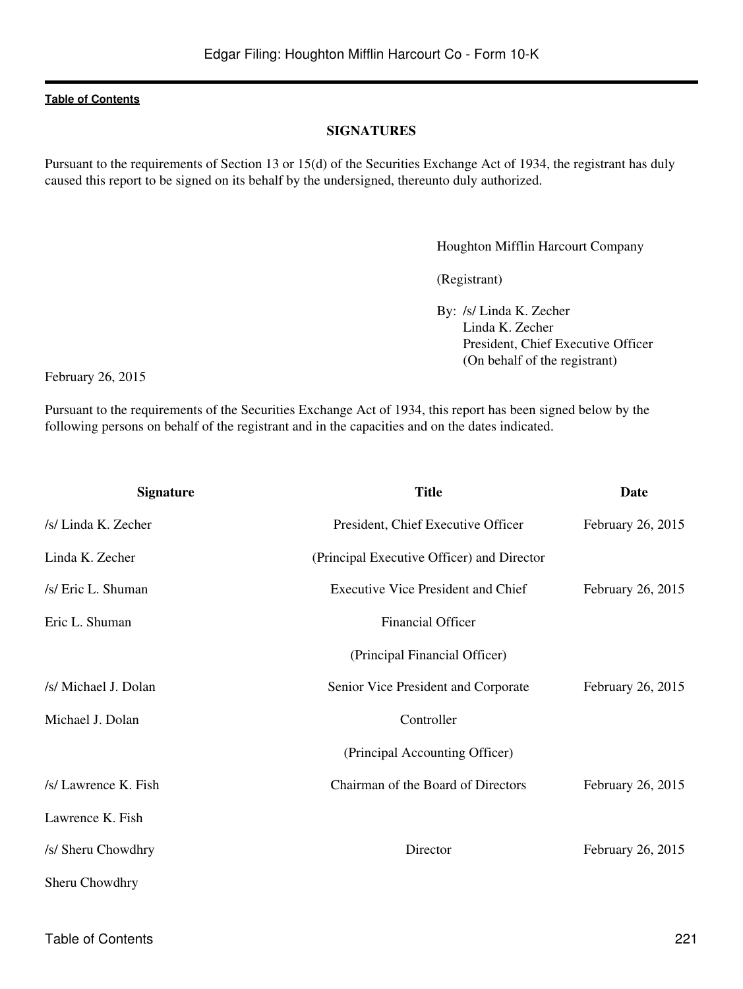#### **[Table of Contents](#page-3-0)**

## **SIGNATURES**

Pursuant to the requirements of Section 13 or 15(d) of the Securities Exchange Act of 1934, the registrant has duly caused this report to be signed on its behalf by the undersigned, thereunto duly authorized.

Houghton Mifflin Harcourt Company

(Registrant)

By: /s/ Linda K. Zecher Linda K. Zecher President, Chief Executive Officer (On behalf of the registrant)

February 26, 2015

Pursuant to the requirements of the Securities Exchange Act of 1934, this report has been signed below by the following persons on behalf of the registrant and in the capacities and on the dates indicated.

| <b>Signature</b>     | <b>Title</b>                               | <b>Date</b>       |
|----------------------|--------------------------------------------|-------------------|
| /s/ Linda K. Zecher  | President, Chief Executive Officer         | February 26, 2015 |
| Linda K. Zecher      | (Principal Executive Officer) and Director |                   |
| /s/ Eric L. Shuman   | <b>Executive Vice President and Chief</b>  | February 26, 2015 |
| Eric L. Shuman       | <b>Financial Officer</b>                   |                   |
|                      | (Principal Financial Officer)              |                   |
| /s/ Michael J. Dolan | Senior Vice President and Corporate        | February 26, 2015 |
| Michael J. Dolan     | Controller                                 |                   |
|                      | (Principal Accounting Officer)             |                   |
| /s/ Lawrence K. Fish | Chairman of the Board of Directors         | February 26, 2015 |
| Lawrence K. Fish     |                                            |                   |
| /s/ Sheru Chowdhry   | Director                                   | February 26, 2015 |
| Sheru Chowdhry       |                                            |                   |